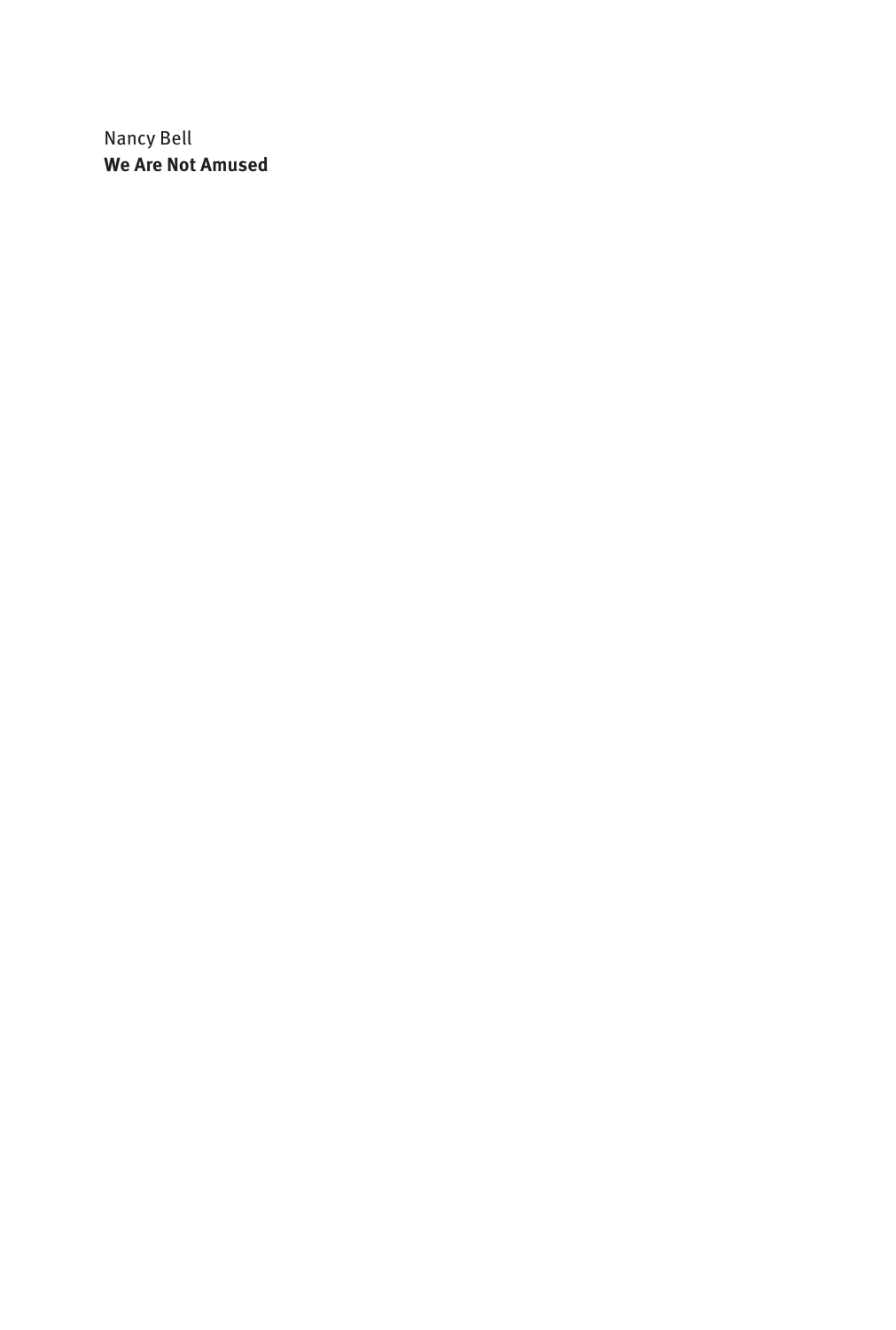Nancy Bell **We Are Not Amused**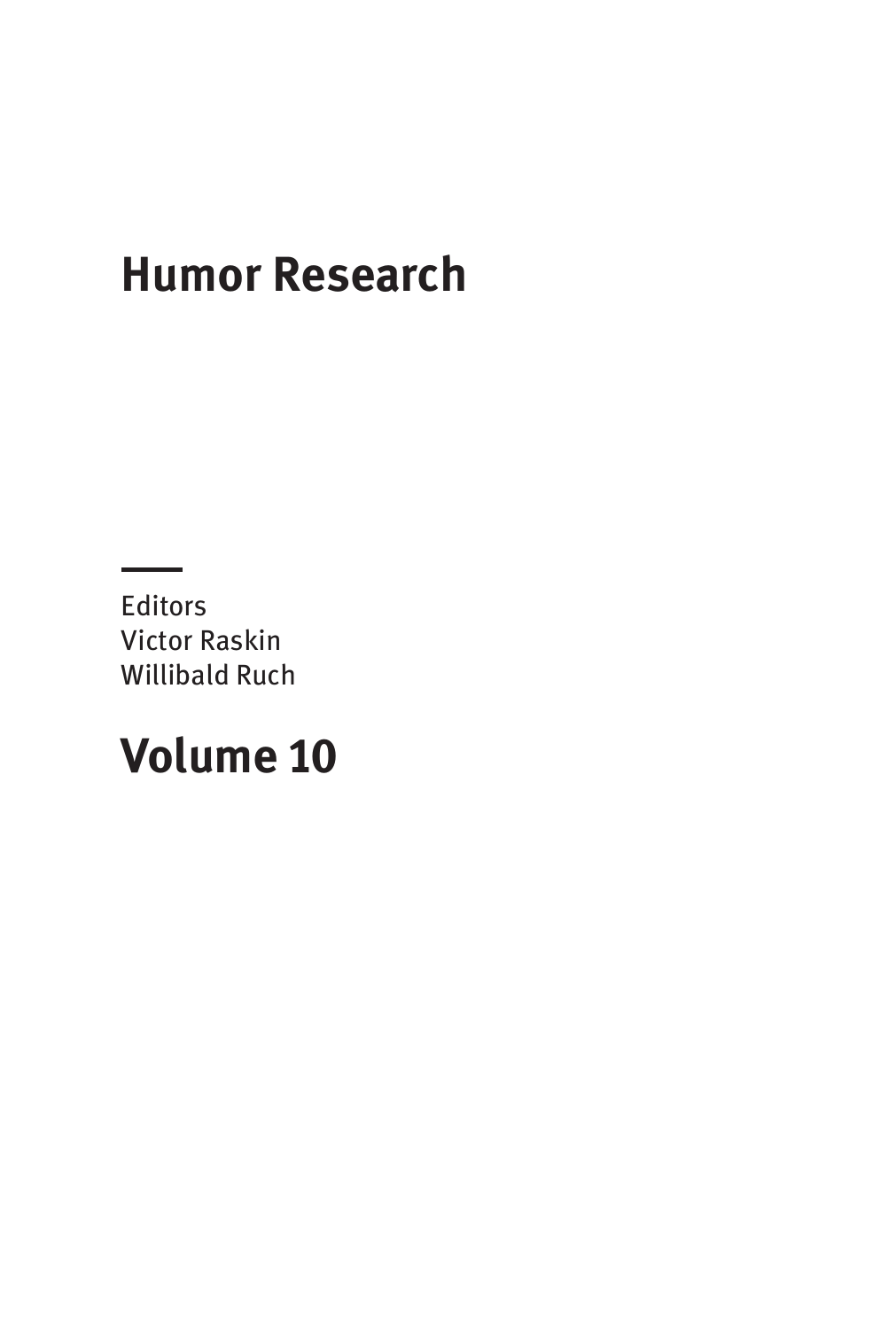# **Humor Research**

Editors Victor Raskin Willibald Ruch

# **Volume 10**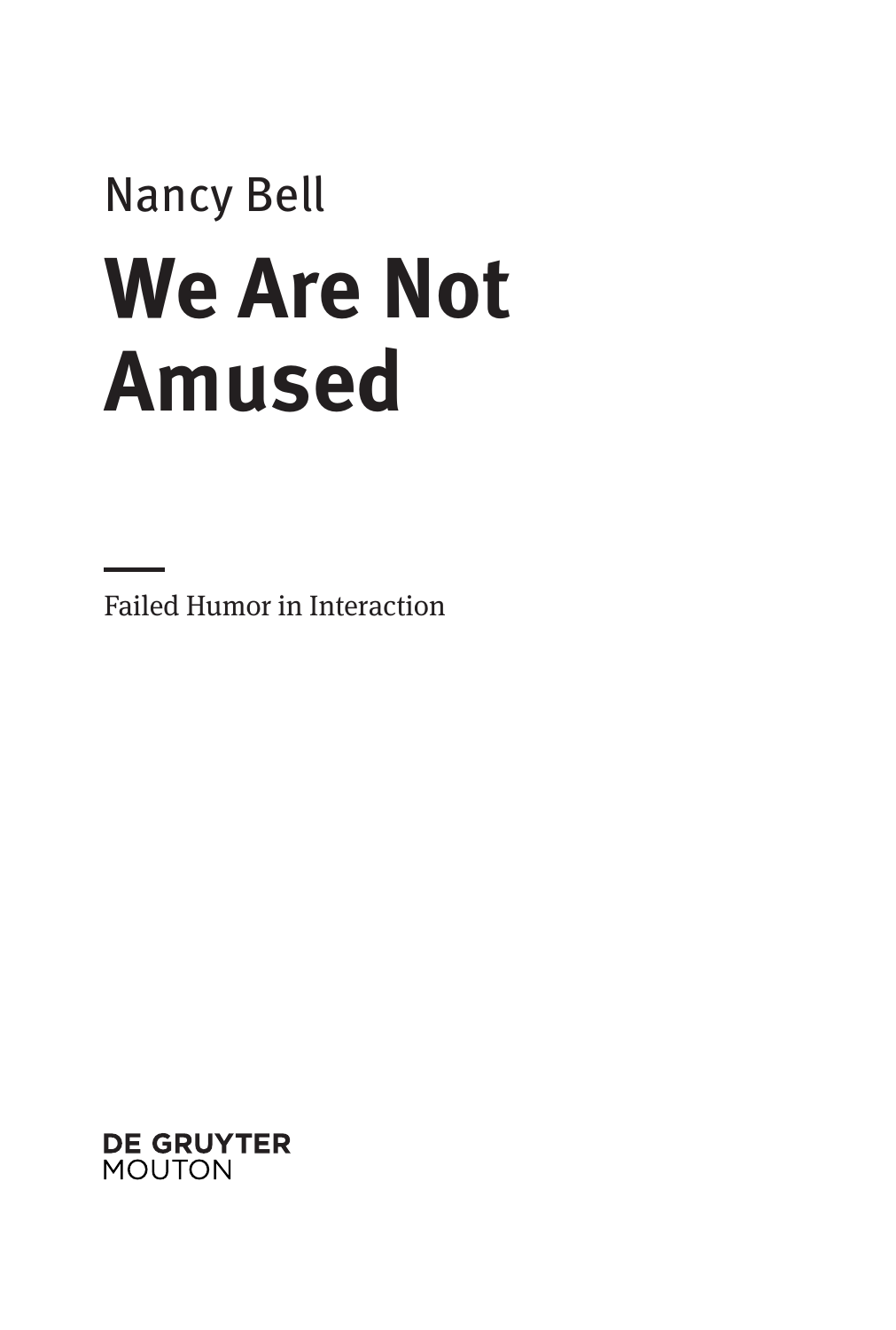# Nancy Bell **We Are Not Amused**

Failed Humor in Interaction

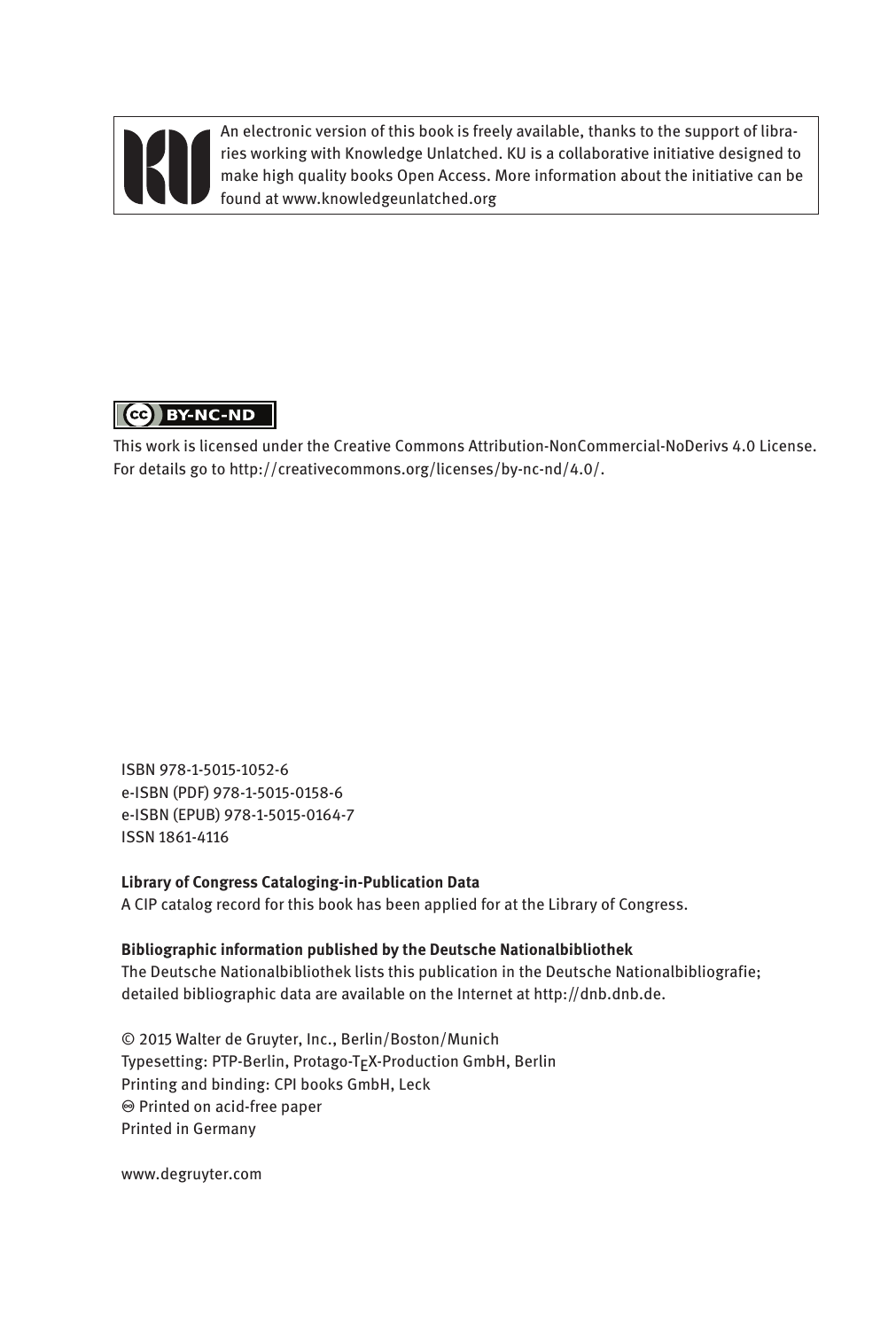

An electronic version of this book is freely available, thanks to the support of libraries working with Knowledge Unlatched. KU is a collaborative initiative designed to make high quality books Open Access. More information about the initiative can be found at www.knowledgeunlatched.org

#### CC BY-NC-ND

This work is licensed under the Creative Commons Attribution-NonCommercial-NoDerivs 4.0 License. For details go to http://creativecommons.org/licenses/by-nc-nd/4.0/.

ISBN 978-1-5015-1052-6 e-ISBN (PDF) 978-1-5015-0158-6 e-ISBN (EPUB) 978-1-5015-0164-7 ISSN 1861-4116

#### **Library of Congress Cataloging-in-Publication Data**

A CIP catalog record for this book has been applied for at the Library of Congress.

#### **Bibliographic information published by the Deutsche Nationalbibliothek**

The Deutsche Nationalbibliothek lists this publication in the Deutsche Nationalbibliografie; detailed bibliographic data are available on the Internet at http://dnb.dnb.de.

© 2015 Walter de Gruyter, Inc., Berlin/Boston/Munich Typesetting: PTP-Berlin, Protago-TEX-Production GmbH, Berlin Printing and binding: CPI books GmbH, Leck ♾ Printed on acid-free paper Printed in Germany

www.degruyter.com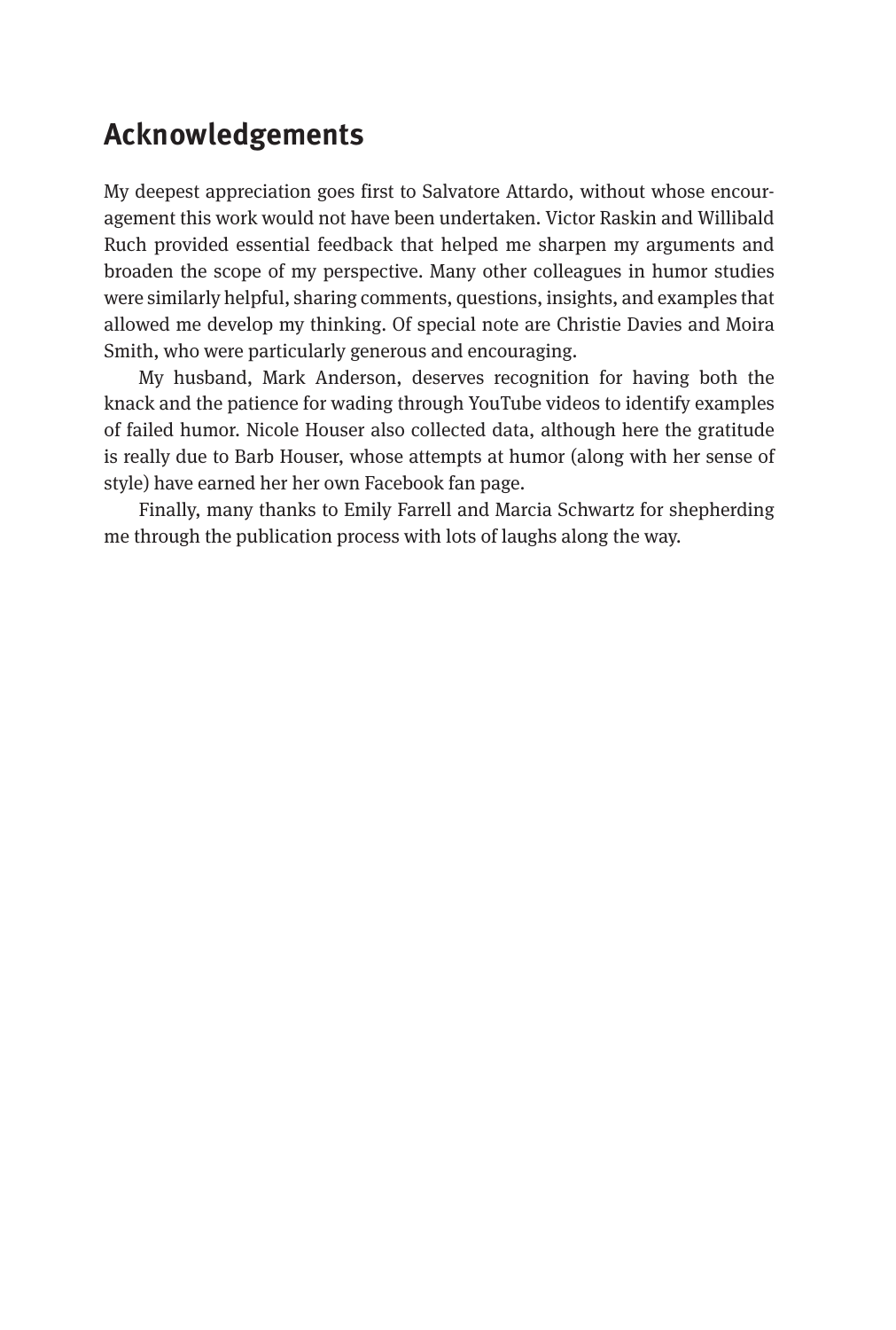## **Acknowledgements**

My deepest appreciation goes first to Salvatore Attardo, without whose encouragement this work would not have been undertaken. Victor Raskin and Willibald Ruch provided essential feedback that helped me sharpen my arguments and broaden the scope of my perspective. Many other colleagues in humor studies were similarly helpful, sharing comments, questions, insights, and examples that allowed me develop my thinking. Of special note are Christie Davies and Moira Smith, who were particularly generous and encouraging.

My husband, Mark Anderson, deserves recognition for having both the knack and the patience for wading through YouTube videos to identify examples of failed humor. Nicole Houser also collected data, although here the gratitude is really due to Barb Houser, whose attempts at humor (along with her sense of style) have earned her her own Facebook fan page.

Finally, many thanks to Emily Farrell and Marcia Schwartz for shepherding me through the publication process with lots of laughs along the way.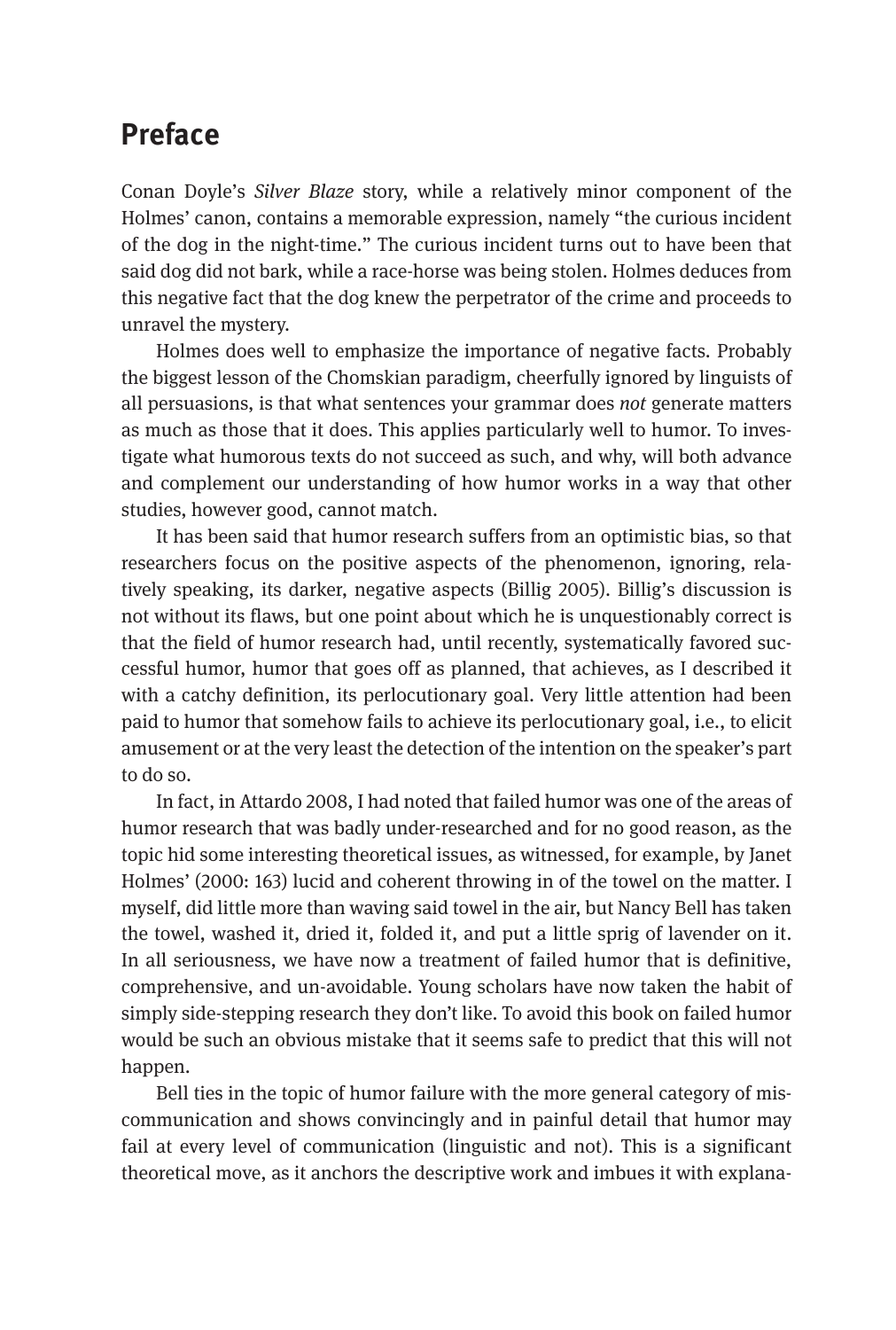### **Preface**

Conan Doyle's *Silver Blaze* story, while a relatively minor component of the Holmes' canon, contains a memorable expression, namely "the curious incident of the dog in the night-time." The curious incident turns out to have been that said dog did not bark, while a race-horse was being stolen. Holmes deduces from this negative fact that the dog knew the perpetrator of the crime and proceeds to unravel the mystery.

Holmes does well to emphasize the importance of negative facts. Probably the biggest lesson of the Chomskian paradigm, cheerfully ignored by linguists of all persuasions, is that what sentences your grammar does *not* generate matters as much as those that it does. This applies particularly well to humor. To investigate what humorous texts do not succeed as such, and why, will both advance and complement our understanding of how humor works in a way that other studies, however good, cannot match.

It has been said that humor research suffers from an optimistic bias, so that researchers focus on the positive aspects of the phenomenon, ignoring, relatively speaking, its darker, negative aspects (Billig 2005). Billig's discussion is not without its flaws, but one point about which he is unquestionably correct is that the field of humor research had, until recently, systematically favored successful humor, humor that goes off as planned, that achieves, as I described it with a catchy definition, its perlocutionary goal. Very little attention had been paid to humor that somehow fails to achieve its perlocutionary goal, i.e., to elicit amusement or at the very least the detection of the intention on the speaker's part to do so.

In fact, in Attardo 2008, I had noted that failed humor was one of the areas of humor research that was badly under-researched and for no good reason, as the topic hid some interesting theoretical issues, as witnessed, for example, by Janet Holmes' (2000: 163) lucid and coherent throwing in of the towel on the matter. I myself, did little more than waving said towel in the air, but Nancy Bell has taken the towel, washed it, dried it, folded it, and put a little sprig of lavender on it. In all seriousness, we have now a treatment of failed humor that is definitive, comprehensive, and un-avoidable. Young scholars have now taken the habit of simply side-stepping research they don't like. To avoid this book on failed humor would be such an obvious mistake that it seems safe to predict that this will not happen.

Bell ties in the topic of humor failure with the more general category of miscommunication and shows convincingly and in painful detail that humor may fail at every level of communication (linguistic and not). This is a significant theoretical move, as it anchors the descriptive work and imbues it with explana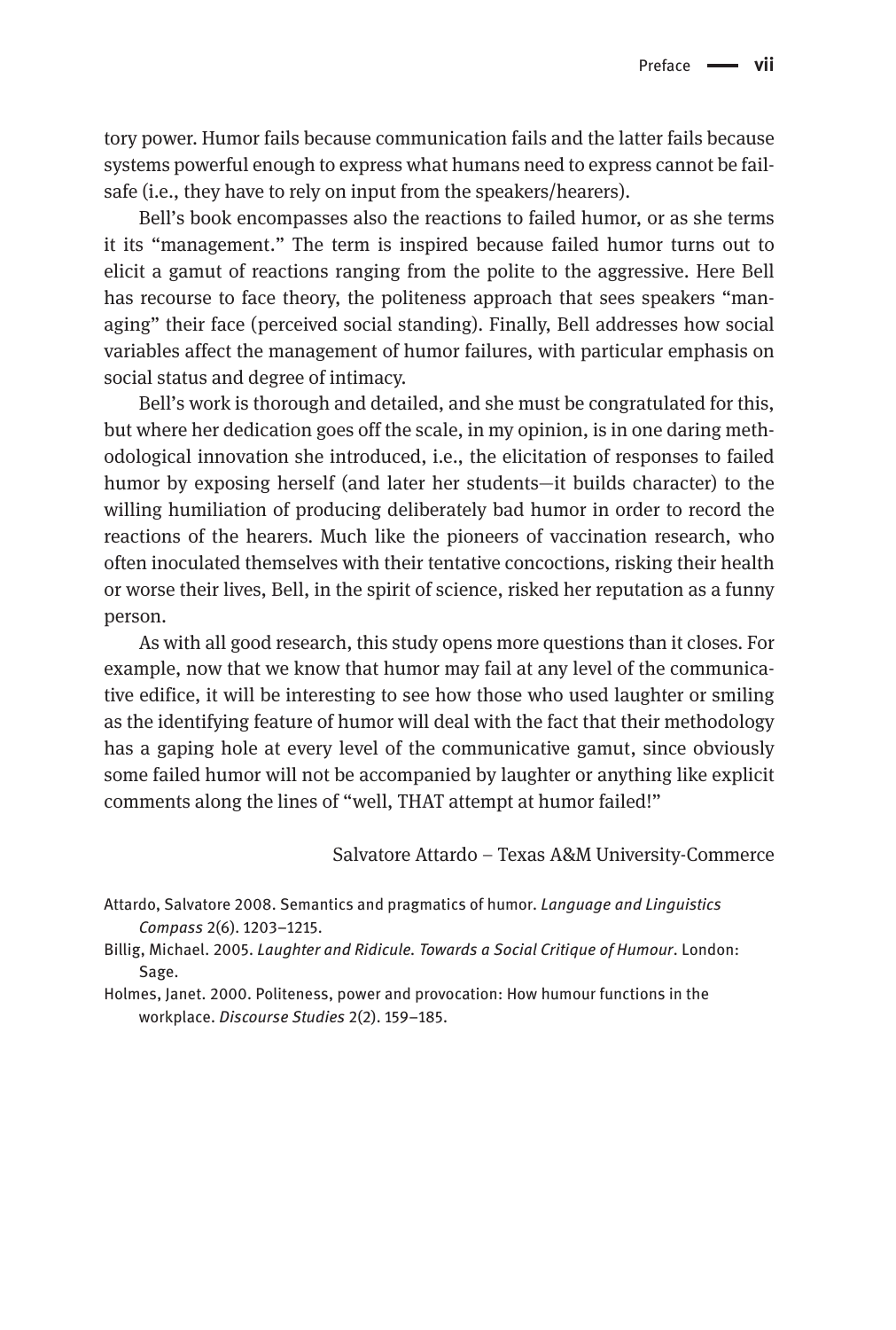tory power. Humor fails because communication fails and the latter fails because systems powerful enough to express what humans need to express cannot be failsafe (i.e., they have to rely on input from the speakers/hearers).

Bell's book encompasses also the reactions to failed humor, or as she terms it its "management." The term is inspired because failed humor turns out to elicit a gamut of reactions ranging from the polite to the aggressive. Here Bell has recourse to face theory, the politeness approach that sees speakers "managing" their face (perceived social standing). Finally, Bell addresses how social variables affect the management of humor failures, with particular emphasis on social status and degree of intimacy.

Bell's work is thorough and detailed, and she must be congratulated for this, but where her dedication goes off the scale, in my opinion, is in one daring methodological innovation she introduced, i.e., the elicitation of responses to failed humor by exposing herself (and later her students—it builds character) to the willing humiliation of producing deliberately bad humor in order to record the reactions of the hearers. Much like the pioneers of vaccination research, who often inoculated themselves with their tentative concoctions, risking their health or worse their lives, Bell, in the spirit of science, risked her reputation as a funny person.

As with all good research, this study opens more questions than it closes. For example, now that we know that humor may fail at any level of the communicative edifice, it will be interesting to see how those who used laughter or smiling as the identifying feature of humor will deal with the fact that their methodology has a gaping hole at every level of the communicative gamut, since obviously some failed humor will not be accompanied by laughter or anything like explicit comments along the lines of "well, THAT attempt at humor failed!"

Salvatore Attardo – Texas A&M University-Commerce

- Attardo, Salvatore 2008. Semantics and pragmatics of humor. *Language and Linguistics Compass* 2(6). 1203–1215.
- Billig, Michael. 2005. *Laughter and Ridicule. Towards a Social Critique of Humour*. London: Sage.
- Holmes, Janet. 2000. Politeness, power and provocation: How humour functions in the workplace. *Discourse Studies* 2(2). 159–185.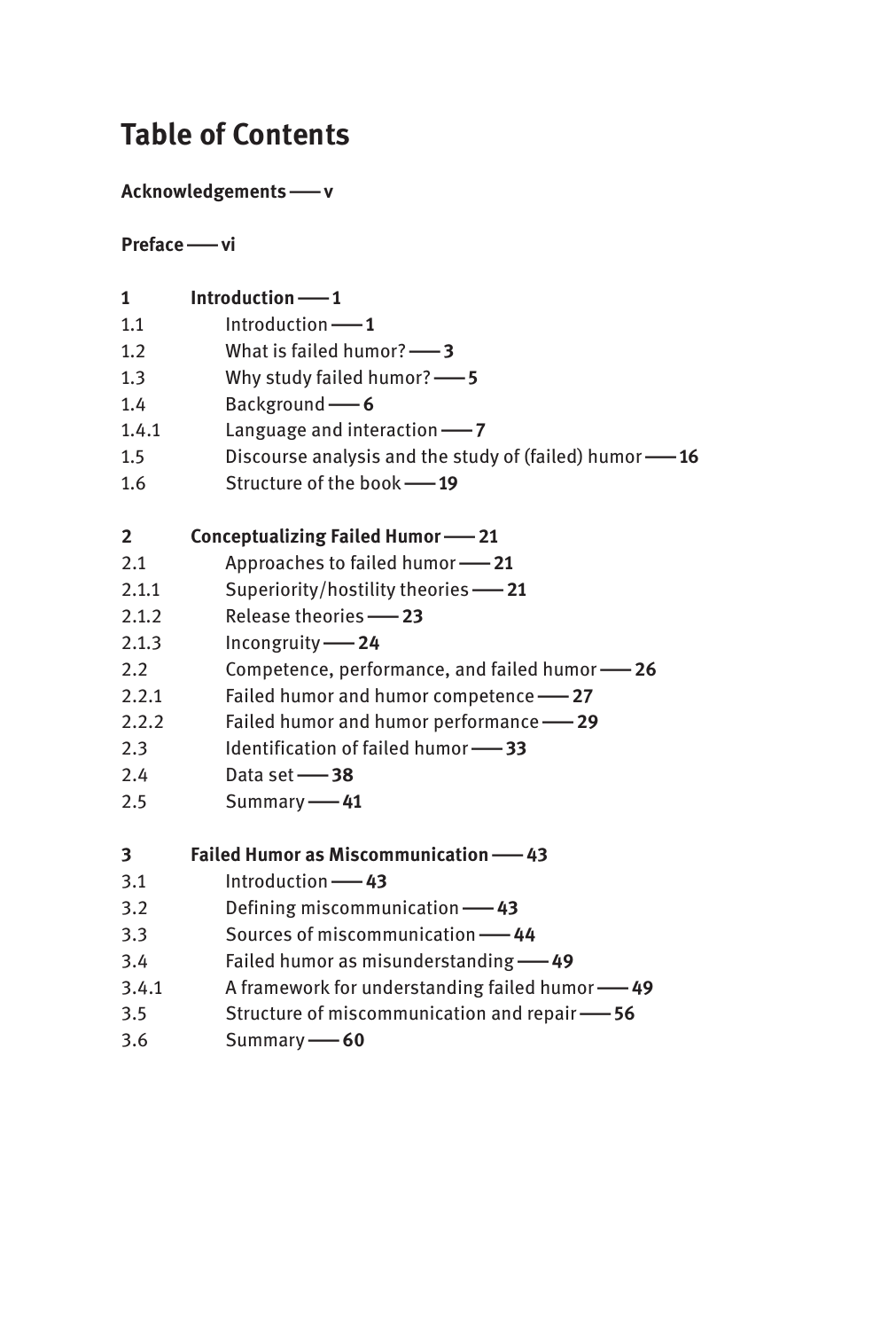# **Table of Contents**

**Acknowledgements -**v

#### **Preface** — vi

| 1            | Introduction -- 1                                      |
|--------------|--------------------------------------------------------|
| 1.1          | Introduction-1                                         |
| 1.2          | What is failed humor? $-3$                             |
| 1.3          | Why study failed humor? -- 5                           |
| 1.4          | Background-6                                           |
| 1.4.1        | Language and interaction -7                            |
| 1.5          | Discourse analysis and the study of (failed) humor -16 |
| 1.6          | Structure of the book -- 19                            |
| $\mathbf{2}$ | <b>Conceptualizing Failed Humor -21</b>                |
| 2.1          | Approaches to failed humor -21                         |
| 2.1.1        | Superiority/hostility theories -21                     |
| 2.1.2        | Release theories -23                                   |
| 2.1.3        | Incongruity -24                                        |
| 2.2          | Competence, performance, and failed humor -26          |
| 2.2.1        | Failed humor and humor competence -27                  |
| 2.2.2        | Failed humor and humor performance -29                 |
| 2.3          | Identification of failed humor -23                     |
| 2.4          | Data set -88                                           |
| 2.5          | Summary -41                                            |
| 3            | <b>Failed Humor as Miscommunication - 43</b>           |
| 3.1          | Introduction -43                                       |
| 3.2          | Defining miscommunication -43                          |
| 3.3          | Sources of miscommunication -44                        |
| 3.4          | Failed humor as misunderstanding - 49                  |
| 3.4.1        | A framework for understanding failed humor -49         |
| 3.5          | Structure of miscommunication and repair -- 56         |
| 3.6          | Summary -60                                            |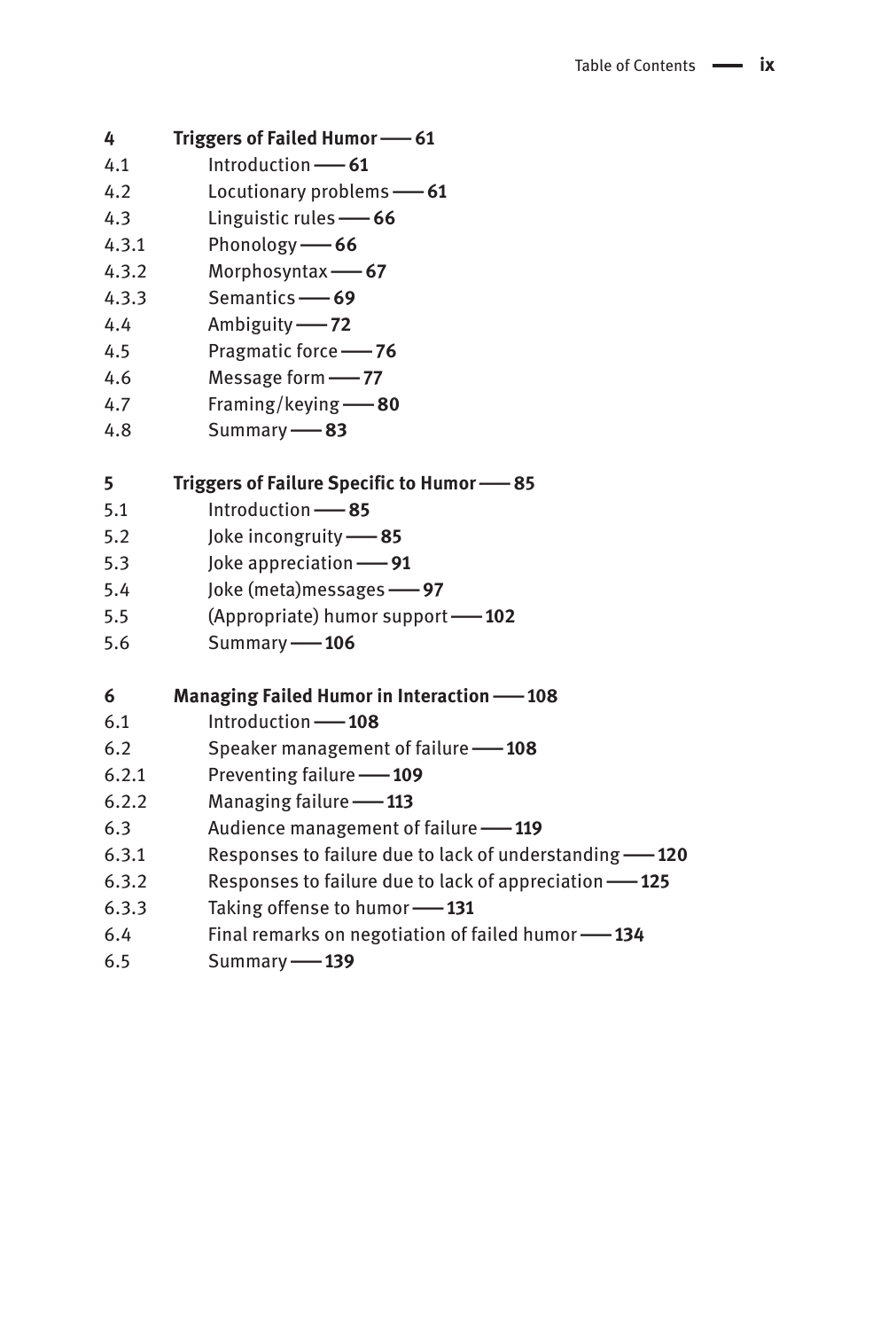- **4** Triggers of Failed Humor 61 4.1 Introduction -- 61 4.2 Locutionary problems -61 4.3 Linguistic rules — 66 4.3.1 Phonology -66 4.3.2 Morphosyntax -- 67 4.3.3 **Semantics** — 69 4.4 Ambiguity -- 72 4.5 Pragmatic force **—— 76** 4.6 Message form -- 77 4.7 Framing/keying **-80** 4.8 **Summary** -- 83 **5** Triggers of Failure Specific to Humor – 85 5.1 Introduction **-85** 5.2 **Joke incongruity** -85 5.3 Joke appreciation -- 91 5.4 Joke (meta)messages **--97** 5.5 (Appropriate) humor support **-** 102 5.6 Summary -- 106 6 Managing Failed Humor in Interaction – 108 6.1 Introduction -- 108 6.2 Speaker management of failure -- 108 6.2.1 Preventing failure **-109** 6.2.2 Managing failure **-113** 6.3 Audience management of failure **-119** 6.3.1 Responses to failure due to lack of understanding -- 120 6.3.2 Responses to failure due to lack of appreciation -- 125 6.3.3 Taking offense to humor -- 131
- 6.4 Final remarks on negotiation of failed humor -- 134
- 6.5 Summary -- 139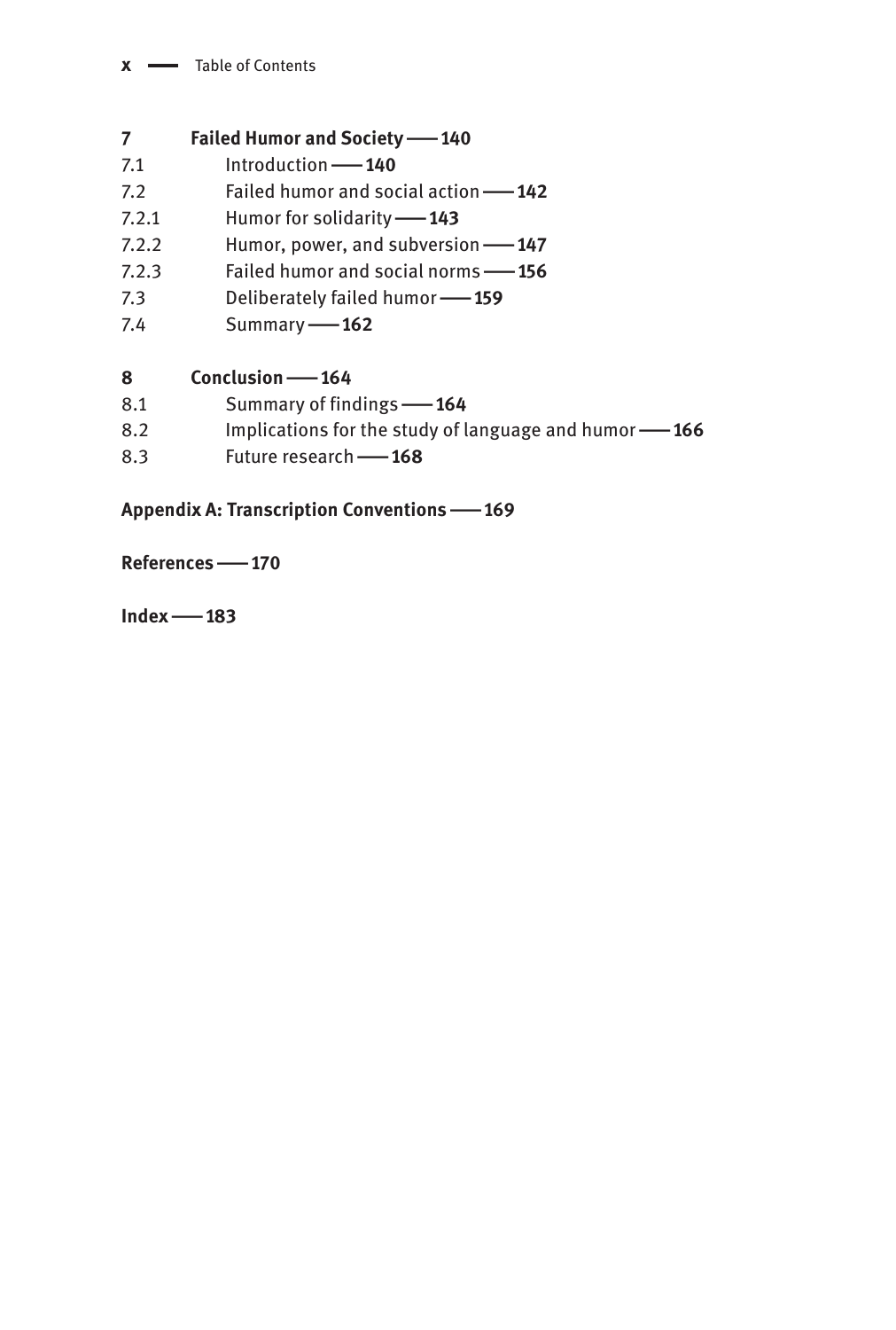#### **7** Failed Humor and Society — 140

- 7.1 Introduction -- 140
- 7.2 Failed humor and social action -142
- 7.2.1 Humor for solidarity -- 143
- 7.2.2 Humor, power, and subversion -- 147
- 7.2.3 Failed humor and social norms -- 156
- 7.3 Deliberately failed humor -- 159
- 7.4 Summary -- 162

#### 8 **Conclusion** -164

- 8.1 Summary of findings -164
- 8.2 Implications for the study of language and humor -- 166
- 8.3 Future research -- 168

#### **Appendix A: Transcription Conventions** - 169

#### References ––170

**Index** - 183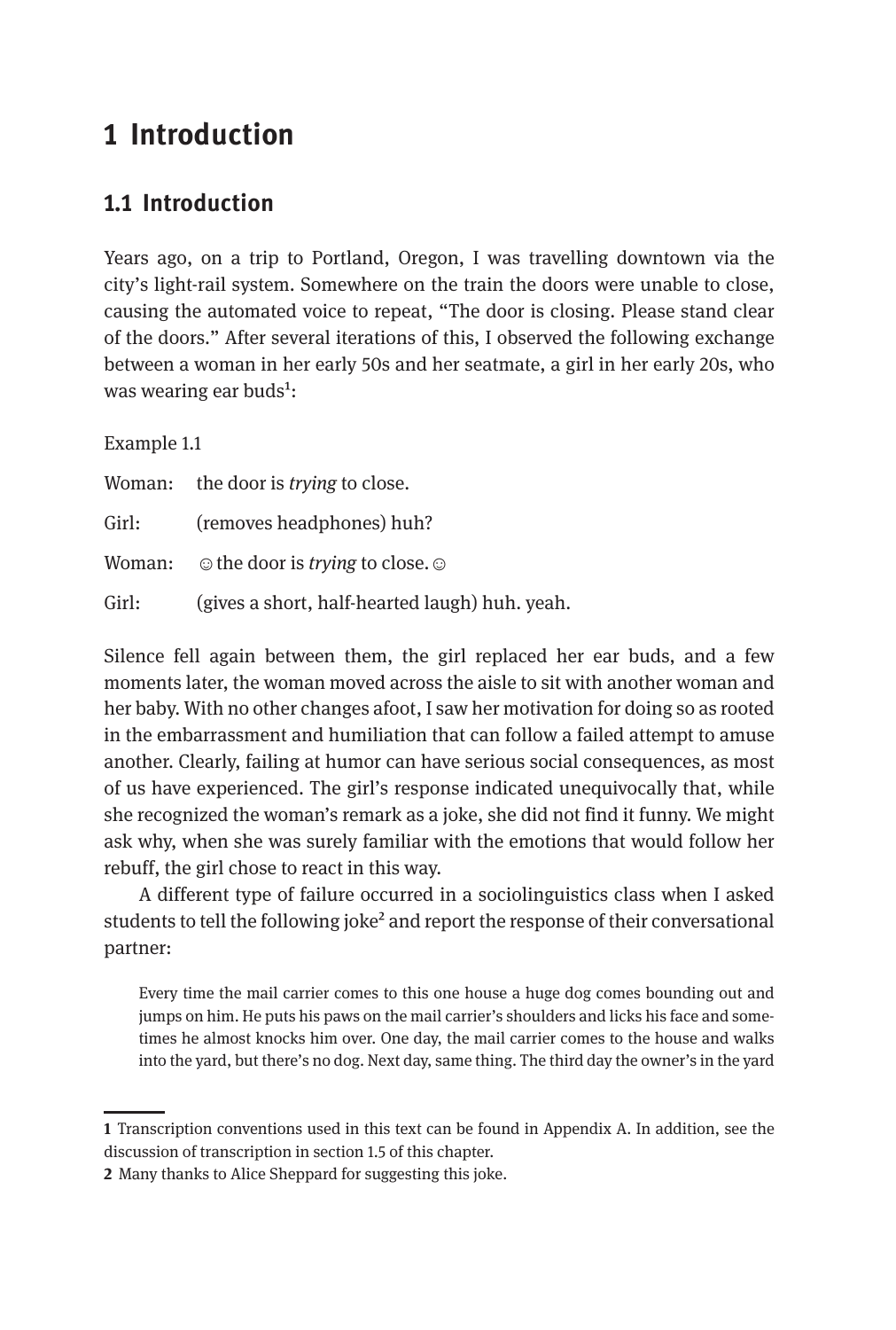## **1 Introduction**

#### **1.1 Introduction**

Years ago, on a trip to Portland, Oregon, I was travelling downtown via the city's light-rail system. Somewhere on the train the doors were unable to close, causing the automated voice to repeat, "The door is closing. Please stand clear of the doors." After several iterations of this, I observed the following exchange between a woman in her early 50s and her seatmate, a girl in her early 20s, who was wearing ear buds<sup>1</sup>:

Example 1.1

|       | Woman: the door is <i>trying</i> to close.                 |
|-------|------------------------------------------------------------|
| Girl: | (removes headphones) huh?                                  |
|       | Woman: $\odot$ the door is <i>trying</i> to close. $\odot$ |
| Girl: | (gives a short, half-hearted laugh) huh. yeah.             |

Silence fell again between them, the girl replaced her ear buds, and a few moments later, the woman moved across the aisle to sit with another woman and her baby. With no other changes afoot, I saw her motivation for doing so as rooted in the embarrassment and humiliation that can follow a failed attempt to amuse another. Clearly, failing at humor can have serious social consequences, as most of us have experienced. The girl's response indicated unequivocally that, while she recognized the woman's remark as a joke, she did not find it funny. We might ask why, when she was surely familiar with the emotions that would follow her rebuff, the girl chose to react in this way.

A different type of failure occurred in a sociolinguistics class when I asked students to tell the following joke² and report the response of their conversational partner:

Every time the mail carrier comes to this one house a huge dog comes bounding out and jumps on him. He puts his paws on the mail carrier's shoulders and licks his face and sometimes he almost knocks him over. One day, the mail carrier comes to the house and walks into the yard, but there's no dog. Next day, same thing. The third day the owner's in the yard

**<sup>1</sup>** Transcription conventions used in this text can be found in Appendix A. In addition, see the discussion of transcription in section 1.5 of this chapter.

**<sup>2</sup>** Many thanks to Alice Sheppard for suggesting this joke.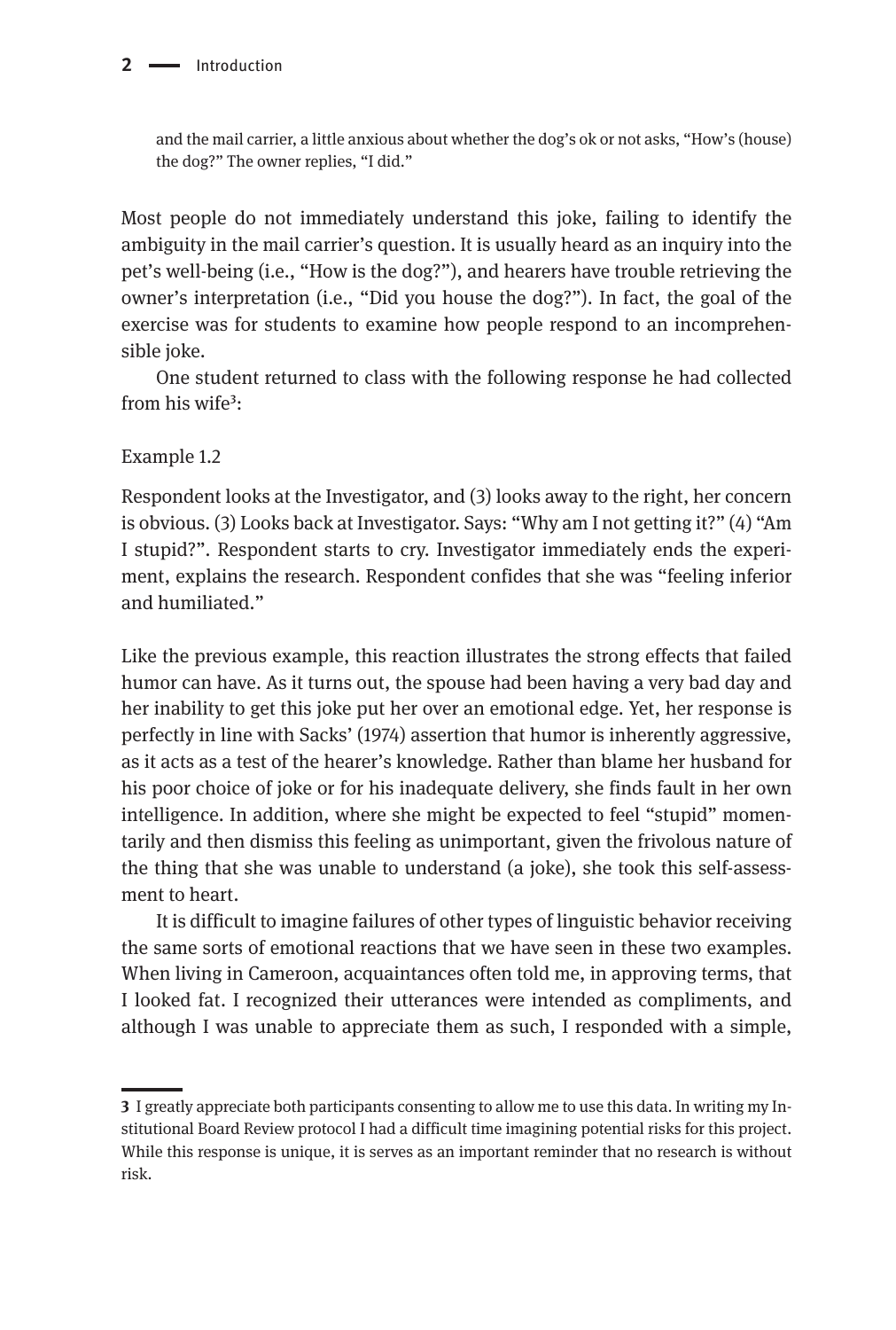#### **2**       Introduction

and the mail carrier, a little anxious about whether the dog's ok or not asks, "How's (house) the dog?" The owner replies, "I did."

Most people do not immediately understand this joke, failing to identify the ambiguity in the mail carrier's question. It is usually heard as an inquiry into the pet's well-being (i.e., "How is the dog?"), and hearers have trouble retrieving the owner's interpretation (i.e., "Did you house the dog?"). In fact, the goal of the exercise was for students to examine how people respond to an incomprehensible joke.

One student returned to class with the following response he had collected from his wife<sup>3</sup>:

Example 1.2

Respondent looks at the Investigator, and (3) looks away to the right, her concern is obvious. (3) Looks back at Investigator. Says: "Why am I not getting it?" (4) "Am I stupid?". Respondent starts to cry. Investigator immediately ends the experiment, explains the research. Respondent confides that she was "feeling inferior and humiliated."

Like the previous example, this reaction illustrates the strong effects that failed humor can have. As it turns out, the spouse had been having a very bad day and her inability to get this joke put her over an emotional edge. Yet, her response is perfectly in line with Sacks' (1974) assertion that humor is inherently aggressive, as it acts as a test of the hearer's knowledge. Rather than blame her husband for his poor choice of joke or for his inadequate delivery, she finds fault in her own intelligence. In addition, where she might be expected to feel "stupid" momentarily and then dismiss this feeling as unimportant, given the frivolous nature of the thing that she was unable to understand (a joke), she took this self-assessment to heart.

It is difficult to imagine failures of other types of linguistic behavior receiving the same sorts of emotional reactions that we have seen in these two examples. When living in Cameroon, acquaintances often told me, in approving terms, that I looked fat. I recognized their utterances were intended as compliments, and although I was unable to appreciate them as such, I responded with a simple,

**<sup>3</sup>** I greatly appreciate both participants consenting to allow me to use this data. In writing my Institutional Board Review protocol I had a difficult time imagining potential risks for this project. While this response is unique, it is serves as an important reminder that no research is without risk.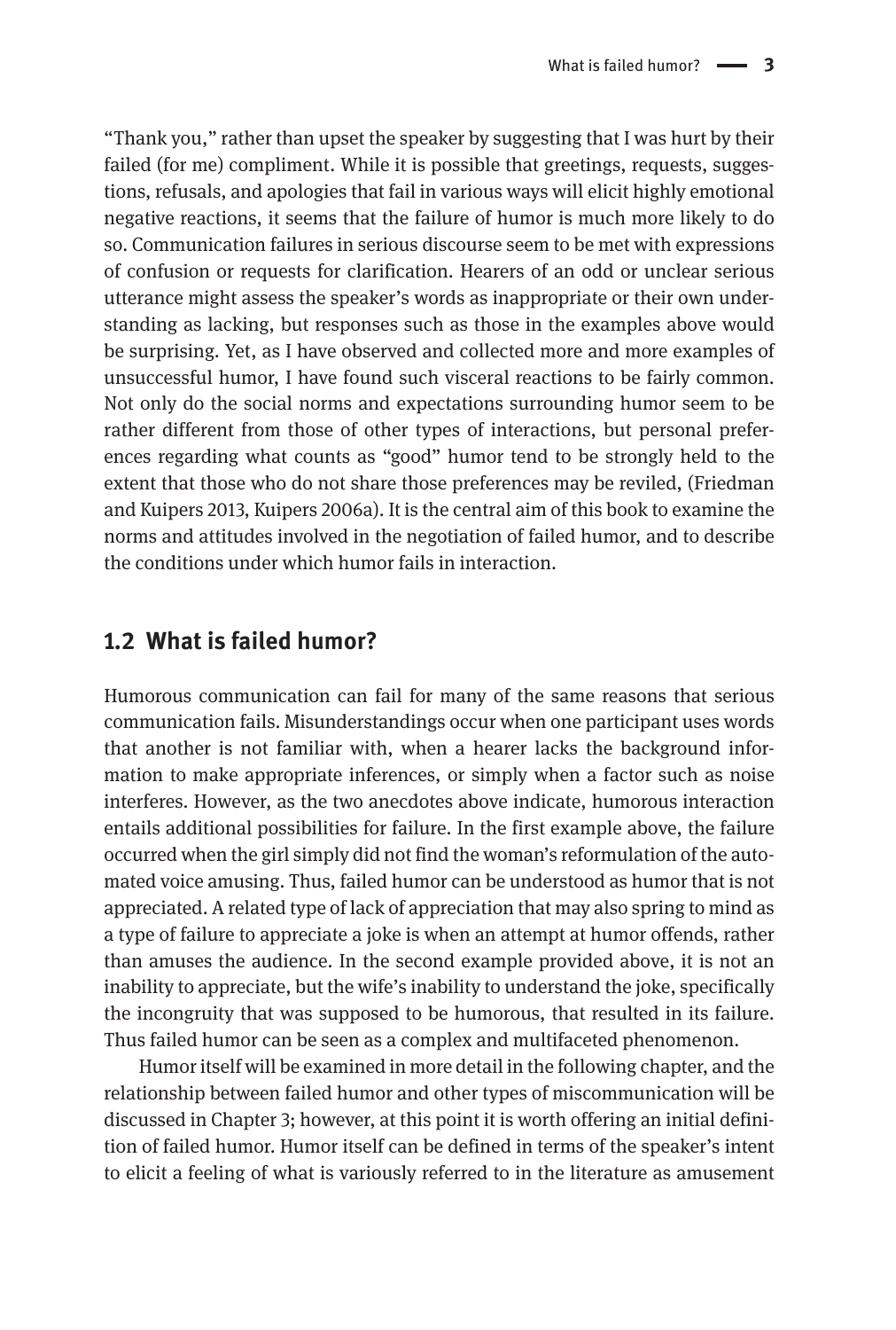"Thank you," rather than upset the speaker by suggesting that I was hurt by their failed (for me) compliment. While it is possible that greetings, requests, suggestions, refusals, and apologies that fail in various ways will elicit highly emotional negative reactions, it seems that the failure of humor is much more likely to do so. Communication failures in serious discourse seem to be met with expressions of confusion or requests for clarification. Hearers of an odd or unclear serious utterance might assess the speaker's words as inappropriate or their own understanding as lacking, but responses such as those in the examples above would be surprising. Yet, as I have observed and collected more and more examples of unsuccessful humor, I have found such visceral reactions to be fairly common. Not only do the social norms and expectations surrounding humor seem to be rather different from those of other types of interactions, but personal preferences regarding what counts as "good" humor tend to be strongly held to the extent that those who do not share those preferences may be reviled, (Friedman and Kuipers 2013, Kuipers 2006a). It is the central aim of this book to examine the norms and attitudes involved in the negotiation of failed humor, and to describe the conditions under which humor fails in interaction.

#### **1.2 What is failed humor?**

Humorous communication can fail for many of the same reasons that serious communication fails. Misunderstandings occur when one participant uses words that another is not familiar with, when a hearer lacks the background information to make appropriate inferences, or simply when a factor such as noise interferes. However, as the two anecdotes above indicate, humorous interaction entails additional possibilities for failure. In the first example above, the failure occurred when the girl simply did not find the woman's reformulation of the automated voice amusing. Thus, failed humor can be understood as humor that is not appreciated. A related type of lack of appreciation that may also spring to mind as a type of failure to appreciate a joke is when an attempt at humor offends, rather than amuses the audience. In the second example provided above, it is not an inability to appreciate, but the wife's inability to understand the joke, specifically the incongruity that was supposed to be humorous, that resulted in its failure. Thus failed humor can be seen as a complex and multifaceted phenomenon.

Humor itself will be examined in more detail in the following chapter, and the relationship between failed humor and other types of miscommunication will be discussed in Chapter 3; however, at this point it is worth offering an initial definition of failed humor. Humor itself can be defined in terms of the speaker's intent to elicit a feeling of what is variously referred to in the literature as amusement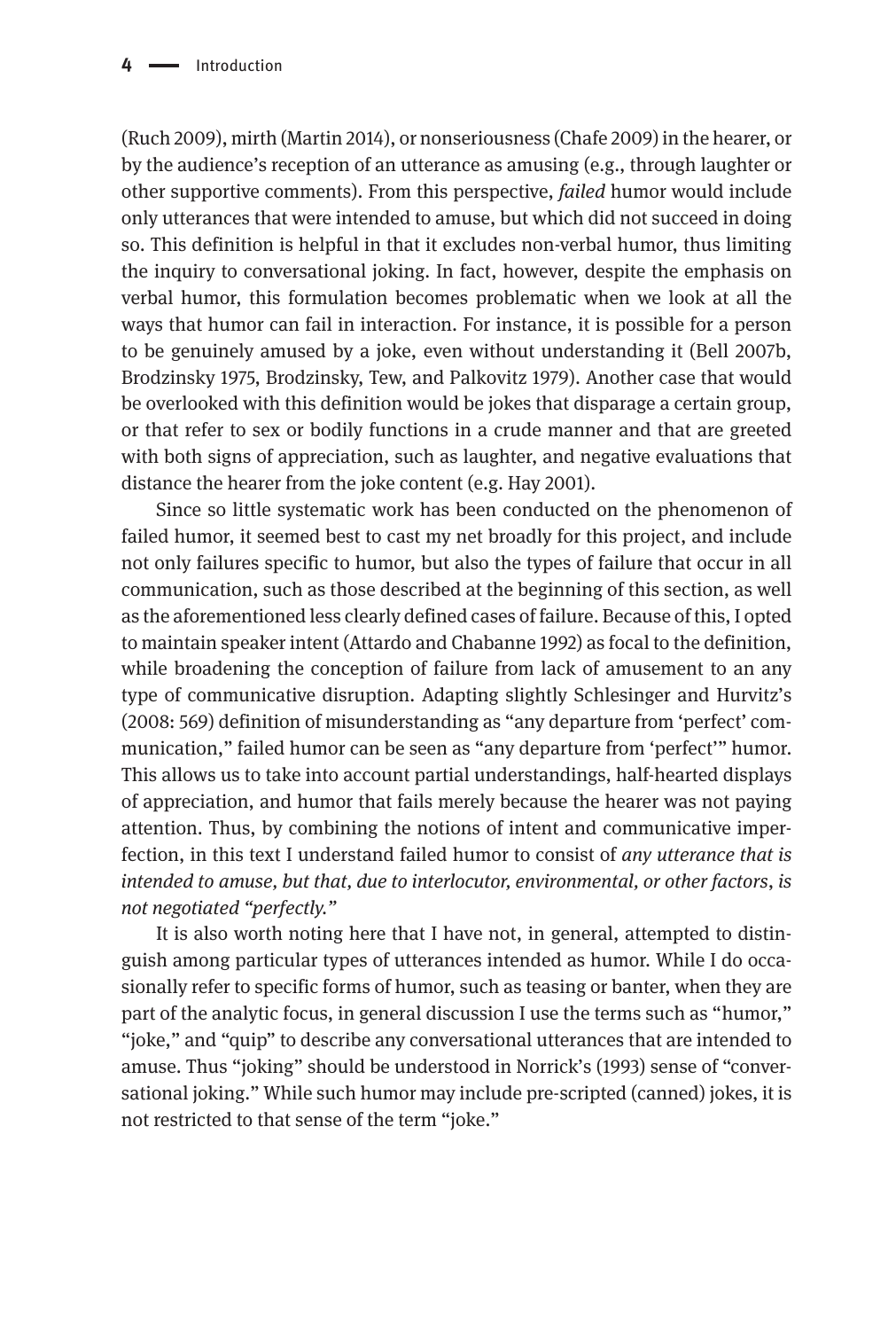(Ruch 2009), mirth (Martin 2014), or nonseriousness (Chafe 2009) in the hearer, or by the audience's reception of an utterance as amusing (e.g., through laughter or other supportive comments). From this perspective, *failed* humor would include only utterances that were intended to amuse, but which did not succeed in doing so. This definition is helpful in that it excludes non-verbal humor, thus limiting the inquiry to conversational joking. In fact, however, despite the emphasis on verbal humor, this formulation becomes problematic when we look at all the ways that humor can fail in interaction. For instance, it is possible for a person to be genuinely amused by a joke, even without understanding it (Bell 2007b, Brodzinsky 1975, Brodzinsky, Tew, and Palkovitz 1979). Another case that would be overlooked with this definition would be jokes that disparage a certain group, or that refer to sex or bodily functions in a crude manner and that are greeted with both signs of appreciation, such as laughter, and negative evaluations that distance the hearer from the joke content (e.g. Hay 2001).

Since so little systematic work has been conducted on the phenomenon of failed humor, it seemed best to cast my net broadly for this project, and include not only failures specific to humor, but also the types of failure that occur in all communication, such as those described at the beginning of this section, as well as the aforementioned less clearly defined cases of failure. Because of this, I opted to maintain speaker intent (Attardo and Chabanne 1992) as focal to the definition, while broadening the conception of failure from lack of amusement to an any type of communicative disruption. Adapting slightly Schlesinger and Hurvitz's (2008: 569) definition of misunderstanding as "any departure from 'perfect' communication," failed humor can be seen as "any departure from 'perfect'" humor. This allows us to take into account partial understandings, half-hearted displays of appreciation, and humor that fails merely because the hearer was not paying attention. Thus, by combining the notions of intent and communicative imperfection, in this text I understand failed humor to consist of *any utterance that is intended to amuse, but that, due to interlocutor, environmental, or other factors*, *is not negotiated "perfectly."*

It is also worth noting here that I have not, in general, attempted to distinguish among particular types of utterances intended as humor. While I do occasionally refer to specific forms of humor, such as teasing or banter, when they are part of the analytic focus, in general discussion I use the terms such as "humor," "joke," and "quip" to describe any conversational utterances that are intended to amuse. Thus "joking" should be understood in Norrick's (1993) sense of "conversational joking." While such humor may include pre-scripted (canned) jokes, it is not restricted to that sense of the term "joke."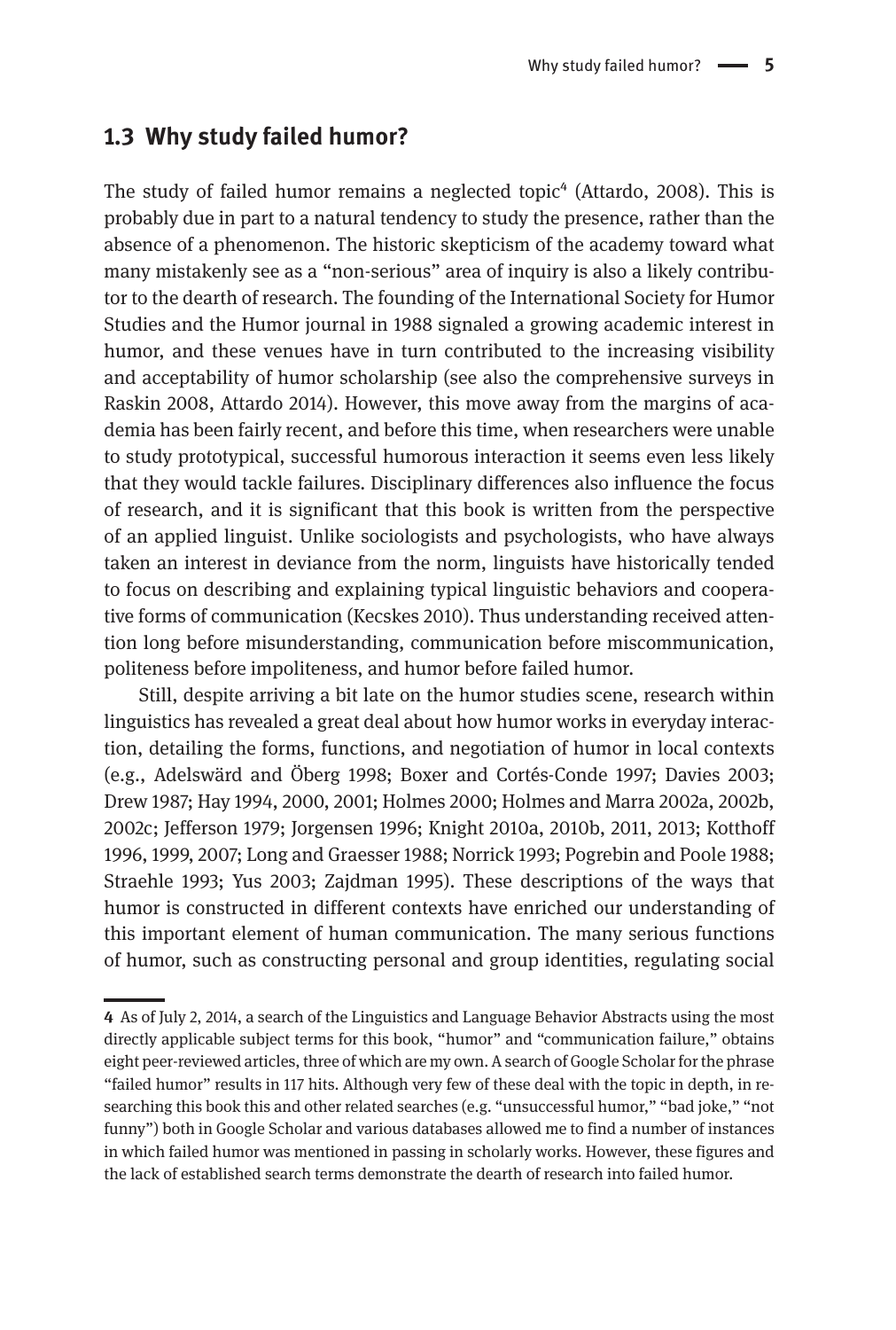#### **1.3 Why study failed humor?**

The study of failed humor remains a neglected topic<sup>4</sup> (Attardo, 2008). This is probably due in part to a natural tendency to study the presence, rather than the absence of a phenomenon. The historic skepticism of the academy toward what many mistakenly see as a "non-serious" area of inquiry is also a likely contributor to the dearth of research. The founding of the International Society for Humor Studies and the Humor journal in 1988 signaled a growing academic interest in humor, and these venues have in turn contributed to the increasing visibility and acceptability of humor scholarship (see also the comprehensive surveys in Raskin 2008, Attardo 2014). However, this move away from the margins of academia has been fairly recent, and before this time, when researchers were unable to study prototypical, successful humorous interaction it seems even less likely that they would tackle failures. Disciplinary differences also influence the focus of research, and it is significant that this book is written from the perspective of an applied linguist. Unlike sociologists and psychologists, who have always taken an interest in deviance from the norm, linguists have historically tended to focus on describing and explaining typical linguistic behaviors and cooperative forms of communication (Kecskes 2010). Thus understanding received attention long before misunderstanding, communication before miscommunication, politeness before impoliteness, and humor before failed humor.

Still, despite arriving a bit late on the humor studies scene, research within linguistics has revealed a great deal about how humor works in everyday interaction, detailing the forms, functions, and negotiation of humor in local contexts (e.g., Adelswärd and Öberg 1998; Boxer and Cortés-Conde 1997; Davies 2003; Drew 1987; Hay 1994, 2000, 2001; Holmes 2000; Holmes and Marra 2002a, 2002b, 2002c; Jefferson 1979; Jorgensen 1996; Knight 2010a, 2010b, 2011, 2013; Kotthoff 1996, 1999, 2007; Long and Graesser 1988; Norrick 1993; Pogrebin and Poole 1988; Straehle 1993; Yus 2003; Zajdman 1995). These descriptions of the ways that humor is constructed in different contexts have enriched our understanding of this important element of human communication. The many serious functions of humor, such as constructing personal and group identities, regulating social

**<sup>4</sup>** As of July 2, 2014, a search of the Linguistics and Language Behavior Abstracts using the most directly applicable subject terms for this book, "humor" and "communication failure," obtains eight peer-reviewed articles, three of which are my own. A search of Google Scholar for the phrase "failed humor" results in 117 hits. Although very few of these deal with the topic in depth, in researching this book this and other related searches (e.g. "unsuccessful humor," "bad joke," "not funny") both in Google Scholar and various databases allowed me to find a number of instances in which failed humor was mentioned in passing in scholarly works. However, these figures and the lack of established search terms demonstrate the dearth of research into failed humor.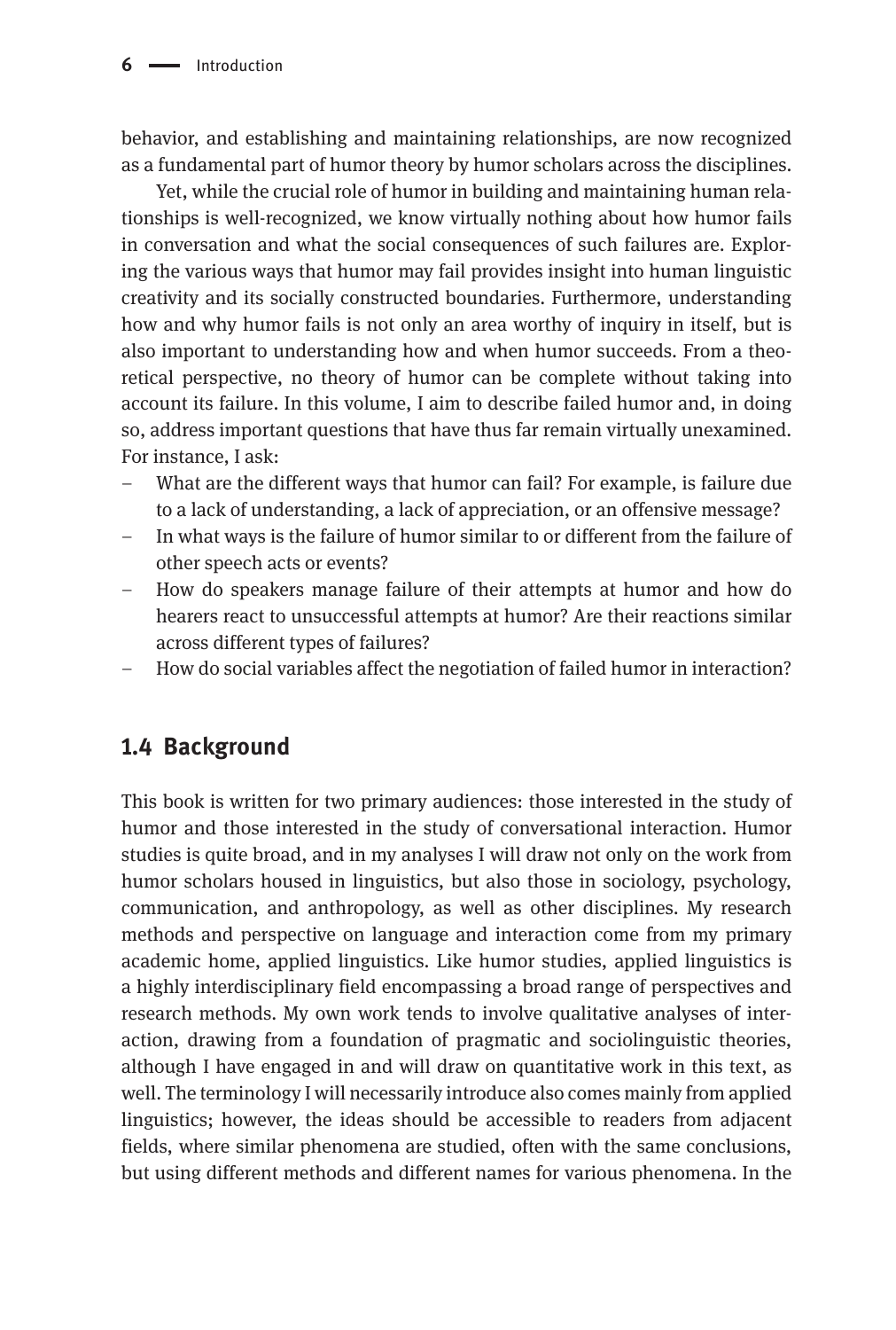behavior, and establishing and maintaining relationships, are now recognized as a fundamental part of humor theory by humor scholars across the disciplines.

Yet, while the crucial role of humor in building and maintaining human relationships is well-recognized, we know virtually nothing about how humor fails in conversation and what the social consequences of such failures are. Exploring the various ways that humor may fail provides insight into human linguistic creativity and its socially constructed boundaries. Furthermore, understanding how and why humor fails is not only an area worthy of inquiry in itself, but is also important to understanding how and when humor succeeds. From a theoretical perspective, no theory of humor can be complete without taking into account its failure. In this volume, I aim to describe failed humor and, in doing so, address important questions that have thus far remain virtually unexamined. For instance, I ask:

- What are the different ways that humor can fail? For example, is failure due to a lack of understanding, a lack of appreciation, or an offensive message?
- In what ways is the failure of humor similar to or different from the failure of other speech acts or events?
- How do speakers manage failure of their attempts at humor and how do hearers react to unsuccessful attempts at humor? Are their reactions similar across different types of failures?
- How do social variables affect the negotiation of failed humor in interaction?

#### **1.4 Background**

This book is written for two primary audiences: those interested in the study of humor and those interested in the study of conversational interaction. Humor studies is quite broad, and in my analyses I will draw not only on the work from humor scholars housed in linguistics, but also those in sociology, psychology, communication, and anthropology, as well as other disciplines. My research methods and perspective on language and interaction come from my primary academic home, applied linguistics. Like humor studies, applied linguistics is a highly interdisciplinary field encompassing a broad range of perspectives and research methods. My own work tends to involve qualitative analyses of interaction, drawing from a foundation of pragmatic and sociolinguistic theories, although I have engaged in and will draw on quantitative work in this text, as well. The terminology I will necessarily introduce also comes mainly from applied linguistics; however, the ideas should be accessible to readers from adjacent fields, where similar phenomena are studied, often with the same conclusions, but using different methods and different names for various phenomena. In the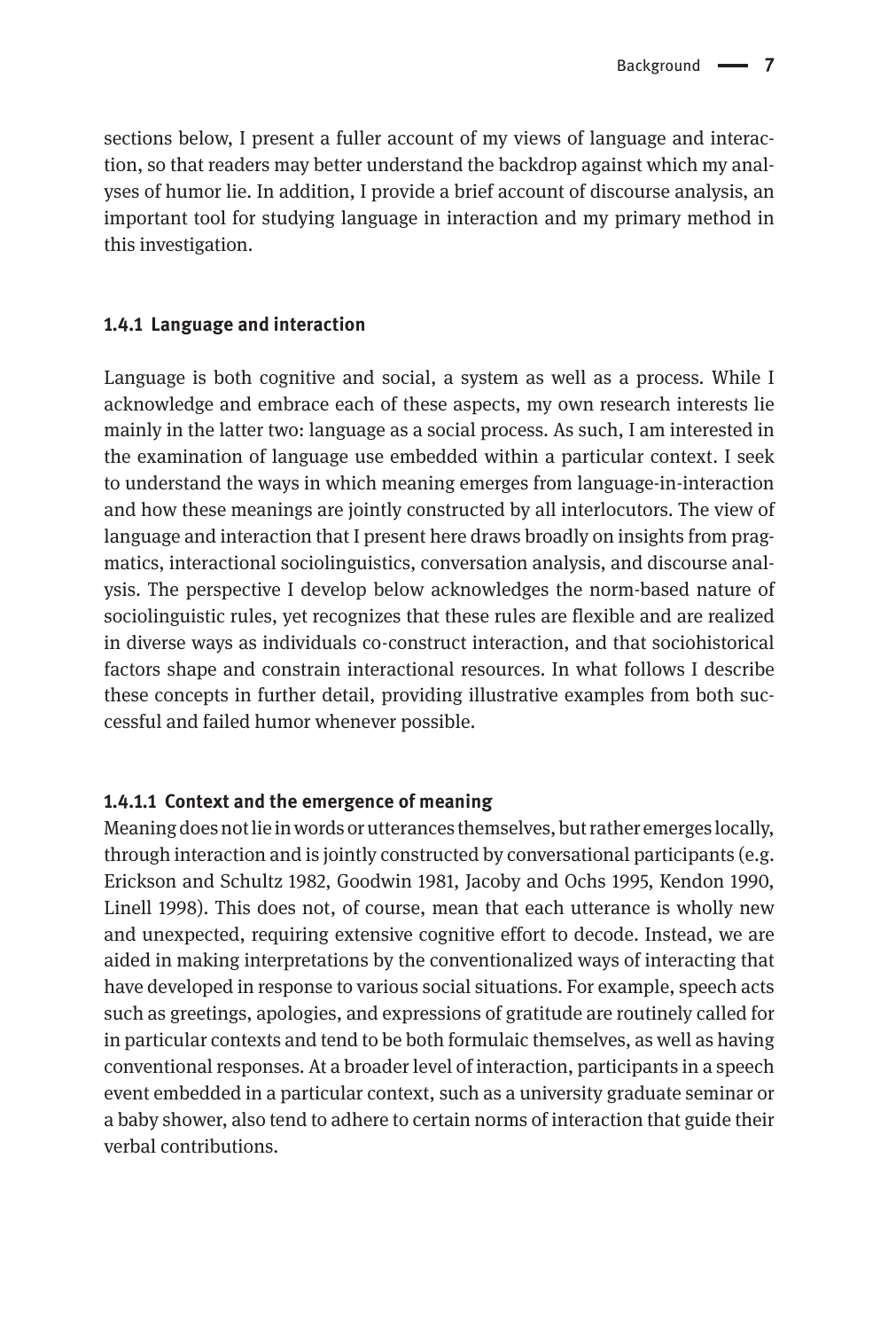sections below, I present a fuller account of my views of language and interaction, so that readers may better understand the backdrop against which my analyses of humor lie. In addition, I provide a brief account of discourse analysis, an important tool for studying language in interaction and my primary method in this investigation.

#### **1.4.1 Language and interaction**

Language is both cognitive and social, a system as well as a process. While I acknowledge and embrace each of these aspects, my own research interests lie mainly in the latter two: language as a social process. As such, I am interested in the examination of language use embedded within a particular context. I seek to understand the ways in which meaning emerges from language-in-interaction and how these meanings are jointly constructed by all interlocutors. The view of language and interaction that I present here draws broadly on insights from pragmatics, interactional sociolinguistics, conversation analysis, and discourse analysis. The perspective I develop below acknowledges the norm-based nature of sociolinguistic rules, yet recognizes that these rules are flexible and are realized in diverse ways as individuals co-construct interaction, and that sociohistorical factors shape and constrain interactional resources. In what follows I describe these concepts in further detail, providing illustrative examples from both successful and failed humor whenever possible.

#### **1.4.1.1 Context and the emergence of meaning**

Meaning does not lie in words or utterances themselves, but rather emerges locally, through interaction and is jointly constructed by conversational participants (e.g. Erickson and Schultz 1982, Goodwin 1981, Jacoby and Ochs 1995, Kendon 1990, Linell 1998). This does not, of course, mean that each utterance is wholly new and unexpected, requiring extensive cognitive effort to decode. Instead, we are aided in making interpretations by the conventionalized ways of interacting that have developed in response to various social situations. For example, speech acts such as greetings, apologies, and expressions of gratitude are routinely called for in particular contexts and tend to be both formulaic themselves, as well as having conventional responses. At a broader level of interaction, participants in a speech event embedded in a particular context, such as a university graduate seminar or a baby shower, also tend to adhere to certain norms of interaction that guide their verbal contributions.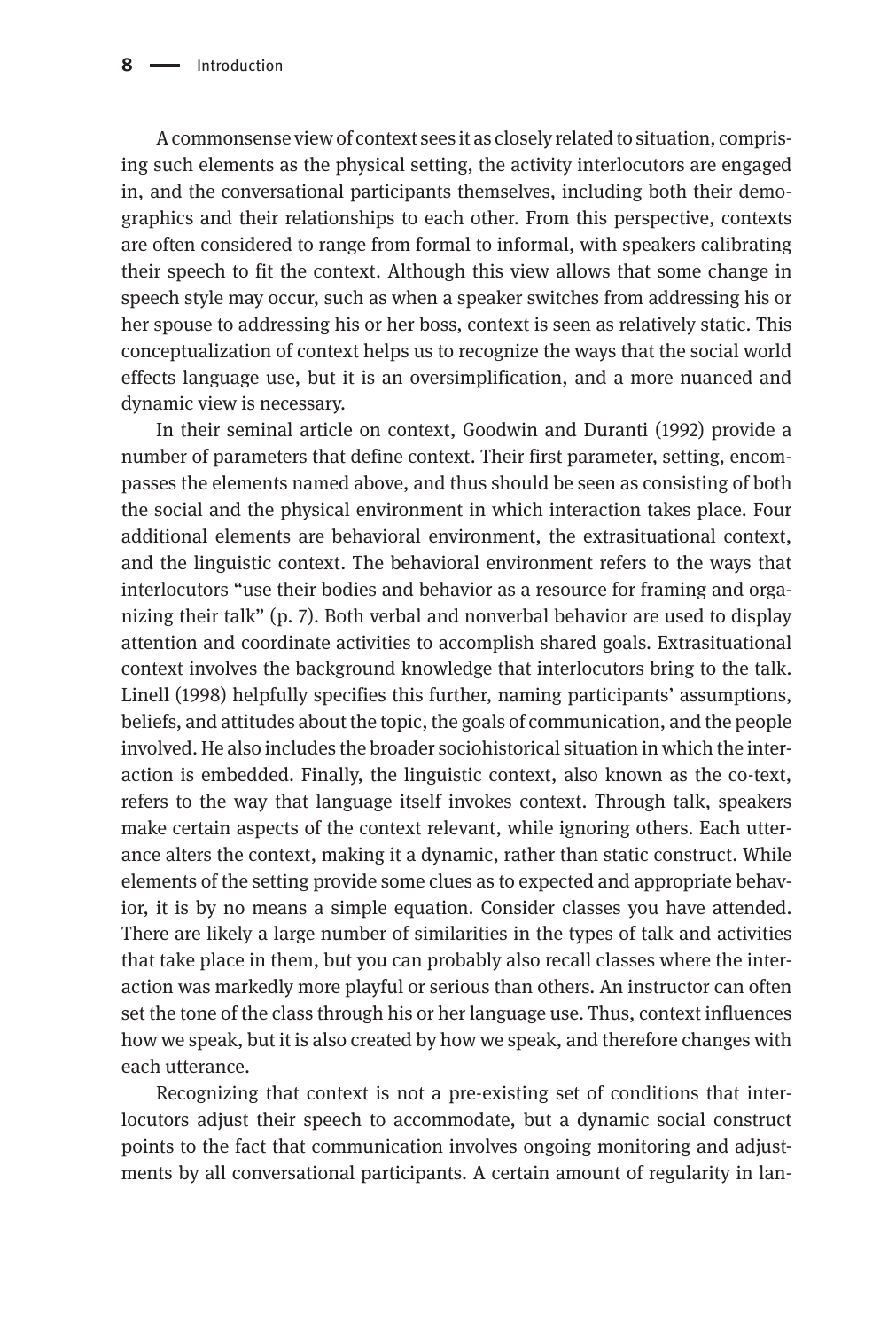A commonsense view of context sees it as closely related to situation, comprising such elements as the physical setting, the activity interlocutors are engaged in, and the conversational participants themselves, including both their demographics and their relationships to each other. From this perspective, contexts are often considered to range from formal to informal, with speakers calibrating their speech to fit the context. Although this view allows that some change in speech style may occur, such as when a speaker switches from addressing his or her spouse to addressing his or her boss, context is seen as relatively static. This conceptualization of context helps us to recognize the ways that the social world effects language use, but it is an oversimplification, and a more nuanced and dynamic view is necessary.

In their seminal article on context, Goodwin and Duranti (1992) provide a number of parameters that define context. Their first parameter, setting, encompasses the elements named above, and thus should be seen as consisting of both the social and the physical environment in which interaction takes place. Four additional elements are behavioral environment, the extrasituational context, and the linguistic context. The behavioral environment refers to the ways that interlocutors "use their bodies and behavior as a resource for framing and organizing their talk" (p. 7). Both verbal and nonverbal behavior are used to display attention and coordinate activities to accomplish shared goals. Extrasituational context involves the background knowledge that interlocutors bring to the talk. Linell (1998) helpfully specifies this further, naming participants' assumptions, beliefs, and attitudes about the topic, the goals of communication, and the people involved. He also includes the broader sociohistorical situation in which the interaction is embedded. Finally, the linguistic context, also known as the co-text, refers to the way that language itself invokes context. Through talk, speakers make certain aspects of the context relevant, while ignoring others. Each utterance alters the context, making it a dynamic, rather than static construct. While elements of the setting provide some clues as to expected and appropriate behavior, it is by no means a simple equation. Consider classes you have attended. There are likely a large number of similarities in the types of talk and activities that take place in them, but you can probably also recall classes where the interaction was markedly more playful or serious than others. An instructor can often set the tone of the class through his or her language use. Thus, context influences how we speak, but it is also created by how we speak, and therefore changes with each utterance.

Recognizing that context is not a pre-existing set of conditions that interlocutors adjust their speech to accommodate, but a dynamic social construct points to the fact that communication involves ongoing monitoring and adjustments by all conversational participants. A certain amount of regularity in lan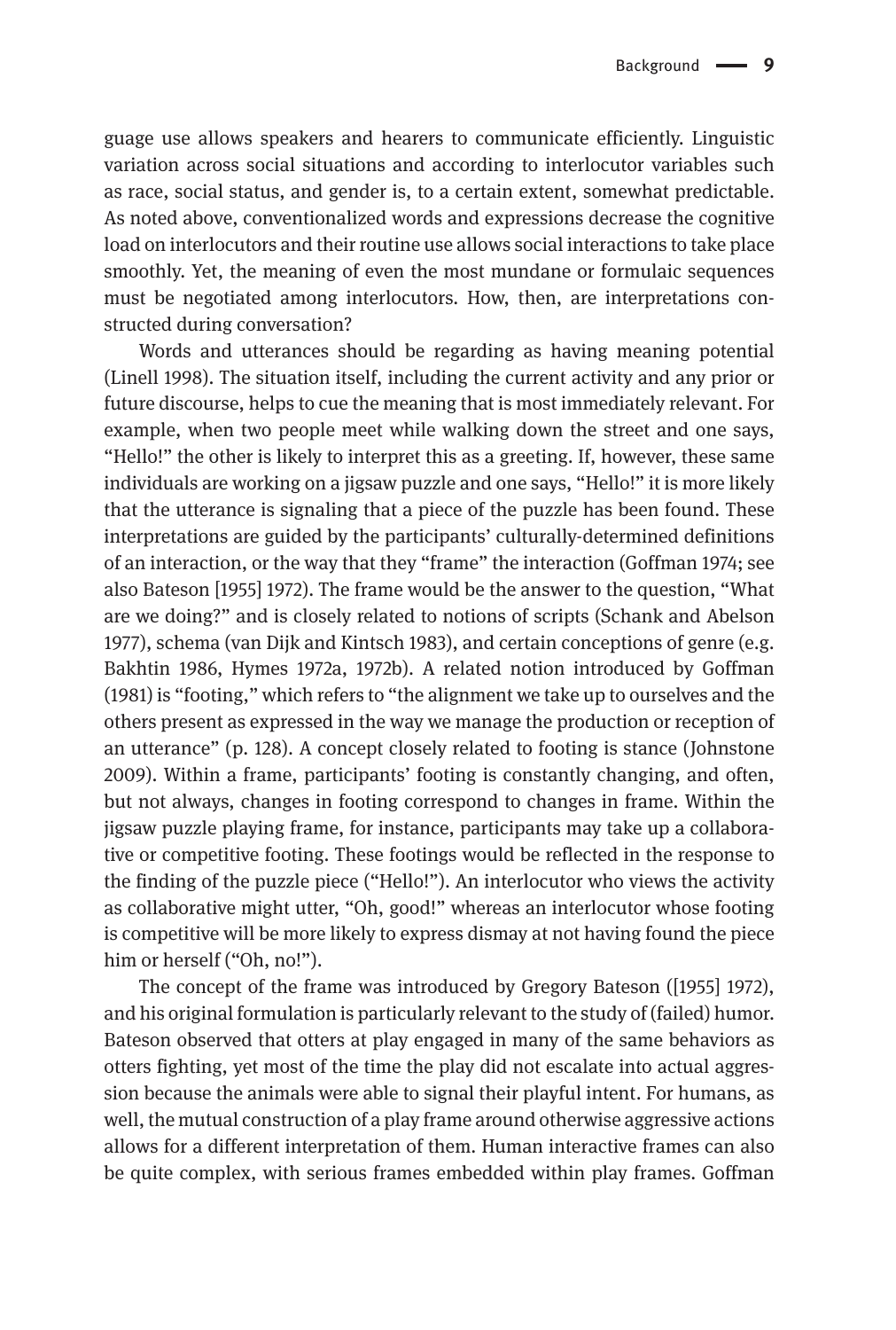guage use allows speakers and hearers to communicate efficiently. Linguistic variation across social situations and according to interlocutor variables such as race, social status, and gender is, to a certain extent, somewhat predictable. As noted above, conventionalized words and expressions decrease the cognitive load on interlocutors and their routine use allows social interactions to take place smoothly. Yet, the meaning of even the most mundane or formulaic sequences must be negotiated among interlocutors. How, then, are interpretations constructed during conversation?

Words and utterances should be regarding as having meaning potential (Linell 1998). The situation itself, including the current activity and any prior or future discourse, helps to cue the meaning that is most immediately relevant. For example, when two people meet while walking down the street and one says, "Hello!" the other is likely to interpret this as a greeting. If, however, these same individuals are working on a jigsaw puzzle and one says, "Hello!" it is more likely that the utterance is signaling that a piece of the puzzle has been found. These interpretations are guided by the participants' culturally-determined definitions of an interaction, or the way that they "frame" the interaction (Goffman 1974; see also Bateson [1955] 1972). The frame would be the answer to the question, "What are we doing?" and is closely related to notions of scripts (Schank and Abelson 1977), schema (van Dijk and Kintsch 1983), and certain conceptions of genre (e.g. Bakhtin 1986, Hymes 1972a, 1972b). A related notion introduced by Goffman (1981) is "footing," which refers to "the alignment we take up to ourselves and the others present as expressed in the way we manage the production or reception of an utterance" (p. 128). A concept closely related to footing is stance (Johnstone 2009). Within a frame, participants' footing is constantly changing, and often, but not always, changes in footing correspond to changes in frame. Within the jigsaw puzzle playing frame, for instance, participants may take up a collaborative or competitive footing. These footings would be reflected in the response to the finding of the puzzle piece ("Hello!"). An interlocutor who views the activity as collaborative might utter, "Oh, good!" whereas an interlocutor whose footing is competitive will be more likely to express dismay at not having found the piece him or herself ("Oh, no!").

The concept of the frame was introduced by Gregory Bateson ([1955] 1972), and his original formulation is particularly relevant to the study of (failed) humor. Bateson observed that otters at play engaged in many of the same behaviors as otters fighting, yet most of the time the play did not escalate into actual aggression because the animals were able to signal their playful intent. For humans, as well, the mutual construction of a play frame around otherwise aggressive actions allows for a different interpretation of them. Human interactive frames can also be quite complex, with serious frames embedded within play frames. Goffman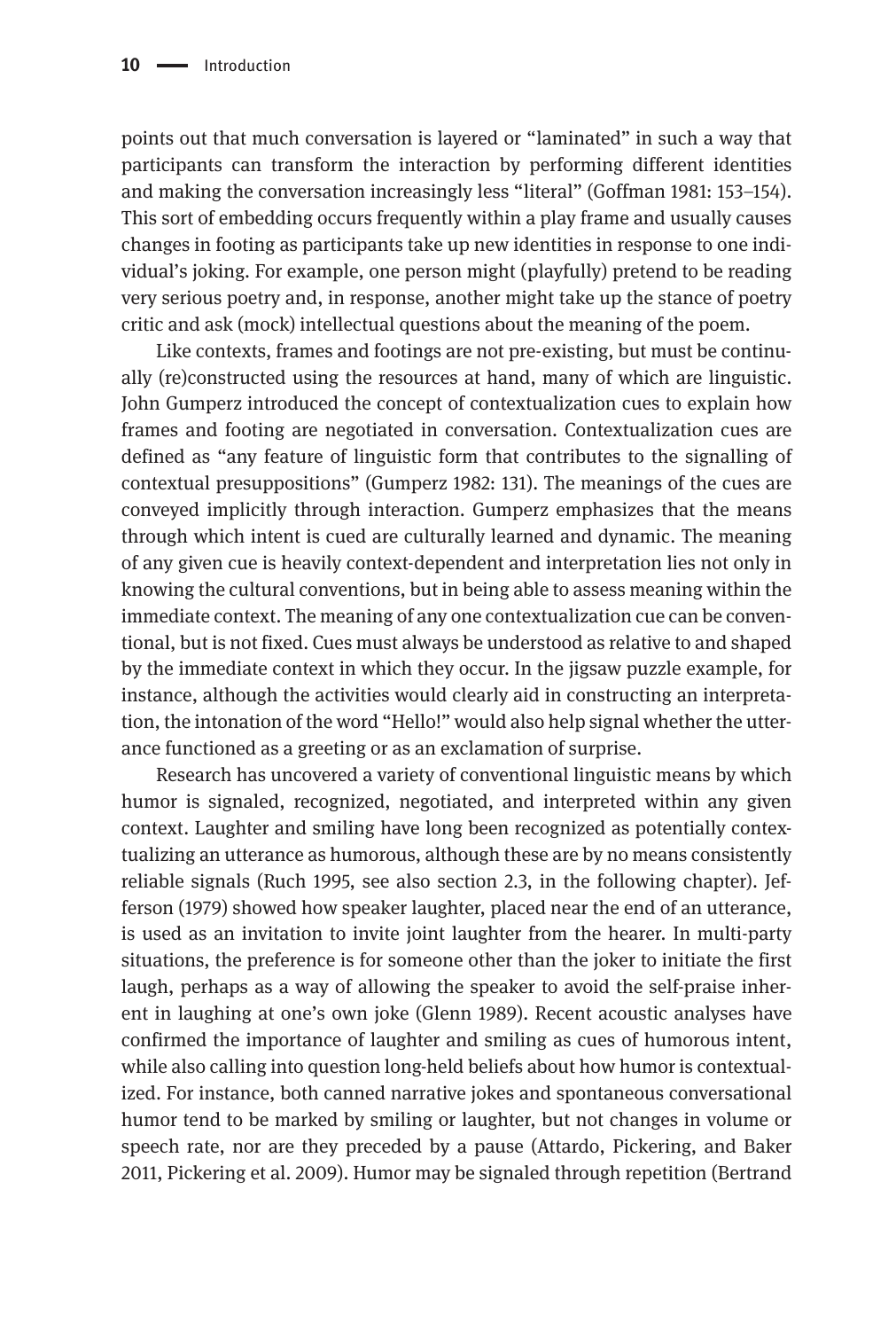points out that much conversation is layered or "laminated" in such a way that participants can transform the interaction by performing different identities and making the conversation increasingly less "literal" (Goffman 1981: 153–154). This sort of embedding occurs frequently within a play frame and usually causes changes in footing as participants take up new identities in response to one individual's joking. For example, one person might (playfully) pretend to be reading very serious poetry and, in response, another might take up the stance of poetry critic and ask (mock) intellectual questions about the meaning of the poem.

Like contexts, frames and footings are not pre-existing, but must be continually (re)constructed using the resources at hand, many of which are linguistic. John Gumperz introduced the concept of contextualization cues to explain how frames and footing are negotiated in conversation. Contextualization cues are defined as "any feature of linguistic form that contributes to the signalling of contextual presuppositions" (Gumperz 1982: 131). The meanings of the cues are conveyed implicitly through interaction. Gumperz emphasizes that the means through which intent is cued are culturally learned and dynamic. The meaning of any given cue is heavily context-dependent and interpretation lies not only in knowing the cultural conventions, but in being able to assess meaning within the immediate context. The meaning of any one contextualization cue can be conventional, but is not fixed. Cues must always be understood as relative to and shaped by the immediate context in which they occur. In the jigsaw puzzle example, for instance, although the activities would clearly aid in constructing an interpretation, the intonation of the word "Hello!" would also help signal whether the utterance functioned as a greeting or as an exclamation of surprise.

Research has uncovered a variety of conventional linguistic means by which humor is signaled, recognized, negotiated, and interpreted within any given context. Laughter and smiling have long been recognized as potentially contextualizing an utterance as humorous, although these are by no means consistently reliable signals (Ruch 1995, see also section 2.3, in the following chapter). Jefferson (1979) showed how speaker laughter, placed near the end of an utterance, is used as an invitation to invite joint laughter from the hearer. In multi-party situations, the preference is for someone other than the joker to initiate the first laugh, perhaps as a way of allowing the speaker to avoid the self-praise inherent in laughing at one's own joke (Glenn 1989). Recent acoustic analyses have confirmed the importance of laughter and smiling as cues of humorous intent, while also calling into question long-held beliefs about how humor is contextualized. For instance, both canned narrative jokes and spontaneous conversational humor tend to be marked by smiling or laughter, but not changes in volume or speech rate, nor are they preceded by a pause (Attardo, Pickering, and Baker 2011, Pickering et al. 2009). Humor may be signaled through repetition (Bertrand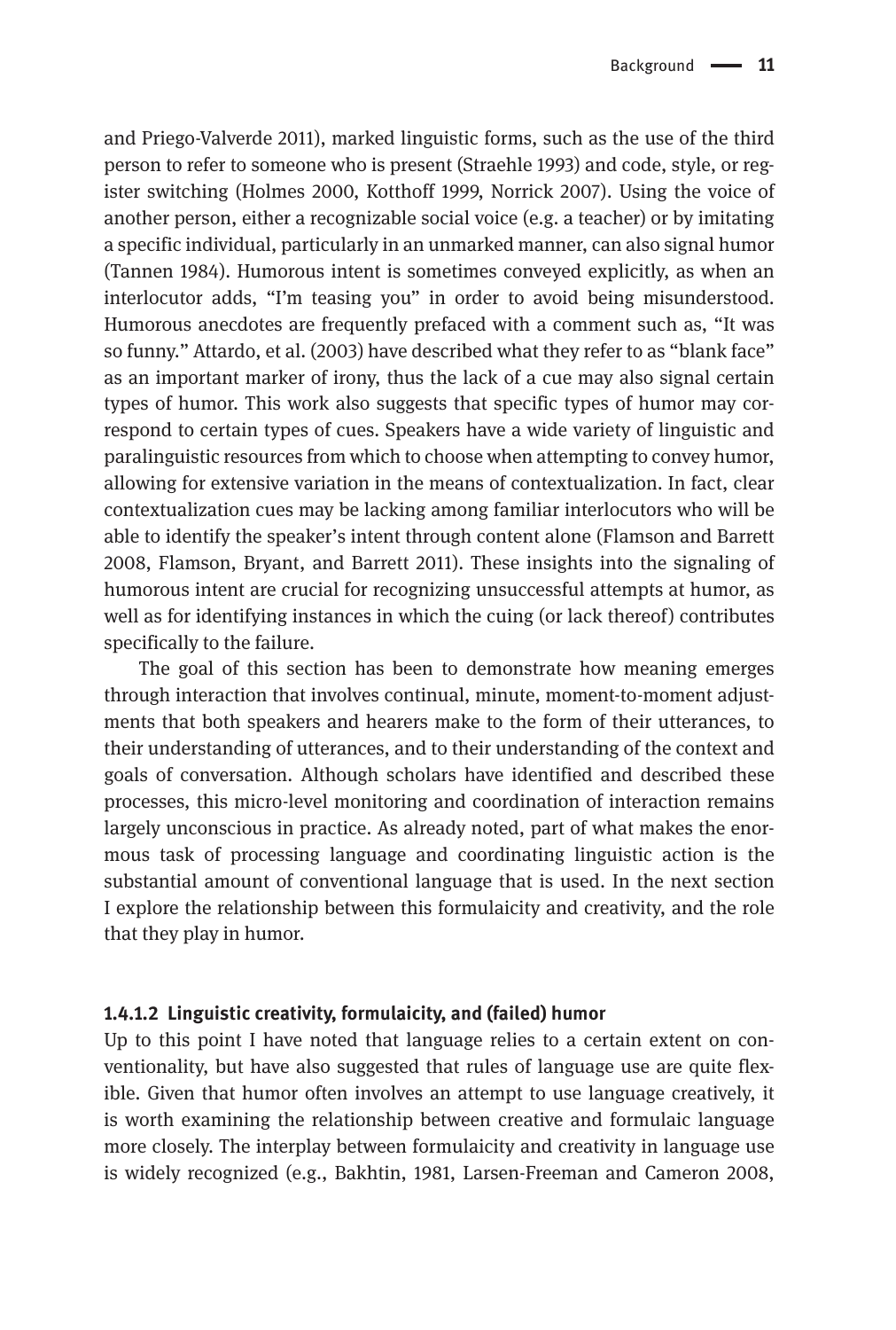and Priego-Valverde 2011), marked linguistic forms, such as the use of the third person to refer to someone who is present (Straehle 1993) and code, style, or register switching (Holmes 2000, Kotthoff 1999, Norrick 2007). Using the voice of another person, either a recognizable social voice (e.g. a teacher) or by imitating a specific individual, particularly in an unmarked manner, can also signal humor (Tannen 1984). Humorous intent is sometimes conveyed explicitly, as when an interlocutor adds, "I'm teasing you" in order to avoid being misunderstood. Humorous anecdotes are frequently prefaced with a comment such as, "It was so funny." Attardo, et al. (2003) have described what they refer to as "blank face" as an important marker of irony, thus the lack of a cue may also signal certain types of humor. This work also suggests that specific types of humor may correspond to certain types of cues. Speakers have a wide variety of linguistic and paralinguistic resources from which to choose when attempting to convey humor, allowing for extensive variation in the means of contextualization. In fact, clear contextualization cues may be lacking among familiar interlocutors who will be able to identify the speaker's intent through content alone (Flamson and Barrett 2008, Flamson, Bryant, and Barrett 2011). These insights into the signaling of humorous intent are crucial for recognizing unsuccessful attempts at humor, as well as for identifying instances in which the cuing (or lack thereof) contributes specifically to the failure.

The goal of this section has been to demonstrate how meaning emerges through interaction that involves continual, minute, moment-to-moment adjustments that both speakers and hearers make to the form of their utterances, to their understanding of utterances, and to their understanding of the context and goals of conversation. Although scholars have identified and described these processes, this micro-level monitoring and coordination of interaction remains largely unconscious in practice. As already noted, part of what makes the enormous task of processing language and coordinating linguistic action is the substantial amount of conventional language that is used. In the next section I explore the relationship between this formulaicity and creativity, and the role that they play in humor.

#### **1.4.1.2 Linguistic creativity, formulaicity, and (failed) humor**

Up to this point I have noted that language relies to a certain extent on conventionality, but have also suggested that rules of language use are quite flexible. Given that humor often involves an attempt to use language creatively, it is worth examining the relationship between creative and formulaic language more closely. The interplay between formulaicity and creativity in language use is widely recognized (e.g., Bakhtin, 1981, Larsen-Freeman and Cameron 2008,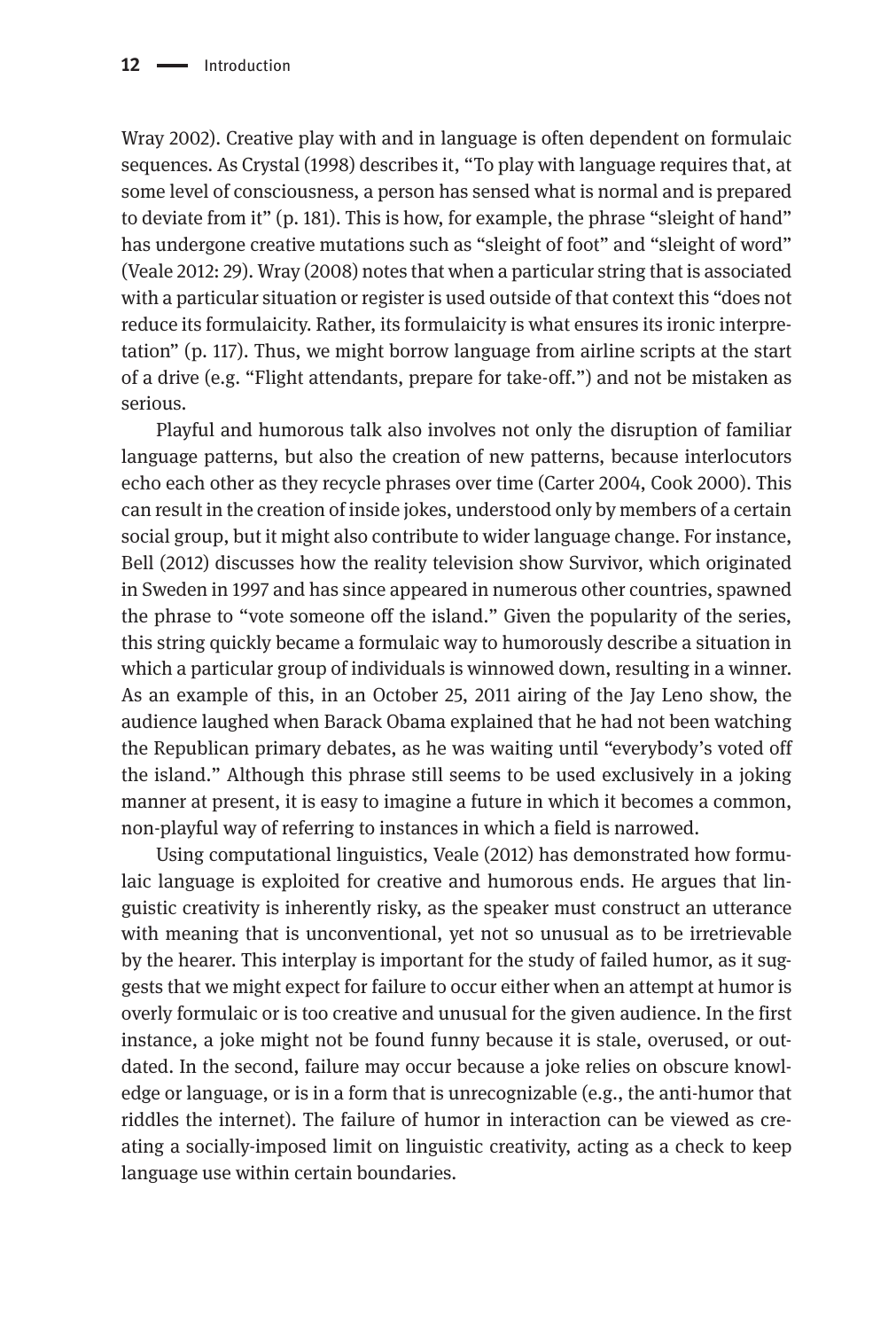Wray 2002). Creative play with and in language is often dependent on formulaic sequences. As Crystal (1998) describes it, "To play with language requires that, at some level of consciousness, a person has sensed what is normal and is prepared to deviate from it" (p. 181). This is how, for example, the phrase "sleight of hand" has undergone creative mutations such as "sleight of foot" and "sleight of word" (Veale 2012: 29). Wray (2008) notes that when a particular string that is associated with a particular situation or register is used outside of that context this "does not reduce its formulaicity. Rather, its formulaicity is what ensures its ironic interpretation" (p. 117). Thus, we might borrow language from airline scripts at the start of a drive (e.g. "Flight attendants, prepare for take-off.") and not be mistaken as serious.

Playful and humorous talk also involves not only the disruption of familiar language patterns, but also the creation of new patterns, because interlocutors echo each other as they recycle phrases over time (Carter 2004, Cook 2000). This can result in the creation of inside jokes, understood only by members of a certain social group, but it might also contribute to wider language change. For instance, Bell (2012) discusses how the reality television show Survivor, which originated in Sweden in 1997 and has since appeared in numerous other countries, spawned the phrase to "vote someone off the island." Given the popularity of the series, this string quickly became a formulaic way to humorously describe a situation in which a particular group of individuals is winnowed down, resulting in a winner. As an example of this, in an October 25, 2011 airing of the Jay Leno show, the audience laughed when Barack Obama explained that he had not been watching the Republican primary debates, as he was waiting until "everybody's voted off the island." Although this phrase still seems to be used exclusively in a joking manner at present, it is easy to imagine a future in which it becomes a common, non-playful way of referring to instances in which a field is narrowed.

Using computational linguistics, Veale (2012) has demonstrated how formulaic language is exploited for creative and humorous ends. He argues that linguistic creativity is inherently risky, as the speaker must construct an utterance with meaning that is unconventional, yet not so unusual as to be irretrievable by the hearer. This interplay is important for the study of failed humor, as it suggests that we might expect for failure to occur either when an attempt at humor is overly formulaic or is too creative and unusual for the given audience. In the first instance, a joke might not be found funny because it is stale, overused, or outdated. In the second, failure may occur because a joke relies on obscure knowledge or language, or is in a form that is unrecognizable (e.g., the anti-humor that riddles the internet). The failure of humor in interaction can be viewed as creating a socially-imposed limit on linguistic creativity, acting as a check to keep language use within certain boundaries.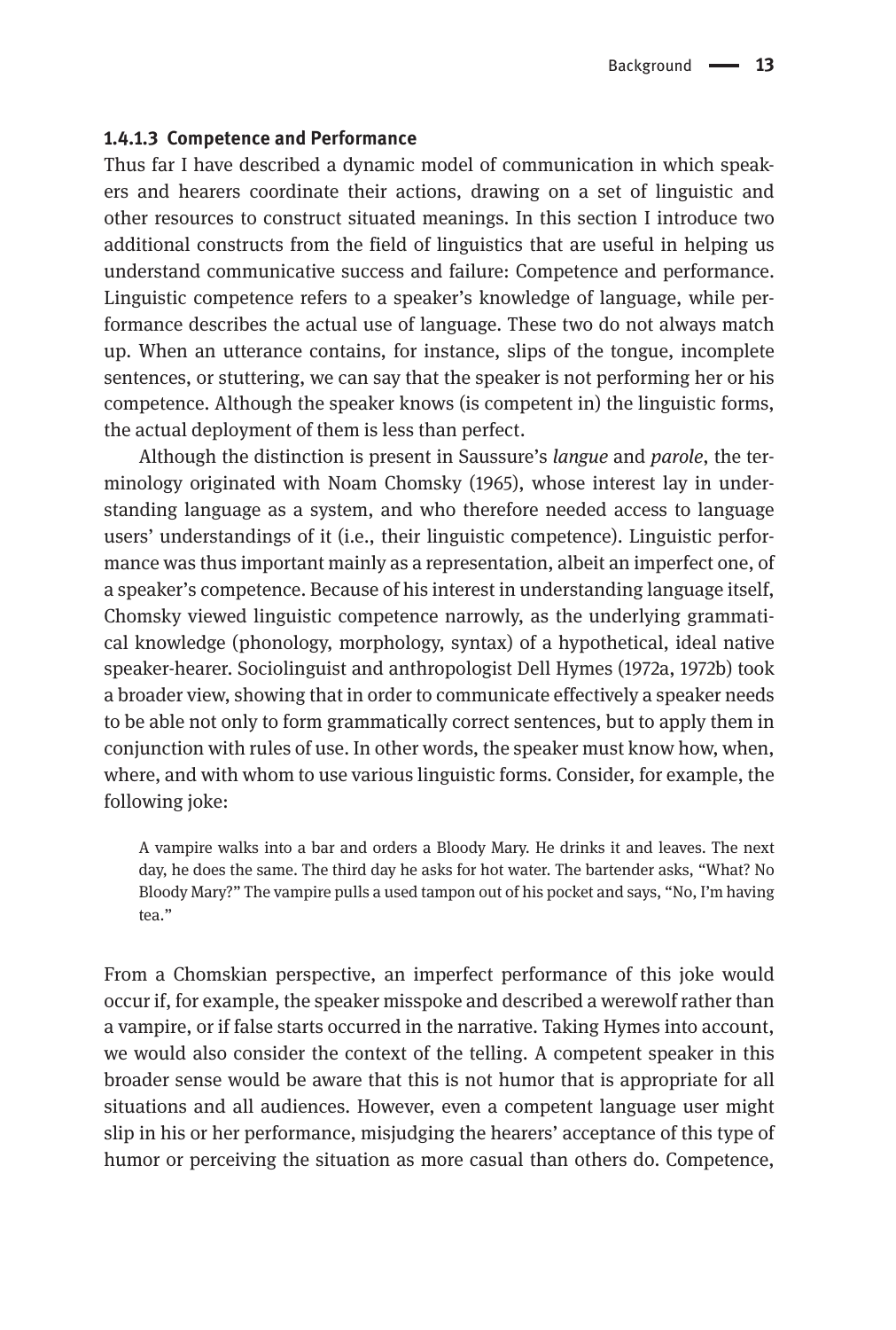#### **1.4.1.3 Competence and Performance**

Thus far I have described a dynamic model of communication in which speakers and hearers coordinate their actions, drawing on a set of linguistic and other resources to construct situated meanings. In this section I introduce two additional constructs from the field of linguistics that are useful in helping us understand communicative success and failure: Competence and performance. Linguistic competence refers to a speaker's knowledge of language, while performance describes the actual use of language. These two do not always match up. When an utterance contains, for instance, slips of the tongue, incomplete sentences, or stuttering, we can say that the speaker is not performing her or his competence. Although the speaker knows (is competent in) the linguistic forms, the actual deployment of them is less than perfect.

Although the distinction is present in Saussure's *langue* and *parole*, the terminology originated with Noam Chomsky (1965), whose interest lay in understanding language as a system, and who therefore needed access to language users' understandings of it (i.e., their linguistic competence). Linguistic performance was thus important mainly as a representation, albeit an imperfect one, of a speaker's competence. Because of his interest in understanding language itself, Chomsky viewed linguistic competence narrowly, as the underlying grammatical knowledge (phonology, morphology, syntax) of a hypothetical, ideal native speaker-hearer. Sociolinguist and anthropologist Dell Hymes (1972a, 1972b) took a broader view, showing that in order to communicate effectively a speaker needs to be able not only to form grammatically correct sentences, but to apply them in conjunction with rules of use. In other words, the speaker must know how, when, where, and with whom to use various linguistic forms. Consider, for example, the following joke:

A vampire walks into a bar and orders a Bloody Mary. He drinks it and leaves. The next day, he does the same. The third day he asks for hot water. The bartender asks, "What? No Bloody Mary?" The vampire pulls a used tampon out of his pocket and says, "No, I'm having tea<sup>"</sup>

From a Chomskian perspective, an imperfect performance of this joke would occur if, for example, the speaker misspoke and described a werewolf rather than a vampire, or if false starts occurred in the narrative. Taking Hymes into account, we would also consider the context of the telling. A competent speaker in this broader sense would be aware that this is not humor that is appropriate for all situations and all audiences. However, even a competent language user might slip in his or her performance, misjudging the hearers' acceptance of this type of humor or perceiving the situation as more casual than others do. Competence,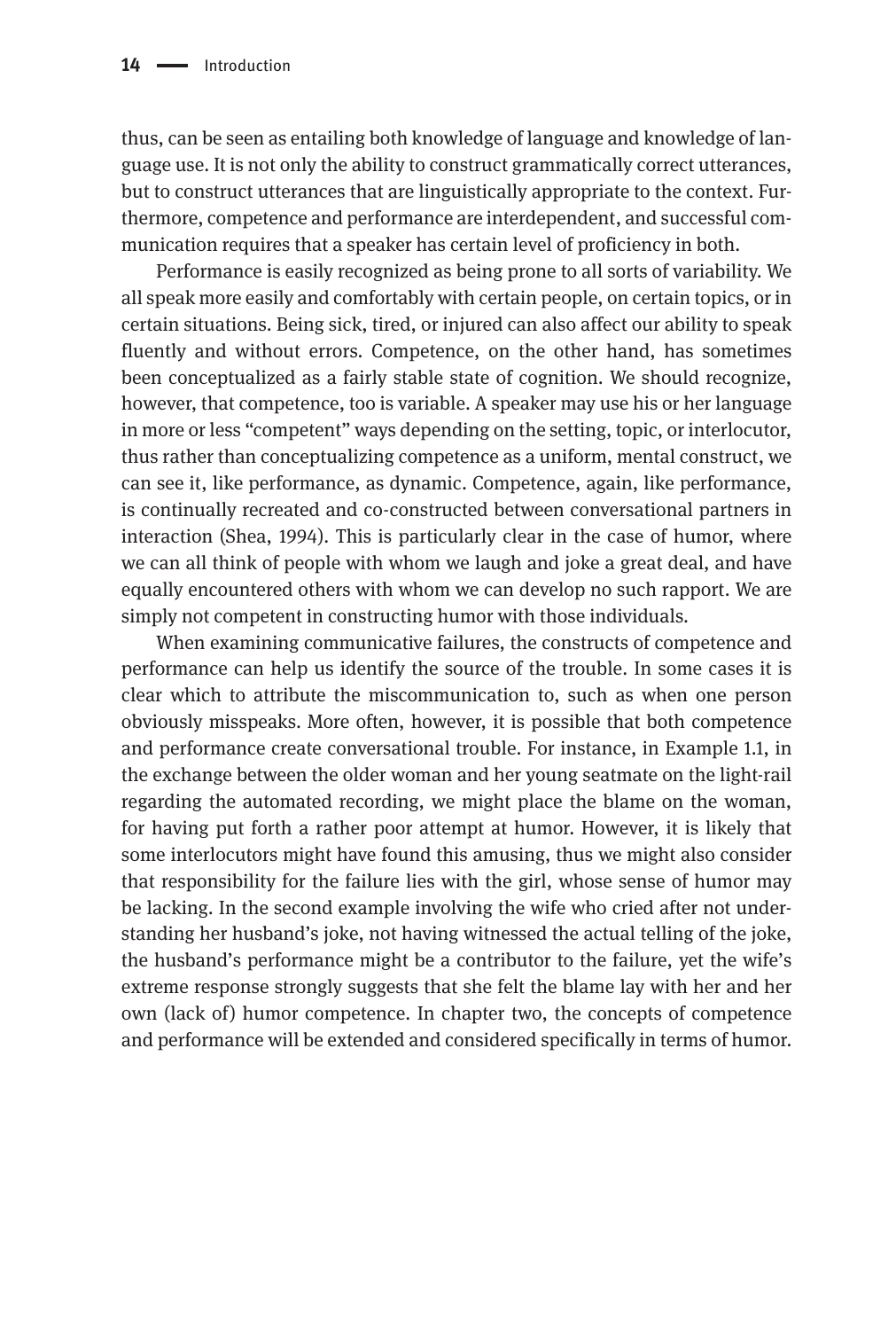thus, can be seen as entailing both knowledge of language and knowledge of language use. It is not only the ability to construct grammatically correct utterances, but to construct utterances that are linguistically appropriate to the context. Furthermore, competence and performance are interdependent, and successful communication requires that a speaker has certain level of proficiency in both.

Performance is easily recognized as being prone to all sorts of variability. We all speak more easily and comfortably with certain people, on certain topics, or in certain situations. Being sick, tired, or injured can also affect our ability to speak fluently and without errors. Competence, on the other hand, has sometimes been conceptualized as a fairly stable state of cognition. We should recognize, however, that competence, too is variable. A speaker may use his or her language in more or less "competent" ways depending on the setting, topic, or interlocutor, thus rather than conceptualizing competence as a uniform, mental construct, we can see it, like performance, as dynamic. Competence, again, like performance, is continually recreated and co-constructed between conversational partners in interaction (Shea, 1994). This is particularly clear in the case of humor, where we can all think of people with whom we laugh and joke a great deal, and have equally encountered others with whom we can develop no such rapport. We are simply not competent in constructing humor with those individuals.

When examining communicative failures, the constructs of competence and performance can help us identify the source of the trouble. In some cases it is clear which to attribute the miscommunication to, such as when one person obviously misspeaks. More often, however, it is possible that both competence and performance create conversational trouble. For instance, in Example 1.1, in the exchange between the older woman and her young seatmate on the light-rail regarding the automated recording, we might place the blame on the woman, for having put forth a rather poor attempt at humor. However, it is likely that some interlocutors might have found this amusing, thus we might also consider that responsibility for the failure lies with the girl, whose sense of humor may be lacking. In the second example involving the wife who cried after not understanding her husband's joke, not having witnessed the actual telling of the joke, the husband's performance might be a contributor to the failure, yet the wife's extreme response strongly suggests that she felt the blame lay with her and her own (lack of) humor competence. In chapter two, the concepts of competence and performance will be extended and considered specifically in terms of humor.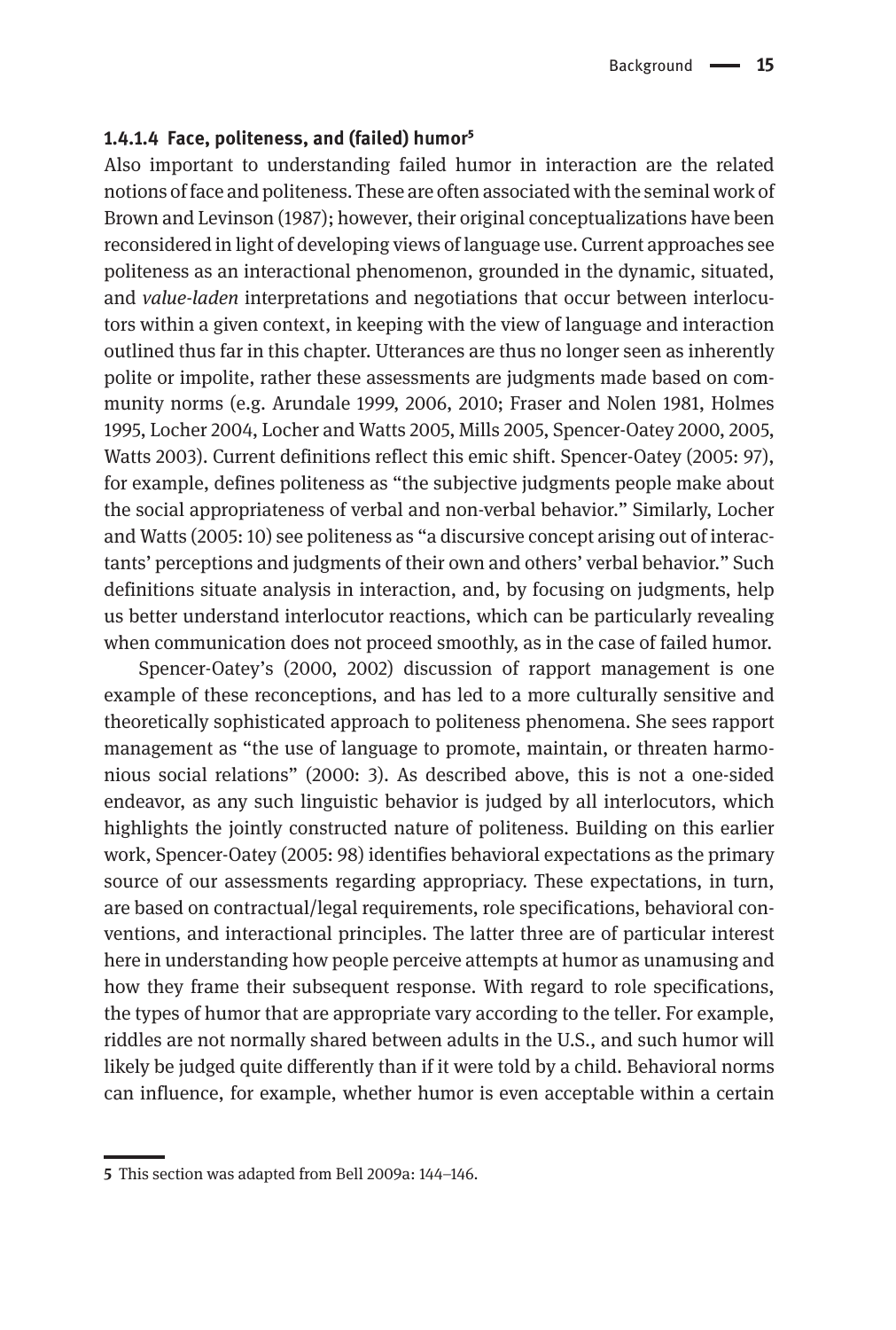#### 1.4.1.4 Face, politeness, and (failed) humor<sup>5</sup>

Also important to understanding failed humor in interaction are the related notions of face and politeness. These are often associated with the seminal work of Brown and Levinson (1987); however, their original conceptualizations have been reconsidered in light of developing views of language use. Current approaches see politeness as an interactional phenomenon, grounded in the dynamic, situated, and *value-laden* interpretations and negotiations that occur between interlocutors within a given context, in keeping with the view of language and interaction outlined thus far in this chapter. Utterances are thus no longer seen as inherently polite or impolite, rather these assessments are judgments made based on community norms (e.g. Arundale 1999, 2006, 2010; Fraser and Nolen 1981, Holmes 1995, Locher 2004, Locher and Watts 2005, Mills 2005, Spencer-Oatey 2000, 2005, Watts 2003). Current definitions reflect this emic shift. Spencer-Oatey (2005: 97), for example, defines politeness as "the subjective judgments people make about the social appropriateness of verbal and non-verbal behavior." Similarly, Locher and Watts (2005: 10) see politeness as "a discursive concept arising out of interactants' perceptions and judgments of their own and others' verbal behavior." Such definitions situate analysis in interaction, and, by focusing on judgments, help us better understand interlocutor reactions, which can be particularly revealing when communication does not proceed smoothly, as in the case of failed humor.

Spencer-Oatey's (2000, 2002) discussion of rapport management is one example of these reconceptions, and has led to a more culturally sensitive and theoretically sophisticated approach to politeness phenomena. She sees rapport management as "the use of language to promote, maintain, or threaten harmonious social relations" (2000: 3). As described above, this is not a one-sided endeavor, as any such linguistic behavior is judged by all interlocutors, which highlights the jointly constructed nature of politeness. Building on this earlier work, Spencer-Oatey (2005: 98) identifies behavioral expectations as the primary source of our assessments regarding appropriacy. These expectations, in turn, are based on contractual/legal requirements, role specifications, behavioral conventions, and interactional principles. The latter three are of particular interest here in understanding how people perceive attempts at humor as unamusing and how they frame their subsequent response. With regard to role specifications, the types of humor that are appropriate vary according to the teller. For example, riddles are not normally shared between adults in the U.S., and such humor will likely be judged quite differently than if it were told by a child. Behavioral norms can influence, for example, whether humor is even acceptable within a certain

**<sup>5</sup>** This section was adapted from Bell 2009a: 144–146.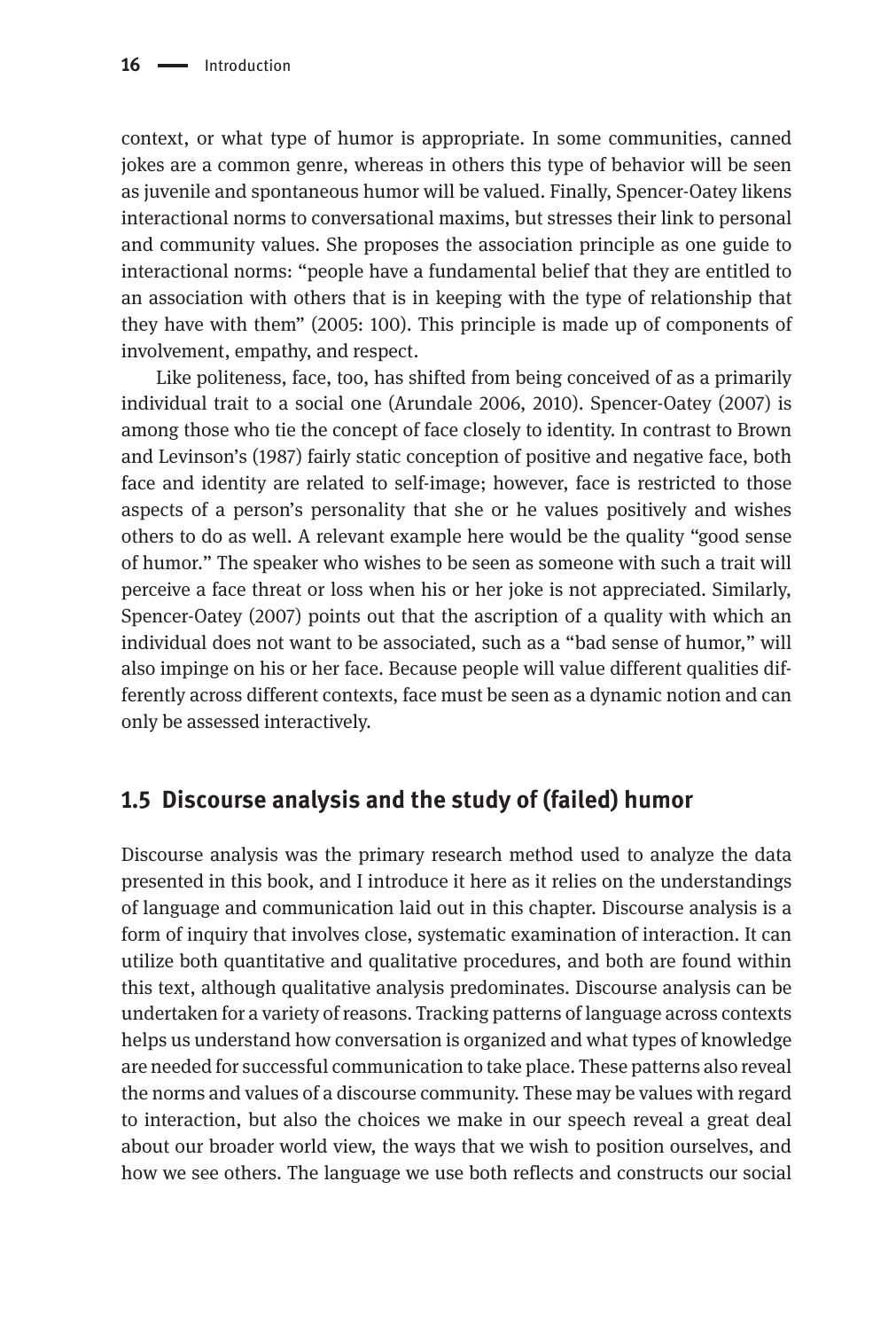context, or what type of humor is appropriate. In some communities, canned jokes are a common genre, whereas in others this type of behavior will be seen as juvenile and spontaneous humor will be valued. Finally, Spencer-Oatey likens interactional norms to conversational maxims, but stresses their link to personal and community values. She proposes the association principle as one guide to interactional norms: "people have a fundamental belief that they are entitled to an association with others that is in keeping with the type of relationship that they have with them" (2005: 100). This principle is made up of components of involvement, empathy, and respect.

Like politeness, face, too, has shifted from being conceived of as a primarily individual trait to a social one (Arundale 2006, 2010). Spencer-Oatey (2007) is among those who tie the concept of face closely to identity. In contrast to Brown and Levinson's (1987) fairly static conception of positive and negative face, both face and identity are related to self-image; however, face is restricted to those aspects of a person's personality that she or he values positively and wishes others to do as well. A relevant example here would be the quality "good sense of humor." The speaker who wishes to be seen as someone with such a trait will perceive a face threat or loss when his or her joke is not appreciated. Similarly, Spencer-Oatey (2007) points out that the ascription of a quality with which an individual does not want to be associated, such as a "bad sense of humor," will also impinge on his or her face. Because people will value different qualities differently across different contexts, face must be seen as a dynamic notion and can only be assessed interactively.

#### **1.5 Discourse analysis and the study of (failed) humor**

Discourse analysis was the primary research method used to analyze the data presented in this book, and I introduce it here as it relies on the understandings of language and communication laid out in this chapter. Discourse analysis is a form of inquiry that involves close, systematic examination of interaction. It can utilize both quantitative and qualitative procedures, and both are found within this text, although qualitative analysis predominates. Discourse analysis can be undertaken for a variety of reasons. Tracking patterns of language across contexts helps us understand how conversation is organized and what types of knowledge are needed for successful communication to take place. These patterns also reveal the norms and values of a discourse community. These may be values with regard to interaction, but also the choices we make in our speech reveal a great deal about our broader world view, the ways that we wish to position ourselves, and how we see others. The language we use both reflects and constructs our social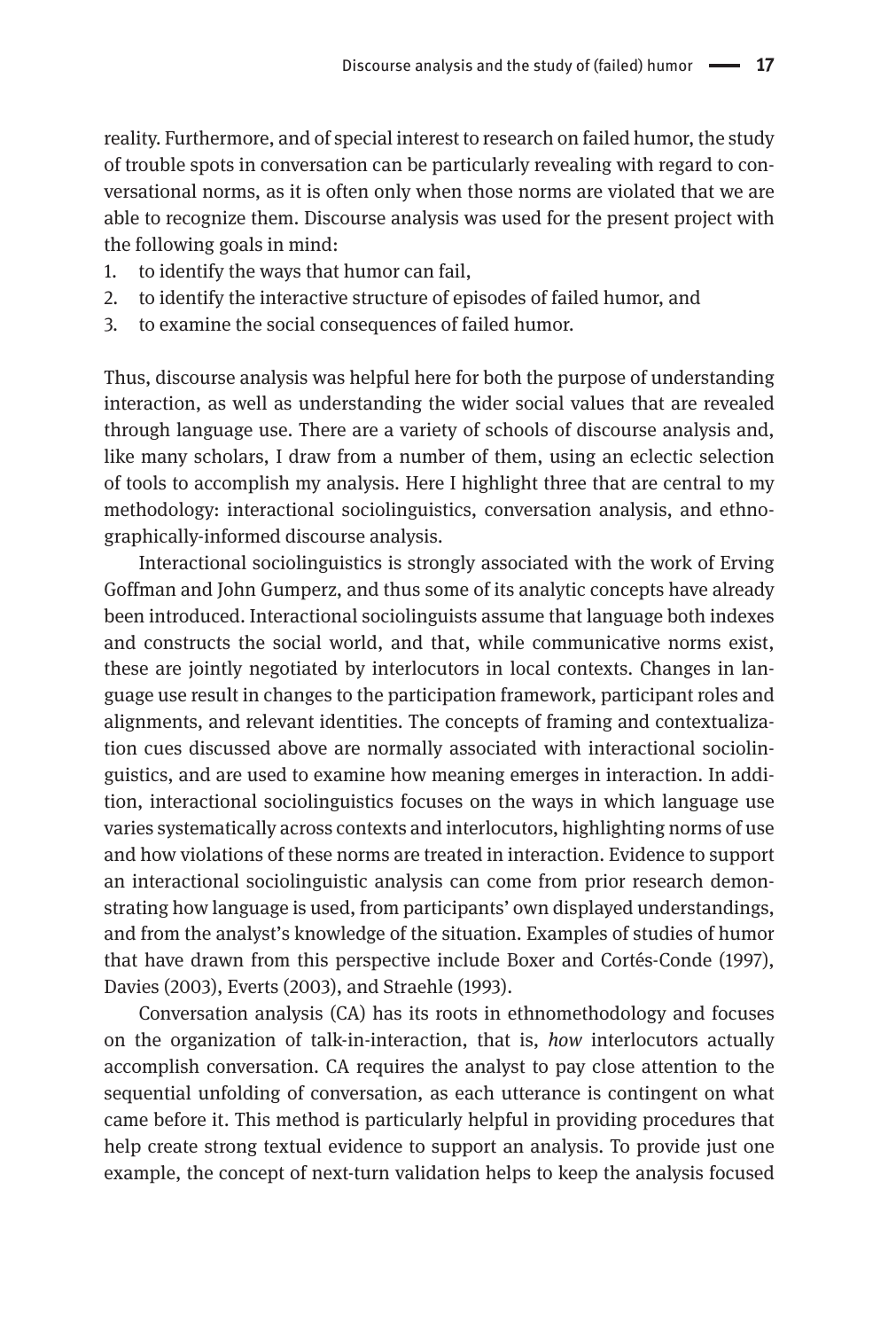reality. Furthermore, and of special interest to research on failed humor, the study of trouble spots in conversation can be particularly revealing with regard to conversational norms, as it is often only when those norms are violated that we are able to recognize them. Discourse analysis was used for the present project with the following goals in mind:

- 1. to identify the ways that humor can fail,
- 2. to identify the interactive structure of episodes of failed humor, and
- 3. to examine the social consequences of failed humor.

Thus, discourse analysis was helpful here for both the purpose of understanding interaction, as well as understanding the wider social values that are revealed through language use. There are a variety of schools of discourse analysis and, like many scholars, I draw from a number of them, using an eclectic selection of tools to accomplish my analysis. Here I highlight three that are central to my methodology: interactional sociolinguistics, conversation analysis, and ethnographically-informed discourse analysis.

Interactional sociolinguistics is strongly associated with the work of Erving Goffman and John Gumperz, and thus some of its analytic concepts have already been introduced. Interactional sociolinguists assume that language both indexes and constructs the social world, and that, while communicative norms exist, these are jointly negotiated by interlocutors in local contexts. Changes in language use result in changes to the participation framework, participant roles and alignments, and relevant identities. The concepts of framing and contextualization cues discussed above are normally associated with interactional sociolinguistics, and are used to examine how meaning emerges in interaction. In addition, interactional sociolinguistics focuses on the ways in which language use varies systematically across contexts and interlocutors, highlighting norms of use and how violations of these norms are treated in interaction. Evidence to support an interactional sociolinguistic analysis can come from prior research demonstrating how language is used, from participants' own displayed understandings, and from the analyst's knowledge of the situation. Examples of studies of humor that have drawn from this perspective include Boxer and Cortés-Conde (1997), Davies (2003), Everts (2003), and Straehle (1993).

Conversation analysis (CA) has its roots in ethnomethodology and focuses on the organization of talk-in-interaction, that is, *how* interlocutors actually accomplish conversation. CA requires the analyst to pay close attention to the sequential unfolding of conversation, as each utterance is contingent on what came before it. This method is particularly helpful in providing procedures that help create strong textual evidence to support an analysis. To provide just one example, the concept of next-turn validation helps to keep the analysis focused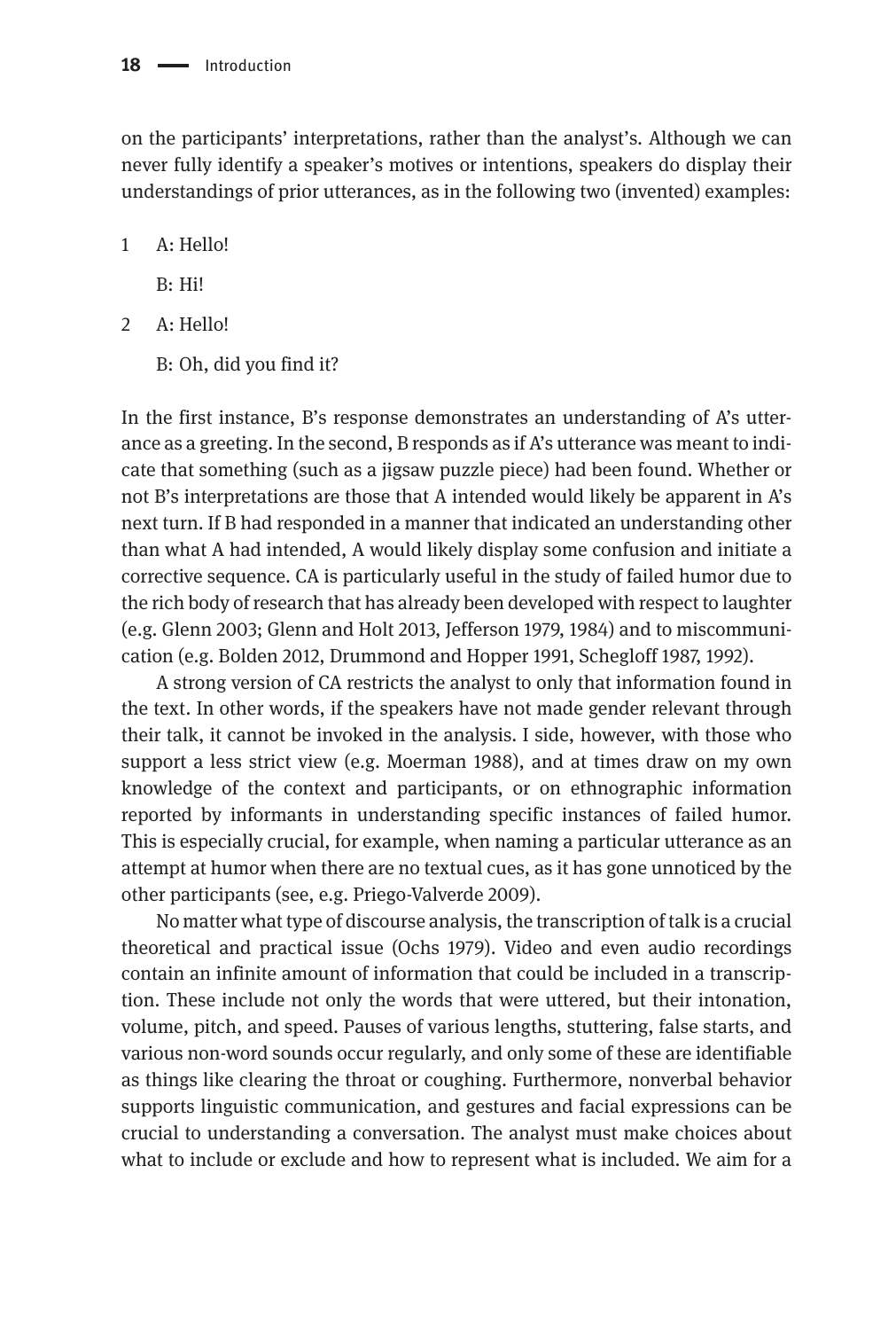on the participants' interpretations, rather than the analyst's. Although we can never fully identify a speaker's motives or intentions, speakers do display their understandings of prior utterances, as in the following two (invented) examples:

 $1 \quad A \cdot H \rho l l \rho l$ 

B: Hi!

2 A: Hello!

B: Oh, did you find it?

In the first instance, B's response demonstrates an understanding of A's utterance as a greeting. In the second, B responds as if A's utterance was meant to indicate that something (such as a jigsaw puzzle piece) had been found. Whether or not B's interpretations are those that A intended would likely be apparent in A's next turn. If B had responded in a manner that indicated an understanding other than what A had intended, A would likely display some confusion and initiate a corrective sequence. CA is particularly useful in the study of failed humor due to the rich body of research that has already been developed with respect to laughter (e.g. Glenn 2003; Glenn and Holt 2013, Jefferson 1979, 1984) and to miscommunication (e.g. Bolden 2012, Drummond and Hopper 1991, Schegloff 1987, 1992).

A strong version of CA restricts the analyst to only that information found in the text. In other words, if the speakers have not made gender relevant through their talk, it cannot be invoked in the analysis. I side, however, with those who support a less strict view (e.g. Moerman 1988), and at times draw on my own knowledge of the context and participants, or on ethnographic information reported by informants in understanding specific instances of failed humor. This is especially crucial, for example, when naming a particular utterance as an attempt at humor when there are no textual cues, as it has gone unnoticed by the other participants (see, e.g. Priego-Valverde 2009).

No matter what type of discourse analysis, the transcription of talk is a crucial theoretical and practical issue (Ochs 1979). Video and even audio recordings contain an infinite amount of information that could be included in a transcription. These include not only the words that were uttered, but their intonation, volume, pitch, and speed. Pauses of various lengths, stuttering, false starts, and various non-word sounds occur regularly, and only some of these are identifiable as things like clearing the throat or coughing. Furthermore, nonverbal behavior supports linguistic communication, and gestures and facial expressions can be crucial to understanding a conversation. The analyst must make choices about what to include or exclude and how to represent what is included. We aim for a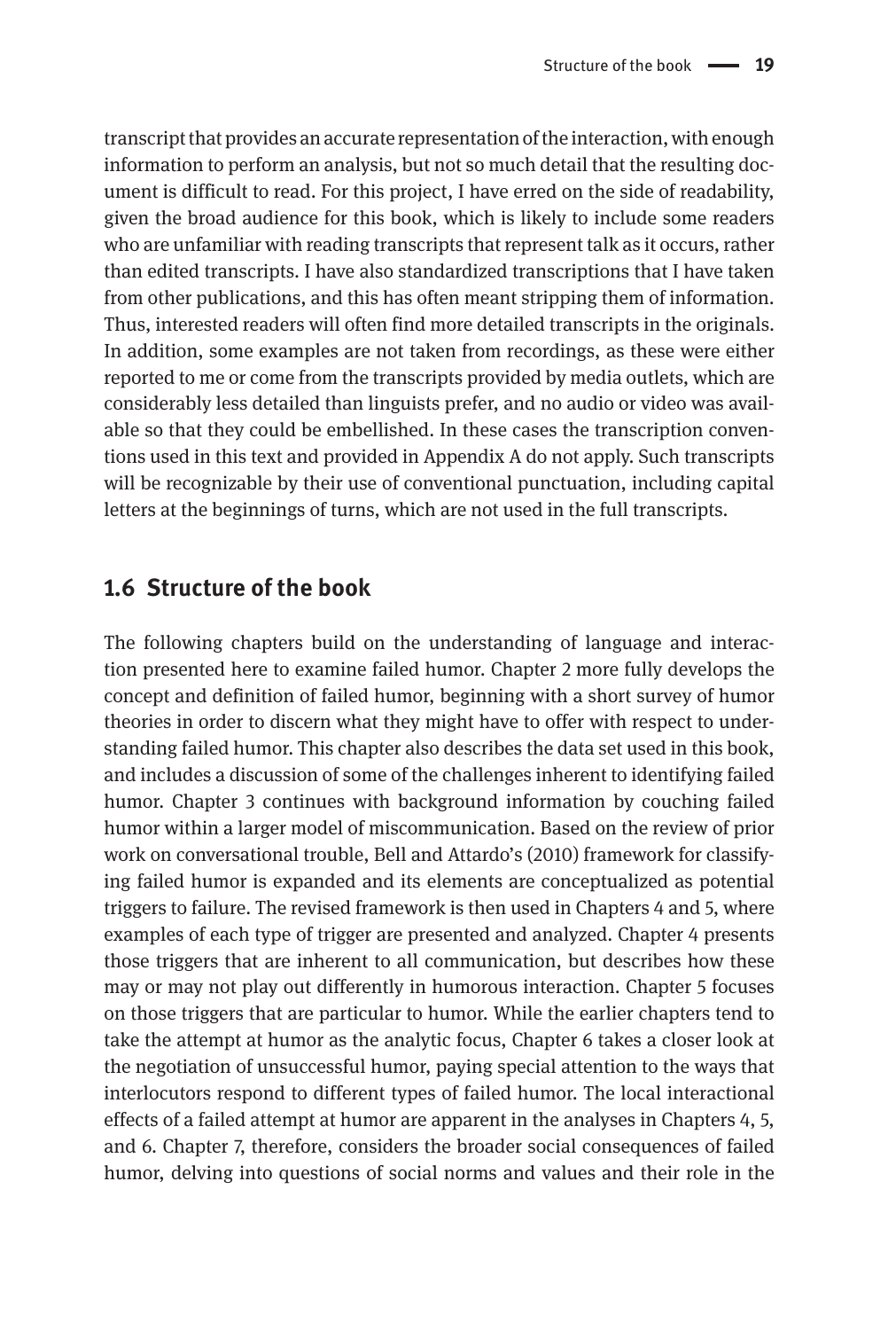transcript that provides an accurate representation of the interaction, with enough information to perform an analysis, but not so much detail that the resulting document is difficult to read. For this project, I have erred on the side of readability, given the broad audience for this book, which is likely to include some readers who are unfamiliar with reading transcripts that represent talk as it occurs, rather than edited transcripts. I have also standardized transcriptions that I have taken from other publications, and this has often meant stripping them of information. Thus, interested readers will often find more detailed transcripts in the originals. In addition, some examples are not taken from recordings, as these were either reported to me or come from the transcripts provided by media outlets, which are considerably less detailed than linguists prefer, and no audio or video was available so that they could be embellished. In these cases the transcription conventions used in this text and provided in Appendix A do not apply. Such transcripts will be recognizable by their use of conventional punctuation, including capital letters at the beginnings of turns, which are not used in the full transcripts.

#### **1.6 Structure of the book**

The following chapters build on the understanding of language and interaction presented here to examine failed humor. Chapter 2 more fully develops the concept and definition of failed humor, beginning with a short survey of humor theories in order to discern what they might have to offer with respect to understanding failed humor. This chapter also describes the data set used in this book, and includes a discussion of some of the challenges inherent to identifying failed humor. Chapter 3 continues with background information by couching failed humor within a larger model of miscommunication. Based on the review of prior work on conversational trouble, Bell and Attardo's (2010) framework for classifying failed humor is expanded and its elements are conceptualized as potential triggers to failure. The revised framework is then used in Chapters 4 and 5, where examples of each type of trigger are presented and analyzed. Chapter 4 presents those triggers that are inherent to all communication, but describes how these may or may not play out differently in humorous interaction. Chapter 5 focuses on those triggers that are particular to humor. While the earlier chapters tend to take the attempt at humor as the analytic focus, Chapter 6 takes a closer look at the negotiation of unsuccessful humor, paying special attention to the ways that interlocutors respond to different types of failed humor. The local interactional effects of a failed attempt at humor are apparent in the analyses in Chapters 4, 5, and 6. Chapter 7, therefore, considers the broader social consequences of failed humor, delving into questions of social norms and values and their role in the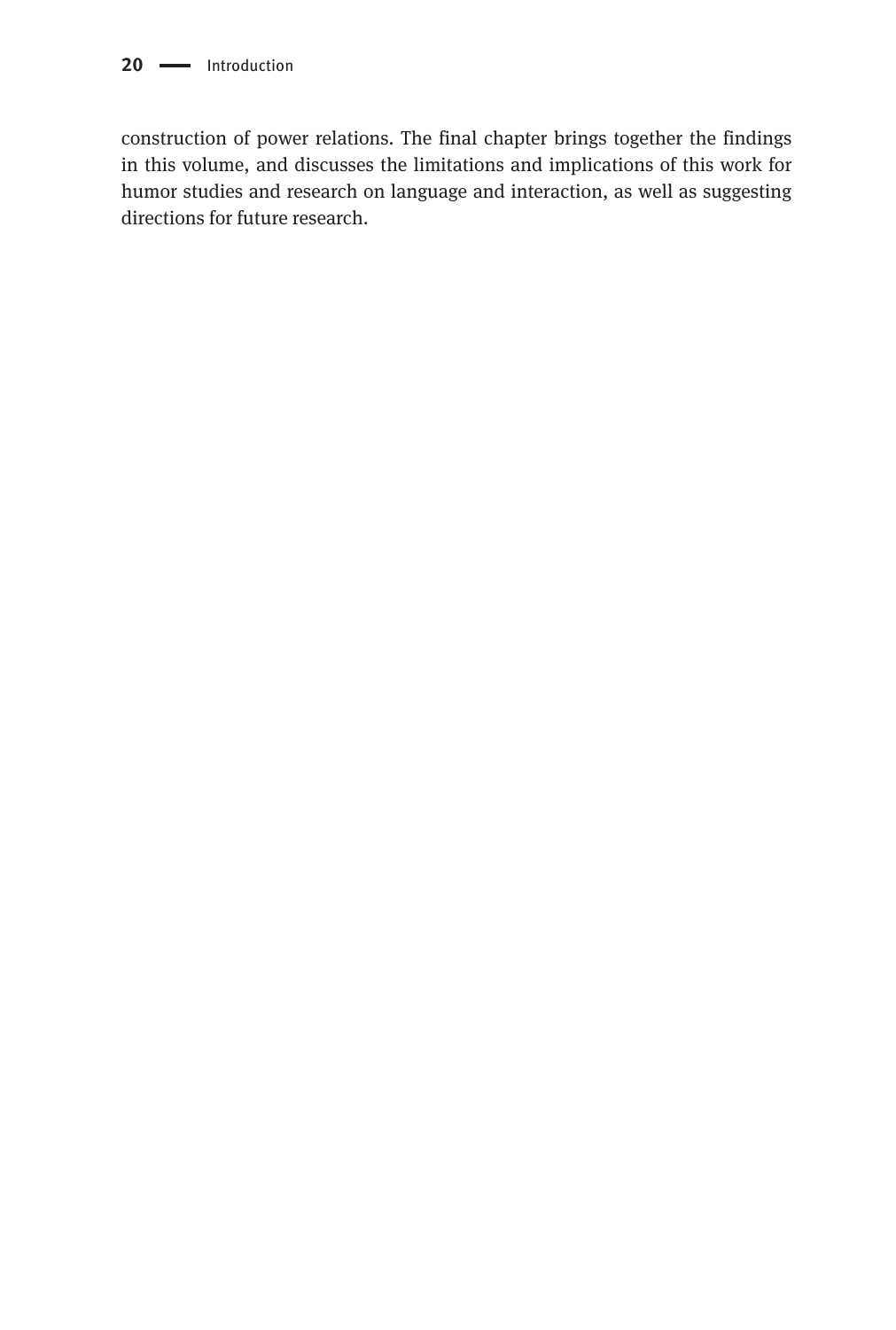construction of power relations. The final chapter brings together the findings in this volume, and discusses the limitations and implications of this work for humor studies and research on language and interaction, as well as suggesting directions for future research.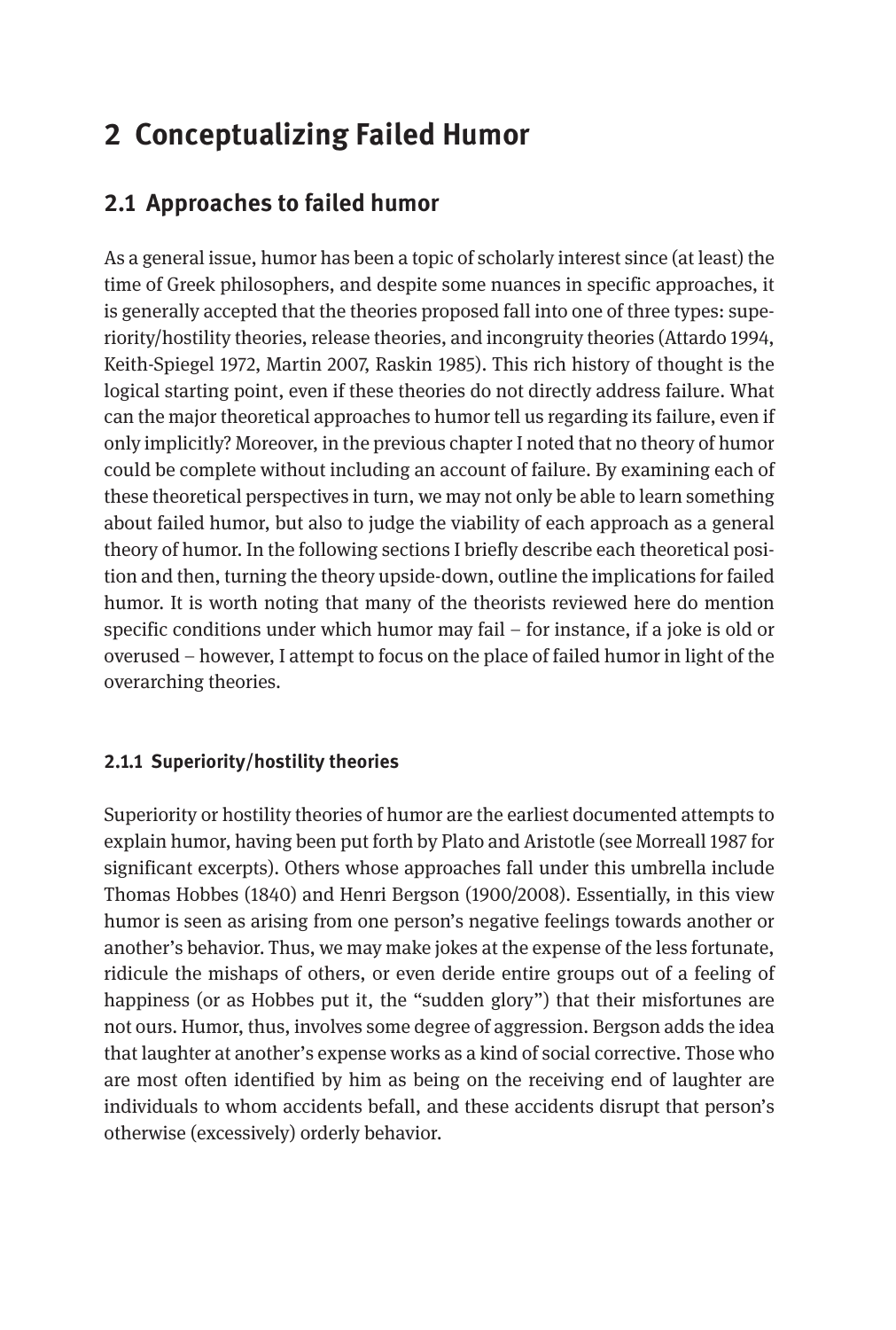# **2 Conceptualizing Failed Humor**

#### **2.1 Approaches to failed humor**

As a general issue, humor has been a topic of scholarly interest since (at least) the time of Greek philosophers, and despite some nuances in specific approaches, it is generally accepted that the theories proposed fall into one of three types: superiority/hostility theories, release theories, and incongruity theories (Attardo 1994, Keith-Spiegel 1972, Martin 2007, Raskin 1985). This rich history of thought is the logical starting point, even if these theories do not directly address failure. What can the major theoretical approaches to humor tell us regarding its failure, even if only implicitly? Moreover, in the previous chapter I noted that no theory of humor could be complete without including an account of failure. By examining each of these theoretical perspectives in turn, we may not only be able to learn something about failed humor, but also to judge the viability of each approach as a general theory of humor. In the following sections I briefly describe each theoretical position and then, turning the theory upside-down, outline the implications for failed humor. It is worth noting that many of the theorists reviewed here do mention specific conditions under which humor may fail – for instance, if a joke is old or overused – however, I attempt to focus on the place of failed humor in light of the overarching theories.

#### **2.1.1 Superiority/hostility theories**

Superiority or hostility theories of humor are the earliest documented attempts to explain humor, having been put forth by Plato and Aristotle (see Morreall 1987 for significant excerpts). Others whose approaches fall under this umbrella include Thomas Hobbes (1840) and Henri Bergson (1900/2008). Essentially, in this view humor is seen as arising from one person's negative feelings towards another or another's behavior. Thus, we may make jokes at the expense of the less fortunate, ridicule the mishaps of others, or even deride entire groups out of a feeling of happiness (or as Hobbes put it, the "sudden glory") that their misfortunes are not ours. Humor, thus, involves some degree of aggression. Bergson adds the idea that laughter at another's expense works as a kind of social corrective. Those who are most often identified by him as being on the receiving end of laughter are individuals to whom accidents befall, and these accidents disrupt that person's otherwise (excessively) orderly behavior.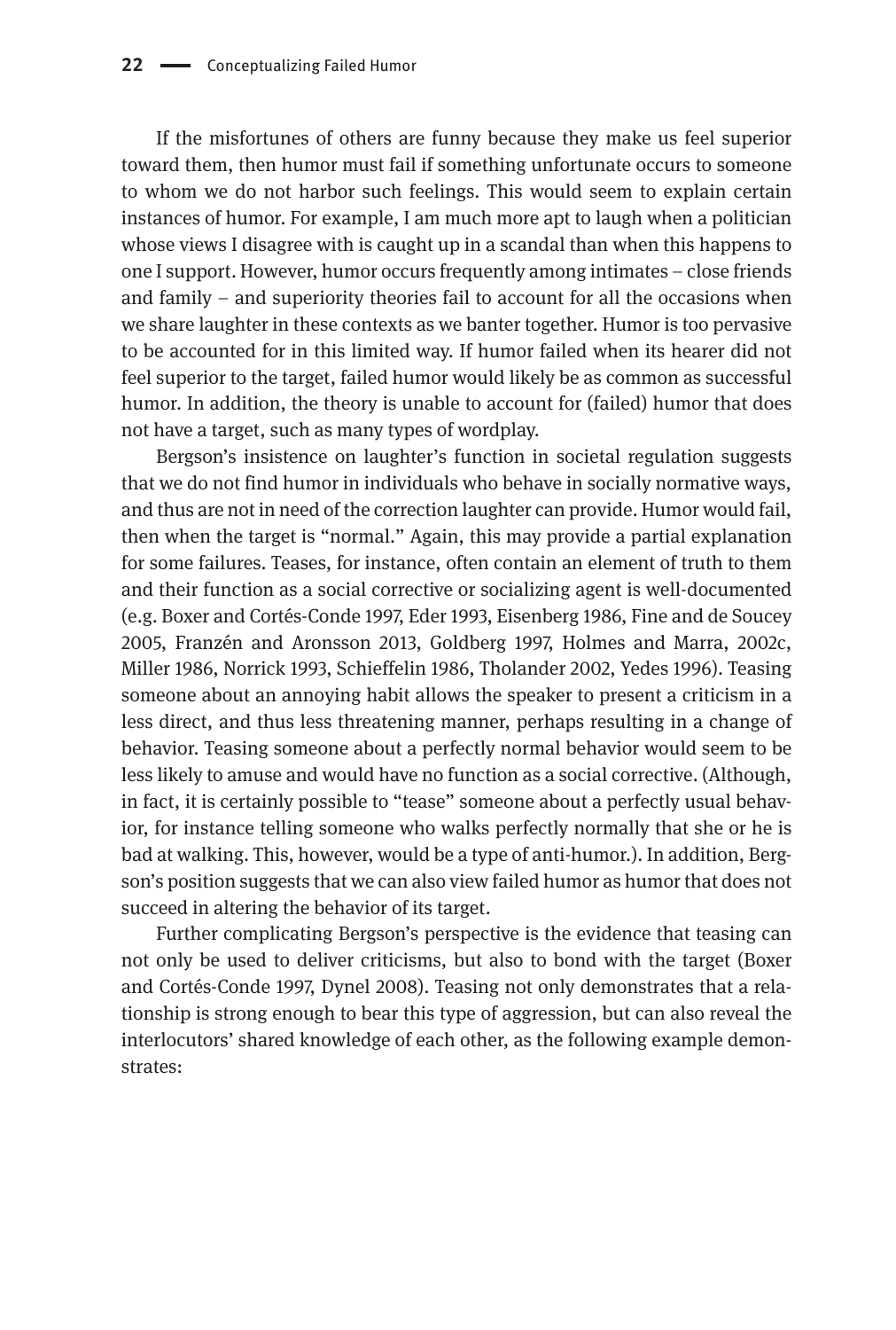If the misfortunes of others are funny because they make us feel superior toward them, then humor must fail if something unfortunate occurs to someone to whom we do not harbor such feelings. This would seem to explain certain instances of humor. For example, I am much more apt to laugh when a politician whose views I disagree with is caught up in a scandal than when this happens to one I support. However, humor occurs frequently among intimates – close friends and family – and superiority theories fail to account for all the occasions when we share laughter in these contexts as we banter together. Humor is too pervasive to be accounted for in this limited way. If humor failed when its hearer did not feel superior to the target, failed humor would likely be as common as successful humor. In addition, the theory is unable to account for (failed) humor that does not have a target, such as many types of wordplay.

Bergson's insistence on laughter's function in societal regulation suggests that we do not find humor in individuals who behave in socially normative ways, and thus are not in need of the correction laughter can provide. Humor would fail, then when the target is "normal." Again, this may provide a partial explanation for some failures. Teases, for instance, often contain an element of truth to them and their function as a social corrective or socializing agent is well-documented (e.g. Boxer and Cortés-Conde 1997, Eder 1993, Eisenberg 1986, Fine and de Soucey 2005, Franzén and Aronsson 2013, Goldberg 1997, Holmes and Marra, 2002c, Miller 1986, Norrick 1993, Schieffelin 1986, Tholander 2002, Yedes 1996). Teasing someone about an annoying habit allows the speaker to present a criticism in a less direct, and thus less threatening manner, perhaps resulting in a change of behavior. Teasing someone about a perfectly normal behavior would seem to be less likely to amuse and would have no function as a social corrective. (Although, in fact, it is certainly possible to "tease" someone about a perfectly usual behavior, for instance telling someone who walks perfectly normally that she or he is bad at walking. This, however, would be a type of anti-humor.). In addition, Bergson's position suggests that we can also view failed humor as humor that does not succeed in altering the behavior of its target.

Further complicating Bergson's perspective is the evidence that teasing can not only be used to deliver criticisms, but also to bond with the target (Boxer and Cortés-Conde 1997, Dynel 2008). Teasing not only demonstrates that a relationship is strong enough to bear this type of aggression, but can also reveal the interlocutors' shared knowledge of each other, as the following example demonstrates: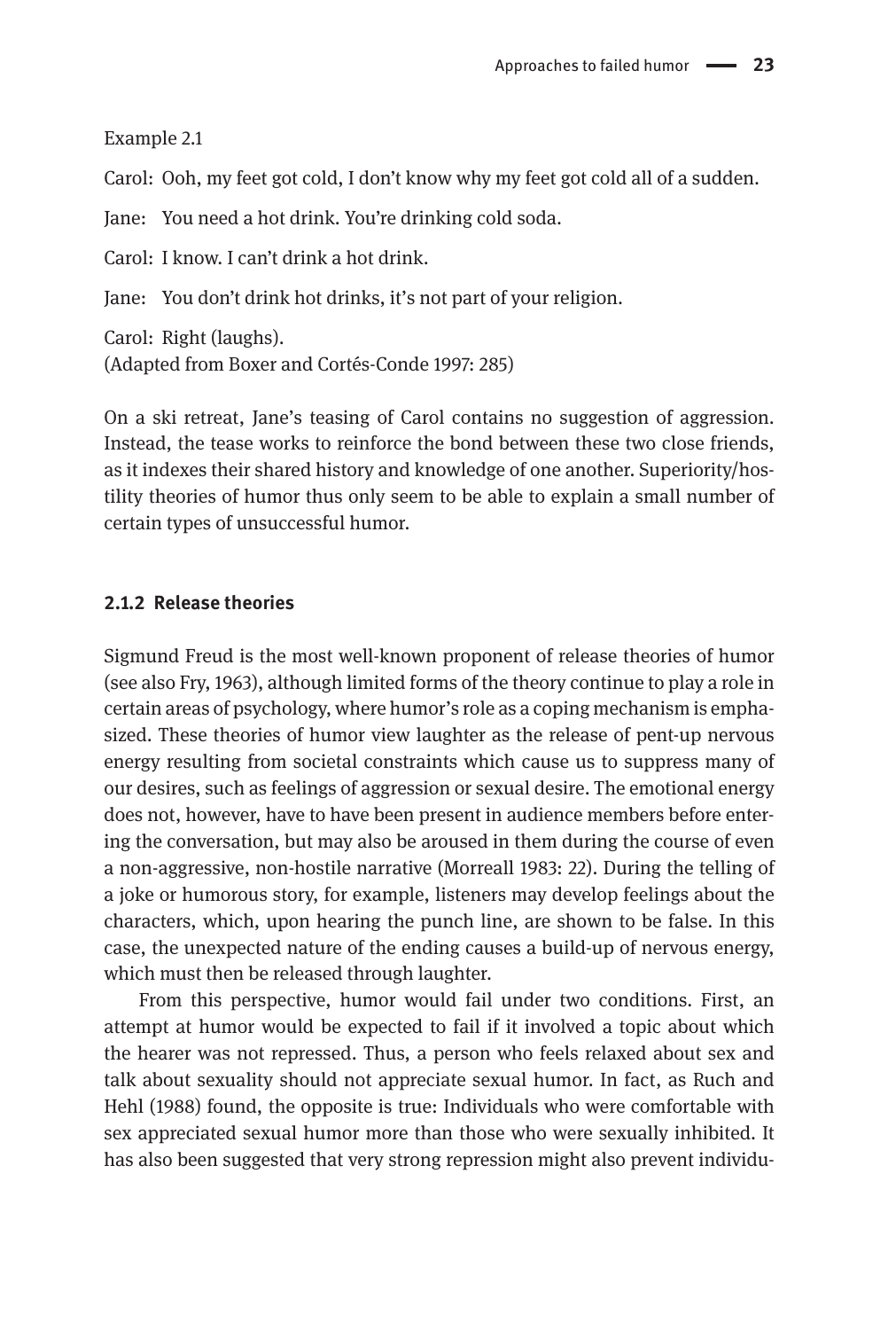Example 2.1

Carol: Ooh, my feet got cold, I don't know why my feet got cold all of a sudden.

Jane: You need a hot drink. You're drinking cold soda.

Carol: I know. I can't drink a hot drink.

Jane: You don't drink hot drinks, it's not part of your religion.

Carol: Right (laughs). (Adapted from Boxer and Cortés-Conde 1997: 285)

On a ski retreat, Jane's teasing of Carol contains no suggestion of aggression. Instead, the tease works to reinforce the bond between these two close friends, as it indexes their shared history and knowledge of one another. Superiority/hostility theories of humor thus only seem to be able to explain a small number of certain types of unsuccessful humor.

#### **2.1.2 Release theories**

Sigmund Freud is the most well-known proponent of release theories of humor (see also Fry, 1963), although limited forms of the theory continue to play a role in certain areas of psychology, where humor's role as a coping mechanism is emphasized. These theories of humor view laughter as the release of pent-up nervous energy resulting from societal constraints which cause us to suppress many of our desires, such as feelings of aggression or sexual desire. The emotional energy does not, however, have to have been present in audience members before entering the conversation, but may also be aroused in them during the course of even a non-aggressive, non-hostile narrative (Morreall 1983: 22). During the telling of a joke or humorous story, for example, listeners may develop feelings about the characters, which, upon hearing the punch line, are shown to be false. In this case, the unexpected nature of the ending causes a build-up of nervous energy, which must then be released through laughter.

From this perspective, humor would fail under two conditions. First, an attempt at humor would be expected to fail if it involved a topic about which the hearer was not repressed. Thus, a person who feels relaxed about sex and talk about sexuality should not appreciate sexual humor. In fact, as Ruch and Hehl (1988) found, the opposite is true: Individuals who were comfortable with sex appreciated sexual humor more than those who were sexually inhibited. It has also been suggested that very strong repression might also prevent individu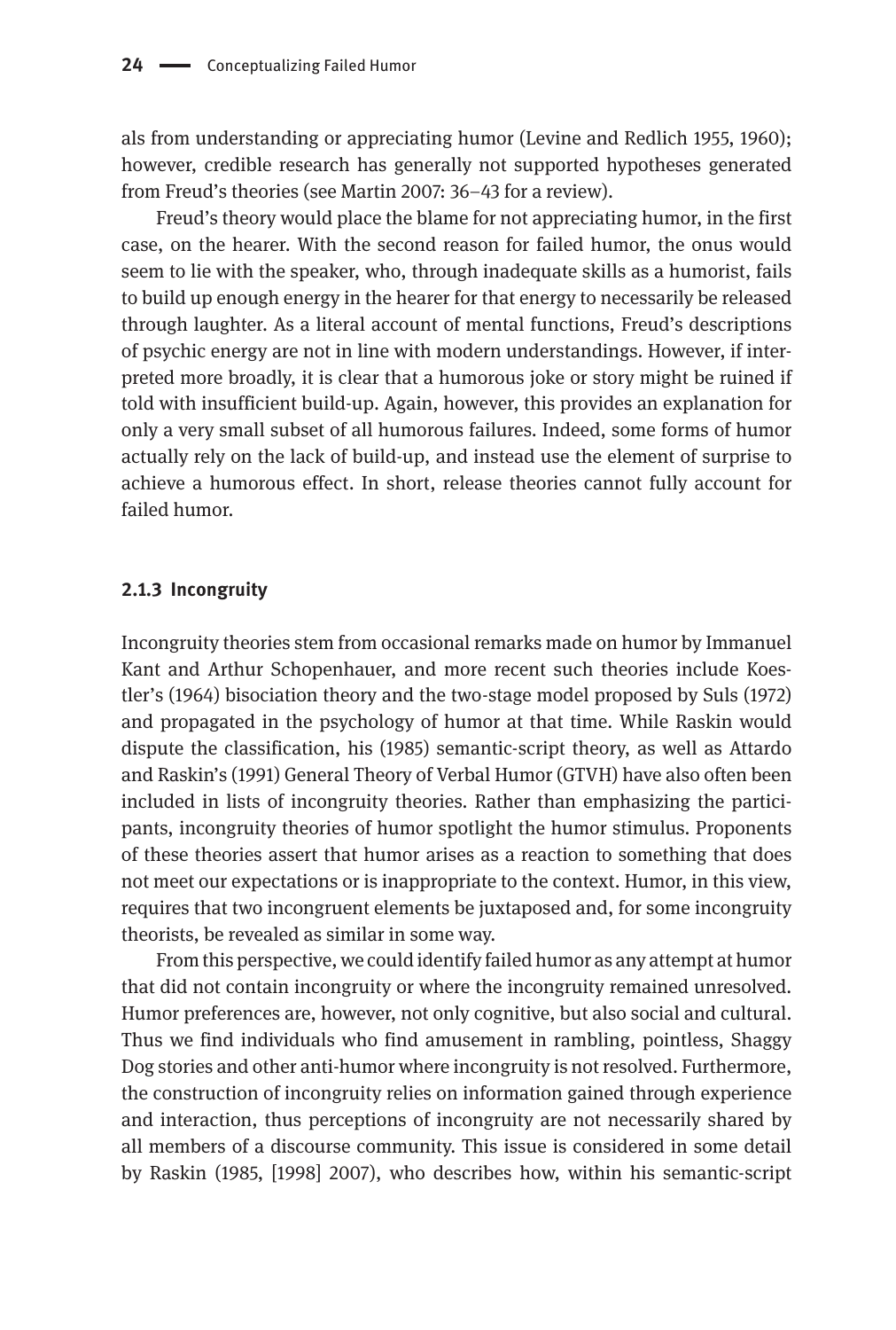als from understanding or appreciating humor (Levine and Redlich 1955, 1960); however, credible research has generally not supported hypotheses generated from Freud's theories (see Martin 2007: 36–43 for a review).

Freud's theory would place the blame for not appreciating humor, in the first case, on the hearer. With the second reason for failed humor, the onus would seem to lie with the speaker, who, through inadequate skills as a humorist, fails to build up enough energy in the hearer for that energy to necessarily be released through laughter. As a literal account of mental functions, Freud's descriptions of psychic energy are not in line with modern understandings. However, if interpreted more broadly, it is clear that a humorous joke or story might be ruined if told with insufficient build-up. Again, however, this provides an explanation for only a very small subset of all humorous failures. Indeed, some forms of humor actually rely on the lack of build-up, and instead use the element of surprise to achieve a humorous effect. In short, release theories cannot fully account for failed humor.

#### **2.1.3 Incongruity**

Incongruity theories stem from occasional remarks made on humor by Immanuel Kant and Arthur Schopenhauer, and more recent such theories include Koestler's (1964) bisociation theory and the two-stage model proposed by Suls (1972) and propagated in the psychology of humor at that time. While Raskin would dispute the classification, his (1985) semantic-script theory, as well as Attardo and Raskin's (1991) General Theory of Verbal Humor (GTVH) have also often been included in lists of incongruity theories. Rather than emphasizing the participants, incongruity theories of humor spotlight the humor stimulus. Proponents of these theories assert that humor arises as a reaction to something that does not meet our expectations or is inappropriate to the context. Humor, in this view, requires that two incongruent elements be juxtaposed and, for some incongruity theorists, be revealed as similar in some way.

From this perspective, we could identify failed humor as any attempt at humor that did not contain incongruity or where the incongruity remained unresolved. Humor preferences are, however, not only cognitive, but also social and cultural. Thus we find individuals who find amusement in rambling, pointless, Shaggy Dog stories and other anti-humor where incongruity is not resolved. Furthermore, the construction of incongruity relies on information gained through experience and interaction, thus perceptions of incongruity are not necessarily shared by all members of a discourse community. This issue is considered in some detail by Raskin (1985, [1998] 2007), who describes how, within his semantic-script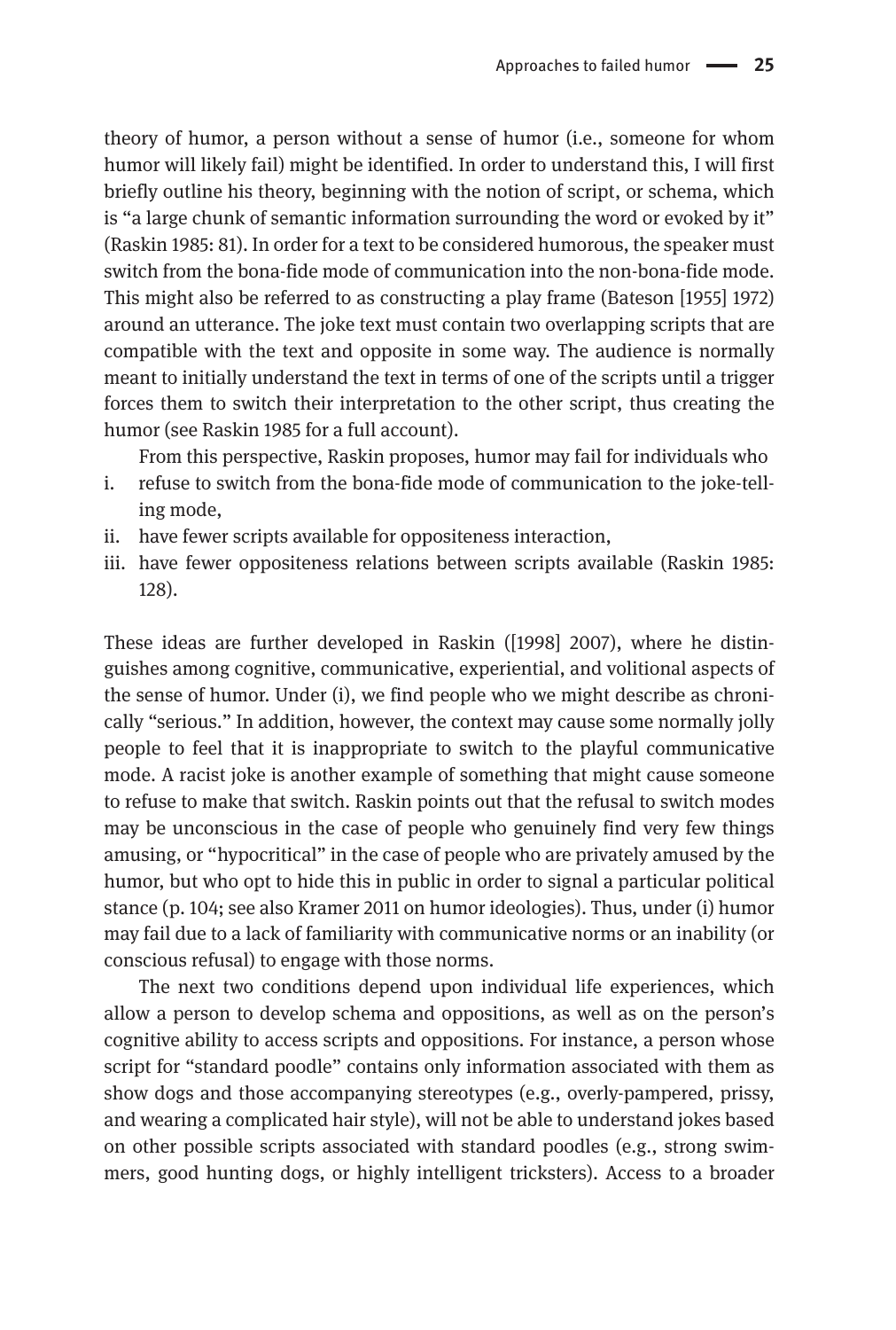theory of humor, a person without a sense of humor (i.e., someone for whom humor will likely fail) might be identified. In order to understand this, I will first briefly outline his theory, beginning with the notion of script, or schema, which is "a large chunk of semantic information surrounding the word or evoked by it" (Raskin 1985: 81). In order for a text to be considered humorous, the speaker must switch from the bona-fide mode of communication into the non-bona-fide mode. This might also be referred to as constructing a play frame (Bateson [1955] 1972) around an utterance. The joke text must contain two overlapping scripts that are compatible with the text and opposite in some way. The audience is normally meant to initially understand the text in terms of one of the scripts until a trigger forces them to switch their interpretation to the other script, thus creating the humor (see Raskin 1985 for a full account).

From this perspective, Raskin proposes, humor may fail for individuals who

- i. refuse to switch from the bona-fide mode of communication to the joke-telling mode,
- ii. have fewer scripts available for oppositeness interaction,
- iii. have fewer oppositeness relations between scripts available (Raskin 1985: 128).

These ideas are further developed in Raskin ([1998] 2007), where he distinguishes among cognitive, communicative, experiential, and volitional aspects of the sense of humor. Under (i), we find people who we might describe as chronically "serious." In addition, however, the context may cause some normally jolly people to feel that it is inappropriate to switch to the playful communicative mode. A racist joke is another example of something that might cause someone to refuse to make that switch. Raskin points out that the refusal to switch modes may be unconscious in the case of people who genuinely find very few things amusing, or "hypocritical" in the case of people who are privately amused by the humor, but who opt to hide this in public in order to signal a particular political stance (p. 104; see also Kramer 2011 on humor ideologies). Thus, under (i) humor may fail due to a lack of familiarity with communicative norms or an inability (or conscious refusal) to engage with those norms.

The next two conditions depend upon individual life experiences, which allow a person to develop schema and oppositions, as well as on the person's cognitive ability to access scripts and oppositions. For instance, a person whose script for "standard poodle" contains only information associated with them as show dogs and those accompanying stereotypes (e.g., overly-pampered, prissy, and wearing a complicated hair style), will not be able to understand jokes based on other possible scripts associated with standard poodles (e.g., strong swimmers, good hunting dogs, or highly intelligent tricksters). Access to a broader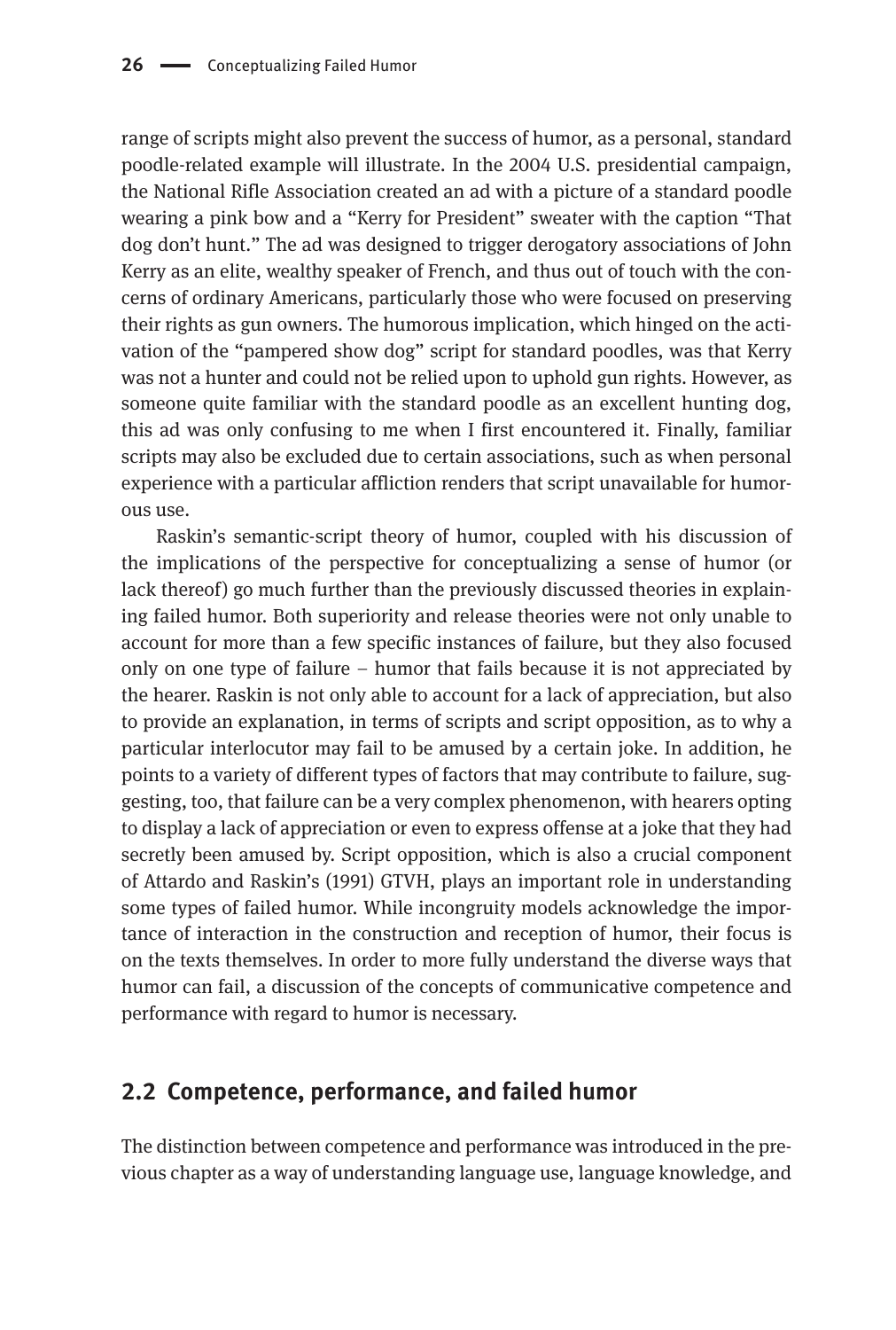range of scripts might also prevent the success of humor, as a personal, standard poodle-related example will illustrate. In the 2004 U.S. presidential campaign, the National Rifle Association created an ad with a picture of a standard poodle wearing a pink bow and a "Kerry for President" sweater with the caption "That dog don't hunt." The ad was designed to trigger derogatory associations of John Kerry as an elite, wealthy speaker of French, and thus out of touch with the concerns of ordinary Americans, particularly those who were focused on preserving their rights as gun owners. The humorous implication, which hinged on the activation of the "pampered show dog" script for standard poodles, was that Kerry was not a hunter and could not be relied upon to uphold gun rights. However, as someone quite familiar with the standard poodle as an excellent hunting dog, this ad was only confusing to me when I first encountered it. Finally, familiar scripts may also be excluded due to certain associations, such as when personal experience with a particular affliction renders that script unavailable for humorous use.

Raskin's semantic-script theory of humor, coupled with his discussion of the implications of the perspective for conceptualizing a sense of humor (or lack thereof) go much further than the previously discussed theories in explaining failed humor. Both superiority and release theories were not only unable to account for more than a few specific instances of failure, but they also focused only on one type of failure – humor that fails because it is not appreciated by the hearer. Raskin is not only able to account for a lack of appreciation, but also to provide an explanation, in terms of scripts and script opposition, as to why a particular interlocutor may fail to be amused by a certain joke. In addition, he points to a variety of different types of factors that may contribute to failure, suggesting, too, that failure can be a very complex phenomenon, with hearers opting to display a lack of appreciation or even to express offense at a joke that they had secretly been amused by. Script opposition, which is also a crucial component of Attardo and Raskin's (1991) GTVH, plays an important role in understanding some types of failed humor. While incongruity models acknowledge the importance of interaction in the construction and reception of humor, their focus is on the texts themselves. In order to more fully understand the diverse ways that humor can fail, a discussion of the concepts of communicative competence and performance with regard to humor is necessary.

#### **2.2 Competence, performance, and failed humor**

The distinction between competence and performance was introduced in the previous chapter as a way of understanding language use, language knowledge, and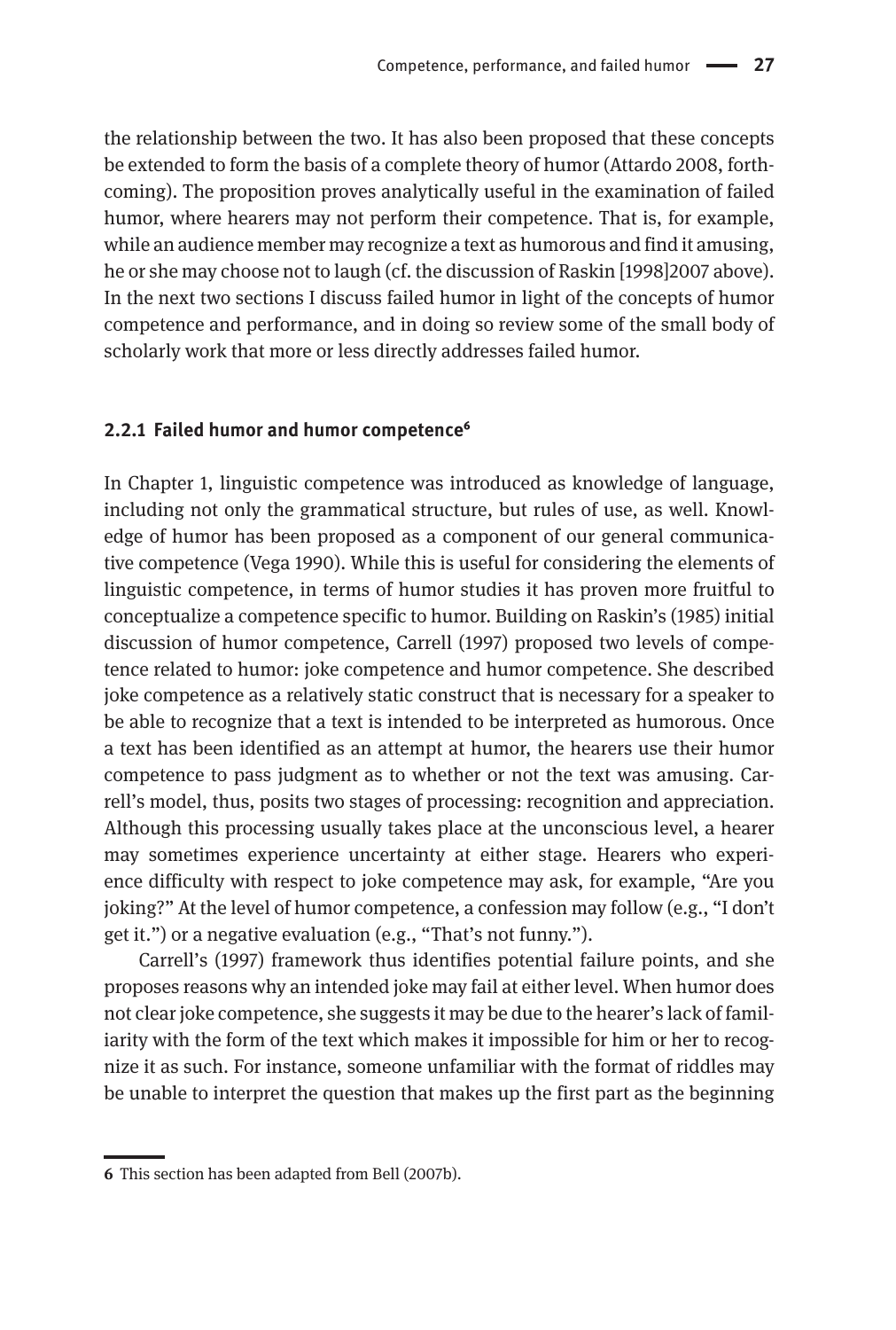the relationship between the two. It has also been proposed that these concepts be extended to form the basis of a complete theory of humor (Attardo 2008, forthcoming). The proposition proves analytically useful in the examination of failed humor, where hearers may not perform their competence. That is, for example, while an audience member may recognize a text as humorous and find it amusing, he or she may choose not to laugh (cf. the discussion of Raskin [1998]2007 above). In the next two sections I discuss failed humor in light of the concepts of humor competence and performance, and in doing so review some of the small body of scholarly work that more or less directly addresses failed humor.

#### 2.2.1 Failed humor and humor competence<sup>6</sup>

In Chapter 1, linguistic competence was introduced as knowledge of language, including not only the grammatical structure, but rules of use, as well. Knowledge of humor has been proposed as a component of our general communicative competence (Vega 1990). While this is useful for considering the elements of linguistic competence, in terms of humor studies it has proven more fruitful to conceptualize a competence specific to humor. Building on Raskin's (1985) initial discussion of humor competence, Carrell (1997) proposed two levels of competence related to humor: joke competence and humor competence. She described joke competence as a relatively static construct that is necessary for a speaker to be able to recognize that a text is intended to be interpreted as humorous. Once a text has been identified as an attempt at humor, the hearers use their humor competence to pass judgment as to whether or not the text was amusing. Carrell's model, thus, posits two stages of processing: recognition and appreciation. Although this processing usually takes place at the unconscious level, a hearer may sometimes experience uncertainty at either stage. Hearers who experience difficulty with respect to joke competence may ask, for example, "Are you joking?" At the level of humor competence, a confession may follow (e.g., "I don't get it.") or a negative evaluation (e.g., "That's not funny.").

Carrell's (1997) framework thus identifies potential failure points, and she proposes reasons why an intended joke may fail at either level. When humor does not clear joke competence, she suggests it may be due to the hearer's lack of familiarity with the form of the text which makes it impossible for him or her to recognize it as such. For instance, someone unfamiliar with the format of riddles may be unable to interpret the question that makes up the first part as the beginning

**<sup>6</sup>** This section has been adapted from Bell (2007b).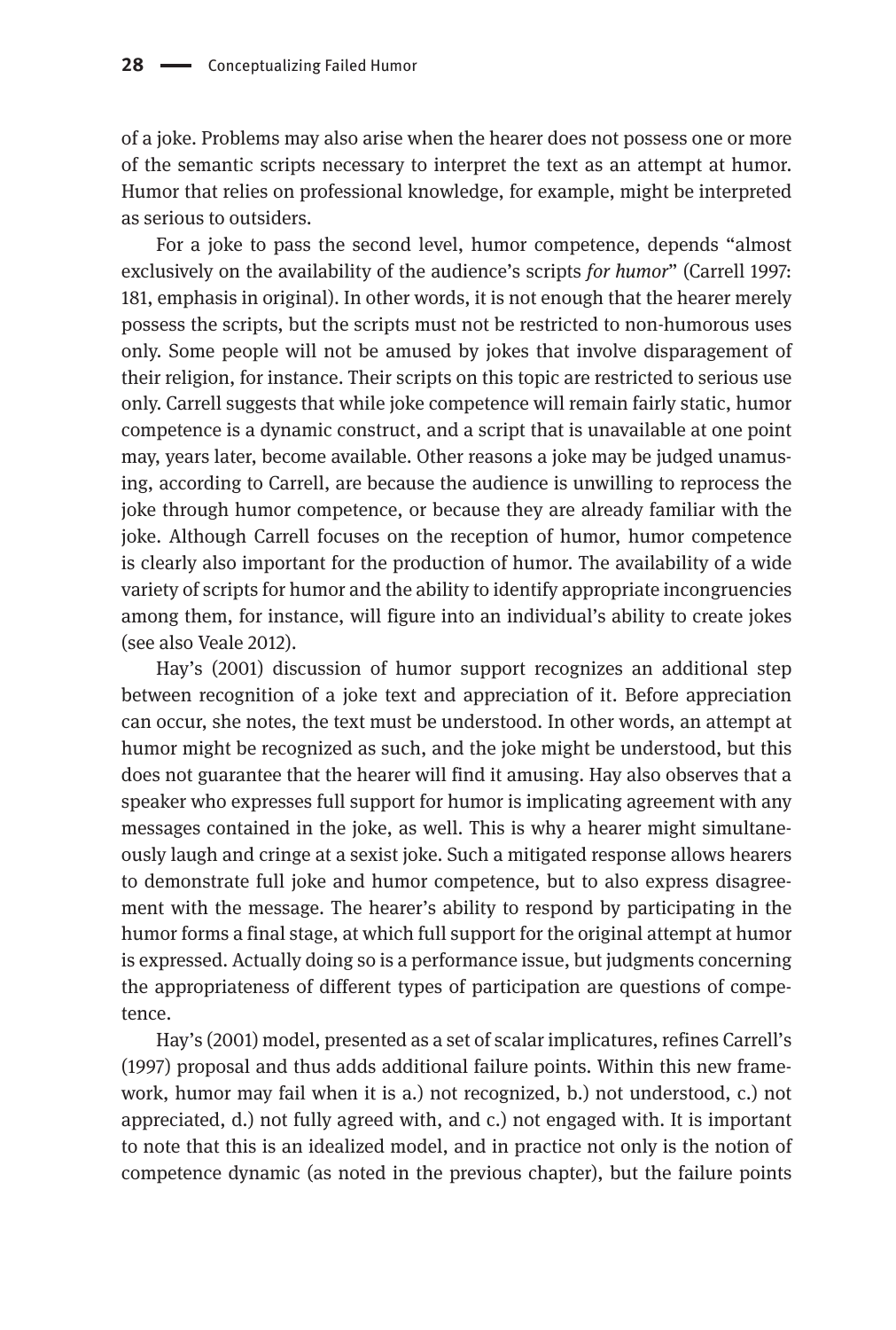of a joke. Problems may also arise when the hearer does not possess one or more of the semantic scripts necessary to interpret the text as an attempt at humor. Humor that relies on professional knowledge, for example, might be interpreted as serious to outsiders.

For a joke to pass the second level, humor competence, depends "almost exclusively on the availability of the audience's scripts *for humor*" (Carrell 1997: 181, emphasis in original). In other words, it is not enough that the hearer merely possess the scripts, but the scripts must not be restricted to non-humorous uses only. Some people will not be amused by jokes that involve disparagement of their religion, for instance. Their scripts on this topic are restricted to serious use only. Carrell suggests that while joke competence will remain fairly static, humor competence is a dynamic construct, and a script that is unavailable at one point may, years later, become available. Other reasons a joke may be judged unamusing, according to Carrell, are because the audience is unwilling to reprocess the joke through humor competence, or because they are already familiar with the joke. Although Carrell focuses on the reception of humor, humor competence is clearly also important for the production of humor. The availability of a wide variety of scripts for humor and the ability to identify appropriate incongruencies among them, for instance, will figure into an individual's ability to create jokes (see also Veale 2012).

Hay's (2001) discussion of humor support recognizes an additional step between recognition of a joke text and appreciation of it. Before appreciation can occur, she notes, the text must be understood. In other words, an attempt at humor might be recognized as such, and the joke might be understood, but this does not guarantee that the hearer will find it amusing. Hay also observes that a speaker who expresses full support for humor is implicating agreement with any messages contained in the joke, as well. This is why a hearer might simultaneously laugh and cringe at a sexist joke. Such a mitigated response allows hearers to demonstrate full joke and humor competence, but to also express disagreement with the message. The hearer's ability to respond by participating in the humor forms a final stage, at which full support for the original attempt at humor is expressed. Actually doing so is a performance issue, but judgments concerning the appropriateness of different types of participation are questions of competence.

Hay's (2001) model, presented as a set of scalar implicatures, refines Carrell's (1997) proposal and thus adds additional failure points. Within this new framework, humor may fail when it is a.) not recognized, b.) not understood, c.) not appreciated, d.) not fully agreed with, and c.) not engaged with. It is important to note that this is an idealized model, and in practice not only is the notion of competence dynamic (as noted in the previous chapter), but the failure points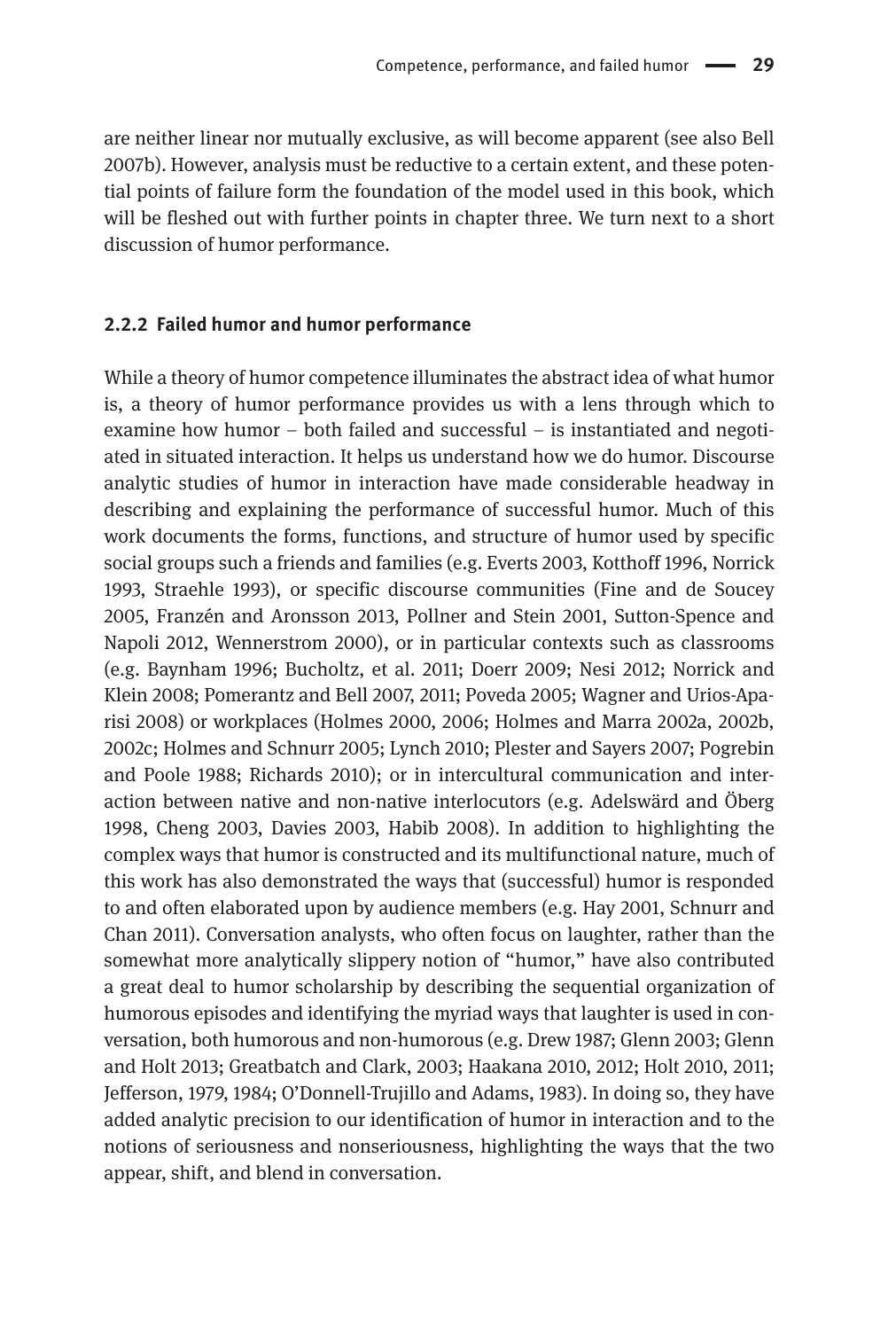are neither linear nor mutually exclusive, as will become apparent (see also Bell 2007b). However, analysis must be reductive to a certain extent, and these potential points of failure form the foundation of the model used in this book, which will be fleshed out with further points in chapter three. We turn next to a short discussion of humor performance.

#### **2.2.2 Failed humor and humor performance**

While a theory of humor competence illuminates the abstract idea of what humor is, a theory of humor performance provides us with a lens through which to examine how humor – both failed and successful – is instantiated and negotiated in situated interaction. It helps us understand how we do humor. Discourse analytic studies of humor in interaction have made considerable headway in describing and explaining the performance of successful humor. Much of this work documents the forms, functions, and structure of humor used by specific social groups such a friends and families (e.g. Everts 2003, Kotthoff 1996, Norrick 1993, Straehle 1993), or specific discourse communities (Fine and de Soucey 2005, Franzén and Aronsson 2013, Pollner and Stein 2001, Sutton-Spence and Napoli 2012, Wennerstrom 2000), or in particular contexts such as classrooms (e.g. Baynham 1996; Bucholtz, et al. 2011; Doerr 2009; Nesi 2012; Norrick and Klein 2008; Pomerantz and Bell 2007, 2011; Poveda 2005; Wagner and Urios-Aparisi 2008) or workplaces (Holmes 2000, 2006; Holmes and Marra 2002a, 2002b, 2002c; Holmes and Schnurr 2005; Lynch 2010; Plester and Sayers 2007; Pogrebin and Poole 1988; Richards 2010); or in intercultural communication and interaction between native and non-native interlocutors (e.g. Adelswärd and Öberg 1998, Cheng 2003, Davies 2003, Habib 2008). In addition to highlighting the complex ways that humor is constructed and its multifunctional nature, much of this work has also demonstrated the ways that (successful) humor is responded to and often elaborated upon by audience members (e.g. Hay 2001, Schnurr and Chan 2011). Conversation analysts, who often focus on laughter, rather than the somewhat more analytically slippery notion of "humor," have also contributed a great deal to humor scholarship by describing the sequential organization of humorous episodes and identifying the myriad ways that laughter is used in conversation, both humorous and non-humorous (e.g. Drew 1987; Glenn 2003; Glenn and Holt 2013; Greatbatch and Clark, 2003; Haakana 2010, 2012; Holt 2010, 2011; Jefferson, 1979, 1984; O'Donnell-Trujillo and Adams, 1983). In doing so, they have added analytic precision to our identification of humor in interaction and to the notions of seriousness and nonseriousness, highlighting the ways that the two appear, shift, and blend in conversation.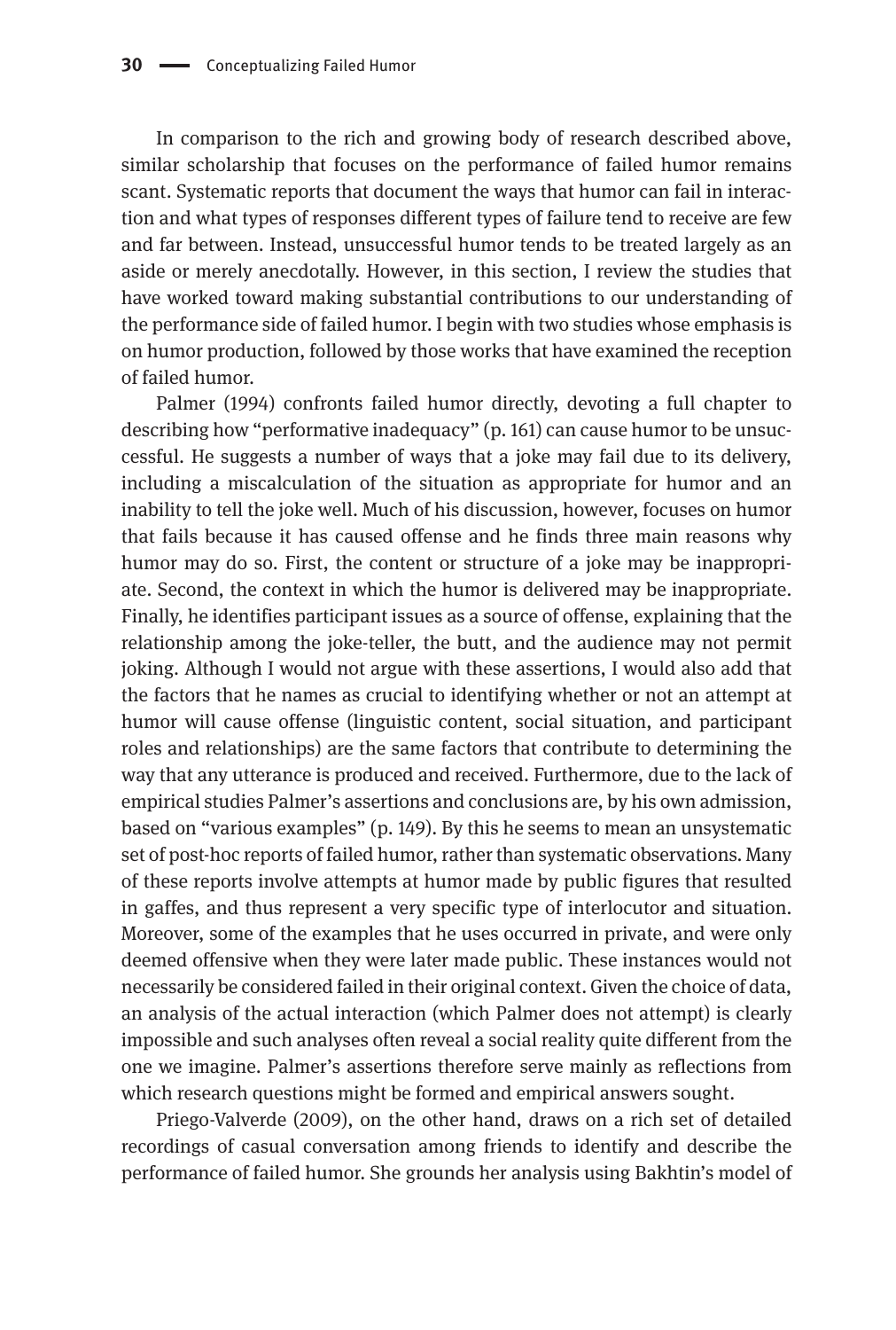In comparison to the rich and growing body of research described above, similar scholarship that focuses on the performance of failed humor remains scant. Systematic reports that document the ways that humor can fail in interaction and what types of responses different types of failure tend to receive are few and far between. Instead, unsuccessful humor tends to be treated largely as an aside or merely anecdotally. However, in this section, I review the studies that have worked toward making substantial contributions to our understanding of the performance side of failed humor. I begin with two studies whose emphasis is on humor production, followed by those works that have examined the reception of failed humor.

Palmer (1994) confronts failed humor directly, devoting a full chapter to describing how "performative inadequacy" (p. 161) can cause humor to be unsuccessful. He suggests a number of ways that a joke may fail due to its delivery, including a miscalculation of the situation as appropriate for humor and an inability to tell the joke well. Much of his discussion, however, focuses on humor that fails because it has caused offense and he finds three main reasons why humor may do so. First, the content or structure of a joke may be inappropriate. Second, the context in which the humor is delivered may be inappropriate. Finally, he identifies participant issues as a source of offense, explaining that the relationship among the joke-teller, the butt, and the audience may not permit joking. Although I would not argue with these assertions, I would also add that the factors that he names as crucial to identifying whether or not an attempt at humor will cause offense (linguistic content, social situation, and participant roles and relationships) are the same factors that contribute to determining the way that any utterance is produced and received. Furthermore, due to the lack of empirical studies Palmer's assertions and conclusions are, by his own admission, based on "various examples" (p. 149). By this he seems to mean an unsystematic set of post-hoc reports of failed humor, rather than systematic observations. Many of these reports involve attempts at humor made by public figures that resulted in gaffes, and thus represent a very specific type of interlocutor and situation. Moreover, some of the examples that he uses occurred in private, and were only deemed offensive when they were later made public. These instances would not necessarily be considered failed in their original context. Given the choice of data, an analysis of the actual interaction (which Palmer does not attempt) is clearly impossible and such analyses often reveal a social reality quite different from the one we imagine. Palmer's assertions therefore serve mainly as reflections from which research questions might be formed and empirical answers sought.

Priego-Valverde (2009), on the other hand, draws on a rich set of detailed recordings of casual conversation among friends to identify and describe the performance of failed humor. She grounds her analysis using Bakhtin's model of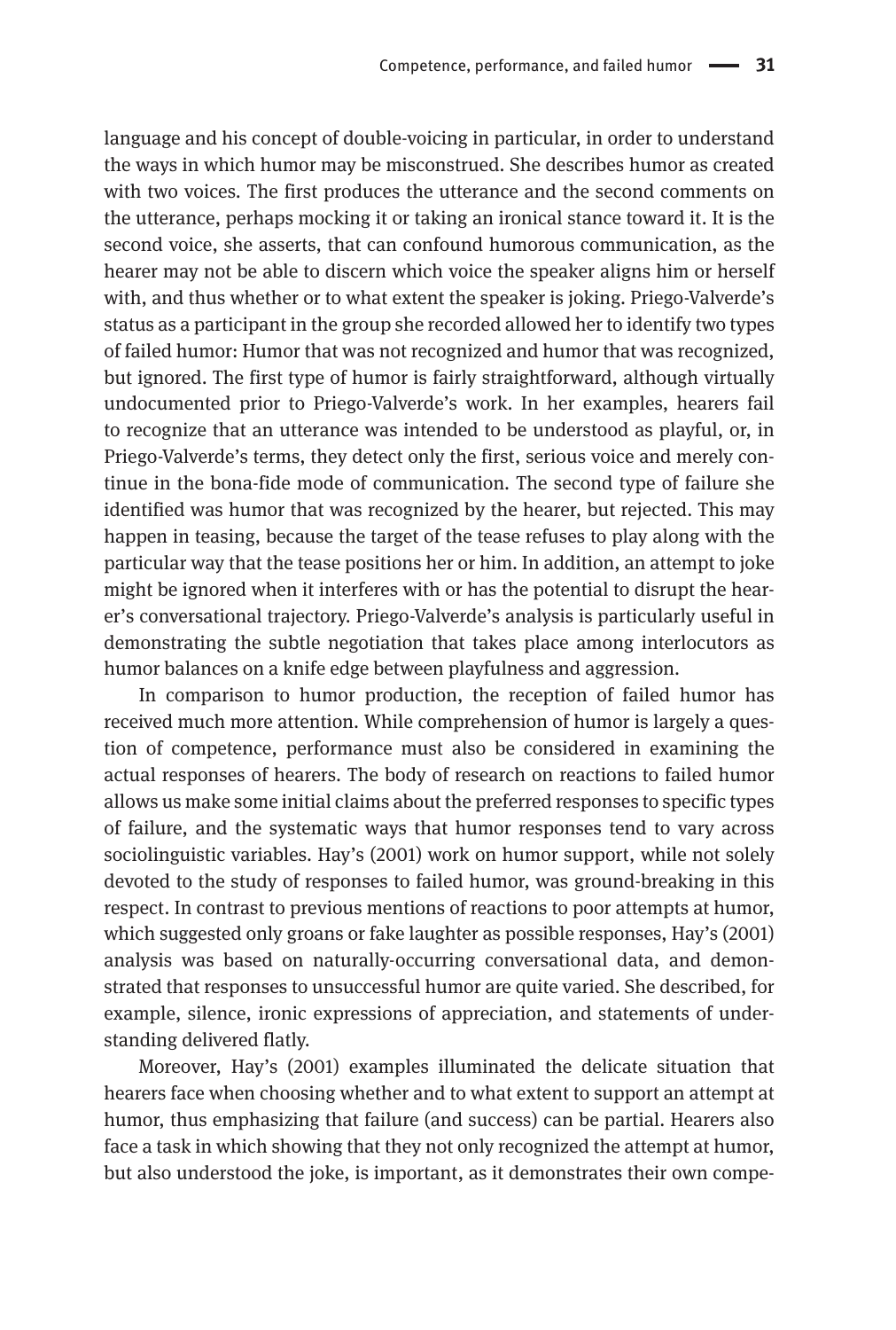language and his concept of double-voicing in particular, in order to understand the ways in which humor may be misconstrued. She describes humor as created with two voices. The first produces the utterance and the second comments on the utterance, perhaps mocking it or taking an ironical stance toward it. It is the second voice, she asserts, that can confound humorous communication, as the hearer may not be able to discern which voice the speaker aligns him or herself with, and thus whether or to what extent the speaker is joking. Priego-Valverde's status as a participant in the group she recorded allowed her to identify two types of failed humor: Humor that was not recognized and humor that was recognized, but ignored. The first type of humor is fairly straightforward, although virtually undocumented prior to Priego-Valverde's work. In her examples, hearers fail to recognize that an utterance was intended to be understood as playful, or, in Priego-Valverde's terms, they detect only the first, serious voice and merely continue in the bona-fide mode of communication. The second type of failure she identified was humor that was recognized by the hearer, but rejected. This may happen in teasing, because the target of the tease refuses to play along with the particular way that the tease positions her or him. In addition, an attempt to joke might be ignored when it interferes with or has the potential to disrupt the hearer's conversational trajectory. Priego-Valverde's analysis is particularly useful in demonstrating the subtle negotiation that takes place among interlocutors as humor balances on a knife edge between playfulness and aggression.

In comparison to humor production, the reception of failed humor has received much more attention. While comprehension of humor is largely a question of competence, performance must also be considered in examining the actual responses of hearers. The body of research on reactions to failed humor allows us make some initial claims about the preferred responses to specific types of failure, and the systematic ways that humor responses tend to vary across sociolinguistic variables. Hay's (2001) work on humor support, while not solely devoted to the study of responses to failed humor, was ground-breaking in this respect. In contrast to previous mentions of reactions to poor attempts at humor, which suggested only groans or fake laughter as possible responses, Hay's (2001) analysis was based on naturally-occurring conversational data, and demonstrated that responses to unsuccessful humor are quite varied. She described, for example, silence, ironic expressions of appreciation, and statements of understanding delivered flatly.

Moreover, Hay's (2001) examples illuminated the delicate situation that hearers face when choosing whether and to what extent to support an attempt at humor, thus emphasizing that failure (and success) can be partial. Hearers also face a task in which showing that they not only recognized the attempt at humor, but also understood the joke, is important, as it demonstrates their own compe-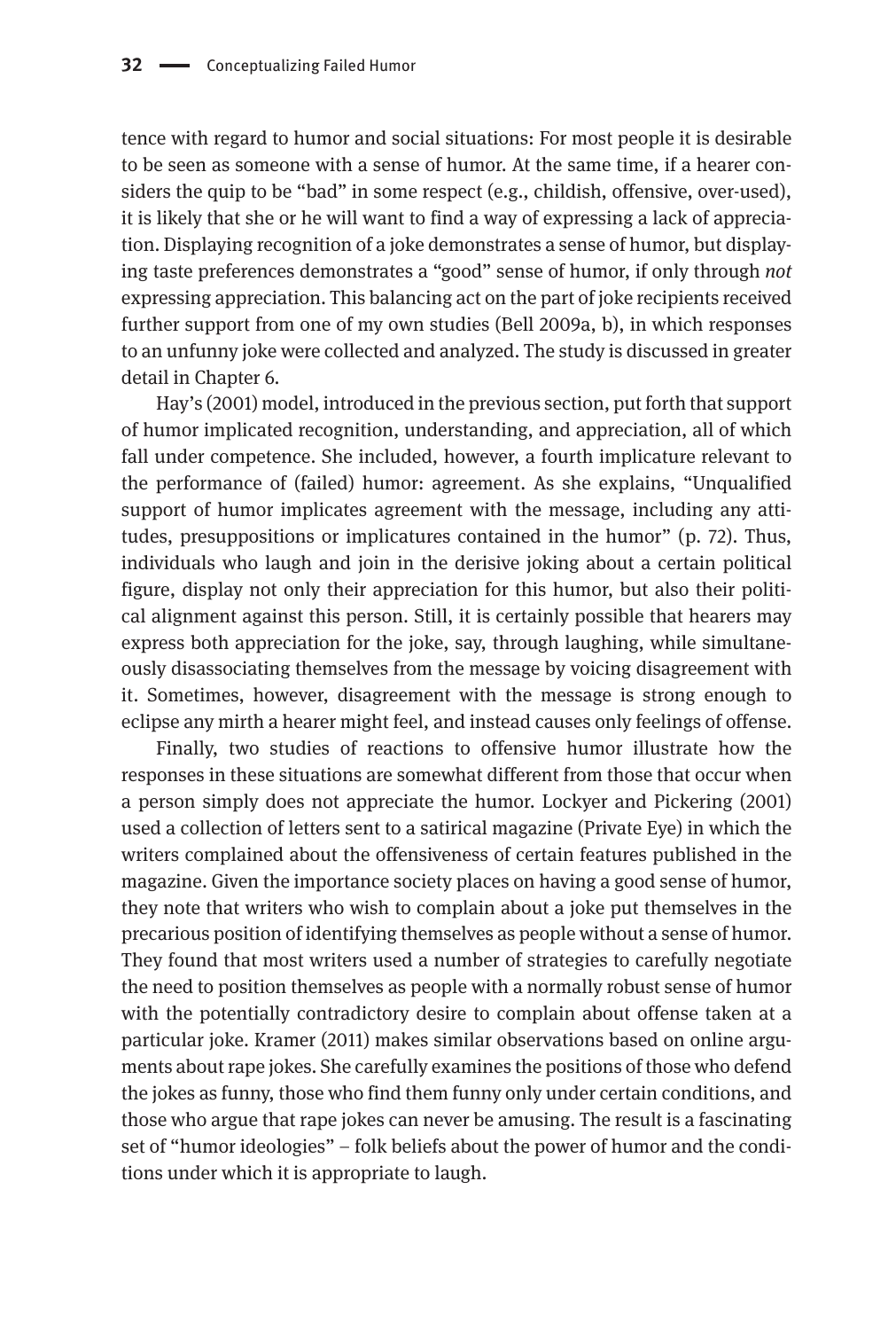tence with regard to humor and social situations: For most people it is desirable to be seen as someone with a sense of humor. At the same time, if a hearer considers the quip to be "bad" in some respect (e.g., childish, offensive, over-used), it is likely that she or he will want to find a way of expressing a lack of appreciation. Displaying recognition of a joke demonstrates a sense of humor, but displaying taste preferences demonstrates a "good" sense of humor, if only through *not* expressing appreciation. This balancing act on the part of joke recipients received further support from one of my own studies (Bell 2009a, b), in which responses to an unfunny joke were collected and analyzed. The study is discussed in greater detail in Chapter 6.

Hay's (2001) model, introduced in the previous section, put forth that support of humor implicated recognition, understanding, and appreciation, all of which fall under competence. She included, however, a fourth implicature relevant to the performance of (failed) humor: agreement. As she explains, "Unqualified support of humor implicates agreement with the message, including any attitudes, presuppositions or implicatures contained in the humor" (p. 72). Thus, individuals who laugh and join in the derisive joking about a certain political figure, display not only their appreciation for this humor, but also their political alignment against this person. Still, it is certainly possible that hearers may express both appreciation for the joke, say, through laughing, while simultaneously disassociating themselves from the message by voicing disagreement with it. Sometimes, however, disagreement with the message is strong enough to eclipse any mirth a hearer might feel, and instead causes only feelings of offense.

Finally, two studies of reactions to offensive humor illustrate how the responses in these situations are somewhat different from those that occur when a person simply does not appreciate the humor. Lockyer and Pickering (2001) used a collection of letters sent to a satirical magazine (Private Eye) in which the writers complained about the offensiveness of certain features published in the magazine. Given the importance society places on having a good sense of humor, they note that writers who wish to complain about a joke put themselves in the precarious position of identifying themselves as people without a sense of humor. They found that most writers used a number of strategies to carefully negotiate the need to position themselves as people with a normally robust sense of humor with the potentially contradictory desire to complain about offense taken at a particular joke. Kramer (2011) makes similar observations based on online arguments about rape jokes. She carefully examines the positions of those who defend the jokes as funny, those who find them funny only under certain conditions, and those who argue that rape jokes can never be amusing. The result is a fascinating set of "humor ideologies" – folk beliefs about the power of humor and the conditions under which it is appropriate to laugh.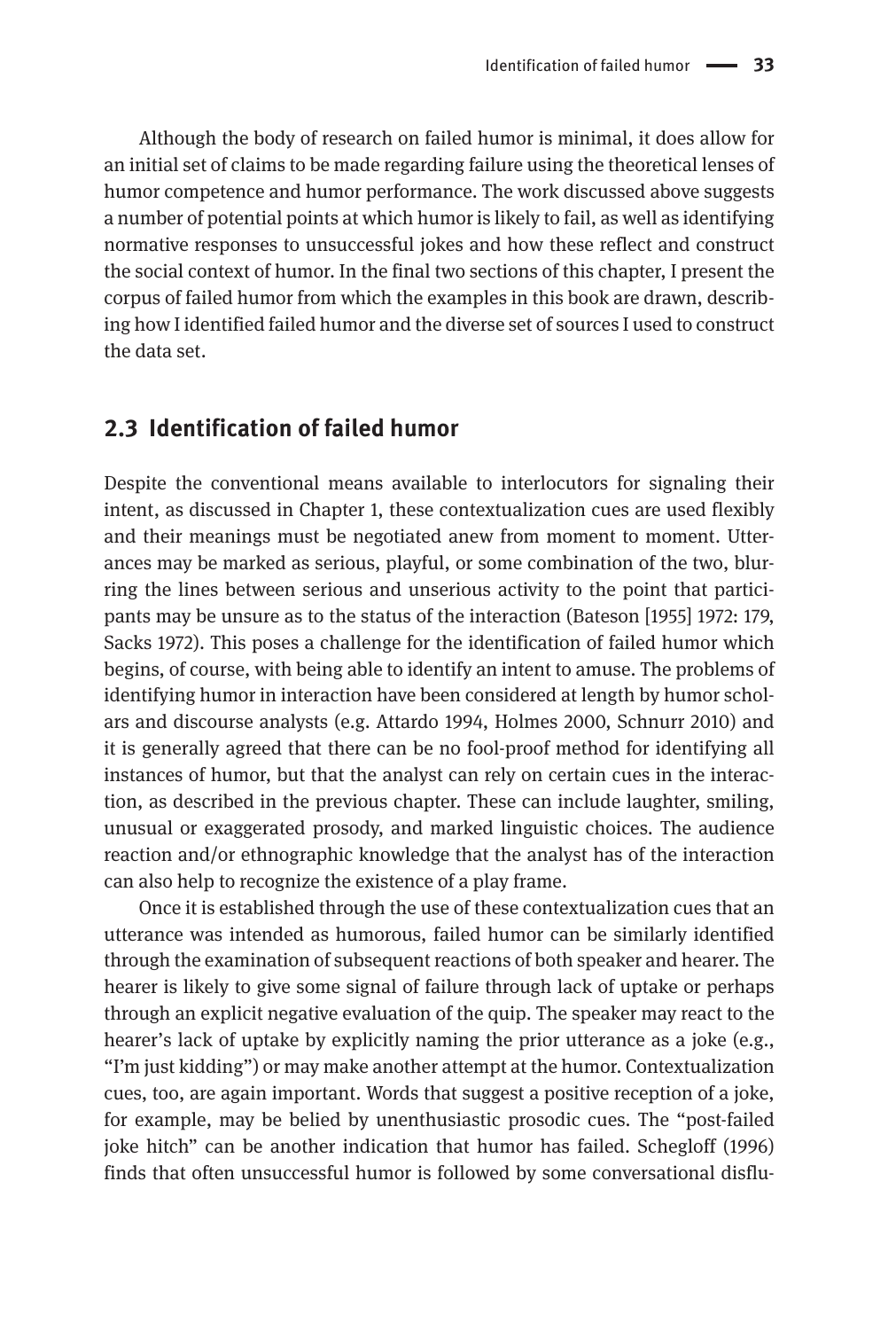Although the body of research on failed humor is minimal, it does allow for an initial set of claims to be made regarding failure using the theoretical lenses of humor competence and humor performance. The work discussed above suggests a number of potential points at which humor is likely to fail, as well as identifying normative responses to unsuccessful jokes and how these reflect and construct the social context of humor. In the final two sections of this chapter, I present the corpus of failed humor from which the examples in this book are drawn, describing how I identified failed humor and the diverse set of sources I used to construct the data set.

### **2.3 Identification of failed humor**

Despite the conventional means available to interlocutors for signaling their intent, as discussed in Chapter 1, these contextualization cues are used flexibly and their meanings must be negotiated anew from moment to moment. Utterances may be marked as serious, playful, or some combination of the two, blurring the lines between serious and unserious activity to the point that participants may be unsure as to the status of the interaction (Bateson [1955] 1972: 179, Sacks 1972). This poses a challenge for the identification of failed humor which begins, of course, with being able to identify an intent to amuse. The problems of identifying humor in interaction have been considered at length by humor scholars and discourse analysts (e.g. Attardo 1994, Holmes 2000, Schnurr 2010) and it is generally agreed that there can be no fool-proof method for identifying all instances of humor, but that the analyst can rely on certain cues in the interaction, as described in the previous chapter. These can include laughter, smiling, unusual or exaggerated prosody, and marked linguistic choices. The audience reaction and/or ethnographic knowledge that the analyst has of the interaction can also help to recognize the existence of a play frame.

Once it is established through the use of these contextualization cues that an utterance was intended as humorous, failed humor can be similarly identified through the examination of subsequent reactions of both speaker and hearer. The hearer is likely to give some signal of failure through lack of uptake or perhaps through an explicit negative evaluation of the quip. The speaker may react to the hearer's lack of uptake by explicitly naming the prior utterance as a joke (e.g., "I'm just kidding") or may make another attempt at the humor. Contextualization cues, too, are again important. Words that suggest a positive reception of a joke, for example, may be belied by unenthusiastic prosodic cues. The "post-failed joke hitch" can be another indication that humor has failed. Schegloff (1996) finds that often unsuccessful humor is followed by some conversational disflu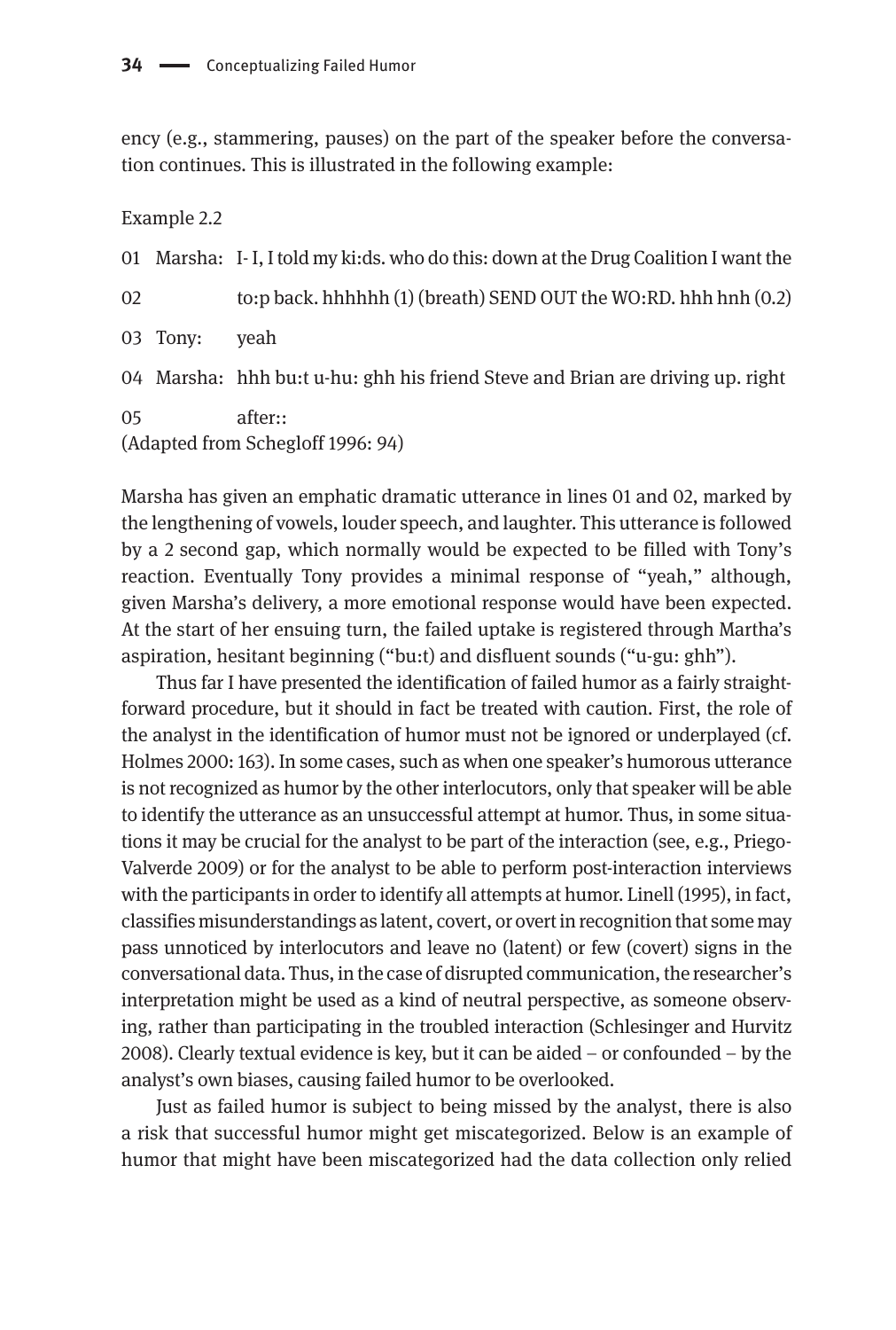ency (e.g., stammering, pauses) on the part of the speaker before the conversation continues. This is illustrated in the following example:

#### Example 2.2

|                                   |          | 01 Marsha: I-I, I told my ki:ds. who do this: down at the Drug Coalition I want the |  |
|-----------------------------------|----------|-------------------------------------------------------------------------------------|--|
| 02                                |          | to:p back. hhhhhh (1) (breath) SEND OUT the WO:RD. hhh hnh (0.2)                    |  |
|                                   | 03 Tony: | veah                                                                                |  |
|                                   |          | 04 Marsha: hhh bu:t u-hu: ghh his friend Steve and Brian are driving up. right      |  |
| 05                                |          | after::                                                                             |  |
| (Adapted from Schegloff 1996: 94) |          |                                                                                     |  |

Marsha has given an emphatic dramatic utterance in lines 01 and 02, marked by the lengthening of vowels, louder speech, and laughter. This utterance is followed by a 2 second gap, which normally would be expected to be filled with Tony's reaction. Eventually Tony provides a minimal response of "yeah," although, given Marsha's delivery, a more emotional response would have been expected. At the start of her ensuing turn, the failed uptake is registered through Martha's aspiration, hesitant beginning ("bu:t) and disfluent sounds ("u-gu: ghh").

Thus far I have presented the identification of failed humor as a fairly straightforward procedure, but it should in fact be treated with caution. First, the role of the analyst in the identification of humor must not be ignored or underplayed (cf. Holmes 2000: 163). In some cases, such as when one speaker's humorous utterance is not recognized as humor by the other interlocutors, only that speaker will be able to identify the utterance as an unsuccessful attempt at humor. Thus, in some situations it may be crucial for the analyst to be part of the interaction (see, e.g., Priego-Valverde 2009) or for the analyst to be able to perform post-interaction interviews with the participants in order to identify all attempts at humor. Linell (1995), in fact, classifies misunderstandings as latent, covert, or overt in recognition that some may pass unnoticed by interlocutors and leave no (latent) or few (covert) signs in the conversational data. Thus, in the case of disrupted communication, the researcher's interpretation might be used as a kind of neutral perspective, as someone observing, rather than participating in the troubled interaction (Schlesinger and Hurvitz 2008). Clearly textual evidence is key, but it can be aided – or confounded – by the analyst's own biases, causing failed humor to be overlooked.

Just as failed humor is subject to being missed by the analyst, there is also a risk that successful humor might get miscategorized. Below is an example of humor that might have been miscategorized had the data collection only relied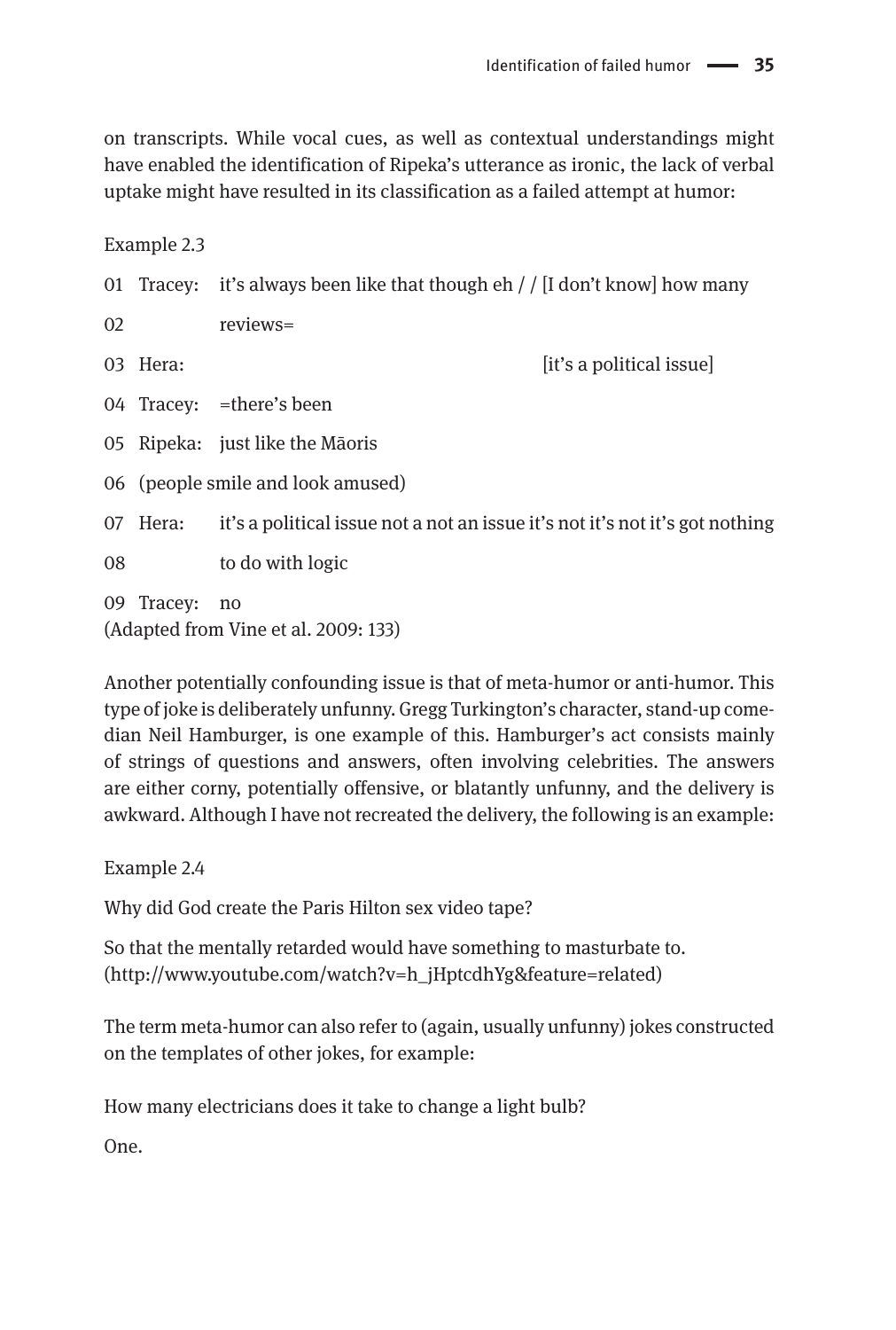on transcripts. While vocal cues, as well as contextual understandings might have enabled the identification of Ripeka's utterance as ironic, the lack of verbal uptake might have resulted in its classification as a failed attempt at humor:

Example 2.3 01 Tracey: it's always been like that though eh / / [I don't know] how many 02 reviews= 03 Hera: [it's a political issue] 04 Tracey: =there's been 05 Ripeka: just like the Māoris 06 (people smile and look amused) 07 Hera: it's a political issue not a not an issue it's not it's not it's got nothing 08 to do with logic 09 Tracey: no (Adapted from Vine et al. 2009: 133)

Another potentially confounding issue is that of meta-humor or anti-humor. This type of joke is deliberately unfunny. Gregg Turkington's character, stand-up comedian Neil Hamburger, is one example of this. Hamburger's act consists mainly of strings of questions and answers, often involving celebrities. The answers are either corny, potentially offensive, or blatantly unfunny, and the delivery is awkward. Although I have not recreated the delivery, the following is an example:

Example 2.4

Why did God create the Paris Hilton sex video tape?

So that the mentally retarded would have something to masturbate to. (http://www.youtube.com/watch?v=h\_jHptcdhYg&feature=related)

The term meta-humor can also refer to (again, usually unfunny) jokes constructed on the templates of other jokes, for example:

How many electricians does it take to change a light bulb?

One.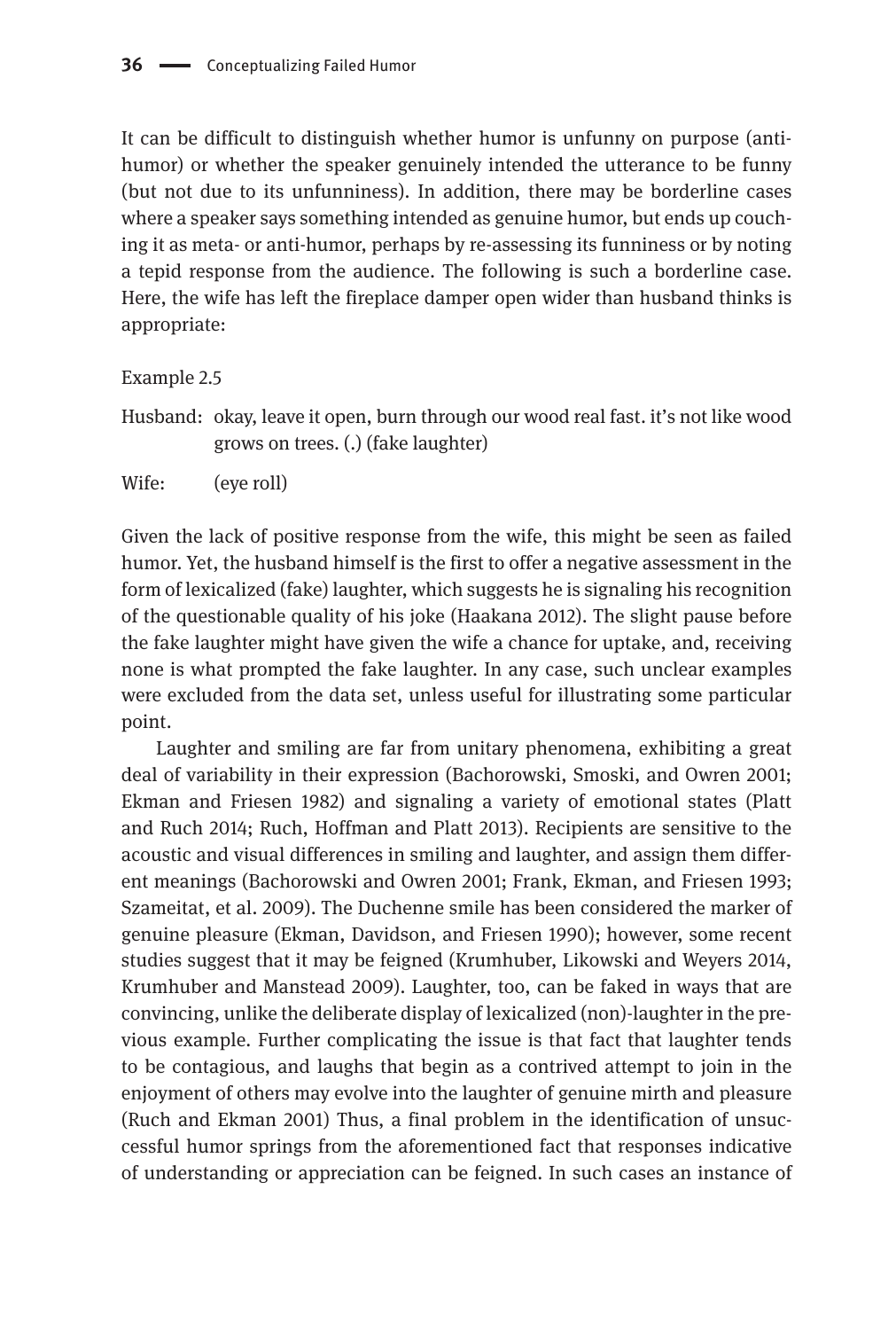It can be difficult to distinguish whether humor is unfunny on purpose (antihumor) or whether the speaker genuinely intended the utterance to be funny (but not due to its unfunniness). In addition, there may be borderline cases where a speaker says something intended as genuine humor, but ends up couching it as meta- or anti-humor, perhaps by re-assessing its funniness or by noting a tepid response from the audience. The following is such a borderline case. Here, the wife has left the fireplace damper open wider than husband thinks is appropriate:

Example 2.5

Husband: okay, leave it open, burn through our wood real fast. it's not like wood grows on trees. (.) (fake laughter)

Wife: (eye roll)

Given the lack of positive response from the wife, this might be seen as failed humor. Yet, the husband himself is the first to offer a negative assessment in the form of lexicalized (fake) laughter, which suggests he is signaling his recognition of the questionable quality of his joke (Haakana 2012). The slight pause before the fake laughter might have given the wife a chance for uptake, and, receiving none is what prompted the fake laughter. In any case, such unclear examples were excluded from the data set, unless useful for illustrating some particular point.

Laughter and smiling are far from unitary phenomena, exhibiting a great deal of variability in their expression (Bachorowski, Smoski, and Owren 2001; Ekman and Friesen 1982) and signaling a variety of emotional states (Platt and Ruch 2014; Ruch, Hoffman and Platt 2013). Recipients are sensitive to the acoustic and visual differences in smiling and laughter, and assign them different meanings (Bachorowski and Owren 2001; Frank, Ekman, and Friesen 1993; Szameitat, et al. 2009). The Duchenne smile has been considered the marker of genuine pleasure (Ekman, Davidson, and Friesen 1990); however, some recent studies suggest that it may be feigned (Krumhuber, Likowski and Weyers 2014, Krumhuber and Manstead 2009). Laughter, too, can be faked in ways that are convincing, unlike the deliberate display of lexicalized (non)-laughter in the previous example. Further complicating the issue is that fact that laughter tends to be contagious, and laughs that begin as a contrived attempt to join in the enjoyment of others may evolve into the laughter of genuine mirth and pleasure (Ruch and Ekman 2001) Thus, a final problem in the identification of unsuccessful humor springs from the aforementioned fact that responses indicative of understanding or appreciation can be feigned. In such cases an instance of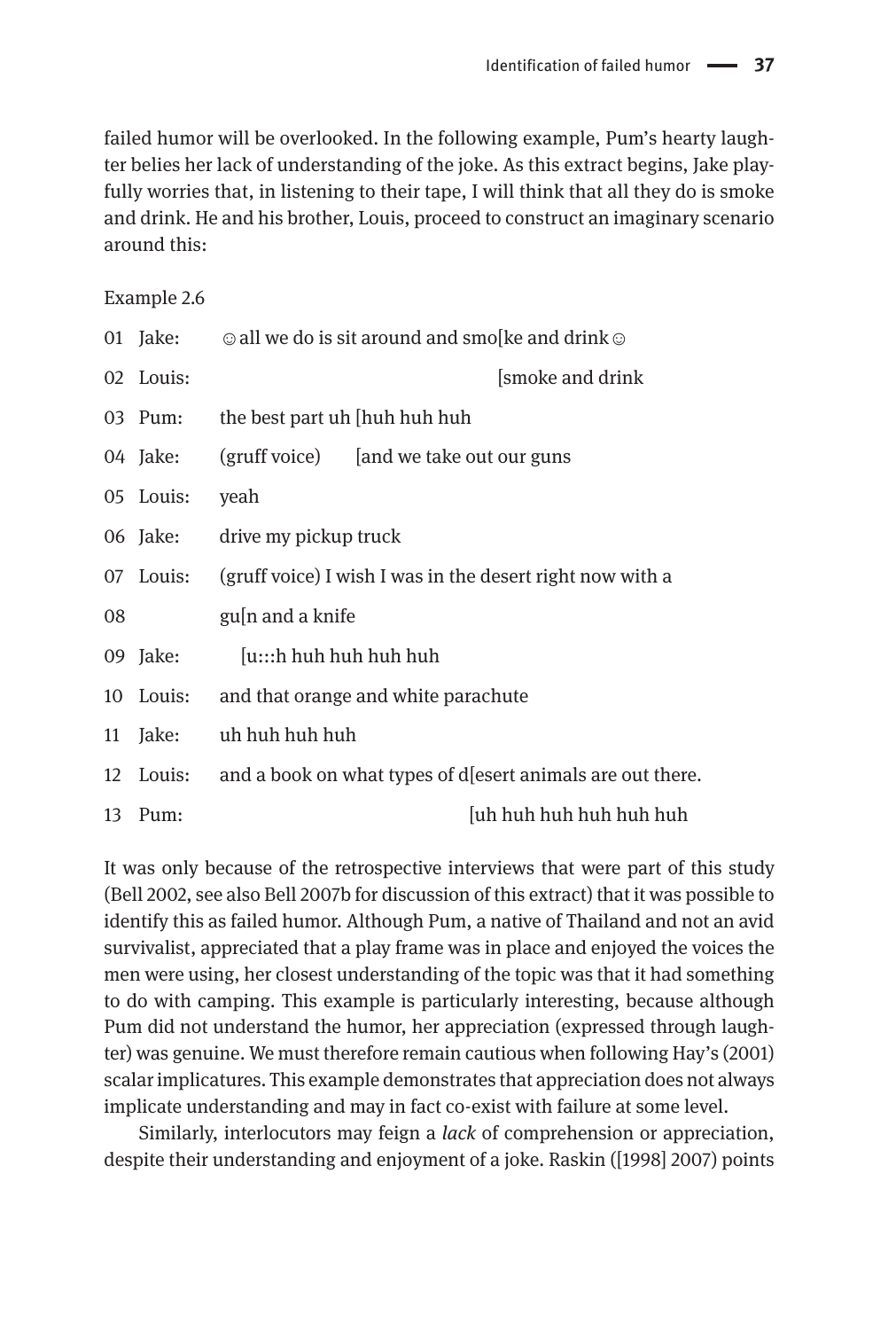failed humor will be overlooked. In the following example, Pum's hearty laughter belies her lack of understanding of the joke. As this extract begins, Jake playfully worries that, in listening to their tape, I will think that all they do is smoke and drink. He and his brother, Louis, proceed to construct an imaginary scenario around this:

#### Example 2.6

|    |           | 01 Jake: $\odot$ all we do is sit around and smo[ke and drink $\odot$ |
|----|-----------|-----------------------------------------------------------------------|
|    | 02 Louis: | smoke and drink                                                       |
|    | 03 Pum:   | the best part uh [huh huh huh                                         |
|    | 04 Jake:  | (gruff voice) [and we take out our guns                               |
|    | 05 Louis: | yeah                                                                  |
|    | 06 Jake:  | drive my pickup truck                                                 |
|    | 07 Louis: | (gruff voice) I wish I was in the desert right now with a             |
| 08 |           | gu[n and a knife                                                      |
|    | 09 Jake:  | [u:::h huh huh huh huh                                                |
|    | 10 Louis: | and that orange and white parachute                                   |
|    | 11 Jake:  | uh huh huh huh                                                        |
| 12 | Louis:    | and a book on what types of d[esert animals are out there.            |
| 13 | Pum:      | [uh huh huh huh huh huh                                               |

It was only because of the retrospective interviews that were part of this study (Bell 2002, see also Bell 2007b for discussion of this extract) that it was possible to identify this as failed humor. Although Pum, a native of Thailand and not an avid survivalist, appreciated that a play frame was in place and enjoyed the voices the men were using, her closest understanding of the topic was that it had something to do with camping. This example is particularly interesting, because although Pum did not understand the humor, her appreciation (expressed through laughter) was genuine. We must therefore remain cautious when following Hay's (2001) scalar implicatures. This example demonstrates that appreciation does not always implicate understanding and may in fact co-exist with failure at some level.

Similarly, interlocutors may feign a *lack* of comprehension or appreciation, despite their understanding and enjoyment of a joke. Raskin ([1998] 2007) points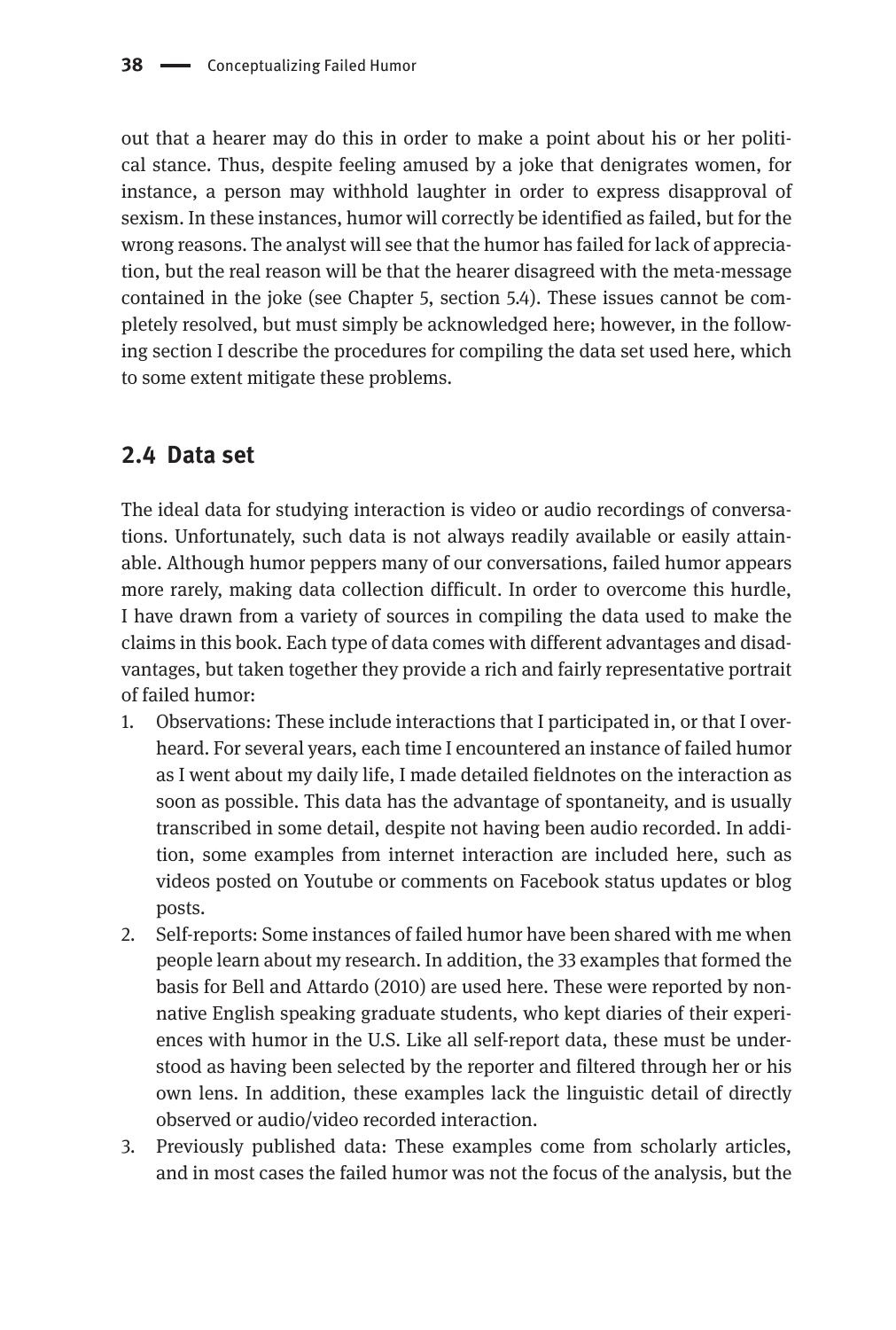out that a hearer may do this in order to make a point about his or her political stance. Thus, despite feeling amused by a joke that denigrates women, for instance, a person may withhold laughter in order to express disapproval of sexism. In these instances, humor will correctly be identified as failed, but for the wrong reasons. The analyst will see that the humor has failed for lack of appreciation, but the real reason will be that the hearer disagreed with the meta-message contained in the joke (see Chapter 5, section 5.4). These issues cannot be completely resolved, but must simply be acknowledged here; however, in the following section I describe the procedures for compiling the data set used here, which to some extent mitigate these problems.

## **2.4 Data set**

The ideal data for studying interaction is video or audio recordings of conversations. Unfortunately, such data is not always readily available or easily attainable. Although humor peppers many of our conversations, failed humor appears more rarely, making data collection difficult. In order to overcome this hurdle, I have drawn from a variety of sources in compiling the data used to make the claims in this book. Each type of data comes with different advantages and disadvantages, but taken together they provide a rich and fairly representative portrait of failed humor:

- 1. Observations: These include interactions that I participated in, or that I overheard. For several years, each time I encountered an instance of failed humor as I went about my daily life, I made detailed fieldnotes on the interaction as soon as possible. This data has the advantage of spontaneity, and is usually transcribed in some detail, despite not having been audio recorded. In addition, some examples from internet interaction are included here, such as videos posted on Youtube or comments on Facebook status updates or blog posts.
- 2. Self-reports: Some instances of failed humor have been shared with me when people learn about my research. In addition, the 33 examples that formed the basis for Bell and Attardo (2010) are used here. These were reported by nonnative English speaking graduate students, who kept diaries of their experiences with humor in the U.S. Like all self-report data, these must be understood as having been selected by the reporter and filtered through her or his own lens. In addition, these examples lack the linguistic detail of directly observed or audio/video recorded interaction.
- 3. Previously published data: These examples come from scholarly articles, and in most cases the failed humor was not the focus of the analysis, but the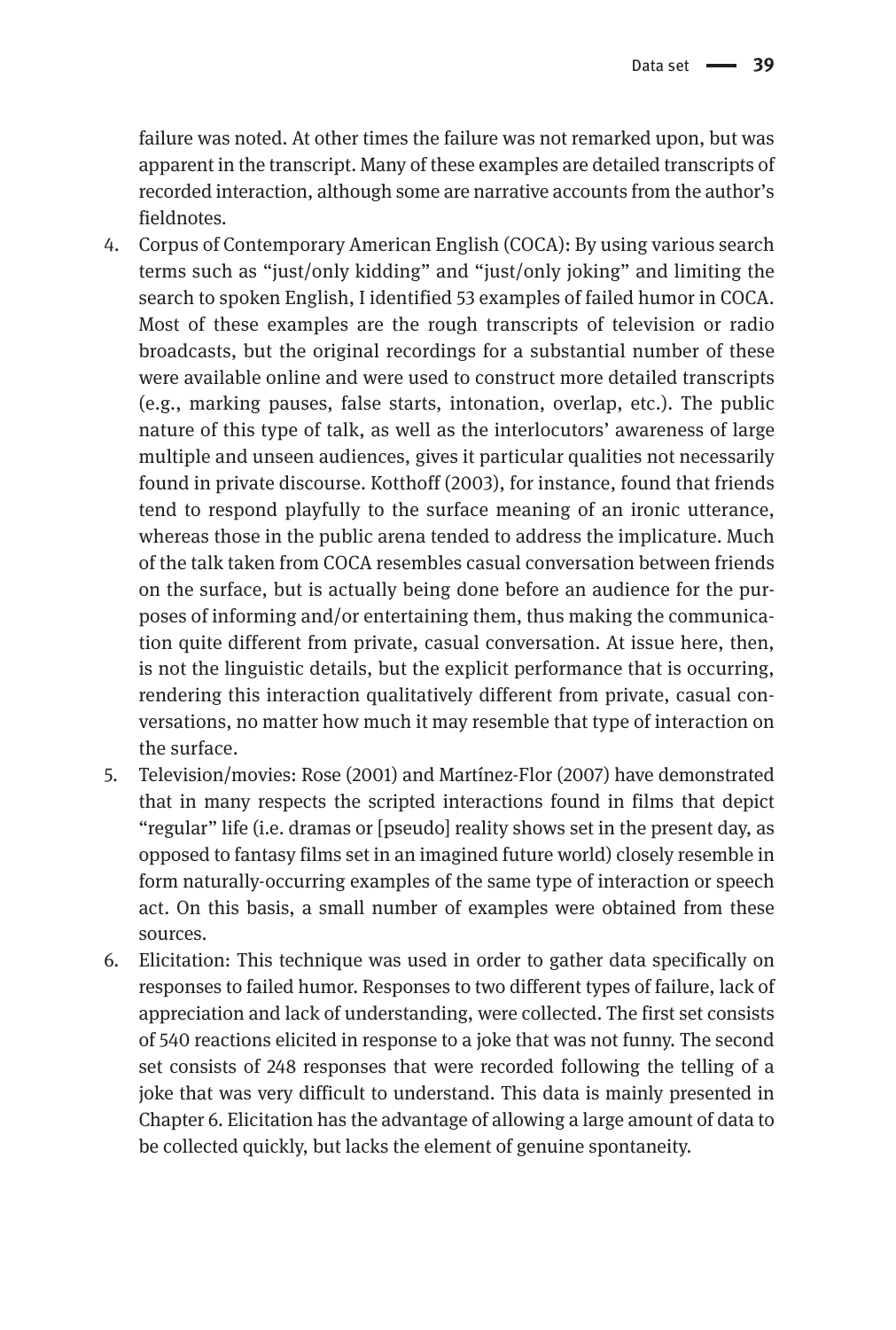failure was noted. At other times the failure was not remarked upon, but was apparent in the transcript. Many of these examples are detailed transcripts of recorded interaction, although some are narrative accounts from the author's fieldnotes.

- 4. Corpus of Contemporary American English (COCA): By using various search terms such as "just/only kidding" and "just/only joking" and limiting the search to spoken English, I identified 53 examples of failed humor in COCA. Most of these examples are the rough transcripts of television or radio broadcasts, but the original recordings for a substantial number of these were available online and were used to construct more detailed transcripts (e.g., marking pauses, false starts, intonation, overlap, etc.). The public nature of this type of talk, as well as the interlocutors' awareness of large multiple and unseen audiences, gives it particular qualities not necessarily found in private discourse. Kotthoff (2003), for instance, found that friends tend to respond playfully to the surface meaning of an ironic utterance, whereas those in the public arena tended to address the implicature. Much of the talk taken from COCA resembles casual conversation between friends on the surface, but is actually being done before an audience for the purposes of informing and/or entertaining them, thus making the communication quite different from private, casual conversation. At issue here, then, is not the linguistic details, but the explicit performance that is occurring, rendering this interaction qualitatively different from private, casual conversations, no matter how much it may resemble that type of interaction on the surface.
- 5. Television/movies: Rose (2001) and Martínez-Flor (2007) have demonstrated that in many respects the scripted interactions found in films that depict "regular" life (i.e. dramas or [pseudo] reality shows set in the present day, as opposed to fantasy films set in an imagined future world) closely resemble in form naturally-occurring examples of the same type of interaction or speech act. On this basis, a small number of examples were obtained from these sources.
- 6. Elicitation: This technique was used in order to gather data specifically on responses to failed humor. Responses to two different types of failure, lack of appreciation and lack of understanding, were collected. The first set consists of 540 reactions elicited in response to a joke that was not funny. The second set consists of 248 responses that were recorded following the telling of a joke that was very difficult to understand. This data is mainly presented in Chapter 6. Elicitation has the advantage of allowing a large amount of data to be collected quickly, but lacks the element of genuine spontaneity.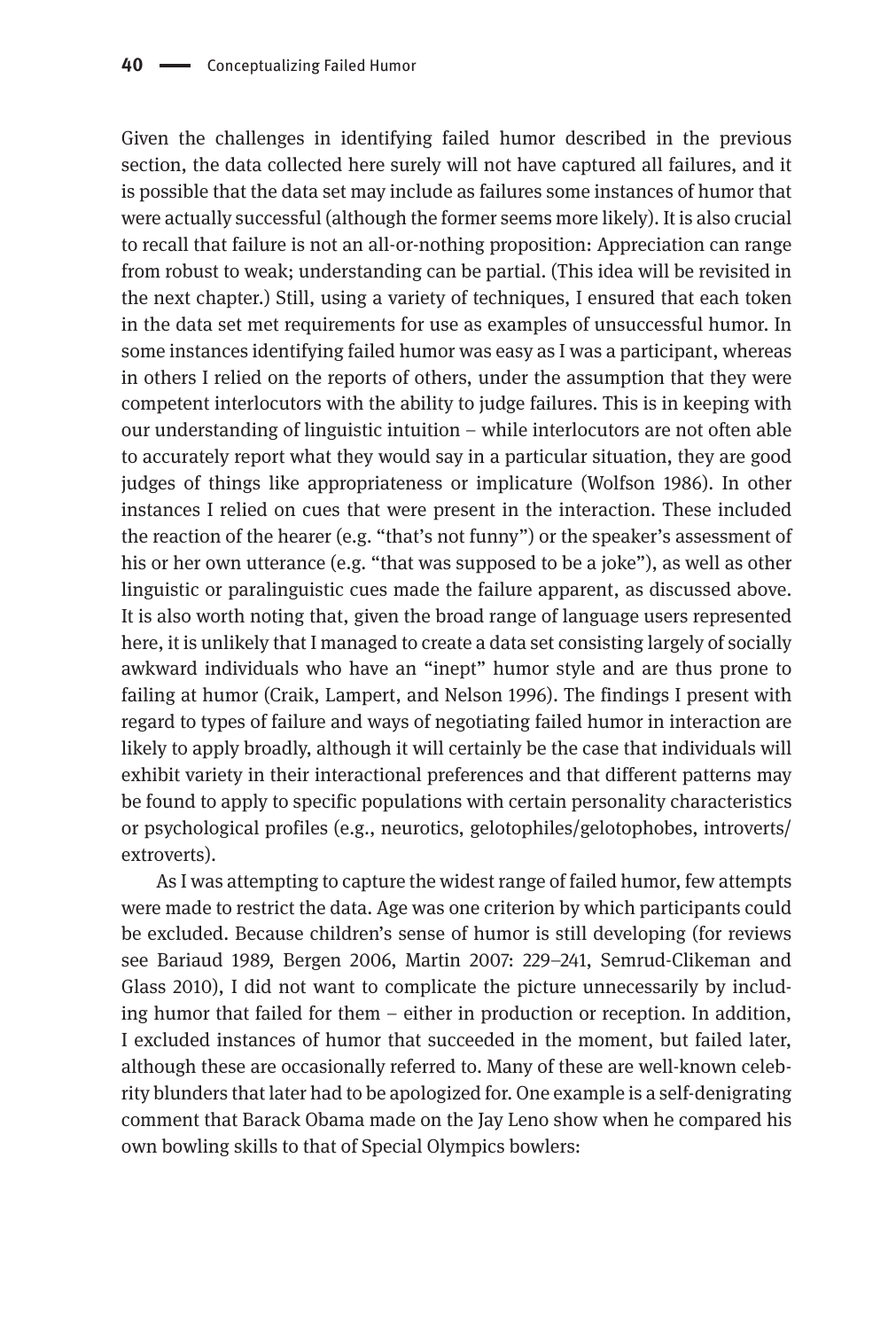Given the challenges in identifying failed humor described in the previous section, the data collected here surely will not have captured all failures, and it is possible that the data set may include as failures some instances of humor that were actually successful (although the former seems more likely). It is also crucial to recall that failure is not an all-or-nothing proposition: Appreciation can range from robust to weak; understanding can be partial. (This idea will be revisited in the next chapter.) Still, using a variety of techniques, I ensured that each token in the data set met requirements for use as examples of unsuccessful humor. In some instances identifying failed humor was easy as I was a participant, whereas in others I relied on the reports of others, under the assumption that they were competent interlocutors with the ability to judge failures. This is in keeping with our understanding of linguistic intuition – while interlocutors are not often able to accurately report what they would say in a particular situation, they are good judges of things like appropriateness or implicature (Wolfson 1986). In other instances I relied on cues that were present in the interaction. These included the reaction of the hearer (e.g. "that's not funny") or the speaker's assessment of his or her own utterance (e.g. "that was supposed to be a joke"), as well as other linguistic or paralinguistic cues made the failure apparent, as discussed above. It is also worth noting that, given the broad range of language users represented here, it is unlikely that I managed to create a data set consisting largely of socially awkward individuals who have an "inept" humor style and are thus prone to failing at humor (Craik, Lampert, and Nelson 1996). The findings I present with regard to types of failure and ways of negotiating failed humor in interaction are likely to apply broadly, although it will certainly be the case that individuals will exhibit variety in their interactional preferences and that different patterns may be found to apply to specific populations with certain personality characteristics or psychological profiles (e.g., neurotics, gelotophiles/gelotophobes, introverts/ extroverts).

As I was attempting to capture the widest range of failed humor, few attempts were made to restrict the data. Age was one criterion by which participants could be excluded. Because children's sense of humor is still developing (for reviews see Bariaud 1989, Bergen 2006, Martin 2007: 229–241, Semrud-Clikeman and Glass 2010), I did not want to complicate the picture unnecessarily by including humor that failed for them – either in production or reception. In addition, I excluded instances of humor that succeeded in the moment, but failed later, although these are occasionally referred to. Many of these are well-known celebrity blunders that later had to be apologized for. One example is a self-denigrating comment that Barack Obama made on the Jay Leno show when he compared his own bowling skills to that of Special Olympics bowlers: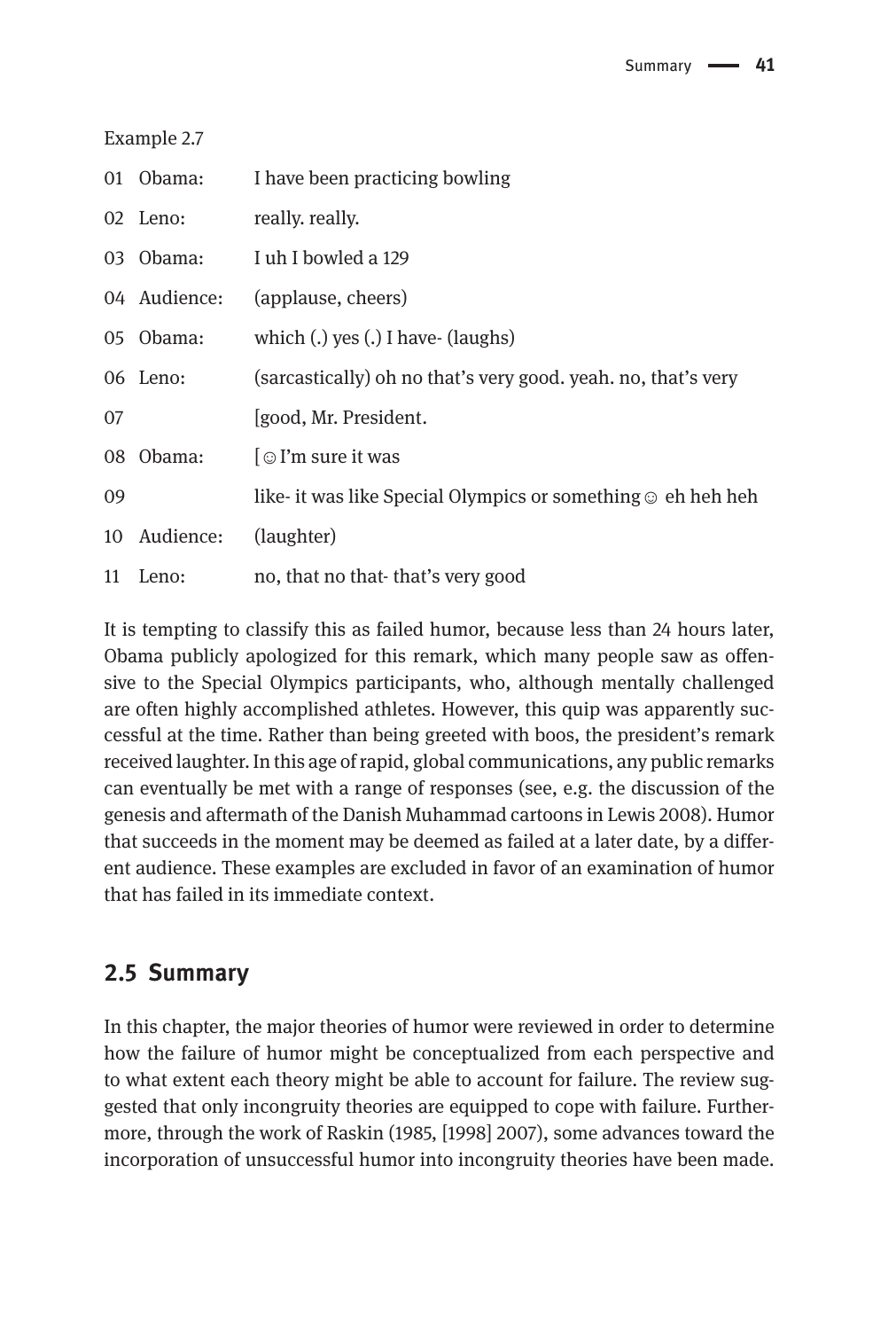Example 2.7

|    | 01 Obama:    | I have been practicing bowling                                                                            |
|----|--------------|-----------------------------------------------------------------------------------------------------------|
|    | 02 Leno:     | really, really.                                                                                           |
|    | 03 Obama:    | I uh I bowled a 129                                                                                       |
|    | 04 Audience: | (applause, cheers)                                                                                        |
|    | 05 Obama:    | which $(.)$ yes $(.)$ I have- $(laughs)$                                                                  |
|    | 06 Leno:     | (sarcastically) oh no that's very good. yeah. no, that's very                                             |
| 07 |              | [good, Mr. President.                                                                                     |
|    | 08 Obama:    | $\int \odot$ I'm sure it was                                                                              |
| 09 |              | like- it was like Special Olympics or something  ulthe- it was like Special Olympics or something  ulthe- |
| 10 | Audience:    | (laughter)                                                                                                |
| 11 | Leno:        | no, that no that-that's very good                                                                         |

It is tempting to classify this as failed humor, because less than 24 hours later, Obama publicly apologized for this remark, which many people saw as offensive to the Special Olympics participants, who, although mentally challenged are often highly accomplished athletes. However, this quip was apparently successful at the time. Rather than being greeted with boos, the president's remark received laughter. In this age of rapid, global communications, any public remarks can eventually be met with a range of responses (see, e.g. the discussion of the genesis and aftermath of the Danish Muhammad cartoons in Lewis 2008). Humor that succeeds in the moment may be deemed as failed at a later date, by a different audience. These examples are excluded in favor of an examination of humor that has failed in its immediate context.

## **2.5 Summary**

In this chapter, the major theories of humor were reviewed in order to determine how the failure of humor might be conceptualized from each perspective and to what extent each theory might be able to account for failure. The review suggested that only incongruity theories are equipped to cope with failure. Furthermore, through the work of Raskin (1985, [1998] 2007), some advances toward the incorporation of unsuccessful humor into incongruity theories have been made.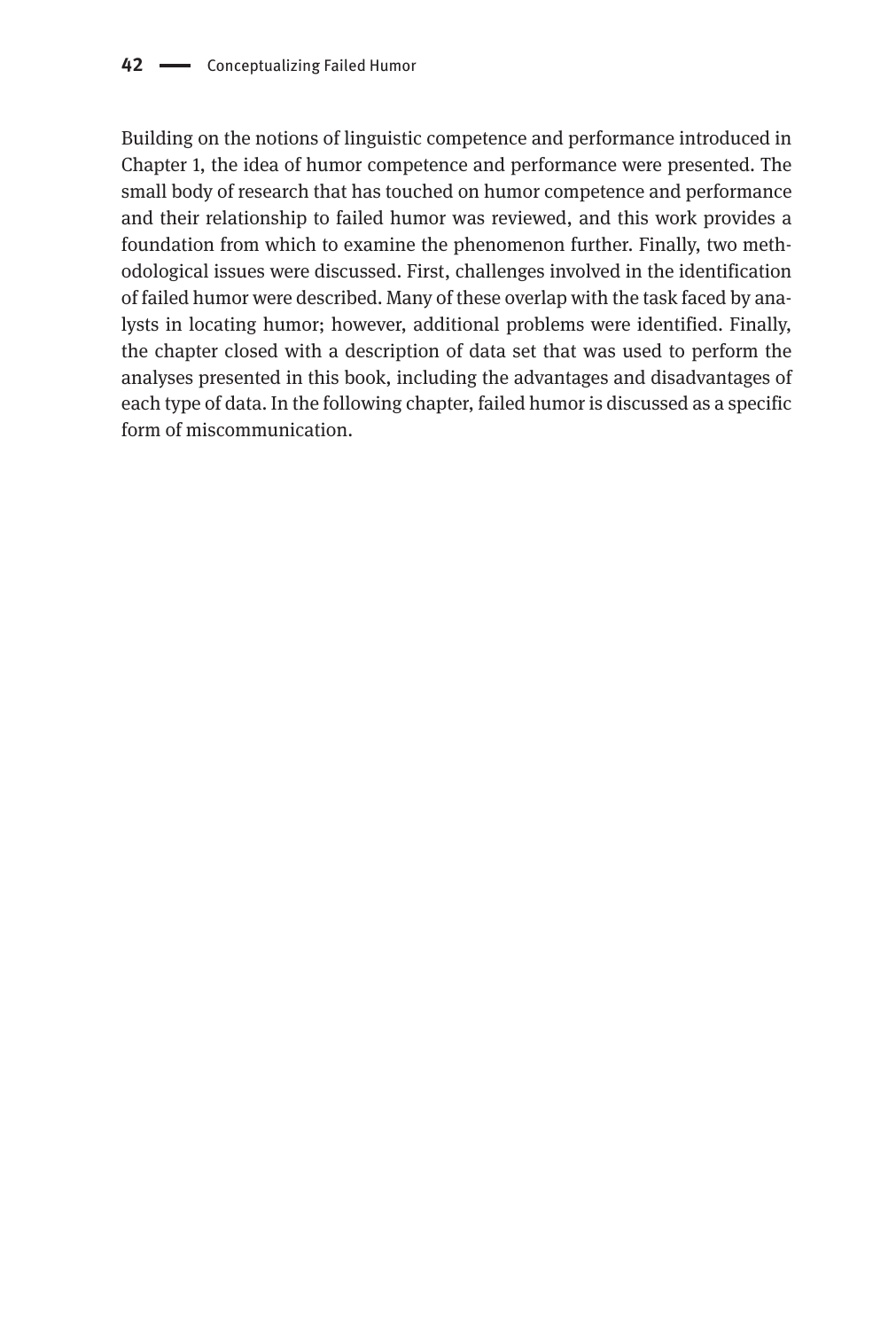Building on the notions of linguistic competence and performance introduced in Chapter 1, the idea of humor competence and performance were presented. The small body of research that has touched on humor competence and performance and their relationship to failed humor was reviewed, and this work provides a foundation from which to examine the phenomenon further. Finally, two methodological issues were discussed. First, challenges involved in the identification of failed humor were described. Many of these overlap with the task faced by analysts in locating humor; however, additional problems were identified. Finally, the chapter closed with a description of data set that was used to perform the analyses presented in this book, including the advantages and disadvantages of each type of data. In the following chapter, failed humor is discussed as a specific form of miscommunication.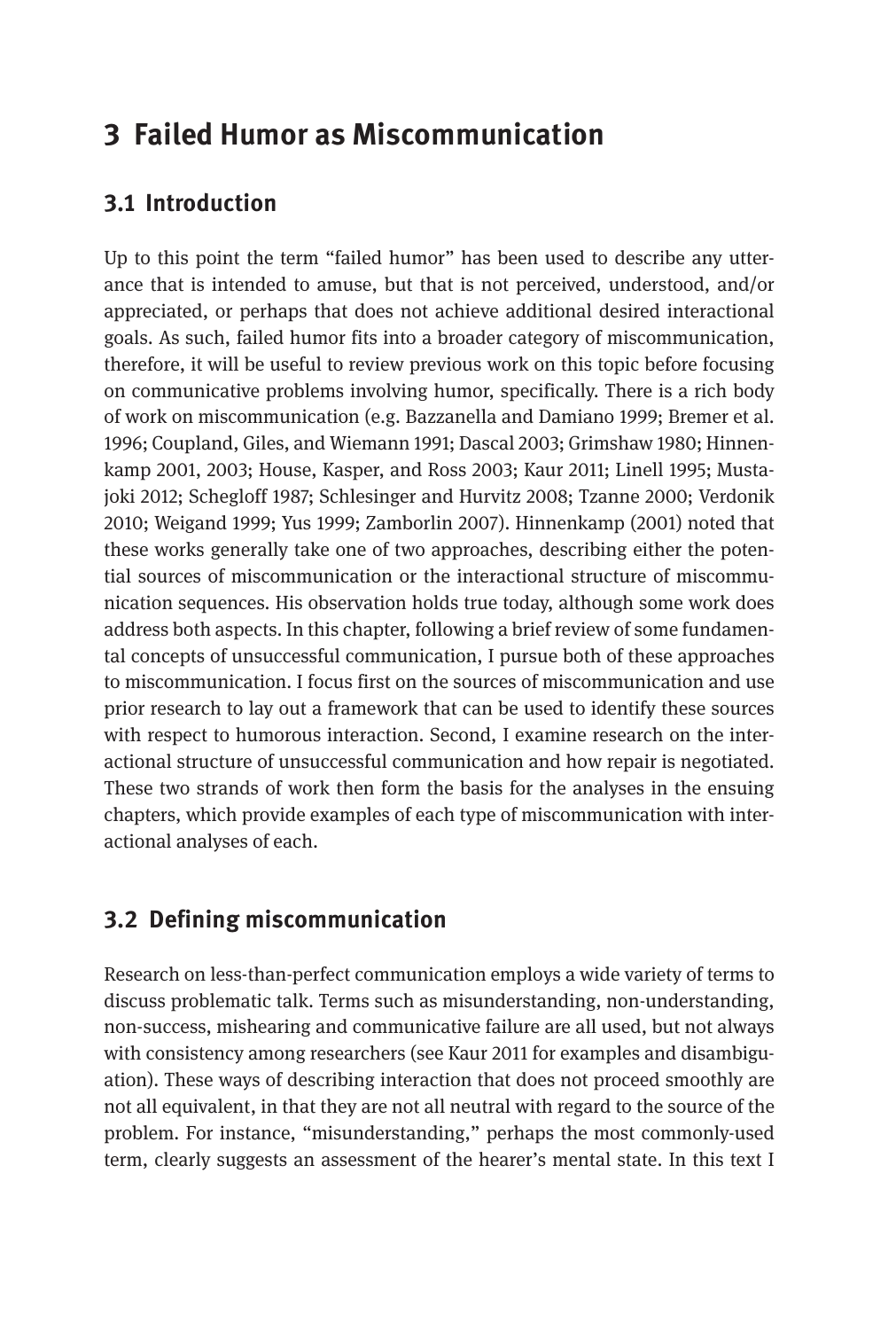# **3 Failed Humor as Miscommunication**

## **3.1 Introduction**

Up to this point the term "failed humor" has been used to describe any utterance that is intended to amuse, but that is not perceived, understood, and/or appreciated, or perhaps that does not achieve additional desired interactional goals. As such, failed humor fits into a broader category of miscommunication, therefore, it will be useful to review previous work on this topic before focusing on communicative problems involving humor, specifically. There is a rich body of work on miscommunication (e.g. Bazzanella and Damiano 1999; Bremer et al. 1996; Coupland, Giles, and Wiemann 1991; Dascal 2003; Grimshaw 1980; Hinnenkamp 2001, 2003; House, Kasper, and Ross 2003; Kaur 2011; Linell 1995; Mustajoki 2012; Schegloff 1987; Schlesinger and Hurvitz 2008; Tzanne 2000; Verdonik 2010; Weigand 1999; Yus 1999; Zamborlin 2007). Hinnenkamp (2001) noted that these works generally take one of two approaches, describing either the potential sources of miscommunication or the interactional structure of miscommunication sequences. His observation holds true today, although some work does address both aspects. In this chapter, following a brief review of some fundamental concepts of unsuccessful communication, I pursue both of these approaches to miscommunication. I focus first on the sources of miscommunication and use prior research to lay out a framework that can be used to identify these sources with respect to humorous interaction. Second, I examine research on the interactional structure of unsuccessful communication and how repair is negotiated. These two strands of work then form the basis for the analyses in the ensuing chapters, which provide examples of each type of miscommunication with interactional analyses of each.

## **3.2 Defining miscommunication**

Research on less-than-perfect communication employs a wide variety of terms to discuss problematic talk. Terms such as misunderstanding, non-understanding, non-success, mishearing and communicative failure are all used, but not always with consistency among researchers (see Kaur 2011 for examples and disambiguation). These ways of describing interaction that does not proceed smoothly are not all equivalent, in that they are not all neutral with regard to the source of the problem. For instance, "misunderstanding," perhaps the most commonly-used term, clearly suggests an assessment of the hearer's mental state. In this text I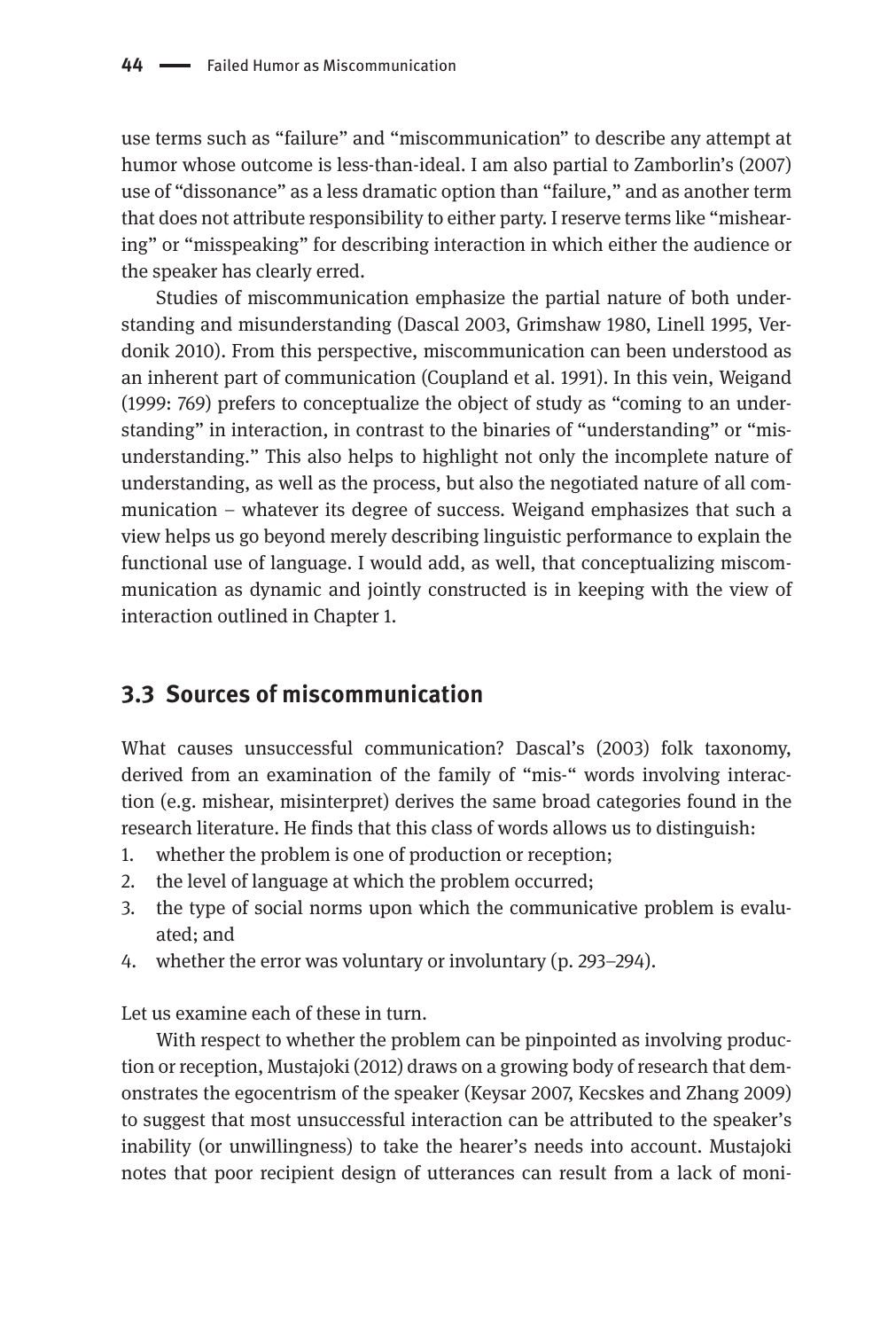use terms such as "failure" and "miscommunication" to describe any attempt at humor whose outcome is less-than-ideal. I am also partial to Zamborlin's (2007) use of "dissonance" as a less dramatic option than "failure," and as another term that does not attribute responsibility to either party. I reserve terms like "mishearing" or "misspeaking" for describing interaction in which either the audience or the speaker has clearly erred.

Studies of miscommunication emphasize the partial nature of both understanding and misunderstanding (Dascal 2003, Grimshaw 1980, Linell 1995, Verdonik 2010). From this perspective, miscommunication can been understood as an inherent part of communication (Coupland et al. 1991). In this vein, Weigand (1999: 769) prefers to conceptualize the object of study as "coming to an understanding" in interaction, in contrast to the binaries of "understanding" or "misunderstanding." This also helps to highlight not only the incomplete nature of understanding, as well as the process, but also the negotiated nature of all communication – whatever its degree of success. Weigand emphasizes that such a view helps us go beyond merely describing linguistic performance to explain the functional use of language. I would add, as well, that conceptualizing miscommunication as dynamic and jointly constructed is in keeping with the view of interaction outlined in Chapter 1.

### **3.3 Sources of miscommunication**

What causes unsuccessful communication? Dascal's (2003) folk taxonomy, derived from an examination of the family of "mis-" words involving interaction (e.g. mishear, misinterpret) derives the same broad categories found in the research literature. He finds that this class of words allows us to distinguish:

- 1. whether the problem is one of production or reception;
- 2. the level of language at which the problem occurred;
- 3. the type of social norms upon which the communicative problem is evaluated; and
- 4. whether the error was voluntary or involuntary (p. 293–294).

Let us examine each of these in turn.

With respect to whether the problem can be pinpointed as involving production or reception, Mustajoki (2012) draws on a growing body of research that demonstrates the egocentrism of the speaker (Keysar 2007, Kecskes and Zhang 2009) to suggest that most unsuccessful interaction can be attributed to the speaker's inability (or unwillingness) to take the hearer's needs into account. Mustajoki notes that poor recipient design of utterances can result from a lack of moni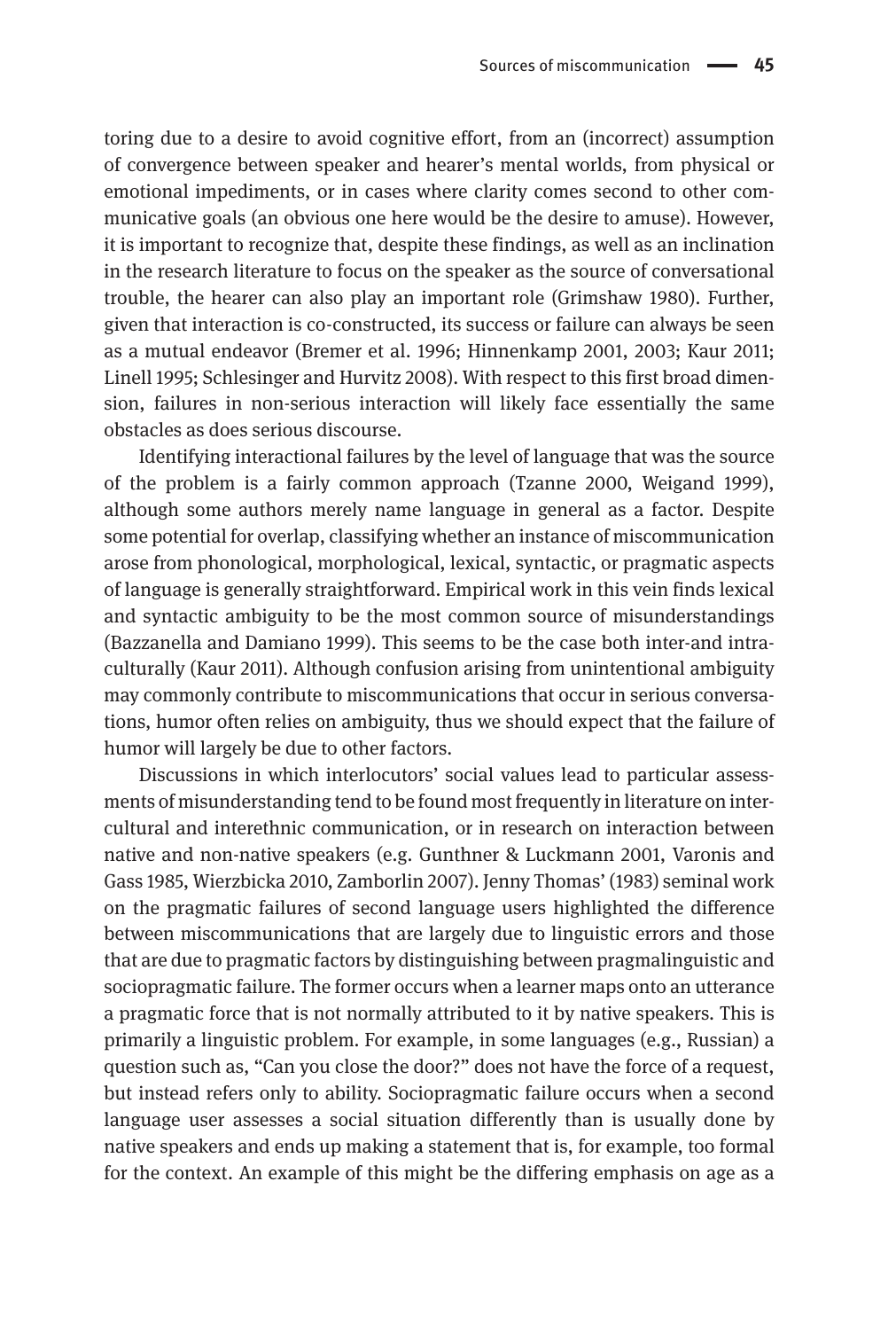toring due to a desire to avoid cognitive effort, from an (incorrect) assumption of convergence between speaker and hearer's mental worlds, from physical or emotional impediments, or in cases where clarity comes second to other communicative goals (an obvious one here would be the desire to amuse). However, it is important to recognize that, despite these findings, as well as an inclination in the research literature to focus on the speaker as the source of conversational trouble, the hearer can also play an important role (Grimshaw 1980). Further, given that interaction is co-constructed, its success or failure can always be seen as a mutual endeavor (Bremer et al. 1996; Hinnenkamp 2001, 2003; Kaur 2011; Linell 1995; Schlesinger and Hurvitz 2008). With respect to this first broad dimension, failures in non-serious interaction will likely face essentially the same obstacles as does serious discourse.

Identifying interactional failures by the level of language that was the source of the problem is a fairly common approach (Tzanne 2000, Weigand 1999), although some authors merely name language in general as a factor. Despite some potential for overlap, classifying whether an instance of miscommunication arose from phonological, morphological, lexical, syntactic, or pragmatic aspects of language is generally straightforward. Empirical work in this vein finds lexical and syntactic ambiguity to be the most common source of misunderstandings (Bazzanella and Damiano 1999). This seems to be the case both inter-and intraculturally (Kaur 2011). Although confusion arising from unintentional ambiguity may commonly contribute to miscommunications that occur in serious conversations, humor often relies on ambiguity, thus we should expect that the failure of humor will largely be due to other factors.

Discussions in which interlocutors' social values lead to particular assessments of misunderstanding tend to be found most frequently in literature on intercultural and interethnic communication, or in research on interaction between native and non-native speakers (e.g. Gunthner & Luckmann 2001, Varonis and Gass 1985, Wierzbicka 2010, Zamborlin 2007). Jenny Thomas' (1983) seminal work on the pragmatic failures of second language users highlighted the difference between miscommunications that are largely due to linguistic errors and those that are due to pragmatic factors by distinguishing between pragmalinguistic and sociopragmatic failure. The former occurs when a learner maps onto an utterance a pragmatic force that is not normally attributed to it by native speakers. This is primarily a linguistic problem. For example, in some languages (e.g., Russian) a question such as, "Can you close the door?" does not have the force of a request, but instead refers only to ability. Sociopragmatic failure occurs when a second language user assesses a social situation differently than is usually done by native speakers and ends up making a statement that is, for example, too formal for the context. An example of this might be the differing emphasis on age as a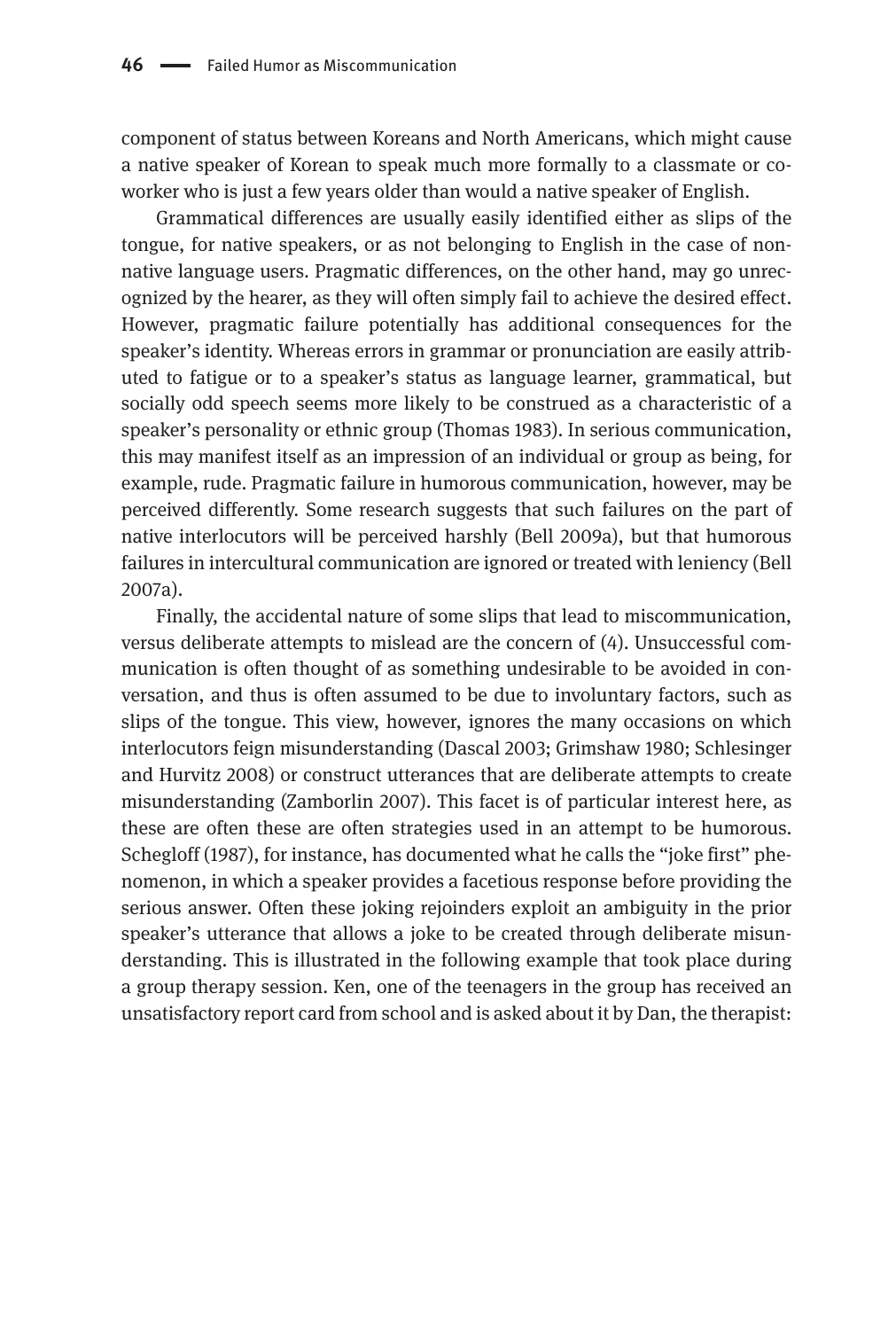component of status between Koreans and North Americans, which might cause a native speaker of Korean to speak much more formally to a classmate or coworker who is just a few years older than would a native speaker of English.

Grammatical differences are usually easily identified either as slips of the tongue, for native speakers, or as not belonging to English in the case of nonnative language users. Pragmatic differences, on the other hand, may go unrecognized by the hearer, as they will often simply fail to achieve the desired effect. However, pragmatic failure potentially has additional consequences for the speaker's identity. Whereas errors in grammar or pronunciation are easily attributed to fatigue or to a speaker's status as language learner, grammatical, but socially odd speech seems more likely to be construed as a characteristic of a speaker's personality or ethnic group (Thomas 1983). In serious communication, this may manifest itself as an impression of an individual or group as being, for example, rude. Pragmatic failure in humorous communication, however, may be perceived differently. Some research suggests that such failures on the part of native interlocutors will be perceived harshly (Bell 2009a), but that humorous failures in intercultural communication are ignored or treated with leniency (Bell 2007a).

Finally, the accidental nature of some slips that lead to miscommunication, versus deliberate attempts to mislead are the concern of (4). Unsuccessful communication is often thought of as something undesirable to be avoided in conversation, and thus is often assumed to be due to involuntary factors, such as slips of the tongue. This view, however, ignores the many occasions on which interlocutors feign misunderstanding (Dascal 2003; Grimshaw 1980; Schlesinger and Hurvitz 2008) or construct utterances that are deliberate attempts to create misunderstanding (Zamborlin 2007). This facet is of particular interest here, as these are often these are often strategies used in an attempt to be humorous. Schegloff (1987), for instance, has documented what he calls the "joke first" phenomenon, in which a speaker provides a facetious response before providing the serious answer. Often these joking rejoinders exploit an ambiguity in the prior speaker's utterance that allows a joke to be created through deliberate misunderstanding. This is illustrated in the following example that took place during a group therapy session. Ken, one of the teenagers in the group has received an unsatisfactory report card from school and is asked about it by Dan, the therapist: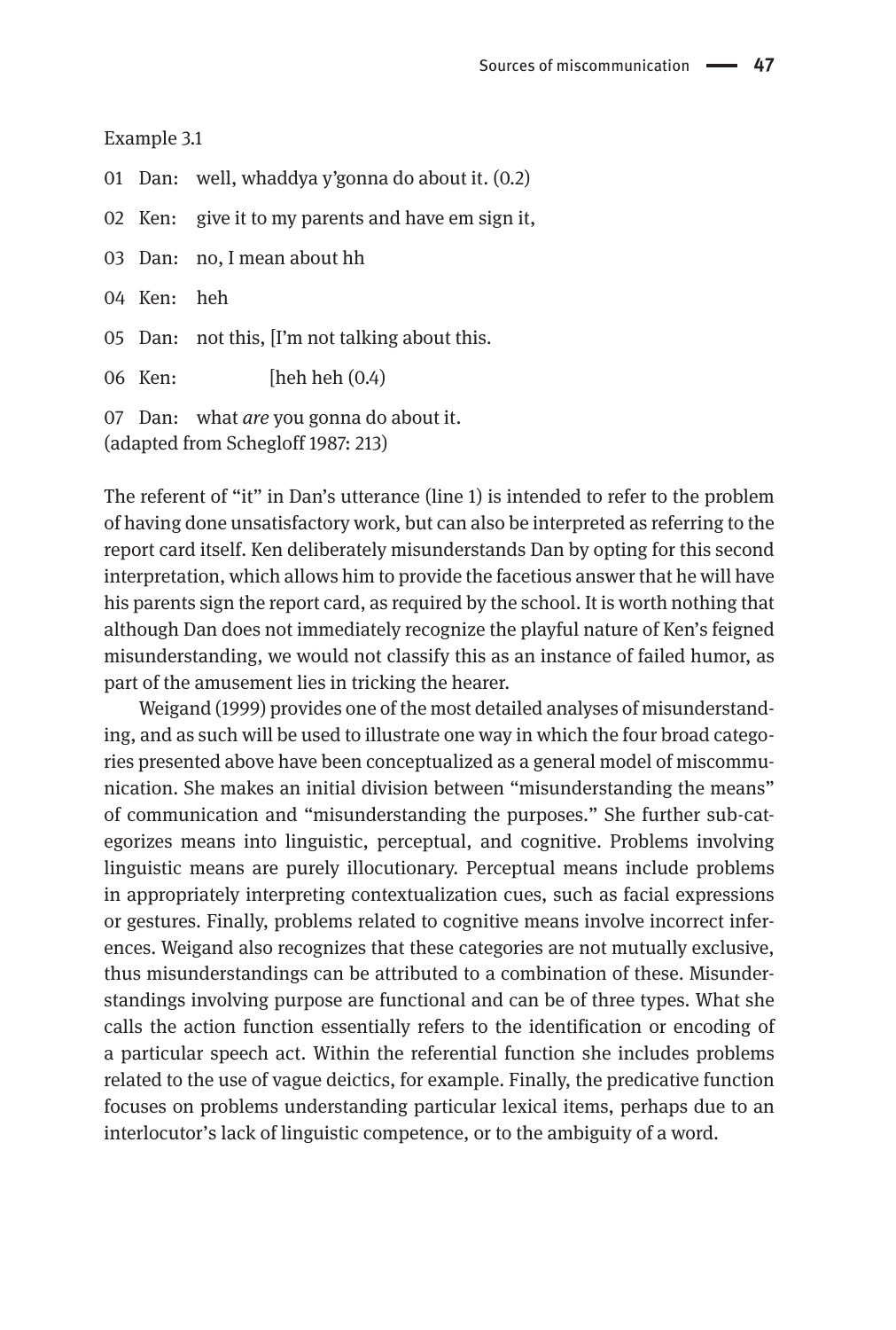Example 3.1

01 Dan: well, whaddya y'gonna do about it. (0.2)

02 Ken: give it to my parents and have em sign it,

03 Dan: no, I mean about hh

04 Ken: heh

05 Dan: not this, [I'm not talking about this.

06 Ken: [heh heh (0.4)

07 Dan: what *are* you gonna do about it.

```
(adapted from Schegloff 1987: 213)
```
The referent of "it" in Dan's utterance (line 1) is intended to refer to the problem of having done unsatisfactory work, but can also be interpreted as referring to the report card itself. Ken deliberately misunderstands Dan by opting for this second interpretation, which allows him to provide the facetious answer that he will have his parents sign the report card, as required by the school. It is worth nothing that although Dan does not immediately recognize the playful nature of Ken's feigned misunderstanding, we would not classify this as an instance of failed humor, as part of the amusement lies in tricking the hearer.

Weigand (1999) provides one of the most detailed analyses of misunderstanding, and as such will be used to illustrate one way in which the four broad categories presented above have been conceptualized as a general model of miscommunication. She makes an initial division between "misunderstanding the means" of communication and "misunderstanding the purposes." She further sub-categorizes means into linguistic, perceptual, and cognitive. Problems involving linguistic means are purely illocutionary. Perceptual means include problems in appropriately interpreting contextualization cues, such as facial expressions or gestures. Finally, problems related to cognitive means involve incorrect inferences. Weigand also recognizes that these categories are not mutually exclusive, thus misunderstandings can be attributed to a combination of these. Misunderstandings involving purpose are functional and can be of three types. What she calls the action function essentially refers to the identification or encoding of a particular speech act. Within the referential function she includes problems related to the use of vague deictics, for example. Finally, the predicative function focuses on problems understanding particular lexical items, perhaps due to an interlocutor's lack of linguistic competence, or to the ambiguity of a word.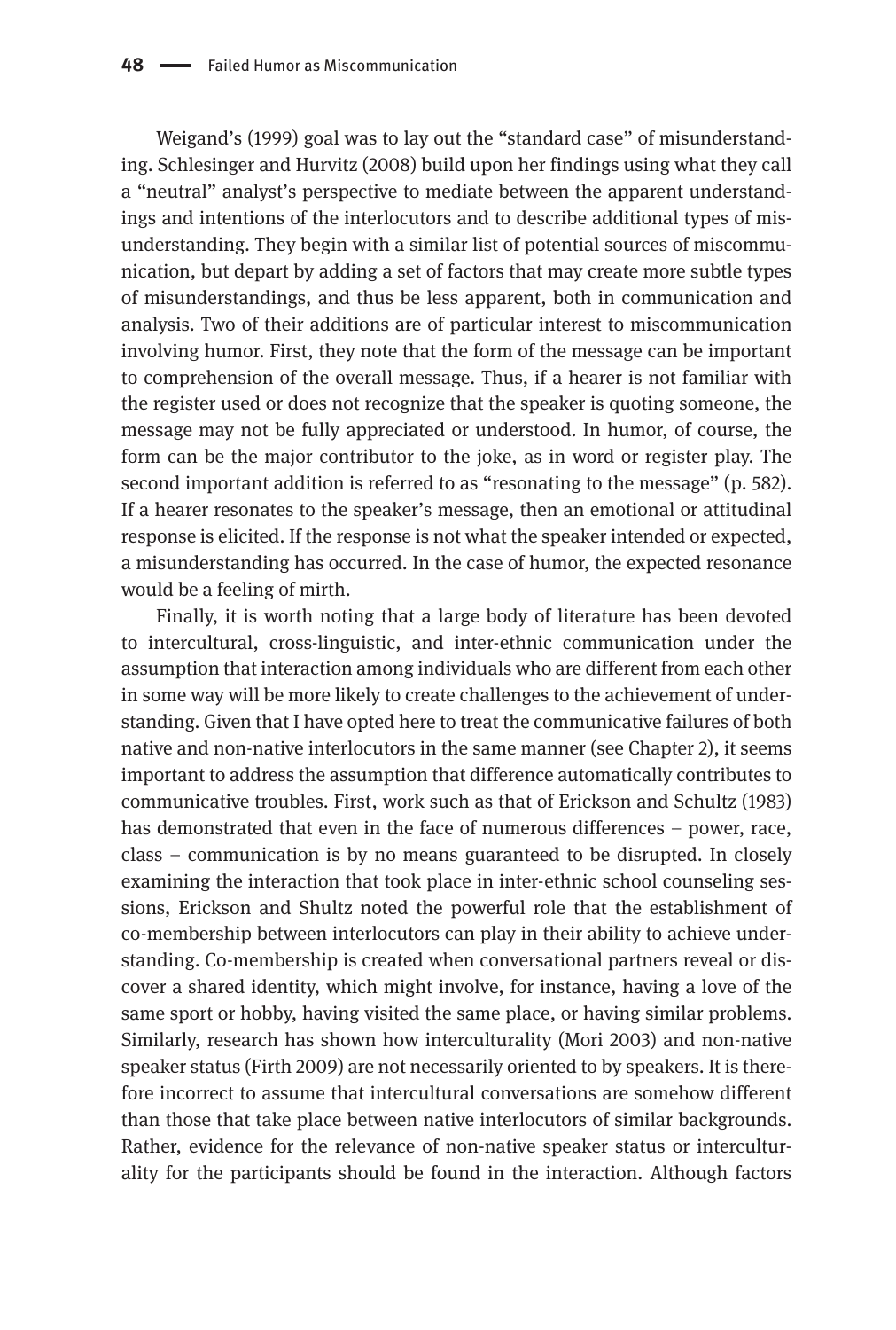Weigand's (1999) goal was to lay out the "standard case" of misunderstanding. Schlesinger and Hurvitz (2008) build upon her findings using what they call a "neutral" analyst's perspective to mediate between the apparent understandings and intentions of the interlocutors and to describe additional types of misunderstanding. They begin with a similar list of potential sources of miscommunication, but depart by adding a set of factors that may create more subtle types of misunderstandings, and thus be less apparent, both in communication and analysis. Two of their additions are of particular interest to miscommunication involving humor. First, they note that the form of the message can be important to comprehension of the overall message. Thus, if a hearer is not familiar with the register used or does not recognize that the speaker is quoting someone, the message may not be fully appreciated or understood. In humor, of course, the form can be the major contributor to the joke, as in word or register play. The second important addition is referred to as "resonating to the message" (p. 582). If a hearer resonates to the speaker's message, then an emotional or attitudinal response is elicited. If the response is not what the speaker intended or expected, a misunderstanding has occurred. In the case of humor, the expected resonance would be a feeling of mirth.

Finally, it is worth noting that a large body of literature has been devoted to intercultural, cross-linguistic, and inter-ethnic communication under the assumption that interaction among individuals who are different from each other in some way will be more likely to create challenges to the achievement of understanding. Given that I have opted here to treat the communicative failures of both native and non-native interlocutors in the same manner (see Chapter 2), it seems important to address the assumption that difference automatically contributes to communicative troubles. First, work such as that of Erickson and Schultz (1983) has demonstrated that even in the face of numerous differences – power, race, class – communication is by no means guaranteed to be disrupted. In closely examining the interaction that took place in inter-ethnic school counseling sessions, Erickson and Shultz noted the powerful role that the establishment of co-membership between interlocutors can play in their ability to achieve understanding. Co-membership is created when conversational partners reveal or discover a shared identity, which might involve, for instance, having a love of the same sport or hobby, having visited the same place, or having similar problems. Similarly, research has shown how interculturality (Mori 2003) and non-native speaker status (Firth 2009) are not necessarily oriented to by speakers. It is therefore incorrect to assume that intercultural conversations are somehow different than those that take place between native interlocutors of similar backgrounds. Rather, evidence for the relevance of non-native speaker status or interculturality for the participants should be found in the interaction. Although factors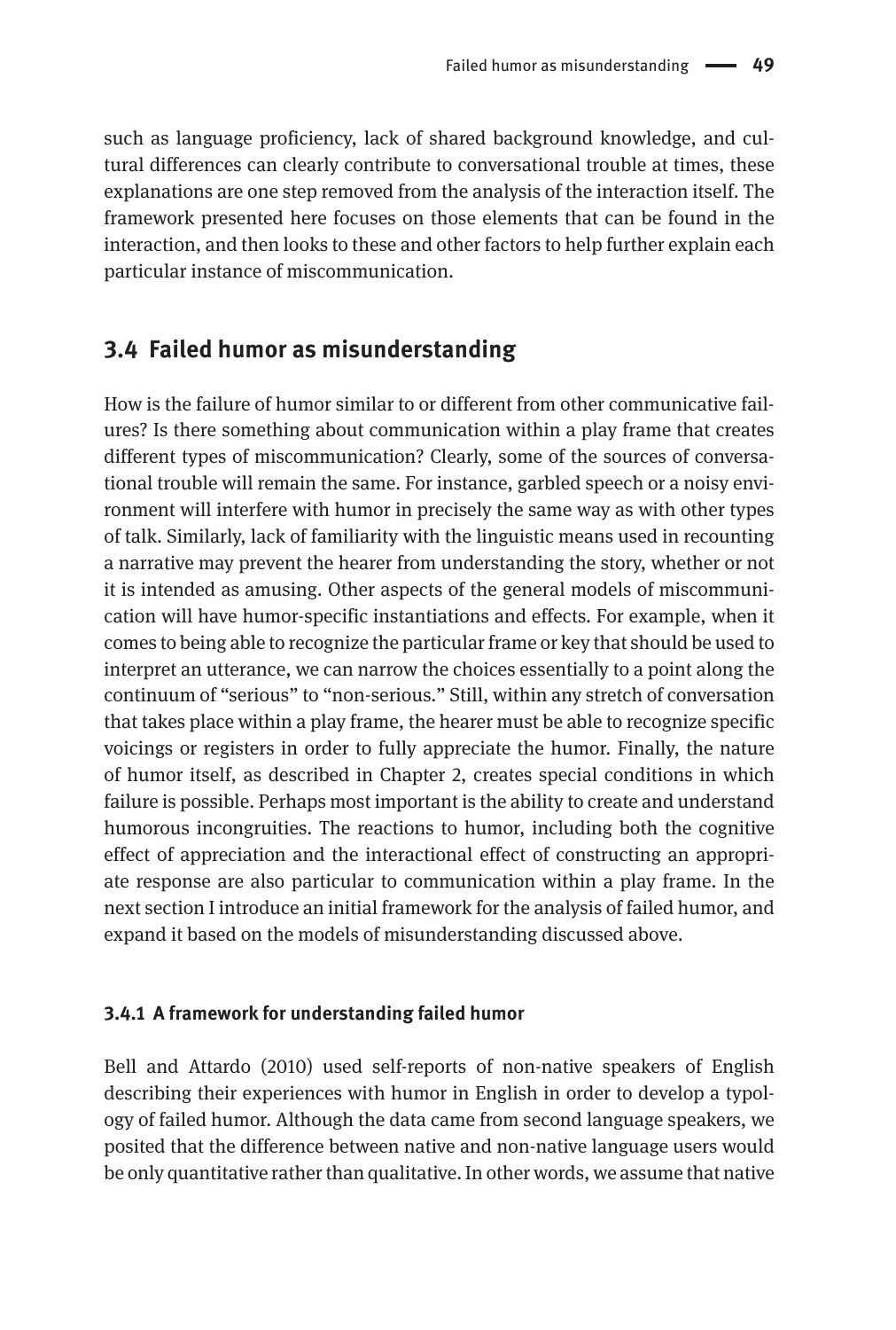such as language proficiency, lack of shared background knowledge, and cultural differences can clearly contribute to conversational trouble at times, these explanations are one step removed from the analysis of the interaction itself. The framework presented here focuses on those elements that can be found in the interaction, and then looks to these and other factors to help further explain each particular instance of miscommunication.

### **3.4 Failed humor as misunderstanding**

How is the failure of humor similar to or different from other communicative failures? Is there something about communication within a play frame that creates different types of miscommunication? Clearly, some of the sources of conversational trouble will remain the same. For instance, garbled speech or a noisy environment will interfere with humor in precisely the same way as with other types of talk. Similarly, lack of familiarity with the linguistic means used in recounting a narrative may prevent the hearer from understanding the story, whether or not it is intended as amusing. Other aspects of the general models of miscommunication will have humor-specific instantiations and effects. For example, when it comes to being able to recognize the particular frame or key that should be used to interpret an utterance, we can narrow the choices essentially to a point along the continuum of "serious" to "non-serious." Still, within any stretch of conversation that takes place within a play frame, the hearer must be able to recognize specific voicings or registers in order to fully appreciate the humor. Finally, the nature of humor itself, as described in Chapter 2, creates special conditions in which failure is possible. Perhaps most important is the ability to create and understand humorous incongruities. The reactions to humor, including both the cognitive effect of appreciation and the interactional effect of constructing an appropriate response are also particular to communication within a play frame. In the next section I introduce an initial framework for the analysis of failed humor, and expand it based on the models of misunderstanding discussed above.

#### **3.4.1 A framework for understanding failed humor**

Bell and Attardo (2010) used self-reports of non-native speakers of English describing their experiences with humor in English in order to develop a typology of failed humor. Although the data came from second language speakers, we posited that the difference between native and non-native language users would be only quantitative rather than qualitative. In other words, we assume that native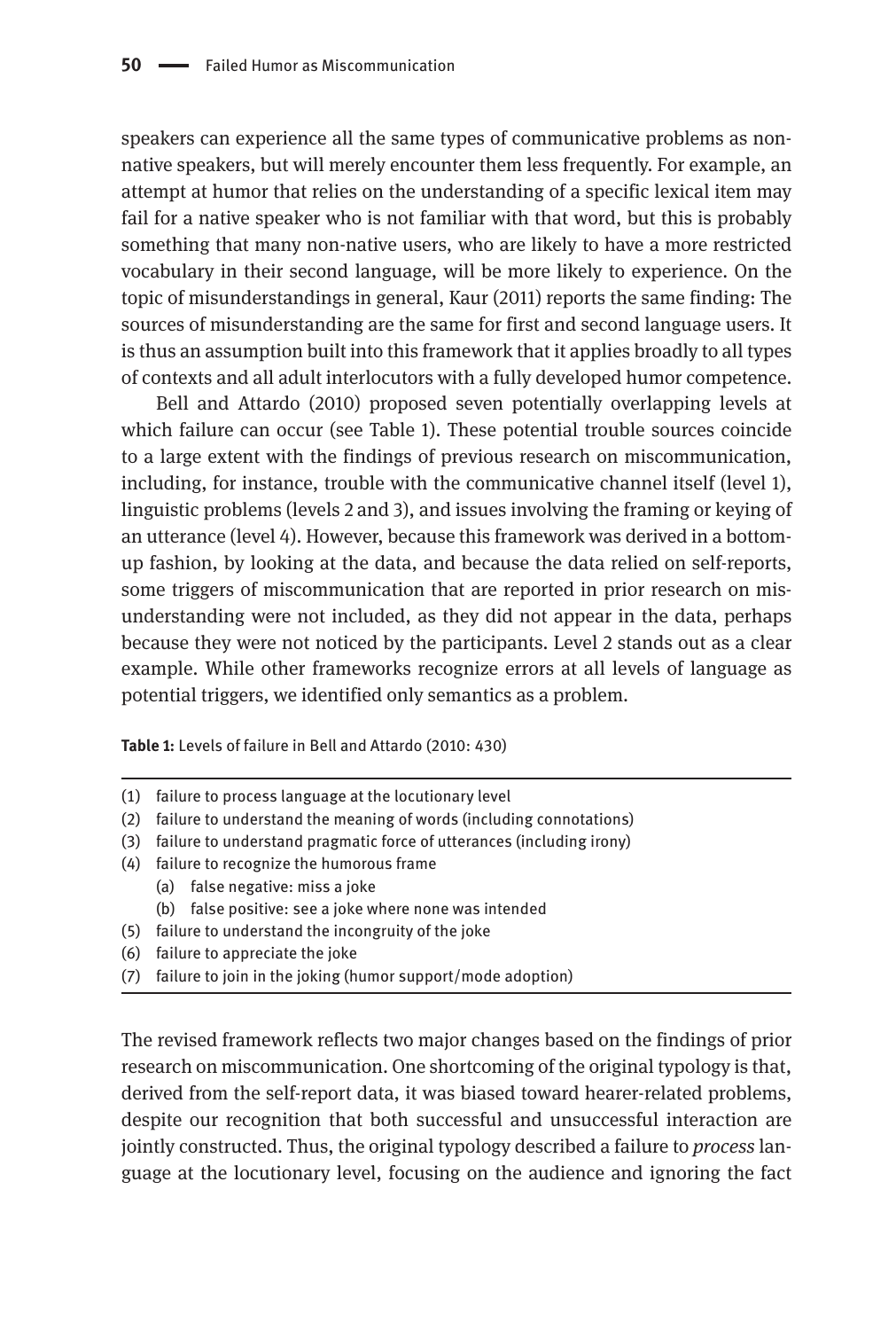speakers can experience all the same types of communicative problems as nonnative speakers, but will merely encounter them less frequently. For example, an attempt at humor that relies on the understanding of a specific lexical item may fail for a native speaker who is not familiar with that word, but this is probably something that many non-native users, who are likely to have a more restricted vocabulary in their second language, will be more likely to experience. On the topic of misunderstandings in general, Kaur (2011) reports the same finding: The sources of misunderstanding are the same for first and second language users. It is thus an assumption built into this framework that it applies broadly to all types of contexts and all adult interlocutors with a fully developed humor competence.

Bell and Attardo (2010) proposed seven potentially overlapping levels at which failure can occur (see Table 1). These potential trouble sources coincide to a large extent with the findings of previous research on miscommunication, including, for instance, trouble with the communicative channel itself (level 1), linguistic problems (levels 2 and 3), and issues involving the framing or keying of an utterance (level 4). However, because this framework was derived in a bottomup fashion, by looking at the data, and because the data relied on self-reports, some triggers of miscommunication that are reported in prior research on misunderstanding were not included, as they did not appear in the data, perhaps because they were not noticed by the participants. Level 2 stands out as a clear example. While other frameworks recognize errors at all levels of language as potential triggers, we identified only semantics as a problem.

**Table 1:** Levels of failure in Bell and Attardo (2010: 430)

- (1) failure to process language at the locutionary level
- (2) failure to understand the meaning of words (including connotations)
- (3) failure to understand pragmatic force of utterances (including irony)
- (4) failure to recognize the humorous frame
	- (a) false negative: miss a joke
	- (b) false positive: see a joke where none was intended
- (5) failure to understand the incongruity of the joke
- (6) failure to appreciate the joke
- (7) failure to join in the joking (humor support/mode adoption)

The revised framework reflects two major changes based on the findings of prior research on miscommunication. One shortcoming of the original typology is that, derived from the self-report data, it was biased toward hearer-related problems, despite our recognition that both successful and unsuccessful interaction are jointly constructed. Thus, the original typology described a failure to *process* language at the locutionary level, focusing on the audience and ignoring the fact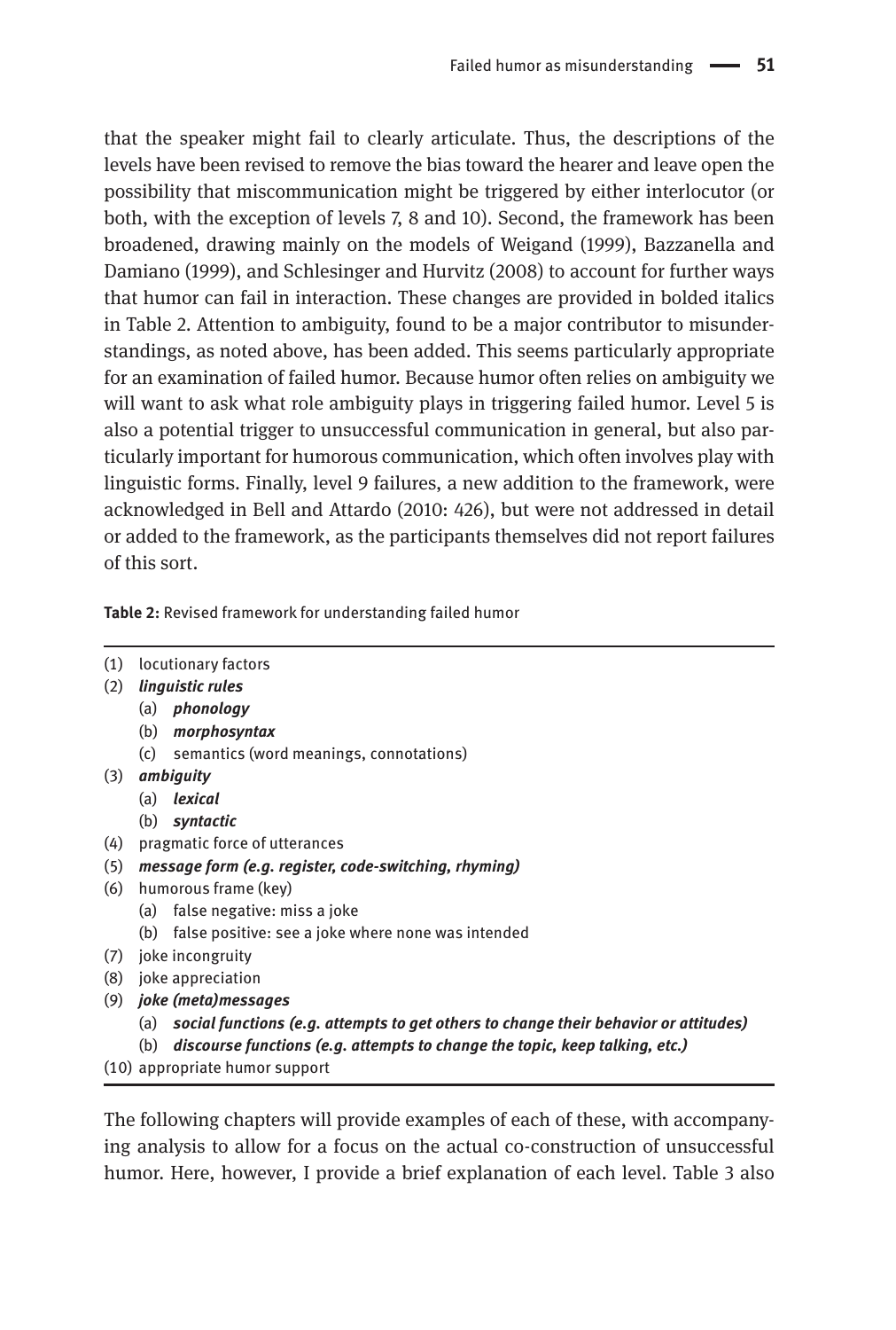that the speaker might fail to clearly articulate. Thus, the descriptions of the levels have been revised to remove the bias toward the hearer and leave open the possibility that miscommunication might be triggered by either interlocutor (or both, with the exception of levels 7, 8 and 10). Second, the framework has been broadened, drawing mainly on the models of Weigand (1999), Bazzanella and Damiano (1999), and Schlesinger and Hurvitz (2008) to account for further ways that humor can fail in interaction. These changes are provided in bolded italics in Table 2. Attention to ambiguity, found to be a major contributor to misunderstandings, as noted above, has been added. This seems particularly appropriate for an examination of failed humor. Because humor often relies on ambiguity we will want to ask what role ambiguity plays in triggering failed humor. Level 5 is also a potential trigger to unsuccessful communication in general, but also particularly important for humorous communication, which often involves play with linguistic forms. Finally, level 9 failures, a new addition to the framework, were acknowledged in Bell and Attardo (2010: 426), but were not addressed in detail or added to the framework, as the participants themselves did not report failures of this sort.

**Table 2:** Revised framework for understanding failed humor

- (1) locutionary factors
- (2) *linguistic rules*
	- (a) *phonology*
	- (b) *morphosyntax*
	- (c) semantics (word meanings, connotations)
- (3) *ambiguity*
	- (a) *lexical*
	- (b) *syntactic*
- (4) pragmatic force of utterances
- (5) *message form (e.g. register, code-switching, rhyming)*
- (6) humorous frame (key)
	- (a) false negative: miss a joke
	- (b) false positive: see a joke where none was intended
- (7) joke incongruity
- (8) joke appreciation
- (9) *joke (meta)messages*
	- (a) *social functions (e.g. attempts to get others to change their behavior or attitudes)*
	- (b) *discourse functions (e.g. attempts to change the topic, keep talking, etc.)*
- (10) appropriate humor support

The following chapters will provide examples of each of these, with accompanying analysis to allow for a focus on the actual co-construction of unsuccessful humor. Here, however, I provide a brief explanation of each level. Table 3 also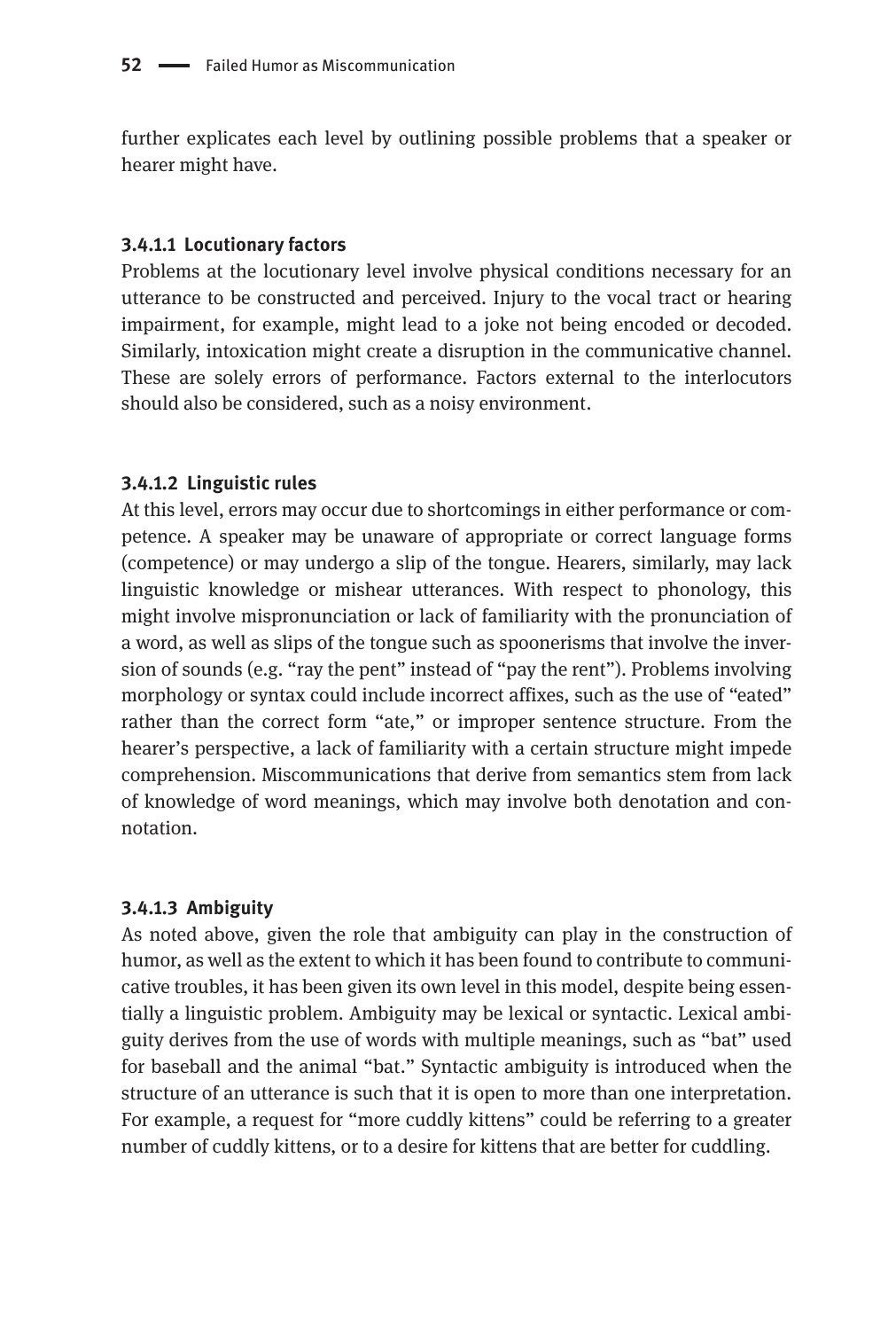further explicates each level by outlining possible problems that a speaker or hearer might have.

#### **3.4.1.1 Locutionary factors**

Problems at the locutionary level involve physical conditions necessary for an utterance to be constructed and perceived. Injury to the vocal tract or hearing impairment, for example, might lead to a joke not being encoded or decoded. Similarly, intoxication might create a disruption in the communicative channel. These are solely errors of performance. Factors external to the interlocutors should also be considered, such as a noisy environment.

#### **3.4.1.2 Linguistic rules**

At this level, errors may occur due to shortcomings in either performance or competence. A speaker may be unaware of appropriate or correct language forms (competence) or may undergo a slip of the tongue. Hearers, similarly, may lack linguistic knowledge or mishear utterances. With respect to phonology, this might involve mispronunciation or lack of familiarity with the pronunciation of a word, as well as slips of the tongue such as spoonerisms that involve the inversion of sounds (e.g. "ray the pent" instead of "pay the rent"). Problems involving morphology or syntax could include incorrect affixes, such as the use of "eated" rather than the correct form "ate," or improper sentence structure. From the hearer's perspective, a lack of familiarity with a certain structure might impede comprehension. Miscommunications that derive from semantics stem from lack of knowledge of word meanings, which may involve both denotation and connotation.

#### **3.4.1.3 Ambiguity**

As noted above, given the role that ambiguity can play in the construction of humor, as well as the extent to which it has been found to contribute to communicative troubles, it has been given its own level in this model, despite being essentially a linguistic problem. Ambiguity may be lexical or syntactic. Lexical ambiguity derives from the use of words with multiple meanings, such as "bat" used for baseball and the animal "bat." Syntactic ambiguity is introduced when the structure of an utterance is such that it is open to more than one interpretation. For example, a request for "more cuddly kittens" could be referring to a greater number of cuddly kittens, or to a desire for kittens that are better for cuddling.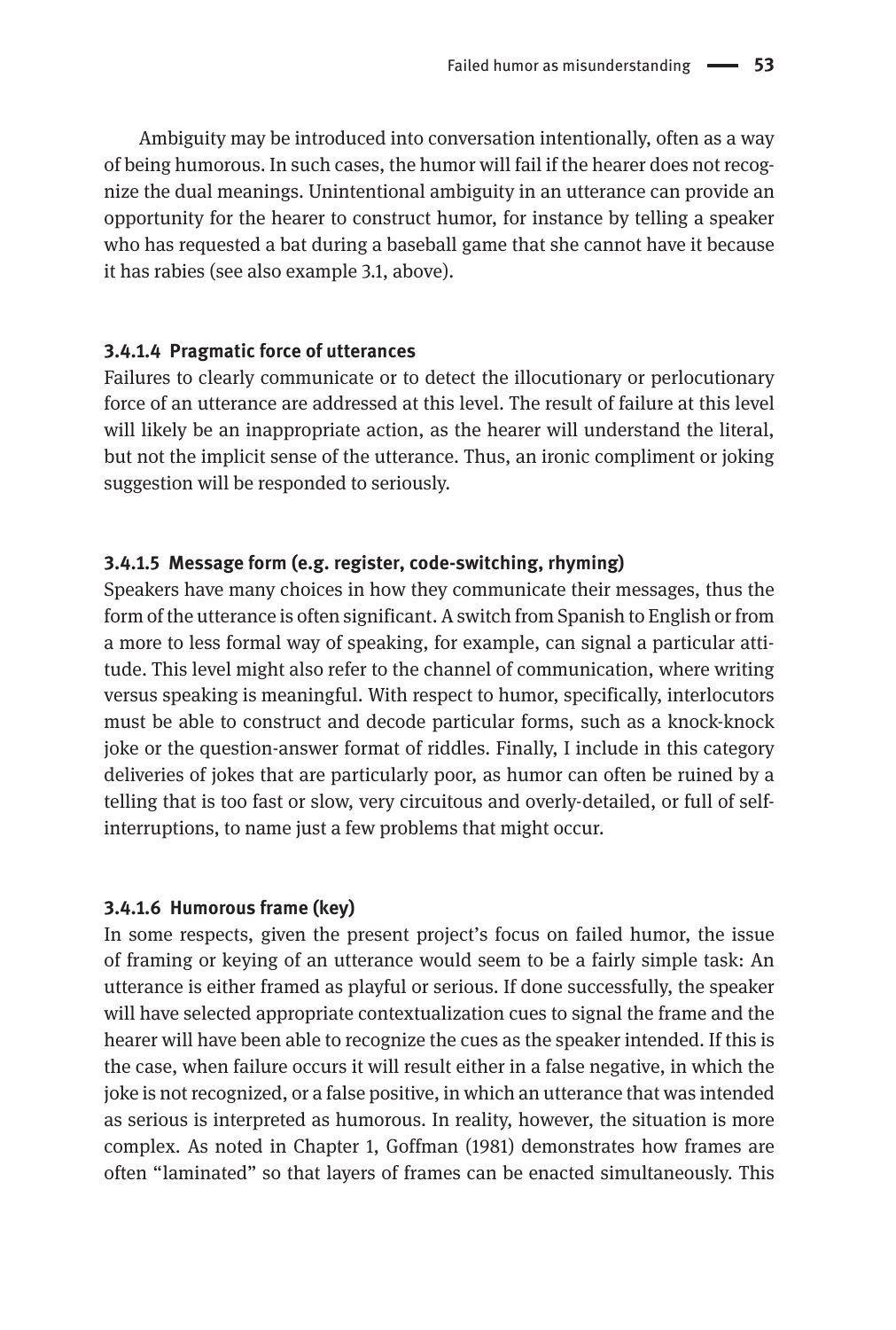Ambiguity may be introduced into conversation intentionally, often as a way of being humorous. In such cases, the humor will fail if the hearer does not recognize the dual meanings. Unintentional ambiguity in an utterance can provide an opportunity for the hearer to construct humor, for instance by telling a speaker who has requested a bat during a baseball game that she cannot have it because it has rabies (see also example 3.1, above).

#### **3.4.1.4 Pragmatic force of utterances**

Failures to clearly communicate or to detect the illocutionary or perlocutionary force of an utterance are addressed at this level. The result of failure at this level will likely be an inappropriate action, as the hearer will understand the literal, but not the implicit sense of the utterance. Thus, an ironic compliment or joking suggestion will be responded to seriously.

#### **3.4.1.5 Message form (e.g. register, code-switching, rhyming)**

Speakers have many choices in how they communicate their messages, thus the form of the utterance is often significant. A switch from Spanish to English or from a more to less formal way of speaking, for example, can signal a particular attitude. This level might also refer to the channel of communication, where writing versus speaking is meaningful. With respect to humor, specifically, interlocutors must be able to construct and decode particular forms, such as a knock-knock joke or the question-answer format of riddles. Finally, I include in this category deliveries of jokes that are particularly poor, as humor can often be ruined by a telling that is too fast or slow, very circuitous and overly-detailed, or full of selfinterruptions, to name just a few problems that might occur.

#### **3.4.1.6 Humorous frame (key)**

In some respects, given the present project's focus on failed humor, the issue of framing or keying of an utterance would seem to be a fairly simple task: An utterance is either framed as playful or serious. If done successfully, the speaker will have selected appropriate contextualization cues to signal the frame and the hearer will have been able to recognize the cues as the speaker intended. If this is the case, when failure occurs it will result either in a false negative, in which the joke is not recognized, or a false positive, in which an utterance that was intended as serious is interpreted as humorous. In reality, however, the situation is more complex. As noted in Chapter 1, Goffman (1981) demonstrates how frames are often "laminated" so that layers of frames can be enacted simultaneously. This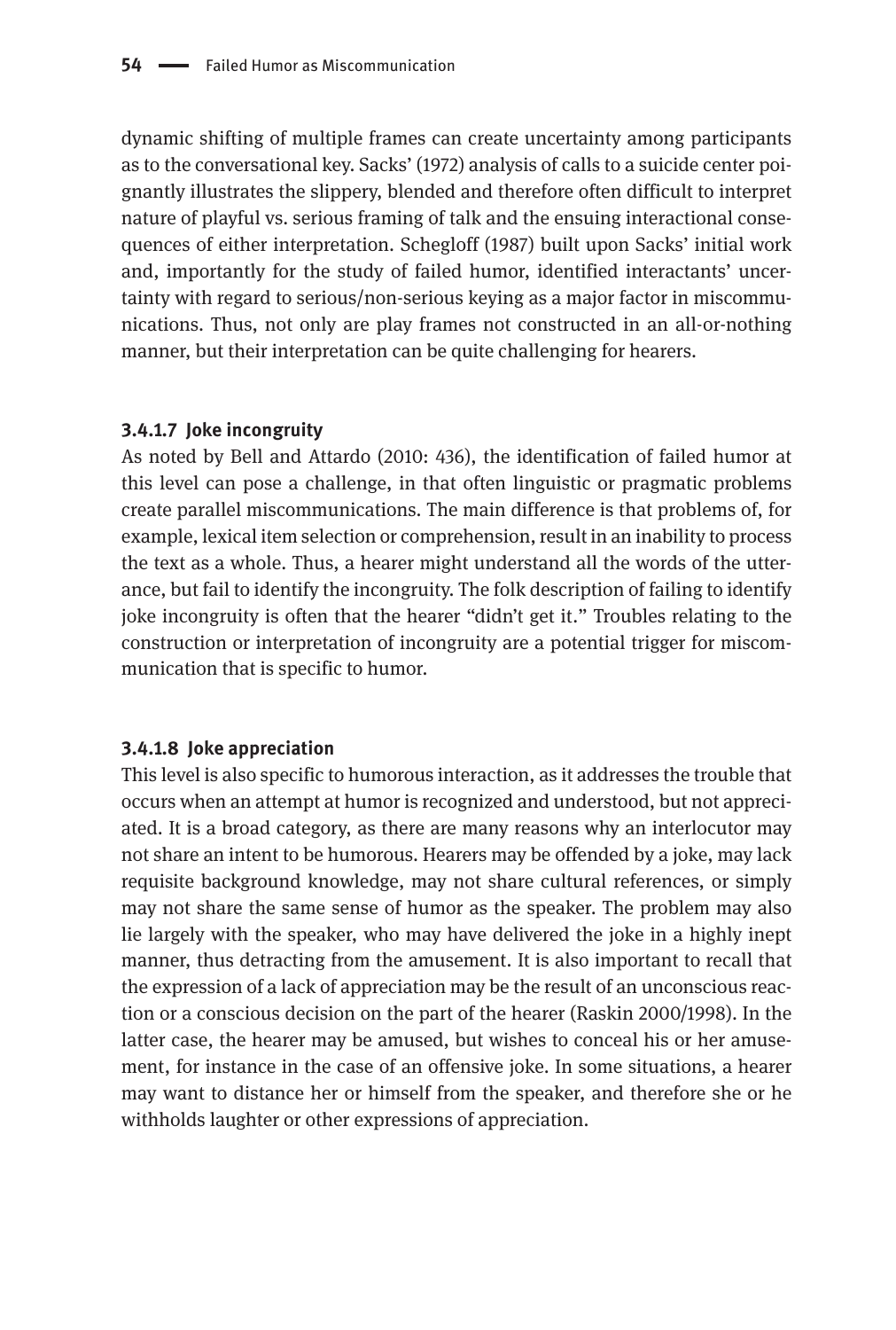dynamic shifting of multiple frames can create uncertainty among participants as to the conversational key. Sacks' (1972) analysis of calls to a suicide center poignantly illustrates the slippery, blended and therefore often difficult to interpret nature of playful vs. serious framing of talk and the ensuing interactional consequences of either interpretation. Schegloff (1987) built upon Sacks' initial work and, importantly for the study of failed humor, identified interactants' uncertainty with regard to serious/non-serious keying as a major factor in miscommunications. Thus, not only are play frames not constructed in an all-or-nothing manner, but their interpretation can be quite challenging for hearers.

#### **3.4.1.7 Joke incongruity**

As noted by Bell and Attardo (2010: 436), the identification of failed humor at this level can pose a challenge, in that often linguistic or pragmatic problems create parallel miscommunications. The main difference is that problems of, for example, lexical item selection or comprehension, result in an inability to process the text as a whole. Thus, a hearer might understand all the words of the utterance, but fail to identify the incongruity. The folk description of failing to identify joke incongruity is often that the hearer "didn't get it." Troubles relating to the construction or interpretation of incongruity are a potential trigger for miscommunication that is specific to humor.

#### **3.4.1.8 Joke appreciation**

This level is also specific to humorous interaction, as it addresses the trouble that occurs when an attempt at humor is recognized and understood, but not appreciated. It is a broad category, as there are many reasons why an interlocutor may not share an intent to be humorous. Hearers may be offended by a joke, may lack requisite background knowledge, may not share cultural references, or simply may not share the same sense of humor as the speaker. The problem may also lie largely with the speaker, who may have delivered the joke in a highly inept manner, thus detracting from the amusement. It is also important to recall that the expression of a lack of appreciation may be the result of an unconscious reaction or a conscious decision on the part of the hearer (Raskin 2000/1998). In the latter case, the hearer may be amused, but wishes to conceal his or her amusement, for instance in the case of an offensive joke. In some situations, a hearer may want to distance her or himself from the speaker, and therefore she or he withholds laughter or other expressions of appreciation.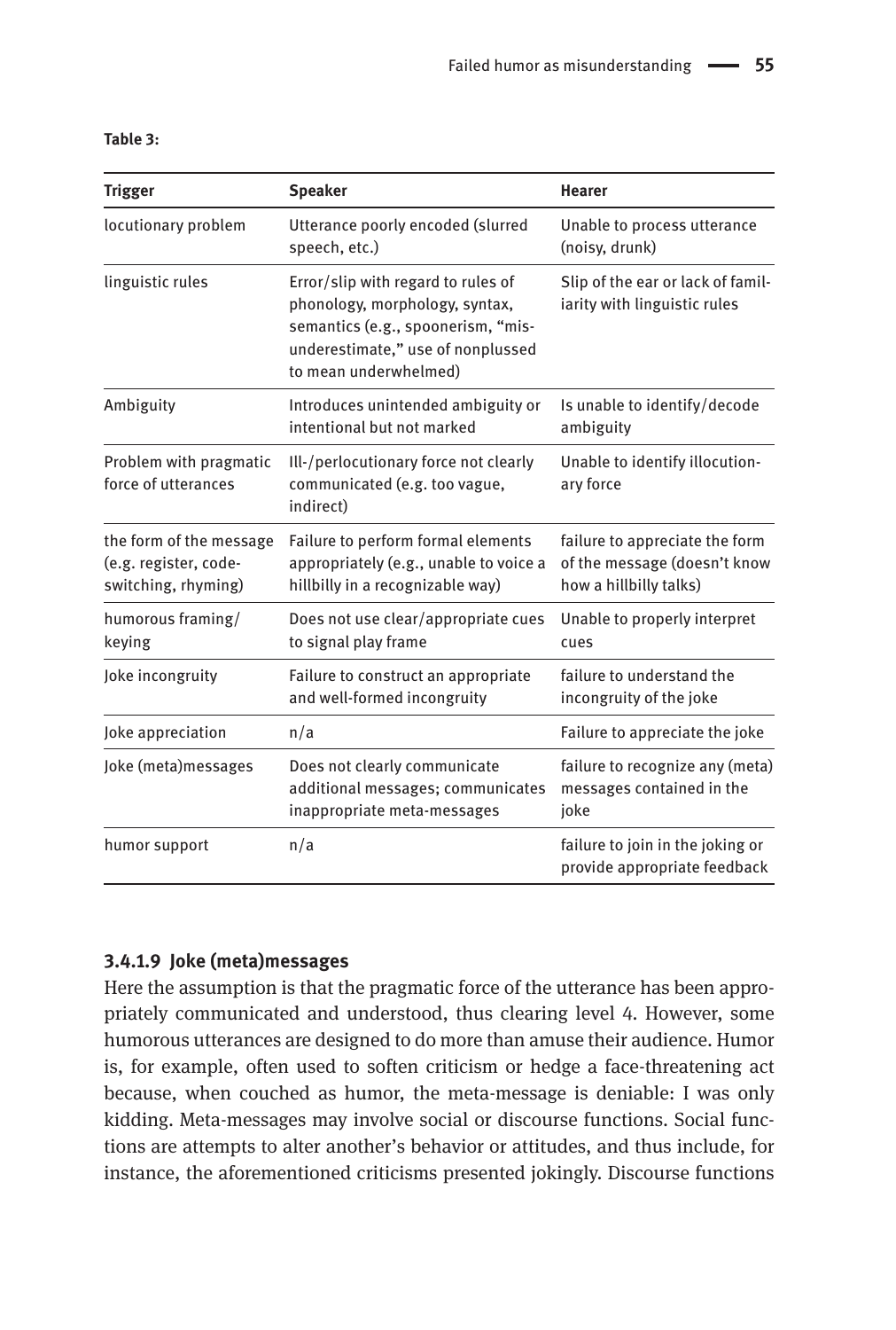| <b>Trigger</b>                                                          | <b>Speaker</b>                                                                                                                                                           | <b>Hearer</b>                                                                            |
|-------------------------------------------------------------------------|--------------------------------------------------------------------------------------------------------------------------------------------------------------------------|------------------------------------------------------------------------------------------|
| locutionary problem                                                     | Utterance poorly encoded (slurred<br>speech, etc.)                                                                                                                       | Unable to process utterance<br>(noisy, drunk)                                            |
| linguistic rules                                                        | Error/slip with regard to rules of<br>phonology, morphology, syntax,<br>semantics (e.g., spoonerism, "mis-<br>underestimate," use of nonplussed<br>to mean underwhelmed) | Slip of the ear or lack of famil-<br>iarity with linguistic rules                        |
| Ambiguity                                                               | Introduces unintended ambiguity or<br>intentional but not marked                                                                                                         | Is unable to identify/decode<br>ambiguity                                                |
| Problem with pragmatic<br>force of utterances                           | Ill-/perlocutionary force not clearly<br>communicated (e.g. too vague,<br>indirect)                                                                                      | Unable to identify illocution-<br>ary force                                              |
| the form of the message<br>(e.g. register, code-<br>switching, rhyming) | Failure to perform formal elements<br>appropriately (e.g., unable to voice a<br>hillbilly in a recognizable way)                                                         | failure to appreciate the form<br>of the message (doesn't know<br>how a hillbilly talks) |
| humorous framing/<br>keying                                             | Does not use clear/appropriate cues<br>to signal play frame                                                                                                              | Unable to properly interpret<br>cues                                                     |
| Joke incongruity                                                        | Failure to construct an appropriate<br>and well-formed incongruity                                                                                                       | failure to understand the<br>incongruity of the joke                                     |
| Joke appreciation                                                       | n/a                                                                                                                                                                      | Failure to appreciate the joke                                                           |
| Joke (meta)messages                                                     | Does not clearly communicate<br>additional messages; communicates<br>inappropriate meta-messages                                                                         | failure to recognize any (meta)<br>messages contained in the<br>joke                     |
| humor support                                                           | n/a                                                                                                                                                                      | failure to join in the joking or<br>provide appropriate feedback                         |

#### **Table 3:**

#### **3.4.1.9 Joke (meta)messages**

Here the assumption is that the pragmatic force of the utterance has been appropriately communicated and understood, thus clearing level 4. However, some humorous utterances are designed to do more than amuse their audience. Humor is, for example, often used to soften criticism or hedge a face-threatening act because, when couched as humor, the meta-message is deniable: I was only kidding. Meta-messages may involve social or discourse functions. Social functions are attempts to alter another's behavior or attitudes, and thus include, for instance, the aforementioned criticisms presented jokingly. Discourse functions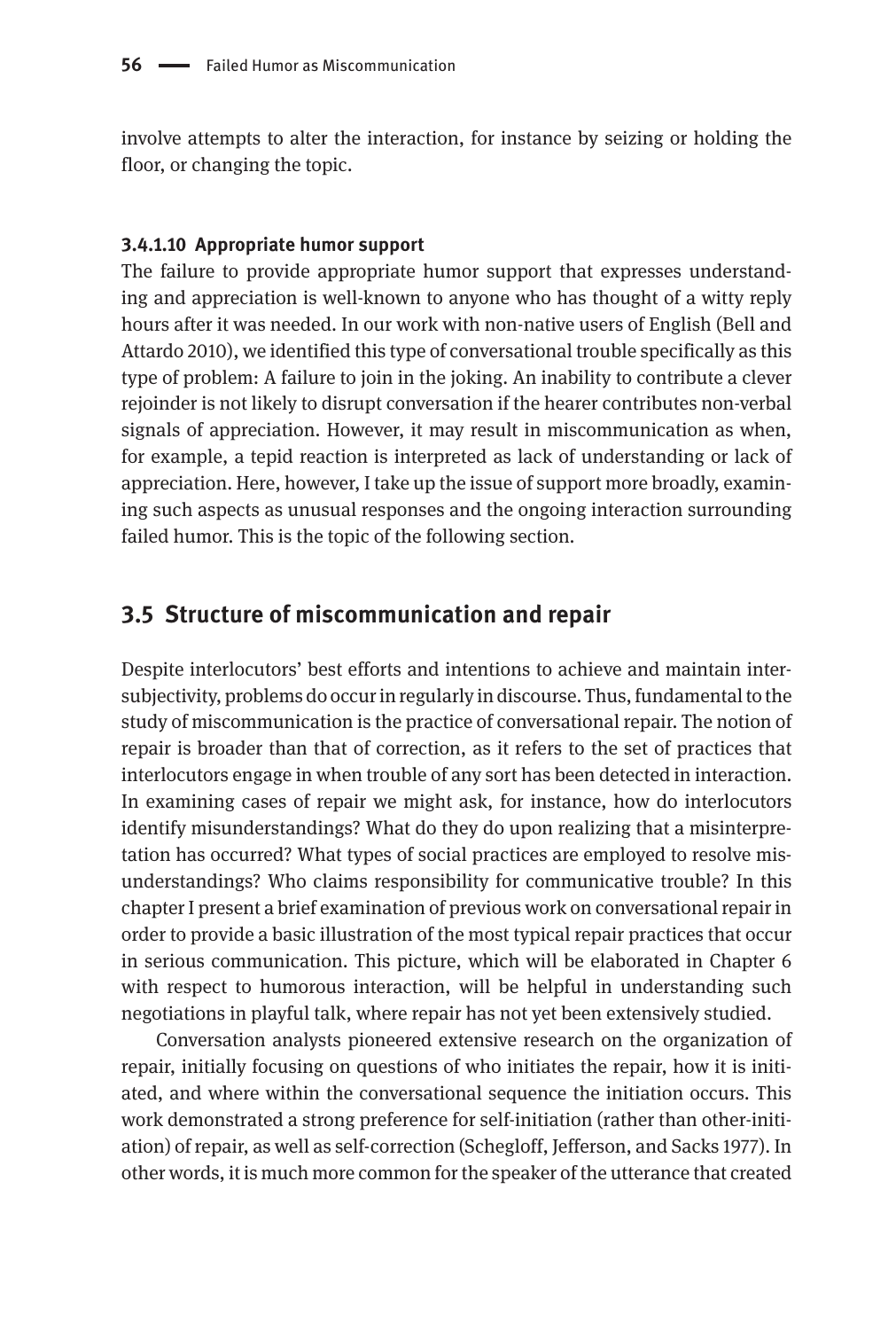involve attempts to alter the interaction, for instance by seizing or holding the floor, or changing the topic.

#### **3.4.1.10 Appropriate humor support**

The failure to provide appropriate humor support that expresses understanding and appreciation is well-known to anyone who has thought of a witty reply hours after it was needed. In our work with non-native users of English (Bell and Attardo 2010), we identified this type of conversational trouble specifically as this type of problem: A failure to join in the joking. An inability to contribute a clever rejoinder is not likely to disrupt conversation if the hearer contributes non-verbal signals of appreciation. However, it may result in miscommunication as when, for example, a tepid reaction is interpreted as lack of understanding or lack of appreciation. Here, however, I take up the issue of support more broadly, examining such aspects as unusual responses and the ongoing interaction surrounding failed humor. This is the topic of the following section.

### **3.5 Structure of miscommunication and repair**

Despite interlocutors' best efforts and intentions to achieve and maintain intersubjectivity, problems do occur in regularly in discourse. Thus, fundamental to the study of miscommunication is the practice of conversational repair. The notion of repair is broader than that of correction, as it refers to the set of practices that interlocutors engage in when trouble of any sort has been detected in interaction. In examining cases of repair we might ask, for instance, how do interlocutors identify misunderstandings? What do they do upon realizing that a misinterpretation has occurred? What types of social practices are employed to resolve misunderstandings? Who claims responsibility for communicative trouble? In this chapter I present a brief examination of previous work on conversational repair in order to provide a basic illustration of the most typical repair practices that occur in serious communication. This picture, which will be elaborated in Chapter 6 with respect to humorous interaction, will be helpful in understanding such negotiations in playful talk, where repair has not yet been extensively studied.

Conversation analysts pioneered extensive research on the organization of repair, initially focusing on questions of who initiates the repair, how it is initiated, and where within the conversational sequence the initiation occurs. This work demonstrated a strong preference for self-initiation (rather than other-initiation) of repair, as well as self-correction (Schegloff, Jefferson, and Sacks 1977). In other words, it is much more common for the speaker of the utterance that created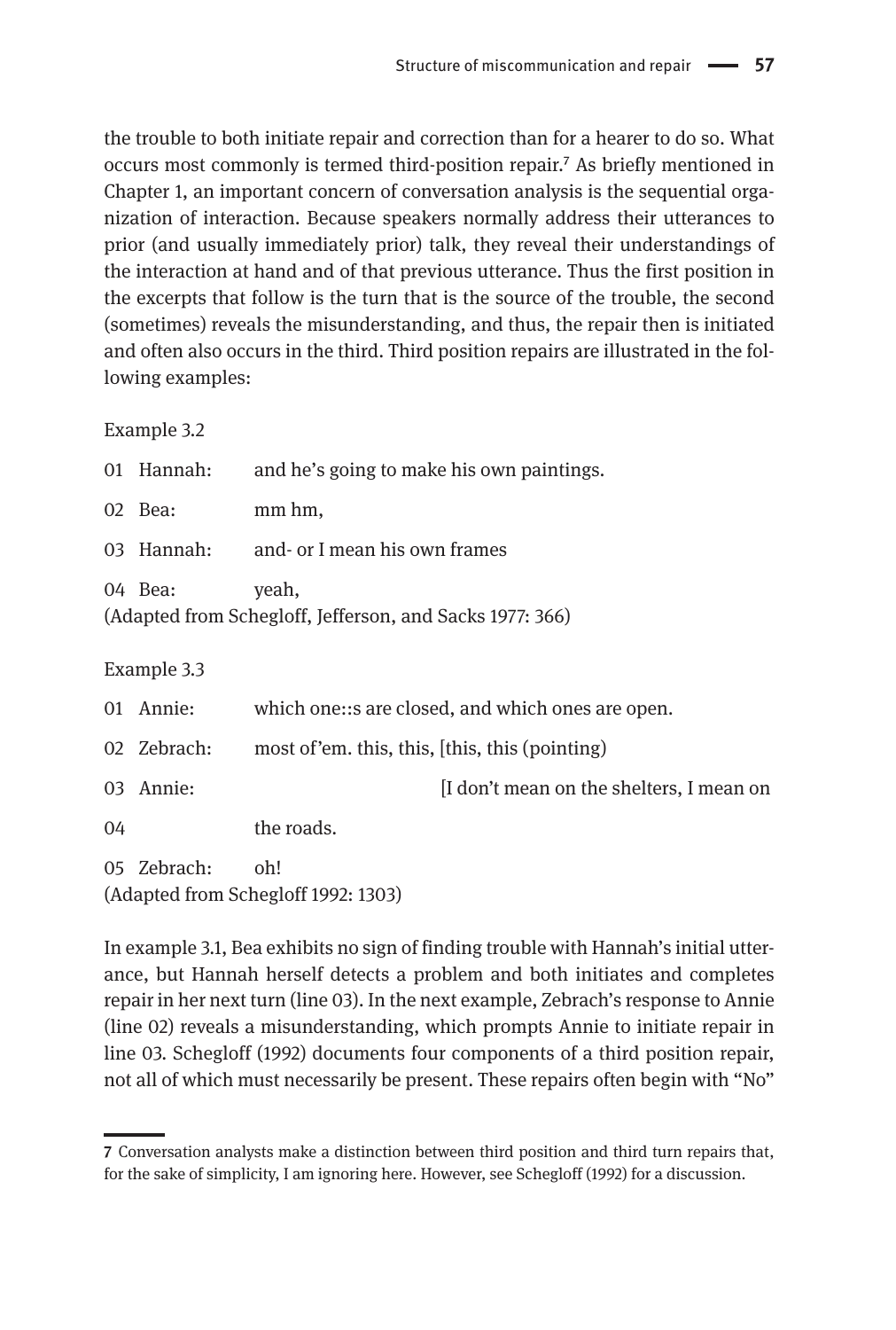the trouble to both initiate repair and correction than for a hearer to do so. What occurs most commonly is termed third-position repair.⁷ As briefly mentioned in Chapter 1, an important concern of conversation analysis is the sequential organization of interaction. Because speakers normally address their utterances to prior (and usually immediately prior) talk, they reveal their understandings of the interaction at hand and of that previous utterance. Thus the first position in the excerpts that follow is the turn that is the source of the trouble, the second (sometimes) reveals the misunderstanding, and thus, the repair then is initiated and often also occurs in the third. Third position repairs are illustrated in the following examples:

Example 3.2

|             | 01 Hannah:                                                                   | and he's going to make his own paintings.         |  |  |
|-------------|------------------------------------------------------------------------------|---------------------------------------------------|--|--|
|             | 02 Bea:                                                                      | mm hm,                                            |  |  |
|             | 03 Hannah:                                                                   | and- or I mean his own frames                     |  |  |
|             | 04 Bea:<br>yeah,<br>(Adapted from Schegloff, Jefferson, and Sacks 1977: 366) |                                                   |  |  |
| Example 3.3 |                                                                              |                                                   |  |  |
|             | 01 Annie:                                                                    | which one: s are closed, and which ones are open. |  |  |
|             | 02 Zebrach:                                                                  | most of 'em. this, this, [this, this (pointing)   |  |  |
|             | 03 Annie:                                                                    | I don't mean on the shelters, I mean on           |  |  |
| 04          |                                                                              | the roads.                                        |  |  |
|             | 05 Zebrach:<br>oh!<br>(Adapted from Schegloff 1992: 1303)                    |                                                   |  |  |

In example 3.1, Bea exhibits no sign of finding trouble with Hannah's initial utterance, but Hannah herself detects a problem and both initiates and completes repair in her next turn (line 03). In the next example, Zebrach's response to Annie (line 02) reveals a misunderstanding, which prompts Annie to initiate repair in line 03. Schegloff (1992) documents four components of a third position repair, not all of which must necessarily be present. These repairs often begin with "No"

**<sup>7</sup>** Conversation analysts make a distinction between third position and third turn repairs that, for the sake of simplicity, I am ignoring here. However, see Schegloff (1992) for a discussion.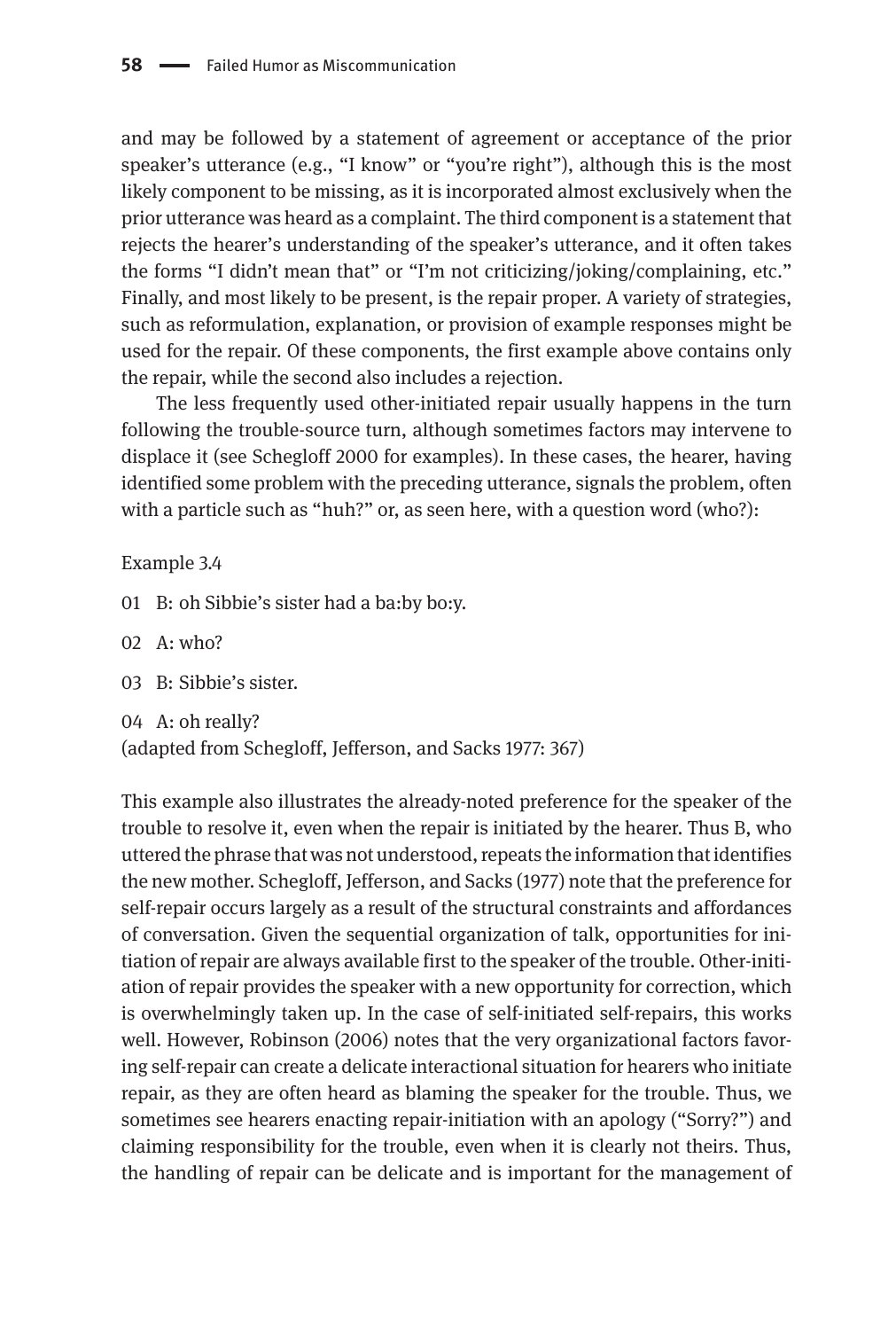and may be followed by a statement of agreement or acceptance of the prior speaker's utterance (e.g., "I know" or "you're right"), although this is the most likely component to be missing, as it is incorporated almost exclusively when the prior utterance was heard as a complaint. The third component is a statement that rejects the hearer's understanding of the speaker's utterance, and it often takes the forms "I didn't mean that" or "I'm not criticizing/joking/complaining, etc." Finally, and most likely to be present, is the repair proper. A variety of strategies, such as reformulation, explanation, or provision of example responses might be used for the repair. Of these components, the first example above contains only the repair, while the second also includes a rejection.

The less frequently used other-initiated repair usually happens in the turn following the trouble-source turn, although sometimes factors may intervene to displace it (see Schegloff 2000 for examples). In these cases, the hearer, having identified some problem with the preceding utterance, signals the problem, often with a particle such as "huh?" or, as seen here, with a question word (who?):

Example 3.4

- 01 B: oh Sibbie's sister had a ba:by bo:y.
- 02 A: who?
- 03 B: Sibbie's sister.

04 A: oh really?

(adapted from Schegloff, Jefferson, and Sacks 1977: 367)

This example also illustrates the already-noted preference for the speaker of the trouble to resolve it, even when the repair is initiated by the hearer. Thus B, who uttered the phrase that was not understood, repeats the information that identifies the new mother. Schegloff, Jefferson, and Sacks (1977) note that the preference for self-repair occurs largely as a result of the structural constraints and affordances of conversation. Given the sequential organization of talk, opportunities for initiation of repair are always available first to the speaker of the trouble. Other-initiation of repair provides the speaker with a new opportunity for correction, which is overwhelmingly taken up. In the case of self-initiated self-repairs, this works well. However, Robinson (2006) notes that the very organizational factors favoring self-repair can create a delicate interactional situation for hearers who initiate repair, as they are often heard as blaming the speaker for the trouble. Thus, we sometimes see hearers enacting repair-initiation with an apology ("Sorry?") and claiming responsibility for the trouble, even when it is clearly not theirs. Thus, the handling of repair can be delicate and is important for the management of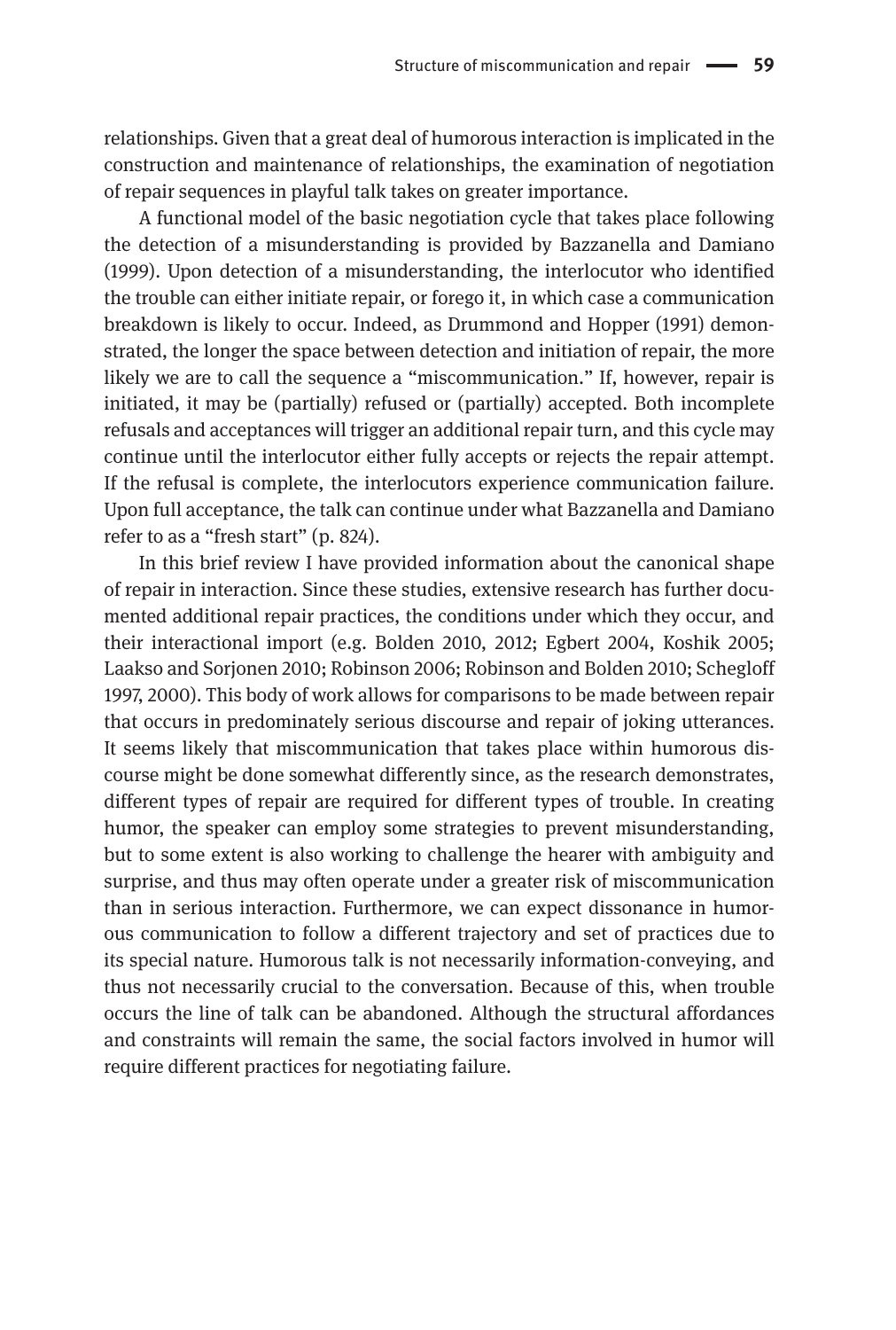relationships. Given that a great deal of humorous interaction is implicated in the construction and maintenance of relationships, the examination of negotiation of repair sequences in playful talk takes on greater importance.

A functional model of the basic negotiation cycle that takes place following the detection of a misunderstanding is provided by Bazzanella and Damiano (1999). Upon detection of a misunderstanding, the interlocutor who identified the trouble can either initiate repair, or forego it, in which case a communication breakdown is likely to occur. Indeed, as Drummond and Hopper (1991) demonstrated, the longer the space between detection and initiation of repair, the more likely we are to call the sequence a "miscommunication." If, however, repair is initiated, it may be (partially) refused or (partially) accepted. Both incomplete refusals and acceptances will trigger an additional repair turn, and this cycle may continue until the interlocutor either fully accepts or rejects the repair attempt. If the refusal is complete, the interlocutors experience communication failure. Upon full acceptance, the talk can continue under what Bazzanella and Damiano refer to as a "fresh start" (p. 824).

In this brief review I have provided information about the canonical shape of repair in interaction. Since these studies, extensive research has further documented additional repair practices, the conditions under which they occur, and their interactional import (e.g. Bolden 2010, 2012; Egbert 2004, Koshik 2005; Laakso and Sorjonen 2010; Robinson 2006; Robinson and Bolden 2010; Schegloff 1997, 2000). This body of work allows for comparisons to be made between repair that occurs in predominately serious discourse and repair of joking utterances. It seems likely that miscommunication that takes place within humorous discourse might be done somewhat differently since, as the research demonstrates, different types of repair are required for different types of trouble. In creating humor, the speaker can employ some strategies to prevent misunderstanding, but to some extent is also working to challenge the hearer with ambiguity and surprise, and thus may often operate under a greater risk of miscommunication than in serious interaction. Furthermore, we can expect dissonance in humorous communication to follow a different trajectory and set of practices due to its special nature. Humorous talk is not necessarily information-conveying, and thus not necessarily crucial to the conversation. Because of this, when trouble occurs the line of talk can be abandoned. Although the structural affordances and constraints will remain the same, the social factors involved in humor will require different practices for negotiating failure.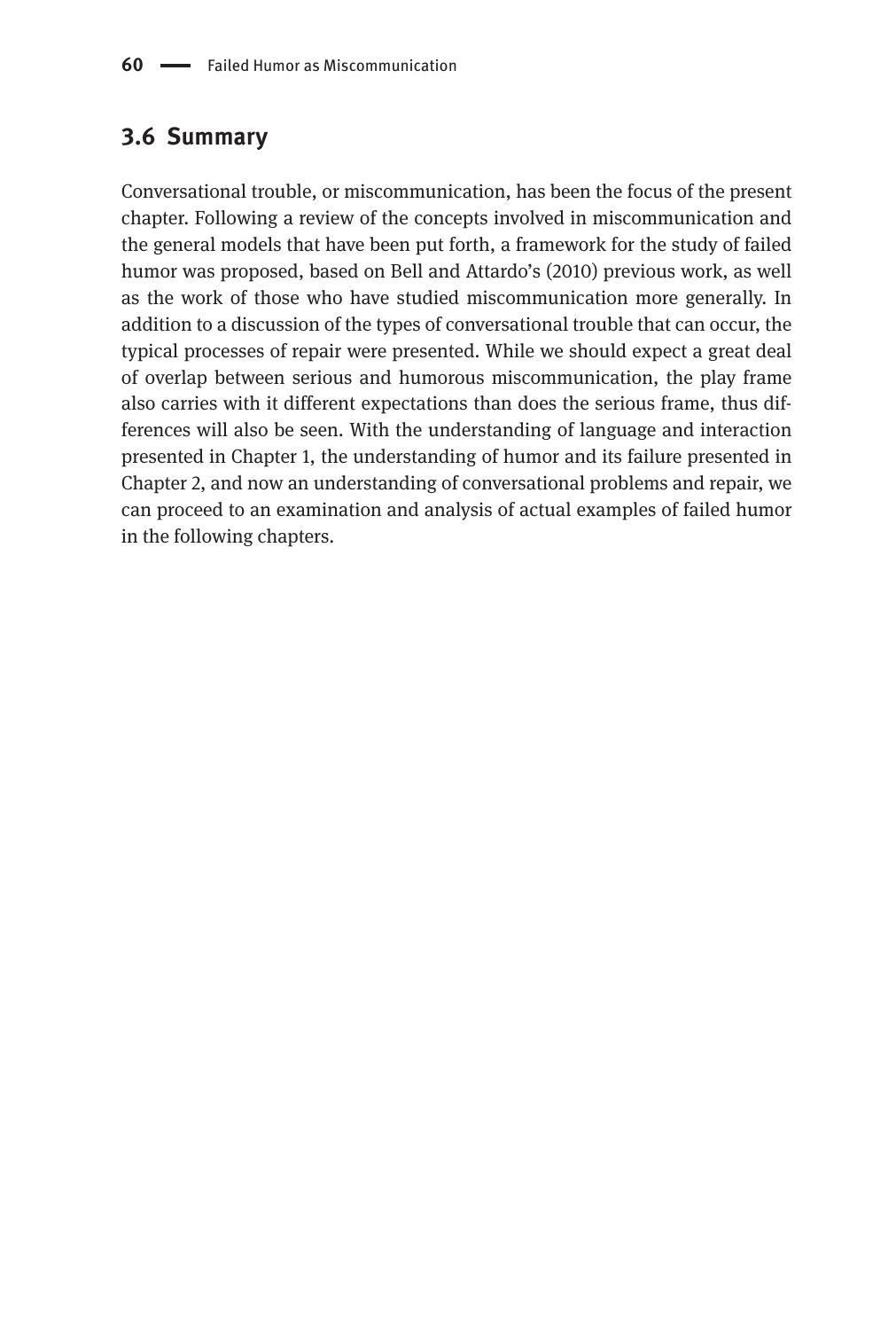## **3.6 Summary**

Conversational trouble, or miscommunication, has been the focus of the present chapter. Following a review of the concepts involved in miscommunication and the general models that have been put forth, a framework for the study of failed humor was proposed, based on Bell and Attardo's (2010) previous work, as well as the work of those who have studied miscommunication more generally. In addition to a discussion of the types of conversational trouble that can occur, the typical processes of repair were presented. While we should expect a great deal of overlap between serious and humorous miscommunication, the play frame also carries with it different expectations than does the serious frame, thus differences will also be seen. With the understanding of language and interaction presented in Chapter 1, the understanding of humor and its failure presented in Chapter 2, and now an understanding of conversational problems and repair, we can proceed to an examination and analysis of actual examples of failed humor in the following chapters.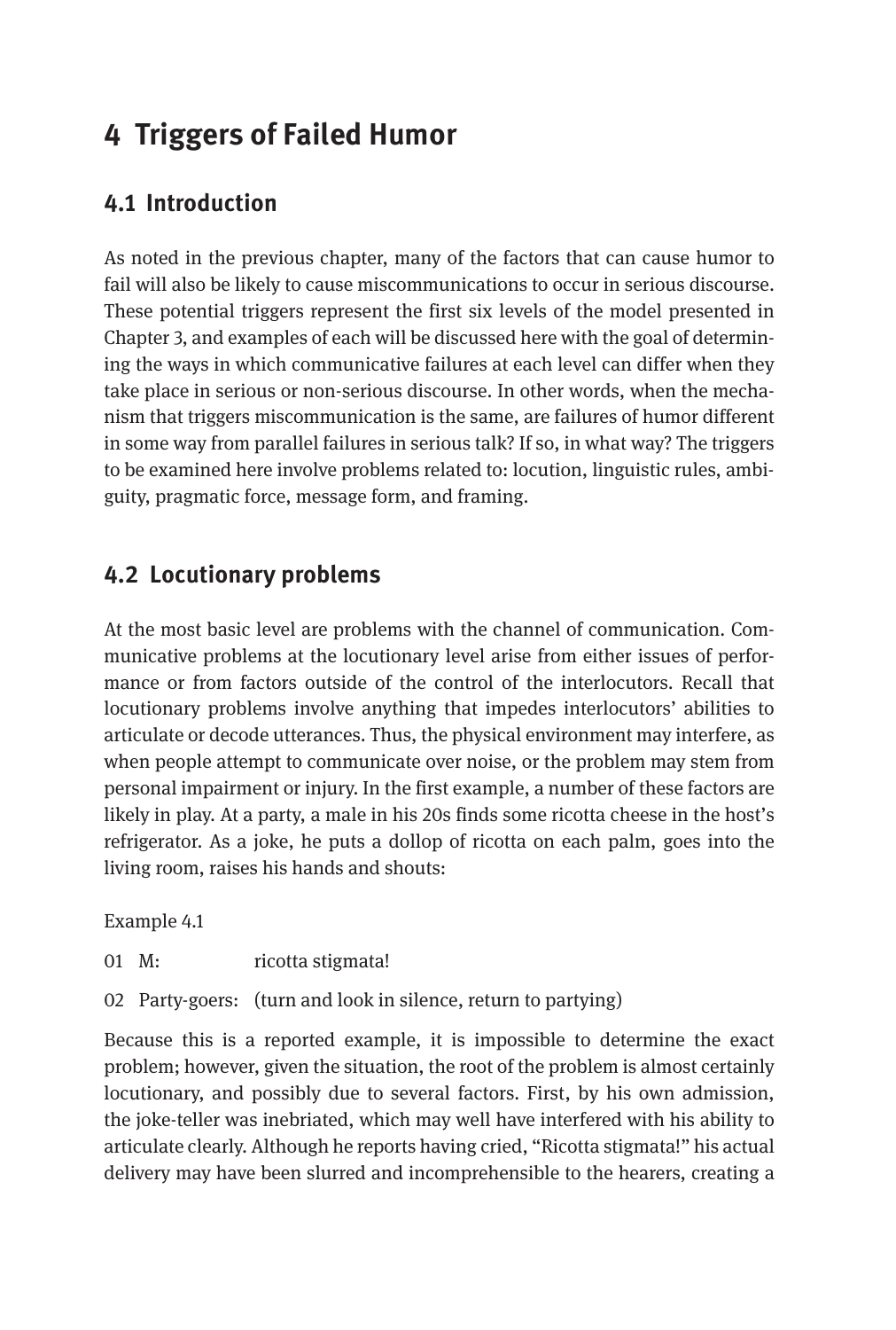# **4 Triggers of Failed Humor**

## **4.1 Introduction**

As noted in the previous chapter, many of the factors that can cause humor to fail will also be likely to cause miscommunications to occur in serious discourse. These potential triggers represent the first six levels of the model presented in Chapter 3, and examples of each will be discussed here with the goal of determining the ways in which communicative failures at each level can differ when they take place in serious or non-serious discourse. In other words, when the mechanism that triggers miscommunication is the same, are failures of humor different in some way from parallel failures in serious talk? If so, in what way? The triggers to be examined here involve problems related to: locution, linguistic rules, ambiguity, pragmatic force, message form, and framing.

## **4.2 Locutionary problems**

At the most basic level are problems with the channel of communication. Communicative problems at the locutionary level arise from either issues of performance or from factors outside of the control of the interlocutors. Recall that locutionary problems involve anything that impedes interlocutors' abilities to articulate or decode utterances. Thus, the physical environment may interfere, as when people attempt to communicate over noise, or the problem may stem from personal impairment or injury. In the first example, a number of these factors are likely in play. At a party, a male in his 20s finds some ricotta cheese in the host's refrigerator. As a joke, he puts a dollop of ricotta on each palm, goes into the living room, raises his hands and shouts:

Example 4.1

01 M: ricotta stigmata!

02 Party-goers: (turn and look in silence, return to partying)

Because this is a reported example, it is impossible to determine the exact problem; however, given the situation, the root of the problem is almost certainly locutionary, and possibly due to several factors. First, by his own admission, the joke-teller was inebriated, which may well have interfered with his ability to articulate clearly. Although he reports having cried, "Ricotta stigmata!" his actual delivery may have been slurred and incomprehensible to the hearers, creating a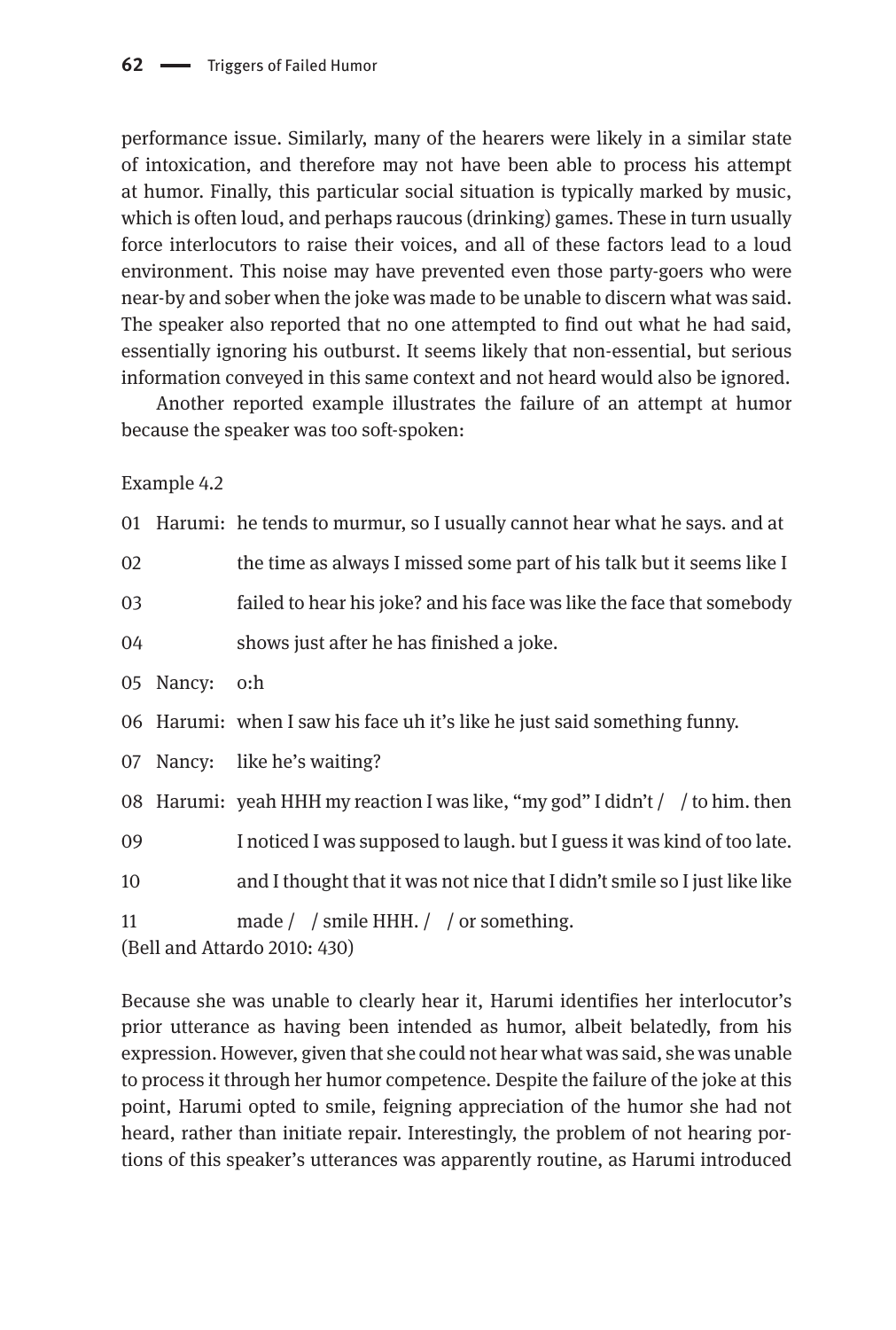performance issue. Similarly, many of the hearers were likely in a similar state of intoxication, and therefore may not have been able to process his attempt at humor. Finally, this particular social situation is typically marked by music, which is often loud, and perhaps raucous (drinking) games. These in turn usually force interlocutors to raise their voices, and all of these factors lead to a loud environment. This noise may have prevented even those party-goers who were near-by and sober when the joke was made to be unable to discern what was said. The speaker also reported that no one attempted to find out what he had said, essentially ignoring his outburst. It seems likely that non-essential, but serious information conveyed in this same context and not heard would also be ignored.

Another reported example illustrates the failure of an attempt at humor because the speaker was too soft-spoken:

Example 4.2

|    |           | 01 Harumi: he tends to murmur, so I usually cannot hear what he says. and at   |
|----|-----------|--------------------------------------------------------------------------------|
| 02 |           | the time as always I missed some part of his talk but it seems like I          |
| 03 |           | failed to hear his joke? and his face was like the face that somebody          |
| 04 |           | shows just after he has finished a joke.                                       |
|    | 05 Nancy: | o:h                                                                            |
|    |           | 06 Harumi: when I saw his face uh it's like he just said something funny.      |
|    |           | 07 Nancy: like he's waiting?                                                   |
|    |           | 08 Harumi: yeah HHH my reaction I was like, "my god" I didn't / / to him. then |
| 09 |           | I noticed I was supposed to laugh. but I guess it was kind of too late.        |
| 10 |           | and I thought that it was not nice that I didn't smile so I just like like     |
| 11 |           | made / / smile HHH. / / or something.<br>(Bell and Attardo 2010: 430)          |

Because she was unable to clearly hear it, Harumi identifies her interlocutor's prior utterance as having been intended as humor, albeit belatedly, from his expression. However, given that she could not hear what was said, she was unable to process it through her humor competence. Despite the failure of the joke at this point, Harumi opted to smile, feigning appreciation of the humor she had not heard, rather than initiate repair. Interestingly, the problem of not hearing portions of this speaker's utterances was apparently routine, as Harumi introduced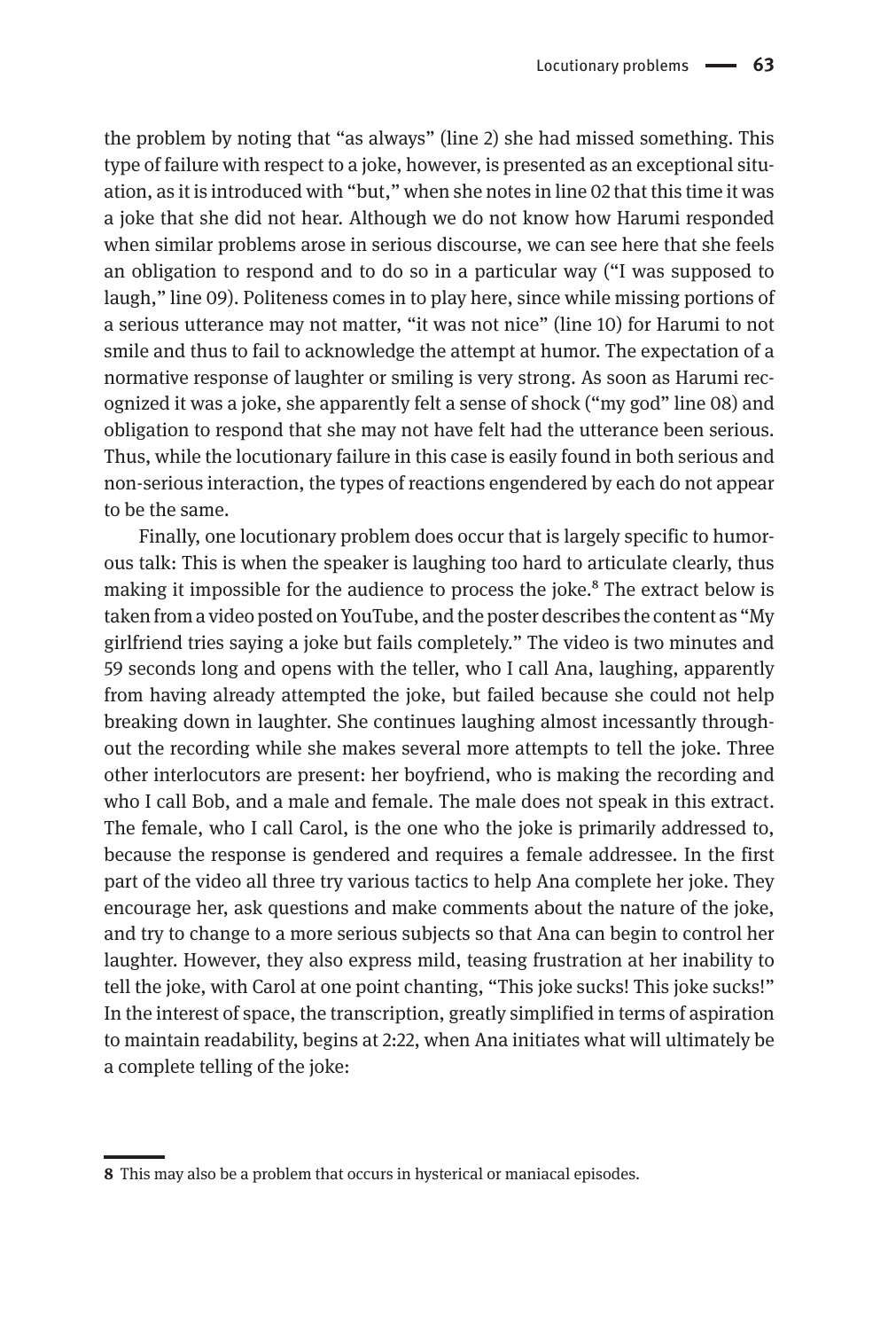the problem by noting that "as always" (line 2) she had missed something. This type of failure with respect to a joke, however, is presented as an exceptional situation, as it is introduced with "but," when she notes in line 02 that this time it was a joke that she did not hear. Although we do not know how Harumi responded when similar problems arose in serious discourse, we can see here that she feels an obligation to respond and to do so in a particular way ("I was supposed to laugh," line 09). Politeness comes in to play here, since while missing portions of a serious utterance may not matter, "it was not nice" (line 10) for Harumi to not smile and thus to fail to acknowledge the attempt at humor. The expectation of a normative response of laughter or smiling is very strong. As soon as Harumi recognized it was a joke, she apparently felt a sense of shock ("my god" line 08) and obligation to respond that she may not have felt had the utterance been serious. Thus, while the locutionary failure in this case is easily found in both serious and non-serious interaction, the types of reactions engendered by each do not appear to be the same.

Finally, one locutionary problem does occur that is largely specific to humorous talk: This is when the speaker is laughing too hard to articulate clearly, thus making it impossible for the audience to process the joke.<sup>8</sup> The extract below is taken from a video posted on YouTube, and the poster describes the content as "My girlfriend tries saying a joke but fails completely." The video is two minutes and 59 seconds long and opens with the teller, who I call Ana, laughing, apparently from having already attempted the joke, but failed because she could not help breaking down in laughter. She continues laughing almost incessantly throughout the recording while she makes several more attempts to tell the joke. Three other interlocutors are present: her boyfriend, who is making the recording and who I call Bob, and a male and female. The male does not speak in this extract. The female, who I call Carol, is the one who the joke is primarily addressed to, because the response is gendered and requires a female addressee. In the first part of the video all three try various tactics to help Ana complete her joke. They encourage her, ask questions and make comments about the nature of the joke, and try to change to a more serious subjects so that Ana can begin to control her laughter. However, they also express mild, teasing frustration at her inability to tell the joke, with Carol at one point chanting, "This joke sucks! This joke sucks!" In the interest of space, the transcription, greatly simplified in terms of aspiration to maintain readability, begins at 2:22, when Ana initiates what will ultimately be a complete telling of the joke:

**<sup>8</sup>** This may also be a problem that occurs in hysterical or maniacal episodes.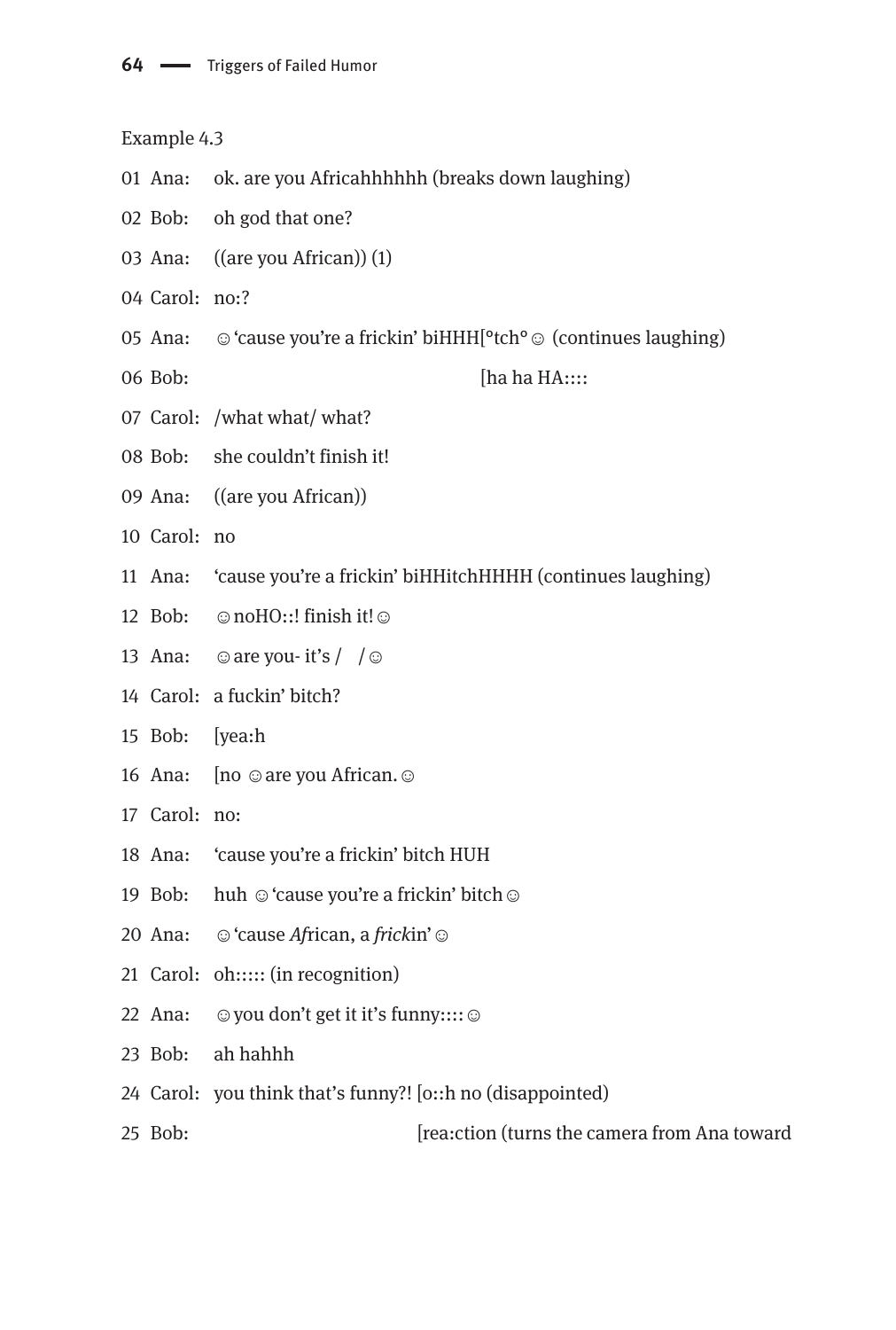Example 4.3

- 01 Ana: ok. are you Africahhhhhh (breaks down laughing)
- 02 Bob: oh god that one?
- 03 Ana: ((are you African)) (1)
- 04 Carol: no:?
- 05 Ana: ☺'cause you're a frickin' biHHH[°tch°☺ (continues laughing)
- 

06 Bob: [ha ha HA::::

- 07 Carol: /what what/ what?
- 08 Bob: she couldn't finish it!
- 09 Ana: ((are you African))
- 10 Carol: no
- 11 Ana: 'cause you're a frickin' biHHitchHHHH (continues laughing)
- 12 Bob:  $\odot$  noHO::! finish it! $\odot$
- 13 Ana:  $\odot$  are you- it's /  $\prime$   $\odot$
- 14 Carol: a fuckin' bitch?
- 15 Bob: [yea:h
- 16 Ana: [no ☺are you African.☺
- 17 Carol: no:
- 18 Ana: 'cause you're a frickin' bitch HUH
- 19 Bob: huh ☺'cause you're a frickin' bitch ☺
- 20 Ana: ☺<sup>'</sup>cause *African*, a *frickin'*☺
- 21 Carol: oh::::: (in recognition)
- 22 Ana:  $\odot$  you don't get it it's funny::::  $\odot$
- 23 Bob: ah hahhh
- 24 Carol: you think that's funny?! [o::h no (disappointed)
- 25 Bob: [rea:ction (turns the camera from Ana toward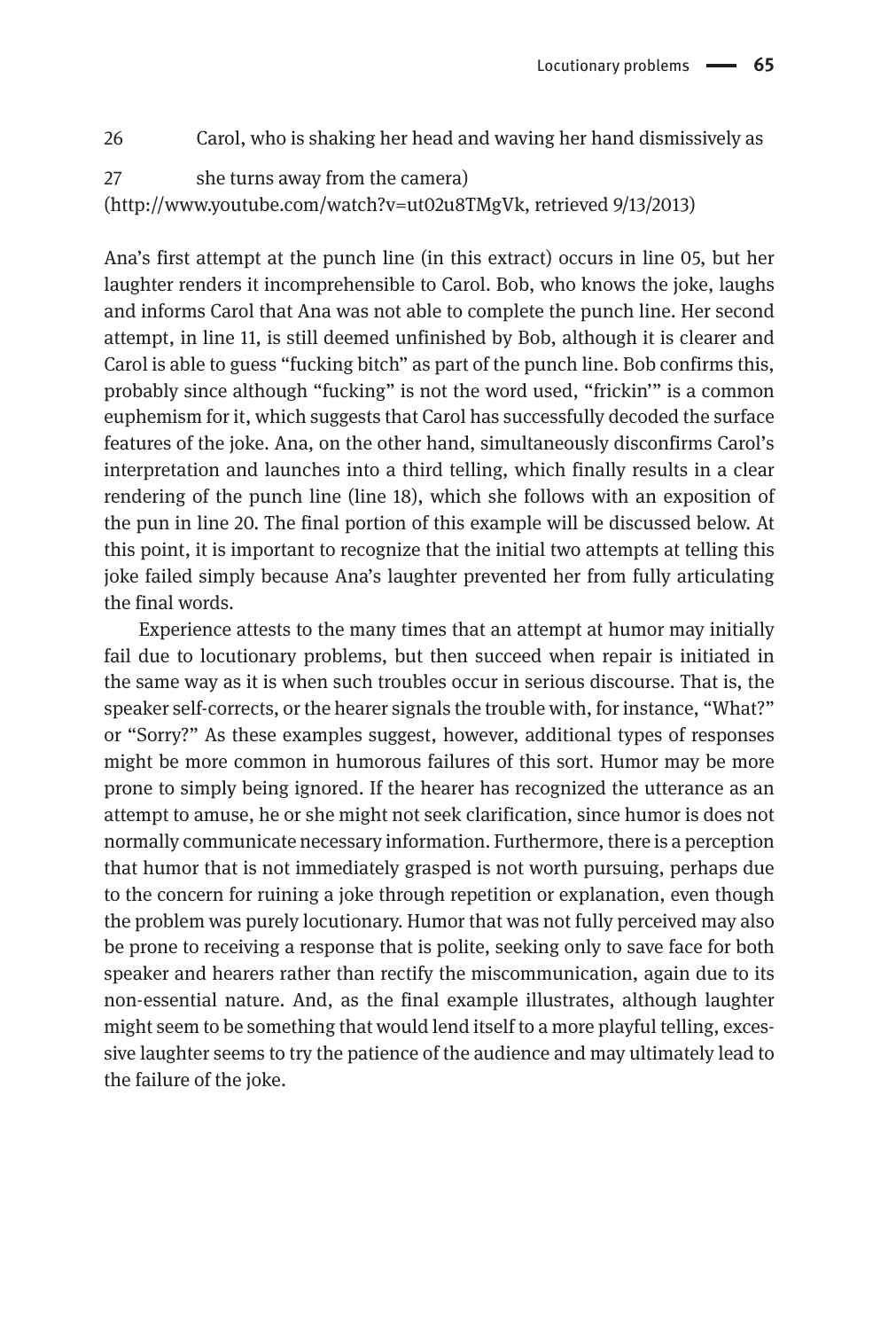#### 26 Carol, who is shaking her head and waving her hand dismissively as

27 she turns away from the camera)

(http://www.youtube.com/watch?v=ut02u8TMgVk, retrieved 9/13/2013)

Ana's first attempt at the punch line (in this extract) occurs in line 05, but her laughter renders it incomprehensible to Carol. Bob, who knows the joke, laughs and informs Carol that Ana was not able to complete the punch line. Her second attempt, in line 11, is still deemed unfinished by Bob, although it is clearer and Carol is able to guess "fucking bitch" as part of the punch line. Bob confirms this, probably since although "fucking" is not the word used, "frickin'" is a common euphemism for it, which suggests that Carol has successfully decoded the surface features of the joke. Ana, on the other hand, simultaneously disconfirms Carol's interpretation and launches into a third telling, which finally results in a clear rendering of the punch line (line 18), which she follows with an exposition of the pun in line 20. The final portion of this example will be discussed below. At this point, it is important to recognize that the initial two attempts at telling this joke failed simply because Ana's laughter prevented her from fully articulating the final words.

Experience attests to the many times that an attempt at humor may initially fail due to locutionary problems, but then succeed when repair is initiated in the same way as it is when such troubles occur in serious discourse. That is, the speaker self-corrects, or the hearer signals the trouble with, for instance, "What?" or "Sorry?" As these examples suggest, however, additional types of responses might be more common in humorous failures of this sort. Humor may be more prone to simply being ignored. If the hearer has recognized the utterance as an attempt to amuse, he or she might not seek clarification, since humor is does not normally communicate necessary information. Furthermore, there is a perception that humor that is not immediately grasped is not worth pursuing, perhaps due to the concern for ruining a joke through repetition or explanation, even though the problem was purely locutionary. Humor that was not fully perceived may also be prone to receiving a response that is polite, seeking only to save face for both speaker and hearers rather than rectify the miscommunication, again due to its non-essential nature. And, as the final example illustrates, although laughter might seem to be something that would lend itself to a more playful telling, excessive laughter seems to try the patience of the audience and may ultimately lead to the failure of the joke.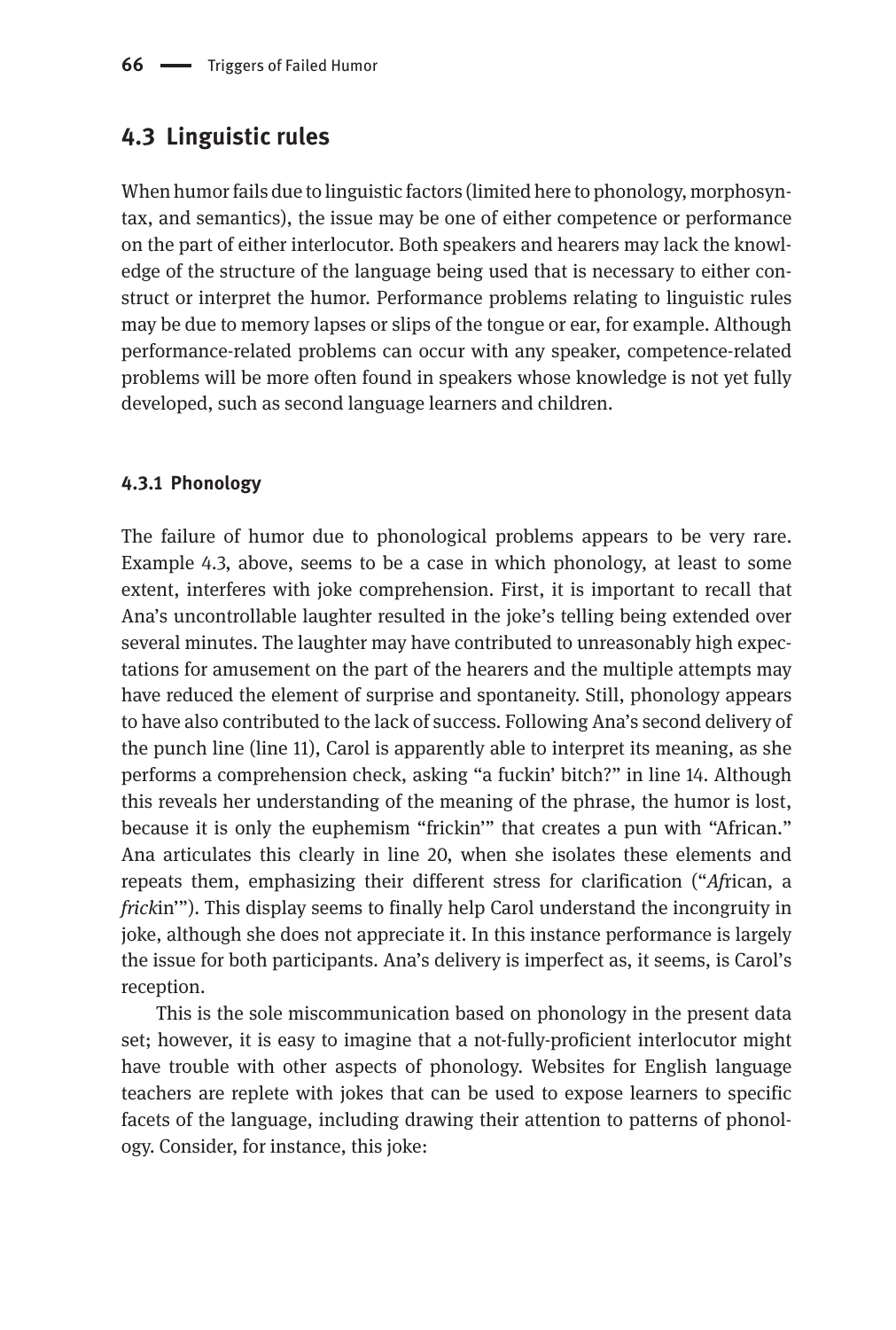## **4.3 Linguistic rules**

When humor fails due to linguistic factors (limited here to phonology, morphosyntax, and semantics), the issue may be one of either competence or performance on the part of either interlocutor. Both speakers and hearers may lack the knowledge of the structure of the language being used that is necessary to either construct or interpret the humor. Performance problems relating to linguistic rules may be due to memory lapses or slips of the tongue or ear, for example. Although performance-related problems can occur with any speaker, competence-related problems will be more often found in speakers whose knowledge is not yet fully developed, such as second language learners and children.

#### **4.3.1 Phonology**

The failure of humor due to phonological problems appears to be very rare. Example 4.3, above, seems to be a case in which phonology, at least to some extent, interferes with joke comprehension. First, it is important to recall that Ana's uncontrollable laughter resulted in the joke's telling being extended over several minutes. The laughter may have contributed to unreasonably high expectations for amusement on the part of the hearers and the multiple attempts may have reduced the element of surprise and spontaneity. Still, phonology appears to have also contributed to the lack of success. Following Ana's second delivery of the punch line (line 11), Carol is apparently able to interpret its meaning, as she performs a comprehension check, asking "a fuckin' bitch?" in line 14. Although this reveals her understanding of the meaning of the phrase, the humor is lost, because it is only the euphemism "frickin'" that creates a pun with "African." Ana articulates this clearly in line 20, when she isolates these elements and repeats them, emphasizing their different stress for clarification ("*Af*rican, a *frick*in'"). This display seems to finally help Carol understand the incongruity in joke, although she does not appreciate it. In this instance performance is largely the issue for both participants. Ana's delivery is imperfect as, it seems, is Carol's reception.

This is the sole miscommunication based on phonology in the present data set; however, it is easy to imagine that a not-fully-proficient interlocutor might have trouble with other aspects of phonology. Websites for English language teachers are replete with jokes that can be used to expose learners to specific facets of the language, including drawing their attention to patterns of phonology. Consider, for instance, this joke: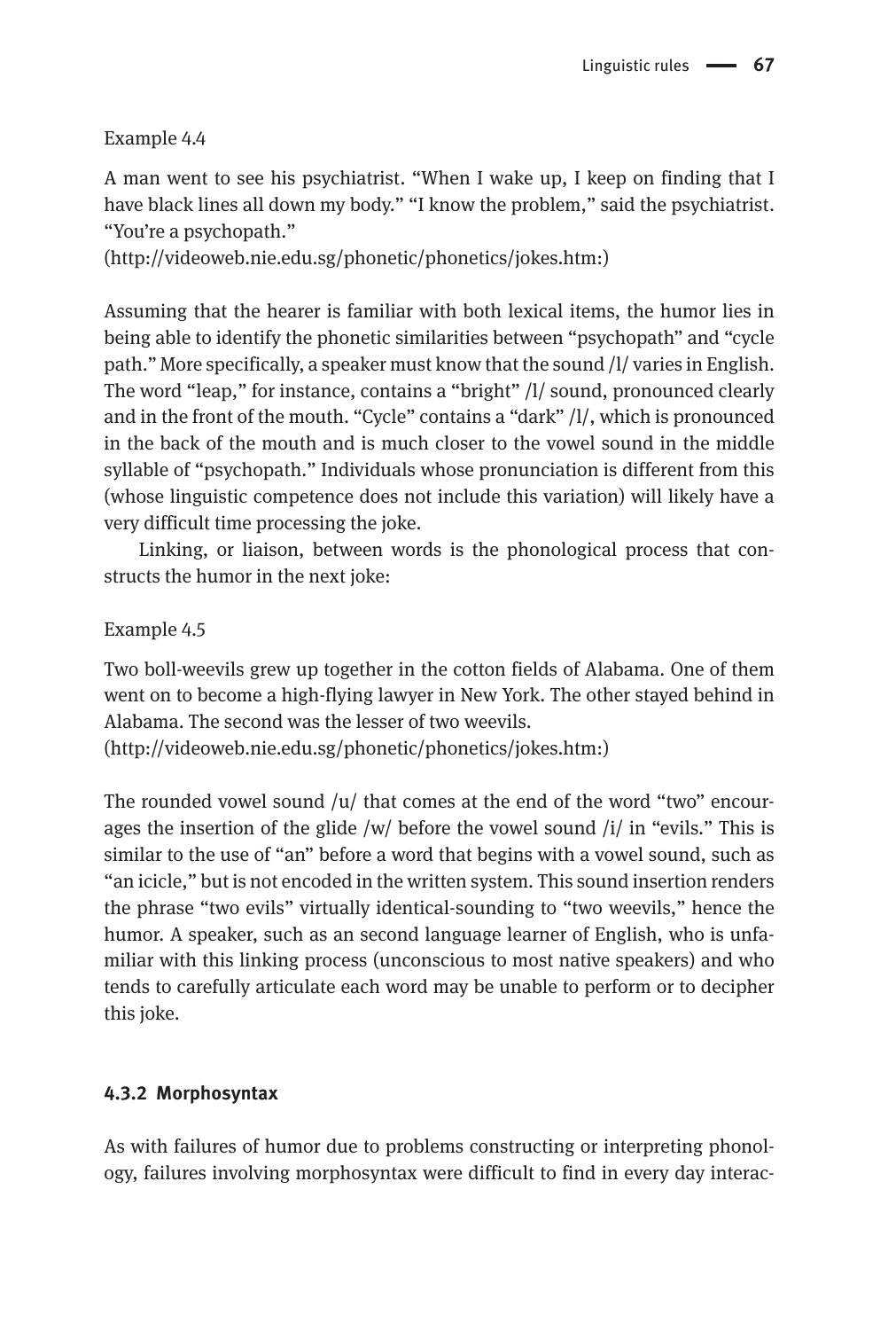#### Example 4.4

A man went to see his psychiatrist. "When I wake up, I keep on finding that I have black lines all down my body." "I know the problem," said the psychiatrist. "You're a psychopath."

(http://videoweb.nie.edu.sg/phonetic/phonetics/jokes.htm:)

Assuming that the hearer is familiar with both lexical items, the humor lies in being able to identify the phonetic similarities between "psychopath" and "cycle path." More specifically, a speaker must know that the sound /l/ varies in English. The word "leap," for instance, contains a "bright" /l/ sound, pronounced clearly and in the front of the mouth. "Cycle" contains a "dark" /l/, which is pronounced in the back of the mouth and is much closer to the vowel sound in the middle syllable of "psychopath." Individuals whose pronunciation is different from this (whose linguistic competence does not include this variation) will likely have a very difficult time processing the joke.

Linking, or liaison, between words is the phonological process that constructs the humor in the next joke:

#### Example 4.5

Two boll-weevils grew up together in the cotton fields of Alabama. One of them went on to become a high-flying lawyer in New York. The other stayed behind in Alabama. The second was the lesser of two weevils.

(http://videoweb.nie.edu.sg/phonetic/phonetics/jokes.htm:)

The rounded vowel sound  $\mu$  that comes at the end of the word "two" encourages the insertion of the glide /w/ before the vowel sound  $/i/$  in "evils." This is similar to the use of "an" before a word that begins with a vowel sound, such as "an icicle," but is not encoded in the written system. This sound insertion renders the phrase "two evils" virtually identical-sounding to "two weevils," hence the humor. A speaker, such as an second language learner of English, who is unfamiliar with this linking process (unconscious to most native speakers) and who tends to carefully articulate each word may be unable to perform or to decipher this joke.

#### **4.3.2 Morphosyntax**

As with failures of humor due to problems constructing or interpreting phonology, failures involving morphosyntax were difficult to find in every day interac-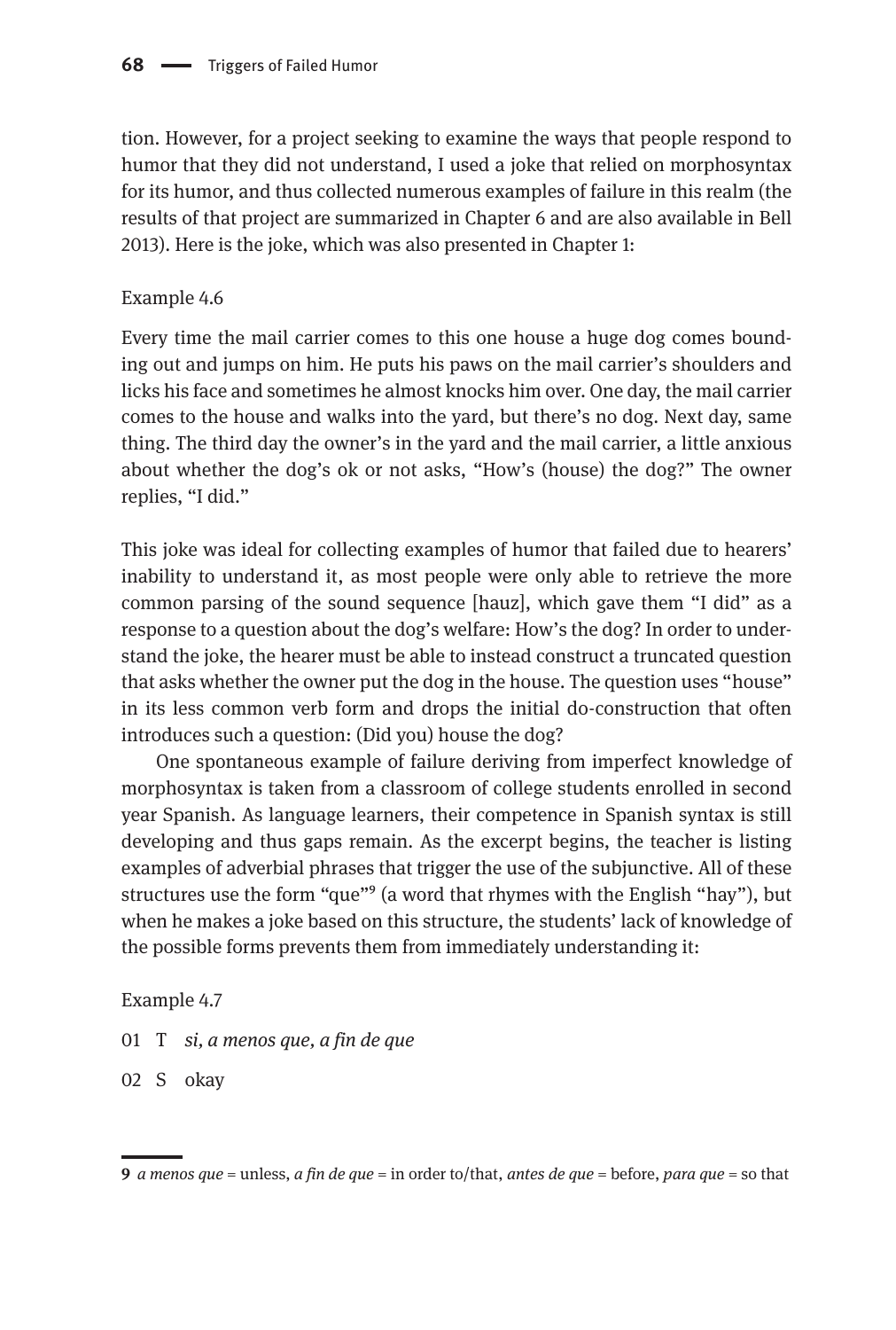tion. However, for a project seeking to examine the ways that people respond to humor that they did not understand, I used a joke that relied on morphosyntax for its humor, and thus collected numerous examples of failure in this realm (the results of that project are summarized in Chapter 6 and are also available in Bell 2013). Here is the joke, which was also presented in Chapter 1:

#### Example 4.6

Every time the mail carrier comes to this one house a huge dog comes bounding out and jumps on him. He puts his paws on the mail carrier's shoulders and licks his face and sometimes he almost knocks him over. One day, the mail carrier comes to the house and walks into the yard, but there's no dog. Next day, same thing. The third day the owner's in the yard and the mail carrier, a little anxious about whether the dog's ok or not asks, "How's (house) the dog?" The owner replies, "I did."

This joke was ideal for collecting examples of humor that failed due to hearers' inability to understand it, as most people were only able to retrieve the more common parsing of the sound sequence [hauz], which gave them "I did" as a response to a question about the dog's welfare: How's the dog? In order to understand the joke, the hearer must be able to instead construct a truncated question that asks whether the owner put the dog in the house. The question uses "house" in its less common verb form and drops the initial do-construction that often introduces such a question: (Did you) house the dog?

One spontaneous example of failure deriving from imperfect knowledge of morphosyntax is taken from a classroom of college students enrolled in second year Spanish. As language learners, their competence in Spanish syntax is still developing and thus gaps remain. As the excerpt begins, the teacher is listing examples of adverbial phrases that trigger the use of the subjunctive. All of these structures use the form "que"<sup>9</sup> (a word that rhymes with the English "hay"), but when he makes a joke based on this structure, the students' lack of knowledge of the possible forms prevents them from immediately understanding it:

Example 4.7

01 T *si, a menos que, a fin de que*

02 S okay

**<sup>9</sup>** *a menos que* = unless, *a fin de que* = in order to/that, *antes de que* = before, *para que* = so that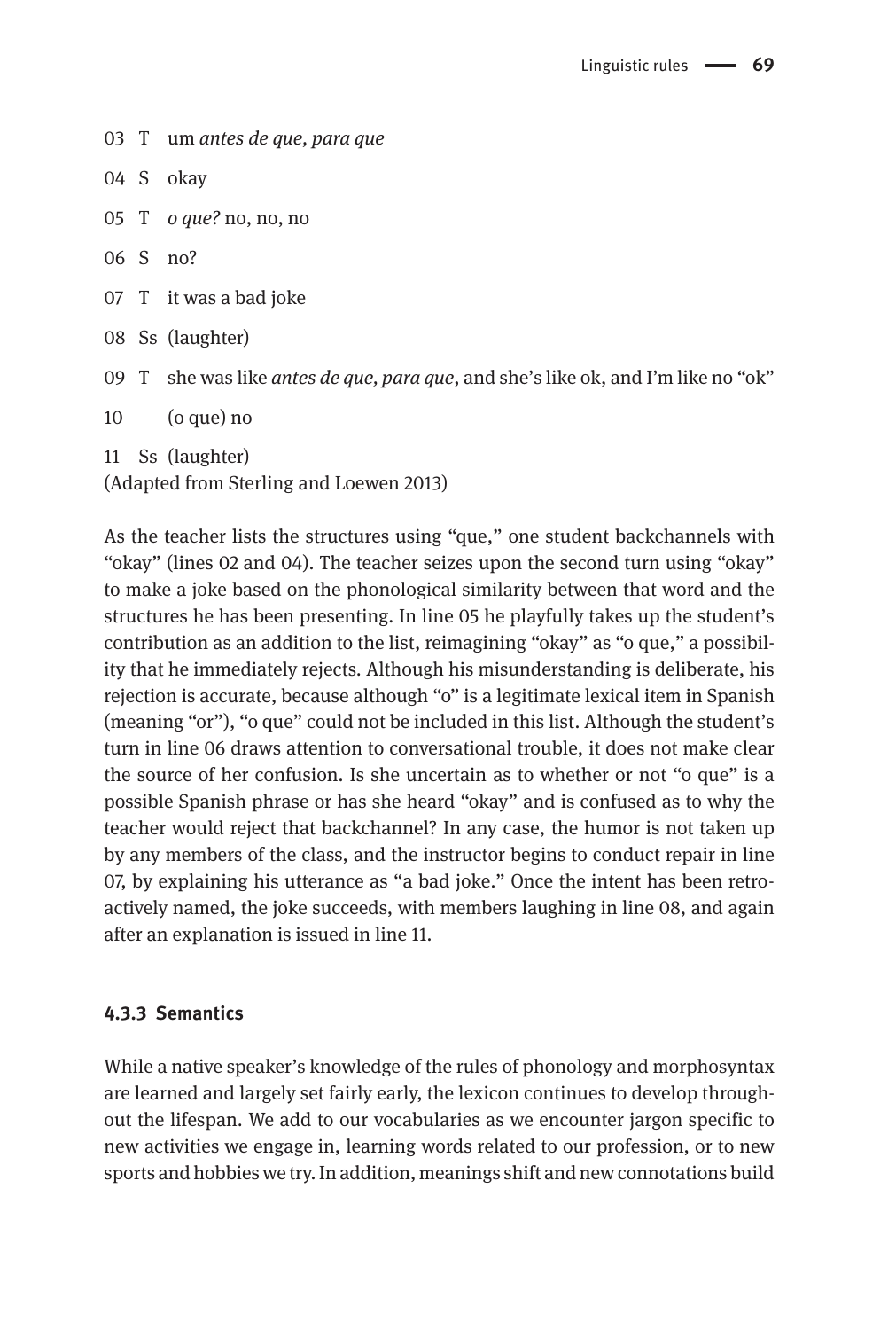03 T um *antes de que, para que* 04 S okay 05 T *o que?* no, no, no 06 S no? 07 T it was a bad joke 08 Ss (laughter) 09 T she was like *antes de que, para que*, and she's like ok, and I'm like no "ok" 10 (o que) no

11 Ss (laughter)

(Adapted from Sterling and Loewen 2013)

As the teacher lists the structures using "que," one student backchannels with "okay" (lines 02 and 04). The teacher seizes upon the second turn using "okay" to make a joke based on the phonological similarity between that word and the structures he has been presenting. In line 05 he playfully takes up the student's contribution as an addition to the list, reimagining "okay" as "o que," a possibility that he immediately rejects. Although his misunderstanding is deliberate, his rejection is accurate, because although "o" is a legitimate lexical item in Spanish (meaning "or"), "o que" could not be included in this list. Although the student's turn in line 06 draws attention to conversational trouble, it does not make clear the source of her confusion. Is she uncertain as to whether or not "o que" is a possible Spanish phrase or has she heard "okay" and is confused as to why the teacher would reject that backchannel? In any case, the humor is not taken up by any members of the class, and the instructor begins to conduct repair in line 07, by explaining his utterance as "a bad joke." Once the intent has been retroactively named, the joke succeeds, with members laughing in line 08, and again after an explanation is issued in line 11.

#### **4.3.3 Semantics**

While a native speaker's knowledge of the rules of phonology and morphosyntax are learned and largely set fairly early, the lexicon continues to develop throughout the lifespan. We add to our vocabularies as we encounter jargon specific to new activities we engage in, learning words related to our profession, or to new sports and hobbies we try. In addition, meanings shift and new connotations build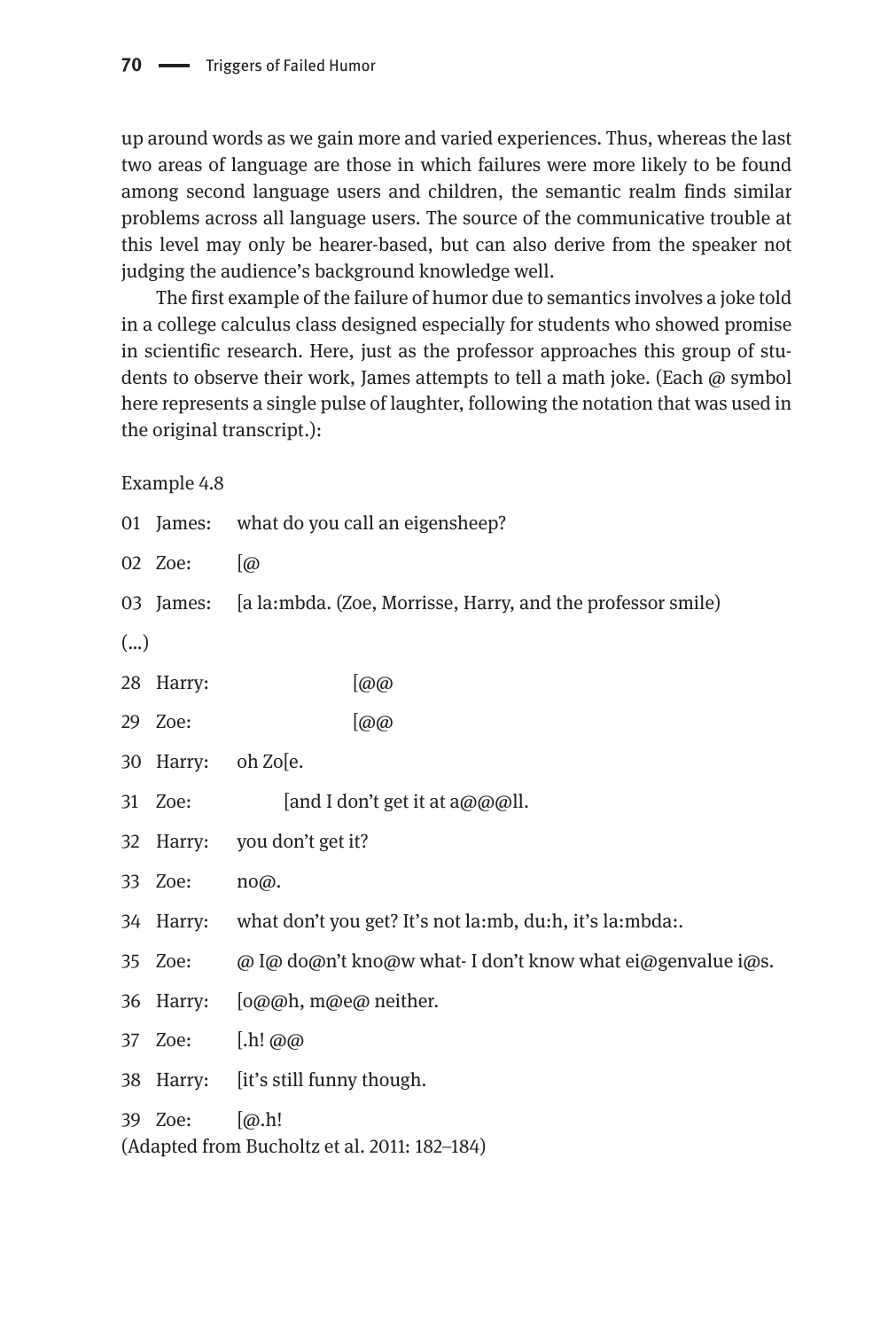up around words as we gain more and varied experiences. Thus, whereas the last two areas of language are those in which failures were more likely to be found among second language users and children, the semantic realm finds similar problems across all language users. The source of the communicative trouble at this level may only be hearer-based, but can also derive from the speaker not judging the audience's background knowledge well.

The first example of the failure of humor due to semantics involves a joke told in a college calculus class designed especially for students who showed promise in scientific research. Here, just as the professor approaches this group of students to observe their work, James attempts to tell a math joke. (Each @ symbol here represents a single pulse of laughter, following the notation that was used in the original transcript.):

#### Example 4.8

|                                              | 01 James: | what do you call an eigensheep?                                    |
|----------------------------------------------|-----------|--------------------------------------------------------------------|
|                                              | 02 Zoe:   | [@                                                                 |
|                                              | 03 James: | [a la:mbda. (Zoe, Morrisse, Harry, and the professor smile)        |
| ()                                           |           |                                                                    |
|                                              | 28 Harry: | [@@                                                                |
|                                              | 29 Zoe:   | [@@                                                                |
|                                              | 30 Harry: | oh Zo[e.                                                           |
|                                              | 31 Zoe:   | [and I don't get it at $a@@@$ ll.                                  |
| 32                                           | Harry:    | you don't get it?                                                  |
|                                              | 33 Zoe:   | no@.                                                               |
|                                              |           | 34 Harry: what don't you get? It's not la:mb, du:h, it's la:mbda:. |
|                                              | 35 Zoe:   | @ I@ do@n't kno@w what- I don't know what ei@genvalue i@s.         |
| 36                                           | Harry:    | [o@@h, m@e@ neither.                                               |
|                                              | 37 Zoe:   | $[.h]$ @@                                                          |
|                                              |           | 38 Harry: [it's still funny though.                                |
|                                              | 39 Zoe:   | $[\omega.h!]$                                                      |
| (Adapted from Bucholtz et al. 2011: 182-184) |           |                                                                    |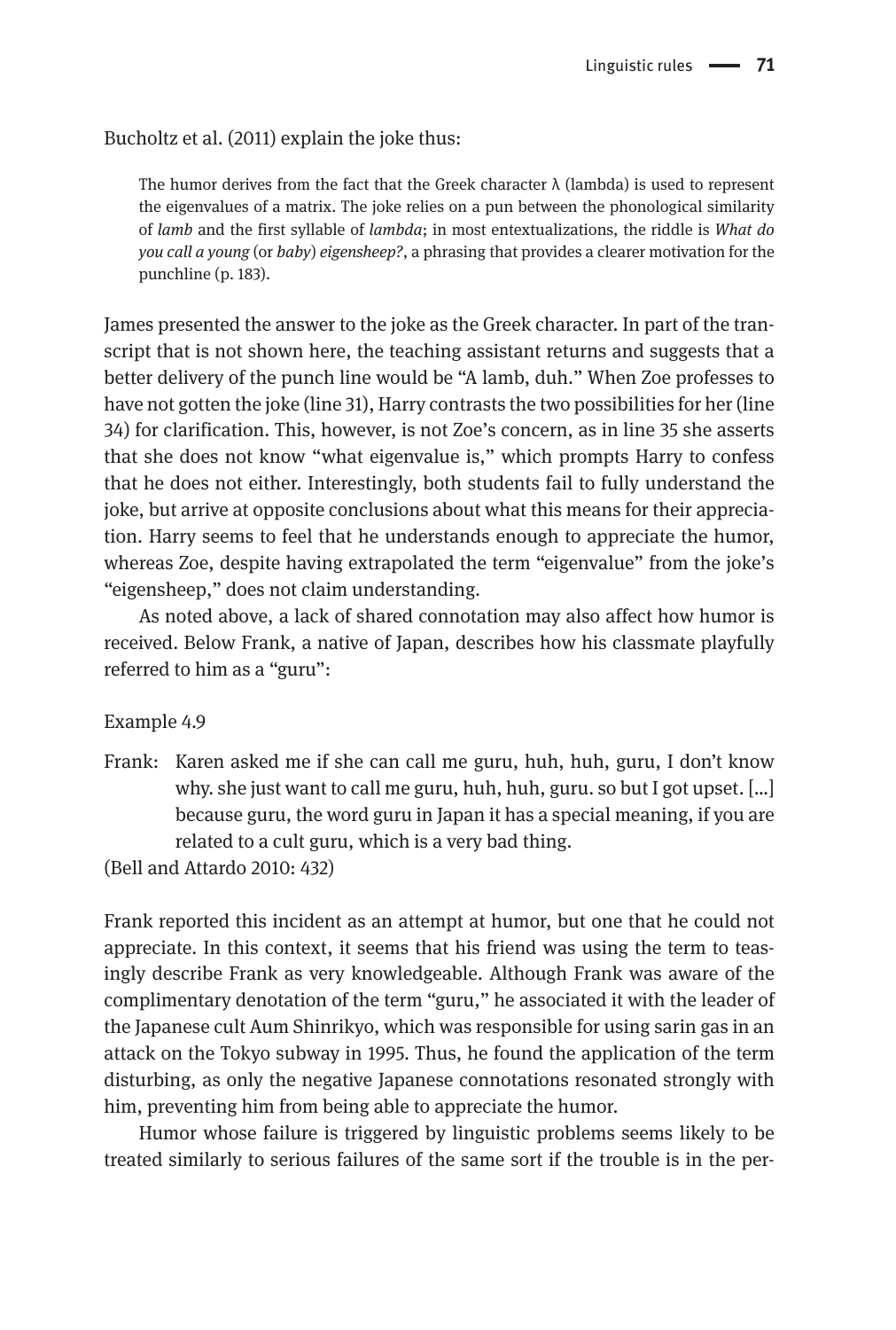Bucholtz et al. (2011) explain the joke thus:

The humor derives from the fact that the Greek character  $\lambda$  (lambda) is used to represent the eigenvalues of a matrix. The joke relies on a pun between the phonological similarity of *lamb* and the first syllable of *lambda*; in most entextualizations, the riddle is *What do you call a young* (or *baby*) *eigensheep?*, a phrasing that provides a clearer motivation for the punchline (p. 183).

James presented the answer to the joke as the Greek character. In part of the transcript that is not shown here, the teaching assistant returns and suggests that a better delivery of the punch line would be "A lamb, duh." When Zoe professes to have not gotten the joke (line 31), Harry contrasts the two possibilities for her (line 34) for clarification. This, however, is not Zoe's concern, as in line 35 she asserts that she does not know "what eigenvalue is," which prompts Harry to confess that he does not either. Interestingly, both students fail to fully understand the joke, but arrive at opposite conclusions about what this means for their appreciation. Harry seems to feel that he understands enough to appreciate the humor, whereas Zoe, despite having extrapolated the term "eigenvalue" from the joke's "eigensheep," does not claim understanding.

As noted above, a lack of shared connotation may also affect how humor is received. Below Frank, a native of Japan, describes how his classmate playfully referred to him as a "guru":

#### Example 4.9

Frank: Karen asked me if she can call me guru, huh, huh, guru, I don't know why, she just want to call me guru, huh, huh, guru, so but I got upset. [...] because guru, the word guru in Japan it has a special meaning, if you are related to a cult guru, which is a very bad thing.

(Bell and Attardo 2010: 432)

Frank reported this incident as an attempt at humor, but one that he could not appreciate. In this context, it seems that his friend was using the term to teasingly describe Frank as very knowledgeable. Although Frank was aware of the complimentary denotation of the term "guru," he associated it with the leader of the Japanese cult Aum Shinrikyo, which was responsible for using sarin gas in an attack on the Tokyo subway in 1995. Thus, he found the application of the term disturbing, as only the negative Japanese connotations resonated strongly with him, preventing him from being able to appreciate the humor.

Humor whose failure is triggered by linguistic problems seems likely to be treated similarly to serious failures of the same sort if the trouble is in the per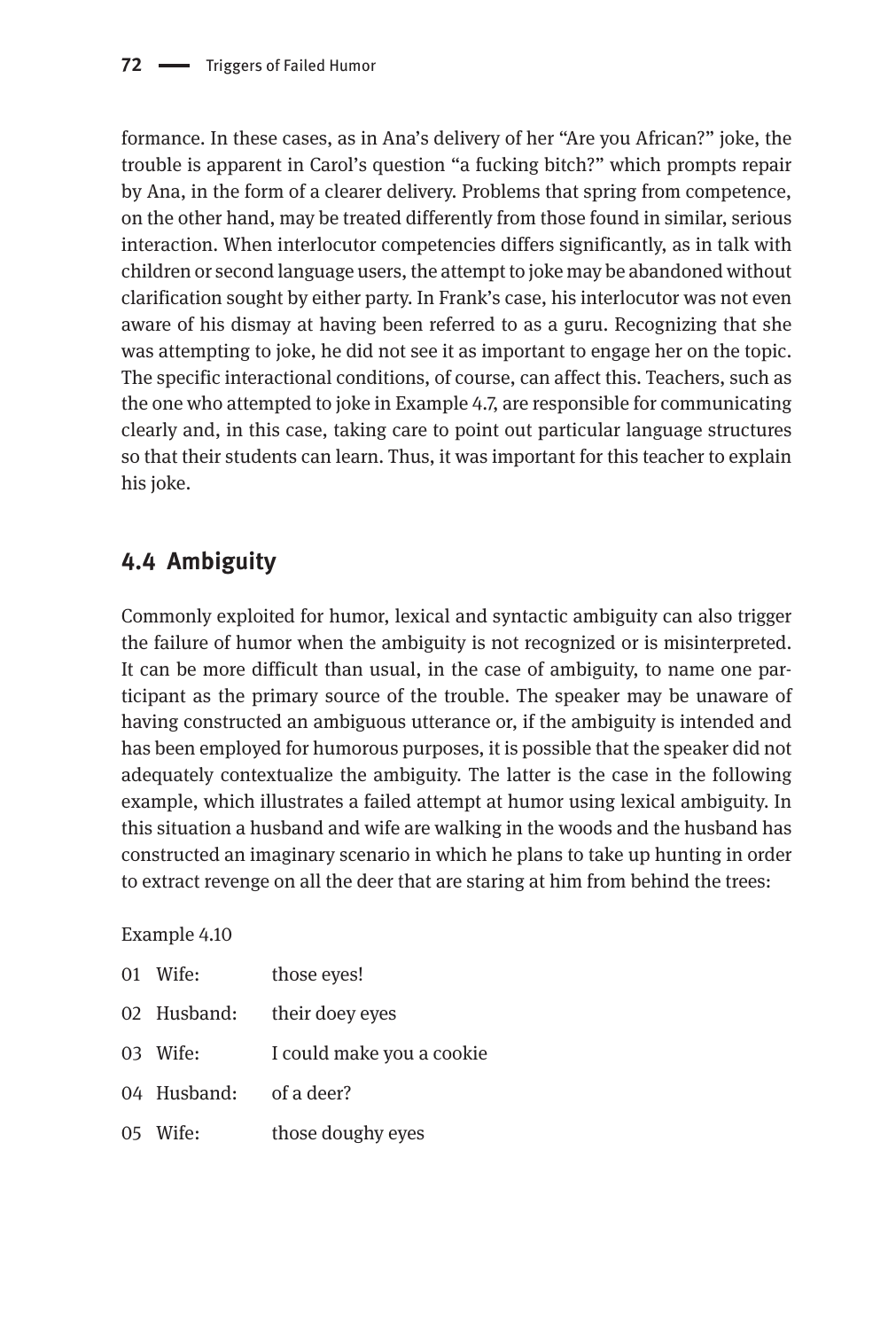formance. In these cases, as in Ana's delivery of her "Are you African?" joke, the trouble is apparent in Carol's question "a fucking bitch?" which prompts repair by Ana, in the form of a clearer delivery. Problems that spring from competence, on the other hand, may be treated differently from those found in similar, serious interaction. When interlocutor competencies differs significantly, as in talk with children or second language users, the attempt to joke may be abandoned without clarification sought by either party. In Frank's case, his interlocutor was not even aware of his dismay at having been referred to as a guru. Recognizing that she was attempting to joke, he did not see it as important to engage her on the topic. The specific interactional conditions, of course, can affect this. Teachers, such as the one who attempted to joke in Example 4.7, are responsible for communicating clearly and, in this case, taking care to point out particular language structures so that their students can learn. Thus, it was important for this teacher to explain his joke.

# **4.4 Ambiguity**

Commonly exploited for humor, lexical and syntactic ambiguity can also trigger the failure of humor when the ambiguity is not recognized or is misinterpreted. It can be more difficult than usual, in the case of ambiguity, to name one participant as the primary source of the trouble. The speaker may be unaware of having constructed an ambiguous utterance or, if the ambiguity is intended and has been employed for humorous purposes, it is possible that the speaker did not adequately contextualize the ambiguity. The latter is the case in the following example, which illustrates a failed attempt at humor using lexical ambiguity. In this situation a husband and wife are walking in the woods and the husband has constructed an imaginary scenario in which he plans to take up hunting in order to extract revenge on all the deer that are staring at him from behind the trees:

Example 4.10

| 01 Wife:    | those eyes!               |
|-------------|---------------------------|
| 02 Husband: | their doey eyes           |
| 03 Wife:    | I could make you a cookie |
| 04 Husband: | of a deer?                |
| 05 Wife:    | those doughy eyes         |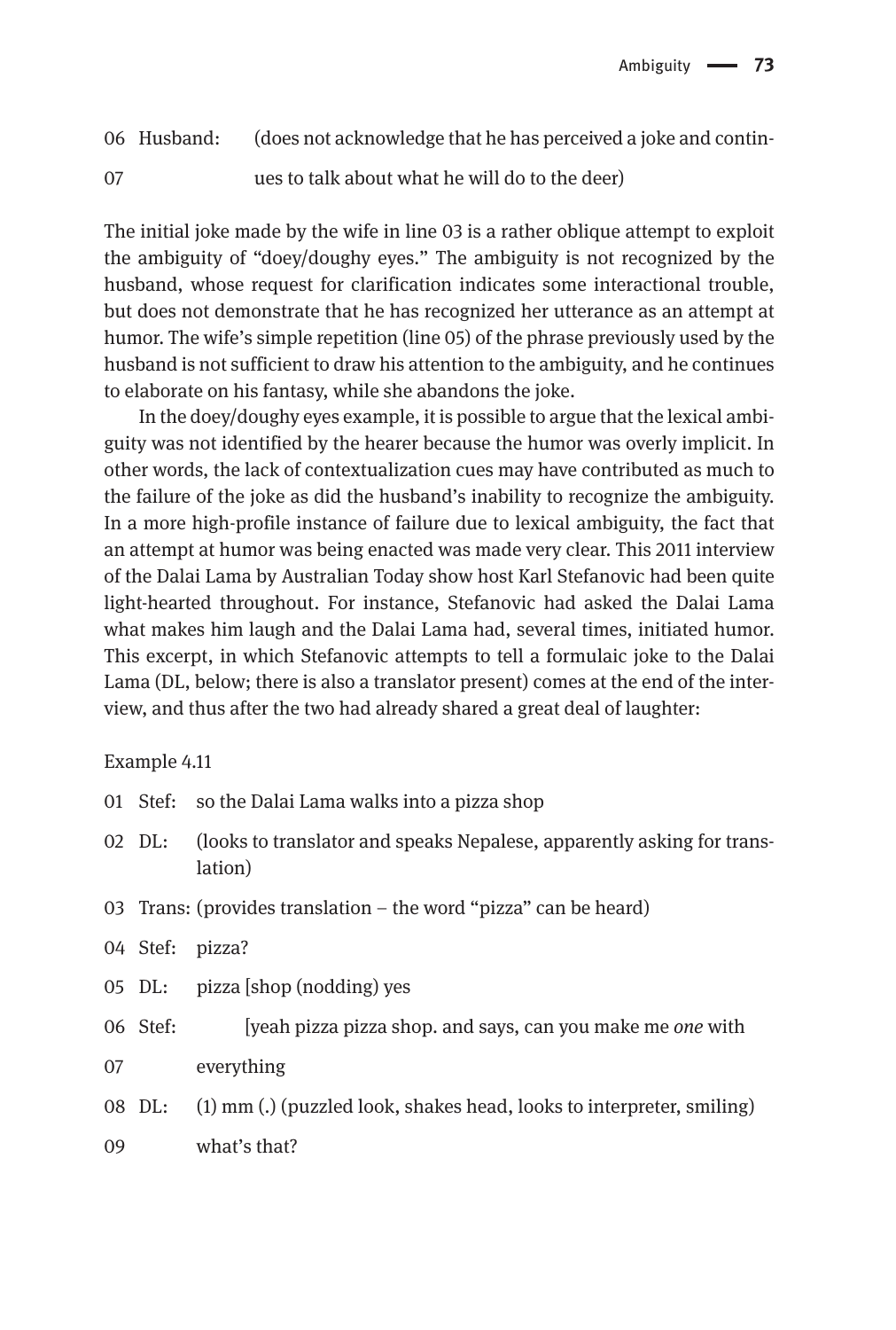#### 06 Husband: (does not acknowledge that he has perceived a joke and contin-

07 ues to talk about what he will do to the deer)

The initial joke made by the wife in line 03 is a rather oblique attempt to exploit the ambiguity of "doey/doughy eyes." The ambiguity is not recognized by the husband, whose request for clarification indicates some interactional trouble, but does not demonstrate that he has recognized her utterance as an attempt at humor. The wife's simple repetition (line 05) of the phrase previously used by the husband is not sufficient to draw his attention to the ambiguity, and he continues to elaborate on his fantasy, while she abandons the joke.

In the doey/doughy eyes example, it is possible to argue that the lexical ambiguity was not identified by the hearer because the humor was overly implicit. In other words, the lack of contextualization cues may have contributed as much to the failure of the joke as did the husband's inability to recognize the ambiguity. In a more high-profile instance of failure due to lexical ambiguity, the fact that an attempt at humor was being enacted was made very clear. This 2011 interview of the Dalai Lama by Australian Today show host Karl Stefanovic had been quite light-hearted throughout. For instance, Stefanovic had asked the Dalai Lama what makes him laugh and the Dalai Lama had, several times, initiated humor. This excerpt, in which Stefanovic attempts to tell a formulaic joke to the Dalai Lama (DL, below; there is also a translator present) comes at the end of the interview, and thus after the two had already shared a great deal of laughter:

Example 4.11

- 01 Stef: so the Dalai Lama walks into a pizza shop
- 02 DL: (looks to translator and speaks Nepalese, apparently asking for translation)
- 03 Trans: (provides translation the word "pizza" can be heard)
- 04 Stef: pizza?
- 05 DL: pizza [shop (nodding) yes
- 06 Stef: [yeah pizza pizza shop. and says, can you make me *one* with
- 07 everything
- 08 DL: (1) mm (.) (puzzled look, shakes head, looks to interpreter, smiling) 09 what's that?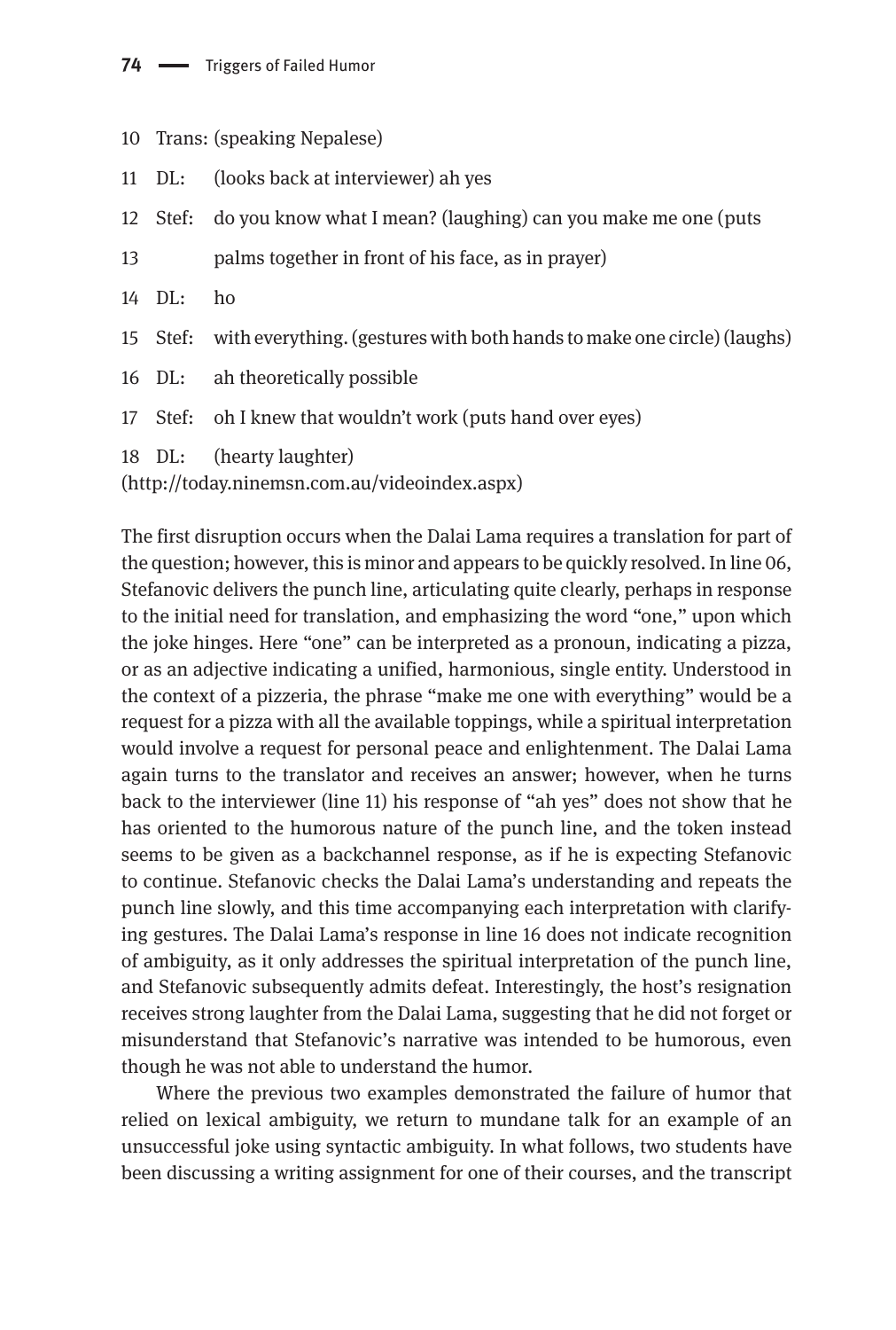|    |        | 10 Trans: (speaking Nepalese)                                                    |
|----|--------|----------------------------------------------------------------------------------|
|    | 11 DL: | (looks back at interviewer) ah yes                                               |
|    |        | 12 Stef: do you know what I mean? (laughing) can you make me one (puts           |
| 13 |        | palms together in front of his face, as in prayer)                               |
|    | 14 DL: | ho                                                                               |
|    |        | 15 Stef: with everything. (gestures with both hands to make one circle) (laughs) |
|    |        | 16 DL: ah theoretically possible                                                 |
|    |        | 17 Stef: oh I knew that wouldn't work (puts hand over eyes)                      |
|    |        | 18 DL: (hearty laughter)                                                         |

(http://today.ninemsn.com.au/videoindex.aspx)

The first disruption occurs when the Dalai Lama requires a translation for part of the question; however, this is minor and appears to be quickly resolved. In line 06, Stefanovic delivers the punch line, articulating quite clearly, perhaps in response to the initial need for translation, and emphasizing the word "one," upon which the joke hinges. Here "one" can be interpreted as a pronoun, indicating a pizza, or as an adjective indicating a unified, harmonious, single entity. Understood in the context of a pizzeria, the phrase "make me one with everything" would be a request for a pizza with all the available toppings, while a spiritual interpretation would involve a request for personal peace and enlightenment. The Dalai Lama again turns to the translator and receives an answer; however, when he turns back to the interviewer (line 11) his response of "ah yes" does not show that he has oriented to the humorous nature of the punch line, and the token instead seems to be given as a backchannel response, as if he is expecting Stefanovic to continue. Stefanovic checks the Dalai Lama's understanding and repeats the punch line slowly, and this time accompanying each interpretation with clarifying gestures. The Dalai Lama's response in line 16 does not indicate recognition of ambiguity, as it only addresses the spiritual interpretation of the punch line, and Stefanovic subsequently admits defeat. Interestingly, the host's resignation receives strong laughter from the Dalai Lama, suggesting that he did not forget or misunderstand that Stefanovic's narrative was intended to be humorous, even though he was not able to understand the humor.

Where the previous two examples demonstrated the failure of humor that relied on lexical ambiguity, we return to mundane talk for an example of an unsuccessful joke using syntactic ambiguity. In what follows, two students have been discussing a writing assignment for one of their courses, and the transcript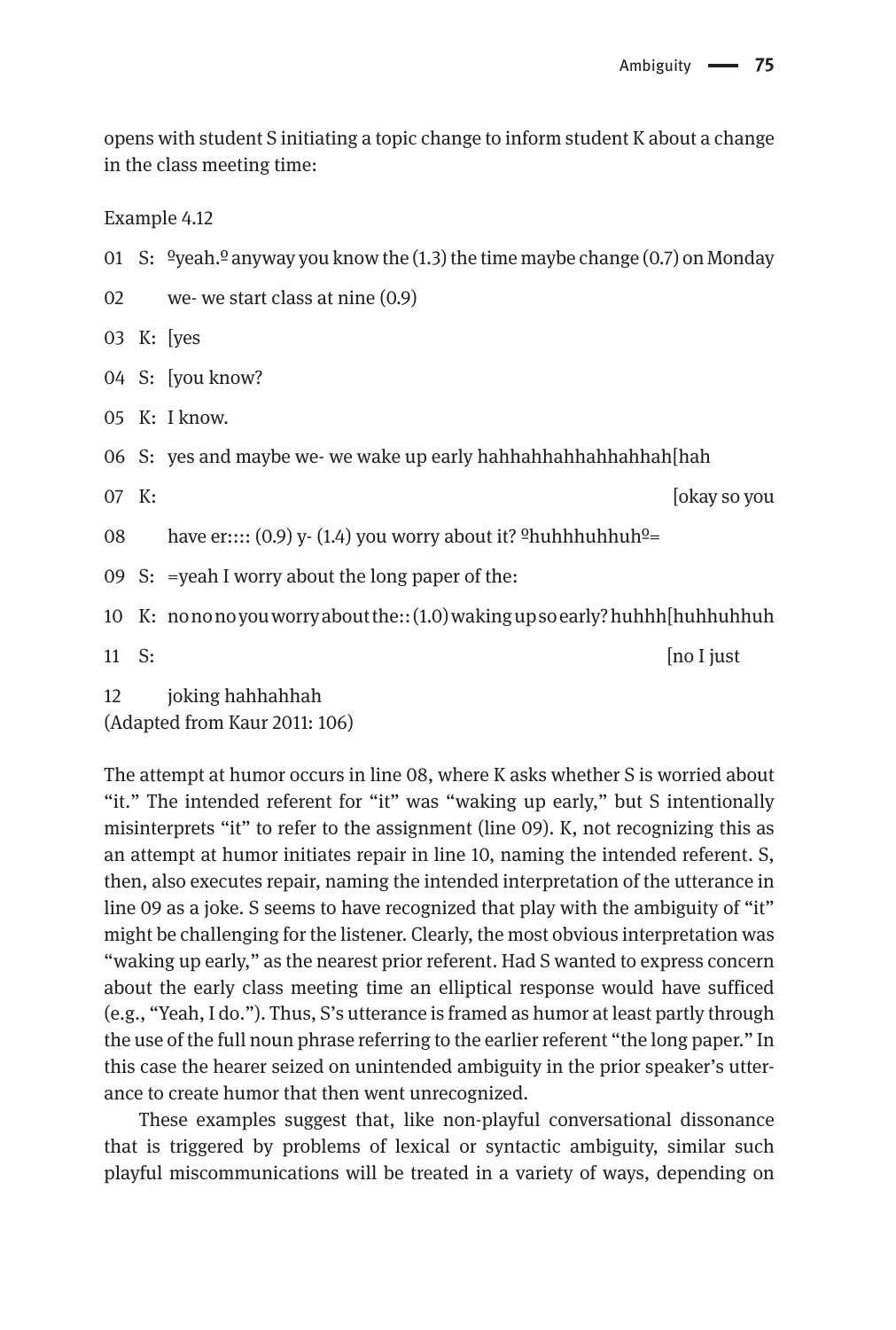opens with student S initiating a topic change to inform student K about a change in the class meeting time:

Example 4.12

01 S:  $\frac{9}{2}$  eveah.<sup>0</sup> anyway you know the (1.3) the time may be change (0.7) on Monday

- 02 we- we start class at nine (0.9)
- 03 K: [yes
- 04 S: [you know?
- 05 K: I know.
- 06 S: yes and maybe we- we wake up early hahhahhahhahhahhah[hah
- 

07 K: [okay so you

08 have er::::  $(0.9)$  y- $(1.4)$  you worry about it? <sup>o</sup>huhhhuhhuh<sup>o</sup>=

09 S: =yeah I worry about the long paper of the:

10 K: no no no you worry about the:: (1.0) waking up so early? huhhh[huhhuhhuh

11 S: [no I just

12 joking hahhahhah

(Adapted from Kaur 2011: 106)

The attempt at humor occurs in line 08, where K asks whether S is worried about "it." The intended referent for "it" was "waking up early," but S intentionally misinterprets "it" to refer to the assignment (line 09). K, not recognizing this as an attempt at humor initiates repair in line 10, naming the intended referent. S, then, also executes repair, naming the intended interpretation of the utterance in line 09 as a joke. S seems to have recognized that play with the ambiguity of "it" might be challenging for the listener. Clearly, the most obvious interpretation was "waking up early," as the nearest prior referent. Had S wanted to express concern about the early class meeting time an elliptical response would have sufficed (e.g., "Yeah, I do."). Thus, S's utterance is framed as humor at least partly through the use of the full noun phrase referring to the earlier referent "the long paper." In this case the hearer seized on unintended ambiguity in the prior speaker's utterance to create humor that then went unrecognized.

These examples suggest that, like non-playful conversational dissonance that is triggered by problems of lexical or syntactic ambiguity, similar such playful miscommunications will be treated in a variety of ways, depending on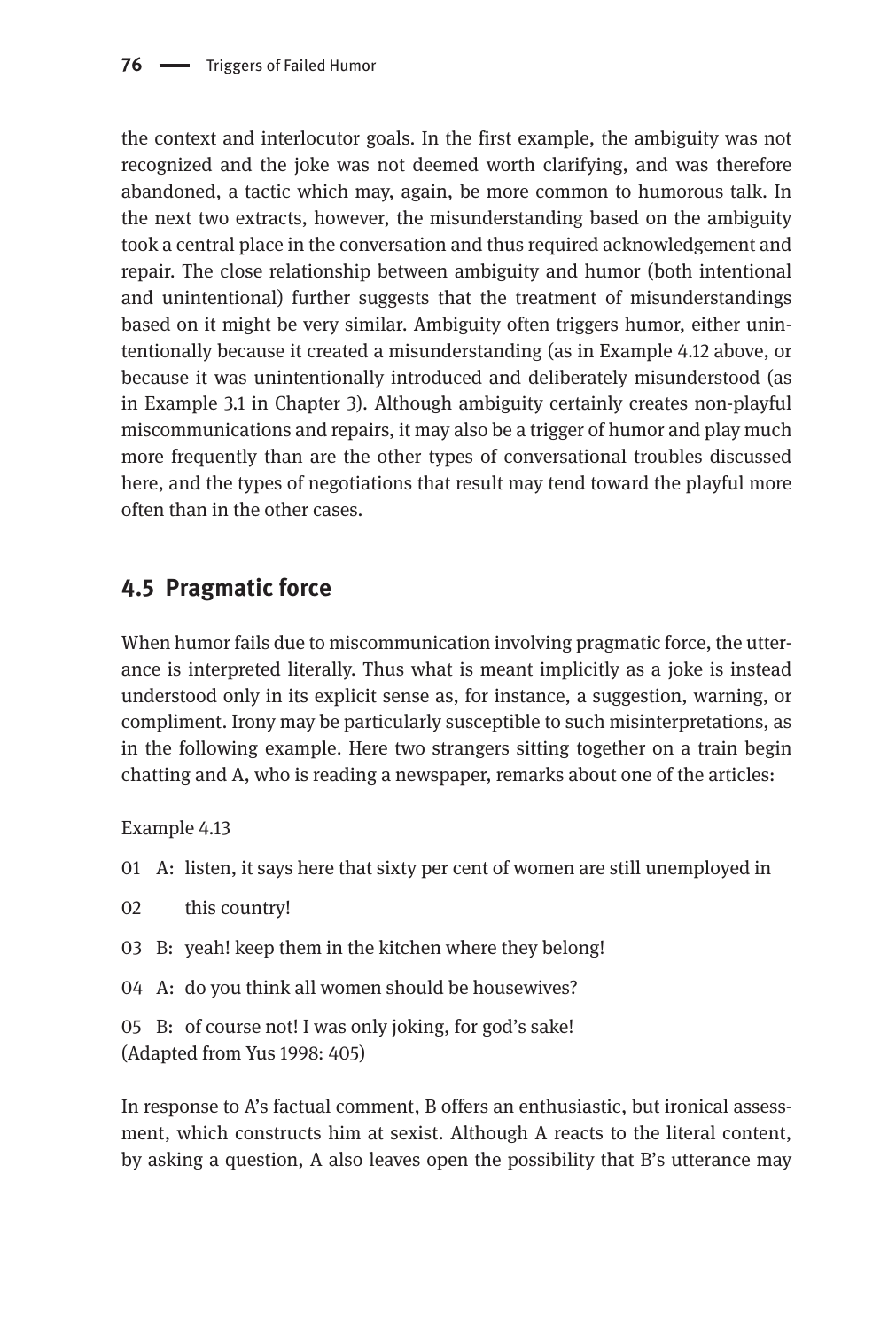the context and interlocutor goals. In the first example, the ambiguity was not recognized and the joke was not deemed worth clarifying, and was therefore abandoned, a tactic which may, again, be more common to humorous talk. In the next two extracts, however, the misunderstanding based on the ambiguity took a central place in the conversation and thus required acknowledgement and repair. The close relationship between ambiguity and humor (both intentional and unintentional) further suggests that the treatment of misunderstandings based on it might be very similar. Ambiguity often triggers humor, either unintentionally because it created a misunderstanding (as in Example 4.12 above, or because it was unintentionally introduced and deliberately misunderstood (as in Example 3.1 in Chapter 3). Although ambiguity certainly creates non-playful miscommunications and repairs, it may also be a trigger of humor and play much more frequently than are the other types of conversational troubles discussed here, and the types of negotiations that result may tend toward the playful more often than in the other cases.

# **4.5 Pragmatic force**

When humor fails due to miscommunication involving pragmatic force, the utterance is interpreted literally. Thus what is meant implicitly as a joke is instead understood only in its explicit sense as, for instance, a suggestion, warning, or compliment. Irony may be particularly susceptible to such misinterpretations, as in the following example. Here two strangers sitting together on a train begin chatting and A, who is reading a newspaper, remarks about one of the articles:

Example 4.13

- 01 A: listen, it says here that sixty per cent of women are still unemployed in
- 02 this country!
- 03 B: yeah! keep them in the kitchen where they belong!
- 04 A: do you think all women should be housewives?
- 05 B: of course not! I was only joking, for god's sake! (Adapted from Yus 1998: 405)

In response to A's factual comment, B offers an enthusiastic, but ironical assessment, which constructs him at sexist. Although A reacts to the literal content, by asking a question, A also leaves open the possibility that B's utterance may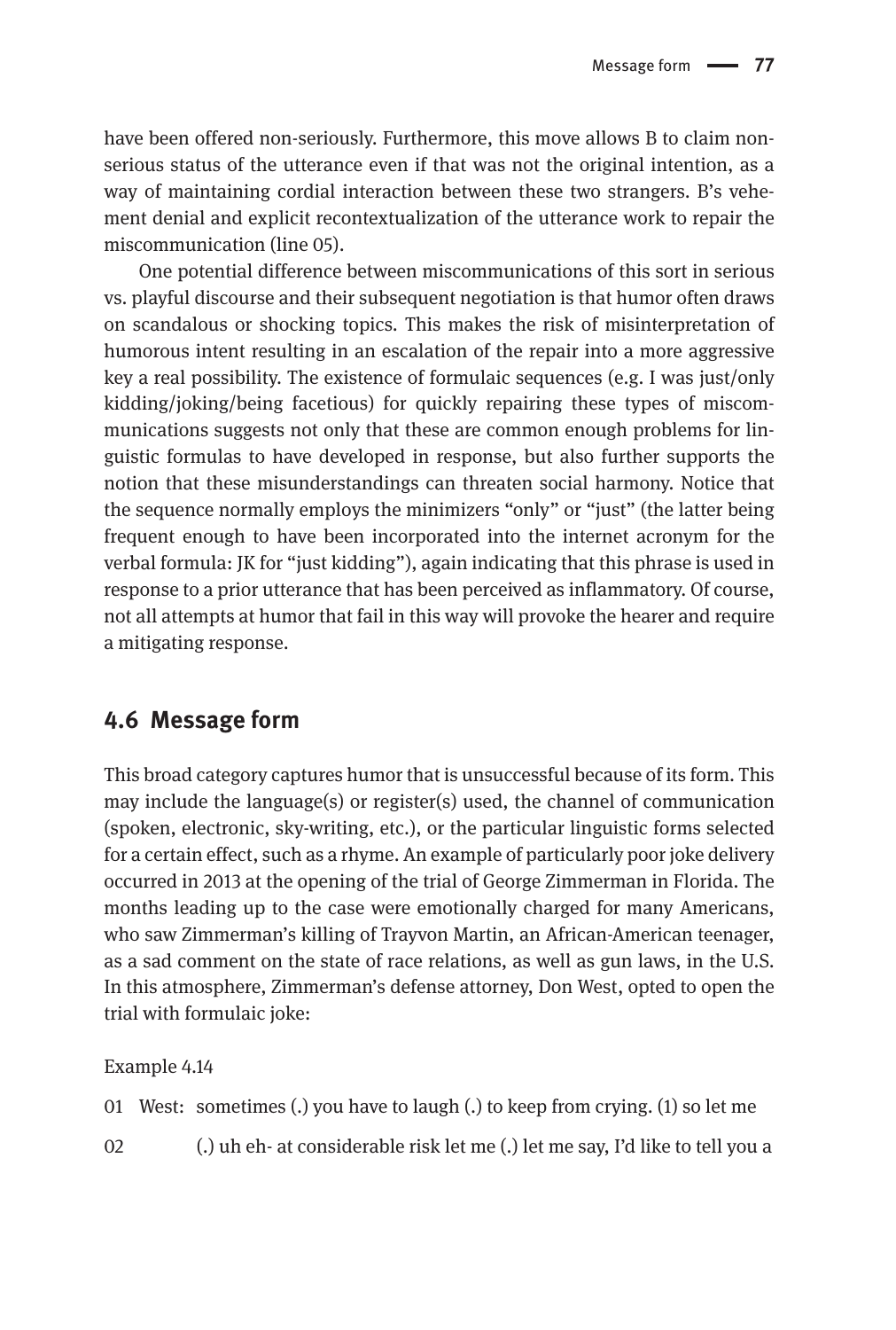have been offered non-seriously. Furthermore, this move allows B to claim nonserious status of the utterance even if that was not the original intention, as a way of maintaining cordial interaction between these two strangers. B's vehement denial and explicit recontextualization of the utterance work to repair the miscommunication (line 05).

One potential difference between miscommunications of this sort in serious vs. playful discourse and their subsequent negotiation is that humor often draws on scandalous or shocking topics. This makes the risk of misinterpretation of humorous intent resulting in an escalation of the repair into a more aggressive key a real possibility. The existence of formulaic sequences (e.g. I was just/only kidding/joking/being facetious) for quickly repairing these types of miscommunications suggests not only that these are common enough problems for linguistic formulas to have developed in response, but also further supports the notion that these misunderstandings can threaten social harmony. Notice that the sequence normally employs the minimizers "only" or "just" (the latter being frequent enough to have been incorporated into the internet acronym for the verbal formula: JK for "just kidding"), again indicating that this phrase is used in response to a prior utterance that has been perceived as inflammatory. Of course, not all attempts at humor that fail in this way will provoke the hearer and require a mitigating response.

### **4.6 Message form**

This broad category captures humor that is unsuccessful because of its form. This may include the language(s) or register(s) used, the channel of communication (spoken, electronic, sky-writing, etc.), or the particular linguistic forms selected for a certain effect, such as a rhyme. An example of particularly poor joke delivery occurred in 2013 at the opening of the trial of George Zimmerman in Florida. The months leading up to the case were emotionally charged for many Americans, who saw Zimmerman's killing of Trayvon Martin, an African-American teenager, as a sad comment on the state of race relations, as well as gun laws, in the U.S. In this atmosphere, Zimmerman's defense attorney, Don West, opted to open the trial with formulaic joke:

Example 4.14

- 01 West: sometimes (.) you have to laugh (.) to keep from crying. (1) so let me
- 02 (.) uh eh- at considerable risk let me (.) let me say, I'd like to tell you a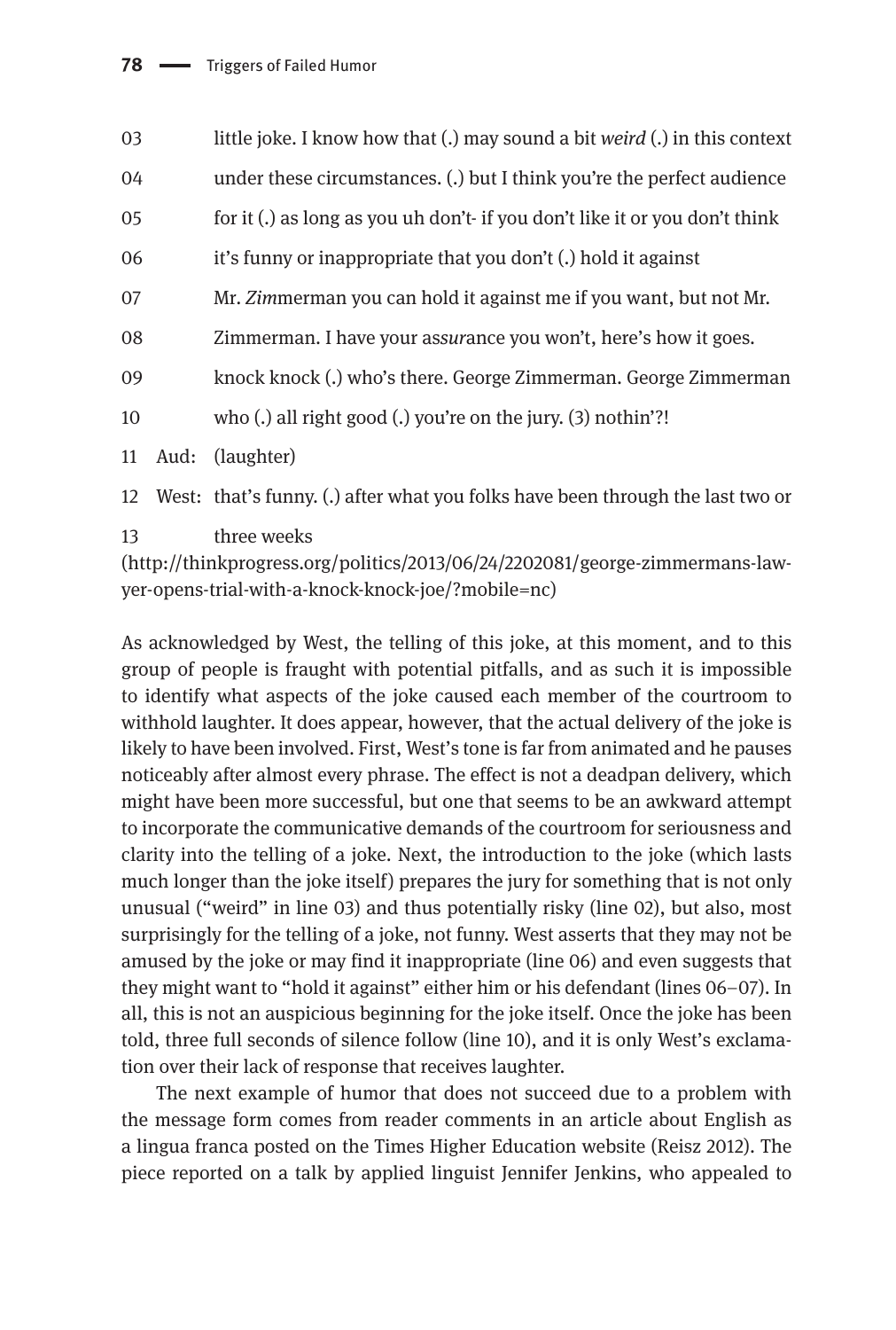| 03 | little joke. I know how that $(.)$ may sound a bit weird $(.)$ in this context              |
|----|---------------------------------------------------------------------------------------------|
| 04 | under these circumstances. (.) but I think you're the perfect audience                      |
| 05 | for it (.) as long as you uh don't- if you don't like it or you don't think                 |
| 06 | it's funny or inappropriate that you don't (.) hold it against                              |
| 07 | Mr. Zimmerman you can hold it against me if you want, but not Mr.                           |
| 08 | Zimmerman. I have your assurance you won't, here's how it goes.                             |
| 09 | knock knock (.) who's there. George Zimmerman. George Zimmerman                             |
| 10 | who (.) all right good (.) you're on the jury. $(3)$ nothin'?!                              |
| 11 | Aud: (laughter)                                                                             |
|    | 12 West: that's funny. (.) after what you folks have been through the last two or           |
| 13 | three weeks<br>(http://thinkprogress.org/politics/2013/06/24/2202081/george-zimmermans-law- |

yer-opens-trial-with-a-knock-knock-joe/?mobile=nc)

As acknowledged by West, the telling of this joke, at this moment, and to this group of people is fraught with potential pitfalls, and as such it is impossible to identify what aspects of the joke caused each member of the courtroom to withhold laughter. It does appear, however, that the actual delivery of the joke is likely to have been involved. First, West's tone is far from animated and he pauses noticeably after almost every phrase. The effect is not a deadpan delivery, which might have been more successful, but one that seems to be an awkward attempt to incorporate the communicative demands of the courtroom for seriousness and clarity into the telling of a joke. Next, the introduction to the joke (which lasts much longer than the joke itself) prepares the jury for something that is not only unusual ("weird" in line 03) and thus potentially risky (line 02), but also, most surprisingly for the telling of a joke, not funny. West asserts that they may not be amused by the joke or may find it inappropriate (line 06) and even suggests that they might want to "hold it against" either him or his defendant (lines 06–07). In all, this is not an auspicious beginning for the joke itself. Once the joke has been told, three full seconds of silence follow (line 10), and it is only West's exclamation over their lack of response that receives laughter.

The next example of humor that does not succeed due to a problem with the message form comes from reader comments in an article about English as a lingua franca posted on the Times Higher Education website (Reisz 2012). The piece reported on a talk by applied linguist Jennifer Jenkins, who appealed to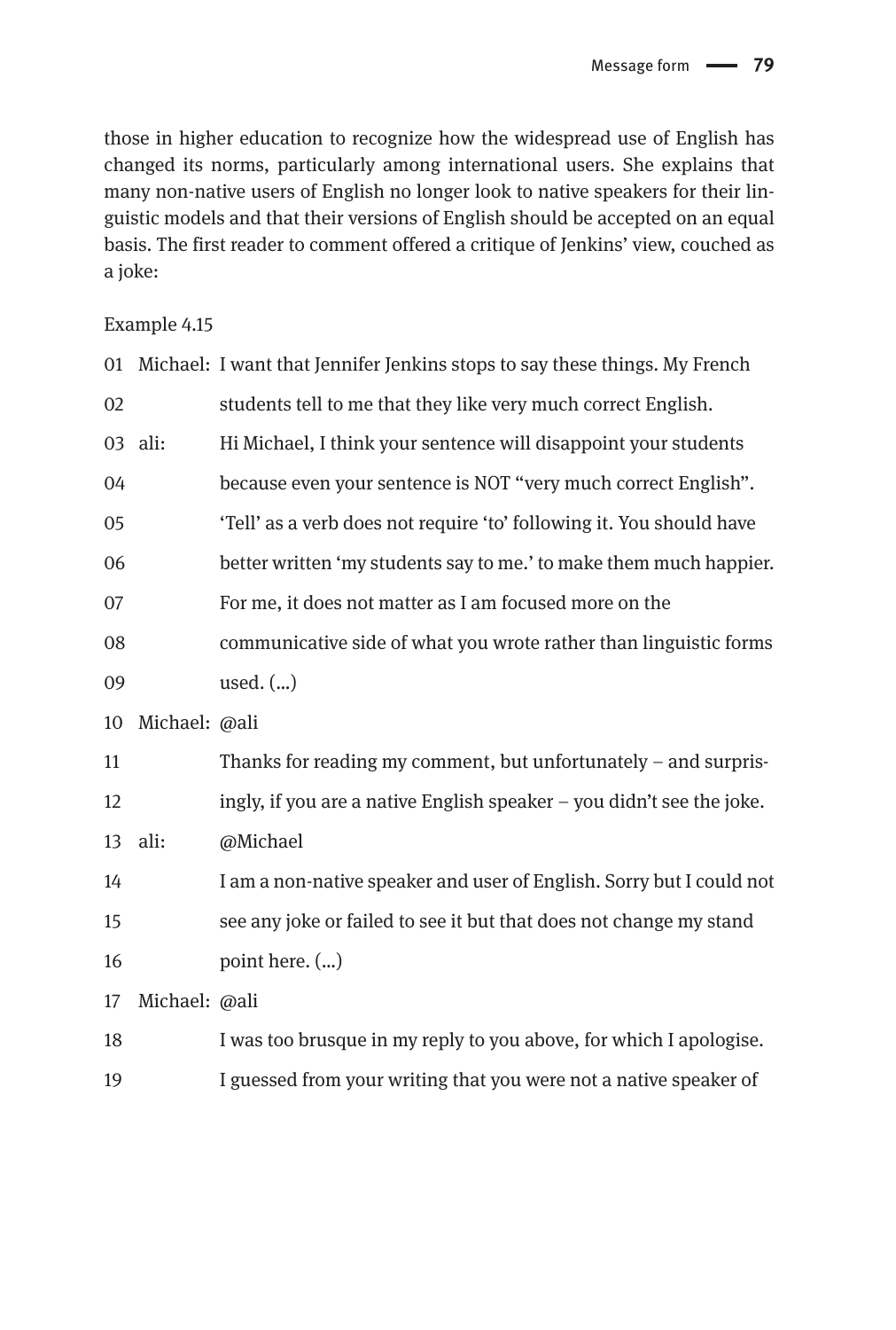those in higher education to recognize how the widespread use of English has changed its norms, particularly among international users. She explains that many non-native users of English no longer look to native speakers for their linguistic models and that their versions of English should be accepted on an equal basis. The first reader to comment offered a critique of Jenkins' view, couched as a joke:

#### Example 4.15

|    |               | 01 Michael: I want that Jennifer Jenkins stops to say these things. My French |
|----|---------------|-------------------------------------------------------------------------------|
| 02 |               | students tell to me that they like very much correct English.                 |
|    | 03 ali:       | Hi Michael, I think your sentence will disappoint your students               |
| 04 |               | because even your sentence is NOT "very much correct English".                |
| 05 |               | 'Tell' as a verb does not require 'to' following it. You should have          |
| 06 |               | better written 'my students say to me.' to make them much happier.            |
| 07 |               | For me, it does not matter as I am focused more on the                        |
| 08 |               | communicative side of what you wrote rather than linguistic forms             |
| 09 |               | used. $()$                                                                    |
| 10 | Michael: @ali |                                                                               |
| 11 |               | Thanks for reading my comment, but unfortunately – and surpris-               |
| 12 |               | ingly, if you are a native English speaker - you didn't see the joke.         |
| 13 | ali:          | @Michael                                                                      |
| 14 |               | I am a non-native speaker and user of English. Sorry but I could not          |
| 15 |               | see any joke or failed to see it but that does not change my stand            |
| 16 |               | point here. ()                                                                |
| 17 | Michael: @ali |                                                                               |
| 18 |               | I was too brusque in my reply to you above, for which I apologise.            |
| 19 |               | I guessed from your writing that you were not a native speaker of             |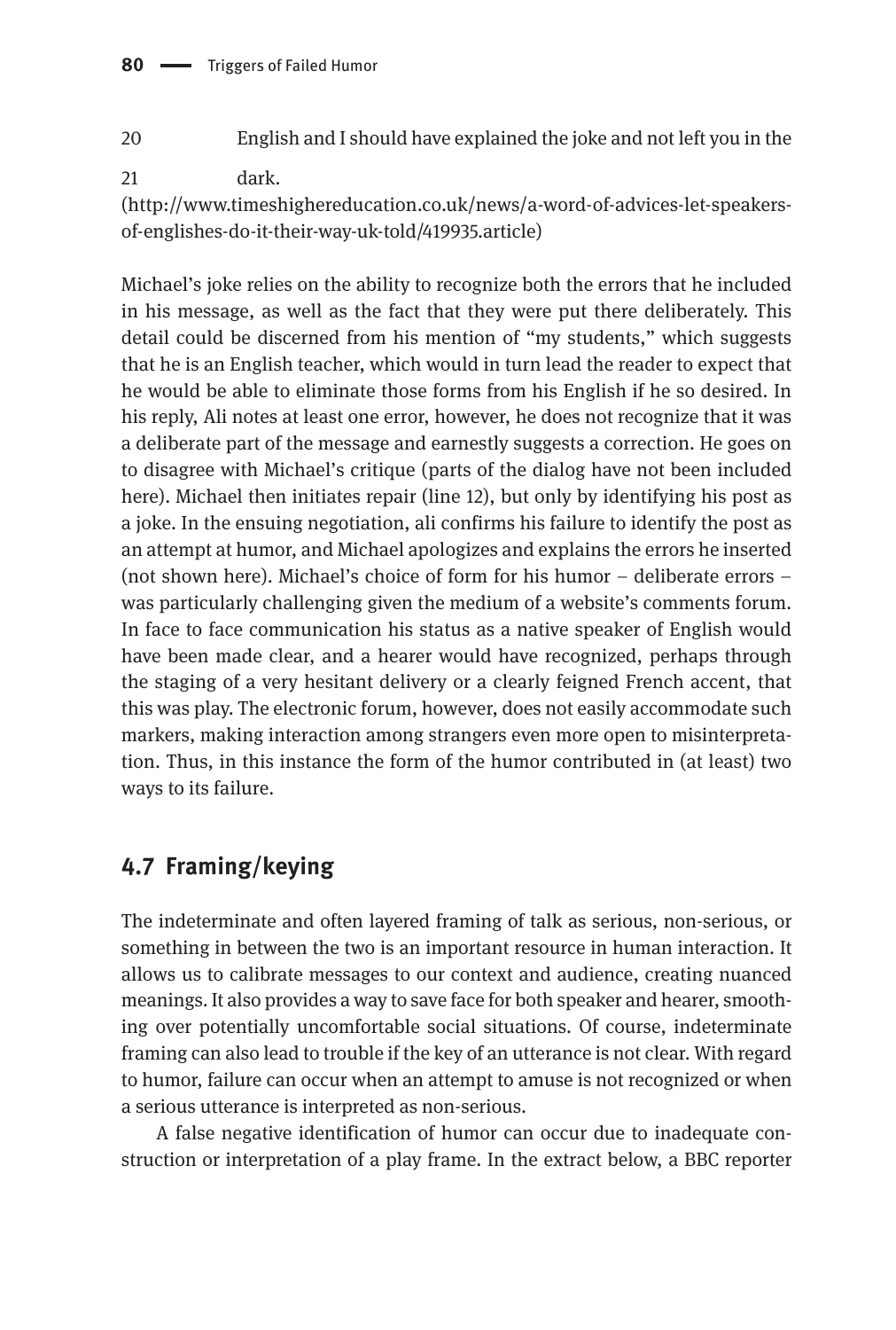20 English and I should have explained the joke and not left you in the

21 dark.

(http://www.timeshighereducation.co.uk/news/a-word-of-advices-let-speakersof-englishes-do-it-their-way-uk-told/419935.article)

Michael's joke relies on the ability to recognize both the errors that he included in his message, as well as the fact that they were put there deliberately. This detail could be discerned from his mention of "my students," which suggests that he is an English teacher, which would in turn lead the reader to expect that he would be able to eliminate those forms from his English if he so desired. In his reply, Ali notes at least one error, however, he does not recognize that it was a deliberate part of the message and earnestly suggests a correction. He goes on to disagree with Michael's critique (parts of the dialog have not been included here). Michael then initiates repair (line 12), but only by identifying his post as a joke. In the ensuing negotiation, ali confirms his failure to identify the post as an attempt at humor, and Michael apologizes and explains the errors he inserted (not shown here). Michael's choice of form for his humor – deliberate errors – was particularly challenging given the medium of a website's comments forum. In face to face communication his status as a native speaker of English would have been made clear, and a hearer would have recognized, perhaps through the staging of a very hesitant delivery or a clearly feigned French accent, that this was play. The electronic forum, however, does not easily accommodate such markers, making interaction among strangers even more open to misinterpretation. Thus, in this instance the form of the humor contributed in (at least) two ways to its failure.

# **4.7 Framing/keying**

The indeterminate and often layered framing of talk as serious, non-serious, or something in between the two is an important resource in human interaction. It allows us to calibrate messages to our context and audience, creating nuanced meanings. It also provides a way to save face for both speaker and hearer, smoothing over potentially uncomfortable social situations. Of course, indeterminate framing can also lead to trouble if the key of an utterance is not clear. With regard to humor, failure can occur when an attempt to amuse is not recognized or when a serious utterance is interpreted as non-serious.

A false negative identification of humor can occur due to inadequate construction or interpretation of a play frame. In the extract below, a BBC reporter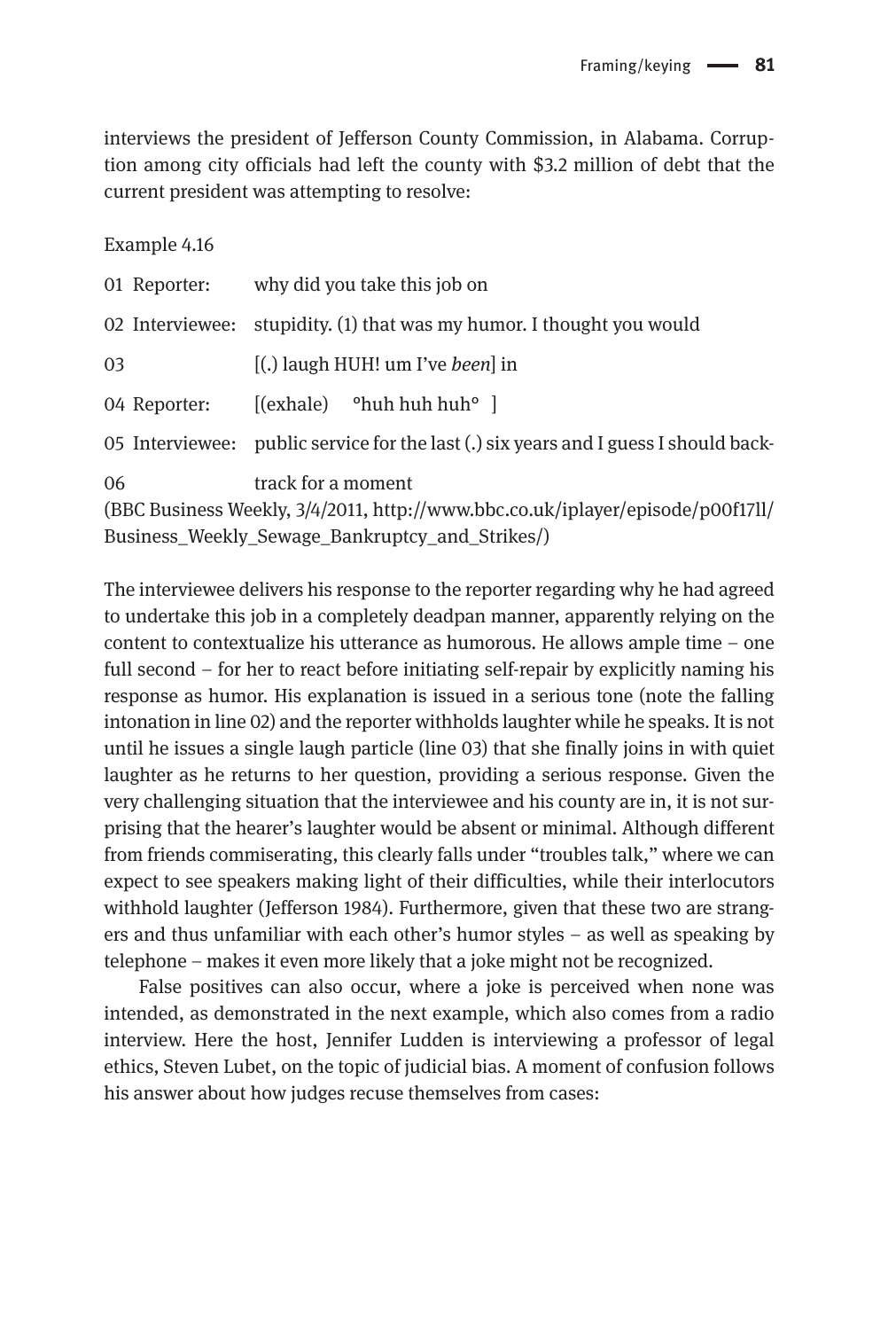interviews the president of Jefferson County Commission, in Alabama. Corruption among city officials had left the county with \$3.2 million of debt that the current president was attempting to resolve:

Example 4.16

|    | 01 Reporter:    | why did you take this job on                                                         |
|----|-----------------|--------------------------------------------------------------------------------------|
|    | 02 Interviewee: | stupidity. (1) that was my humor. I thought you would                                |
| 03 |                 | $($ .) laugh HUH! um I've been in                                                    |
|    | 04 Reporter:    | $[$ (exhale) $\circ$ huh huh huh $\circ$ ]                                           |
|    |                 | 05 Interviewee: public service for the last (.) six years and I guess I should back- |
| 06 |                 | track for a moment                                                                   |
|    |                 | (BBC Business Weekly, 3/4/2011, http://www.bbc.co.uk/iplayer/episode/p00f17ll/       |
|    |                 | Business_Weekly_Sewage_Bankruptcy_and_Strikes/)                                      |

The interviewee delivers his response to the reporter regarding why he had agreed to undertake this job in a completely deadpan manner, apparently relying on the content to contextualize his utterance as humorous. He allows ample time – one full second – for her to react before initiating self-repair by explicitly naming his response as humor. His explanation is issued in a serious tone (note the falling intonation in line 02) and the reporter withholds laughter while he speaks. It is not until he issues a single laugh particle (line 03) that she finally joins in with quiet laughter as he returns to her question, providing a serious response. Given the very challenging situation that the interviewee and his county are in, it is not surprising that the hearer's laughter would be absent or minimal. Although different from friends commiserating, this clearly falls under "troubles talk," where we can expect to see speakers making light of their difficulties, while their interlocutors withhold laughter (Jefferson 1984). Furthermore, given that these two are strangers and thus unfamiliar with each other's humor styles – as well as speaking by telephone – makes it even more likely that a joke might not be recognized.

False positives can also occur, where a joke is perceived when none was intended, as demonstrated in the next example, which also comes from a radio interview. Here the host, Jennifer Ludden is interviewing a professor of legal ethics, Steven Lubet, on the topic of judicial bias. A moment of confusion follows his answer about how judges recuse themselves from cases: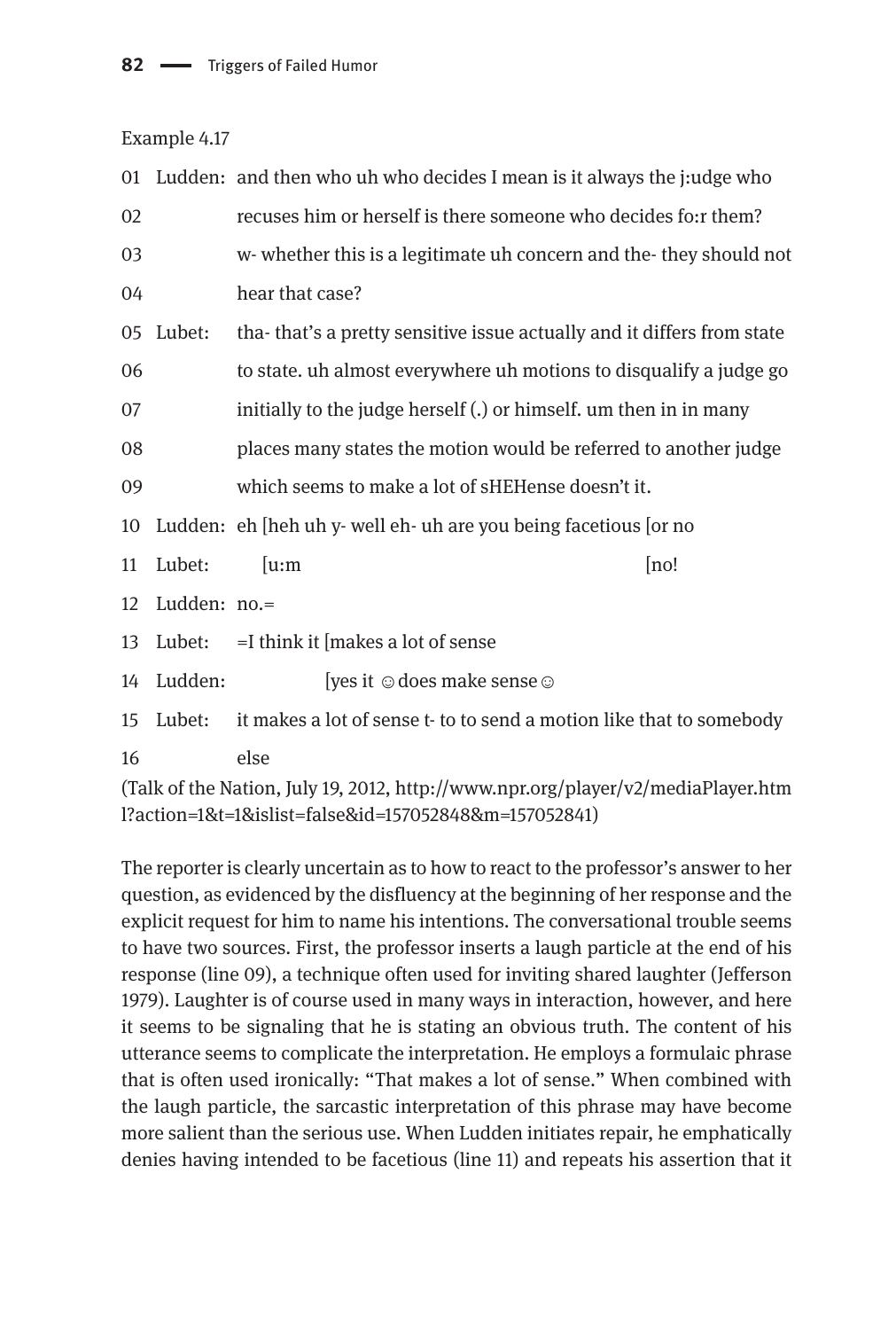Example 4.17

|                 |              | 01 Ludden: and then who uh who decides I mean is it always the j:udge who        |
|-----------------|--------------|----------------------------------------------------------------------------------|
| 02              |              | recuses him or herself is there someone who decides fo:r them?                   |
| 03              |              | w-whether this is a legitimate uh concern and the-they should not                |
| 04              |              | hear that case?                                                                  |
| 05              | Lubet:       | tha-that's a pretty sensitive issue actually and it differs from state           |
| 06              |              | to state. uh almost everywhere uh motions to disqualify a judge go               |
| 07              |              | initially to the judge herself (.) or himself. um then in in many                |
| 08              |              | places many states the motion would be referred to another judge                 |
| 09              |              | which seems to make a lot of sHEHense doesn't it.                                |
| 10              |              | Ludden: eh [heh uh y- well eh- uh are you being facetious [or no                 |
| 11              | Lubet:       | [no!<br>[u:m]                                                                    |
| 12 <sup>2</sup> | Ludden: no.= |                                                                                  |
| 13              | Lubet:       | =I think it [makes a lot of sense                                                |
| 14              | Ludden:      | [yes it $\odot$ does make sense $\odot$                                          |
| 15              | Lubet:       | it makes a lot of sense t- to to send a motion like that to somebody             |
| 16              |              | else                                                                             |
|                 |              | (Talk of the Nation, July 19, 2012, http://www.npr.org/player/v2/mediaPlayer.htm |

l?action=1&t=1&islist=false&id=157052848&m=157052841)

The reporter is clearly uncertain as to how to react to the professor's answer to her question, as evidenced by the disfluency at the beginning of her response and the explicit request for him to name his intentions. The conversational trouble seems to have two sources. First, the professor inserts a laugh particle at the end of his response (line 09), a technique often used for inviting shared laughter (Jefferson 1979). Laughter is of course used in many ways in interaction, however, and here it seems to be signaling that he is stating an obvious truth. The content of his utterance seems to complicate the interpretation. He employs a formulaic phrase that is often used ironically: "That makes a lot of sense." When combined with the laugh particle, the sarcastic interpretation of this phrase may have become more salient than the serious use. When Ludden initiates repair, he emphatically denies having intended to be facetious (line 11) and repeats his assertion that it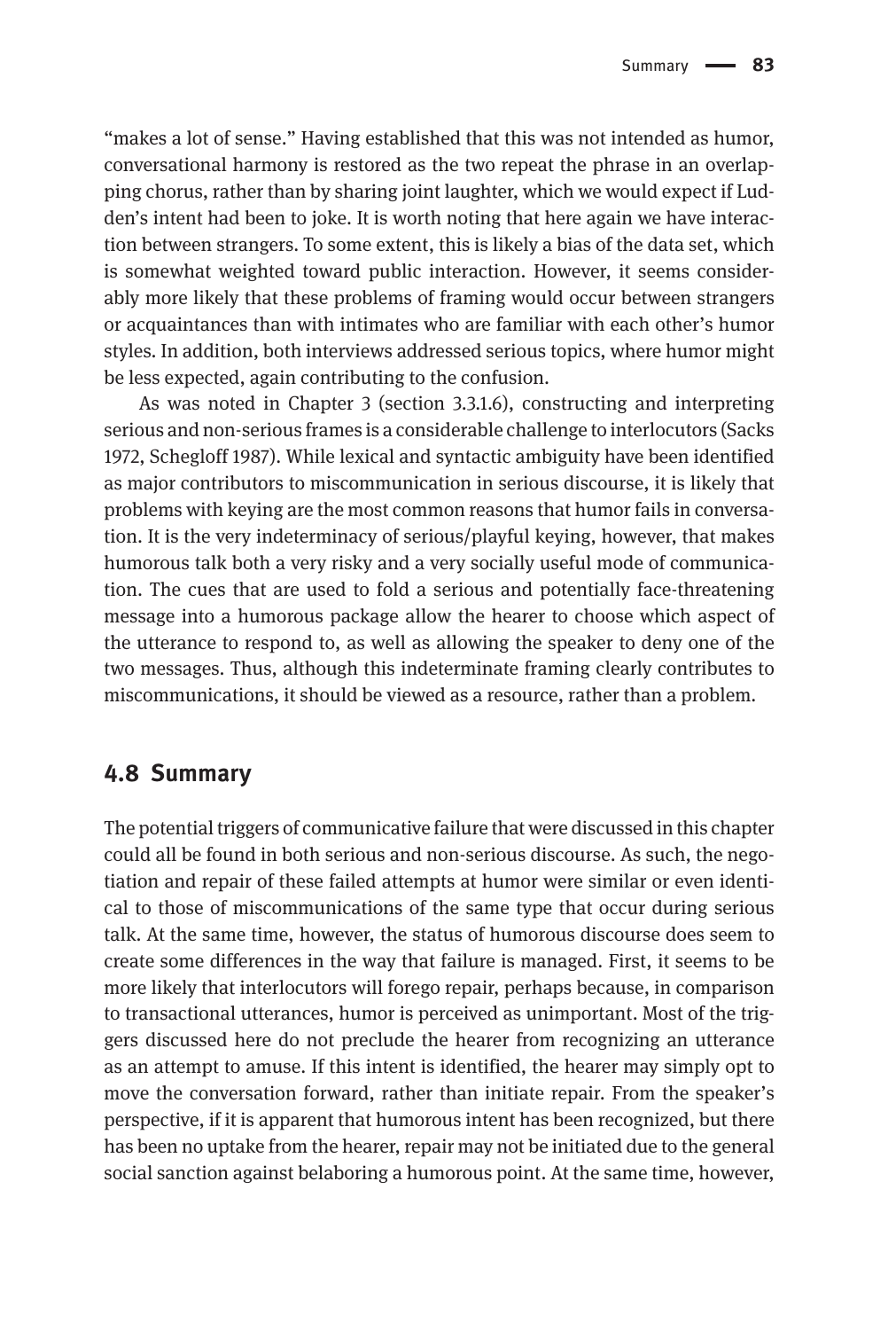"makes a lot of sense." Having established that this was not intended as humor, conversational harmony is restored as the two repeat the phrase in an overlapping chorus, rather than by sharing joint laughter, which we would expect if Ludden's intent had been to joke. It is worth noting that here again we have interaction between strangers. To some extent, this is likely a bias of the data set, which is somewhat weighted toward public interaction. However, it seems considerably more likely that these problems of framing would occur between strangers or acquaintances than with intimates who are familiar with each other's humor styles. In addition, both interviews addressed serious topics, where humor might be less expected, again contributing to the confusion.

As was noted in Chapter 3 (section 3.3.1.6), constructing and interpreting serious and non-serious frames is a considerable challenge to interlocutors (Sacks 1972, Schegloff 1987). While lexical and syntactic ambiguity have been identified as major contributors to miscommunication in serious discourse, it is likely that problems with keying are the most common reasons that humor fails in conversation. It is the very indeterminacy of serious/playful keying, however, that makes humorous talk both a very risky and a very socially useful mode of communication. The cues that are used to fold a serious and potentially face-threatening message into a humorous package allow the hearer to choose which aspect of the utterance to respond to, as well as allowing the speaker to deny one of the two messages. Thus, although this indeterminate framing clearly contributes to miscommunications, it should be viewed as a resource, rather than a problem.

### **4.8 Summary**

The potential triggers of communicative failure that were discussed in this chapter could all be found in both serious and non-serious discourse. As such, the negotiation and repair of these failed attempts at humor were similar or even identical to those of miscommunications of the same type that occur during serious talk. At the same time, however, the status of humorous discourse does seem to create some differences in the way that failure is managed. First, it seems to be more likely that interlocutors will forego repair, perhaps because, in comparison to transactional utterances, humor is perceived as unimportant. Most of the triggers discussed here do not preclude the hearer from recognizing an utterance as an attempt to amuse. If this intent is identified, the hearer may simply opt to move the conversation forward, rather than initiate repair. From the speaker's perspective, if it is apparent that humorous intent has been recognized, but there has been no uptake from the hearer, repair may not be initiated due to the general social sanction against belaboring a humorous point. At the same time, however,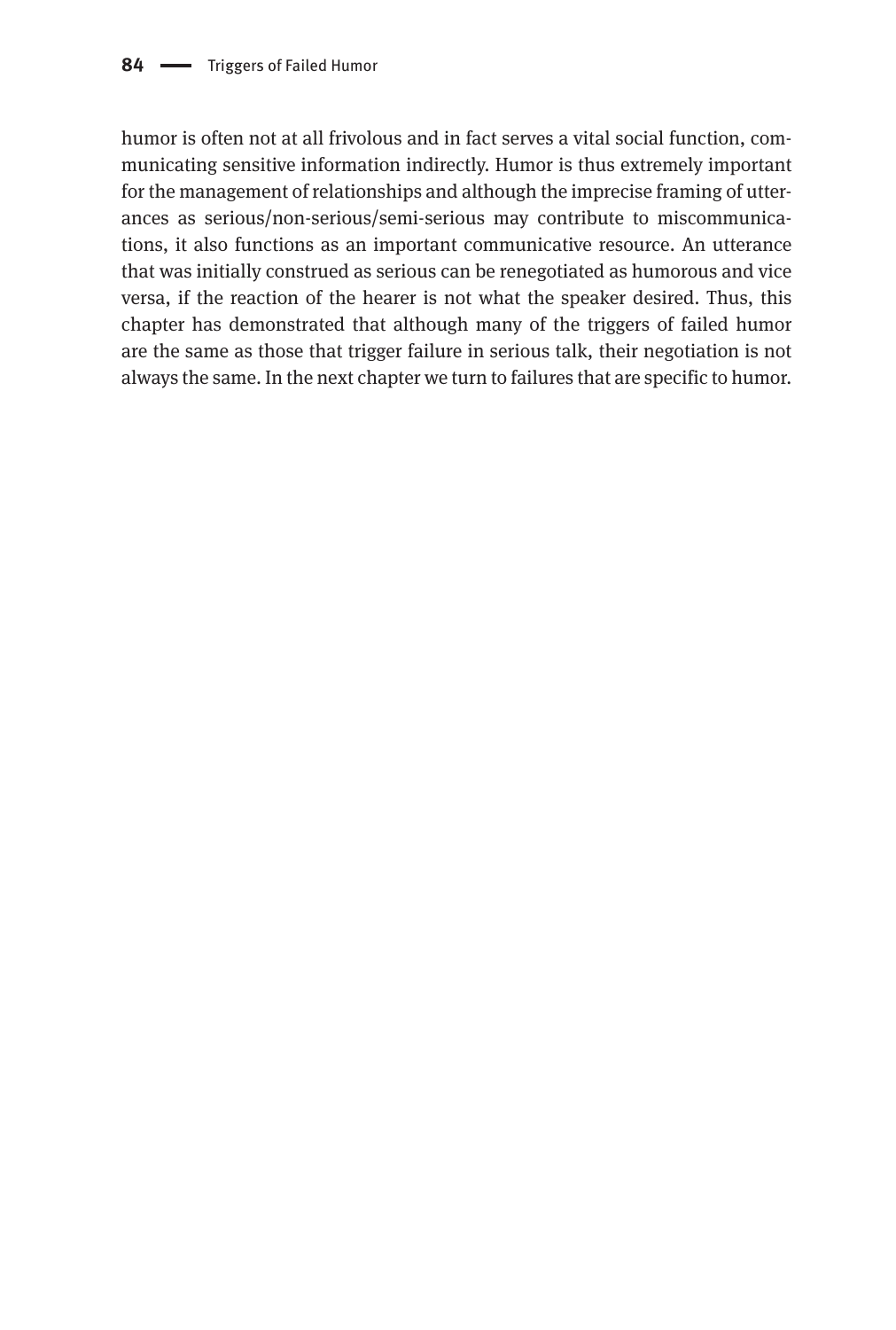humor is often not at all frivolous and in fact serves a vital social function, communicating sensitive information indirectly. Humor is thus extremely important for the management of relationships and although the imprecise framing of utterances as serious/non-serious/semi-serious may contribute to miscommunications, it also functions as an important communicative resource. An utterance that was initially construed as serious can be renegotiated as humorous and vice versa, if the reaction of the hearer is not what the speaker desired. Thus, this chapter has demonstrated that although many of the triggers of failed humor are the same as those that trigger failure in serious talk, their negotiation is not always the same. In the next chapter we turn to failures that are specific to humor.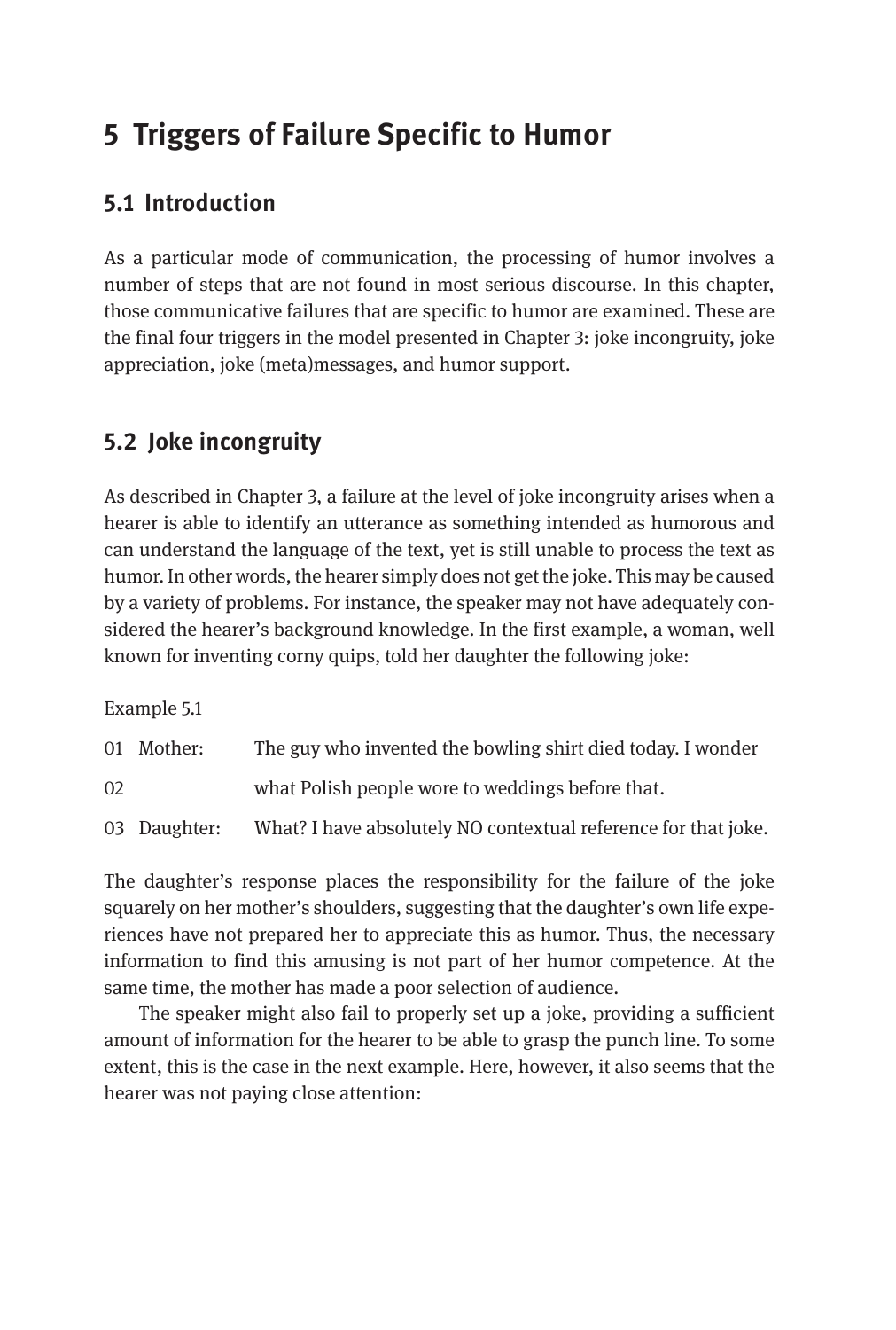# **5 Triggers of Failure Specific to Humor**

# **5.1 Introduction**

As a particular mode of communication, the processing of humor involves a number of steps that are not found in most serious discourse. In this chapter, those communicative failures that are specific to humor are examined. These are the final four triggers in the model presented in Chapter 3: joke incongruity, joke appreciation, joke (meta)messages, and humor support.

# **5.2 Joke incongruity**

As described in Chapter 3, a failure at the level of joke incongruity arises when a hearer is able to identify an utterance as something intended as humorous and can understand the language of the text, yet is still unable to process the text as humor. In other words, the hearer simply does not get the joke. This may be caused by a variety of problems. For instance, the speaker may not have adequately considered the hearer's background knowledge. In the first example, a woman, well known for inventing corny quips, told her daughter the following joke:

Example 5.1

|    | 01 Mother:   | The guy who invented the bowling shirt died today. I wonder    |
|----|--------------|----------------------------------------------------------------|
| 02 |              | what Polish people wore to weddings before that.               |
|    | 03 Daughter: | What? I have absolutely NO contextual reference for that joke. |

The daughter's response places the responsibility for the failure of the joke squarely on her mother's shoulders, suggesting that the daughter's own life experiences have not prepared her to appreciate this as humor. Thus, the necessary information to find this amusing is not part of her humor competence. At the same time, the mother has made a poor selection of audience.

The speaker might also fail to properly set up a joke, providing a sufficient amount of information for the hearer to be able to grasp the punch line. To some extent, this is the case in the next example. Here, however, it also seems that the hearer was not paying close attention: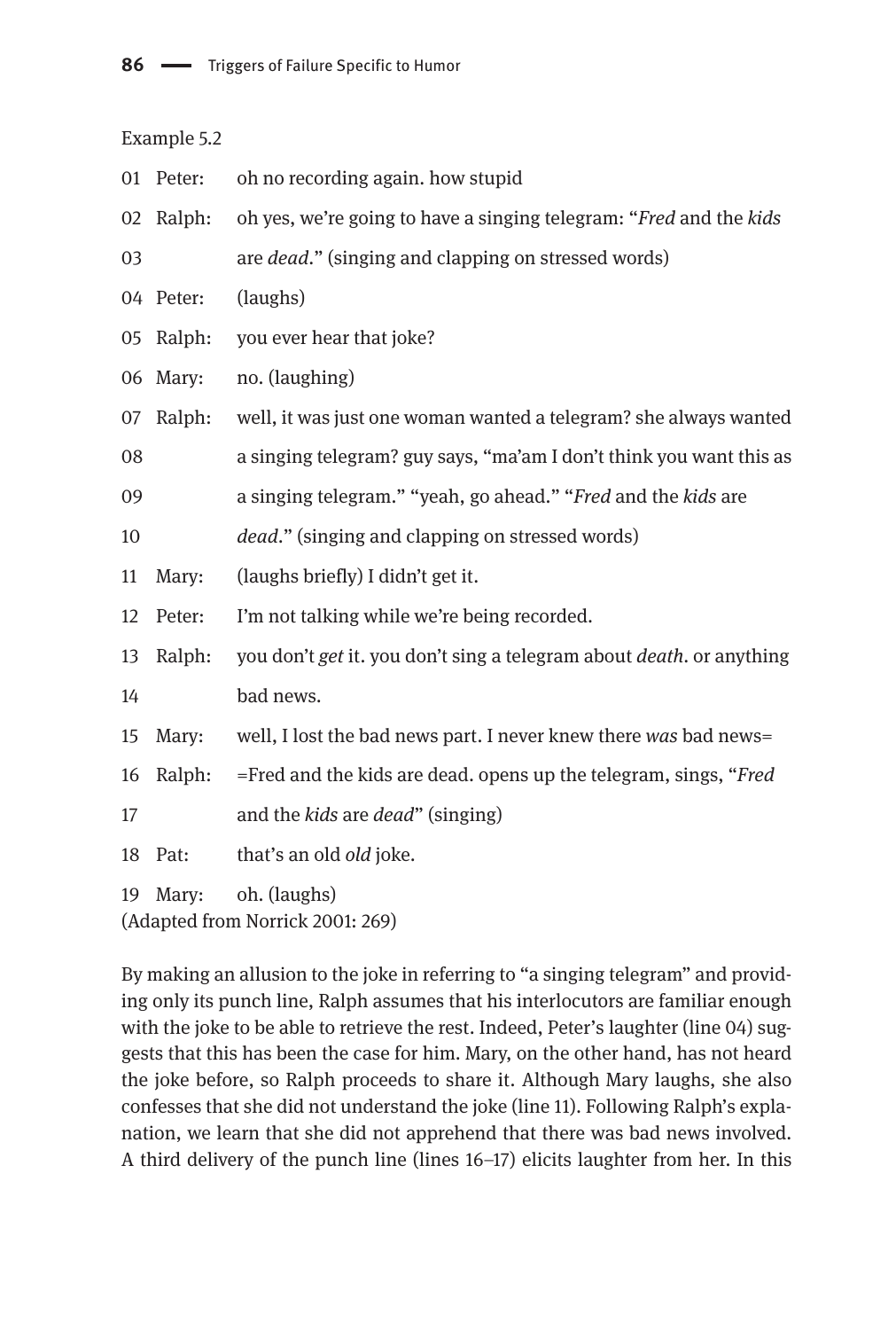Example 5.2

|    | 01 Peter: | oh no recording again. how stupid                                            |
|----|-----------|------------------------------------------------------------------------------|
| 02 | Ralph:    | oh yes, we're going to have a singing telegram: "Fred and the kids"          |
| 03 |           | are <i>dead.</i> " (singing and clapping on stressed words)                  |
|    | 04 Peter: | (laughs)                                                                     |
| 05 | Ralph:    | you ever hear that joke?                                                     |
| 06 | Mary:     | no. (laughing)                                                               |
| 07 | Ralph:    | well, it was just one woman wanted a telegram? she always wanted             |
| 08 |           | a singing telegram? guy says, "ma'am I don't think you want this as          |
| 09 |           | a singing telegram." "yeah, go ahead." "Fred and the kids are                |
| 10 |           | <i>dead.</i> " (singing and clapping on stressed words)                      |
| 11 | Mary:     | (laughs briefly) I didn't get it.                                            |
| 12 | Peter:    | I'm not talking while we're being recorded.                                  |
| 13 | Ralph:    | you don't get it. you don't sing a telegram about <i>death</i> . or anything |
| 14 |           | bad news.                                                                    |
| 15 | Mary:     | well, I lost the bad news part. I never knew there was bad news=             |
| 16 | Ralph:    | =Fred and the kids are dead. opens up the telegram, sings, "Fred             |
| 17 |           | and the kids are dead" (singing)                                             |
| 18 | Pat:      | that's an old old joke.                                                      |
| 19 | Mary:     | oh. (laughs)<br>(Adapted from Norrick 2001: 269)                             |

By making an allusion to the joke in referring to "a singing telegram" and providing only its punch line, Ralph assumes that his interlocutors are familiar enough with the joke to be able to retrieve the rest. Indeed, Peter's laughter (line 04) suggests that this has been the case for him. Mary, on the other hand, has not heard the joke before, so Ralph proceeds to share it. Although Mary laughs, she also confesses that she did not understand the joke (line 11). Following Ralph's explanation, we learn that she did not apprehend that there was bad news involved. A third delivery of the punch line (lines 16–17) elicits laughter from her. In this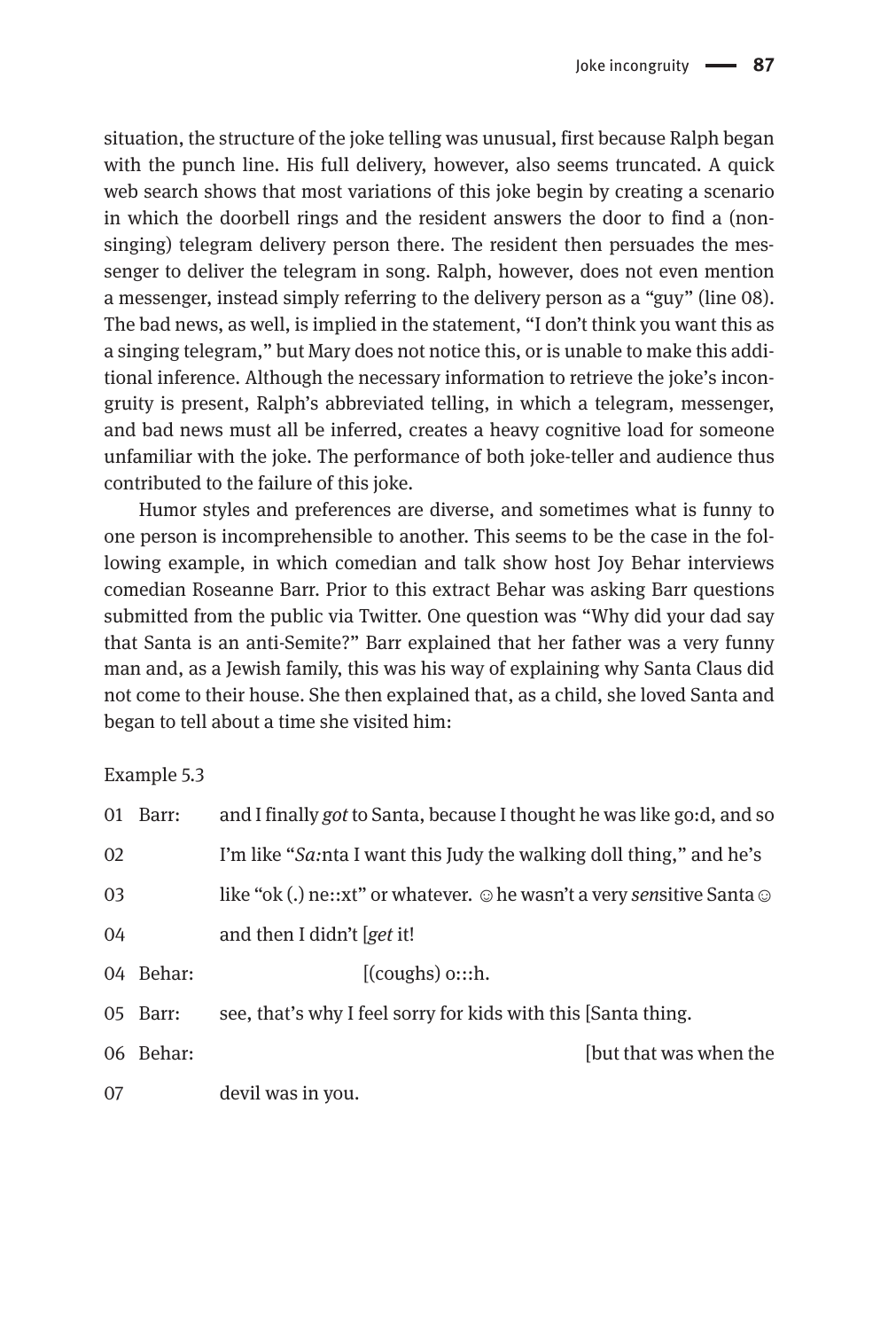situation, the structure of the joke telling was unusual, first because Ralph began with the punch line. His full delivery, however, also seems truncated. A quick web search shows that most variations of this joke begin by creating a scenario in which the doorbell rings and the resident answers the door to find a (nonsinging) telegram delivery person there. The resident then persuades the messenger to deliver the telegram in song. Ralph, however, does not even mention a messenger, instead simply referring to the delivery person as a "guy" (line 08). The bad news, as well, is implied in the statement, "I don't think you want this as a singing telegram," but Mary does not notice this, or is unable to make this additional inference. Although the necessary information to retrieve the joke's incongruity is present, Ralph's abbreviated telling, in which a telegram, messenger, and bad news must all be inferred, creates a heavy cognitive load for someone unfamiliar with the joke. The performance of both joke-teller and audience thus contributed to the failure of this joke.

Humor styles and preferences are diverse, and sometimes what is funny to one person is incomprehensible to another. This seems to be the case in the following example, in which comedian and talk show host Joy Behar interviews comedian Roseanne Barr. Prior to this extract Behar was asking Barr questions submitted from the public via Twitter. One question was "Why did your dad say that Santa is an anti-Semite?" Barr explained that her father was a very funny man and, as a Jewish family, this was his way of explaining why Santa Claus did not come to their house. She then explained that, as a child, she loved Santa and began to tell about a time she visited him:

Example 5.3

| 01 | Barr:     | and I finally got to Santa, because I thought he was like go:d, and so             |
|----|-----------|------------------------------------------------------------------------------------|
| 02 |           | I'm like "Sa:nta I want this Judy the walking doll thing," and he's                |
| 03 |           | like "ok (.) ne::xt" or whatever. $\odot$ he wasn't a very sensitive Santa $\odot$ |
| 04 |           | and then I didn't [get it!]                                                        |
|    | 04 Behar: | $[$ (coughs) $o:::$ h.                                                             |
|    | 05 Barr:  | see, that's why I feel sorry for kids with this [Santa thing.                      |
|    | 06 Behar: | [but that was when the                                                             |
| 07 |           | devil was in you.                                                                  |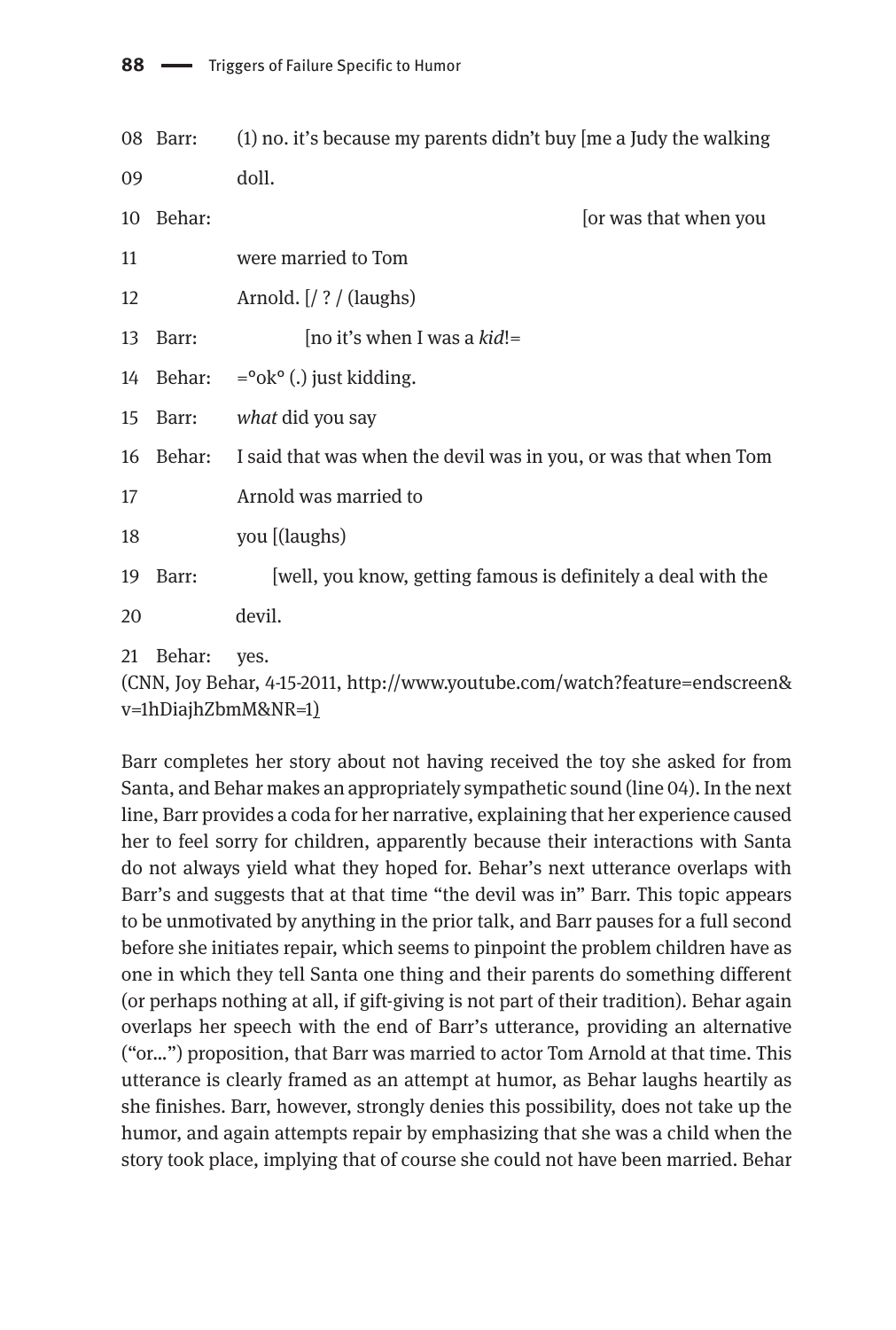|    | 08 Barr: | $(1)$ no. it's because my parents didn't buy [me a Judy the walking |
|----|----------|---------------------------------------------------------------------|
| 09 |          | doll.                                                               |
| 10 | Behar:   | [or was that when you                                               |
| 11 |          | were married to Tom                                                 |
| 12 |          | Arnold. $\left[ \frac{\ }{\ }$ ? / (laughs)                         |
| 13 | Barr:    | [no it's when I was a <i>kid</i> !=                                 |
| 14 |          | Behar: $=$ <sup>o</sup> ok <sup>o</sup> (.) just kidding.           |
| 15 | Barr:    | <i>what</i> did you say                                             |
| 16 | Behar:   | I said that was when the devil was in you, or was that when Tom     |
| 17 |          | Arnold was married to                                               |
| 18 |          | you [(laughs)                                                       |
| 19 | Barr:    | [well, you know, getting famous is definitely a deal with the       |
| 20 |          | devil.                                                              |
| 21 | Behar:   | yes.                                                                |

(CNN, Joy Behar, 4-15-2011, http://www.youtube.com/watch?feature=endscreen& v=1hDiajhZbmM&NR=1)

Barr completes her story about not having received the toy she asked for from Santa, and Behar makes an appropriately sympathetic sound (line 04). In the next line, Barr provides a coda for her narrative, explaining that her experience caused her to feel sorry for children, apparently because their interactions with Santa do not always yield what they hoped for. Behar's next utterance overlaps with Barr's and suggests that at that time "the devil was in" Barr. This topic appears to be unmotivated by anything in the prior talk, and Barr pauses for a full second before she initiates repair, which seems to pinpoint the problem children have as one in which they tell Santa one thing and their parents do something different (or perhaps nothing at all, if gift-giving is not part of their tradition). Behar again overlaps her speech with the end of Barr's utterance, providing an alternative ("or…") proposition, that Barr was married to actor Tom Arnold at that time. This utterance is clearly framed as an attempt at humor, as Behar laughs heartily as she finishes. Barr, however, strongly denies this possibility, does not take up the humor, and again attempts repair by emphasizing that she was a child when the story took place, implying that of course she could not have been married. Behar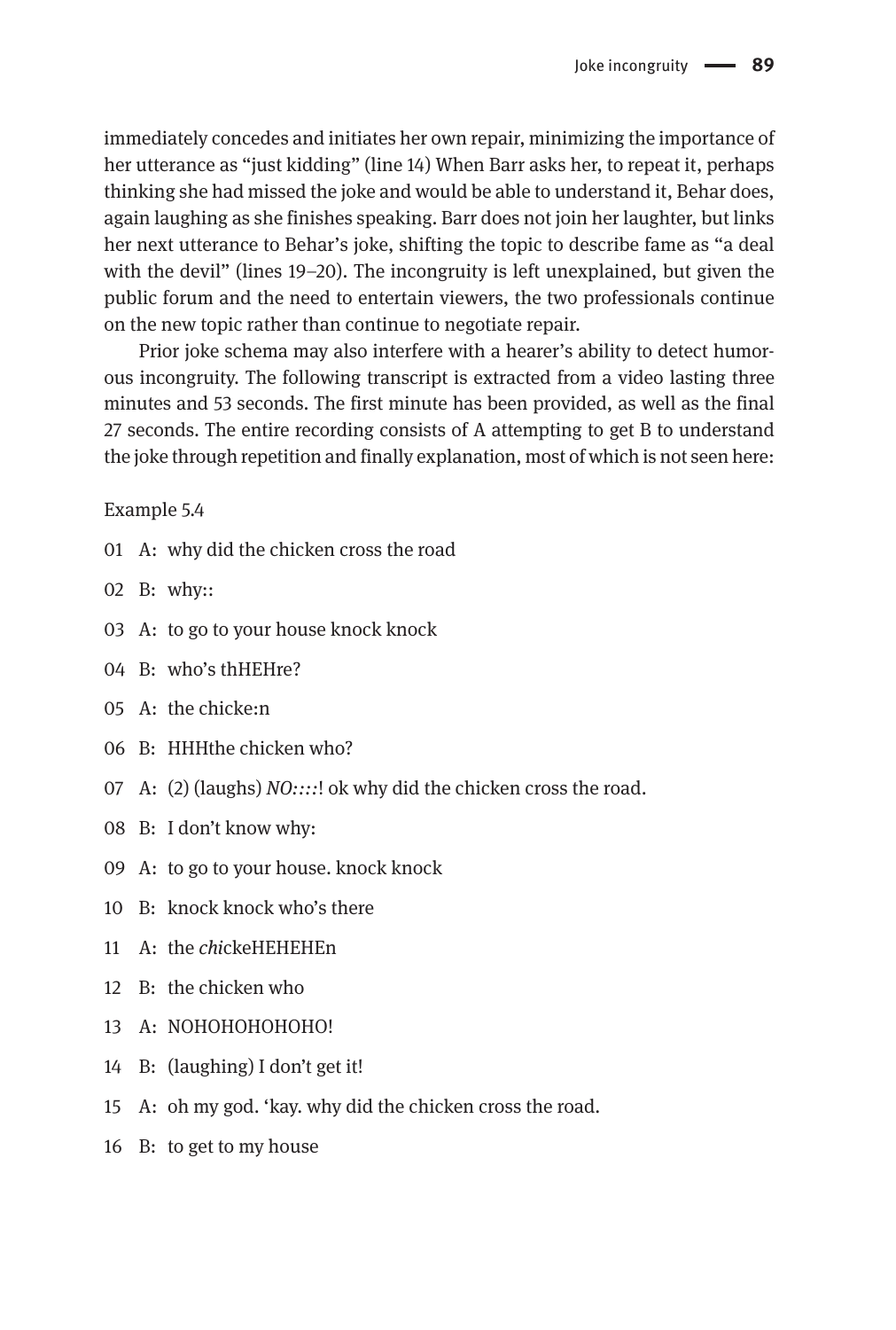immediately concedes and initiates her own repair, minimizing the importance of her utterance as "just kidding" (line 14) When Barr asks her, to repeat it, perhaps thinking she had missed the joke and would be able to understand it, Behar does, again laughing as she finishes speaking. Barr does not join her laughter, but links her next utterance to Behar's joke, shifting the topic to describe fame as "a deal with the devil" (lines 19–20). The incongruity is left unexplained, but given the public forum and the need to entertain viewers, the two professionals continue on the new topic rather than continue to negotiate repair.

Prior joke schema may also interfere with a hearer's ability to detect humorous incongruity. The following transcript is extracted from a video lasting three minutes and 53 seconds. The first minute has been provided, as well as the final 27 seconds. The entire recording consists of A attempting to get B to understand the joke through repetition and finally explanation, most of which is not seen here:

#### Example 5.4

- 01 A: why did the chicken cross the road
- 02 B: why::
- 03 A: to go to your house knock knock
- 04 B: who's thHEHre?
- 05 A: the chicke:n
- 06 B: HHHthe chicken who?
- 07 A: (2) (laughs) *NO::::*! ok why did the chicken cross the road.
- 08 B: I don't know why:
- 09 A: to go to your house. knock knock
- 10 B: knock knock who's there
- 11 A: the *chi*ckeHEHEHEn
- 12 B: the chicken who
- 13 A: NOHOHOHOHOHO!
- 14 B: (laughing) I don't get it!
- 15 A: oh my god. 'kay. why did the chicken cross the road.
- 16 B: to get to my house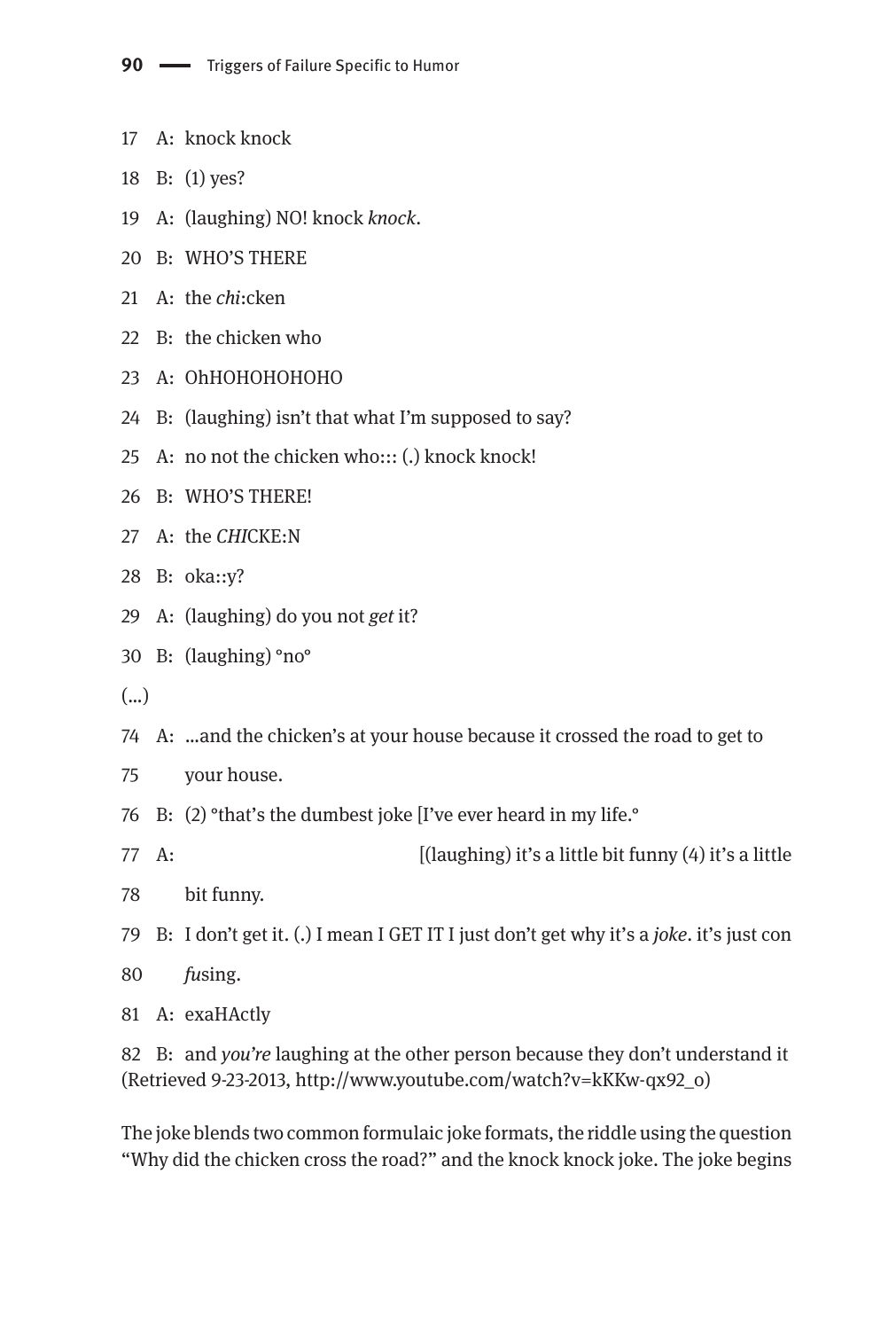- 17 A: knock knock
- 18 B: (1) yes?
- 19 A: (laughing) NO! knock *knock*.
- 20 B: WHO'S THERE
- 21 A: the *chi*:cken
- 22 B: the chicken who
- 23 A: OhHOHOHOHOHO
- 24 B: (laughing) isn't that what I'm supposed to say?
- 25 A: no not the chicken who::: (.) knock knock!
- 26 B: WHO'S THERE!
- 27 A: the *CHI*CKE:N
- 28 B: oka::y?
- 29 A: (laughing) do you not *get* it?
- 30 B: (laughing) °no°
- (…)
- 74 A: …and the chicken's at your house because it crossed the road to get to
- 75 your house.
- 76 B: (2) <sup>o</sup>that's the dumbest joke [I've ever heard in my life.<sup>o</sup>
- 77 A: [(laughing) it's a little bit funny (4) it's a little
- 78 bit funny.
- 79 B: I don't get it. (.) I mean I GET IT I just don't get why it's a *joke*. it's just con
- 80 *fu*sing.
- 81 A: exaHActly

82 B: and *you're* laughing at the other person because they don't understand it (Retrieved 9-23-2013, http://www.youtube.com/watch?v=kKKw-qx92\_o)

The joke blends two common formulaic joke formats, the riddle using the question "Why did the chicken cross the road?" and the knock knock joke. The joke begins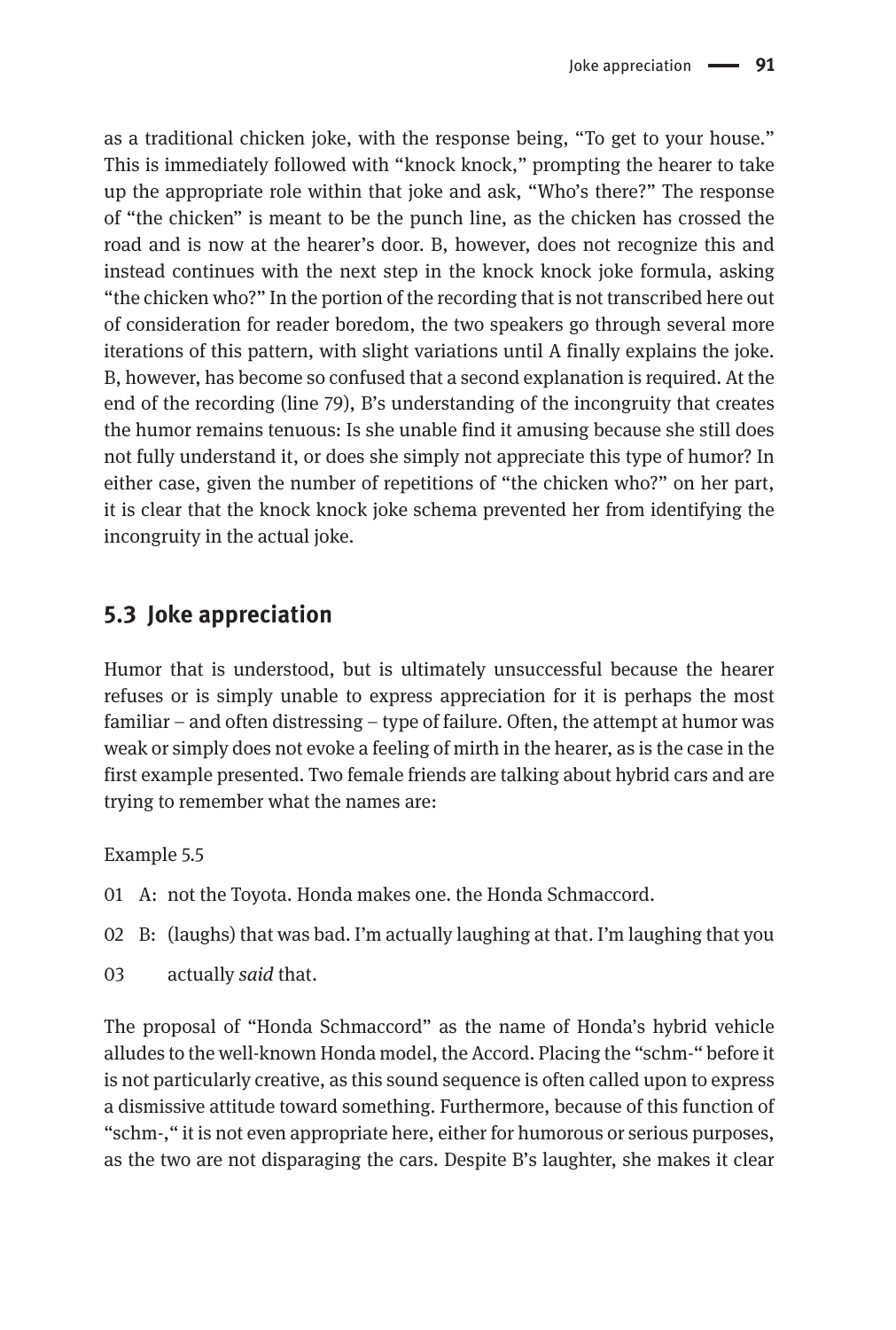as a traditional chicken joke, with the response being, "To get to your house." This is immediately followed with "knock knock," prompting the hearer to take up the appropriate role within that joke and ask, "Who's there?" The response of "the chicken" is meant to be the punch line, as the chicken has crossed the road and is now at the hearer's door. B, however, does not recognize this and instead continues with the next step in the knock knock joke formula, asking "the chicken who?" In the portion of the recording that is not transcribed here out of consideration for reader boredom, the two speakers go through several more iterations of this pattern, with slight variations until A finally explains the joke. B, however, has become so confused that a second explanation is required. At the end of the recording (line 79), B's understanding of the incongruity that creates the humor remains tenuous: Is she unable find it amusing because she still does not fully understand it, or does she simply not appreciate this type of humor? In either case, given the number of repetitions of "the chicken who?" on her part, it is clear that the knock knock joke schema prevented her from identifying the incongruity in the actual joke.

### **5.3 Joke appreciation**

Humor that is understood, but is ultimately unsuccessful because the hearer refuses or is simply unable to express appreciation for it is perhaps the most familiar – and often distressing – type of failure. Often, the attempt at humor was weak or simply does not evoke a feeling of mirth in the hearer, as is the case in the first example presented. Two female friends are talking about hybrid cars and are trying to remember what the names are:

Example 5.5

- 01 A: not the Toyota. Honda makes one. the Honda Schmaccord.
- 02 B: (laughs) that was bad. I'm actually laughing at that. I'm laughing that you
- 03 actually *said* that.

The proposal of "Honda Schmaccord" as the name of Honda's hybrid vehicle alludes to the well-known Honda model, the Accord. Placing the "schm-" before it is not particularly creative, as this sound sequence is often called upon to express a dismissive attitude toward something. Furthermore, because of this function of "schm-," it is not even appropriate here, either for humorous or serious purposes, as the two are not disparaging the cars. Despite B's laughter, she makes it clear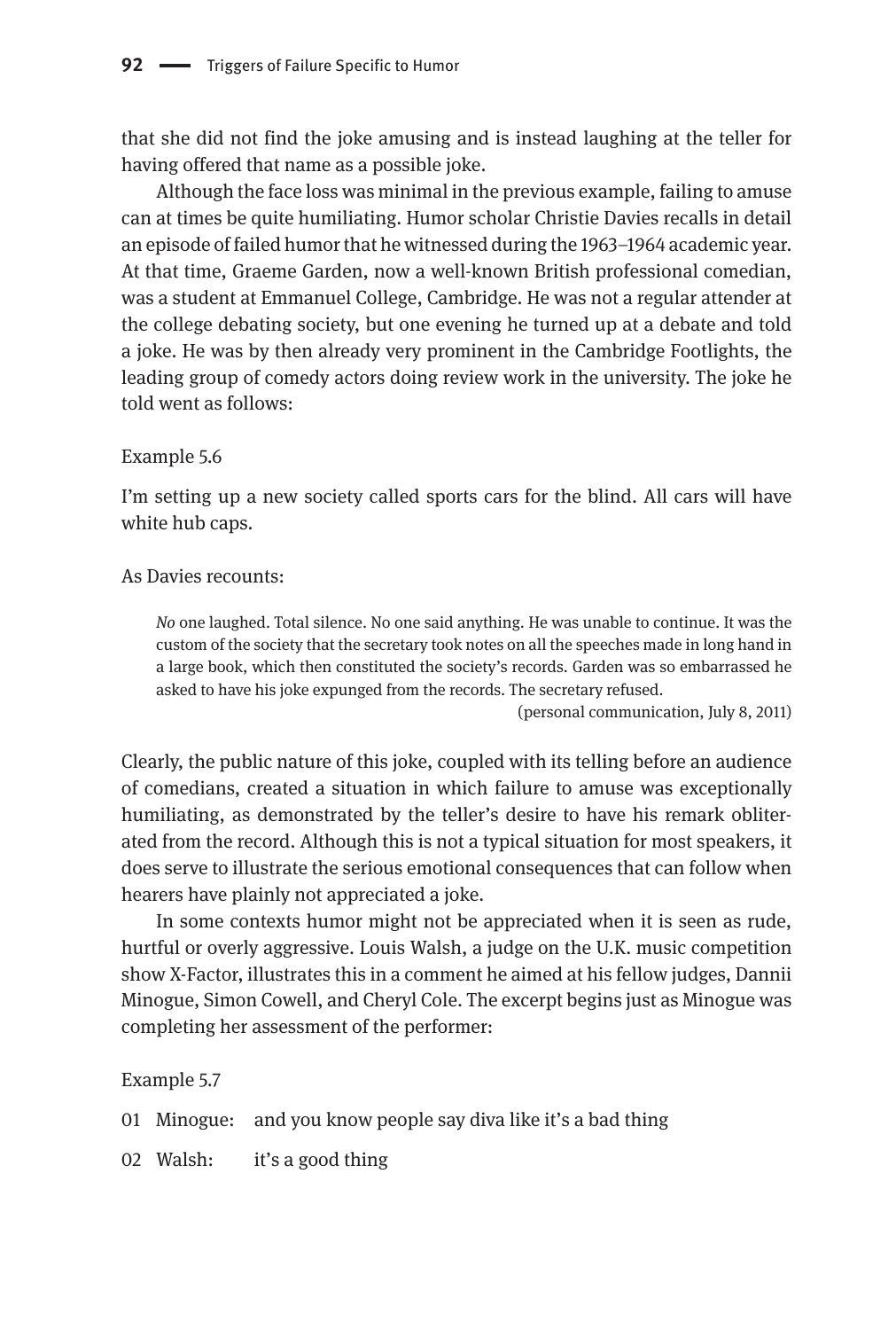that she did not find the joke amusing and is instead laughing at the teller for having offered that name as a possible joke.

Although the face loss was minimal in the previous example, failing to amuse can at times be quite humiliating. Humor scholar Christie Davies recalls in detail an episode of failed humor that he witnessed during the 1963–1964 academic year. At that time, Graeme Garden, now a well-known British professional comedian, was a student at Emmanuel College, Cambridge. He was not a regular attender at the college debating society, but one evening he turned up at a debate and told a joke. He was by then already very prominent in the Cambridge Footlights, the leading group of comedy actors doing review work in the university. The joke he told went as follows:

#### Example 5.6

I'm setting up a new society called sports cars for the blind. All cars will have white hub caps.

#### As Davies recounts:

*No* one laughed. Total silence. No one said anything. He was unable to continue. It was the custom of the society that the secretary took notes on all the speeches made in long hand in a large book, which then constituted the society's records. Garden was so embarrassed he asked to have his joke expunged from the records. The secretary refused.

(personal communication, July 8, 2011)

Clearly, the public nature of this joke, coupled with its telling before an audience of comedians, created a situation in which failure to amuse was exceptionally humiliating, as demonstrated by the teller's desire to have his remark obliterated from the record. Although this is not a typical situation for most speakers, it does serve to illustrate the serious emotional consequences that can follow when hearers have plainly not appreciated a joke.

In some contexts humor might not be appreciated when it is seen as rude, hurtful or overly aggressive. Louis Walsh, a judge on the U.K. music competition show X-Factor, illustrates this in a comment he aimed at his fellow judges, Dannii Minogue, Simon Cowell, and Cheryl Cole. The excerpt begins just as Minogue was completing her assessment of the performer:

#### Example 5.7

- 01 Minogue: and you know people say diva like it's a bad thing
- 02 Walsh: it's a good thing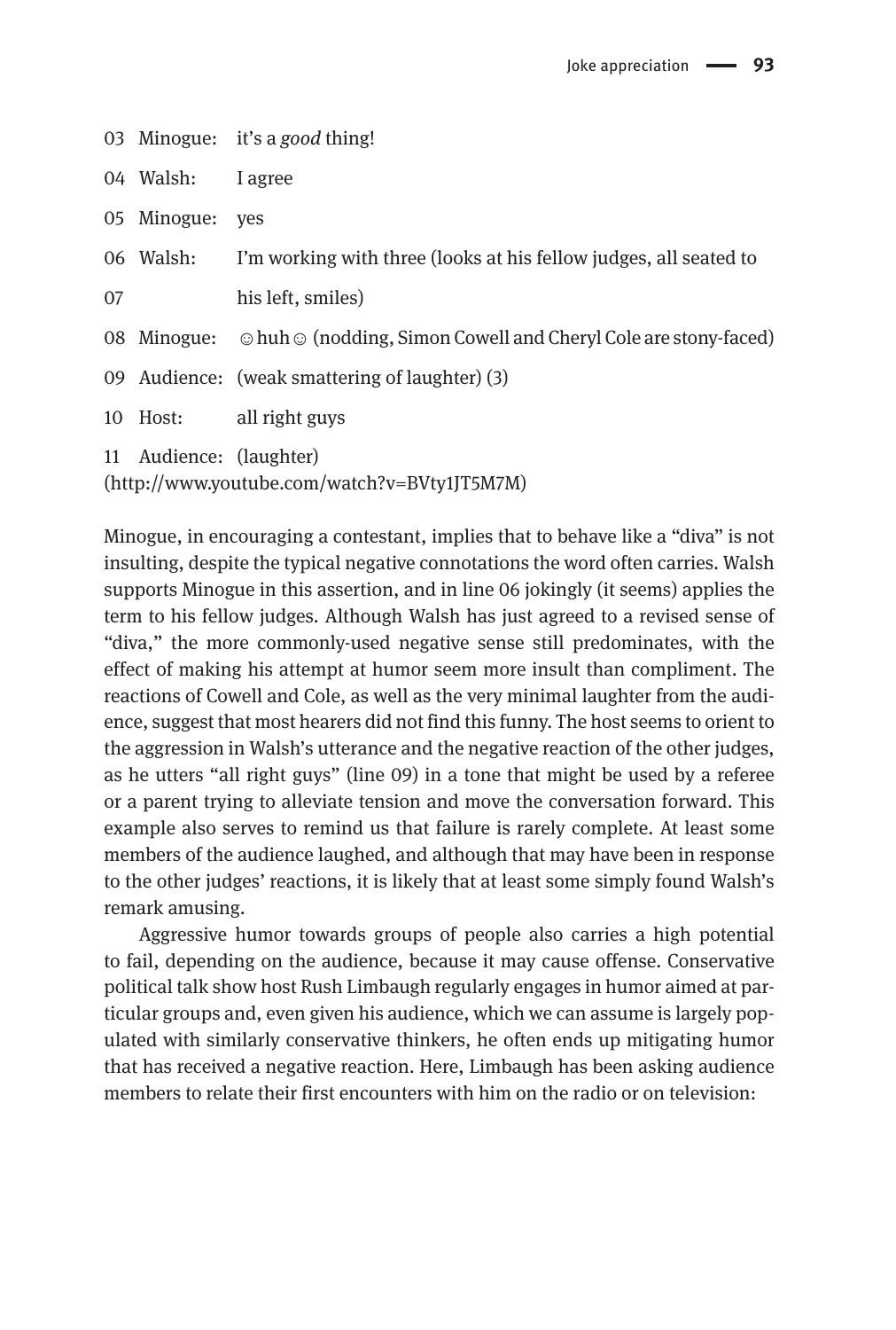|    |                         | 03 Minogue: it's a good thing!                                                          |
|----|-------------------------|-----------------------------------------------------------------------------------------|
|    | 04 Walsh:               | I agree                                                                                 |
|    | 05 Minogue:             | ves                                                                                     |
|    | 06 Walsh:               | I'm working with three (looks at his fellow judges, all seated to                       |
| 07 |                         | his left, smiles)                                                                       |
|    |                         | 08 Minogue: $\odot$ huh $\odot$ (nodding, Simon Cowell and Cheryl Cole are stony-faced) |
|    |                         | 09 Audience: (weak smattering of laughter) (3)                                          |
|    |                         | 10 Host: all right guys                                                                 |
|    | 11 Audience: (laughter) | $(http://www.youtube.com/watch?v=BVty1JT5M7M)$                                          |

Minogue, in encouraging a contestant, implies that to behave like a "diva" is not insulting, despite the typical negative connotations the word often carries. Walsh supports Minogue in this assertion, and in line 06 jokingly (it seems) applies the term to his fellow judges. Although Walsh has just agreed to a revised sense of "diva," the more commonly-used negative sense still predominates, with the effect of making his attempt at humor seem more insult than compliment. The reactions of Cowell and Cole, as well as the very minimal laughter from the audience, suggest that most hearers did not find this funny. The host seems to orient to the aggression in Walsh's utterance and the negative reaction of the other judges, as he utters "all right guys" (line 09) in a tone that might be used by a referee or a parent trying to alleviate tension and move the conversation forward. This example also serves to remind us that failure is rarely complete. At least some members of the audience laughed, and although that may have been in response to the other judges' reactions, it is likely that at least some simply found Walsh's remark amusing.

Aggressive humor towards groups of people also carries a high potential to fail, depending on the audience, because it may cause offense. Conservative political talk show host Rush Limbaugh regularly engages in humor aimed at particular groups and, even given his audience, which we can assume is largely populated with similarly conservative thinkers, he often ends up mitigating humor that has received a negative reaction. Here, Limbaugh has been asking audience members to relate their first encounters with him on the radio or on television: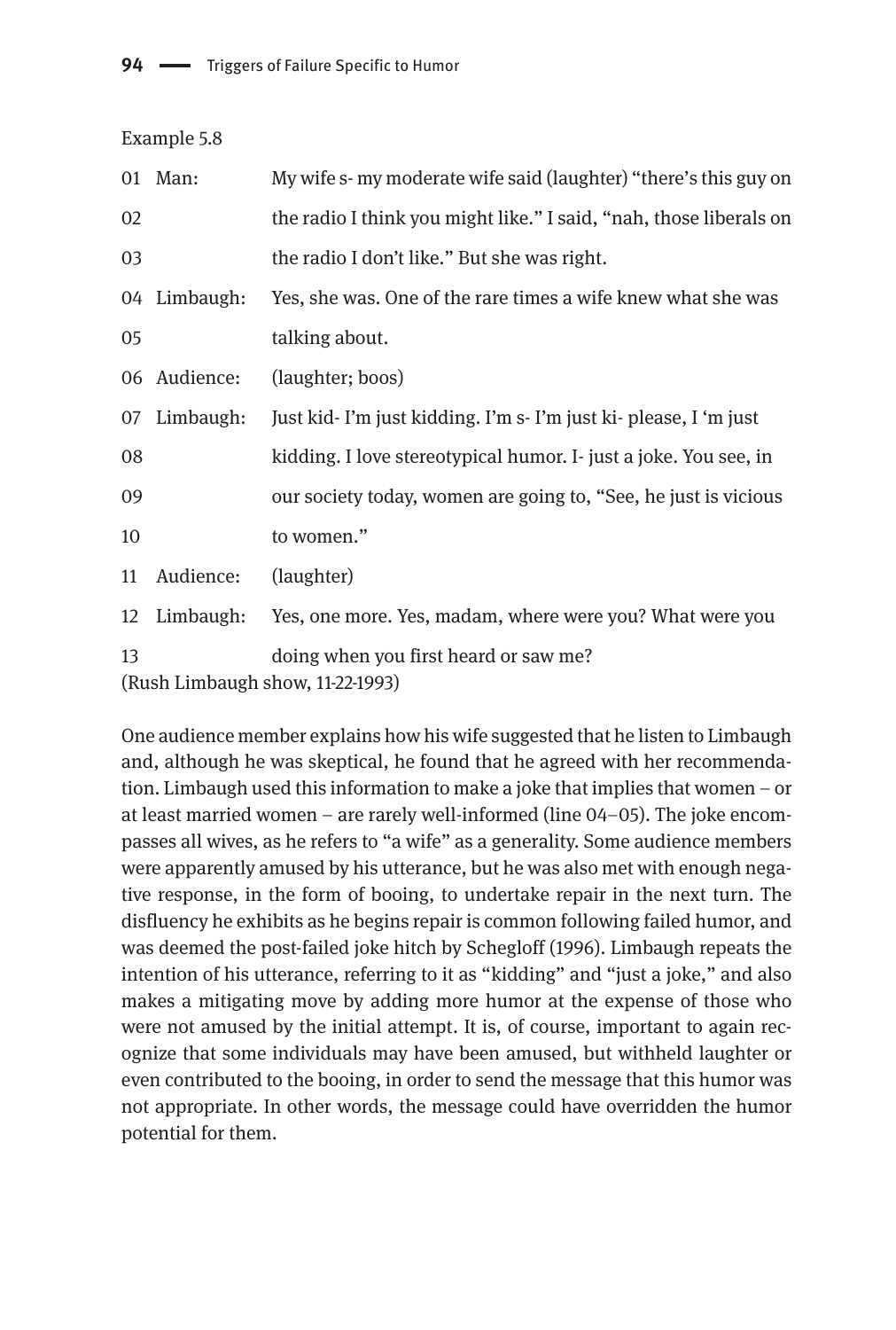Example 5.8

|                                  | 01 Man:      | My wife s- my moderate wife said (laughter) "there's this guy on   |  |  |  |
|----------------------------------|--------------|--------------------------------------------------------------------|--|--|--|
| 02                               |              | the radio I think you might like." I said, "nah, those liberals on |  |  |  |
| 03                               |              | the radio I don't like." But she was right.                        |  |  |  |
|                                  | 04 Limbaugh: | Yes, she was. One of the rare times a wife knew what she was       |  |  |  |
| 05                               |              | talking about.                                                     |  |  |  |
|                                  | 06 Audience: | (laughter; boos)                                                   |  |  |  |
|                                  | 07 Limbaugh: | Just kid- I'm just kidding. I'm s- I'm just ki- please, I 'm just  |  |  |  |
| 08                               |              | kidding. I love stereotypical humor. I- just a joke. You see, in   |  |  |  |
| 09                               |              | our society today, women are going to, "See, he just is vicious    |  |  |  |
| 10                               |              | to women."                                                         |  |  |  |
| 11                               | Audience:    | (laughter)                                                         |  |  |  |
| 12                               | Limbaugh:    | Yes, one more. Yes, madam, where were you? What were you           |  |  |  |
| 13                               |              | doing when you first heard or saw me?                              |  |  |  |
| (Rush Limbaugh show, 11-22-1993) |              |                                                                    |  |  |  |

One audience member explains how his wife suggested that he listen to Limbaugh and, although he was skeptical, he found that he agreed with her recommendation. Limbaugh used this information to make a joke that implies that women – or at least married women – are rarely well-informed (line 04–05). The joke encompasses all wives, as he refers to "a wife" as a generality. Some audience members were apparently amused by his utterance, but he was also met with enough negative response, in the form of booing, to undertake repair in the next turn. The disfluency he exhibits as he begins repair is common following failed humor, and was deemed the post-failed joke hitch by Schegloff (1996). Limbaugh repeats the intention of his utterance, referring to it as "kidding" and "just a joke," and also makes a mitigating move by adding more humor at the expense of those who were not amused by the initial attempt. It is, of course, important to again recognize that some individuals may have been amused, but withheld laughter or even contributed to the booing, in order to send the message that this humor was not appropriate. In other words, the message could have overridden the humor potential for them.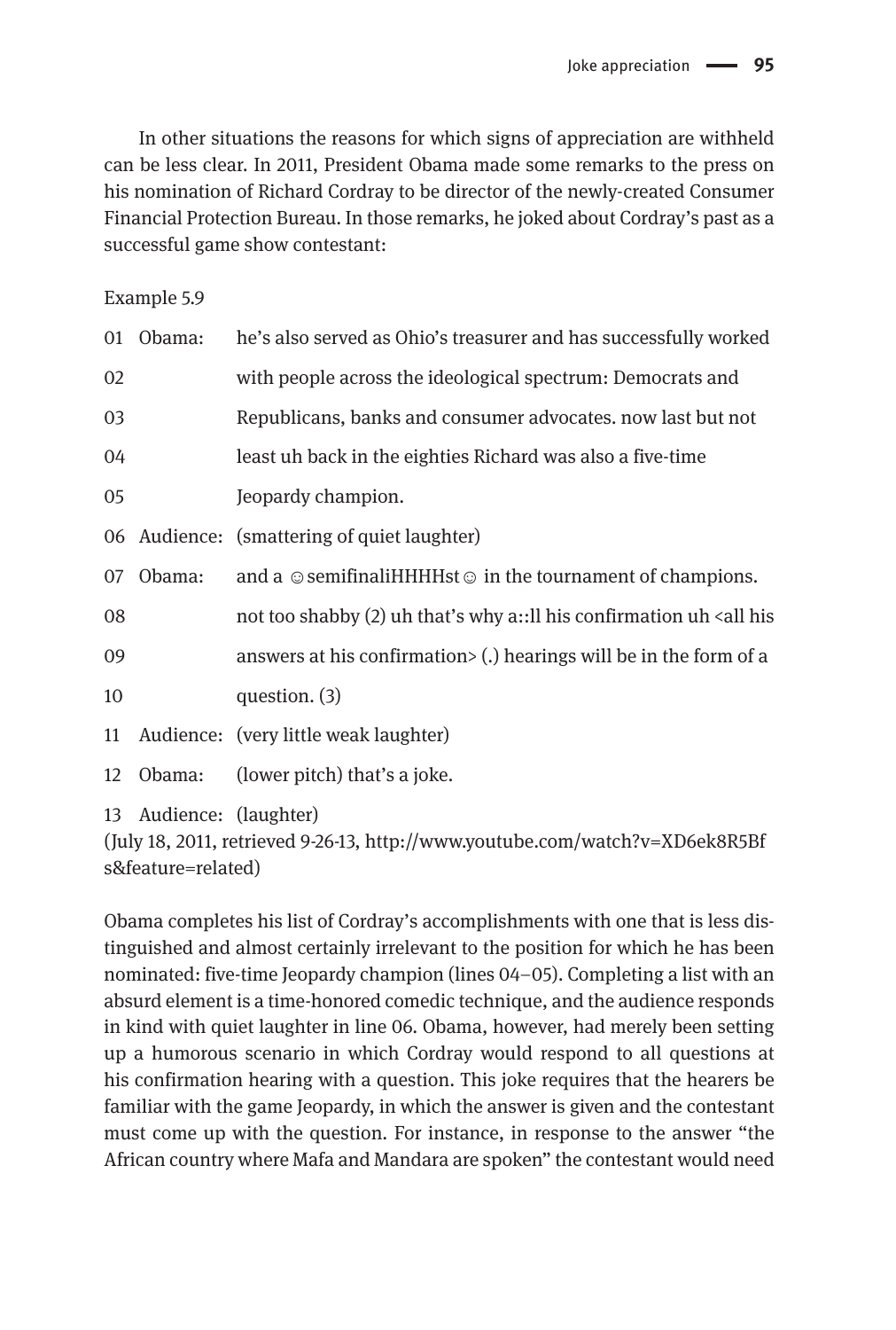In other situations the reasons for which signs of appreciation are withheld can be less clear. In 2011, President Obama made some remarks to the press on his nomination of Richard Cordray to be director of the newly-created Consumer Financial Protection Bureau. In those remarks, he joked about Cordray's past as a successful game show contestant:

Example 5.9

|                                                                                                                                  | 01 Obama: | he's also served as Ohio's treasurer and has successfully worked                       |  |  |
|----------------------------------------------------------------------------------------------------------------------------------|-----------|----------------------------------------------------------------------------------------|--|--|
| 02                                                                                                                               |           | with people across the ideological spectrum: Democrats and                             |  |  |
| 03                                                                                                                               |           | Republicans, banks and consumer advocates. now last but not                            |  |  |
| 04                                                                                                                               |           | least uh back in the eighties Richard was also a five-time                             |  |  |
| 05                                                                                                                               |           | Jeopardy champion.                                                                     |  |  |
|                                                                                                                                  |           | 06 Audience: (smattering of quiet laughter)                                            |  |  |
| 07                                                                                                                               | Obama:    | and a $\odot$ semifinaliHHHHst $\odot$ in the tournament of champions.                 |  |  |
| 08                                                                                                                               |           | not too shabby $(2)$ uh that's why a:: I his confirmation uh <all his<="" td=""></all> |  |  |
| 09                                                                                                                               |           | answers at his confirmation > (.) hearings will be in the form of a                    |  |  |
| 10                                                                                                                               |           | question. (3)                                                                          |  |  |
| 11                                                                                                                               |           | Audience: (very little weak laughter)                                                  |  |  |
| 12 <sup>2</sup>                                                                                                                  | Obama:    | (lower pitch) that's a joke.                                                           |  |  |
| Audience: (laughter)<br>13<br>(July 18, 2011, retrieved 9-26-13, http://www.youtube.com/watch?v=XD6ek8R5Bf<br>s&feature=related) |           |                                                                                        |  |  |

Obama completes his list of Cordray's accomplishments with one that is less distinguished and almost certainly irrelevant to the position for which he has been nominated: five-time Jeopardy champion (lines 04–05). Completing a list with an absurd element is a time-honored comedic technique, and the audience responds in kind with quiet laughter in line 06. Obama, however, had merely been setting up a humorous scenario in which Cordray would respond to all questions at his confirmation hearing with a question. This joke requires that the hearers be familiar with the game Jeopardy, in which the answer is given and the contestant must come up with the question. For instance, in response to the answer "the African country where Mafa and Mandara are spoken" the contestant would need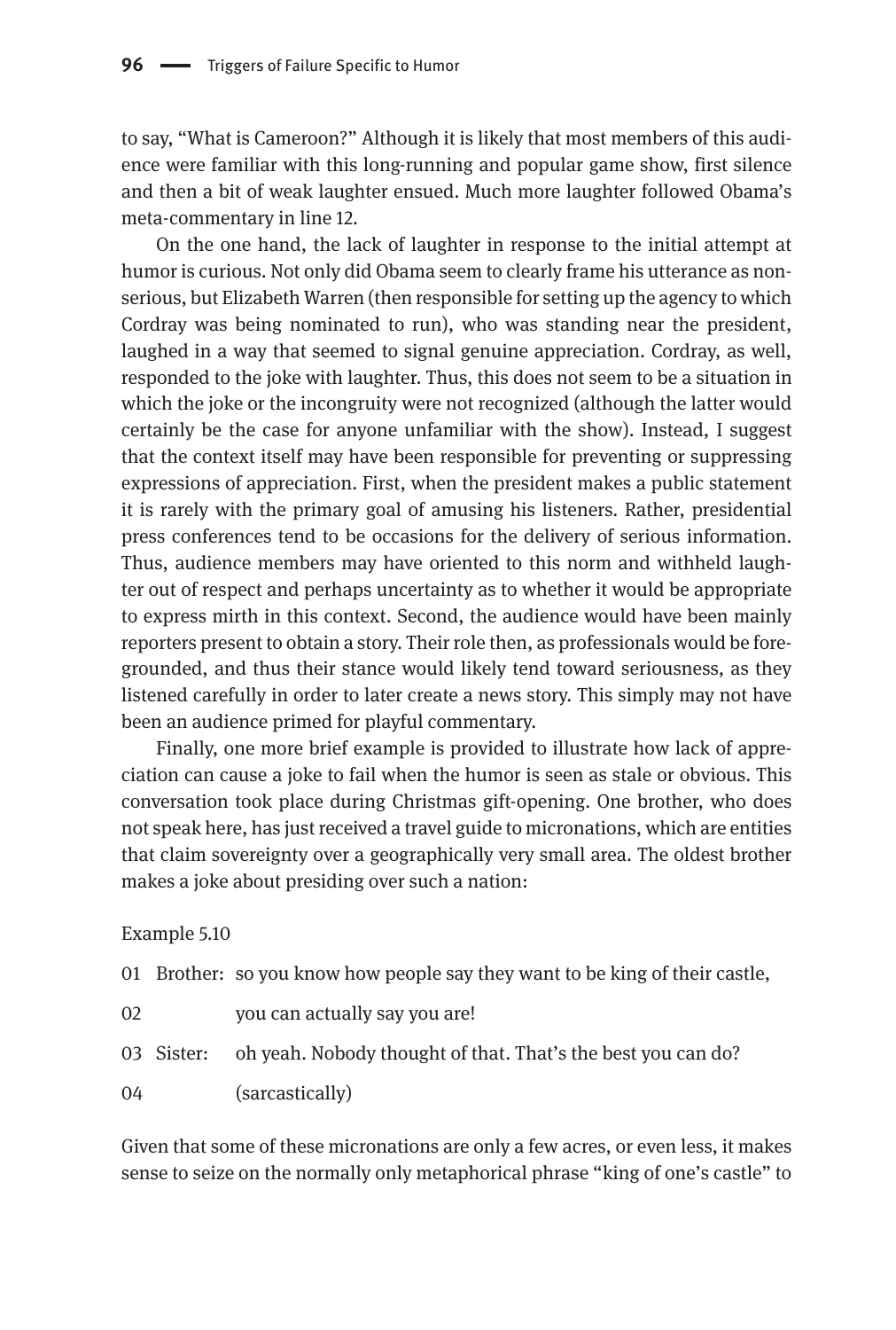to say, "What is Cameroon?" Although it is likely that most members of this audience were familiar with this long-running and popular game show, first silence and then a bit of weak laughter ensued. Much more laughter followed Obama's meta-commentary in line 12.

On the one hand, the lack of laughter in response to the initial attempt at humor is curious. Not only did Obama seem to clearly frame his utterance as nonserious, but Elizabeth Warren (then responsible for setting up the agency to which Cordray was being nominated to run), who was standing near the president, laughed in a way that seemed to signal genuine appreciation. Cordray, as well, responded to the joke with laughter. Thus, this does not seem to be a situation in which the joke or the incongruity were not recognized (although the latter would certainly be the case for anyone unfamiliar with the show). Instead, I suggest that the context itself may have been responsible for preventing or suppressing expressions of appreciation. First, when the president makes a public statement it is rarely with the primary goal of amusing his listeners. Rather, presidential press conferences tend to be occasions for the delivery of serious information. Thus, audience members may have oriented to this norm and withheld laughter out of respect and perhaps uncertainty as to whether it would be appropriate to express mirth in this context. Second, the audience would have been mainly reporters present to obtain a story. Their role then, as professionals would be foregrounded, and thus their stance would likely tend toward seriousness, as they listened carefully in order to later create a news story. This simply may not have been an audience primed for playful commentary.

Finally, one more brief example is provided to illustrate how lack of appreciation can cause a joke to fail when the humor is seen as stale or obvious. This conversation took place during Christmas gift-opening. One brother, who does not speak here, has just received a travel guide to micronations, which are entities that claim sovereignty over a geographically very small area. The oldest brother makes a joke about presiding over such a nation:

#### Example 5.10

01 Brother: so you know how people say they want to be king of their castle,

02 you can actually say you are!

03 Sister: oh yeah. Nobody thought of that. That's the best you can do?

04 (sarcastically)

Given that some of these micronations are only a few acres, or even less, it makes sense to seize on the normally only metaphorical phrase "king of one's castle" to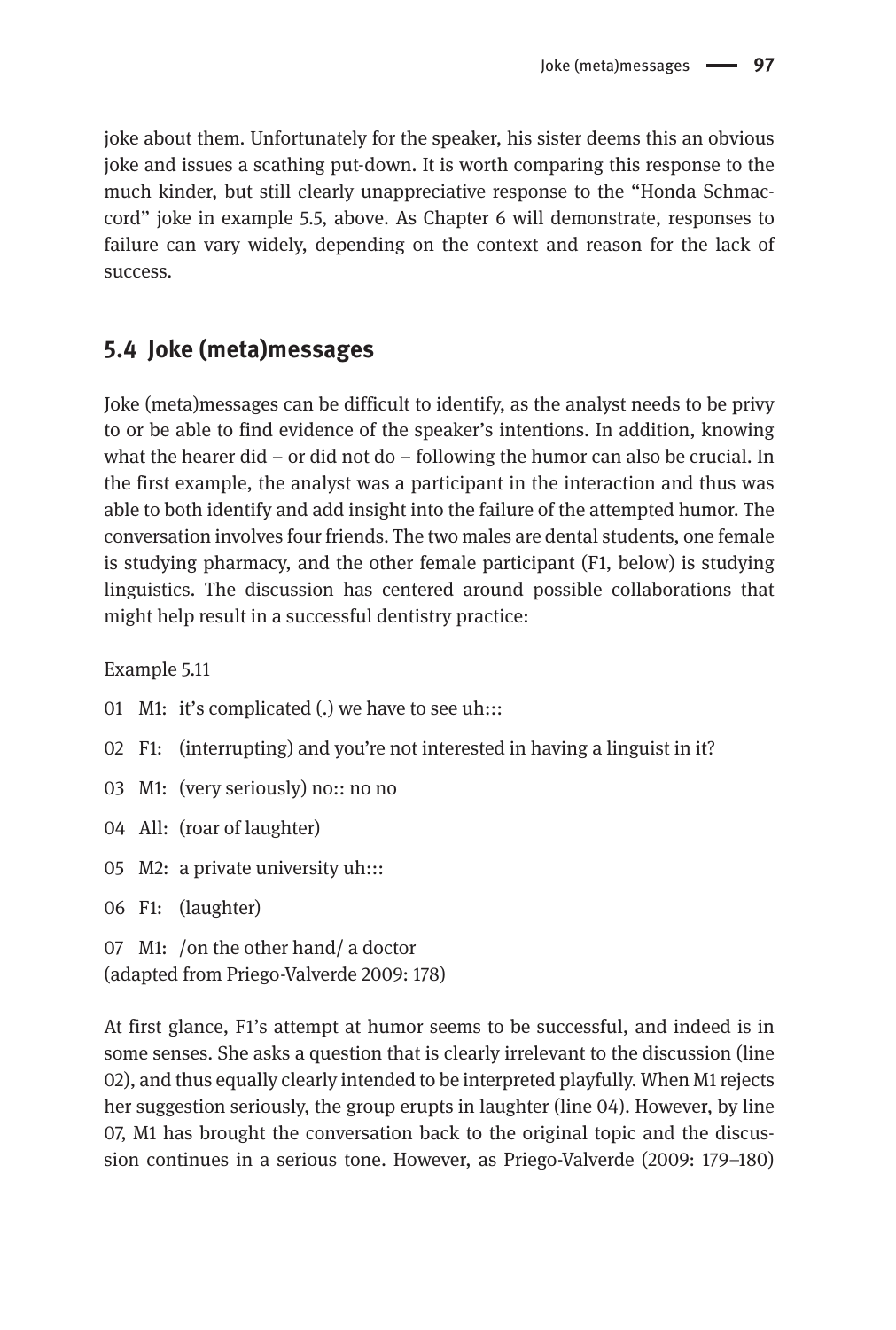joke about them. Unfortunately for the speaker, his sister deems this an obvious joke and issues a scathing put-down. It is worth comparing this response to the much kinder, but still clearly unappreciative response to the "Honda Schmaccord" joke in example 5.5, above. As Chapter 6 will demonstrate, responses to failure can vary widely, depending on the context and reason for the lack of success.

## **5.4 Joke (meta)messages**

Joke (meta)messages can be difficult to identify, as the analyst needs to be privy to or be able to find evidence of the speaker's intentions. In addition, knowing what the hearer did – or did not do – following the humor can also be crucial. In the first example, the analyst was a participant in the interaction and thus was able to both identify and add insight into the failure of the attempted humor. The conversation involves four friends. The two males are dental students, one female is studying pharmacy, and the other female participant (F1, below) is studying linguistics. The discussion has centered around possible collaborations that might help result in a successful dentistry practice:

Example 5.11

- 01 M1: it's complicated (.) we have to see uh:::
- 02 F1: (interrupting) and you're not interested in having a linguist in it?
- 03 M1: (very seriously) no:: no no

04 All: (roar of laughter)

05 M2: a private university uh:::

06 F1: (laughter)

07 M1: /on the other hand/ a doctor (adapted from Priego-Valverde 2009: 178)

At first glance, F1's attempt at humor seems to be successful, and indeed is in some senses. She asks a question that is clearly irrelevant to the discussion (line 02), and thus equally clearly intended to be interpreted playfully. When M1 rejects her suggestion seriously, the group erupts in laughter (line 04). However, by line 07, M1 has brought the conversation back to the original topic and the discussion continues in a serious tone. However, as Priego-Valverde (2009: 179–180)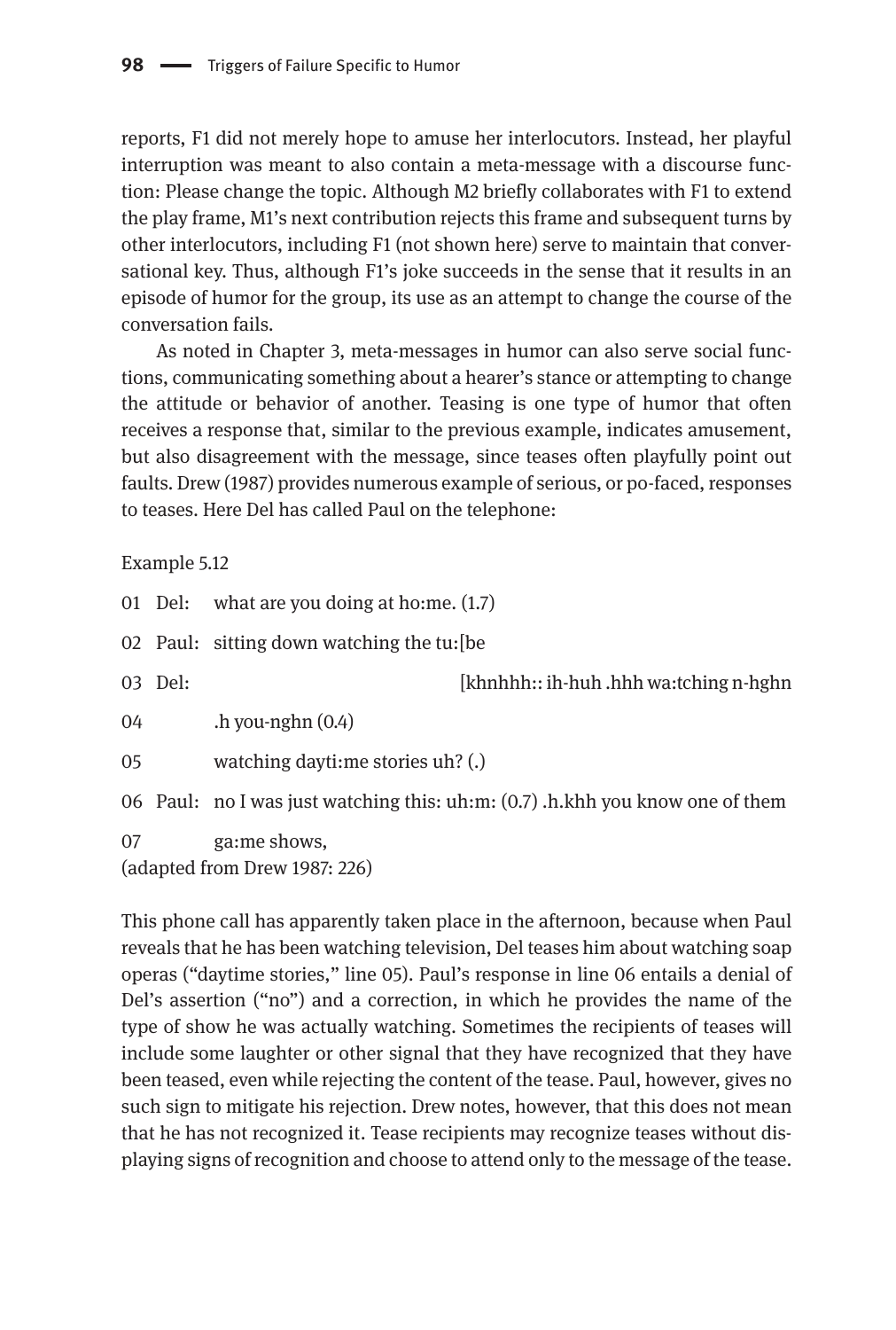reports, F1 did not merely hope to amuse her interlocutors. Instead, her playful interruption was meant to also contain a meta-message with a discourse function: Please change the topic. Although M2 briefly collaborates with F1 to extend the play frame, M1's next contribution rejects this frame and subsequent turns by other interlocutors, including F1 (not shown here) serve to maintain that conversational key. Thus, although F1's joke succeeds in the sense that it results in an episode of humor for the group, its use as an attempt to change the course of the conversation fails.

As noted in Chapter 3, meta-messages in humor can also serve social functions, communicating something about a hearer's stance or attempting to change the attitude or behavior of another. Teasing is one type of humor that often receives a response that, similar to the previous example, indicates amusement, but also disagreement with the message, since teases often playfully point out faults. Drew (1987) provides numerous example of serious, or po-faced, responses to teases. Here Del has called Paul on the telephone:

```
Example 5.12
```

|    |         | 01 Del: what are you doing at ho: me. (1.7)                                   |
|----|---------|-------------------------------------------------------------------------------|
|    |         | 02 Paul: sitting down watching the tu: [be]                                   |
|    | 03 Del: | [khnhhh:: ih-huh .hhh wa:tching n-hghn]                                       |
| 04 |         | $h$ you-nghn $(0.4)$                                                          |
| 05 |         | watching dayti: me stories $uh$ ? (.)                                         |
|    |         | 06 Paul: no I was just watching this: uh:m: (0.7) .h.khh you know one of them |
| 07 |         | ga:me shows,<br>(adapted from Drew 1987: 226)                                 |

This phone call has apparently taken place in the afternoon, because when Paul reveals that he has been watching television, Del teases him about watching soap operas ("daytime stories," line 05). Paul's response in line 06 entails a denial of Del's assertion ("no") and a correction, in which he provides the name of the type of show he was actually watching. Sometimes the recipients of teases will include some laughter or other signal that they have recognized that they have been teased, even while rejecting the content of the tease. Paul, however, gives no such sign to mitigate his rejection. Drew notes, however, that this does not mean that he has not recognized it. Tease recipients may recognize teases without displaying signs of recognition and choose to attend only to the message of the tease.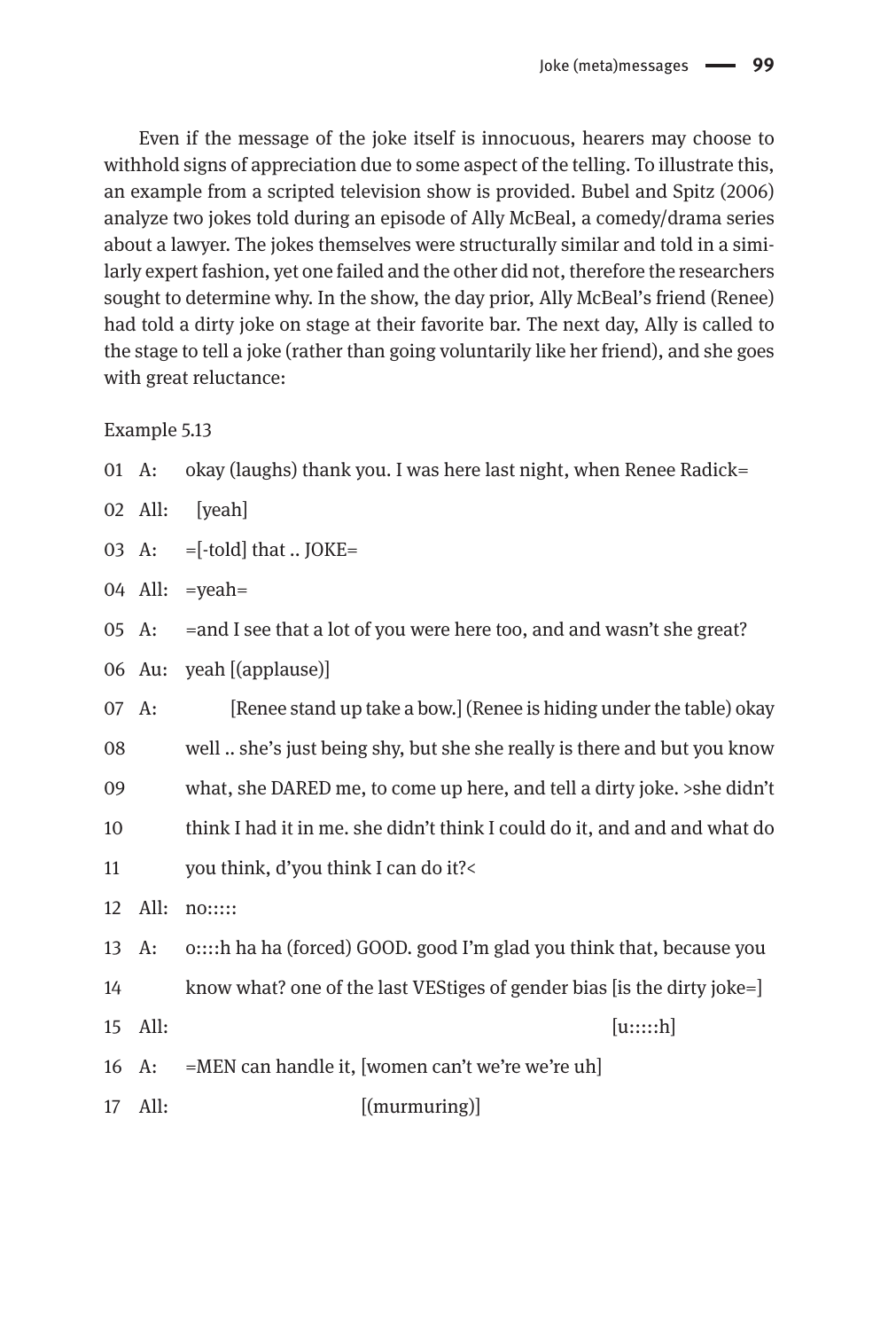Even if the message of the joke itself is innocuous, hearers may choose to withhold signs of appreciation due to some aspect of the telling. To illustrate this, an example from a scripted television show is provided. Bubel and Spitz (2006) analyze two jokes told during an episode of Ally McBeal, a comedy/drama series about a lawyer. The jokes themselves were structurally similar and told in a similarly expert fashion, yet one failed and the other did not, therefore the researchers sought to determine why. In the show, the day prior, Ally McBeal's friend (Renee) had told a dirty joke on stage at their favorite bar. The next day, Ally is called to the stage to tell a joke (rather than going voluntarily like her friend), and she goes with great reluctance:

### Example 5.13

|  |  |  | 01 A: okay (laughs) thank you. I was here last night, when Renee Radick= |  |
|--|--|--|--------------------------------------------------------------------------|--|
|--|--|--|--------------------------------------------------------------------------|--|

- 02 All: [yeah]
- 03 A:  $=[-t \text{old}]$  that .. JOKE=
- 04 All: =yeah=
- 05 A: =and I see that a lot of you were here too, and and wasn't she great?
- 06 Au: yeah [(applause)]
- 07 A: [Renee stand up take a bow.] (Renee is hiding under the table) okay 08 well .. she's just being shy, but she she really is there and but you know 09 what, she DARED me, to come up here, and tell a dirty joke. >she didn't 10 think I had it in me. she didn't think I could do it, and and and what do 11 you think, d'you think I can do it?<

12 All: no:::::

- 13 A: o::::h ha ha (forced) GOOD. good I'm glad you think that, because you
- 14 know what? one of the last VEStiges of gender bias [is the dirty joke=]
- 

15 All: [u:::::h]

- 16 A: =MEN can handle it, [women can't we're we're uh]
- 17 All: [(murmuring)]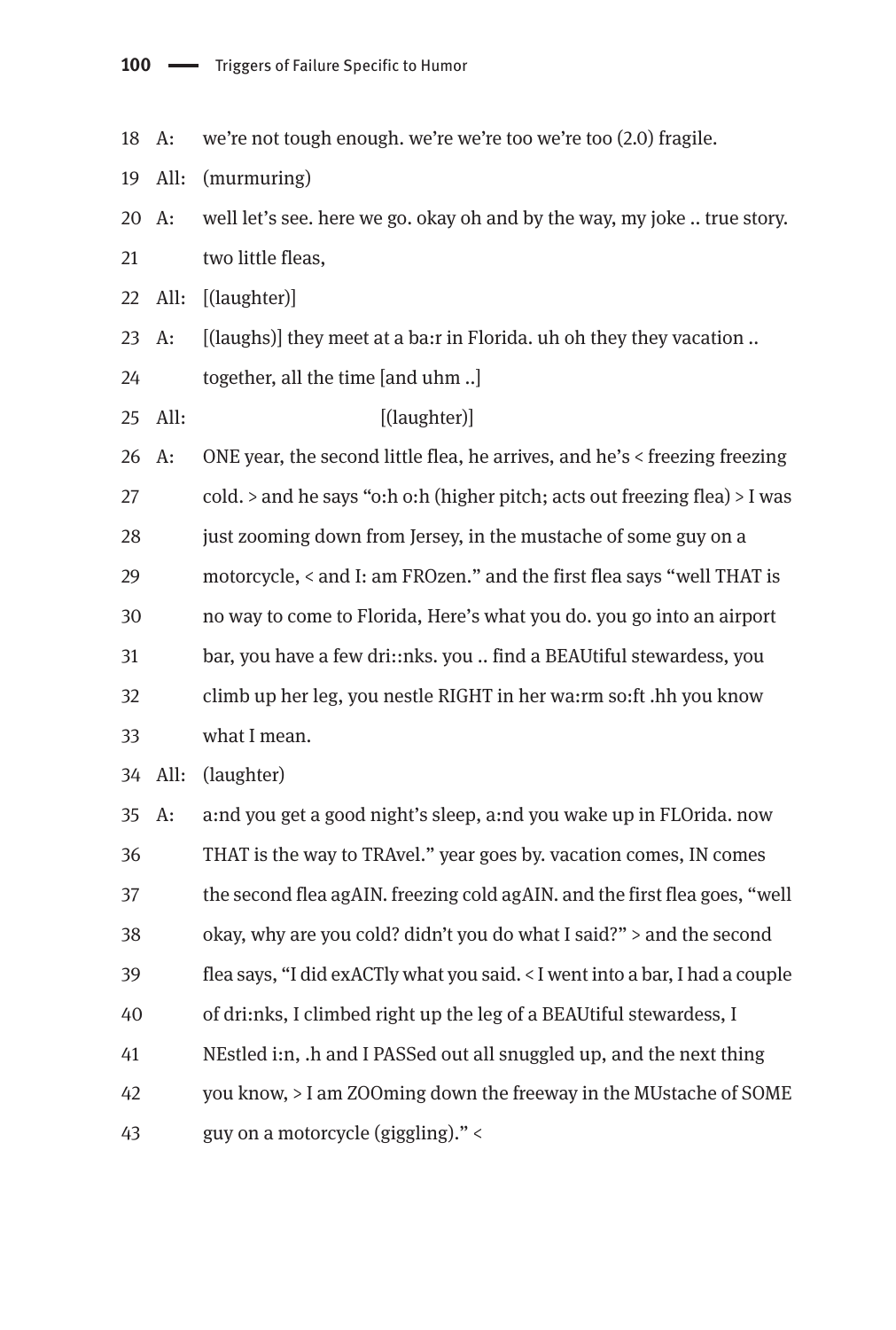18 A: we're not tough enough. we're we're too we're too (2.0) fragile.

- 19 All: (murmuring)
- 20 A: well let's see. here we go. okay oh and by the way, my joke .. true story. 21 two little fleas,
- 22 All: [(laughter)]
- 23 A:  $\left[$ (laughs) they meet at a ba: r in Florida, uh oh they they vacation .. 24 together, all the time [and uhm ..]
- 25 All: [(laughter)]
- 26 A: ONE year, the second little flea, he arrives, and he's < freezing freezing 27 cold. > and he says "o:h o:h (higher pitch; acts out freezing flea) > I was 28 just zooming down from Jersey, in the mustache of some guy on a 29 motorcycle, < and I: am FROzen." and the first flea says "well THAT is 30 no way to come to Florida, Here's what you do. you go into an airport 31 bar, you have a few dri::nks. you .. find a BEAUtiful stewardess, you 32 climb up her leg, you nestle RIGHT in her wa:rm so:ft .hh you know 33 what I mean.

34 All: (laughter)

35 A: a:nd you get a good night's sleep, a:nd you wake up in FLOrida. now 36 THAT is the way to TRAvel." year goes by. vacation comes, IN comes 37 the second flea agAIN. freezing cold agAIN. and the first flea goes, "well 38 okay, why are you cold? didn't you do what I said?" > and the second 39 flea says, "I did exACTly what you said. < I went into a bar, I had a couple 40 of dri:nks, I climbed right up the leg of a BEAUtiful stewardess, I 41 NEstled i:n, .h and I PASSed out all snuggled up, and the next thing 42 you know, > I am ZOOming down the freeway in the MUstache of SOME 43 guy on a motorcycle (giggling)." <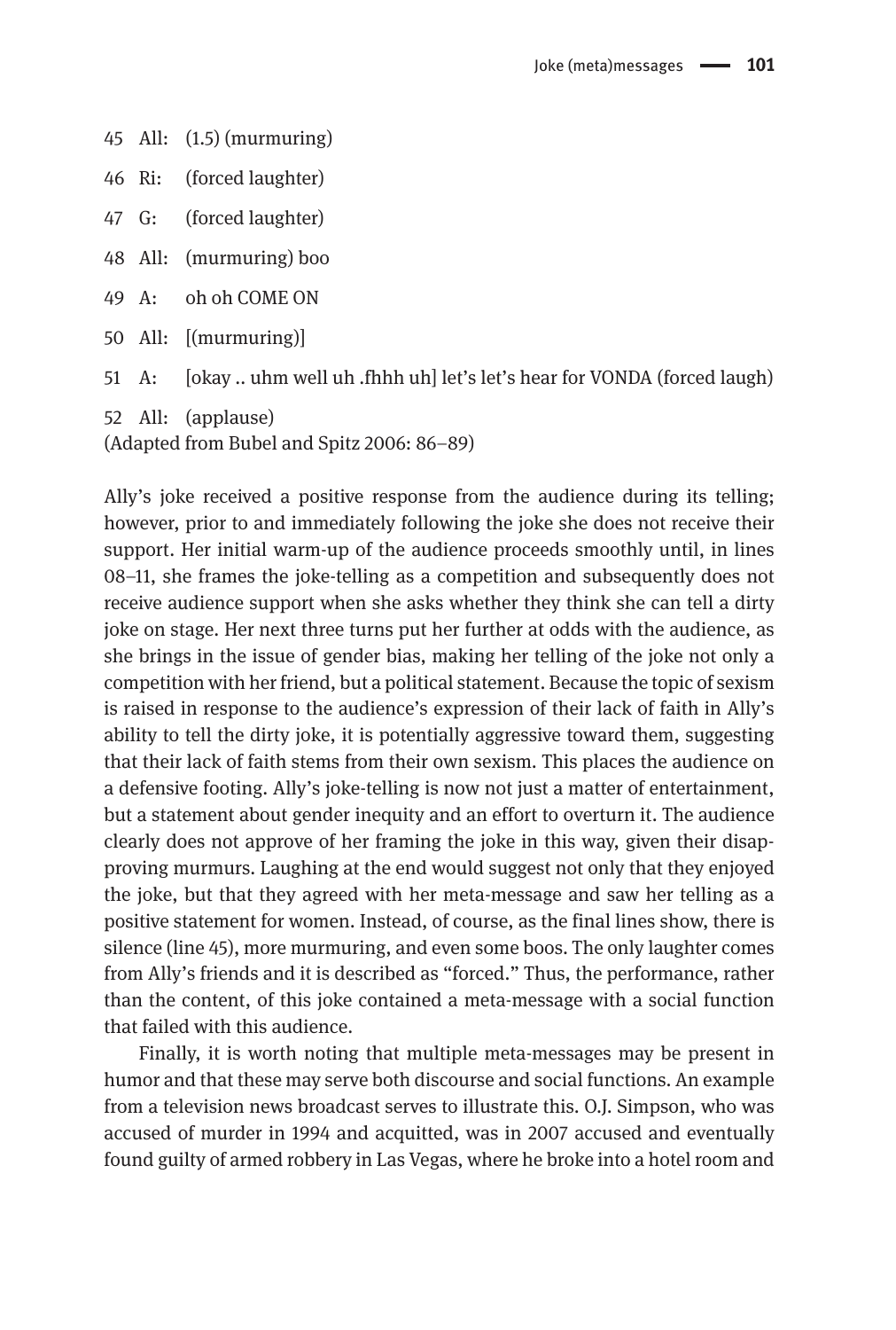- 45 All: (1.5) (murmuring)
- 46 Ri: (forced laughter)
- 47 G: (forced laughter)
- 48 All: (murmuring) boo
- 49 A: oh oh COME ON
- 50 All: [(murmuring)]
- 51 A: [okay .. uhm well uh .fhhh uh] let's let's hear for VONDA (forced laugh)

52 All: (applause)

(Adapted from Bubel and Spitz 2006: 86–89)

Ally's joke received a positive response from the audience during its telling; however, prior to and immediately following the joke she does not receive their support. Her initial warm-up of the audience proceeds smoothly until, in lines 08–11, she frames the joke-telling as a competition and subsequently does not receive audience support when she asks whether they think she can tell a dirty joke on stage. Her next three turns put her further at odds with the audience, as she brings in the issue of gender bias, making her telling of the joke not only a competition with her friend, but a political statement. Because the topic of sexism is raised in response to the audience's expression of their lack of faith in Ally's ability to tell the dirty joke, it is potentially aggressive toward them, suggesting that their lack of faith stems from their own sexism. This places the audience on a defensive footing. Ally's joke-telling is now not just a matter of entertainment, but a statement about gender inequity and an effort to overturn it. The audience clearly does not approve of her framing the joke in this way, given their disapproving murmurs. Laughing at the end would suggest not only that they enjoyed the joke, but that they agreed with her meta-message and saw her telling as a positive statement for women. Instead, of course, as the final lines show, there is silence (line 45), more murmuring, and even some boos. The only laughter comes from Ally's friends and it is described as "forced." Thus, the performance, rather than the content, of this joke contained a meta-message with a social function that failed with this audience.

Finally, it is worth noting that multiple meta-messages may be present in humor and that these may serve both discourse and social functions. An example from a television news broadcast serves to illustrate this. O.J. Simpson, who was accused of murder in 1994 and acquitted, was in 2007 accused and eventually found guilty of armed robbery in Las Vegas, where he broke into a hotel room and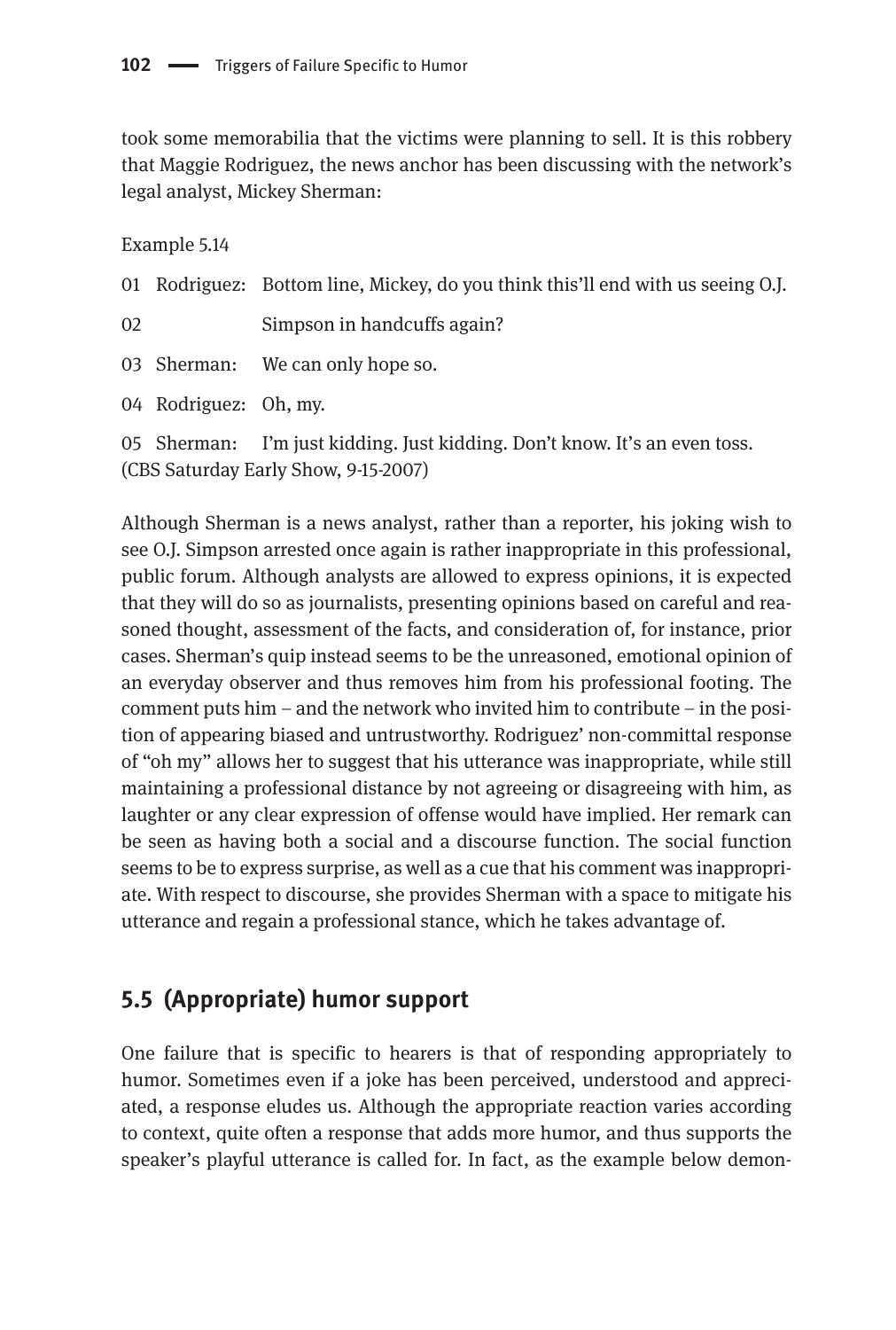took some memorabilia that the victims were planning to sell. It is this robbery that Maggie Rodriguez, the news anchor has been discussing with the network's legal analyst, Mickey Sherman:

Example 5.14

|                                      |                       | 01 Rodriguez: Bottom line, Mickey, do you think this'll end with us seeing O.J. |
|--------------------------------------|-----------------------|---------------------------------------------------------------------------------|
| 02                                   |                       | Simpson in handcuffs again?                                                     |
|                                      |                       | 03 Sherman: We can only hope so.                                                |
|                                      | 04 Rodriguez: Oh, my. |                                                                                 |
|                                      |                       | 05 Sherman: I'm just kidding. Just kidding. Don't know. It's an even toss.      |
| (CBS Saturday Early Show, 9-15-2007) |                       |                                                                                 |

Although Sherman is a news analyst, rather than a reporter, his joking wish to see O.J. Simpson arrested once again is rather inappropriate in this professional, public forum. Although analysts are allowed to express opinions, it is expected that they will do so as journalists, presenting opinions based on careful and reasoned thought, assessment of the facts, and consideration of, for instance, prior cases. Sherman's quip instead seems to be the unreasoned, emotional opinion of an everyday observer and thus removes him from his professional footing. The comment puts him – and the network who invited him to contribute – in the position of appearing biased and untrustworthy. Rodriguez' non-committal response of "oh my" allows her to suggest that his utterance was inappropriate, while still maintaining a professional distance by not agreeing or disagreeing with him, as laughter or any clear expression of offense would have implied. Her remark can be seen as having both a social and a discourse function. The social function seems to be to express surprise, as well as a cue that his comment was inappropriate. With respect to discourse, she provides Sherman with a space to mitigate his utterance and regain a professional stance, which he takes advantage of.

# **5.5 (Appropriate) humor support**

One failure that is specific to hearers is that of responding appropriately to humor. Sometimes even if a joke has been perceived, understood and appreciated, a response eludes us. Although the appropriate reaction varies according to context, quite often a response that adds more humor, and thus supports the speaker's playful utterance is called for. In fact, as the example below demon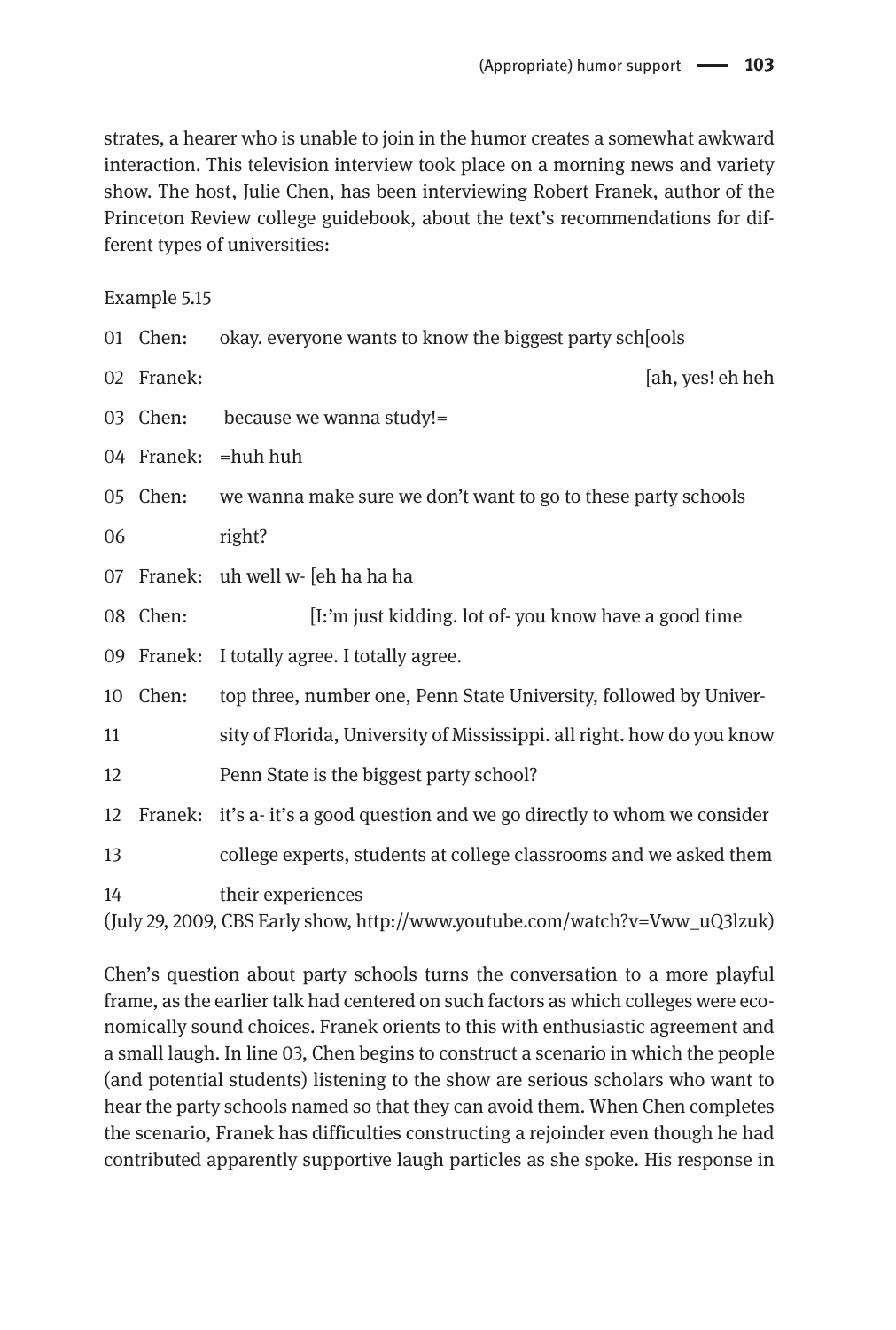strates, a hearer who is unable to join in the humor creates a somewhat awkward interaction. This television interview took place on a morning news and variety show. The host, Julie Chen, has been interviewing Robert Franek, author of the Princeton Review college guidebook, about the text's recommendations for different types of universities:

| Example 5.15 |  |
|--------------|--|
|--------------|--|

|    | 01 Chen:   | okay. everyone wants to know the biggest party schlools                                          |
|----|------------|--------------------------------------------------------------------------------------------------|
|    | 02 Franek: | [ah, yes! eh heh                                                                                 |
|    | 03 Chen:   | because we wanna study!=                                                                         |
|    |            | 04 Franek: = huh huh                                                                             |
|    | 05 Chen:   | we wanna make sure we don't want to go to these party schools                                    |
| 06 |            | right?                                                                                           |
|    |            | 07 Franek: uh well w- [eh ha ha ha                                                               |
|    | 08 Chen:   | [I:'m just kidding. lot of-you know have a good time                                             |
|    |            | 09 Franek: I totally agree. I totally agree.                                                     |
| 10 | Chen:      | top three, number one, Penn State University, followed by Univer-                                |
| 11 |            | sity of Florida, University of Mississippi. all right. how do you know                           |
| 12 |            | Penn State is the biggest party school?                                                          |
| 12 |            | Franek: it's a-it's a good question and we go directly to whom we consider                       |
| 13 |            | college experts, students at college classrooms and we asked them                                |
| 14 |            | their experiences<br>(July 29, 2009, CBS Early show, http://www.youtube.com/watch?v=Vww_uQ3lzuk) |

Chen's question about party schools turns the conversation to a more playful frame, as the earlier talk had centered on such factors as which colleges were economically sound choices. Franek orients to this with enthusiastic agreement and a small laugh. In line 03, Chen begins to construct a scenario in which the people (and potential students) listening to the show are serious scholars who want to hear the party schools named so that they can avoid them. When Chen completes the scenario, Franek has difficulties constructing a rejoinder even though he had contributed apparently supportive laugh particles as she spoke. His response in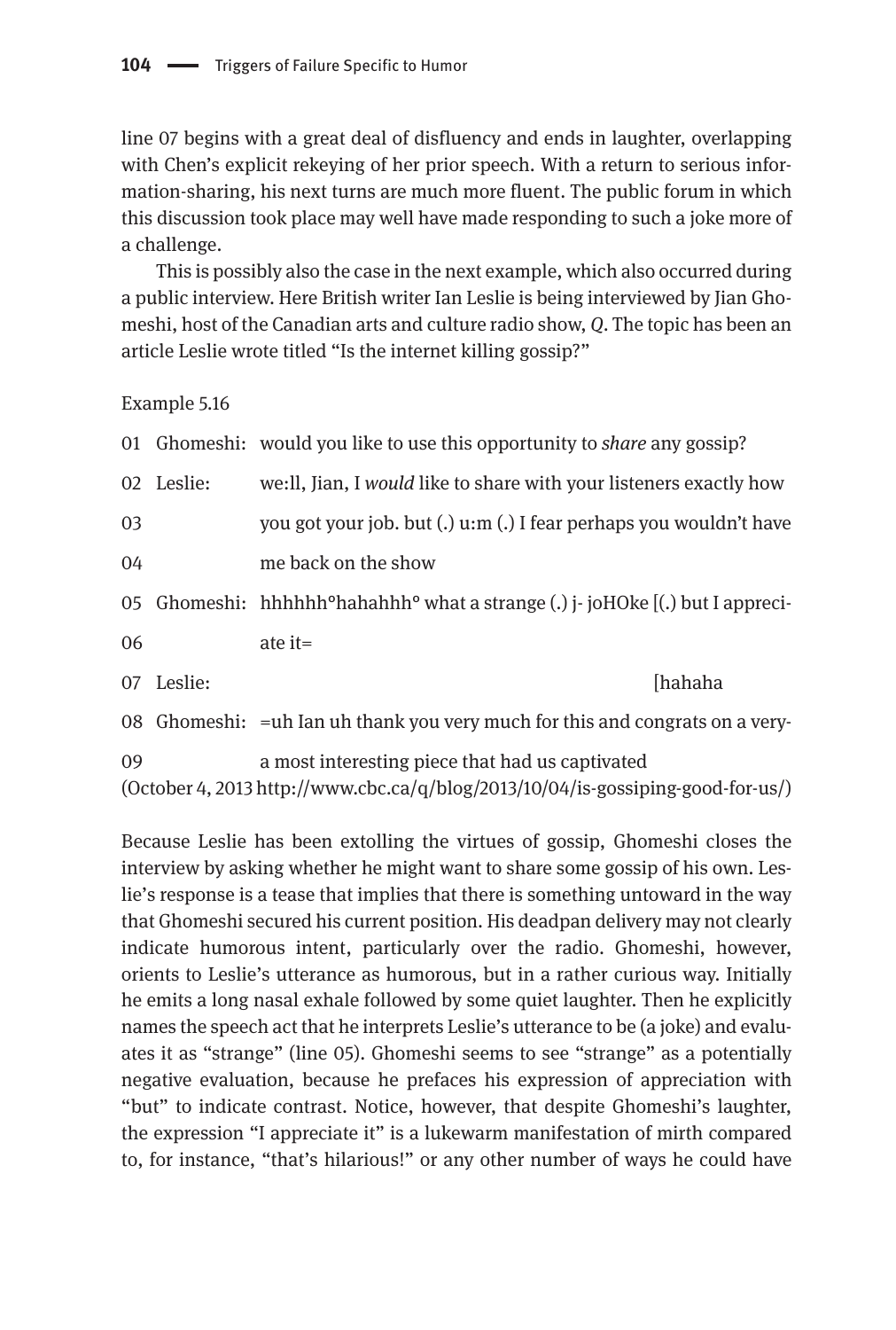line 07 begins with a great deal of disfluency and ends in laughter, overlapping with Chen's explicit rekeying of her prior speech. With a return to serious information-sharing, his next turns are much more fluent. The public forum in which this discussion took place may well have made responding to such a joke more of a challenge.

This is possibly also the case in the next example, which also occurred during a public interview. Here British writer Ian Leslie is being interviewed by Jian Ghomeshi, host of the Canadian arts and culture radio show, *Q*. The topic has been an article Leslie wrote titled "Is the internet killing gossip?"

Example 5.16

|    |            | 01 Ghomeshi: would you like to use this opportunity to <i>share</i> any gossip?                                                      |
|----|------------|--------------------------------------------------------------------------------------------------------------------------------------|
|    | 02 Leslie: | we:ll, Jian, I <i>would</i> like to share with your listeners exactly how                                                            |
| 03 |            | you got your job. but (.) u:m (.) I fear perhaps you wouldn't have                                                                   |
| 04 |            | me back on the show                                                                                                                  |
|    |            | 05 Ghomeshi: hhhhhh <sup>o</sup> hahahhh <sup>o</sup> what a strange (.) j-joHOke [(.) but I appreci-                                |
| 06 |            | ate it=                                                                                                                              |
|    | 07 Leslie: | [hahaha                                                                                                                              |
|    |            | 08 Ghomeshi: = uh Ian uh thank you very much for this and congrats on a very-                                                        |
| 09 |            | a most interesting piece that had us captivated<br>$(October 4, 2013 http://www.cbc.ca/q/blog/2013/10/04/is-gossiping-good-for-us/)$ |

Because Leslie has been extolling the virtues of gossip, Ghomeshi closes the interview by asking whether he might want to share some gossip of his own. Leslie's response is a tease that implies that there is something untoward in the way that Ghomeshi secured his current position. His deadpan delivery may not clearly indicate humorous intent, particularly over the radio. Ghomeshi, however, orients to Leslie's utterance as humorous, but in a rather curious way. Initially he emits a long nasal exhale followed by some quiet laughter. Then he explicitly names the speech act that he interprets Leslie's utterance to be (a joke) and evaluates it as "strange" (line 05). Ghomeshi seems to see "strange" as a potentially negative evaluation, because he prefaces his expression of appreciation with "but" to indicate contrast. Notice, however, that despite Ghomeshi's laughter, the expression "I appreciate it" is a lukewarm manifestation of mirth compared to, for instance, "that's hilarious!" or any other number of ways he could have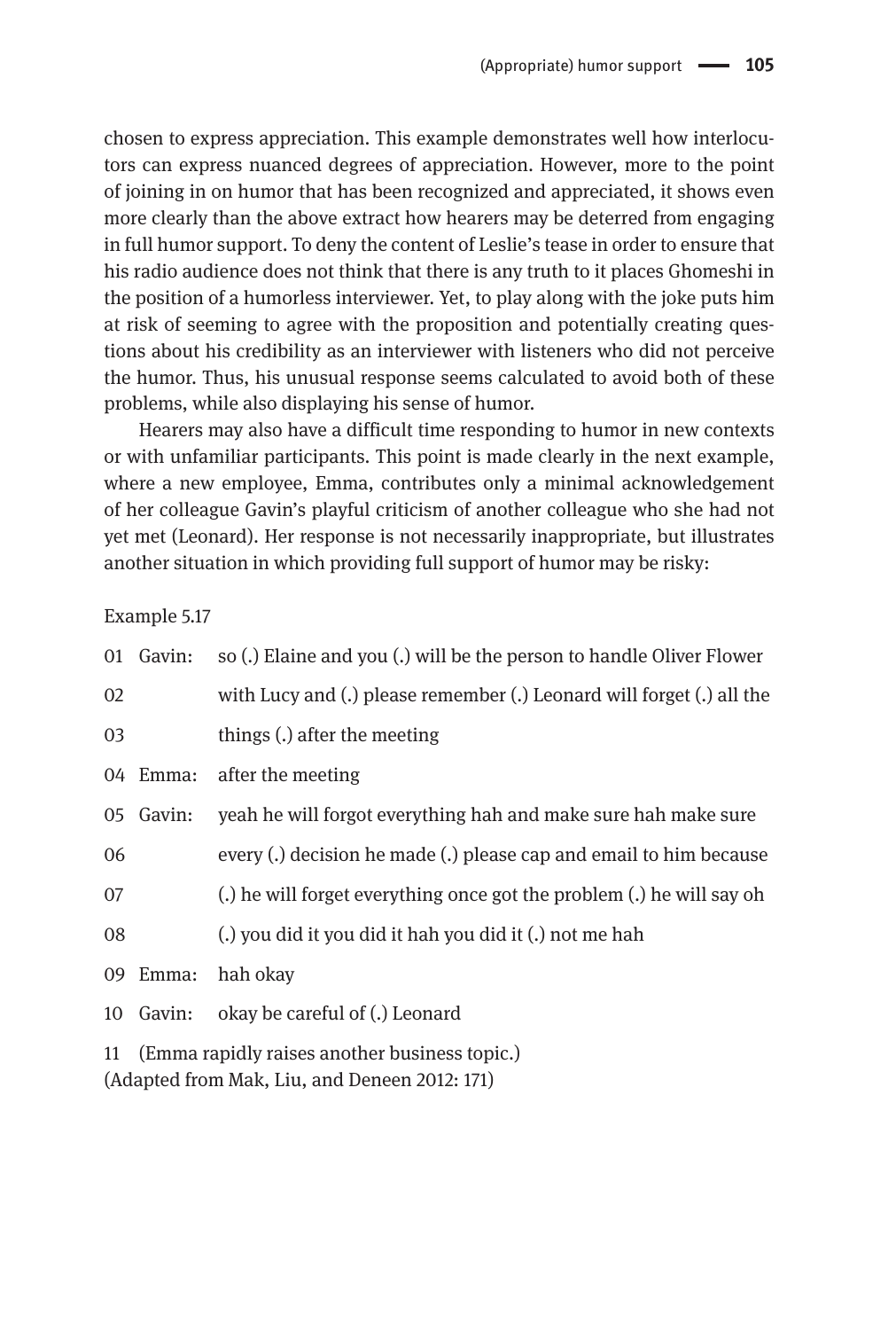chosen to express appreciation. This example demonstrates well how interlocutors can express nuanced degrees of appreciation. However, more to the point of joining in on humor that has been recognized and appreciated, it shows even more clearly than the above extract how hearers may be deterred from engaging in full humor support. To deny the content of Leslie's tease in order to ensure that his radio audience does not think that there is any truth to it places Ghomeshi in the position of a humorless interviewer. Yet, to play along with the joke puts him at risk of seeming to agree with the proposition and potentially creating questions about his credibility as an interviewer with listeners who did not perceive the humor. Thus, his unusual response seems calculated to avoid both of these problems, while also displaying his sense of humor.

Hearers may also have a difficult time responding to humor in new contexts or with unfamiliar participants. This point is made clearly in the next example, where a new employee, Emma, contributes only a minimal acknowledgement of her colleague Gavin's playful criticism of another colleague who she had not yet met (Leonard). Her response is not necessarily inappropriate, but illustrates another situation in which providing full support of humor may be risky:

Example 5.17

|    | 01 Gavin: | so (.) Elaine and you (.) will be the person to handle Oliver Flower  |
|----|-----------|-----------------------------------------------------------------------|
| 02 |           | with Lucy and (.) please remember (.) Leonard will forget (.) all the |
| 03 |           | things (.) after the meeting                                          |
|    | 04 Emma:  | after the meeting                                                     |
|    | 05 Gavin: | yeah he will forgot everything hah and make sure hah make sure        |
| 06 |           | every (.) decision he made (.) please cap and email to him because    |
| 07 |           | (.) he will forget everything once got the problem (.) he will say oh |
| 08 |           | (.) you did it you did it hah you did it (.) not me hah               |
|    | 09 Emma:  | hah okay                                                              |
|    | 10 Gavin: | okay be careful of (.) Leonard                                        |
| 11 |           | (Emma rapidly raises another business topic.)                         |

(Adapted from Mak, Liu, and Deneen 2012: 171)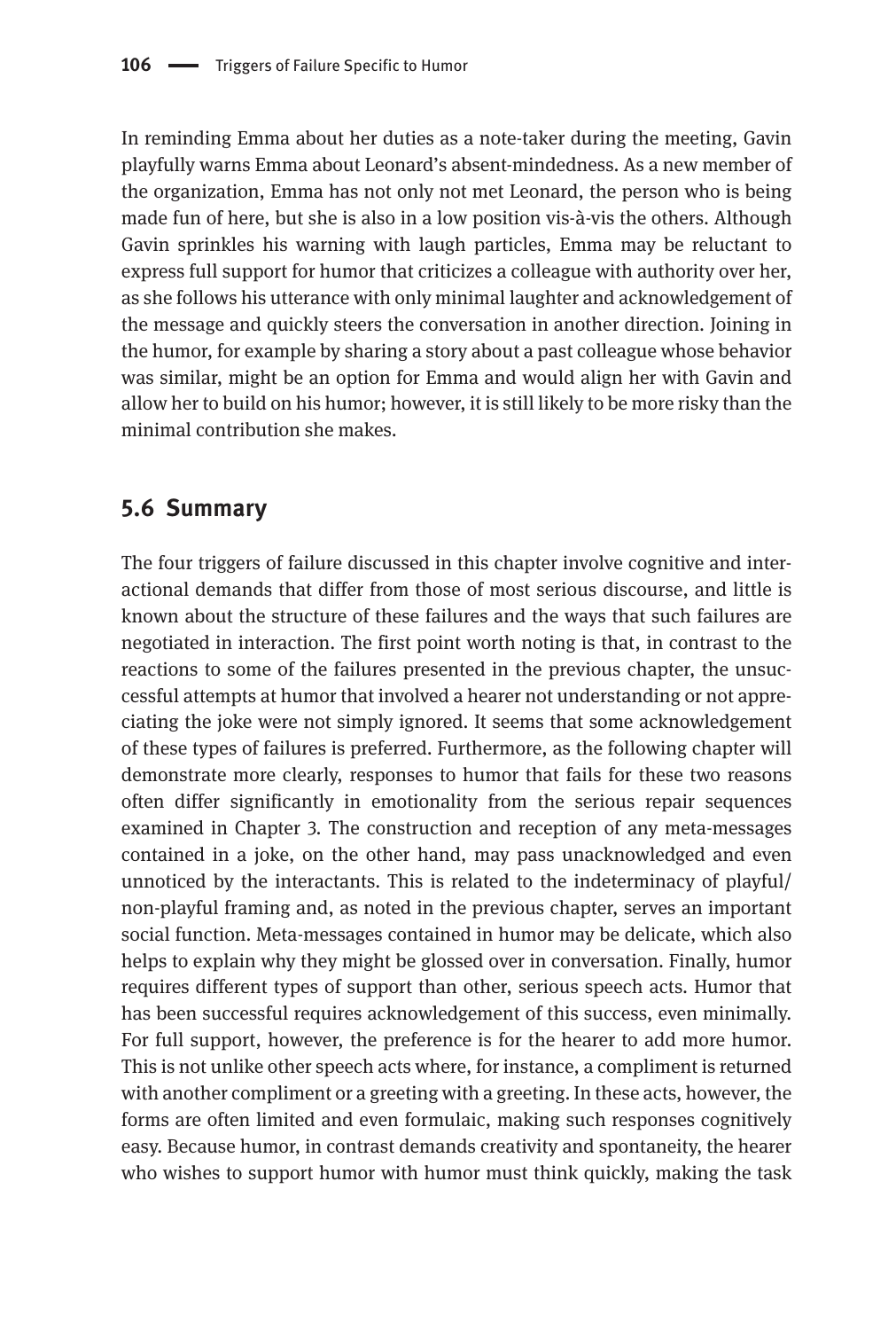In reminding Emma about her duties as a note-taker during the meeting, Gavin playfully warns Emma about Leonard's absent-mindedness. As a new member of the organization, Emma has not only not met Leonard, the person who is being made fun of here, but she is also in a low position vis-à-vis the others. Although Gavin sprinkles his warning with laugh particles, Emma may be reluctant to express full support for humor that criticizes a colleague with authority over her, as she follows his utterance with only minimal laughter and acknowledgement of the message and quickly steers the conversation in another direction. Joining in the humor, for example by sharing a story about a past colleague whose behavior was similar, might be an option for Emma and would align her with Gavin and allow her to build on his humor; however, it is still likely to be more risky than the minimal contribution she makes.

# **5.6 Summary**

The four triggers of failure discussed in this chapter involve cognitive and interactional demands that differ from those of most serious discourse, and little is known about the structure of these failures and the ways that such failures are negotiated in interaction. The first point worth noting is that, in contrast to the reactions to some of the failures presented in the previous chapter, the unsuccessful attempts at humor that involved a hearer not understanding or not appreciating the joke were not simply ignored. It seems that some acknowledgement of these types of failures is preferred. Furthermore, as the following chapter will demonstrate more clearly, responses to humor that fails for these two reasons often differ significantly in emotionality from the serious repair sequences examined in Chapter 3. The construction and reception of any meta-messages contained in a joke, on the other hand, may pass unacknowledged and even unnoticed by the interactants. This is related to the indeterminacy of playful/ non-playful framing and, as noted in the previous chapter, serves an important social function. Meta-messages contained in humor may be delicate, which also helps to explain why they might be glossed over in conversation. Finally, humor requires different types of support than other, serious speech acts. Humor that has been successful requires acknowledgement of this success, even minimally. For full support, however, the preference is for the hearer to add more humor. This is not unlike other speech acts where, for instance, a compliment is returned with another compliment or a greeting with a greeting. In these acts, however, the forms are often limited and even formulaic, making such responses cognitively easy. Because humor, in contrast demands creativity and spontaneity, the hearer who wishes to support humor with humor must think quickly, making the task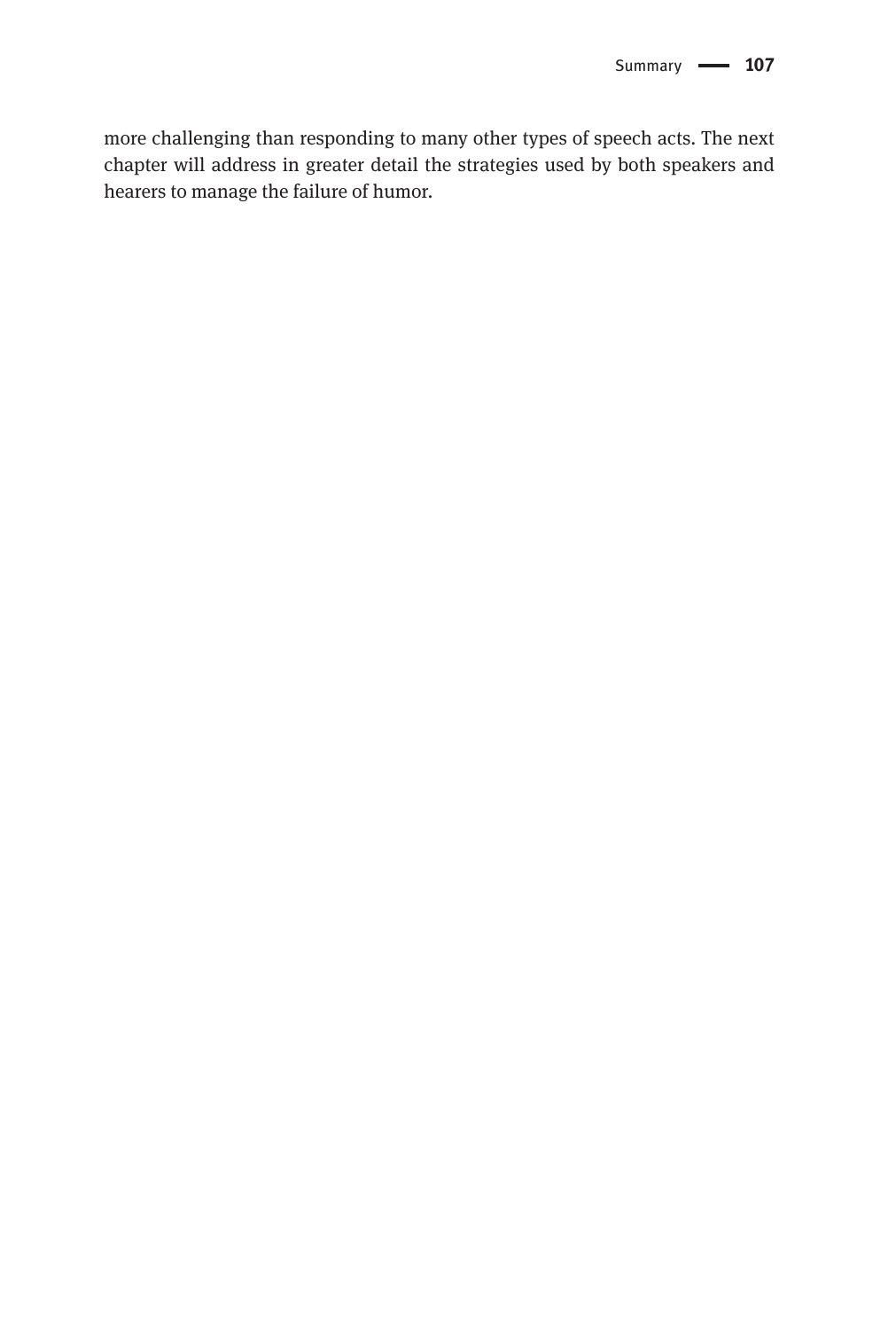more challenging than responding to many other types of speech acts. The next chapter will address in greater detail the strategies used by both speakers and hearers to manage the failure of humor.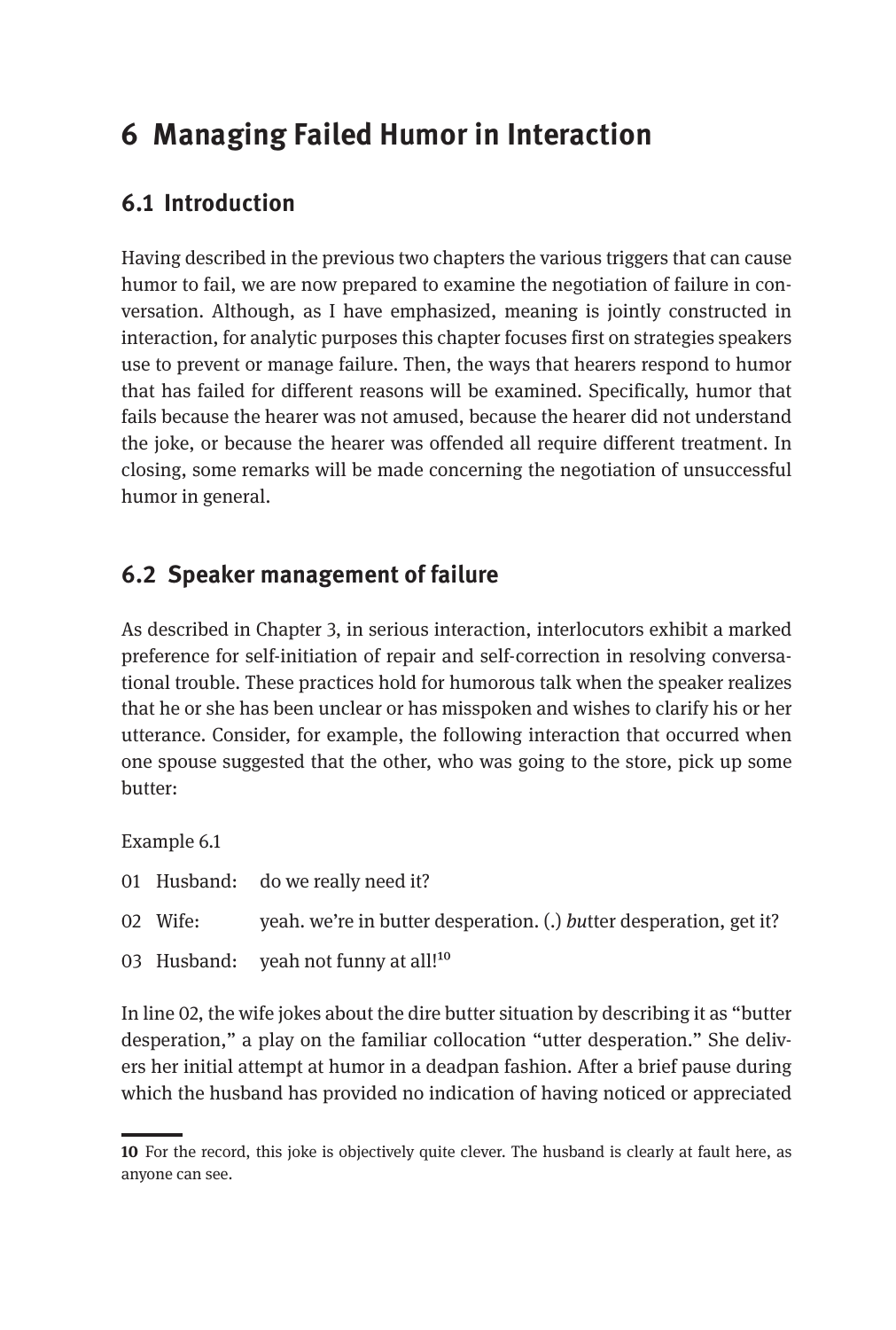# **6 Managing Failed Humor in Interaction**

# **6.1 Introduction**

Having described in the previous two chapters the various triggers that can cause humor to fail, we are now prepared to examine the negotiation of failure in conversation. Although, as I have emphasized, meaning is jointly constructed in interaction, for analytic purposes this chapter focuses first on strategies speakers use to prevent or manage failure. Then, the ways that hearers respond to humor that has failed for different reasons will be examined. Specifically, humor that fails because the hearer was not amused, because the hearer did not understand the joke, or because the hearer was offended all require different treatment. In closing, some remarks will be made concerning the negotiation of unsuccessful humor in general.

# **6.2 Speaker management of failure**

As described in Chapter 3, in serious interaction, interlocutors exhibit a marked preference for self-initiation of repair and self-correction in resolving conversational trouble. These practices hold for humorous talk when the speaker realizes that he or she has been unclear or has misspoken and wishes to clarify his or her utterance. Consider, for example, the following interaction that occurred when one spouse suggested that the other, who was going to the store, pick up some butter:

Example 6.1

|          | 01 Husband: do we really need it?                                  |
|----------|--------------------------------------------------------------------|
| 02 Wife: | yeah, we're in butter desperation. (a) butter desperation, get it? |
|          | 03 Husband: yeah not funny at all! <sup>10</sup>                   |

In line 02, the wife jokes about the dire butter situation by describing it as "butter desperation," a play on the familiar collocation "utter desperation." She delivers her initial attempt at humor in a deadpan fashion. After a brief pause during which the husband has provided no indication of having noticed or appreciated

**<sup>10</sup>** For the record, this joke is objectively quite clever. The husband is clearly at fault here, as anyone can see.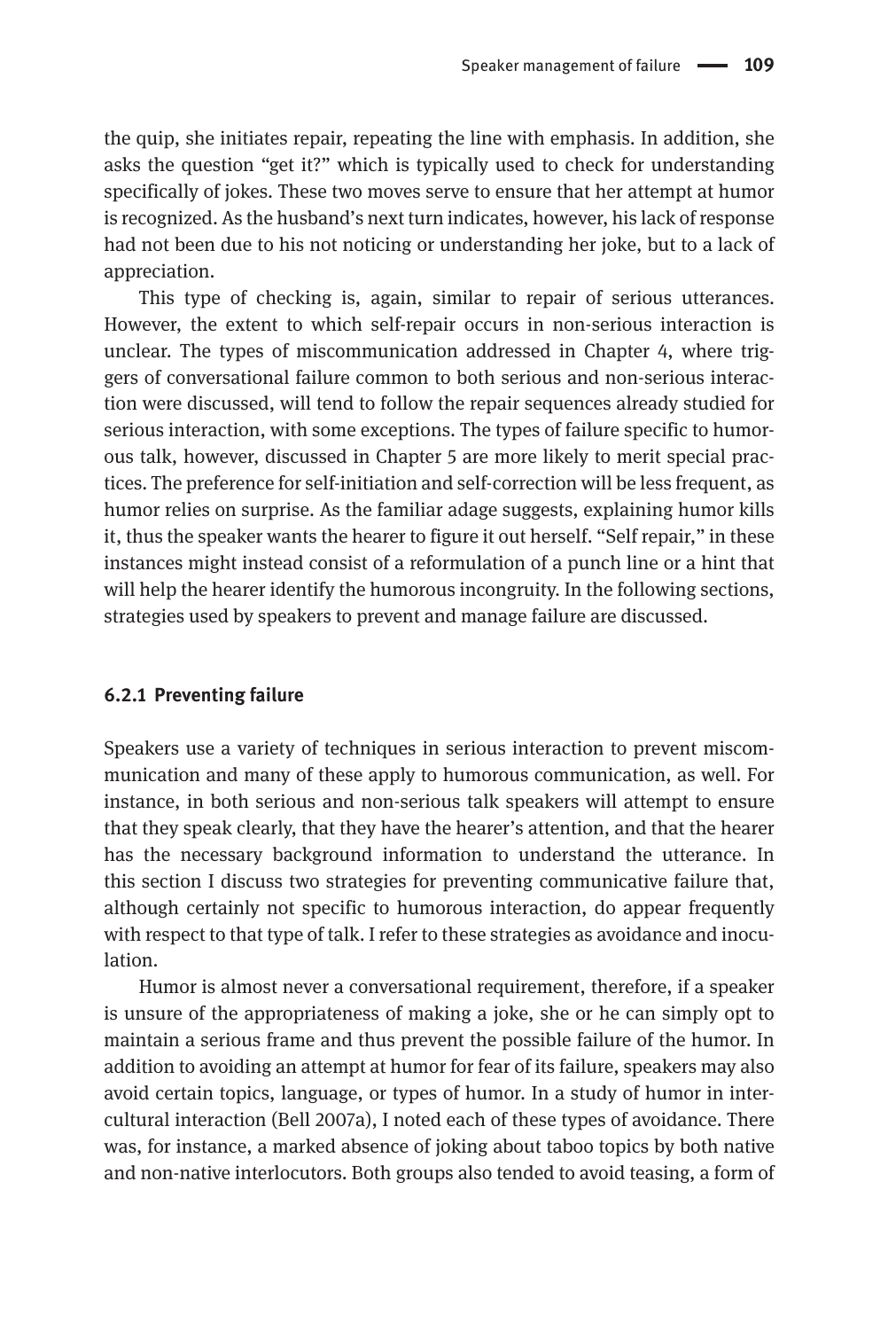the quip, she initiates repair, repeating the line with emphasis. In addition, she asks the question "get it?" which is typically used to check for understanding specifically of jokes. These two moves serve to ensure that her attempt at humor is recognized. As the husband's next turn indicates, however, his lack of response had not been due to his not noticing or understanding her joke, but to a lack of appreciation.

This type of checking is, again, similar to repair of serious utterances. However, the extent to which self-repair occurs in non-serious interaction is unclear. The types of miscommunication addressed in Chapter 4, where triggers of conversational failure common to both serious and non-serious interaction were discussed, will tend to follow the repair sequences already studied for serious interaction, with some exceptions. The types of failure specific to humorous talk, however, discussed in Chapter 5 are more likely to merit special practices. The preference for self-initiation and self-correction will be less frequent, as humor relies on surprise. As the familiar adage suggests, explaining humor kills it, thus the speaker wants the hearer to figure it out herself. "Self repair," in these instances might instead consist of a reformulation of a punch line or a hint that will help the hearer identify the humorous incongruity. In the following sections, strategies used by speakers to prevent and manage failure are discussed.

#### **6.2.1 Preventing failure**

Speakers use a variety of techniques in serious interaction to prevent miscommunication and many of these apply to humorous communication, as well. For instance, in both serious and non-serious talk speakers will attempt to ensure that they speak clearly, that they have the hearer's attention, and that the hearer has the necessary background information to understand the utterance. In this section I discuss two strategies for preventing communicative failure that, although certainly not specific to humorous interaction, do appear frequently with respect to that type of talk. I refer to these strategies as avoidance and inoculation.

Humor is almost never a conversational requirement, therefore, if a speaker is unsure of the appropriateness of making a joke, she or he can simply opt to maintain a serious frame and thus prevent the possible failure of the humor. In addition to avoiding an attempt at humor for fear of its failure, speakers may also avoid certain topics, language, or types of humor. In a study of humor in intercultural interaction (Bell 2007a), I noted each of these types of avoidance. There was, for instance, a marked absence of joking about taboo topics by both native and non-native interlocutors. Both groups also tended to avoid teasing, a form of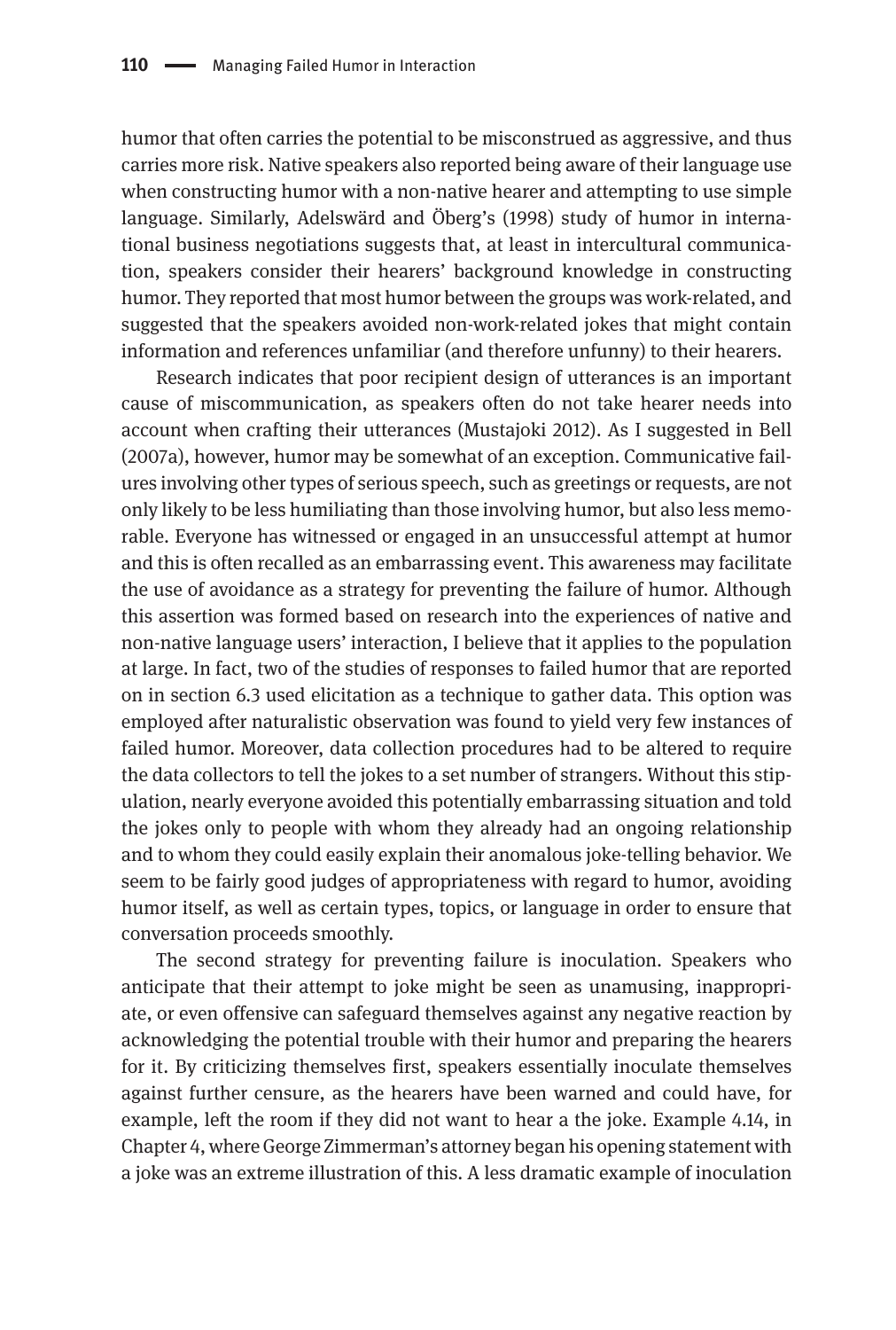humor that often carries the potential to be misconstrued as aggressive, and thus carries more risk. Native speakers also reported being aware of their language use when constructing humor with a non-native hearer and attempting to use simple language. Similarly, Adelswärd and Öberg's (1998) study of humor in international business negotiations suggests that, at least in intercultural communication, speakers consider their hearers' background knowledge in constructing humor. They reported that most humor between the groups was work-related, and suggested that the speakers avoided non-work-related jokes that might contain information and references unfamiliar (and therefore unfunny) to their hearers.

Research indicates that poor recipient design of utterances is an important cause of miscommunication, as speakers often do not take hearer needs into account when crafting their utterances (Mustajoki 2012). As I suggested in Bell (2007a), however, humor may be somewhat of an exception. Communicative failures involving other types of serious speech, such as greetings or requests, are not only likely to be less humiliating than those involving humor, but also less memorable. Everyone has witnessed or engaged in an unsuccessful attempt at humor and this is often recalled as an embarrassing event. This awareness may facilitate the use of avoidance as a strategy for preventing the failure of humor. Although this assertion was formed based on research into the experiences of native and non-native language users' interaction, I believe that it applies to the population at large. In fact, two of the studies of responses to failed humor that are reported on in section 6.3 used elicitation as a technique to gather data. This option was employed after naturalistic observation was found to yield very few instances of failed humor. Moreover, data collection procedures had to be altered to require the data collectors to tell the jokes to a set number of strangers. Without this stipulation, nearly everyone avoided this potentially embarrassing situation and told the jokes only to people with whom they already had an ongoing relationship and to whom they could easily explain their anomalous joke-telling behavior. We seem to be fairly good judges of appropriateness with regard to humor, avoiding humor itself, as well as certain types, topics, or language in order to ensure that conversation proceeds smoothly.

The second strategy for preventing failure is inoculation. Speakers who anticipate that their attempt to joke might be seen as unamusing, inappropriate, or even offensive can safeguard themselves against any negative reaction by acknowledging the potential trouble with their humor and preparing the hearers for it. By criticizing themselves first, speakers essentially inoculate themselves against further censure, as the hearers have been warned and could have, for example, left the room if they did not want to hear a the joke. Example 4.14, in Chapter 4, where George Zimmerman's attorney began his opening statement with a joke was an extreme illustration of this. A less dramatic example of inoculation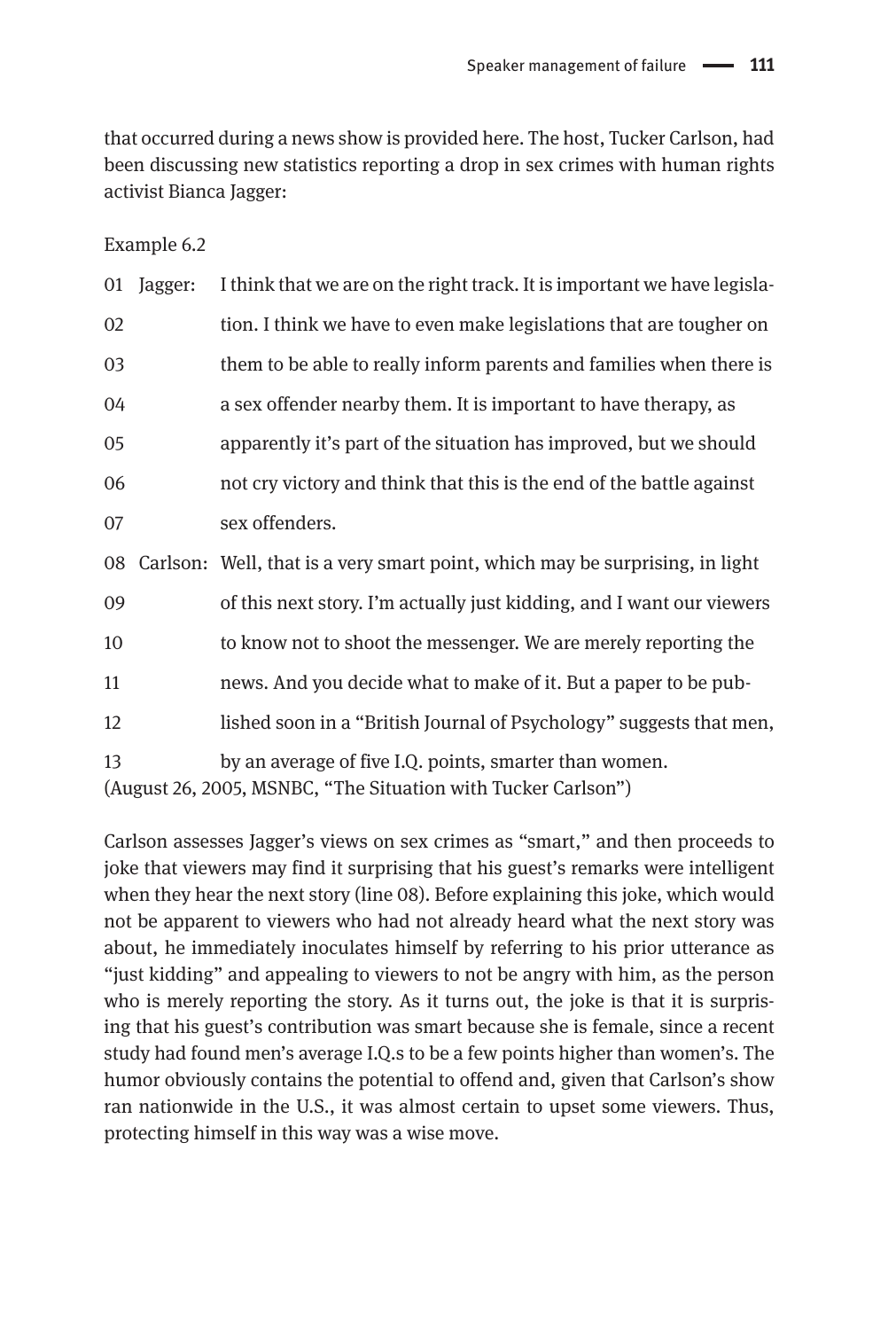that occurred during a news show is provided here. The host, Tucker Carlson, had been discussing new statistics reporting a drop in sex crimes with human rights activist Bianca Jagger:

Example 6.2

|    | 01 Jagger: | I think that we are on the right track. It is important we have legisla-        |
|----|------------|---------------------------------------------------------------------------------|
| 02 |            | tion. I think we have to even make legislations that are tougher on             |
| 03 |            | them to be able to really inform parents and families when there is             |
| 04 |            | a sex offender nearby them. It is important to have therapy, as                 |
| 05 |            | apparently it's part of the situation has improved, but we should               |
| 06 |            | not cry victory and think that this is the end of the battle against            |
| 07 |            | sex offenders.                                                                  |
|    |            | 08 Carlson: Well, that is a very smart point, which may be surprising, in light |
| 09 |            | of this next story. I'm actually just kidding, and I want our viewers           |
| 10 |            | to know not to shoot the messenger. We are merely reporting the                 |
| 11 |            | news. And you decide what to make of it. But a paper to be pub-                 |
| 12 |            | lished soon in a "British Journal of Psychology" suggests that men,             |
| 13 |            | by an average of five I.Q. points, smarter than women.                          |
|    |            | (August 26, 2005, MSNBC, "The Situation with Tucker Carlson")                   |

Carlson assesses Jagger's views on sex crimes as "smart," and then proceeds to joke that viewers may find it surprising that his guest's remarks were intelligent when they hear the next story (line 08). Before explaining this joke, which would not be apparent to viewers who had not already heard what the next story was about, he immediately inoculates himself by referring to his prior utterance as "just kidding" and appealing to viewers to not be angry with him, as the person who is merely reporting the story. As it turns out, the joke is that it is surprising that his guest's contribution was smart because she is female, since a recent study had found men's average I.Q.s to be a few points higher than women's. The humor obviously contains the potential to offend and, given that Carlson's show ran nationwide in the U.S., it was almost certain to upset some viewers. Thus, protecting himself in this way was a wise move.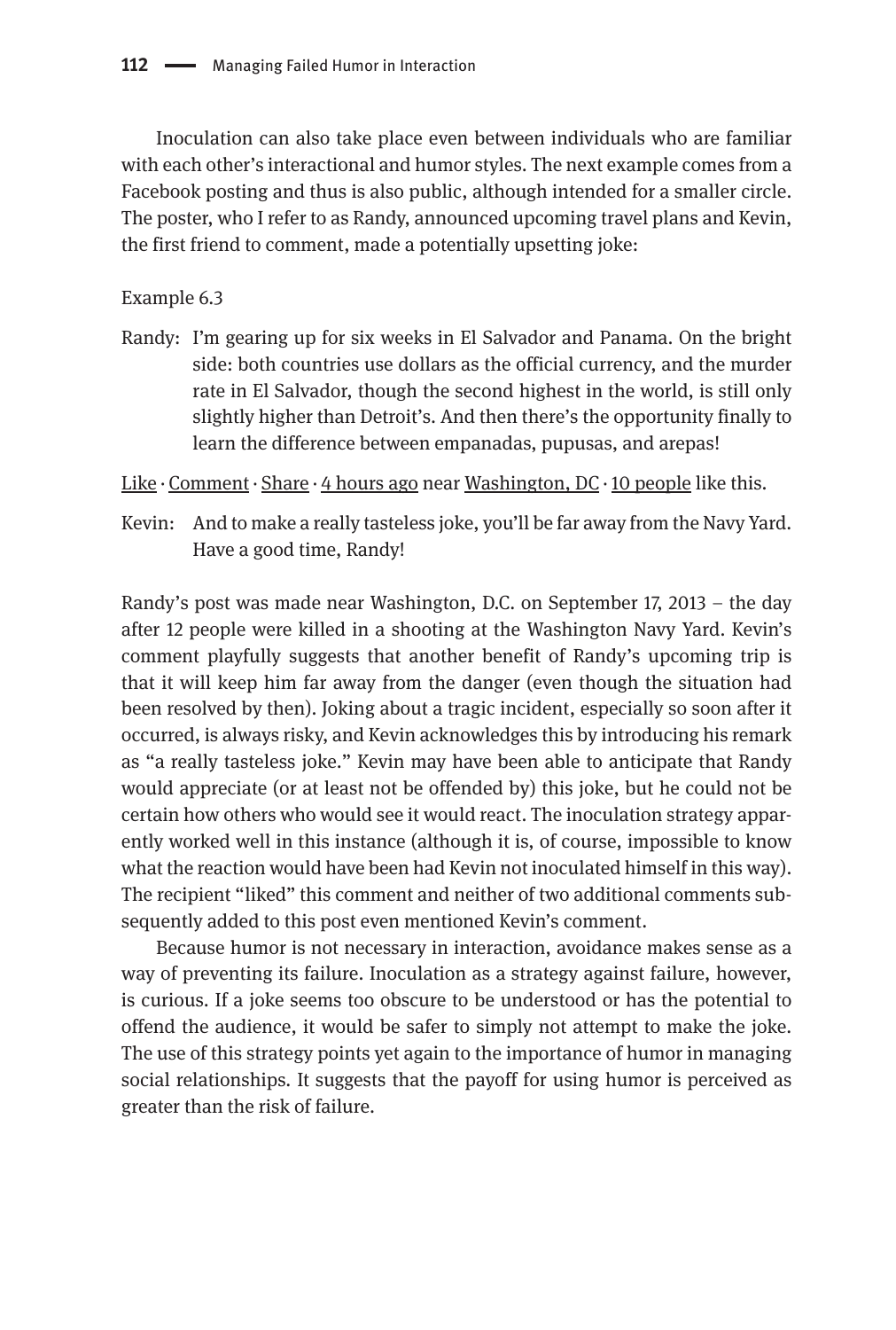Inoculation can also take place even between individuals who are familiar with each other's interactional and humor styles. The next example comes from a Facebook posting and thus is also public, although intended for a smaller circle. The poster, who I refer to as Randy, announced upcoming travel plans and Kevin, the first friend to comment, made a potentially upsetting joke:

## Example 6.3

Randy: I'm gearing up for six weeks in El Salvador and Panama. On the bright side: both countries use dollars as the official currency, and the murder rate in El Salvador, though the second highest in the world, is still only slightly higher than Detroit's. And then there's the opportunity finally to learn the difference between empanadas, pupusas, and arepas!

Like  $\cdot$  Comment  $\cdot$  Share  $\cdot$  4 hours ago near Washington, DC $\cdot$  10 people like this.

Kevin: And to make a really tasteless joke, you'll be far away from the Navy Yard. Have a good time, Randy!

Randy's post was made near Washington, D.C. on September 17, 2013 – the day after 12 people were killed in a shooting at the Washington Navy Yard. Kevin's comment playfully suggests that another benefit of Randy's upcoming trip is that it will keep him far away from the danger (even though the situation had been resolved by then). Joking about a tragic incident, especially so soon after it occurred, is always risky, and Kevin acknowledges this by introducing his remark as "a really tasteless joke." Kevin may have been able to anticipate that Randy would appreciate (or at least not be offended by) this joke, but he could not be certain how others who would see it would react. The inoculation strategy apparently worked well in this instance (although it is, of course, impossible to know what the reaction would have been had Kevin not inoculated himself in this way). The recipient "liked" this comment and neither of two additional comments subsequently added to this post even mentioned Kevin's comment.

Because humor is not necessary in interaction, avoidance makes sense as a way of preventing its failure. Inoculation as a strategy against failure, however, is curious. If a joke seems too obscure to be understood or has the potential to offend the audience, it would be safer to simply not attempt to make the joke. The use of this strategy points yet again to the importance of humor in managing social relationships. It suggests that the payoff for using humor is perceived as greater than the risk of failure.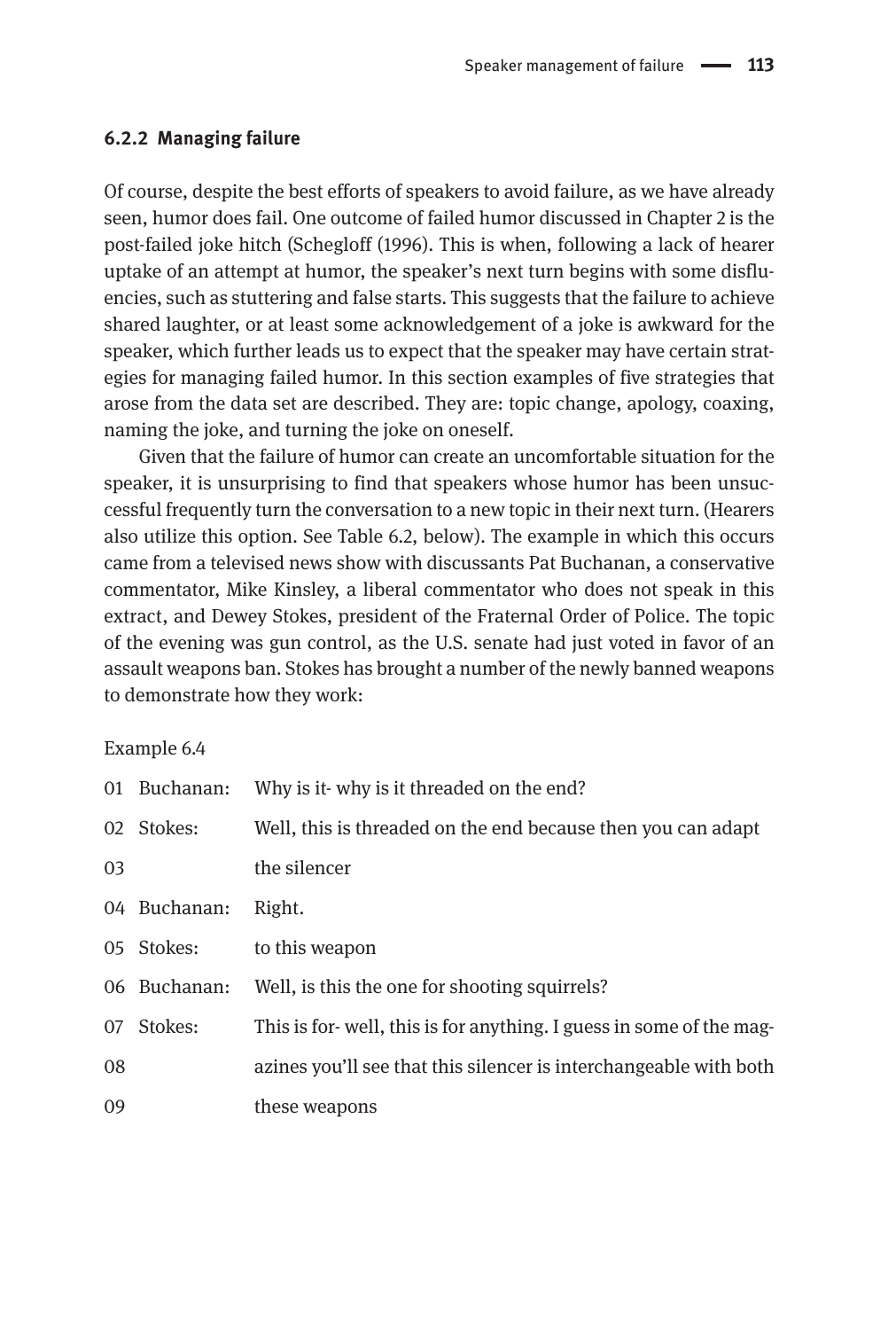### **6.2.2 Managing failure**

Of course, despite the best efforts of speakers to avoid failure, as we have already seen, humor does fail. One outcome of failed humor discussed in Chapter 2 is the post-failed joke hitch (Schegloff (1996). This is when, following a lack of hearer uptake of an attempt at humor, the speaker's next turn begins with some disfluencies, such as stuttering and false starts. This suggests that the failure to achieve shared laughter, or at least some acknowledgement of a joke is awkward for the speaker, which further leads us to expect that the speaker may have certain strategies for managing failed humor. In this section examples of five strategies that arose from the data set are described. They are: topic change, apology, coaxing, naming the joke, and turning the joke on oneself.

Given that the failure of humor can create an uncomfortable situation for the speaker, it is unsurprising to find that speakers whose humor has been unsuccessful frequently turn the conversation to a new topic in their next turn. (Hearers also utilize this option. See Table 6.2, below). The example in which this occurs came from a televised news show with discussants Pat Buchanan, a conservative commentator, Mike Kinsley, a liberal commentator who does not speak in this extract, and Dewey Stokes, president of the Fraternal Order of Police. The topic of the evening was gun control, as the U.S. senate had just voted in favor of an assault weapons ban. Stokes has brought a number of the newly banned weapons to demonstrate how they work:

Example 6.4

|    | 01 Buchanan: | Why is it-why is it threaded on the end?                            |
|----|--------------|---------------------------------------------------------------------|
|    | 02 Stokes:   | Well, this is threaded on the end because then you can adapt        |
| 03 |              | the silencer                                                        |
|    | 04 Buchanan: | Right.                                                              |
|    | 05 Stokes:   | to this weapon                                                      |
|    | 06 Buchanan: | Well, is this the one for shooting squirrels?                       |
|    | 07 Stokes:   | This is for-well, this is for anything. I guess in some of the mag- |
| 08 |              | azines you'll see that this silencer is interchangeable with both   |
| 09 |              | these weapons                                                       |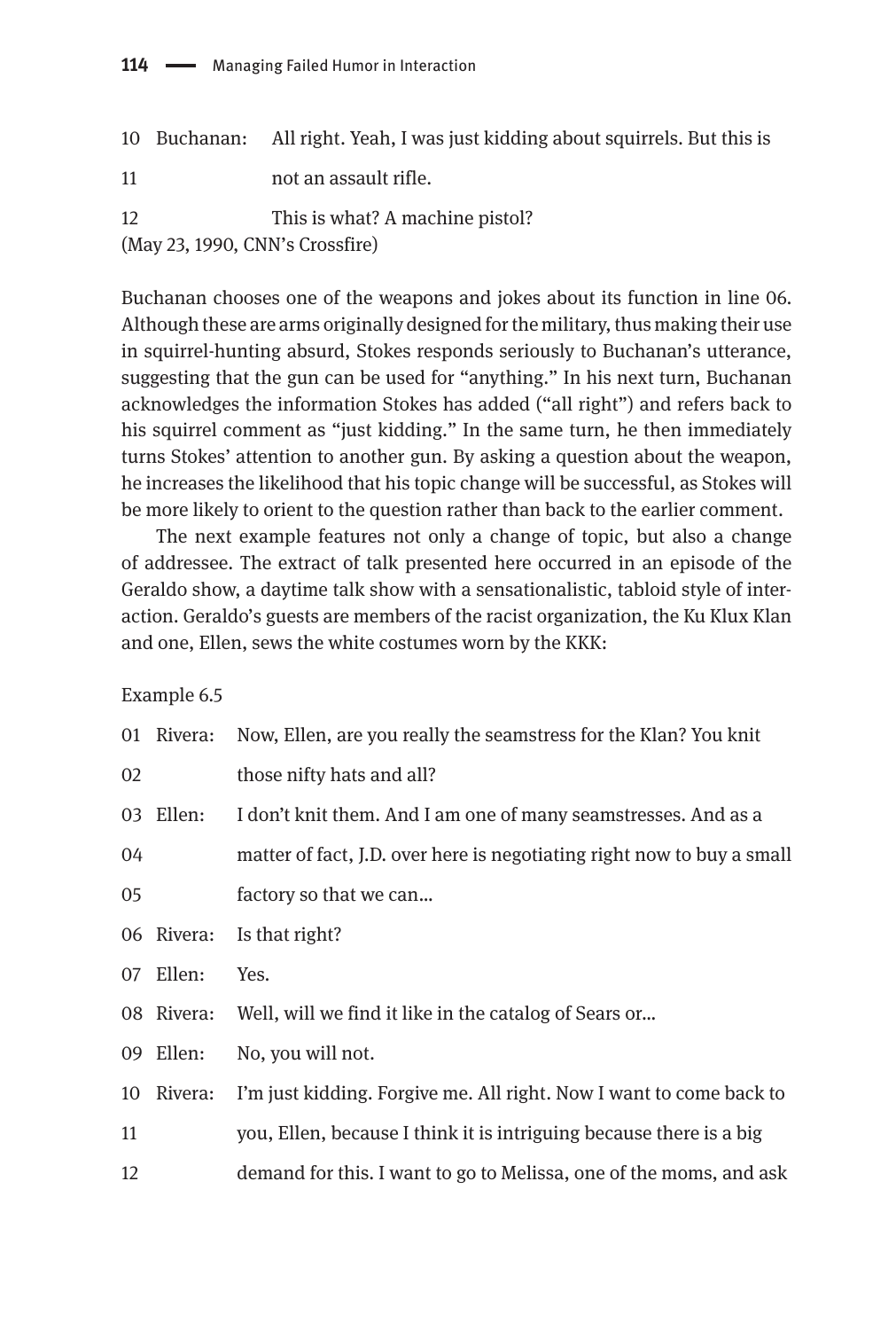|                                 |  | 10 Buchanan: All right, Yeah, I was just kidding about squirrels. But this is |
|---------------------------------|--|-------------------------------------------------------------------------------|
| 11                              |  | not an assault rifle.                                                         |
| 12                              |  | This is what? A machine pistol?                                               |
| (May 23, 1990, CNN's Crossfire) |  |                                                                               |

Buchanan chooses one of the weapons and jokes about its function in line 06. Although these are arms originally designed for the military, thus making their use in squirrel-hunting absurd, Stokes responds seriously to Buchanan's utterance, suggesting that the gun can be used for "anything." In his next turn, Buchanan acknowledges the information Stokes has added ("all right") and refers back to his squirrel comment as "just kidding." In the same turn, he then immediately turns Stokes' attention to another gun. By asking a question about the weapon, he increases the likelihood that his topic change will be successful, as Stokes will be more likely to orient to the question rather than back to the earlier comment.

The next example features not only a change of topic, but also a change of addressee. The extract of talk presented here occurred in an episode of the Geraldo show, a daytime talk show with a sensationalistic, tabloid style of interaction. Geraldo's guests are members of the racist organization, the Ku Klux Klan and one, Ellen, sews the white costumes worn by the KKK:

Example 6.5

|    | 01 Rivera: | Now, Ellen, are you really the seamstress for the Klan? You knit       |
|----|------------|------------------------------------------------------------------------|
| 02 |            | those nifty hats and all?                                              |
| 03 | Ellen:     | I don't knit them. And I am one of many seamstresses. And as a         |
| 04 |            | matter of fact, J.D. over here is negotiating right now to buy a small |
| 05 |            | factory so that we can                                                 |
|    | 06 Rivera: | Is that right?                                                         |
|    | 07 Ellen:  | Yes.                                                                   |
|    | 08 Rivera: | Well, will we find it like in the catalog of Sears or                  |
|    | 09 Ellen:  | No, you will not.                                                      |
|    | 10 Rivera: | I'm just kidding. Forgive me. All right. Now I want to come back to    |
| 11 |            | you, Ellen, because I think it is intriguing because there is a big    |
| 12 |            | demand for this. I want to go to Melissa, one of the moms, and ask     |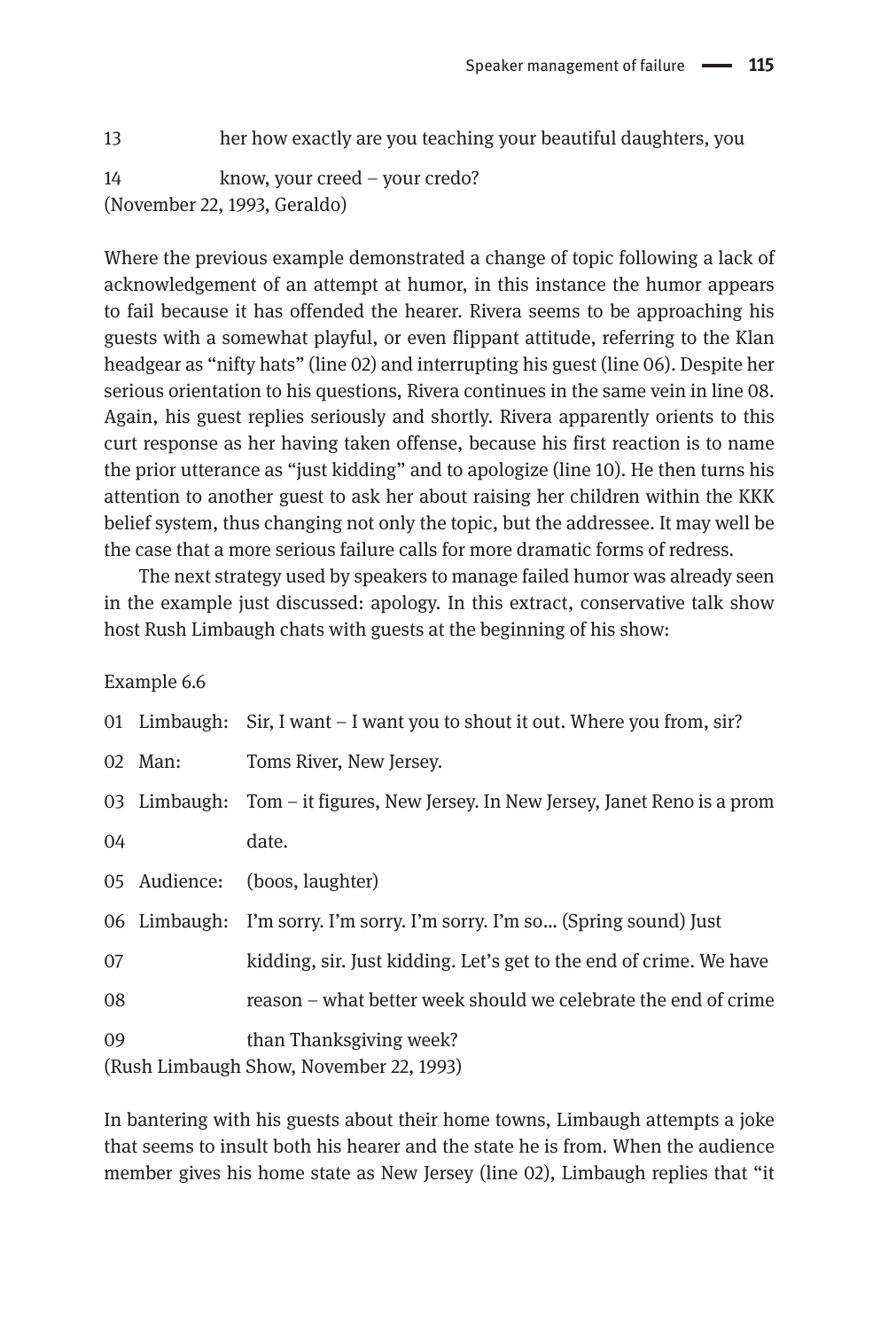13 her how exactly are you teaching your beautiful daughters, you

14 know, your creed – your credo? (November 22, 1993, Geraldo)

Where the previous example demonstrated a change of topic following a lack of acknowledgement of an attempt at humor, in this instance the humor appears to fail because it has offended the hearer. Rivera seems to be approaching his guests with a somewhat playful, or even flippant attitude, referring to the Klan headgear as "nifty hats" (line 02) and interrupting his guest (line 06). Despite her serious orientation to his questions, Rivera continues in the same vein in line 08. Again, his guest replies seriously and shortly. Rivera apparently orients to this curt response as her having taken offense, because his first reaction is to name the prior utterance as "just kidding" and to apologize (line 10). He then turns his attention to another guest to ask her about raising her children within the KKK belief system, thus changing not only the topic, but the addressee. It may well be the case that a more serious failure calls for more dramatic forms of redress.

The next strategy used by speakers to manage failed humor was already seen in the example just discussed: apology. In this extract, conservative talk show host Rush Limbaugh chats with guests at the beginning of his show:

#### Example 6.6

|    |              | 01 Limbaugh: Sir, I want $-1$ want you to shout it out. Where you from, sir?   |
|----|--------------|--------------------------------------------------------------------------------|
|    | 02 Man:      | Toms River, New Jersey.                                                        |
|    |              | 03 Limbaugh: Tom – it figures, New Jersey. In New Jersey, Janet Reno is a prom |
| 04 |              | date.                                                                          |
|    | 05 Audience: | (boos, laughter)                                                               |
|    |              | 06 Limbaugh: I'm sorry. I'm sorry. I'm sorry. I'm so (Spring sound) Just       |
| 07 |              | kidding, sir. Just kidding. Let's get to the end of crime. We have             |
| 08 |              | reason – what better week should we celebrate the end of crime                 |
| 09 |              | than Thanksgiving week?<br>(Rush Limbaugh Show, November 22, 1993)             |

In bantering with his guests about their home towns, Limbaugh attempts a joke that seems to insult both his hearer and the state he is from. When the audience member gives his home state as New Jersey (line 02), Limbaugh replies that "it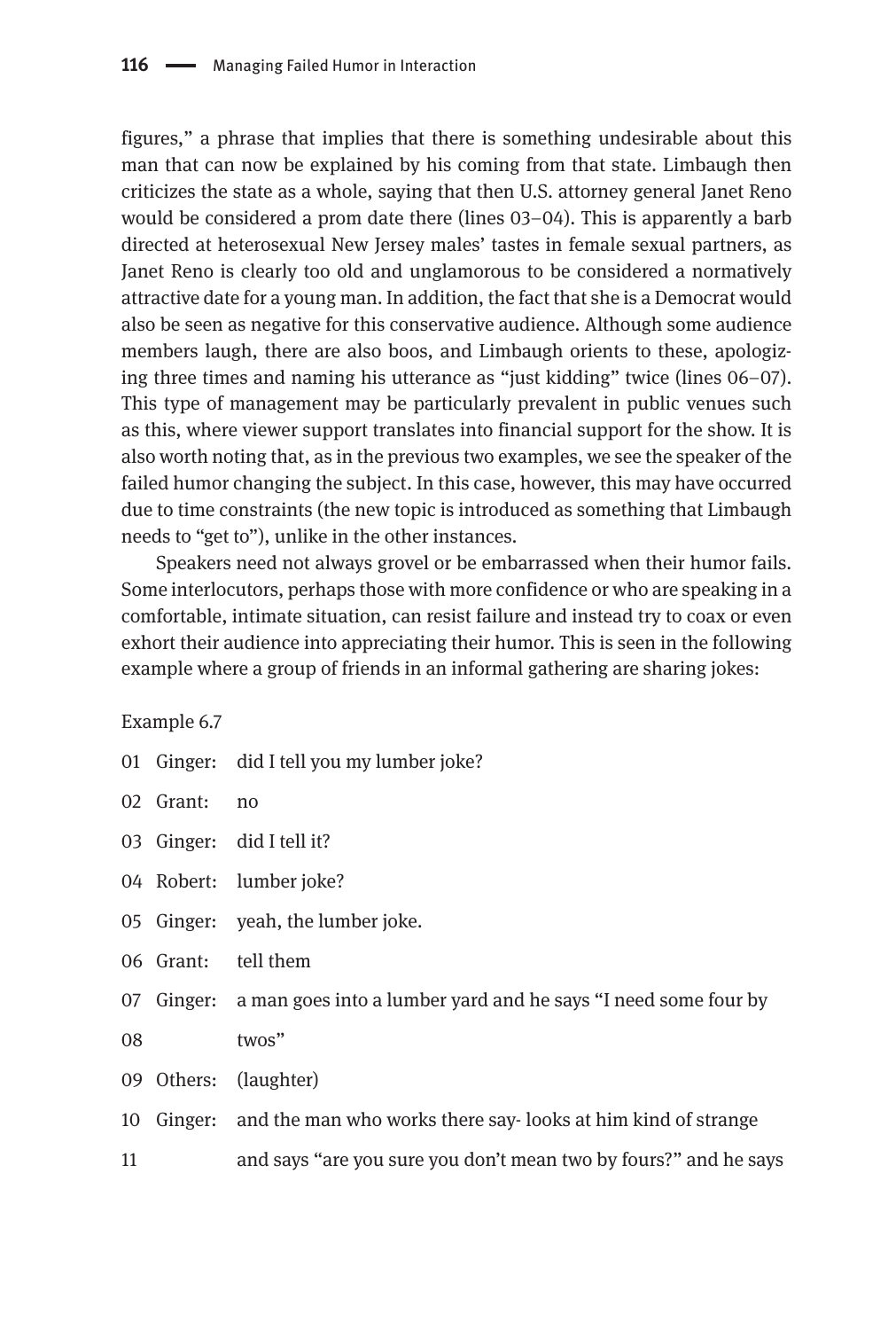figures," a phrase that implies that there is something undesirable about this man that can now be explained by his coming from that state. Limbaugh then criticizes the state as a whole, saying that then U.S. attorney general Janet Reno would be considered a prom date there (lines 03–04). This is apparently a barb directed at heterosexual New Jersey males' tastes in female sexual partners, as Janet Reno is clearly too old and unglamorous to be considered a normatively attractive date for a young man. In addition, the fact that she is a Democrat would also be seen as negative for this conservative audience. Although some audience members laugh, there are also boos, and Limbaugh orients to these, apologizing three times and naming his utterance as "just kidding" twice (lines 06–07). This type of management may be particularly prevalent in public venues such as this, where viewer support translates into financial support for the show. It is also worth noting that, as in the previous two examples, we see the speaker of the failed humor changing the subject. In this case, however, this may have occurred due to time constraints (the new topic is introduced as something that Limbaugh needs to "get to"), unlike in the other instances.

Speakers need not always grovel or be embarrassed when their humor fails. Some interlocutors, perhaps those with more confidence or who are speaking in a comfortable, intimate situation, can resist failure and instead try to coax or even exhort their audience into appreciating their humor. This is seen in the following example where a group of friends in an informal gathering are sharing jokes:

Example 6.7

|    |           | 01 Ginger: did I tell you my lumber joke?                                 |
|----|-----------|---------------------------------------------------------------------------|
|    | 02 Grant: | no                                                                        |
|    |           | 03 Ginger: did I tell it?                                                 |
|    |           | 04 Robert: lumber joke?                                                   |
|    |           | 05 Ginger: yeah, the lumber joke.                                         |
|    |           | 06 Grant: tell them                                                       |
|    |           | 07 Ginger: a man goes into a lumber yard and he says "I need some four by |
| 08 |           | twos"                                                                     |
|    |           | 09 Others: (laughter)                                                     |
|    |           | 10 Ginger: and the man who works there say-looks at him kind of strange   |
| 11 |           | and says "are you sure you don't mean two by fours?" and he says          |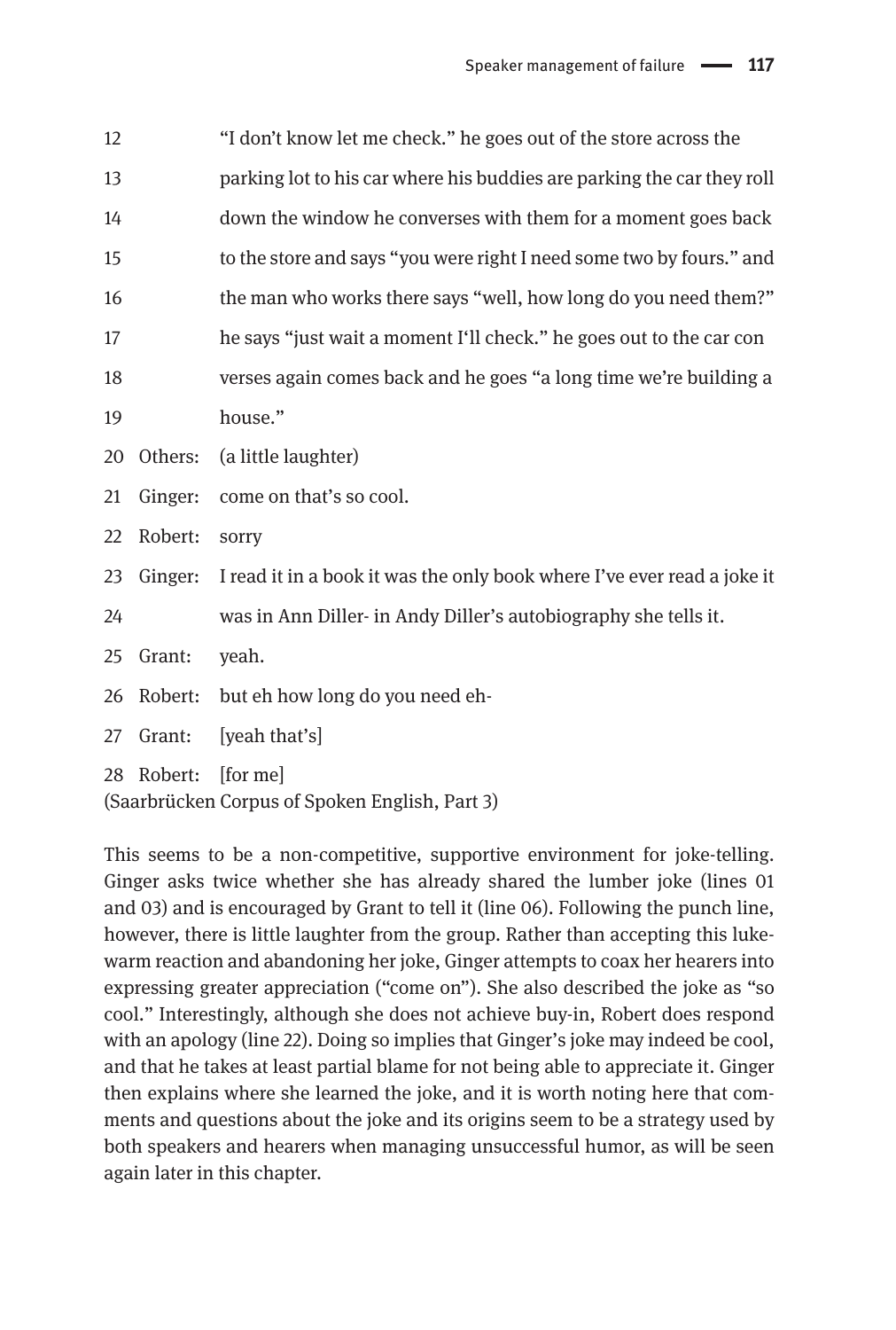| 12 |         | "I don't know let me check." he goes out of the store across the        |
|----|---------|-------------------------------------------------------------------------|
| 13 |         | parking lot to his car where his buddies are parking the car they roll  |
| 14 |         | down the window he converses with them for a moment goes back           |
| 15 |         | to the store and says "you were right I need some two by fours." and    |
| 16 |         | the man who works there says "well, how long do you need them?"         |
| 17 |         | he says "just wait a moment I'll check." he goes out to the car con     |
| 18 |         | verses again comes back and he goes "a long time we're building a       |
| 19 |         | house."                                                                 |
| 20 | Others: | (a little laughter)                                                     |
| 21 | Ginger: | come on that's so cool.                                                 |
| 22 | Robert: | sorry                                                                   |
| 23 | Ginger: | I read it in a book it was the only book where I've ever read a joke it |
| 24 |         | was in Ann Diller- in Andy Diller's autobiography she tells it.         |
| 25 | Grant:  | yeah.                                                                   |
| 26 | Robert: | but eh how long do you need eh-                                         |
| 27 | Grant:  | [yeah that's]                                                           |
| 28 | Robert: | [for me]<br>(Saarbrücken Corpus of Spoken English, Part 3)              |

This seems to be a non-competitive, supportive environment for joke-telling. Ginger asks twice whether she has already shared the lumber joke (lines 01 and 03) and is encouraged by Grant to tell it (line 06). Following the punch line, however, there is little laughter from the group. Rather than accepting this lukewarm reaction and abandoning her joke, Ginger attempts to coax her hearers into expressing greater appreciation ("come on"). She also described the joke as "so cool." Interestingly, although she does not achieve buy-in, Robert does respond with an apology (line 22). Doing so implies that Ginger's joke may indeed be cool, and that he takes at least partial blame for not being able to appreciate it. Ginger then explains where she learned the joke, and it is worth noting here that comments and questions about the joke and its origins seem to be a strategy used by both speakers and hearers when managing unsuccessful humor, as will be seen again later in this chapter.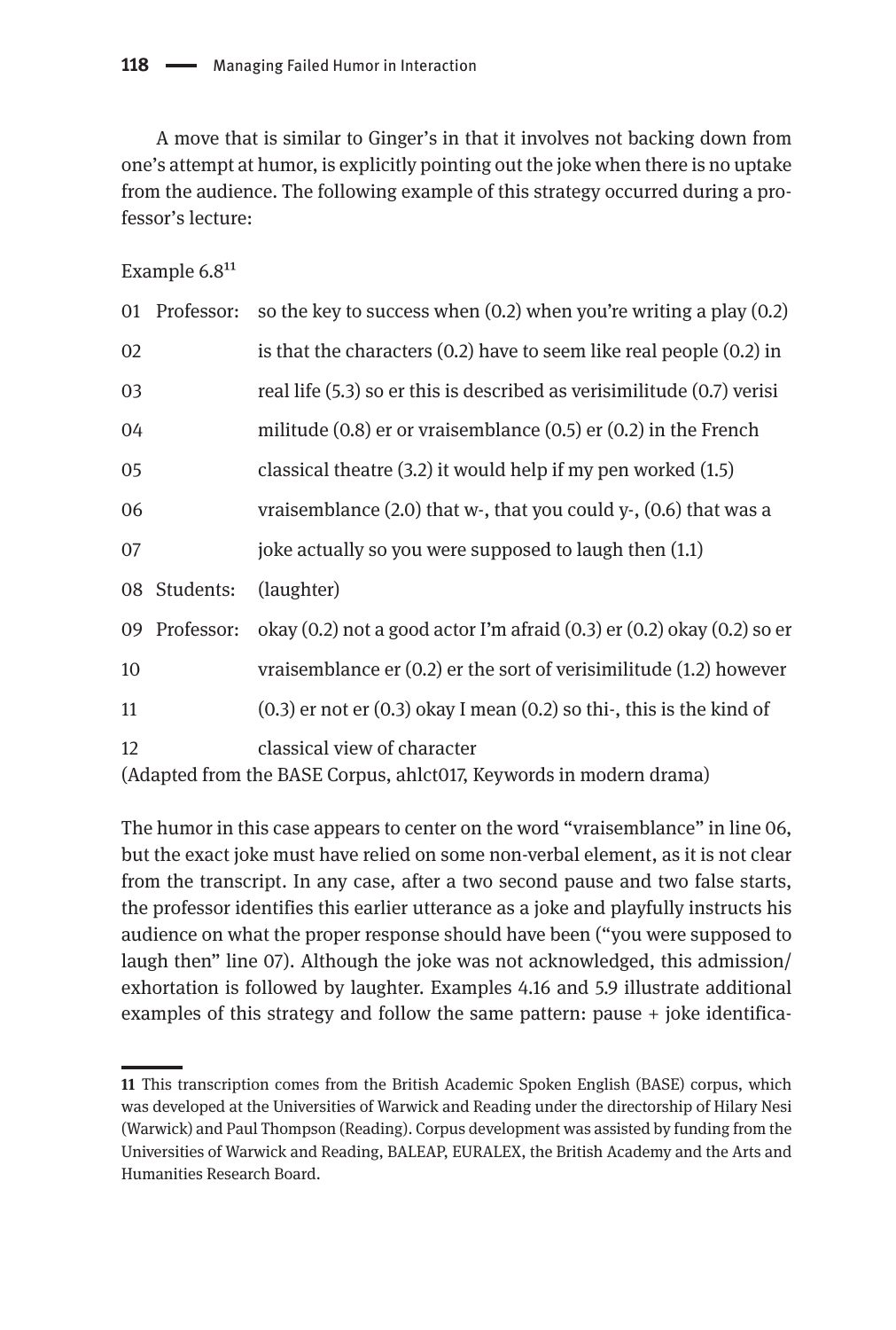A move that is similar to Ginger's in that it involves not backing down from one's attempt at humor, is explicitly pointing out the joke when there is no uptake from the audience. The following example of this strategy occurred during a professor's lecture:

### Example  $6.8<sup>11</sup>$

|    | 01 Professor: | so the key to success when $(0.2)$ when you're writing a play $(0.2)$                             |
|----|---------------|---------------------------------------------------------------------------------------------------|
| 02 |               | is that the characters $(0.2)$ have to seem like real people $(0.2)$ in                           |
| 03 |               | real life $(5.3)$ so er this is described as verisimilitude $(0.7)$ verisi                        |
| 04 |               | militude $(0.8)$ er or vraisemblance $(0.5)$ er $(0.2)$ in the French                             |
| 05 |               | classical theatre (3.2) it would help if my pen worked (1.5)                                      |
| 06 |               | vraisemblance $(2.0)$ that w-, that you could y-, $(0.6)$ that was a                              |
| 07 |               | joke actually so you were supposed to laugh then (1.1)                                            |
|    | 08 Students:  | (laughter)                                                                                        |
| 09 | Professor:    | okay $(0.2)$ not a good actor I'm afraid $(0.3)$ er $(0.2)$ okay $(0.2)$ so er                    |
| 10 |               | vraisemblance er (0.2) er the sort of verisimilitude (1.2) however                                |
| 11 |               | $(0.3)$ er not er $(0.3)$ okay I mean $(0.2)$ so thi-, this is the kind of                        |
| 12 |               | classical view of character<br>(Adapted from the BASE Corpus, ahlct017, Keywords in modern drama) |

The humor in this case appears to center on the word "vraisemblance" in line 06, but the exact joke must have relied on some non-verbal element, as it is not clear from the transcript. In any case, after a two second pause and two false starts, the professor identifies this earlier utterance as a joke and playfully instructs his audience on what the proper response should have been ("you were supposed to laugh then" line 07). Although the joke was not acknowledged, this admission/ exhortation is followed by laughter. Examples 4.16 and 5.9 illustrate additional examples of this strategy and follow the same pattern: pause + joke identifica-

**<sup>11</sup>** This transcription comes from the British Academic Spoken English (BASE) corpus, which was developed at the Universities of Warwick and Reading under the directorship of Hilary Nesi (Warwick) and Paul Thompson (Reading). Corpus development was assisted by funding from the Universities of Warwick and Reading, BALEAP, EURALEX, the British Academy and the Arts and Humanities Research Board.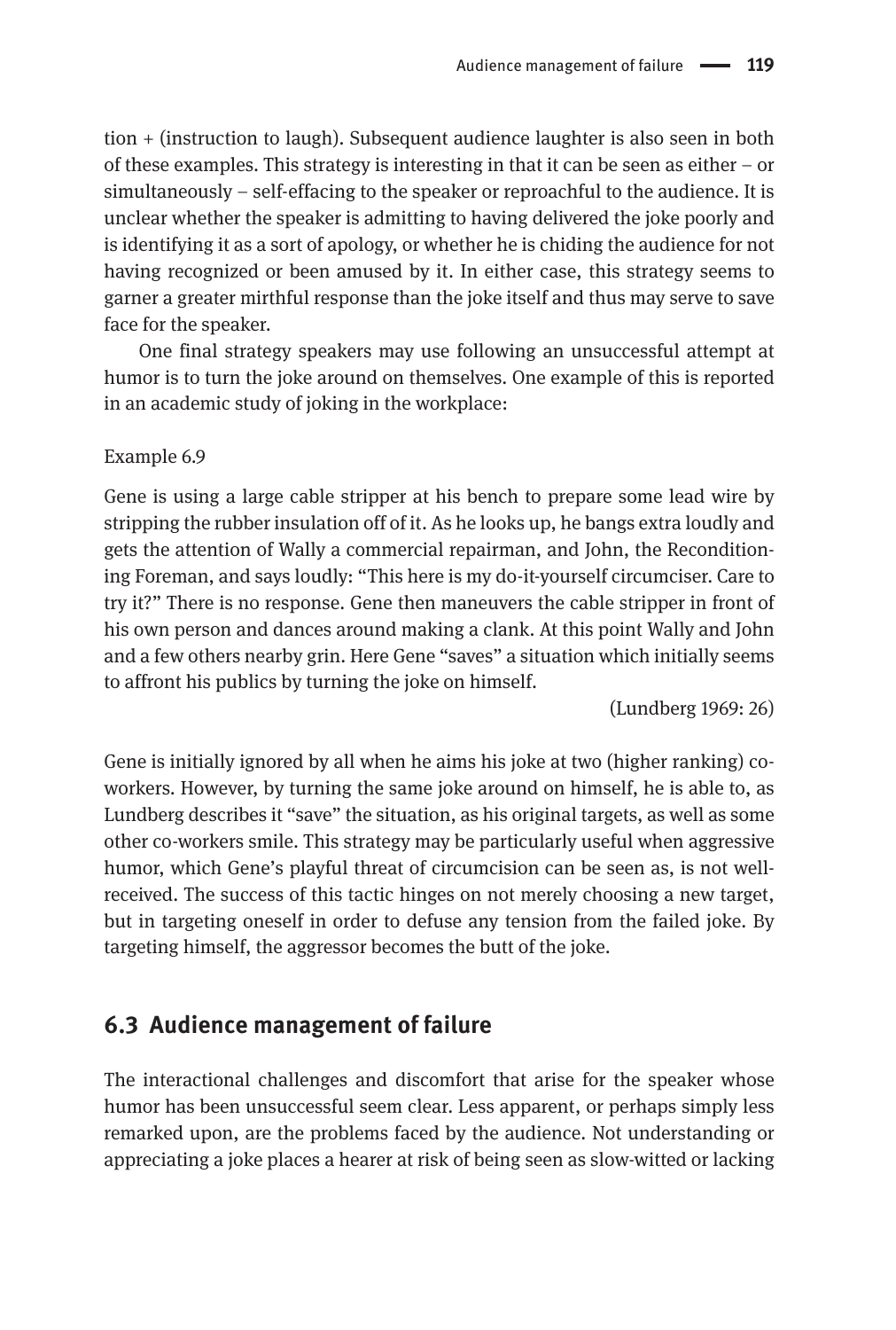tion + (instruction to laugh). Subsequent audience laughter is also seen in both of these examples. This strategy is interesting in that it can be seen as either – or simultaneously – self-effacing to the speaker or reproachful to the audience. It is unclear whether the speaker is admitting to having delivered the joke poorly and is identifying it as a sort of apology, or whether he is chiding the audience for not having recognized or been amused by it. In either case, this strategy seems to garner a greater mirthful response than the joke itself and thus may serve to save face for the speaker.

One final strategy speakers may use following an unsuccessful attempt at humor is to turn the joke around on themselves. One example of this is reported in an academic study of joking in the workplace:

Example 6.9

Gene is using a large cable stripper at his bench to prepare some lead wire by stripping the rubber insulation off of it. As he looks up, he bangs extra loudly and gets the attention of Wally a commercial repairman, and John, the Reconditioning Foreman, and says loudly: "This here is my do-it-yourself circumciser. Care to try it?" There is no response. Gene then maneuvers the cable stripper in front of his own person and dances around making a clank. At this point Wally and John and a few others nearby grin. Here Gene "saves" a situation which initially seems to affront his publics by turning the joke on himself.

(Lundberg 1969: 26)

Gene is initially ignored by all when he aims his joke at two (higher ranking) coworkers. However, by turning the same joke around on himself, he is able to, as Lundberg describes it "save" the situation, as his original targets, as well as some other co-workers smile. This strategy may be particularly useful when aggressive humor, which Gene's playful threat of circumcision can be seen as, is not wellreceived. The success of this tactic hinges on not merely choosing a new target, but in targeting oneself in order to defuse any tension from the failed joke. By targeting himself, the aggressor becomes the butt of the joke.

# **6.3 Audience management of failure**

The interactional challenges and discomfort that arise for the speaker whose humor has been unsuccessful seem clear. Less apparent, or perhaps simply less remarked upon, are the problems faced by the audience. Not understanding or appreciating a joke places a hearer at risk of being seen as slow-witted or lacking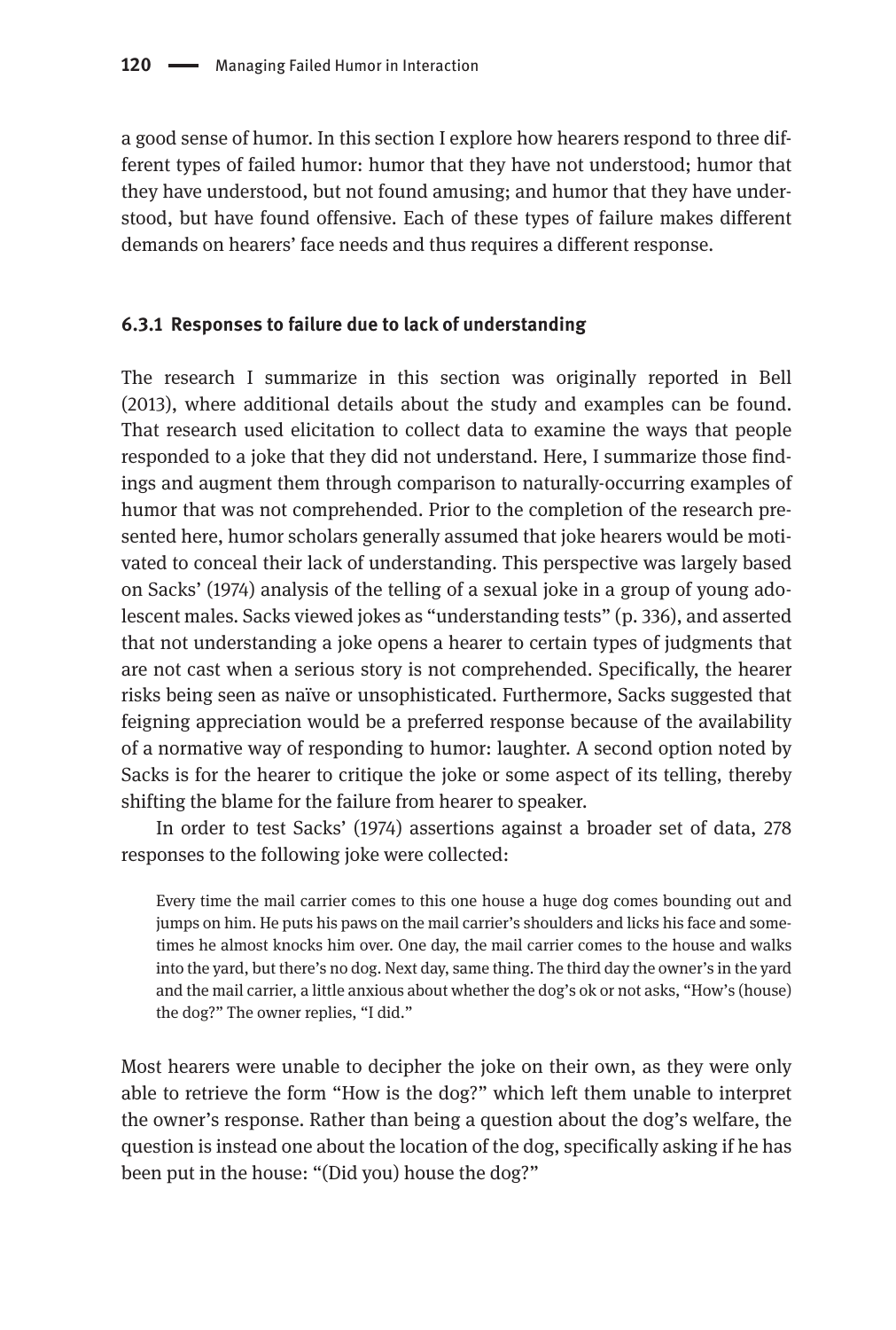a good sense of humor. In this section I explore how hearers respond to three different types of failed humor: humor that they have not understood; humor that they have understood, but not found amusing; and humor that they have understood, but have found offensive. Each of these types of failure makes different demands on hearers' face needs and thus requires a different response.

### **6.3.1 Responses to failure due to lack of understanding**

The research I summarize in this section was originally reported in Bell (2013), where additional details about the study and examples can be found. That research used elicitation to collect data to examine the ways that people responded to a joke that they did not understand. Here, I summarize those findings and augment them through comparison to naturally-occurring examples of humor that was not comprehended. Prior to the completion of the research presented here, humor scholars generally assumed that joke hearers would be motivated to conceal their lack of understanding. This perspective was largely based on Sacks' (1974) analysis of the telling of a sexual joke in a group of young adolescent males. Sacks viewed jokes as "understanding tests" (p. 336), and asserted that not understanding a joke opens a hearer to certain types of judgments that are not cast when a serious story is not comprehended. Specifically, the hearer risks being seen as naïve or unsophisticated. Furthermore, Sacks suggested that feigning appreciation would be a preferred response because of the availability of a normative way of responding to humor: laughter. A second option noted by Sacks is for the hearer to critique the joke or some aspect of its telling, thereby shifting the blame for the failure from hearer to speaker.

In order to test Sacks' (1974) assertions against a broader set of data, 278 responses to the following joke were collected:

Every time the mail carrier comes to this one house a huge dog comes bounding out and jumps on him. He puts his paws on the mail carrier's shoulders and licks his face and sometimes he almost knocks him over. One day, the mail carrier comes to the house and walks into the yard, but there's no dog. Next day, same thing. The third day the owner's in the yard and the mail carrier, a little anxious about whether the dog's ok or not asks, "How's (house) the dog?" The owner replies, "I did."

Most hearers were unable to decipher the joke on their own, as they were only able to retrieve the form "How is the dog?" which left them unable to interpret the owner's response. Rather than being a question about the dog's welfare, the question is instead one about the location of the dog, specifically asking if he has been put in the house: "(Did you) house the dog?"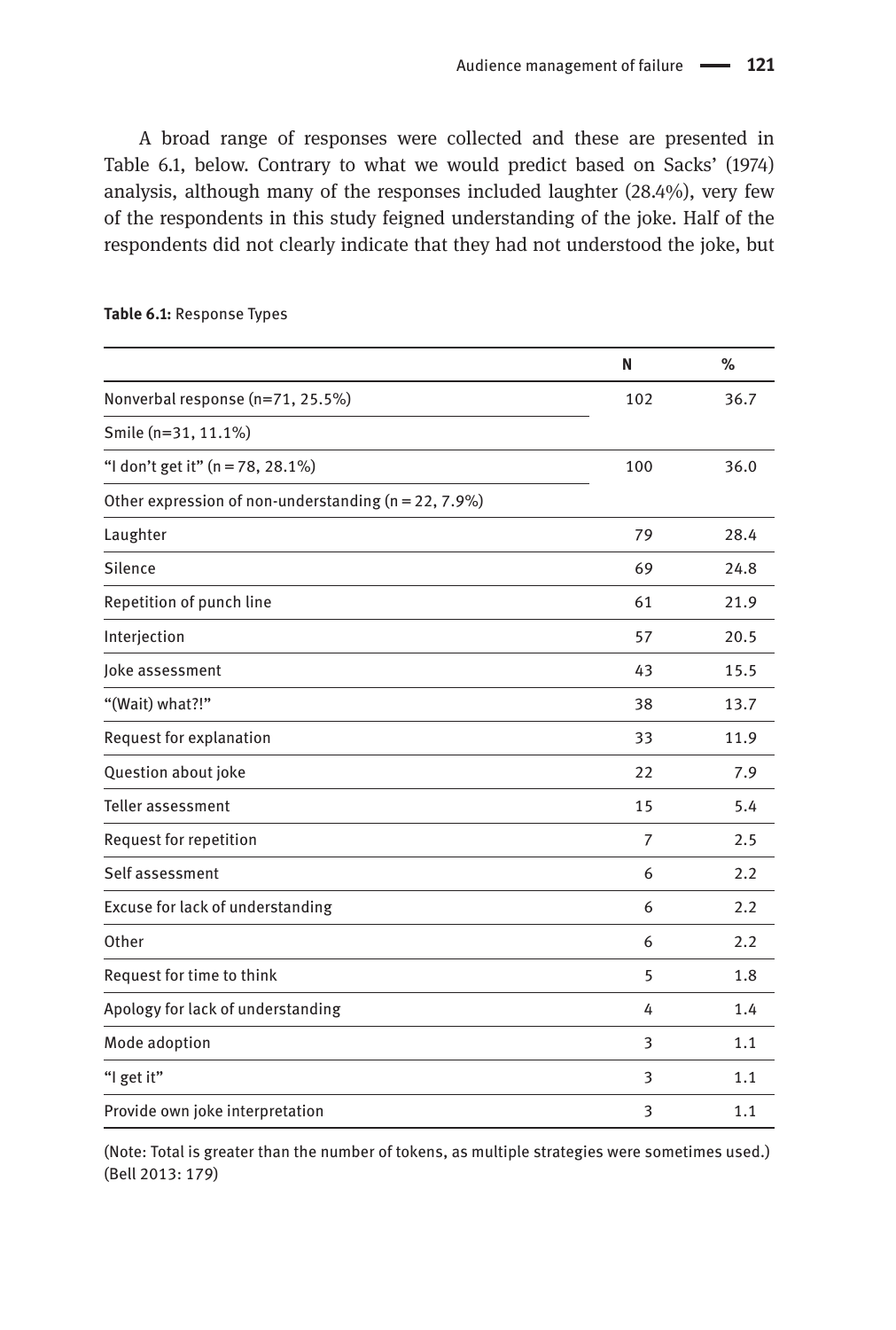A broad range of responses were collected and these are presented in Table 6.1, below. Contrary to what we would predict based on Sacks' (1974) analysis, although many of the responses included laughter (28.4%), very few of the respondents in this study feigned understanding of the joke. Half of the respondents did not clearly indicate that they had not understood the joke, but

|                                                           | N              | $\%$ |
|-----------------------------------------------------------|----------------|------|
| Nonverbal response (n=71, 25.5%)                          | 102            | 36.7 |
| Smile (n=31, 11.1%)                                       |                |      |
| "I don't get it" ( $n = 78$ , 28.1%)                      | 100            | 36.0 |
| Other expression of non-understanding ( $n = 22, 7.9\%$ ) |                |      |
| Laughter                                                  | 79             | 28.4 |
| Silence                                                   | 69             | 24.8 |
| Repetition of punch line                                  | 61             | 21.9 |
| Interjection                                              | 57             | 20.5 |
| Joke assessment                                           | 43             | 15.5 |
| "(Wait) what?!"                                           | 38             | 13.7 |
| Request for explanation                                   | 33             | 11.9 |
| Question about joke                                       | 22             | 7.9  |
| <b>Teller assessment</b>                                  | 15             | 5.4  |
| Request for repetition                                    | $\overline{7}$ | 2.5  |
| Self assessment                                           | 6              | 2.2  |
| Excuse for lack of understanding                          | 6              | 2.2  |
| Other                                                     | 6              | 2.2  |
| Request for time to think                                 | 5              | 1.8  |
| Apology for lack of understanding                         | 4              | 1.4  |
| Mode adoption                                             | 3              | 1.1  |
| "I get it"                                                | 3              | 1.1  |
| Provide own joke interpretation                           | 3              | 1.1  |

**Table 6.1:** Response Types

(Note: Total is greater than the number of tokens, as multiple strategies were sometimes used.) (Bell 2013: 179)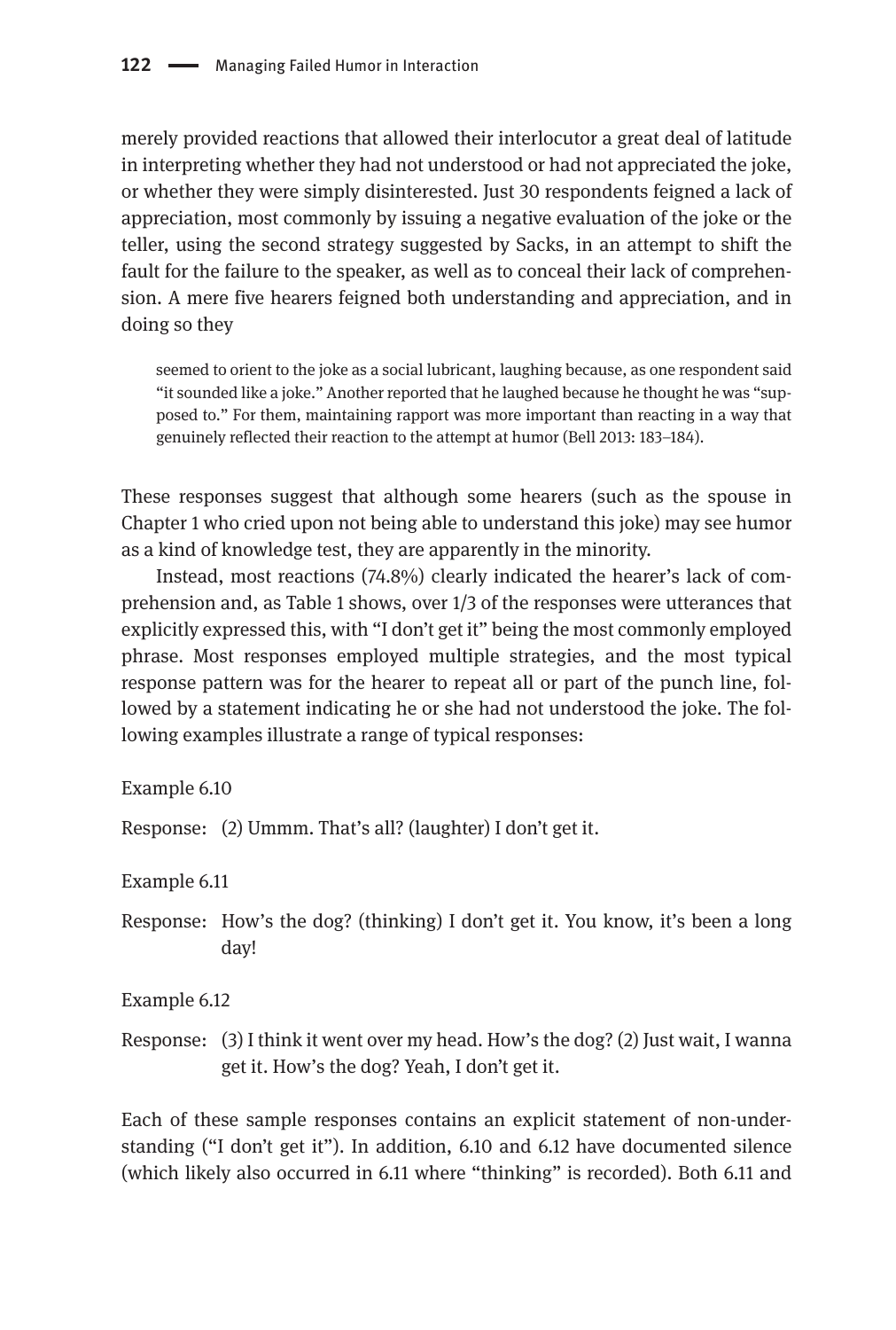merely provided reactions that allowed their interlocutor a great deal of latitude in interpreting whether they had not understood or had not appreciated the joke, or whether they were simply disinterested. Just 30 respondents feigned a lack of appreciation, most commonly by issuing a negative evaluation of the joke or the teller, using the second strategy suggested by Sacks, in an attempt to shift the fault for the failure to the speaker, as well as to conceal their lack of comprehension. A mere five hearers feigned both understanding and appreciation, and in doing so they

seemed to orient to the joke as a social lubricant, laughing because, as one respondent said "it sounded like a joke." Another reported that he laughed because he thought he was "supposed to." For them, maintaining rapport was more important than reacting in a way that genuinely reflected their reaction to the attempt at humor (Bell 2013: 183–184).

These responses suggest that although some hearers (such as the spouse in Chapter 1 who cried upon not being able to understand this joke) may see humor as a kind of knowledge test, they are apparently in the minority.

Instead, most reactions (74.8%) clearly indicated the hearer's lack of comprehension and, as Table 1 shows, over 1/3 of the responses were utterances that explicitly expressed this, with "I don't get it" being the most commonly employed phrase. Most responses employed multiple strategies, and the most typical response pattern was for the hearer to repeat all or part of the punch line, followed by a statement indicating he or she had not understood the joke. The following examples illustrate a range of typical responses:

Example 6.10

Response: (2) Ummm. That's all? (laughter) I don't get it.

Example 6.11

Response: How's the dog? (thinking) I don't get it. You know, it's been a long day!

Example 6.12

Response: (3) I think it went over my head. How's the dog? (2) Just wait, I wanna get it. How's the dog? Yeah, I don't get it.

Each of these sample responses contains an explicit statement of non-understanding ("I don't get it"). In addition, 6.10 and 6.12 have documented silence (which likely also occurred in 6.11 where "thinking" is recorded). Both 6.11 and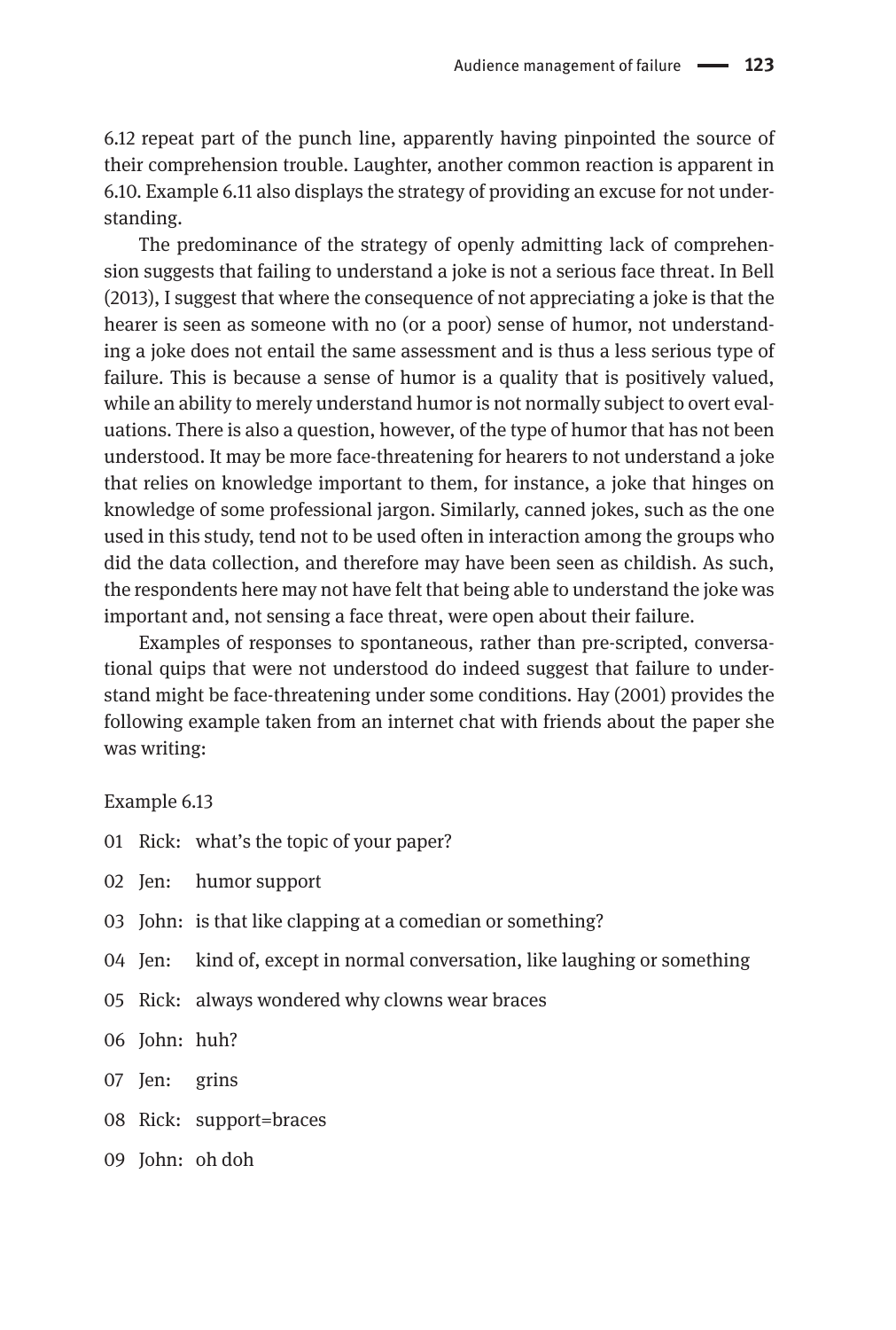6.12 repeat part of the punch line, apparently having pinpointed the source of their comprehension trouble. Laughter, another common reaction is apparent in 6.10. Example 6.11 also displays the strategy of providing an excuse for not understanding.

The predominance of the strategy of openly admitting lack of comprehension suggests that failing to understand a joke is not a serious face threat. In Bell (2013), I suggest that where the consequence of not appreciating a joke is that the hearer is seen as someone with no (or a poor) sense of humor, not understanding a joke does not entail the same assessment and is thus a less serious type of failure. This is because a sense of humor is a quality that is positively valued, while an ability to merely understand humor is not normally subject to overt evaluations. There is also a question, however, of the type of humor that has not been understood. It may be more face-threatening for hearers to not understand a joke that relies on knowledge important to them, for instance, a joke that hinges on knowledge of some professional jargon. Similarly, canned jokes, such as the one used in this study, tend not to be used often in interaction among the groups who did the data collection, and therefore may have been seen as childish. As such, the respondents here may not have felt that being able to understand the joke was important and, not sensing a face threat, were open about their failure.

Examples of responses to spontaneous, rather than pre-scripted, conversational quips that were not understood do indeed suggest that failure to understand might be face-threatening under some conditions. Hay (2001) provides the following example taken from an internet chat with friends about the paper she was writing:

#### Example 6.13

- 01 Rick: what's the topic of your paper?
- 02 Jen: humor support
- 03 John: is that like clapping at a comedian or something?
- 04 Jen: kind of, except in normal conversation, like laughing or something
- 05 Rick: always wondered why clowns wear braces
- 06 John: huh?
- 07 Jen: grins
- 08 Rick: support=braces
- 09 John: oh doh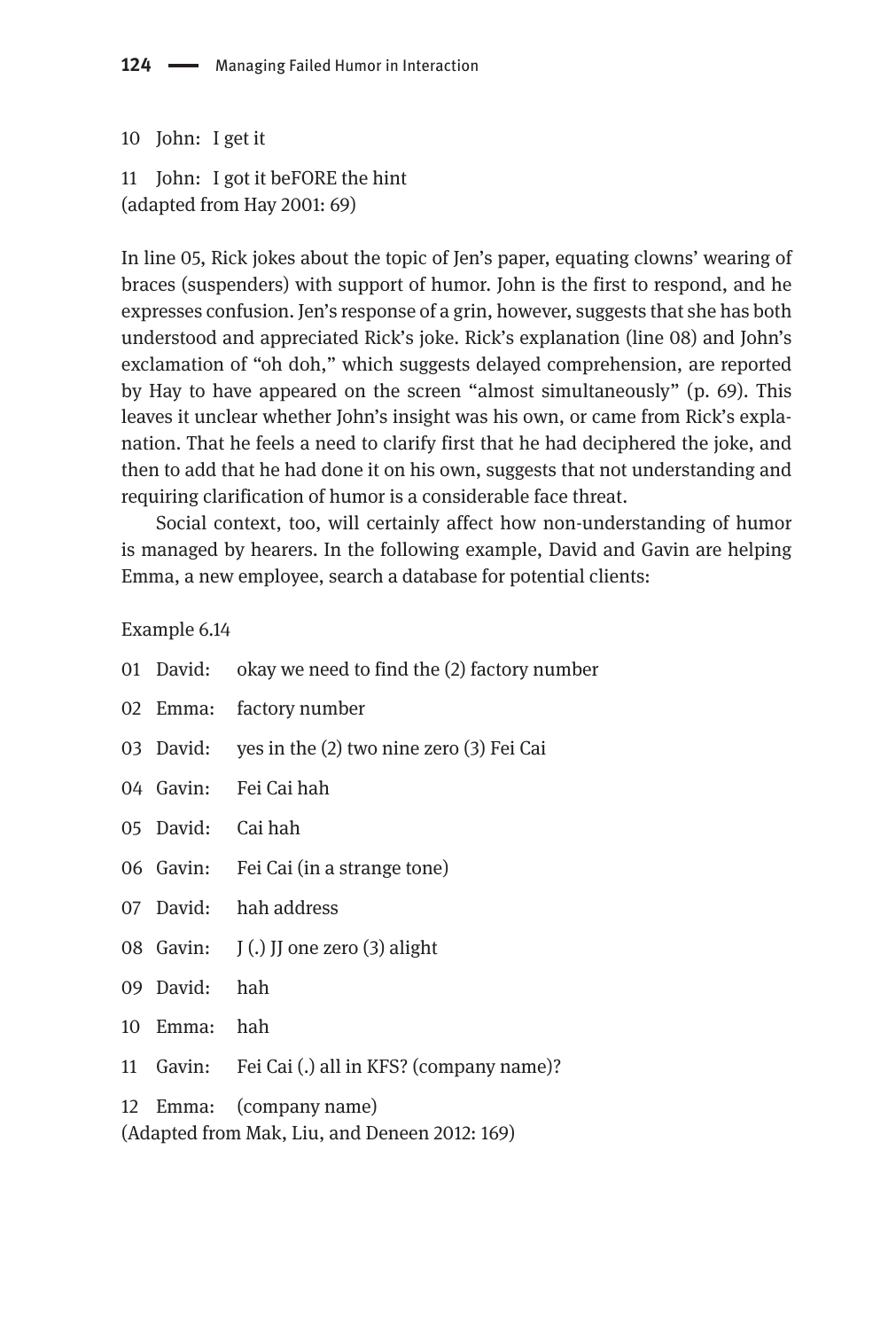10 John: I get it

11 John: I got it beFORE the hint (adapted from Hay 2001: 69)

In line 05, Rick jokes about the topic of Jen's paper, equating clowns' wearing of braces (suspenders) with support of humor. John is the first to respond, and he expresses confusion. Jen's response of a grin, however, suggests that she has both understood and appreciated Rick's joke. Rick's explanation (line 08) and John's exclamation of "oh doh," which suggests delayed comprehension, are reported by Hay to have appeared on the screen "almost simultaneously" (p. 69). This leaves it unclear whether John's insight was his own, or came from Rick's explanation. That he feels a need to clarify first that he had deciphered the joke, and then to add that he had done it on his own, suggests that not understanding and requiring clarification of humor is a considerable face threat.

Social context, too, will certainly affect how non-understanding of humor is managed by hearers. In the following example, David and Gavin are helping Emma, a new employee, search a database for potential clients:

Example 6.14

|                   | 01 David: okay we need to find the (2) factory number                    |
|-------------------|--------------------------------------------------------------------------|
|                   | 02 Emma: factory number                                                  |
|                   | 03 David: yes in the (2) two nine zero (3) Fei Cai                       |
|                   | 04 Gavin: Fei Cai hah                                                    |
| 05 David: Cai hah |                                                                          |
|                   | 06 Gavin: Fei Cai (in a strange tone)                                    |
|                   | 07 David: hah address                                                    |
|                   | 08 Gavin: J(.) JJ one zero (3) alight                                    |
| 09 David: hah     |                                                                          |
| 10 Emma: hah      |                                                                          |
|                   | 11 Gavin: Fei Cai (.) all in KFS? (company name)?                        |
|                   | 12 Emma: (company name)<br>(Adapted from Mak, Liu, and Deneen 2012: 169) |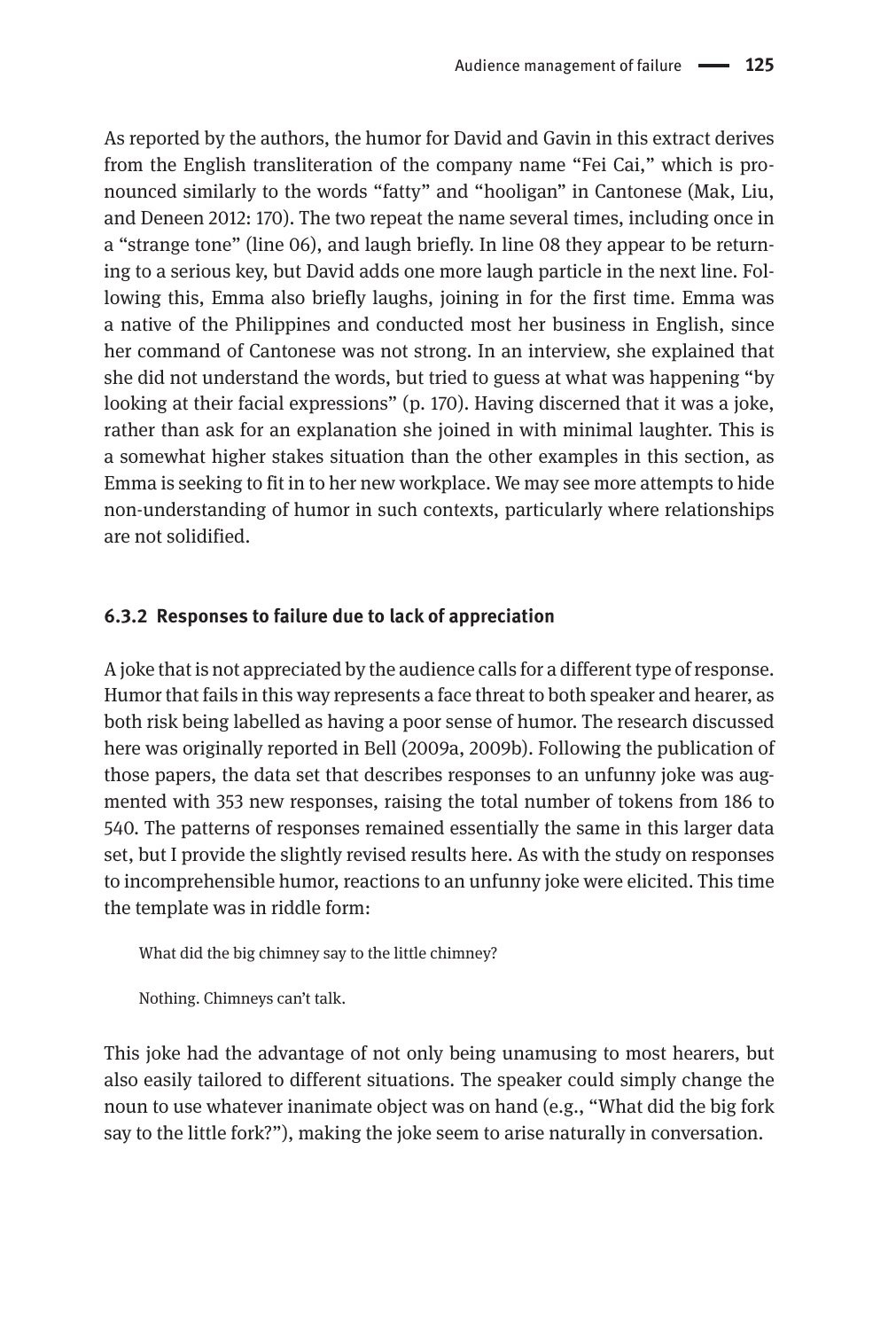As reported by the authors, the humor for David and Gavin in this extract derives from the English transliteration of the company name "Fei Cai," which is pronounced similarly to the words "fatty" and "hooligan" in Cantonese (Mak, Liu, and Deneen 2012: 170). The two repeat the name several times, including once in a "strange tone" (line 06), and laugh briefly. In line 08 they appear to be returning to a serious key, but David adds one more laugh particle in the next line. Following this, Emma also briefly laughs, joining in for the first time. Emma was a native of the Philippines and conducted most her business in English, since her command of Cantonese was not strong. In an interview, she explained that she did not understand the words, but tried to guess at what was happening "by looking at their facial expressions" (p. 170). Having discerned that it was a joke, rather than ask for an explanation she joined in with minimal laughter. This is a somewhat higher stakes situation than the other examples in this section, as Emma is seeking to fit in to her new workplace. We may see more attempts to hide non-understanding of humor in such contexts, particularly where relationships are not solidified.

### **6.3.2 Responses to failure due to lack of appreciation**

A joke that is not appreciated by the audience calls for a different type of response. Humor that fails in this way represents a face threat to both speaker and hearer, as both risk being labelled as having a poor sense of humor. The research discussed here was originally reported in Bell (2009a, 2009b). Following the publication of those papers, the data set that describes responses to an unfunny joke was augmented with 353 new responses, raising the total number of tokens from 186 to 540. The patterns of responses remained essentially the same in this larger data set, but I provide the slightly revised results here. As with the study on responses to incomprehensible humor, reactions to an unfunny joke were elicited. This time the template was in riddle form:

What did the big chimney say to the little chimney?

Nothing. Chimneys can't talk.

This joke had the advantage of not only being unamusing to most hearers, but also easily tailored to different situations. The speaker could simply change the noun to use whatever inanimate object was on hand (e.g., "What did the big fork say to the little fork?"), making the joke seem to arise naturally in conversation.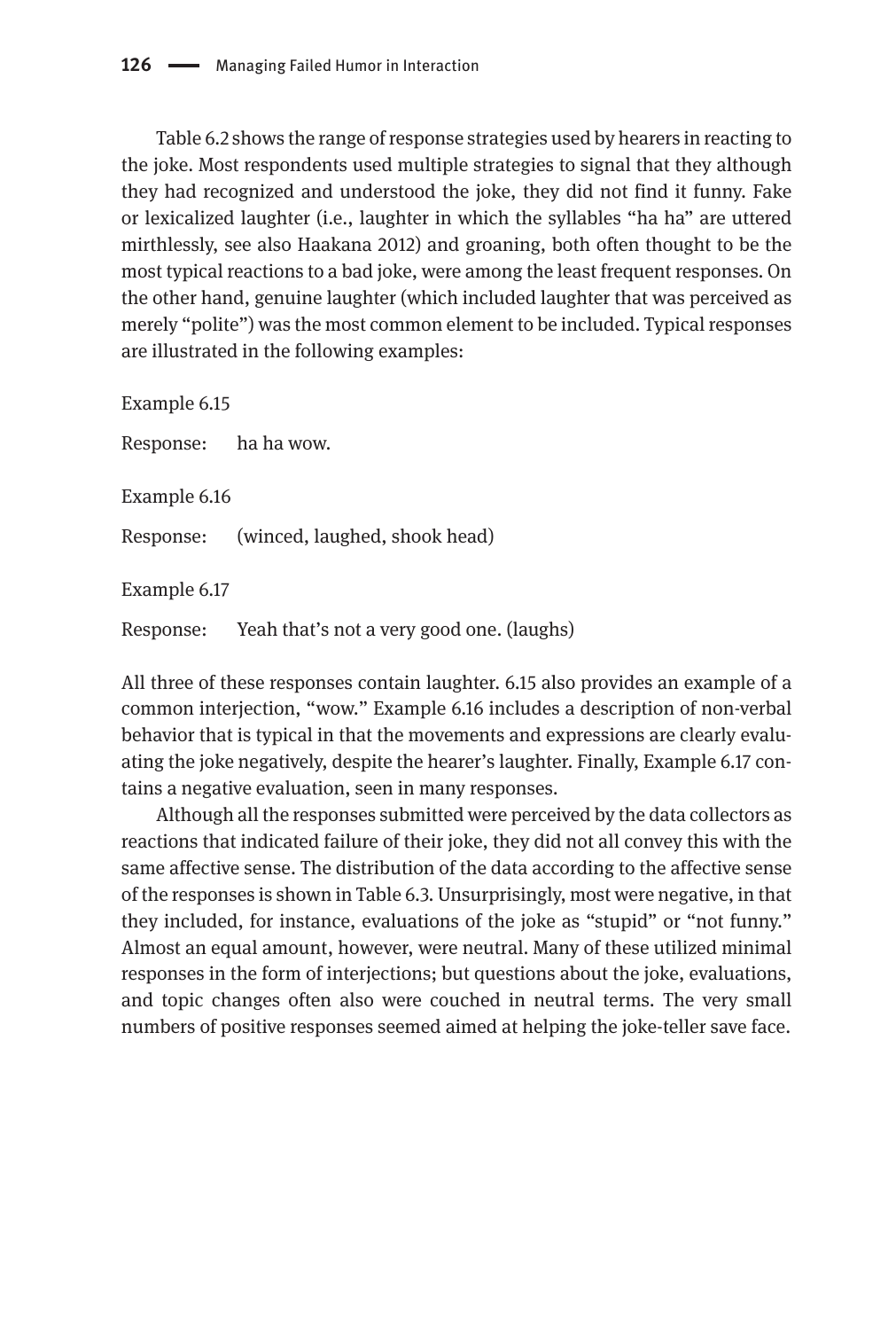Table 6.2 shows the range of response strategies used by hearers in reacting to the joke. Most respondents used multiple strategies to signal that they although they had recognized and understood the joke, they did not find it funny. Fake or lexicalized laughter (i.e., laughter in which the syllables "ha ha" are uttered mirthlessly, see also Haakana 2012) and groaning, both often thought to be the most typical reactions to a bad joke, were among the least frequent responses. On the other hand, genuine laughter (which included laughter that was perceived as merely "polite") was the most common element to be included. Typical responses are illustrated in the following examples:

| Example 6.15         |                                           |
|----------------------|-------------------------------------------|
| Response: ha ha wow. |                                           |
| Example 6.16         |                                           |
| Response:            | (winced, laughed, shook head)             |
| Example 6.17         |                                           |
| Response:            | Yeah that's not a very good one. (laughs) |

All three of these responses contain laughter. 6.15 also provides an example of a common interjection, "wow." Example 6.16 includes a description of non-verbal behavior that is typical in that the movements and expressions are clearly evaluating the joke negatively, despite the hearer's laughter. Finally, Example 6.17 contains a negative evaluation, seen in many responses.

Although all the responses submitted were perceived by the data collectors as reactions that indicated failure of their joke, they did not all convey this with the same affective sense. The distribution of the data according to the affective sense of the responses is shown in Table 6.3. Unsurprisingly, most were negative, in that they included, for instance, evaluations of the joke as "stupid" or "not funny." Almost an equal amount, however, were neutral. Many of these utilized minimal responses in the form of interjections; but questions about the joke, evaluations, and topic changes often also were couched in neutral terms. The very small numbers of positive responses seemed aimed at helping the joke-teller save face.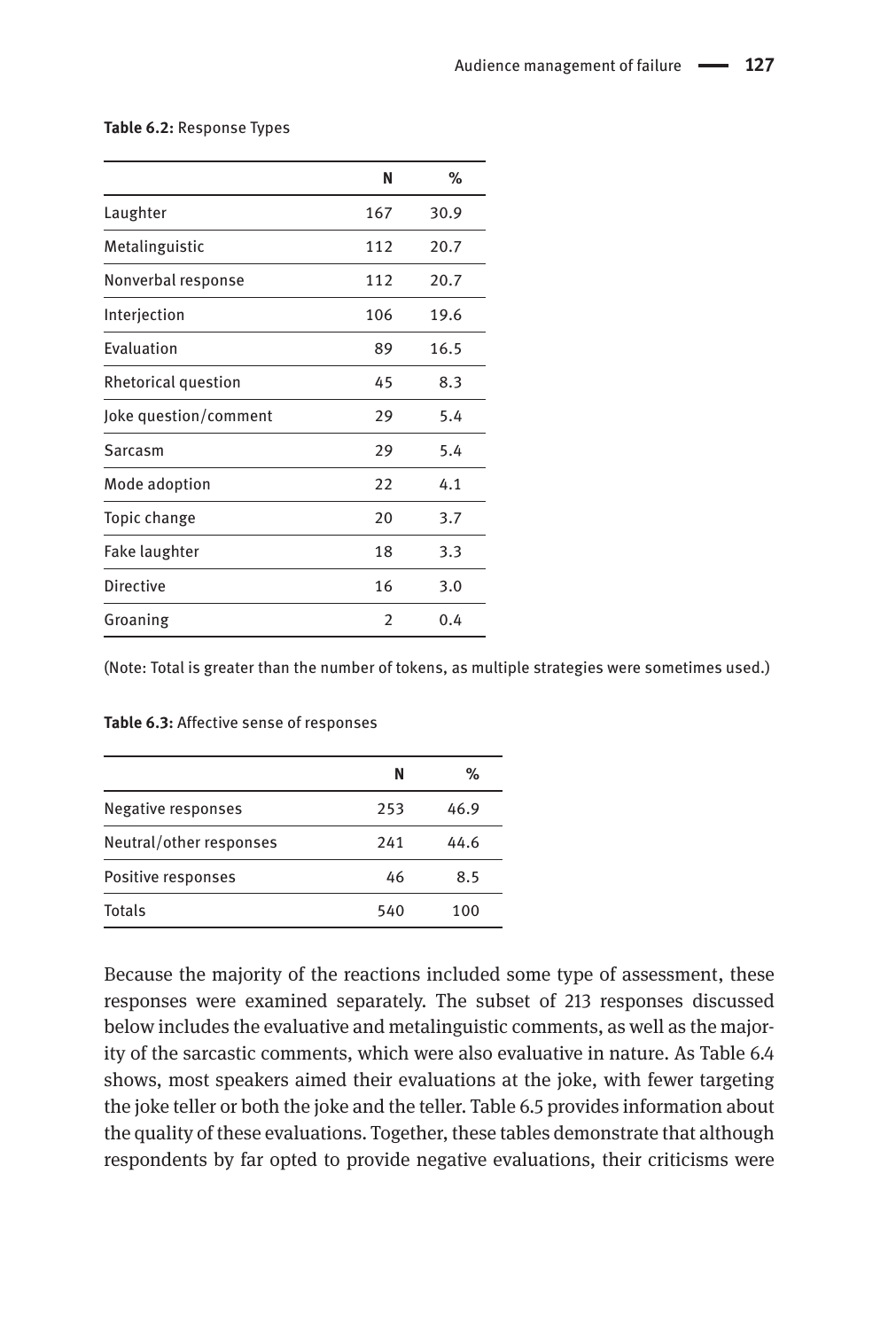#### **Table 6.2:** Response Types

|                       | N              | %    |
|-----------------------|----------------|------|
| Laughter              | 167            | 30.9 |
| Metalinguistic        | 112            | 20.7 |
| Nonverbal response    | 112            | 20.7 |
| Interjection          | 106            | 19.6 |
| Evaluation            | 89             | 16.5 |
| Rhetorical question   | 45             | 8.3  |
| Joke question/comment | 29             | 5.4  |
| Sarcasm               | 29             | 5.4  |
| Mode adoption         | 22             | 4.1  |
| Topic change          | 20             | 3.7  |
| Fake laughter         | 18             | 3.3  |
| <b>Directive</b>      | 16             | 3.0  |
| Groaning              | $\overline{2}$ | 0.4  |

(Note: Total is greater than the number of tokens, as multiple strategies were sometimes used.)

|                           | N   | $\%$ |
|---------------------------|-----|------|
| <b>Negative responses</b> | 253 | 46.9 |
| Neutral/other responses   | 241 | 44.6 |
| Positive responses        | 46  | 8.5  |
| <b>Totals</b>             | 540 | 100  |

**Table 6.3:** Affective sense of responses

Because the majority of the reactions included some type of assessment, these responses were examined separately. The subset of 213 responses discussed below includes the evaluative and metalinguistic comments, as well as the majority of the sarcastic comments, which were also evaluative in nature. As Table 6.4 shows, most speakers aimed their evaluations at the joke, with fewer targeting the joke teller or both the joke and the teller. Table 6.5 provides information about the quality of these evaluations. Together, these tables demonstrate that although respondents by far opted to provide negative evaluations, their criticisms were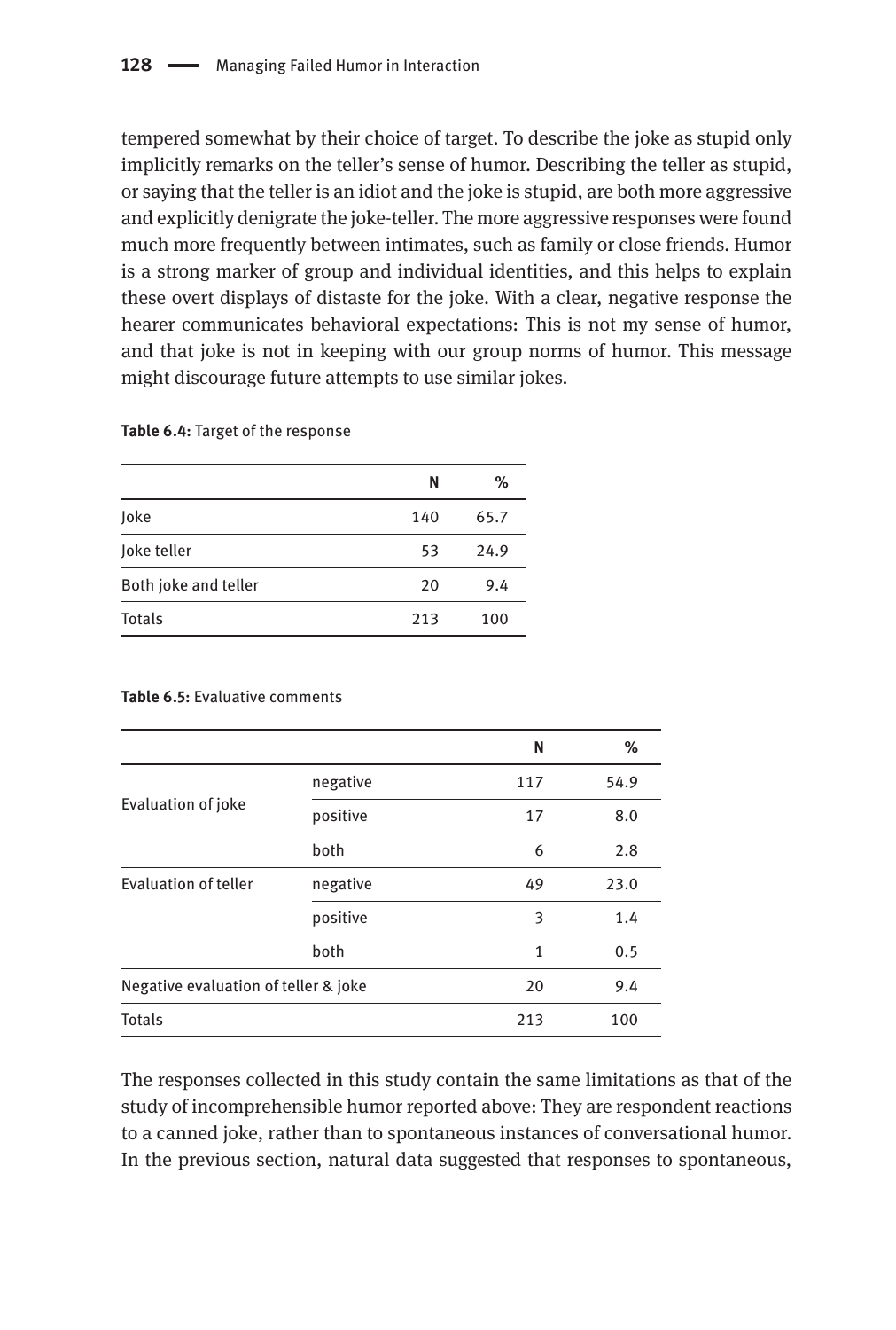tempered somewhat by their choice of target. To describe the joke as stupid only implicitly remarks on the teller's sense of humor. Describing the teller as stupid, or saying that the teller is an idiot and the joke is stupid, are both more aggressive and explicitly denigrate the joke-teller. The more aggressive responses were found much more frequently between intimates, such as family or close friends. Humor is a strong marker of group and individual identities, and this helps to explain these overt displays of distaste for the joke. With a clear, negative response the hearer communicates behavioral expectations: This is not my sense of humor, and that joke is not in keeping with our group norms of humor. This message might discourage future attempts to use similar jokes.

|                      | N   | %    |
|----------------------|-----|------|
| Joke                 | 140 | 65.7 |
| Joke teller          | 53  | 24.9 |
| Both joke and teller | 20  | 9.4  |
| <b>Totals</b>        | 213 | 100  |

**Table 6.4:** Target of the response

#### **Table 6.5:** Evaluative comments

|                                      |          | N            | %    |
|--------------------------------------|----------|--------------|------|
|                                      | negative | 117          | 54.9 |
| Evaluation of joke                   | positive | 17           | 8.0  |
|                                      | both     | 6            | 2.8  |
| <b>Evaluation of teller</b>          | negative | 49           | 23.0 |
|                                      | positive | 3            | 1.4  |
|                                      | both     | $\mathbf{1}$ | 0.5  |
| Negative evaluation of teller & joke |          | 20           | 9.4  |
| <b>Totals</b>                        |          | 213          | 100  |

The responses collected in this study contain the same limitations as that of the study of incomprehensible humor reported above: They are respondent reactions to a canned joke, rather than to spontaneous instances of conversational humor. In the previous section, natural data suggested that responses to spontaneous,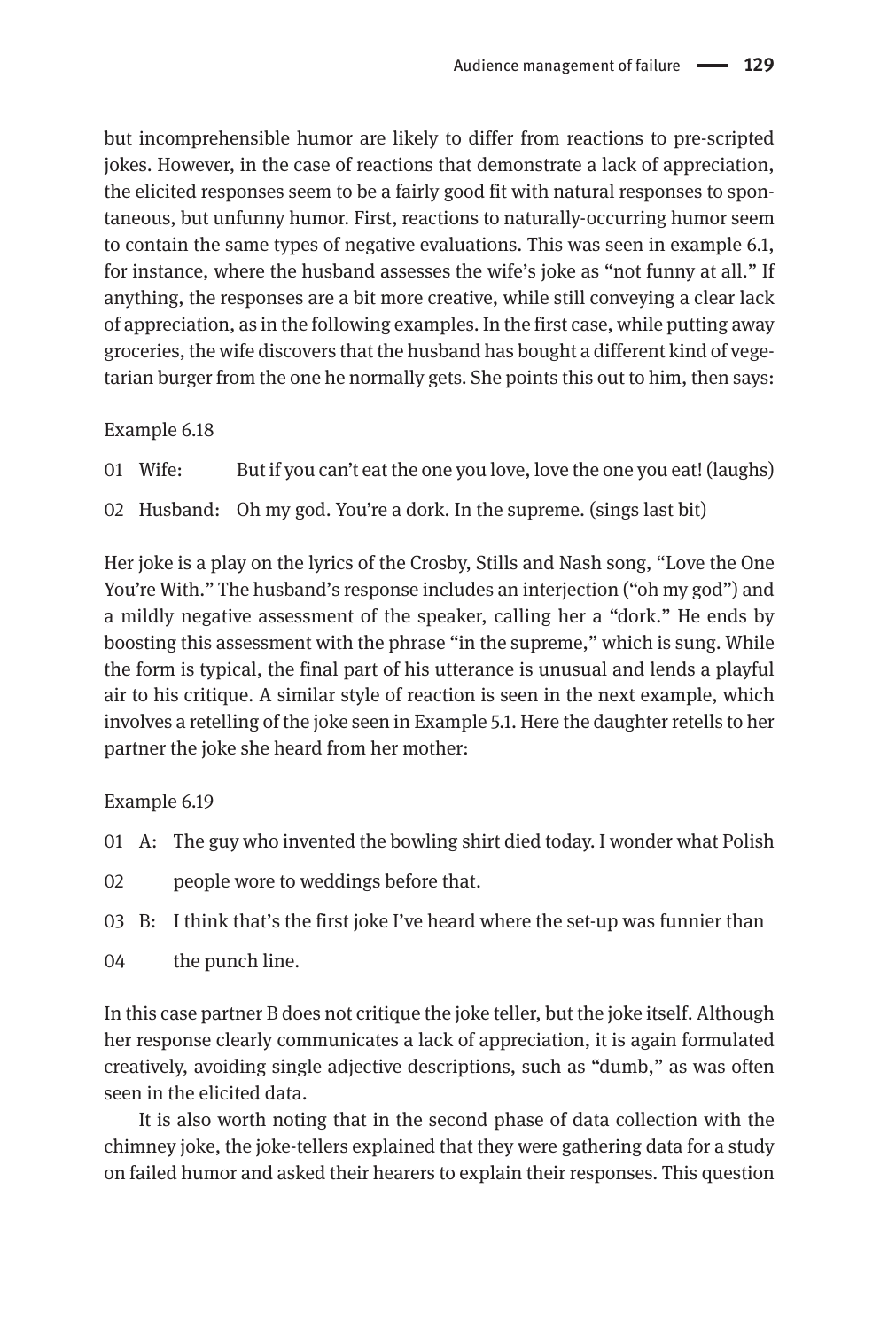but incomprehensible humor are likely to differ from reactions to pre-scripted jokes. However, in the case of reactions that demonstrate a lack of appreciation, the elicited responses seem to be a fairly good fit with natural responses to spontaneous, but unfunny humor. First, reactions to naturally-occurring humor seem to contain the same types of negative evaluations. This was seen in example 6.1, for instance, where the husband assesses the wife's joke as "not funny at all." If anything, the responses are a bit more creative, while still conveying a clear lack of appreciation, as in the following examples. In the first case, while putting away groceries, the wife discovers that the husband has bought a different kind of vegetarian burger from the one he normally gets. She points this out to him, then says:

Example 6.18

- 01 Wife: But if you can't eat the one you love, love the one you eat! (laughs)
- 02 Husband: Oh my god. You're a dork. In the supreme. (sings last bit)

Her joke is a play on the lyrics of the Crosby, Stills and Nash song, "Love the One You're With." The husband's response includes an interjection ("oh my god") and a mildly negative assessment of the speaker, calling her a "dork." He ends by boosting this assessment with the phrase "in the supreme," which is sung. While the form is typical, the final part of his utterance is unusual and lends a playful air to his critique. A similar style of reaction is seen in the next example, which involves a retelling of the joke seen in Example 5.1. Here the daughter retells to her partner the joke she heard from her mother:

Example 6.19

- 01 A: The guy who invented the bowling shirt died today. I wonder what Polish
- 02 people wore to weddings before that.
- 03 B: I think that's the first joke I've heard where the set-up was funnier than

04 the punch line.

In this case partner B does not critique the joke teller, but the joke itself. Although her response clearly communicates a lack of appreciation, it is again formulated creatively, avoiding single adjective descriptions, such as "dumb," as was often seen in the elicited data.

It is also worth noting that in the second phase of data collection with the chimney joke, the joke-tellers explained that they were gathering data for a study on failed humor and asked their hearers to explain their responses. This question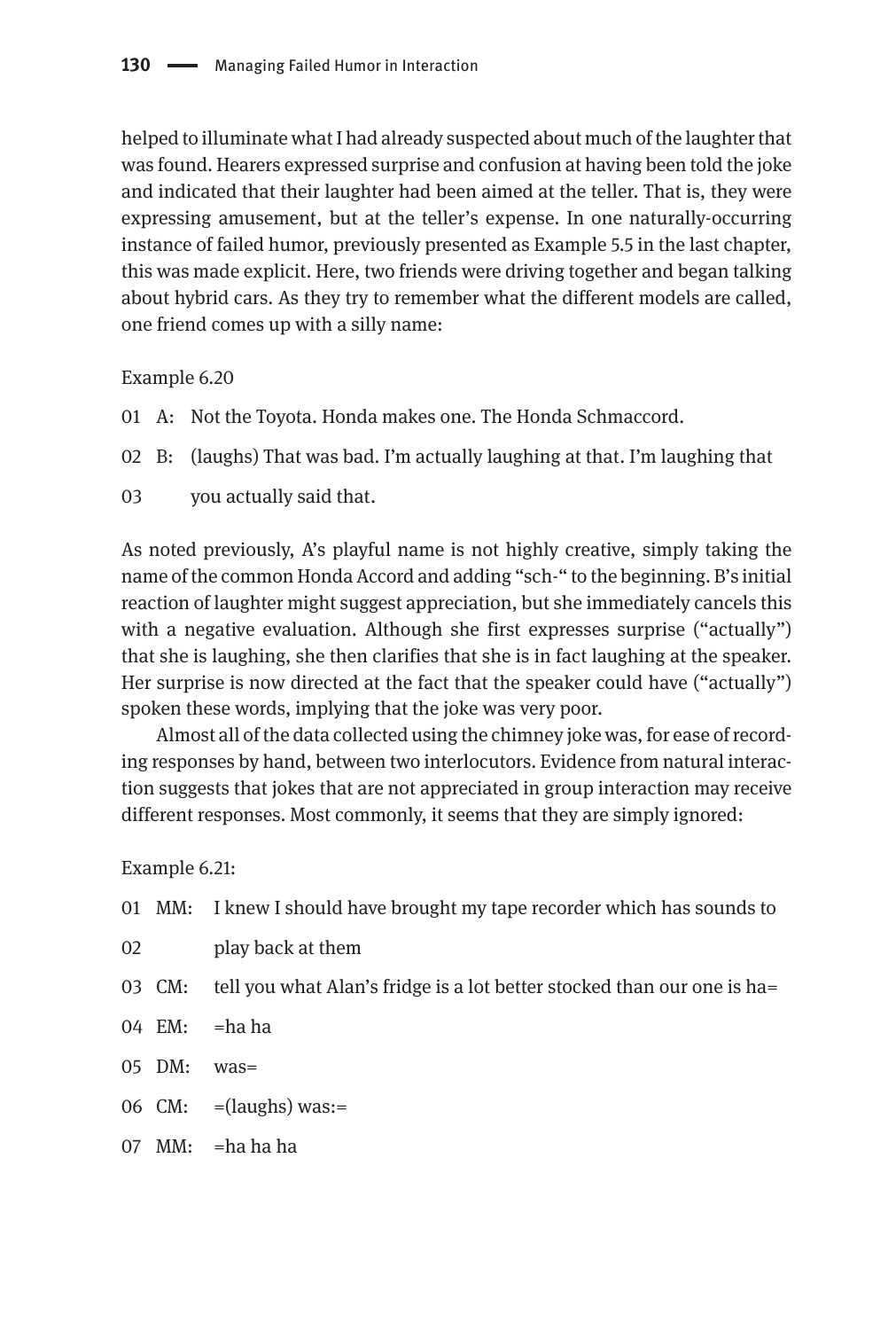helped to illuminate what I had already suspected about much of the laughter that was found. Hearers expressed surprise and confusion at having been told the joke and indicated that their laughter had been aimed at the teller. That is, they were expressing amusement, but at the teller's expense. In one naturally-occurring instance of failed humor, previously presented as Example 5.5 in the last chapter, this was made explicit. Here, two friends were driving together and began talking about hybrid cars. As they try to remember what the different models are called, one friend comes up with a silly name:

Example 6.20

- 01 A: Not the Toyota. Honda makes one. The Honda Schmaccord.
- 02 B: (laughs) That was bad. I'm actually laughing at that. I'm laughing that
- 03 you actually said that.

As noted previously, A's playful name is not highly creative, simply taking the name of the common Honda Accord and adding "sch-" to the beginning. B's initial reaction of laughter might suggest appreciation, but she immediately cancels this with a negative evaluation. Although she first expresses surprise ("actually") that she is laughing, she then clarifies that she is in fact laughing at the speaker. Her surprise is now directed at the fact that the speaker could have ("actually") spoken these words, implying that the joke was very poor.

Almost all of the data collected using the chimney joke was, for ease of recording responses by hand, between two interlocutors. Evidence from natural interaction suggests that jokes that are not appreciated in group interaction may receive different responses. Most commonly, it seems that they are simply ignored:

Example 6.21:

|    |        | 01 MM: I knew I should have brought my tape recorder which has sounds to      |
|----|--------|-------------------------------------------------------------------------------|
| 02 |        | play back at them                                                             |
|    |        | 03 CM: tell you what Alan's fridge is a lot better stocked than our one is ha |
|    |        | 04 EM: = ha ha                                                                |
|    | 05 DM: | $was=$                                                                        |
|    |        | 06 CM: $=(\text{laughs})$ was:=                                               |
|    |        | 07 MM: =ha ha ha                                                              |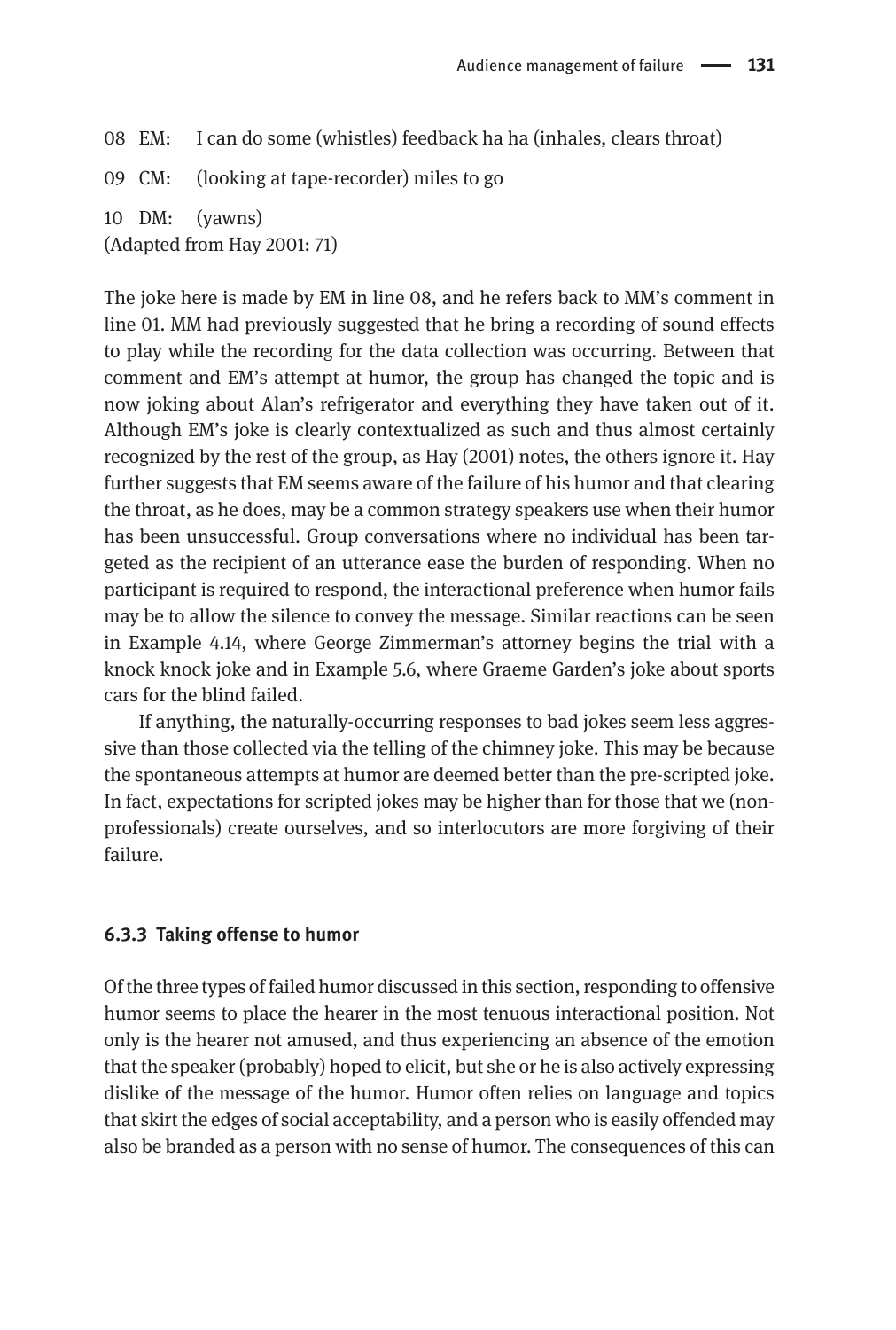08 EM: I can do some (whistles) feedback ha ha (inhales, clears throat)

09 CM: (looking at tape-recorder) miles to go

10 DM: (yawns)

(Adapted from Hay 2001: 71)

The joke here is made by EM in line 08, and he refers back to MM's comment in line 01. MM had previously suggested that he bring a recording of sound effects to play while the recording for the data collection was occurring. Between that comment and EM's attempt at humor, the group has changed the topic and is now joking about Alan's refrigerator and everything they have taken out of it. Although EM's joke is clearly contextualized as such and thus almost certainly recognized by the rest of the group, as Hay (2001) notes, the others ignore it. Hay further suggests that EM seems aware of the failure of his humor and that clearing the throat, as he does, may be a common strategy speakers use when their humor has been unsuccessful. Group conversations where no individual has been targeted as the recipient of an utterance ease the burden of responding. When no participant is required to respond, the interactional preference when humor fails may be to allow the silence to convey the message. Similar reactions can be seen in Example 4.14, where George Zimmerman's attorney begins the trial with a knock knock joke and in Example 5.6, where Graeme Garden's joke about sports cars for the blind failed.

If anything, the naturally-occurring responses to bad jokes seem less aggressive than those collected via the telling of the chimney joke. This may be because the spontaneous attempts at humor are deemed better than the pre-scripted joke. In fact, expectations for scripted jokes may be higher than for those that we (nonprofessionals) create ourselves, and so interlocutors are more forgiving of their failure.

#### **6.3.3 Taking offense to humor**

Of the three types of failed humor discussed in this section, responding to offensive humor seems to place the hearer in the most tenuous interactional position. Not only is the hearer not amused, and thus experiencing an absence of the emotion that the speaker (probably) hoped to elicit, but she or he is also actively expressing dislike of the message of the humor. Humor often relies on language and topics that skirt the edges of social acceptability, and a person who is easily offended may also be branded as a person with no sense of humor. The consequences of this can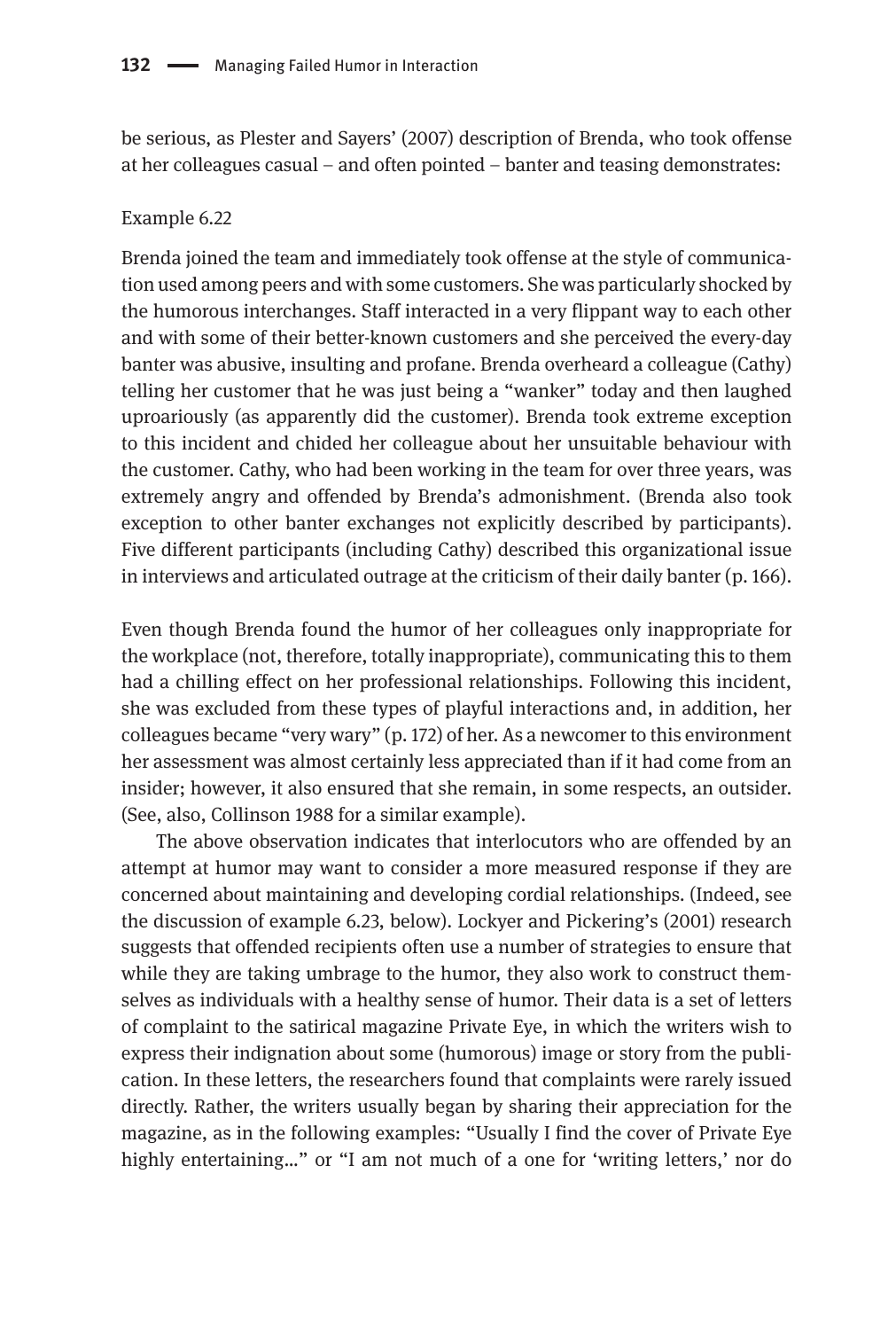be serious, as Plester and Sayers' (2007) description of Brenda, who took offense at her colleagues casual – and often pointed – banter and teasing demonstrates:

### Example 6.22

Brenda joined the team and immediately took offense at the style of communication used among peers and with some customers. She was particularly shocked by the humorous interchanges. Staff interacted in a very flippant way to each other and with some of their better-known customers and she perceived the every-day banter was abusive, insulting and profane. Brenda overheard a colleague (Cathy) telling her customer that he was just being a "wanker" today and then laughed uproariously (as apparently did the customer). Brenda took extreme exception to this incident and chided her colleague about her unsuitable behaviour with the customer. Cathy, who had been working in the team for over three years, was extremely angry and offended by Brenda's admonishment. (Brenda also took exception to other banter exchanges not explicitly described by participants). Five different participants (including Cathy) described this organizational issue in interviews and articulated outrage at the criticism of their daily banter (p. 166).

Even though Brenda found the humor of her colleagues only inappropriate for the workplace (not, therefore, totally inappropriate), communicating this to them had a chilling effect on her professional relationships. Following this incident, she was excluded from these types of playful interactions and, in addition, her colleagues became "very wary" (p. 172) of her. As a newcomer to this environment her assessment was almost certainly less appreciated than if it had come from an insider; however, it also ensured that she remain, in some respects, an outsider. (See, also, Collinson 1988 for a similar example).

The above observation indicates that interlocutors who are offended by an attempt at humor may want to consider a more measured response if they are concerned about maintaining and developing cordial relationships. (Indeed, see the discussion of example 6.23, below). Lockyer and Pickering's (2001) research suggests that offended recipients often use a number of strategies to ensure that while they are taking umbrage to the humor, they also work to construct themselves as individuals with a healthy sense of humor. Their data is a set of letters of complaint to the satirical magazine Private Eye, in which the writers wish to express their indignation about some (humorous) image or story from the publication. In these letters, the researchers found that complaints were rarely issued directly. Rather, the writers usually began by sharing their appreciation for the magazine, as in the following examples: "Usually I find the cover of Private Eye highly entertaining..." or "I am not much of a one for 'writing letters,' nor do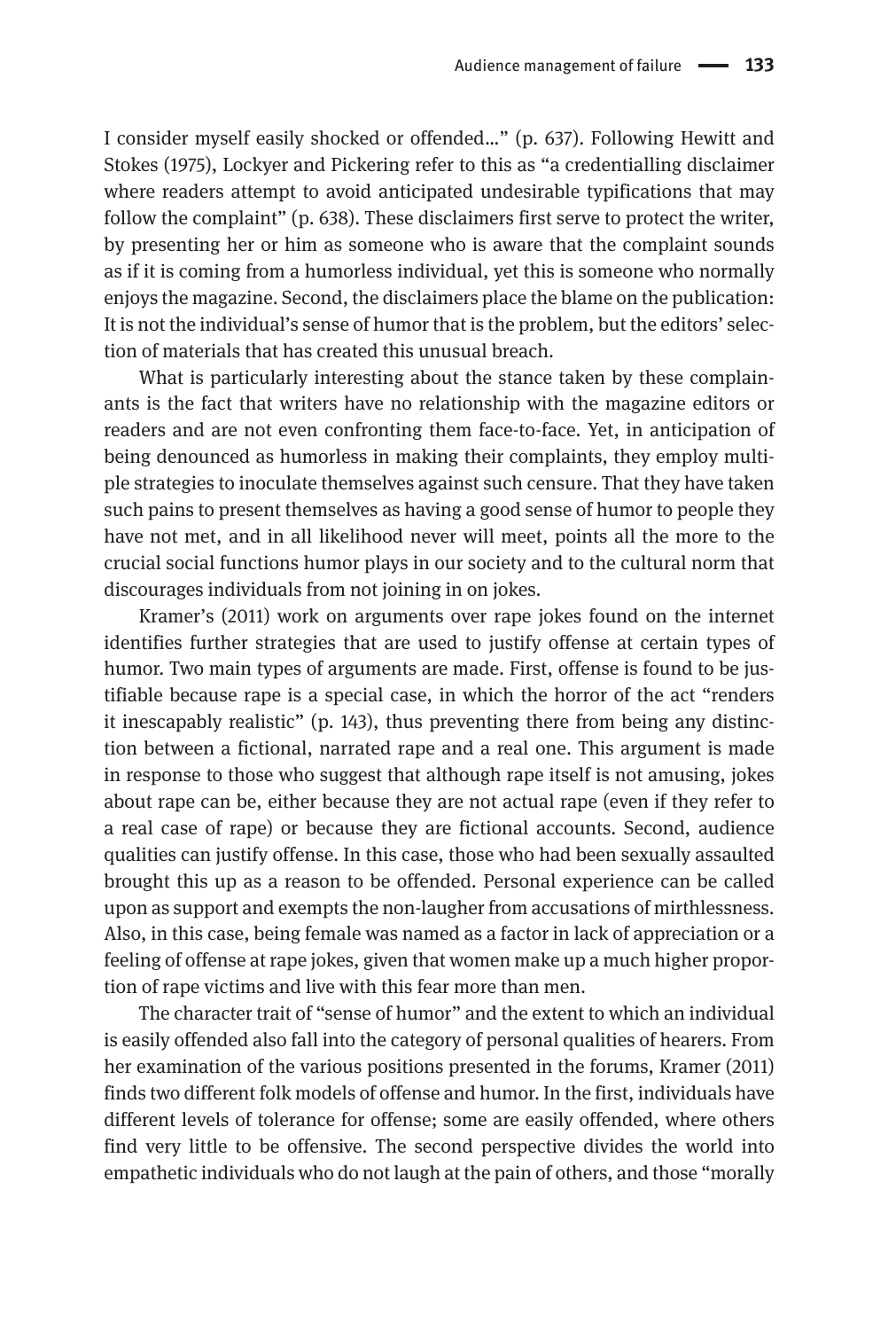I consider myself easily shocked or offended…" (p. 637). Following Hewitt and Stokes (1975), Lockyer and Pickering refer to this as "a credentialling disclaimer where readers attempt to avoid anticipated undesirable typifications that may follow the complaint" (p. 638). These disclaimers first serve to protect the writer, by presenting her or him as someone who is aware that the complaint sounds as if it is coming from a humorless individual, yet this is someone who normally enjoys the magazine. Second, the disclaimers place the blame on the publication: It is not the individual's sense of humor that is the problem, but the editors' selection of materials that has created this unusual breach.

What is particularly interesting about the stance taken by these complainants is the fact that writers have no relationship with the magazine editors or readers and are not even confronting them face-to-face. Yet, in anticipation of being denounced as humorless in making their complaints, they employ multiple strategies to inoculate themselves against such censure. That they have taken such pains to present themselves as having a good sense of humor to people they have not met, and in all likelihood never will meet, points all the more to the crucial social functions humor plays in our society and to the cultural norm that discourages individuals from not joining in on jokes.

Kramer's (2011) work on arguments over rape jokes found on the internet identifies further strategies that are used to justify offense at certain types of humor. Two main types of arguments are made. First, offense is found to be justifiable because rape is a special case, in which the horror of the act "renders it inescapably realistic" (p. 143), thus preventing there from being any distinction between a fictional, narrated rape and a real one. This argument is made in response to those who suggest that although rape itself is not amusing, jokes about rape can be, either because they are not actual rape (even if they refer to a real case of rape) or because they are fictional accounts. Second, audience qualities can justify offense. In this case, those who had been sexually assaulted brought this up as a reason to be offended. Personal experience can be called upon as support and exempts the non-laugher from accusations of mirthlessness. Also, in this case, being female was named as a factor in lack of appreciation or a feeling of offense at rape jokes, given that women make up a much higher proportion of rape victims and live with this fear more than men.

The character trait of "sense of humor" and the extent to which an individual is easily offended also fall into the category of personal qualities of hearers. From her examination of the various positions presented in the forums, Kramer (2011) finds two different folk models of offense and humor. In the first, individuals have different levels of tolerance for offense; some are easily offended, where others find very little to be offensive. The second perspective divides the world into empathetic individuals who do not laugh at the pain of others, and those "morally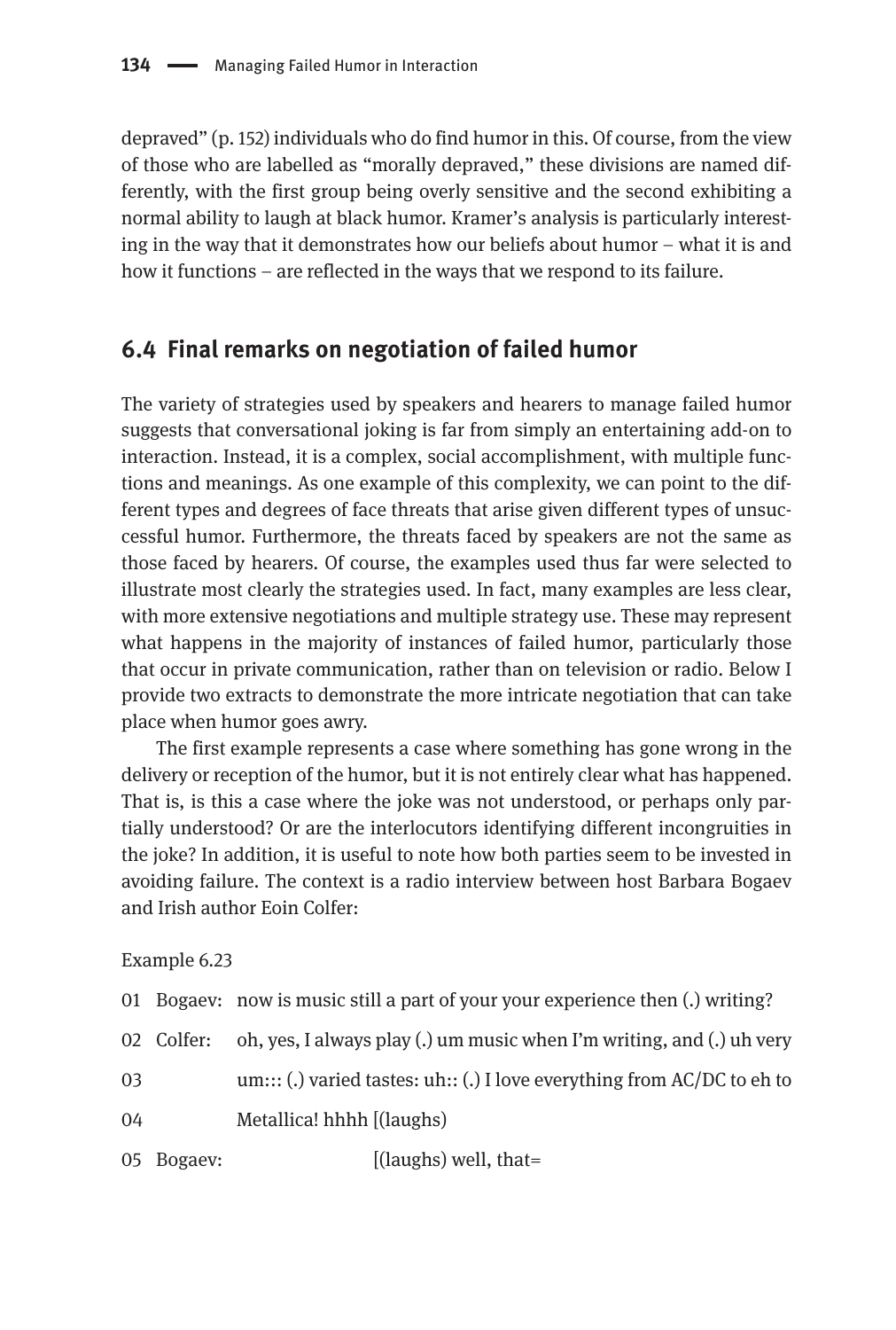depraved" (p. 152) individuals who do find humor in this. Of course, from the view of those who are labelled as "morally depraved," these divisions are named differently, with the first group being overly sensitive and the second exhibiting a normal ability to laugh at black humor. Kramer's analysis is particularly interesting in the way that it demonstrates how our beliefs about humor – what it is and how it functions – are reflected in the ways that we respond to its failure.

# **6.4 Final remarks on negotiation of failed humor**

The variety of strategies used by speakers and hearers to manage failed humor suggests that conversational joking is far from simply an entertaining add-on to interaction. Instead, it is a complex, social accomplishment, with multiple functions and meanings. As one example of this complexity, we can point to the different types and degrees of face threats that arise given different types of unsuccessful humor. Furthermore, the threats faced by speakers are not the same as those faced by hearers. Of course, the examples used thus far were selected to illustrate most clearly the strategies used. In fact, many examples are less clear, with more extensive negotiations and multiple strategy use. These may represent what happens in the majority of instances of failed humor, particularly those that occur in private communication, rather than on television or radio. Below I provide two extracts to demonstrate the more intricate negotiation that can take place when humor goes awry.

The first example represents a case where something has gone wrong in the delivery or reception of the humor, but it is not entirely clear what has happened. That is, is this a case where the joke was not understood, or perhaps only partially understood? Or are the interlocutors identifying different incongruities in the joke? In addition, it is useful to note how both parties seem to be invested in avoiding failure. The context is a radio interview between host Barbara Bogaev and Irish author Eoin Colfer:

### Example 6.23

- 01 Bogaev: now is music still a part of your your experience then (.) writing?
- 02 Colfer: oh, yes, I always play (.) um music when I'm writing, and (.) uh very
- 03 um::: (.) varied tastes: uh:: (.) I love everything from AC/DC to eh to
- 04 Metallica! hhhh [(laughs)
- 05 Bogaev: [(laughs) well, that=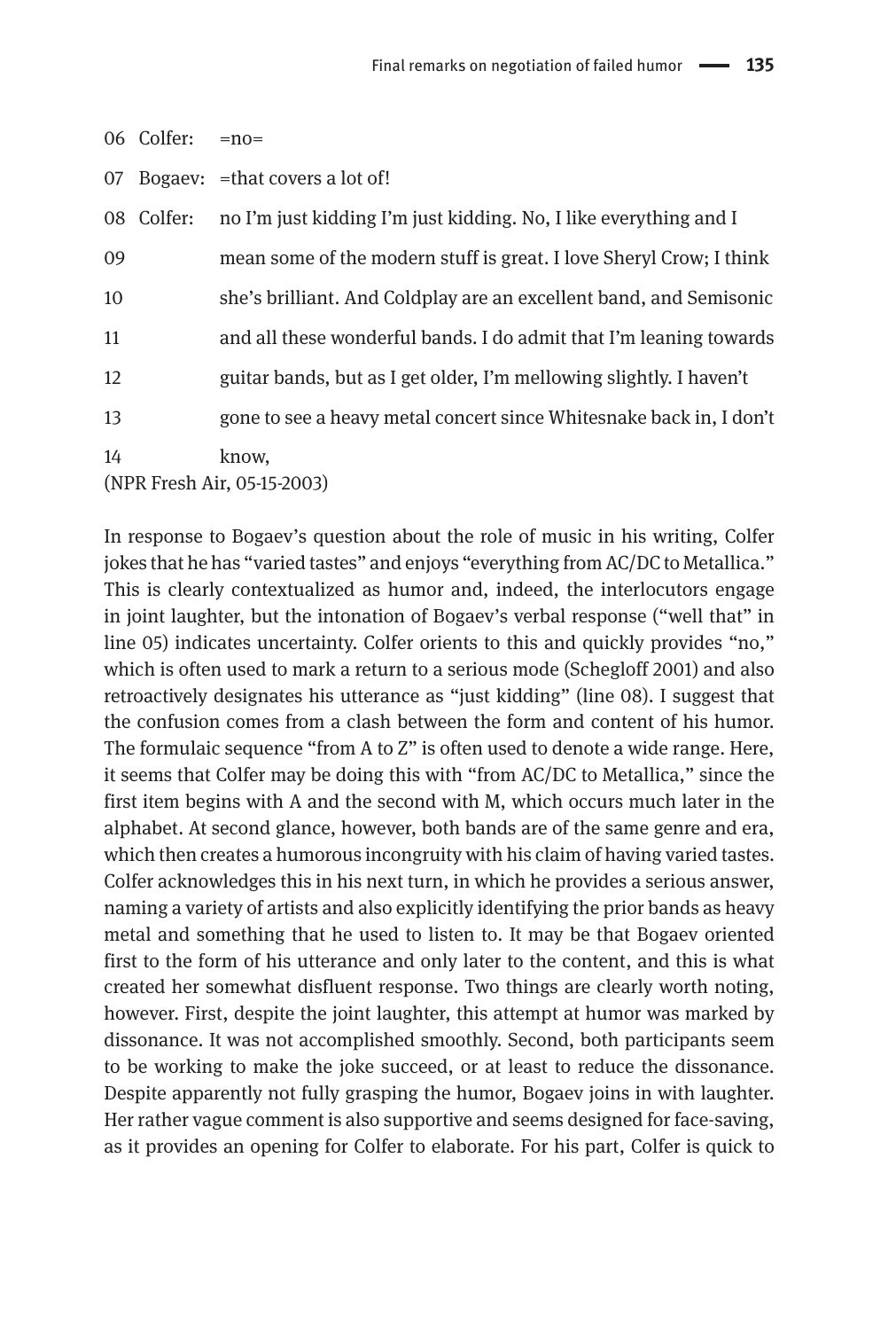|                                            | 06 Colfer: | $=no=$                                                              |
|--------------------------------------------|------------|---------------------------------------------------------------------|
|                                            |            | 07 Bogaey: = that covers a lot of!                                  |
|                                            | 08 Colfer: | no I'm just kidding I'm just kidding. No, I like everything and I   |
| 09                                         |            | mean some of the modern stuff is great. I love Sheryl Crow; I think |
| 10                                         |            | she's brilliant. And Coldplay are an excellent band, and Semisonic  |
| 11                                         |            | and all these wonderful bands. I do admit that I'm leaning towards  |
| 12                                         |            | guitar bands, but as I get older, I'm mellowing slightly. I haven't |
| 13                                         |            | gone to see a heavy metal concert since Whitesnake back in, I don't |
| 14<br>know,<br>(NPR Fresh Air, 05-15-2003) |            |                                                                     |

In response to Bogaev's question about the role of music in his writing, Colfer jokes that he has "varied tastes" and enjoys "everything from AC/DC to Metallica." This is clearly contextualized as humor and, indeed, the interlocutors engage in joint laughter, but the intonation of Bogaev's verbal response ("well that" in line 05) indicates uncertainty. Colfer orients to this and quickly provides "no," which is often used to mark a return to a serious mode (Schegloff 2001) and also retroactively designates his utterance as "just kidding" (line 08). I suggest that the confusion comes from a clash between the form and content of his humor. The formulaic sequence "from A to Z" is often used to denote a wide range. Here, it seems that Colfer may be doing this with "from AC/DC to Metallica," since the first item begins with A and the second with M, which occurs much later in the alphabet. At second glance, however, both bands are of the same genre and era, which then creates a humorous incongruity with his claim of having varied tastes. Colfer acknowledges this in his next turn, in which he provides a serious answer, naming a variety of artists and also explicitly identifying the prior bands as heavy metal and something that he used to listen to. It may be that Bogaev oriented first to the form of his utterance and only later to the content, and this is what created her somewhat disfluent response. Two things are clearly worth noting, however. First, despite the joint laughter, this attempt at humor was marked by dissonance. It was not accomplished smoothly. Second, both participants seem to be working to make the joke succeed, or at least to reduce the dissonance. Despite apparently not fully grasping the humor, Bogaev joins in with laughter. Her rather vague comment is also supportive and seems designed for face-saving, as it provides an opening for Colfer to elaborate. For his part, Colfer is quick to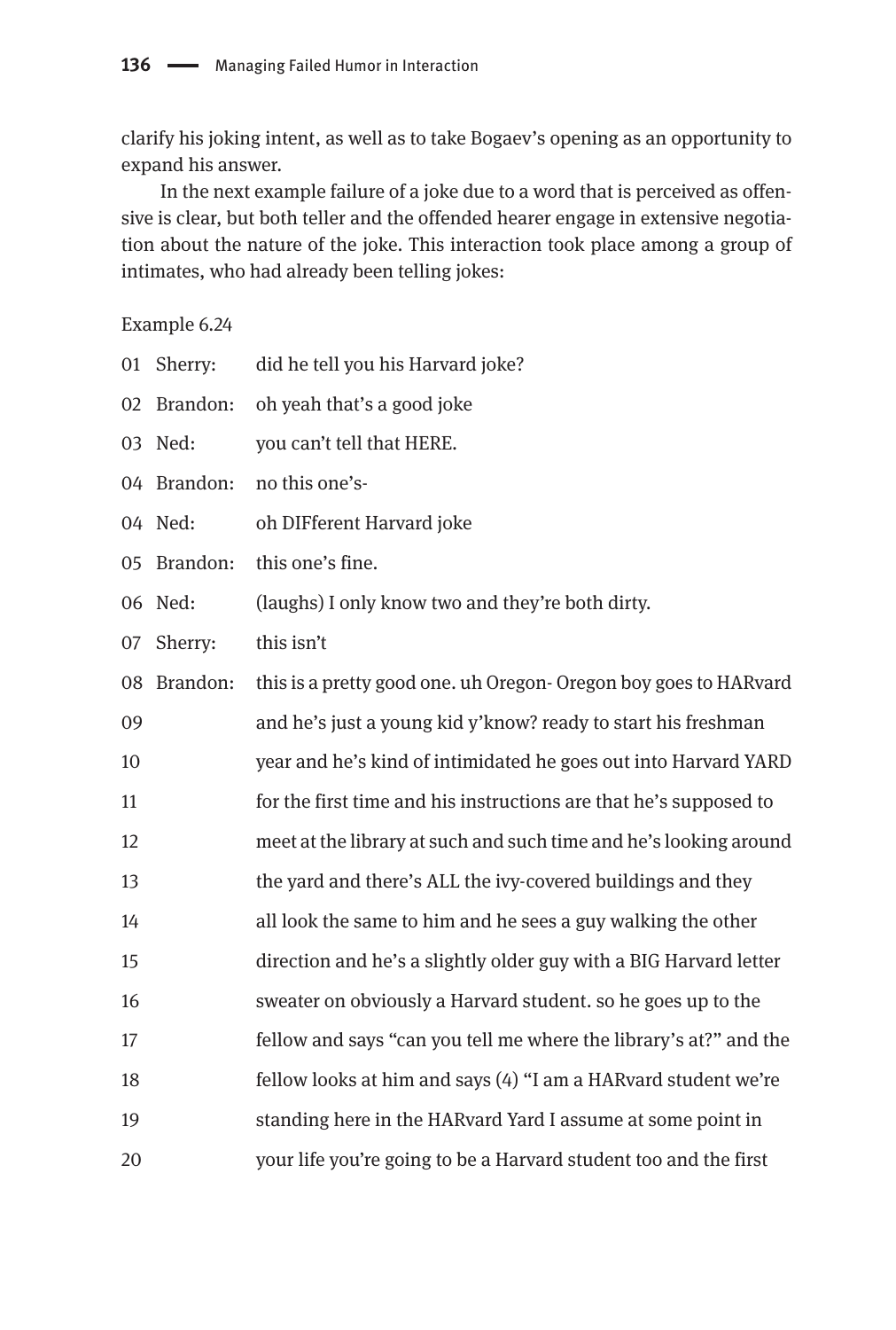clarify his joking intent, as well as to take Bogaev's opening as an opportunity to expand his answer.

 In the next example failure of a joke due to a word that is perceived as offensive is clear, but both teller and the offended hearer engage in extensive negotiation about the nature of the joke. This interaction took place among a group of intimates, who had already been telling jokes:

Example 6.24

|    | 01 Sherry:  | did he tell you his Harvard joke?                                 |
|----|-------------|-------------------------------------------------------------------|
| 02 | Brandon:    | oh yeah that's a good joke                                        |
|    | 03 Ned:     | you can't tell that HERE.                                         |
|    | 04 Brandon: | no this one's-                                                    |
|    | 04 Ned:     | oh DIFferent Harvard joke                                         |
| 05 | Brandon:    | this one's fine.                                                  |
|    | 06 Ned:     | (laughs) I only know two and they're both dirty.                  |
| 07 | Sherry:     | this isn't                                                        |
|    | 08 Brandon: | this is a pretty good one. uh Oregon-Oregon boy goes to HARvard   |
| 09 |             | and he's just a young kid y'know? ready to start his freshman     |
| 10 |             | year and he's kind of intimidated he goes out into Harvard YARD   |
| 11 |             | for the first time and his instructions are that he's supposed to |
| 12 |             | meet at the library at such and such time and he's looking around |
| 13 |             | the yard and there's ALL the ivy-covered buildings and they       |
| 14 |             | all look the same to him and he sees a guy walking the other      |
| 15 |             | direction and he's a slightly older guy with a BIG Harvard letter |
| 16 |             | sweater on obviously a Harvard student. so he goes up to the      |
| 17 |             | fellow and says "can you tell me where the library's at?" and the |
| 18 |             | fellow looks at him and says (4) "I am a HARvard student we're    |
| 19 |             | standing here in the HARvard Yard I assume at some point in       |
| 20 |             | your life you're going to be a Harvard student too and the first  |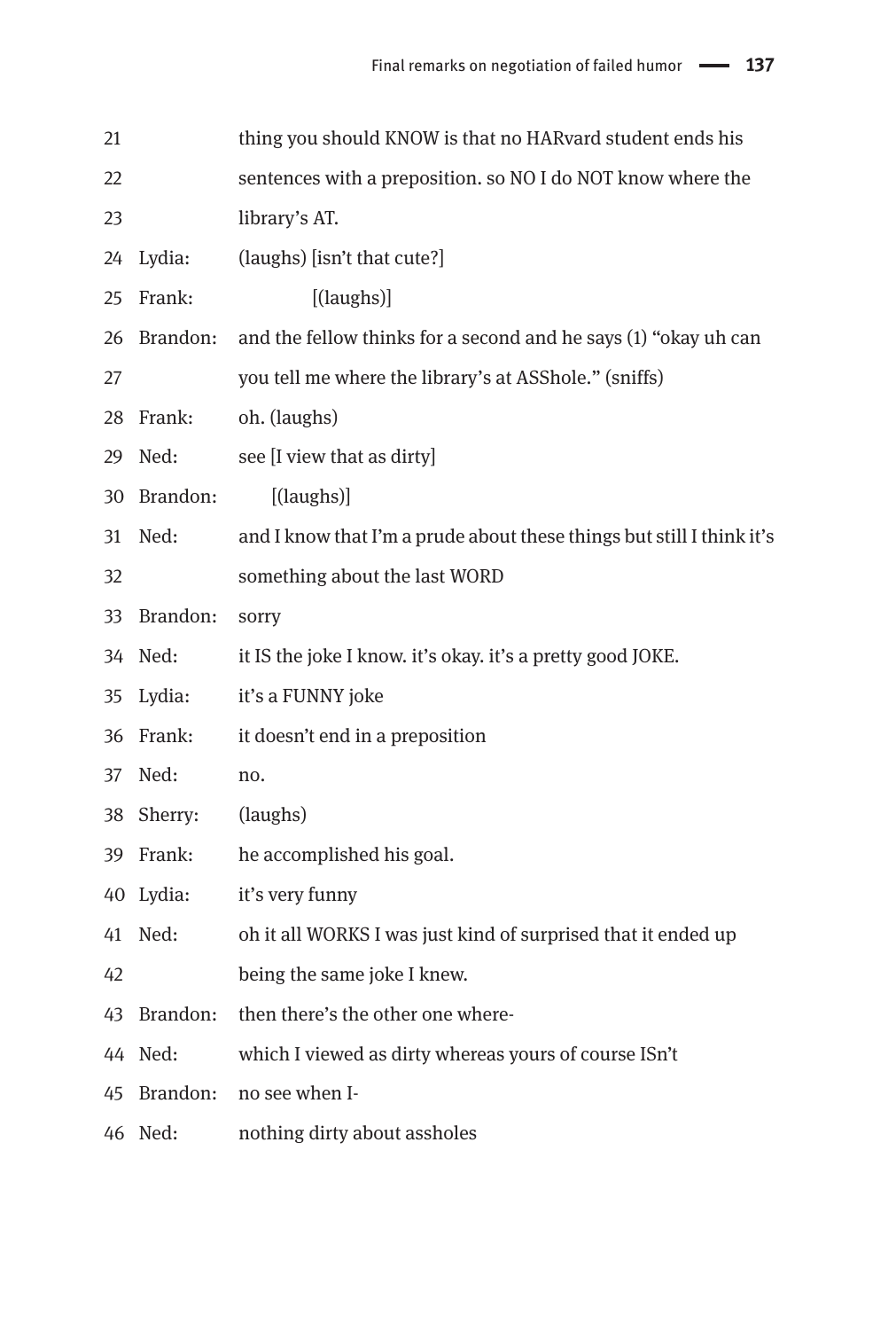| 21 |          | thing you should KNOW is that no HARvard student ends his             |
|----|----------|-----------------------------------------------------------------------|
| 22 |          | sentences with a preposition. so NO I do NOT know where the           |
| 23 |          | library's AT.                                                         |
| 24 | Lydia:   | (laughs) [isn't that cute?]                                           |
| 25 | Frank:   | $[$ (laughs) $]$                                                      |
| 26 | Brandon: | and the fellow thinks for a second and he says (1) "okay uh can       |
| 27 |          | you tell me where the library's at ASShole." (sniffs)                 |
| 28 | Frank:   | oh. (laughs)                                                          |
| 29 | Ned:     | see [I view that as dirty]                                            |
| 30 | Brandon: | $[$ (laughs) $]$                                                      |
| 31 | Ned:     | and I know that I'm a prude about these things but still I think it's |
| 32 |          | something about the last WORD                                         |
| 33 | Brandon: | sorry                                                                 |
| 34 | Ned:     | it IS the joke I know. it's okay. it's a pretty good JOKE.            |
| 35 | Lydia:   | it's a FUNNY joke                                                     |
| 36 | Frank:   | it doesn't end in a preposition                                       |
| 37 | Ned:     | no.                                                                   |
| 38 | Sherry:  | (laughs)                                                              |
| 39 | Frank:   | he accomplished his goal.                                             |
| 40 | Lydia:   | it's very funny                                                       |
| 41 | Ned:     | oh it all WORKS I was just kind of surprised that it ended up         |
| 42 |          | being the same joke I knew.                                           |
| 43 | Brandon: | then there's the other one where-                                     |
| 44 | Ned:     | which I viewed as dirty whereas yours of course ISn't                 |
| 45 | Brandon: | no see when I-                                                        |
|    | 46 Ned:  | nothing dirty about assholes                                          |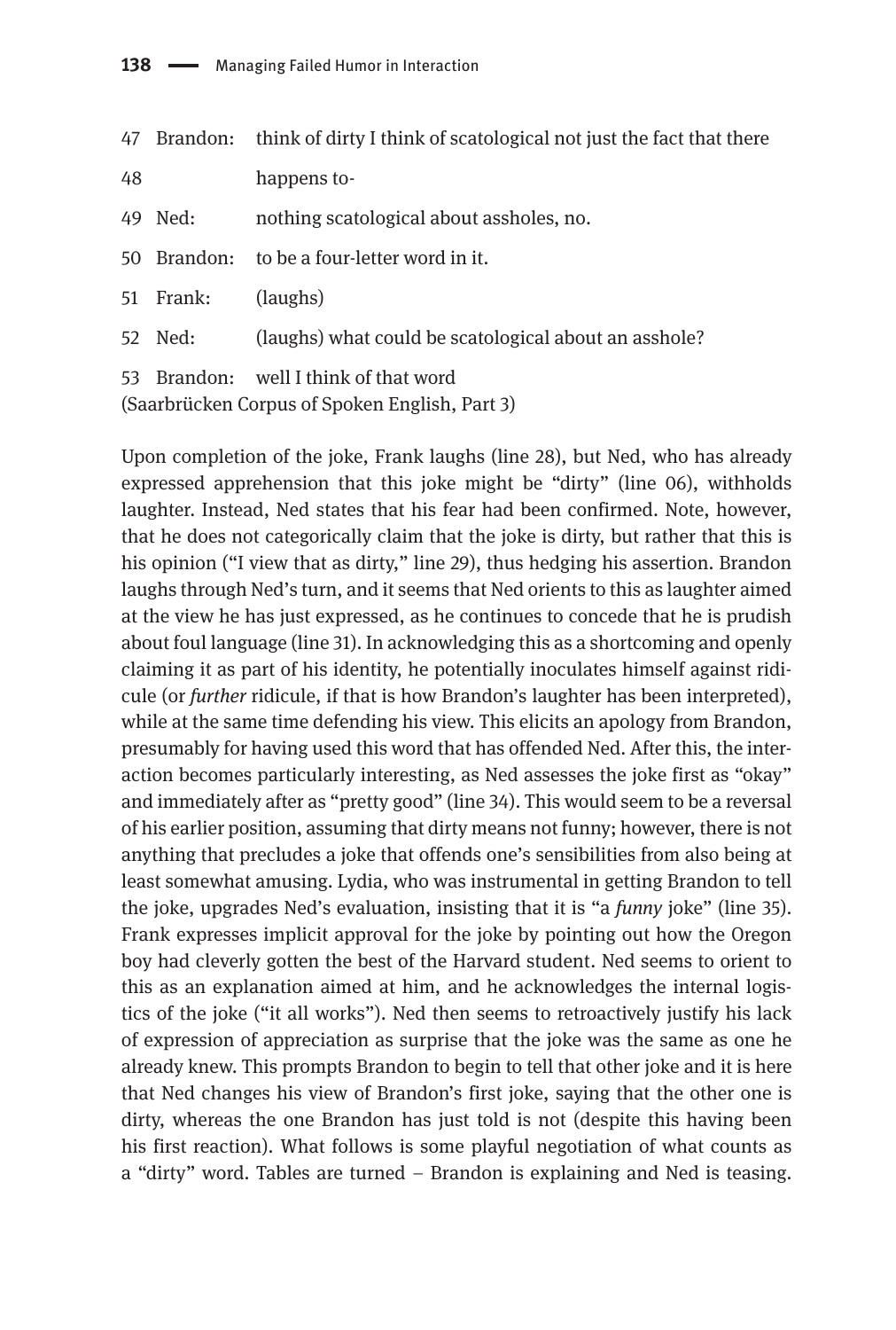|    | 47 Brandon:                                    | think of dirty I think of scatological not just the fact that there |  |  |
|----|------------------------------------------------|---------------------------------------------------------------------|--|--|
| 48 |                                                | happens to-                                                         |  |  |
|    | 49 Ned:                                        | nothing scatological about as sholes, no.                           |  |  |
|    | 50 Brandon:                                    | to be a four-letter word in it.                                     |  |  |
|    | 51 Frank:                                      | (laughs)                                                            |  |  |
|    | 52 Ned:                                        | (laughs) what could be scatological about an asshole?               |  |  |
| 53 |                                                | Brandon: well I think of that word                                  |  |  |
|    | (Saarbrücken Corpus of Spoken English, Part 3) |                                                                     |  |  |

Upon completion of the joke, Frank laughs (line 28), but Ned, who has already expressed apprehension that this joke might be "dirty" (line 06), withholds laughter. Instead, Ned states that his fear had been confirmed. Note, however, that he does not categorically claim that the joke is dirty, but rather that this is his opinion ("I view that as dirty," line 29), thus hedging his assertion. Brandon laughs through Ned's turn, and it seems that Ned orients to this as laughter aimed at the view he has just expressed, as he continues to concede that he is prudish about foul language (line 31). In acknowledging this as a shortcoming and openly claiming it as part of his identity, he potentially inoculates himself against ridicule (or *further* ridicule, if that is how Brandon's laughter has been interpreted), while at the same time defending his view. This elicits an apology from Brandon, presumably for having used this word that has offended Ned. After this, the interaction becomes particularly interesting, as Ned assesses the joke first as "okay" and immediately after as "pretty good" (line 34). This would seem to be a reversal of his earlier position, assuming that dirty means not funny; however, there is not anything that precludes a joke that offends one's sensibilities from also being at least somewhat amusing. Lydia, who was instrumental in getting Brandon to tell the joke, upgrades Ned's evaluation, insisting that it is "a *funny* joke" (line 35). Frank expresses implicit approval for the joke by pointing out how the Oregon boy had cleverly gotten the best of the Harvard student. Ned seems to orient to this as an explanation aimed at him, and he acknowledges the internal logistics of the joke ("it all works"). Ned then seems to retroactively justify his lack of expression of appreciation as surprise that the joke was the same as one he already knew. This prompts Brandon to begin to tell that other joke and it is here that Ned changes his view of Brandon's first joke, saying that the other one is dirty, whereas the one Brandon has just told is not (despite this having been his first reaction). What follows is some playful negotiation of what counts as a "dirty" word. Tables are turned – Brandon is explaining and Ned is teasing.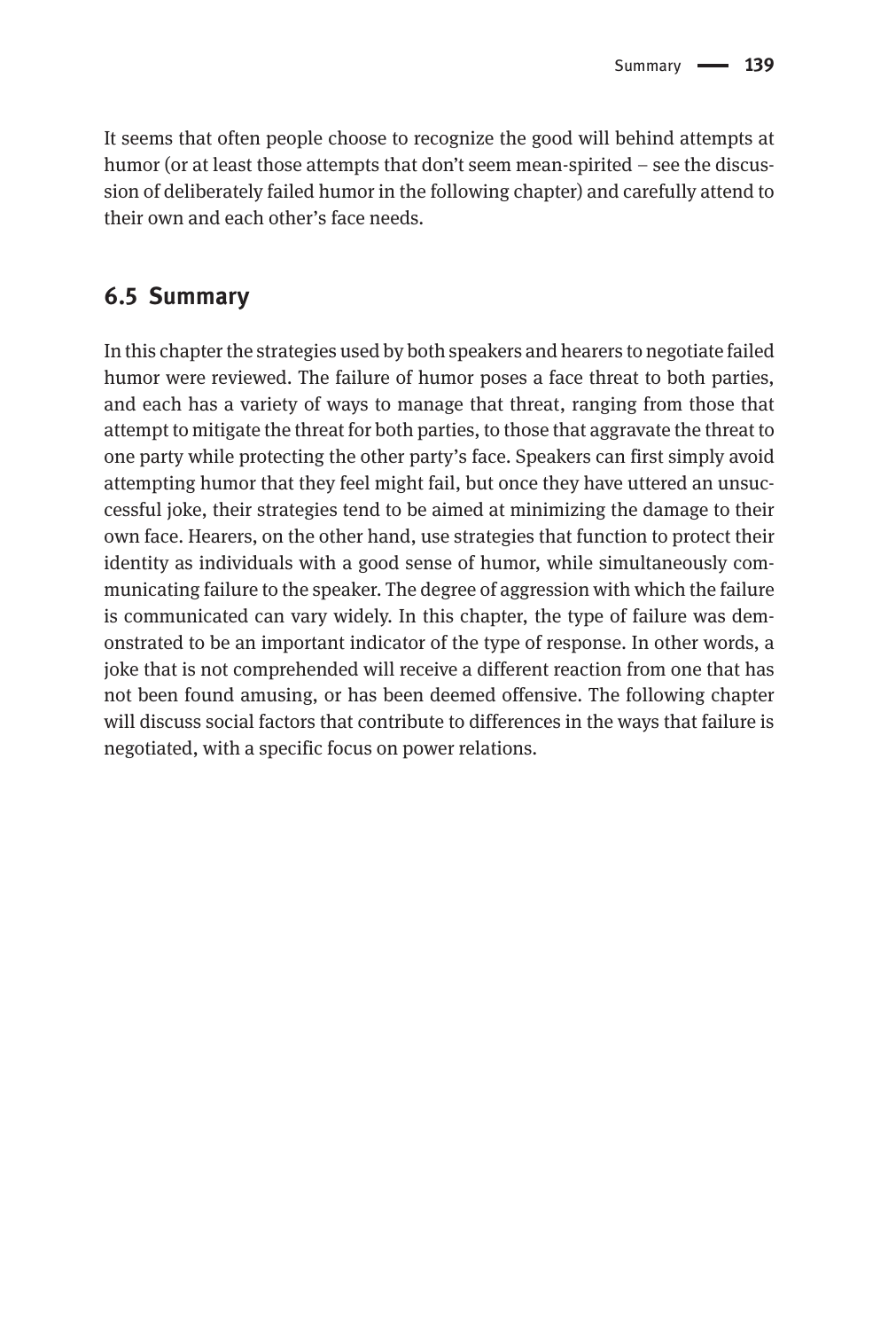It seems that often people choose to recognize the good will behind attempts at humor (or at least those attempts that don't seem mean-spirited – see the discussion of deliberately failed humor in the following chapter) and carefully attend to their own and each other's face needs.

## **6.5 Summary**

In this chapter the strategies used by both speakers and hearers to negotiate failed humor were reviewed. The failure of humor poses a face threat to both parties, and each has a variety of ways to manage that threat, ranging from those that attempt to mitigate the threat for both parties, to those that aggravate the threat to one party while protecting the other party's face. Speakers can first simply avoid attempting humor that they feel might fail, but once they have uttered an unsuccessful joke, their strategies tend to be aimed at minimizing the damage to their own face. Hearers, on the other hand, use strategies that function to protect their identity as individuals with a good sense of humor, while simultaneously communicating failure to the speaker. The degree of aggression with which the failure is communicated can vary widely. In this chapter, the type of failure was demonstrated to be an important indicator of the type of response. In other words, a joke that is not comprehended will receive a different reaction from one that has not been found amusing, or has been deemed offensive. The following chapter will discuss social factors that contribute to differences in the ways that failure is negotiated, with a specific focus on power relations.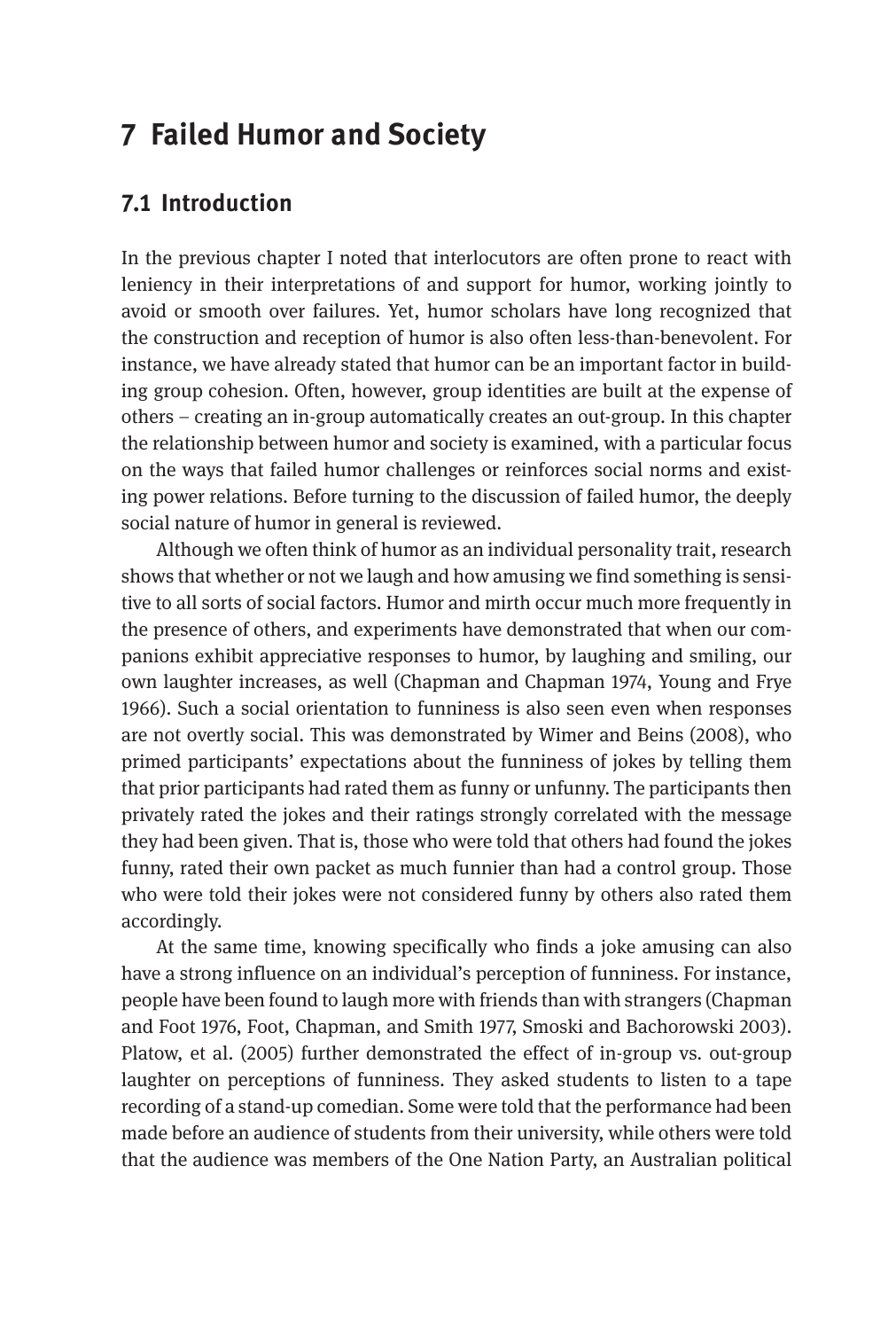# **7 Failed Humor and Society**

## **7.1 Introduction**

In the previous chapter I noted that interlocutors are often prone to react with leniency in their interpretations of and support for humor, working jointly to avoid or smooth over failures. Yet, humor scholars have long recognized that the construction and reception of humor is also often less-than-benevolent. For instance, we have already stated that humor can be an important factor in building group cohesion. Often, however, group identities are built at the expense of others – creating an in-group automatically creates an out-group. In this chapter the relationship between humor and society is examined, with a particular focus on the ways that failed humor challenges or reinforces social norms and existing power relations. Before turning to the discussion of failed humor, the deeply social nature of humor in general is reviewed.

Although we often think of humor as an individual personality trait, research shows that whether or not we laugh and how amusing we find something is sensitive to all sorts of social factors. Humor and mirth occur much more frequently in the presence of others, and experiments have demonstrated that when our companions exhibit appreciative responses to humor, by laughing and smiling, our own laughter increases, as well (Chapman and Chapman 1974, Young and Frye 1966). Such a social orientation to funniness is also seen even when responses are not overtly social. This was demonstrated by Wimer and Beins (2008), who primed participants' expectations about the funniness of jokes by telling them that prior participants had rated them as funny or unfunny. The participants then privately rated the jokes and their ratings strongly correlated with the message they had been given. That is, those who were told that others had found the jokes funny, rated their own packet as much funnier than had a control group. Those who were told their jokes were not considered funny by others also rated them accordingly.

At the same time, knowing specifically who finds a joke amusing can also have a strong influence on an individual's perception of funniness. For instance, people have been found to laugh more with friends than with strangers (Chapman and Foot 1976, Foot, Chapman, and Smith 1977, Smoski and Bachorowski 2003). Platow, et al. (2005) further demonstrated the effect of in-group vs. out-group laughter on perceptions of funniness. They asked students to listen to a tape recording of a stand-up comedian. Some were told that the performance had been made before an audience of students from their university, while others were told that the audience was members of the One Nation Party, an Australian political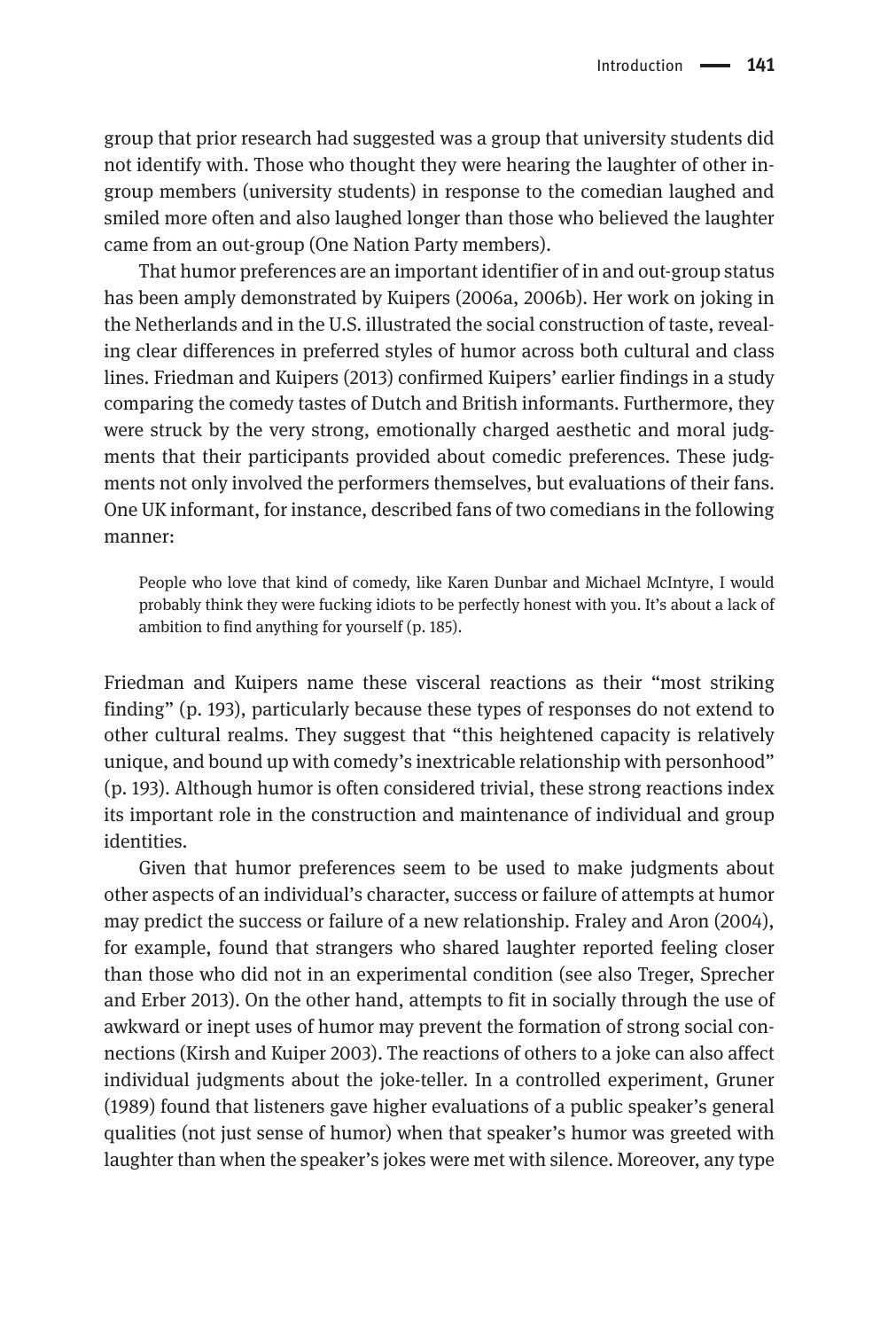group that prior research had suggested was a group that university students did not identify with. Those who thought they were hearing the laughter of other ingroup members (university students) in response to the comedian laughed and smiled more often and also laughed longer than those who believed the laughter came from an out-group (One Nation Party members).

That humor preferences are an important identifier of in and out-group status has been amply demonstrated by Kuipers (2006a, 2006b). Her work on joking in the Netherlands and in the U.S. illustrated the social construction of taste, revealing clear differences in preferred styles of humor across both cultural and class lines. Friedman and Kuipers (2013) confirmed Kuipers' earlier findings in a study comparing the comedy tastes of Dutch and British informants. Furthermore, they were struck by the very strong, emotionally charged aesthetic and moral judgments that their participants provided about comedic preferences. These judgments not only involved the performers themselves, but evaluations of their fans. One UK informant, for instance, described fans of two comedians in the following manner:

People who love that kind of comedy, like Karen Dunbar and Michael McIntyre, I would probably think they were fucking idiots to be perfectly honest with you. It's about a lack of ambition to find anything for yourself (p. 185).

Friedman and Kuipers name these visceral reactions as their "most striking finding" (p. 193), particularly because these types of responses do not extend to other cultural realms. They suggest that "this heightened capacity is relatively unique, and bound up with comedy's inextricable relationship with personhood" (p. 193). Although humor is often considered trivial, these strong reactions index its important role in the construction and maintenance of individual and group identities.

Given that humor preferences seem to be used to make judgments about other aspects of an individual's character, success or failure of attempts at humor may predict the success or failure of a new relationship. Fraley and Aron (2004), for example, found that strangers who shared laughter reported feeling closer than those who did not in an experimental condition (see also Treger, Sprecher and Erber 2013). On the other hand, attempts to fit in socially through the use of awkward or inept uses of humor may prevent the formation of strong social connections (Kirsh and Kuiper 2003). The reactions of others to a joke can also affect individual judgments about the joke-teller. In a controlled experiment, Gruner (1989) found that listeners gave higher evaluations of a public speaker's general qualities (not just sense of humor) when that speaker's humor was greeted with laughter than when the speaker's jokes were met with silence. Moreover, any type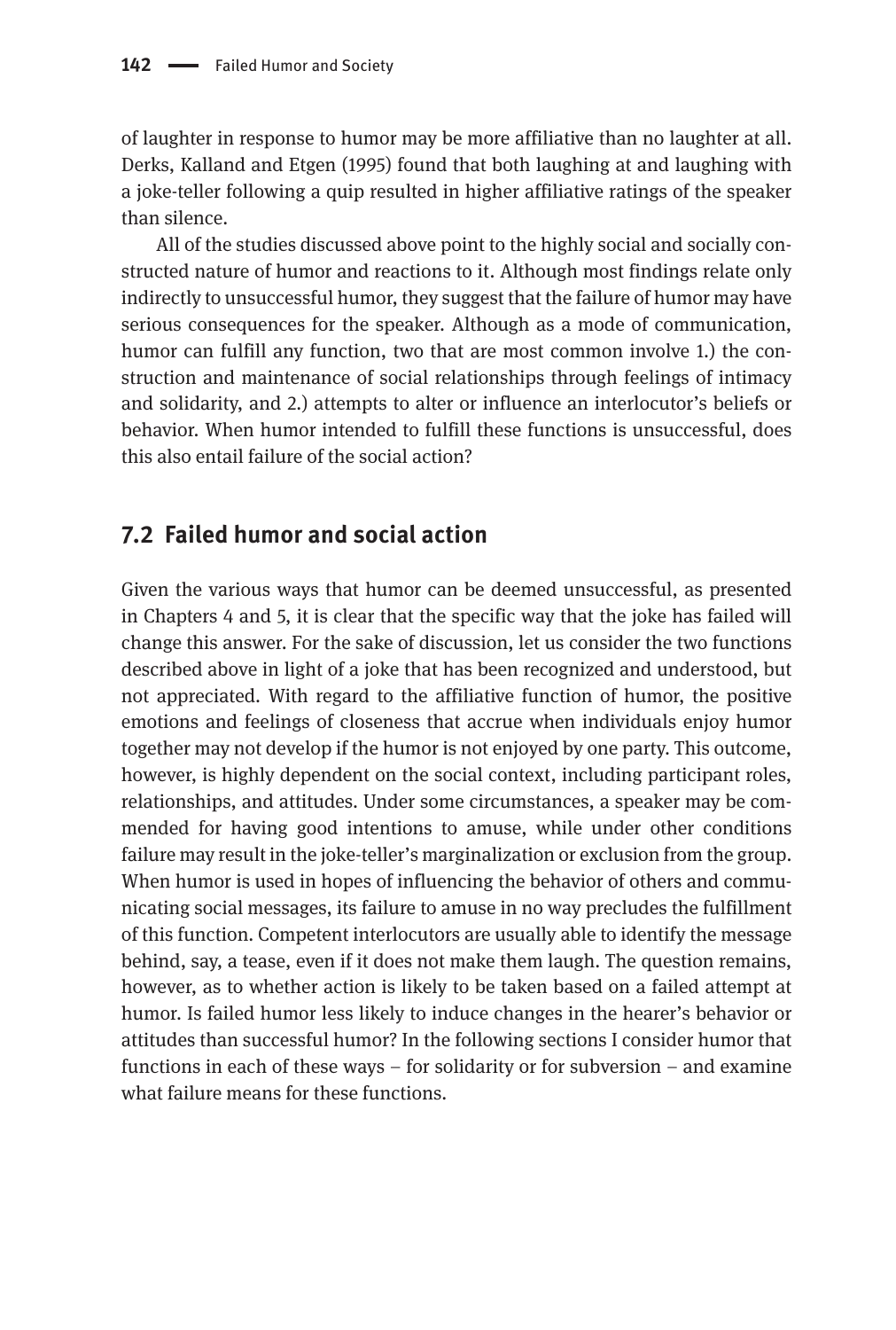of laughter in response to humor may be more affiliative than no laughter at all. Derks, Kalland and Etgen (1995) found that both laughing at and laughing with a joke-teller following a quip resulted in higher affiliative ratings of the speaker than silence.

All of the studies discussed above point to the highly social and socially constructed nature of humor and reactions to it. Although most findings relate only indirectly to unsuccessful humor, they suggest that the failure of humor may have serious consequences for the speaker. Although as a mode of communication, humor can fulfill any function, two that are most common involve 1.) the construction and maintenance of social relationships through feelings of intimacy and solidarity, and 2.) attempts to alter or influence an interlocutor's beliefs or behavior. When humor intended to fulfill these functions is unsuccessful, does this also entail failure of the social action?

## **7.2 Failed humor and social action**

Given the various ways that humor can be deemed unsuccessful, as presented in Chapters 4 and 5, it is clear that the specific way that the joke has failed will change this answer. For the sake of discussion, let us consider the two functions described above in light of a joke that has been recognized and understood, but not appreciated. With regard to the affiliative function of humor, the positive emotions and feelings of closeness that accrue when individuals enjoy humor together may not develop if the humor is not enjoyed by one party. This outcome, however, is highly dependent on the social context, including participant roles, relationships, and attitudes. Under some circumstances, a speaker may be commended for having good intentions to amuse, while under other conditions failure may result in the joke-teller's marginalization or exclusion from the group. When humor is used in hopes of influencing the behavior of others and communicating social messages, its failure to amuse in no way precludes the fulfillment of this function. Competent interlocutors are usually able to identify the message behind, say, a tease, even if it does not make them laugh. The question remains, however, as to whether action is likely to be taken based on a failed attempt at humor. Is failed humor less likely to induce changes in the hearer's behavior or attitudes than successful humor? In the following sections I consider humor that functions in each of these ways – for solidarity or for subversion – and examine what failure means for these functions.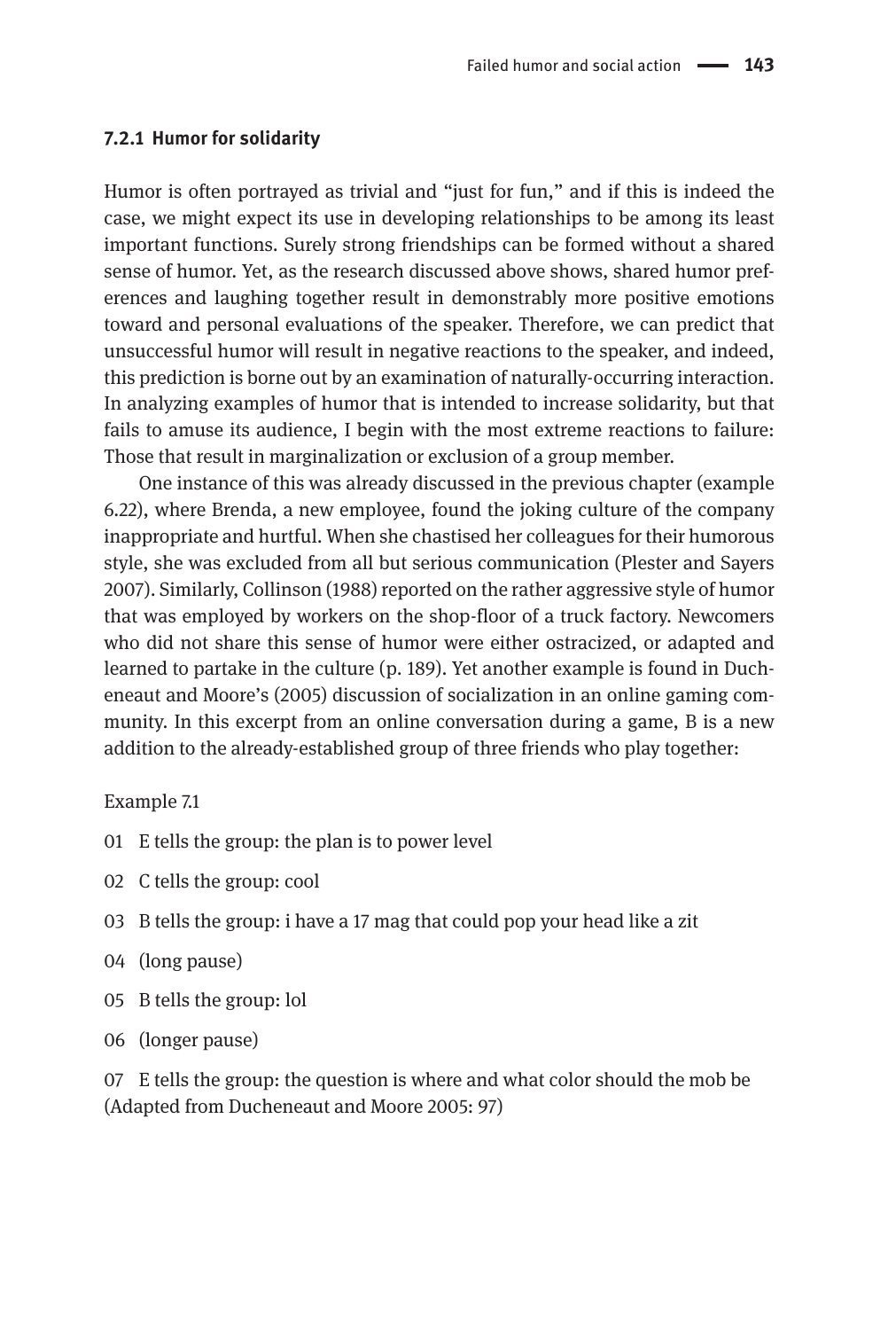#### **7.2.1 Humor for solidarity**

Humor is often portrayed as trivial and "just for fun," and if this is indeed the case, we might expect its use in developing relationships to be among its least important functions. Surely strong friendships can be formed without a shared sense of humor. Yet, as the research discussed above shows, shared humor preferences and laughing together result in demonstrably more positive emotions toward and personal evaluations of the speaker. Therefore, we can predict that unsuccessful humor will result in negative reactions to the speaker, and indeed, this prediction is borne out by an examination of naturally-occurring interaction. In analyzing examples of humor that is intended to increase solidarity, but that fails to amuse its audience, I begin with the most extreme reactions to failure: Those that result in marginalization or exclusion of a group member.

One instance of this was already discussed in the previous chapter (example 6.22), where Brenda, a new employee, found the joking culture of the company inappropriate and hurtful. When she chastised her colleagues for their humorous style, she was excluded from all but serious communication (Plester and Sayers 2007). Similarly, Collinson (1988) reported on the rather aggressive style of humor that was employed by workers on the shop-floor of a truck factory. Newcomers who did not share this sense of humor were either ostracized, or adapted and learned to partake in the culture (p. 189). Yet another example is found in Ducheneaut and Moore's (2005) discussion of socialization in an online gaming community. In this excerpt from an online conversation during a game, B is a new addition to the already-established group of three friends who play together:

#### Example 7.1

- 01 E tells the group: the plan is to power level
- 02 C tells the group: cool
- 03 B tells the group: i have a 17 mag that could pop your head like a zit
- 04 (long pause)
- 05 B tells the group: lol
- 06 (longer pause)

07 E tells the group: the question is where and what color should the mob be (Adapted from Ducheneaut and Moore 2005: 97)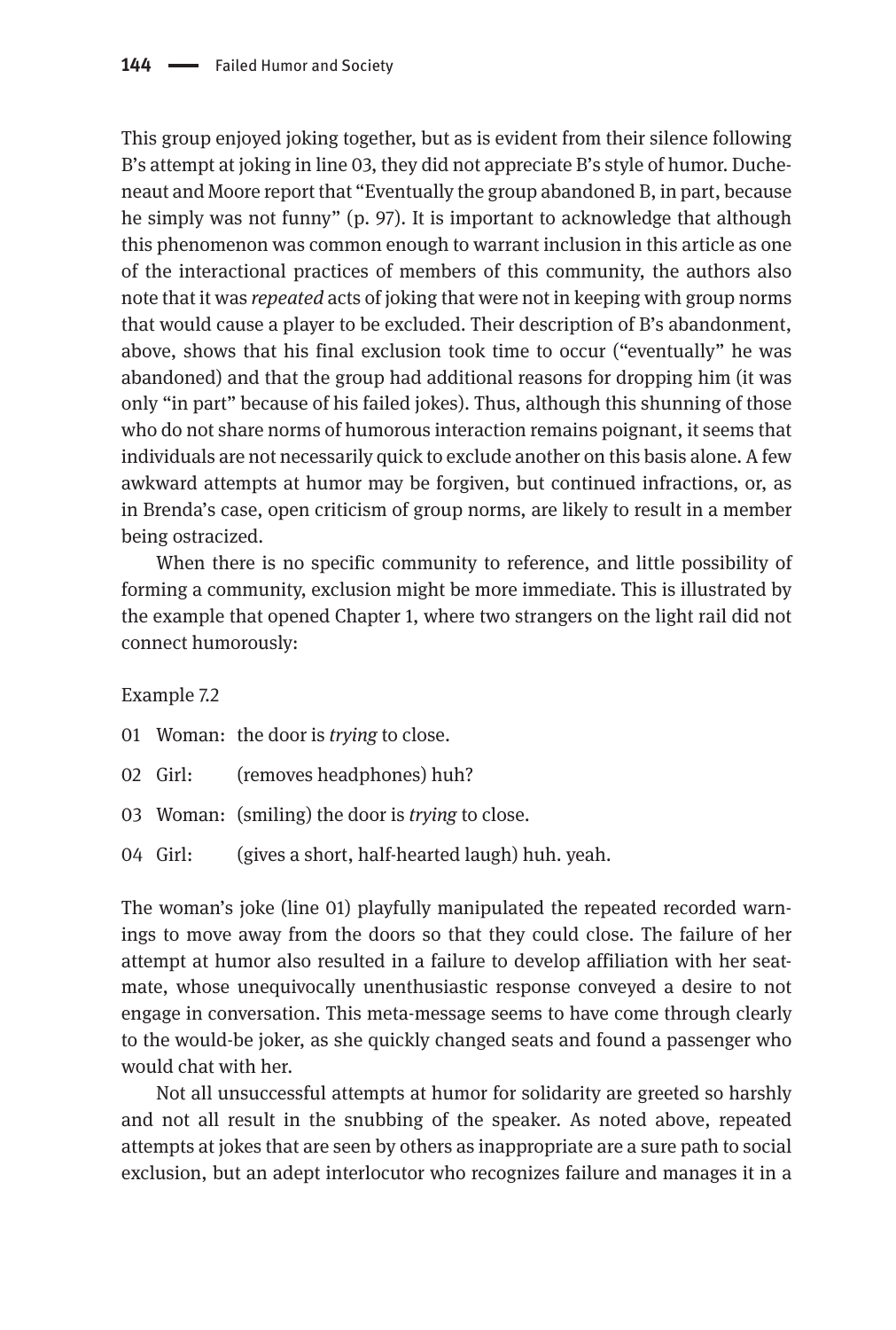This group enjoyed joking together, but as is evident from their silence following B's attempt at joking in line 03, they did not appreciate B's style of humor. Ducheneaut and Moore report that "Eventually the group abandoned B, in part, because he simply was not funny" (p. 97). It is important to acknowledge that although this phenomenon was common enough to warrant inclusion in this article as one of the interactional practices of members of this community, the authors also note that it was *repeated* acts of joking that were not in keeping with group norms that would cause a player to be excluded. Their description of B's abandonment, above, shows that his final exclusion took time to occur ("eventually" he was abandoned) and that the group had additional reasons for dropping him (it was only "in part" because of his failed jokes). Thus, although this shunning of those who do not share norms of humorous interaction remains poignant, it seems that individuals are not necessarily quick to exclude another on this basis alone. A few awkward attempts at humor may be forgiven, but continued infractions, or, as in Brenda's case, open criticism of group norms, are likely to result in a member being ostracized.

When there is no specific community to reference, and little possibility of forming a community, exclusion might be more immediate. This is illustrated by the example that opened Chapter 1, where two strangers on the light rail did not connect humorously:

#### Example 7.2

|  | 01 Woman: the door is <i>trying</i> to close.           |
|--|---------------------------------------------------------|
|  | 02 Girl: (removes headphones) huh?                      |
|  | 03 Woman: (smiling) the door is <i>trying</i> to close. |
|  | 04 Girl: (gives a short, half-hearted laugh) huh. yeah. |

The woman's joke (line 01) playfully manipulated the repeated recorded warnings to move away from the doors so that they could close. The failure of her attempt at humor also resulted in a failure to develop affiliation with her seatmate, whose unequivocally unenthusiastic response conveyed a desire to not engage in conversation. This meta-message seems to have come through clearly to the would-be joker, as she quickly changed seats and found a passenger who would chat with her.

Not all unsuccessful attempts at humor for solidarity are greeted so harshly and not all result in the snubbing of the speaker. As noted above, repeated attempts at jokes that are seen by others as inappropriate are a sure path to social exclusion, but an adept interlocutor who recognizes failure and manages it in a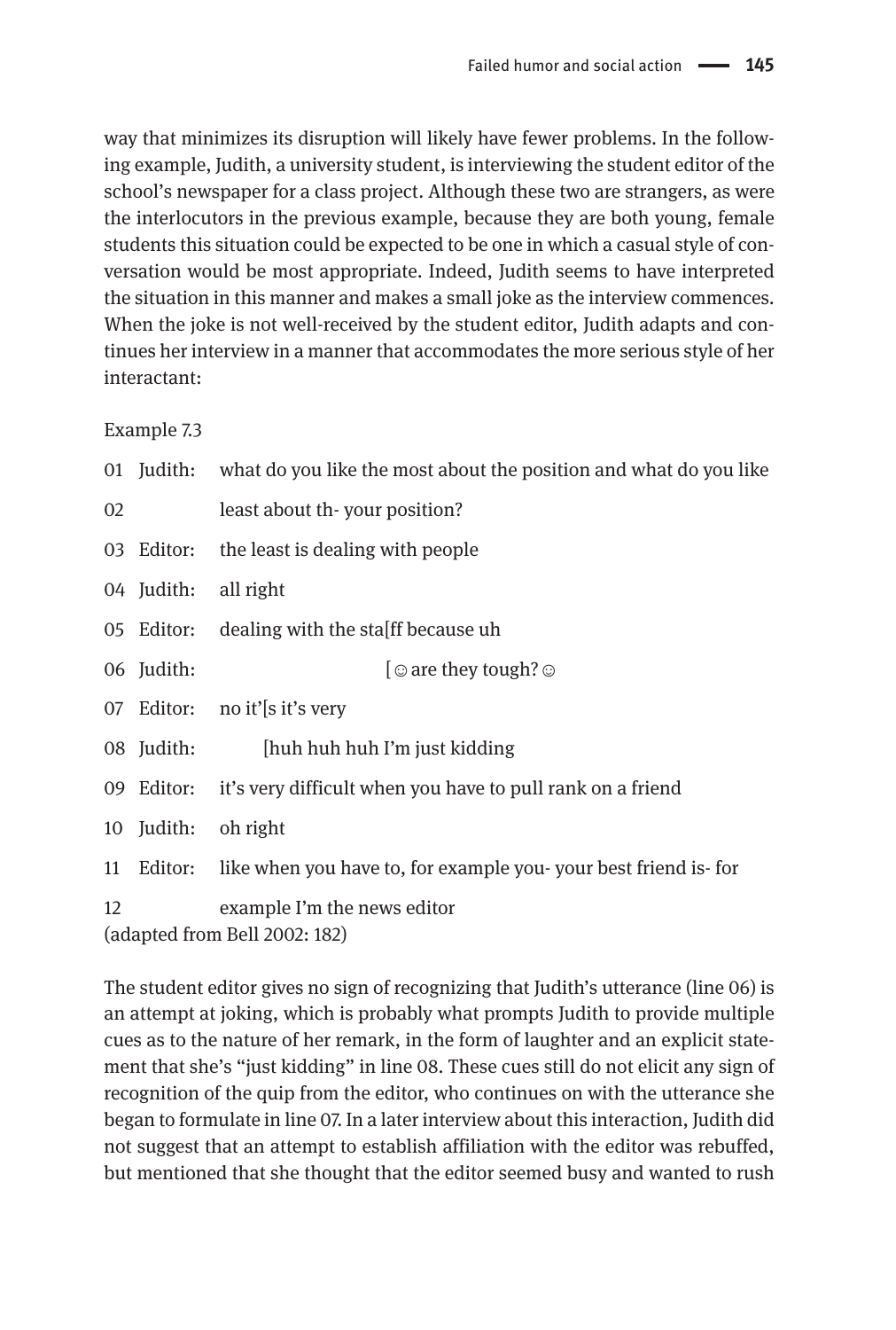way that minimizes its disruption will likely have fewer problems. In the following example, Judith, a university student, is interviewing the student editor of the school's newspaper for a class project. Although these two are strangers, as were the interlocutors in the previous example, because they are both young, female students this situation could be expected to be one in which a casual style of conversation would be most appropriate. Indeed, Judith seems to have interpreted the situation in this manner and makes a small joke as the interview commences. When the joke is not well-received by the student editor, Judith adapts and continues her interview in a manner that accommodates the more serious style of her interactant:

Example 7.3

|                                                                    |            | 01 Judith: what do you like the most about the position and what do you like |
|--------------------------------------------------------------------|------------|------------------------------------------------------------------------------|
| 02                                                                 |            | least about th-your position?                                                |
|                                                                    | 03 Editor: | the least is dealing with people                                             |
|                                                                    | 04 Judith: | all right                                                                    |
|                                                                    | 05 Editor: | dealing with the sta[ff because uh                                           |
|                                                                    | 06 Judith: | $\lbrack \odot$ are they tough? $\odot$                                      |
|                                                                    | 07 Editor: | no it'[s it's very                                                           |
|                                                                    | 08 Judith: | [huh huh huh I'm just kidding]                                               |
|                                                                    | 09 Editor: | it's very difficult when you have to pull rank on a friend                   |
|                                                                    | 10 Judith: | oh right                                                                     |
| 11                                                                 | Editor:    | like when you have to, for example you-your best friend is-for               |
| 12<br>example I'm the news editor<br>(adapted from Bell 2002: 182) |            |                                                                              |

The student editor gives no sign of recognizing that Judith's utterance (line 06) is an attempt at joking, which is probably what prompts Judith to provide multiple cues as to the nature of her remark, in the form of laughter and an explicit statement that she's "just kidding" in line 08. These cues still do not elicit any sign of recognition of the quip from the editor, who continues on with the utterance she began to formulate in line 07. In a later interview about this interaction, Judith did not suggest that an attempt to establish affiliation with the editor was rebuffed, but mentioned that she thought that the editor seemed busy and wanted to rush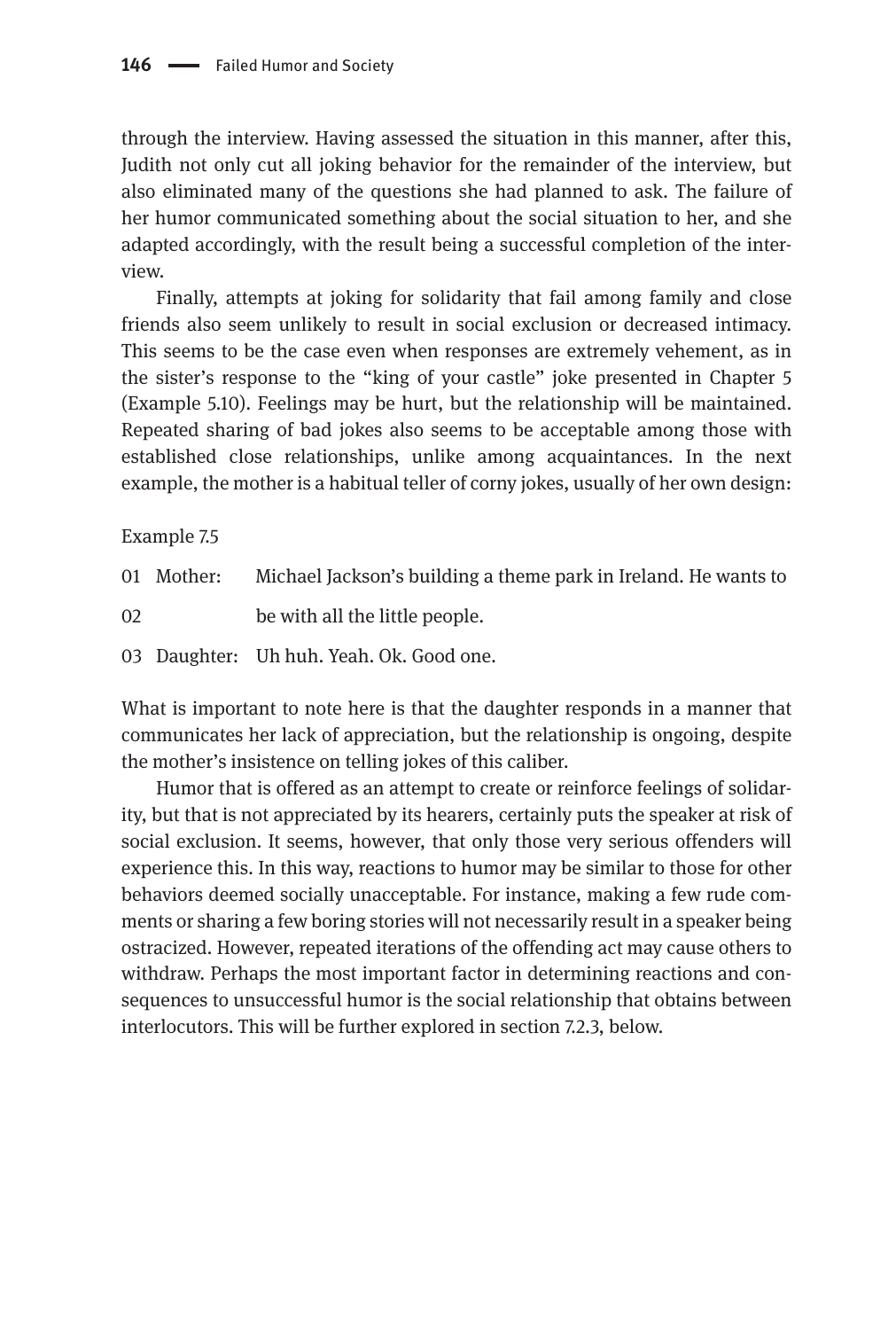through the interview. Having assessed the situation in this manner, after this, Judith not only cut all joking behavior for the remainder of the interview, but also eliminated many of the questions she had planned to ask. The failure of her humor communicated something about the social situation to her, and she adapted accordingly, with the result being a successful completion of the interview.

Finally, attempts at joking for solidarity that fail among family and close friends also seem unlikely to result in social exclusion or decreased intimacy. This seems to be the case even when responses are extremely vehement, as in the sister's response to the "king of your castle" joke presented in Chapter 5 (Example 5.10). Feelings may be hurt, but the relationship will be maintained. Repeated sharing of bad jokes also seems to be acceptable among those with established close relationships, unlike among acquaintances. In the next example, the mother is a habitual teller of corny jokes, usually of her own design:

Example 7.5

01 Mother: Michael Jackson's building a theme park in Ireland. He wants to 02 be with all the little people. 03 Daughter: Uh huh. Yeah. Ok. Good one.

What is important to note here is that the daughter responds in a manner that communicates her lack of appreciation, but the relationship is ongoing, despite the mother's insistence on telling jokes of this caliber.

Humor that is offered as an attempt to create or reinforce feelings of solidarity, but that is not appreciated by its hearers, certainly puts the speaker at risk of social exclusion. It seems, however, that only those very serious offenders will experience this. In this way, reactions to humor may be similar to those for other behaviors deemed socially unacceptable. For instance, making a few rude comments or sharing a few boring stories will not necessarily result in a speaker being ostracized. However, repeated iterations of the offending act may cause others to withdraw. Perhaps the most important factor in determining reactions and consequences to unsuccessful humor is the social relationship that obtains between interlocutors. This will be further explored in section 7.2.3, below.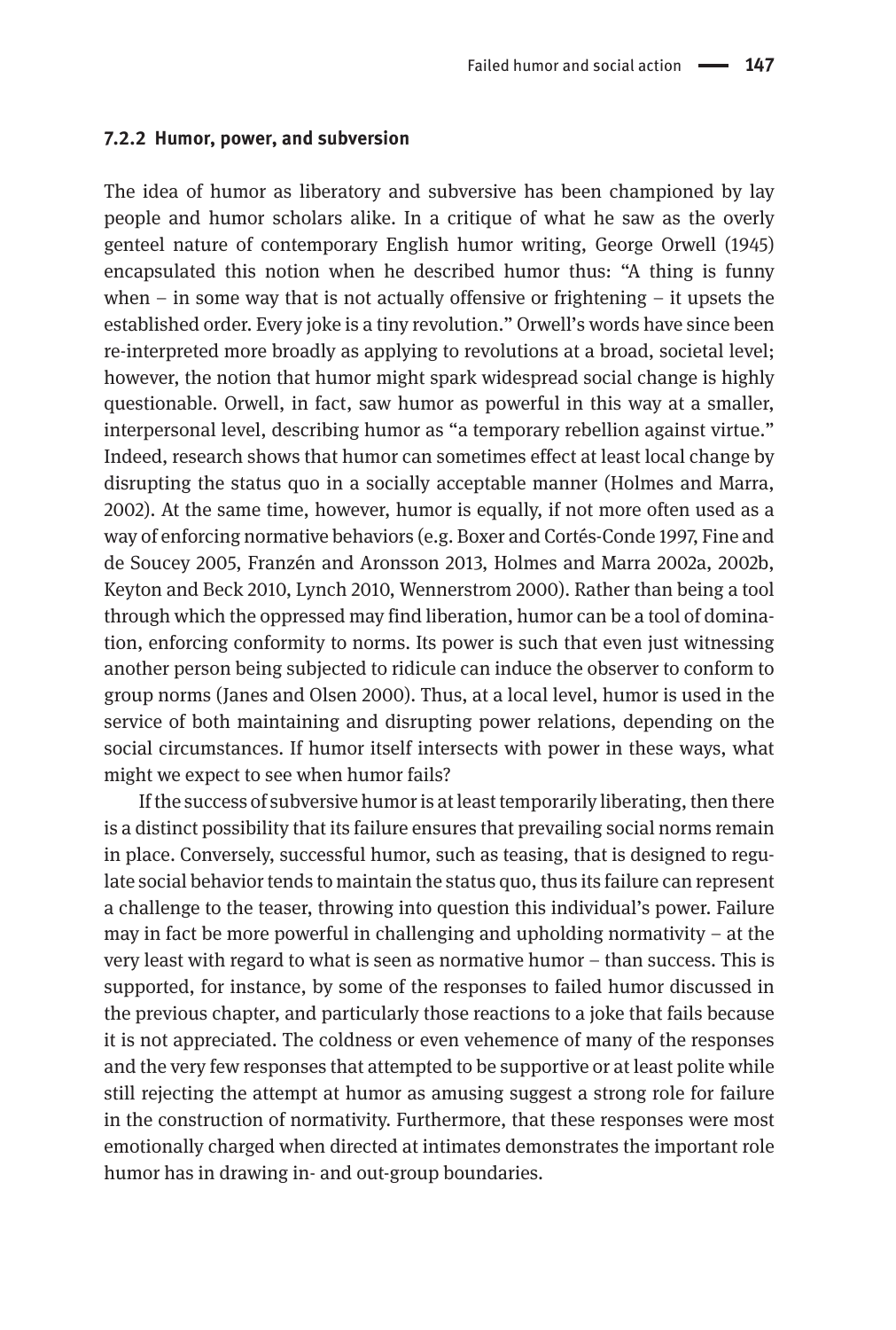#### **7.2.2 Humor, power, and subversion**

The idea of humor as liberatory and subversive has been championed by lay people and humor scholars alike. In a critique of what he saw as the overly genteel nature of contemporary English humor writing, George Orwell (1945) encapsulated this notion when he described humor thus: "A thing is funny when – in some way that is not actually offensive or frightening – it upsets the established order. Every joke is a tiny revolution." Orwell's words have since been re-interpreted more broadly as applying to revolutions at a broad, societal level; however, the notion that humor might spark widespread social change is highly questionable. Orwell, in fact, saw humor as powerful in this way at a smaller, interpersonal level, describing humor as "a temporary rebellion against virtue." Indeed, research shows that humor can sometimes effect at least local change by disrupting the status quo in a socially acceptable manner (Holmes and Marra, 2002). At the same time, however, humor is equally, if not more often used as a way of enforcing normative behaviors (e.g. Boxer and Cortés-Conde 1997, Fine and de Soucey 2005, Franzén and Aronsson 2013, Holmes and Marra 2002a, 2002b, Keyton and Beck 2010, Lynch 2010, Wennerstrom 2000). Rather than being a tool through which the oppressed may find liberation, humor can be a tool of domination, enforcing conformity to norms. Its power is such that even just witnessing another person being subjected to ridicule can induce the observer to conform to group norms (Janes and Olsen 2000). Thus, at a local level, humor is used in the service of both maintaining and disrupting power relations, depending on the social circumstances. If humor itself intersects with power in these ways, what might we expect to see when humor fails?

If the success of subversive humor is at least temporarily liberating, then there is a distinct possibility that its failure ensures that prevailing social norms remain in place. Conversely, successful humor, such as teasing, that is designed to regulate social behavior tends to maintain the status quo, thus its failure can represent a challenge to the teaser, throwing into question this individual's power. Failure may in fact be more powerful in challenging and upholding normativity  $-$  at the very least with regard to what is seen as normative humor – than success. This is supported, for instance, by some of the responses to failed humor discussed in the previous chapter, and particularly those reactions to a joke that fails because it is not appreciated. The coldness or even vehemence of many of the responses and the very few responses that attempted to be supportive or at least polite while still rejecting the attempt at humor as amusing suggest a strong role for failure in the construction of normativity. Furthermore, that these responses were most emotionally charged when directed at intimates demonstrates the important role humor has in drawing in- and out-group boundaries.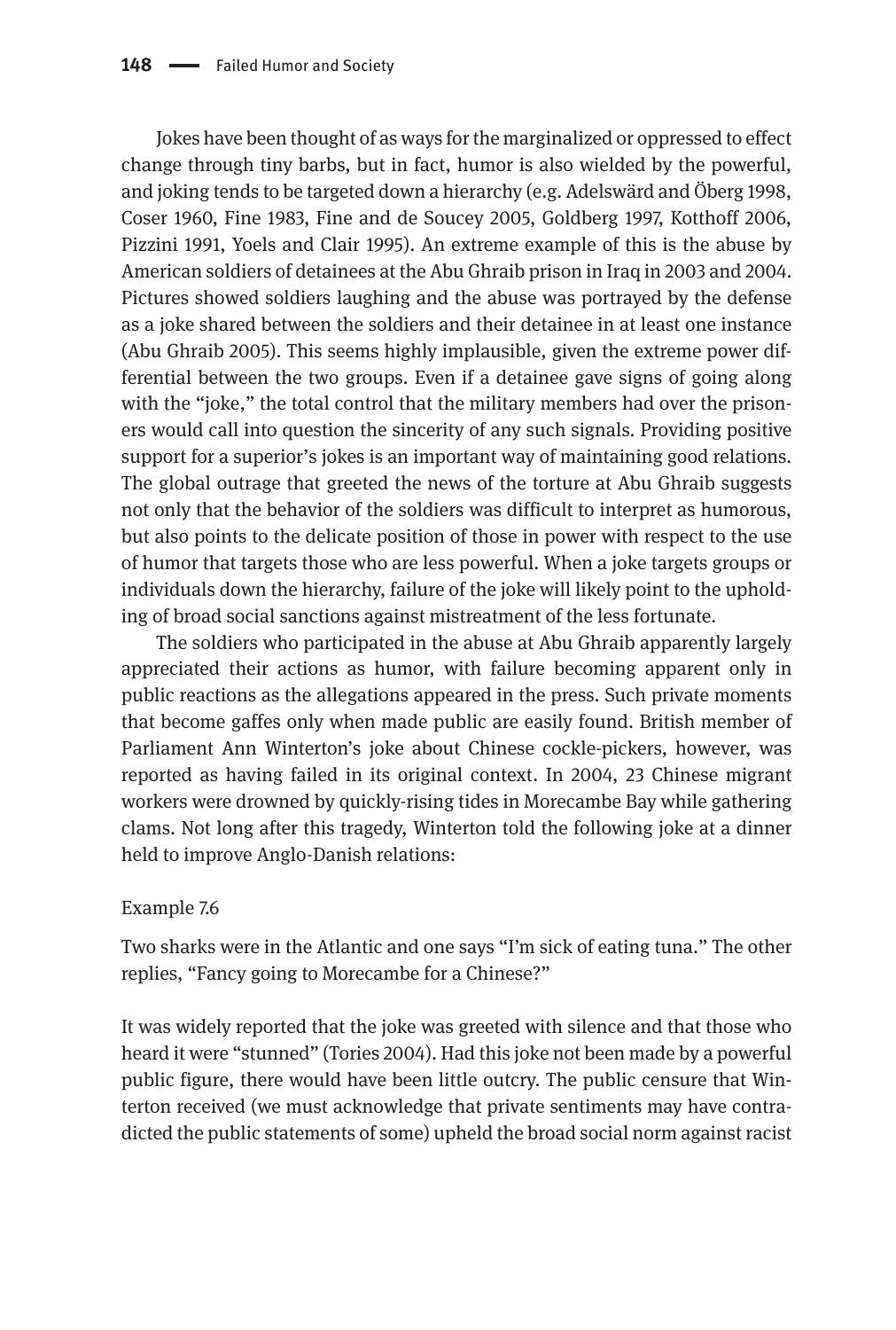Jokes have been thought of as ways for the marginalized or oppressed to effect change through tiny barbs, but in fact, humor is also wielded by the powerful, and joking tends to be targeted down a hierarchy (e.g. Adelswärd and Öberg 1998, Coser 1960, Fine 1983, Fine and de Soucey 2005, Goldberg 1997, Kotthoff 2006, Pizzini 1991, Yoels and Clair 1995). An extreme example of this is the abuse by American soldiers of detainees at the Abu Ghraib prison in Iraq in 2003 and 2004. Pictures showed soldiers laughing and the abuse was portrayed by the defense as a joke shared between the soldiers and their detainee in at least one instance (Abu Ghraib 2005). This seems highly implausible, given the extreme power differential between the two groups. Even if a detainee gave signs of going along with the "joke," the total control that the military members had over the prisoners would call into question the sincerity of any such signals. Providing positive support for a superior's jokes is an important way of maintaining good relations. The global outrage that greeted the news of the torture at Abu Ghraib suggests not only that the behavior of the soldiers was difficult to interpret as humorous, but also points to the delicate position of those in power with respect to the use of humor that targets those who are less powerful. When a joke targets groups or individuals down the hierarchy, failure of the joke will likely point to the upholding of broad social sanctions against mistreatment of the less fortunate.

The soldiers who participated in the abuse at Abu Ghraib apparently largely appreciated their actions as humor, with failure becoming apparent only in public reactions as the allegations appeared in the press. Such private moments that become gaffes only when made public are easily found. British member of Parliament Ann Winterton's joke about Chinese cockle-pickers, however, was reported as having failed in its original context. In 2004, 23 Chinese migrant workers were drowned by quickly-rising tides in Morecambe Bay while gathering clams. Not long after this tragedy, Winterton told the following joke at a dinner held to improve Anglo-Danish relations:

#### Example 7.6

Two sharks were in the Atlantic and one says "I'm sick of eating tuna." The other replies, "Fancy going to Morecambe for a Chinese?"

It was widely reported that the joke was greeted with silence and that those who heard it were "stunned" (Tories 2004). Had this joke not been made by a powerful public figure, there would have been little outcry. The public censure that Winterton received (we must acknowledge that private sentiments may have contradicted the public statements of some) upheld the broad social norm against racist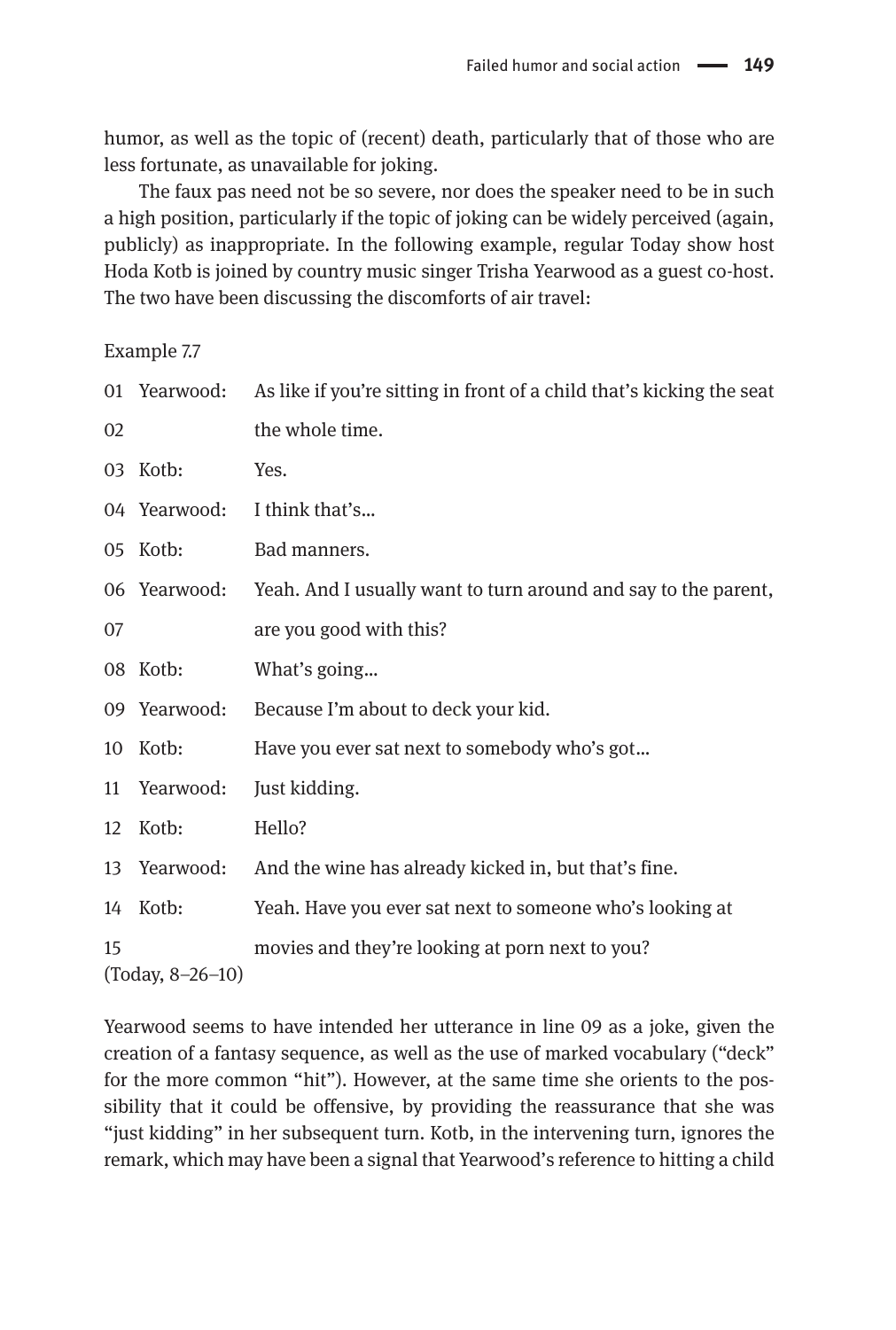humor, as well as the topic of (recent) death, particularly that of those who are less fortunate, as unavailable for joking.

The faux pas need not be so severe, nor does the speaker need to be in such a high position, particularly if the topic of joking can be widely perceived (again, publicly) as inappropriate. In the following example, regular Today show host Hoda Kotb is joined by country music singer Trisha Yearwood as a guest co-host. The two have been discussing the discomforts of air travel:

Example 7.7

|    | 01 Yearwood:       | As like if you're sitting in front of a child that's kicking the seat |
|----|--------------------|-----------------------------------------------------------------------|
| 02 |                    | the whole time.                                                       |
|    | 03 Kotb:           | Yes.                                                                  |
|    | 04 Yearwood:       | I think that's                                                        |
|    | 05 Kotb:           | Bad manners.                                                          |
|    | 06 Yearwood:       | Yeah. And I usually want to turn around and say to the parent,        |
| 07 |                    | are you good with this?                                               |
|    | 08 Kotb:           | What's going                                                          |
|    | 09 Yearwood:       | Because I'm about to deck your kid.                                   |
|    | 10 Kotb:           | Have you ever sat next to somebody who's got                          |
|    | 11 Yearwood:       | Just kidding.                                                         |
| 12 | Kotb:              | Hello?                                                                |
|    | 13 Yearwood:       | And the wine has already kicked in, but that's fine.                  |
|    | 14 Kotb:           | Yeah. Have you ever sat next to someone who's looking at              |
| 15 | $(Today, 8-26-10)$ | movies and they're looking at porn next to you?                       |

Yearwood seems to have intended her utterance in line 09 as a joke, given the creation of a fantasy sequence, as well as the use of marked vocabulary ("deck" for the more common "hit"). However, at the same time she orients to the possibility that it could be offensive, by providing the reassurance that she was "just kidding" in her subsequent turn. Kotb, in the intervening turn, ignores the remark, which may have been a signal that Yearwood's reference to hitting a child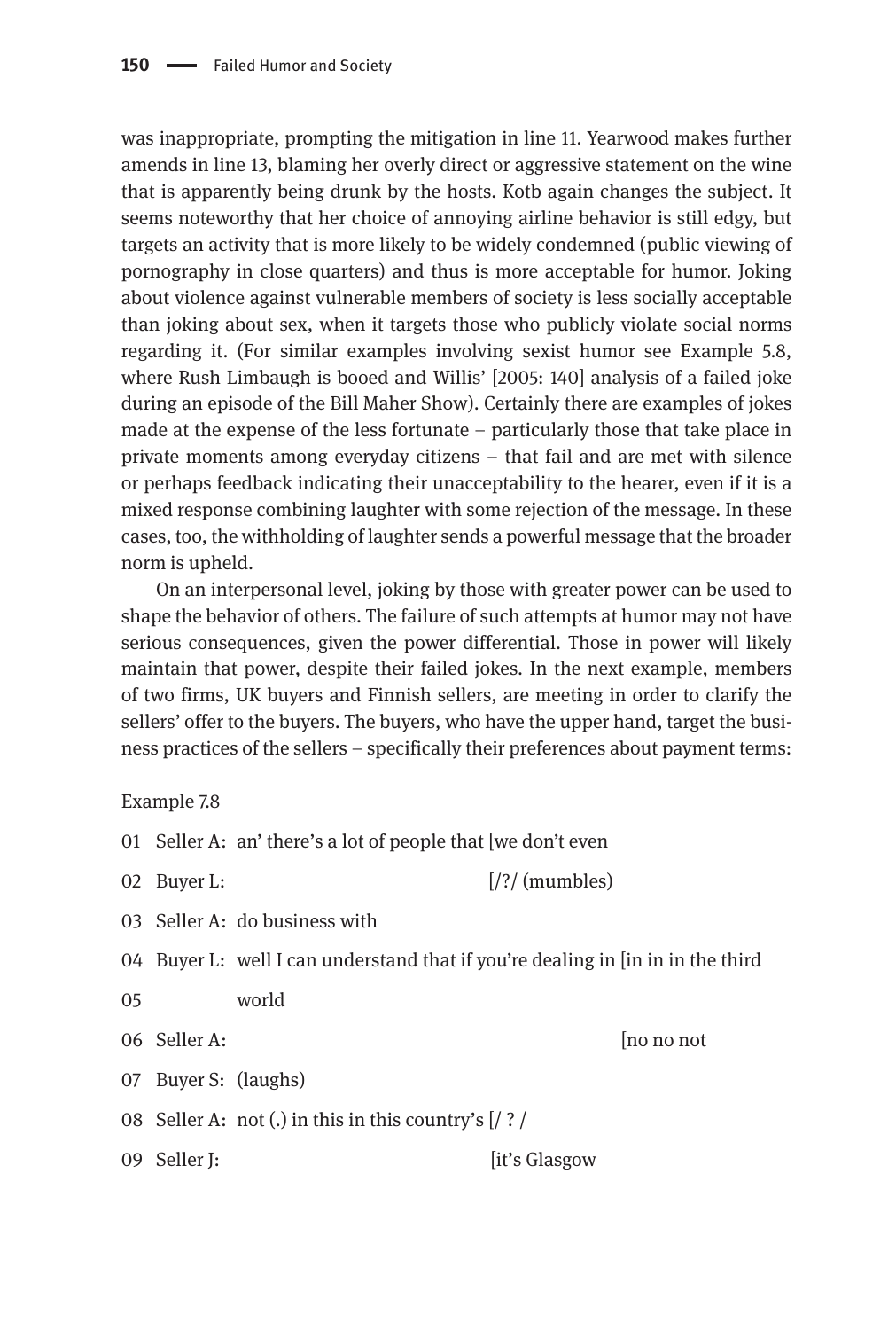was inappropriate, prompting the mitigation in line 11. Yearwood makes further amends in line 13, blaming her overly direct or aggressive statement on the wine that is apparently being drunk by the hosts. Kotb again changes the subject. It seems noteworthy that her choice of annoying airline behavior is still edgy, but targets an activity that is more likely to be widely condemned (public viewing of pornography in close quarters) and thus is more acceptable for humor. Joking about violence against vulnerable members of society is less socially acceptable than joking about sex, when it targets those who publicly violate social norms regarding it. (For similar examples involving sexist humor see Example 5.8, where Rush Limbaugh is booed and Willis' [2005: 140] analysis of a failed joke during an episode of the Bill Maher Show). Certainly there are examples of jokes made at the expense of the less fortunate – particularly those that take place in private moments among everyday citizens – that fail and are met with silence or perhaps feedback indicating their unacceptability to the hearer, even if it is a mixed response combining laughter with some rejection of the message. In these cases, too, the withholding of laughter sends a powerful message that the broader norm is upheld.

On an interpersonal level, joking by those with greater power can be used to shape the behavior of others. The failure of such attempts at humor may not have serious consequences, given the power differential. Those in power will likely maintain that power, despite their failed jokes. In the next example, members of two firms, UK buyers and Finnish sellers, are meeting in order to clarify the sellers' offer to the buyers. The buyers, who have the upper hand, target the business practices of the sellers – specifically their preferences about payment terms:

#### Example 7.8

|    | 02 Buyer L:          | $\frac{1}{2}$ (mumbles)                                                         |
|----|----------------------|---------------------------------------------------------------------------------|
|    |                      | 03 Seller A: do business with                                                   |
|    |                      | 04 Buyer L: well I can understand that if you're dealing in [in in in the third |
| 05 |                      | world                                                                           |
|    | 06 Seller A:         | no no not                                                                       |
|    | 07 Buyer S: (laughs) |                                                                                 |
|    |                      | 08 Seller A: not (.) in this in this country's $\frac{1}{2}$                    |
|    | 09 Seller I:         | <i>lit's</i> Glasgow                                                            |

01 Seller A: an' there's a lot of people that [we don't even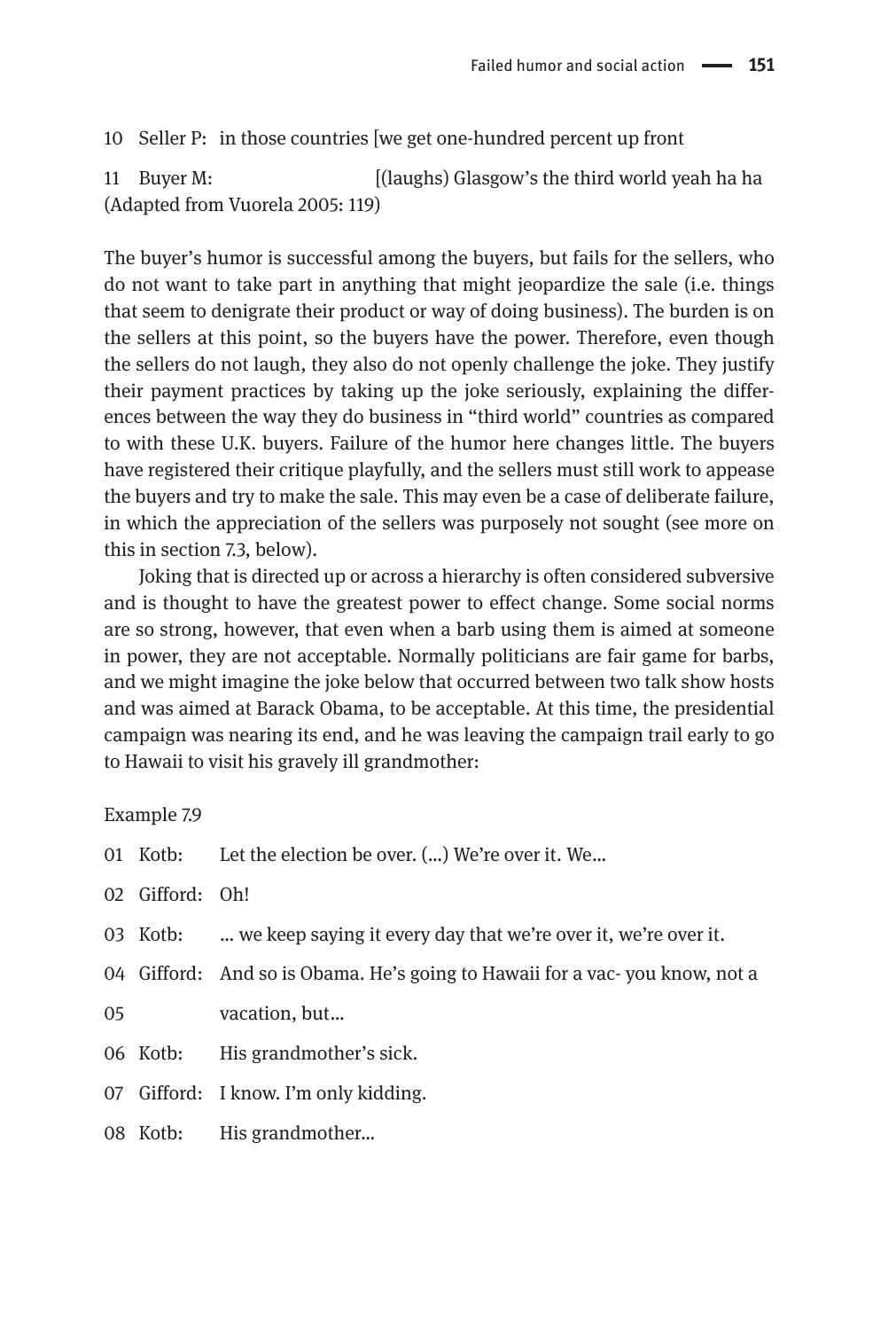10 Seller P: in those countries [we get one-hundred percent up front

11 Buyer M: [(laughs) Glasgow's the third world yeah ha ha (Adapted from Vuorela 2005: 119)

The buyer's humor is successful among the buyers, but fails for the sellers, who do not want to take part in anything that might jeopardize the sale (i.e. things that seem to denigrate their product or way of doing business). The burden is on the sellers at this point, so the buyers have the power. Therefore, even though the sellers do not laugh, they also do not openly challenge the joke. They justify their payment practices by taking up the joke seriously, explaining the differences between the way they do business in "third world" countries as compared to with these U.K. buyers. Failure of the humor here changes little. The buyers have registered their critique playfully, and the sellers must still work to appease the buyers and try to make the sale. This may even be a case of deliberate failure, in which the appreciation of the sellers was purposely not sought (see more on this in section 7.3, below).

Joking that is directed up or across a hierarchy is often considered subversive and is thought to have the greatest power to effect change. Some social norms are so strong, however, that even when a barb using them is aimed at someone in power, they are not acceptable. Normally politicians are fair game for barbs, and we might imagine the joke below that occurred between two talk show hosts and was aimed at Barack Obama, to be acceptable. At this time, the presidential campaign was nearing its end, and he was leaving the campaign trail early to go to Hawaii to visit his gravely ill grandmother:

Example 7.9

|    |                 | 01 Kotb: Let the election be over. () We're over it. We                     |
|----|-----------------|-----------------------------------------------------------------------------|
|    | 02 Gifford: Oh! |                                                                             |
|    |                 | 03 Kotb:  we keep saying it every day that we're over it, we're over it.    |
|    |                 | 04 Gifford: And so is Obama. He's going to Hawaii for a vac-you know, not a |
| 05 |                 | vacation, but                                                               |
|    |                 | 06 Kotb: His grandmother's sick.                                            |
|    |                 | 07 Gifford: I know. I'm only kidding.                                       |
|    |                 | 08 Kotb: His grandmother                                                    |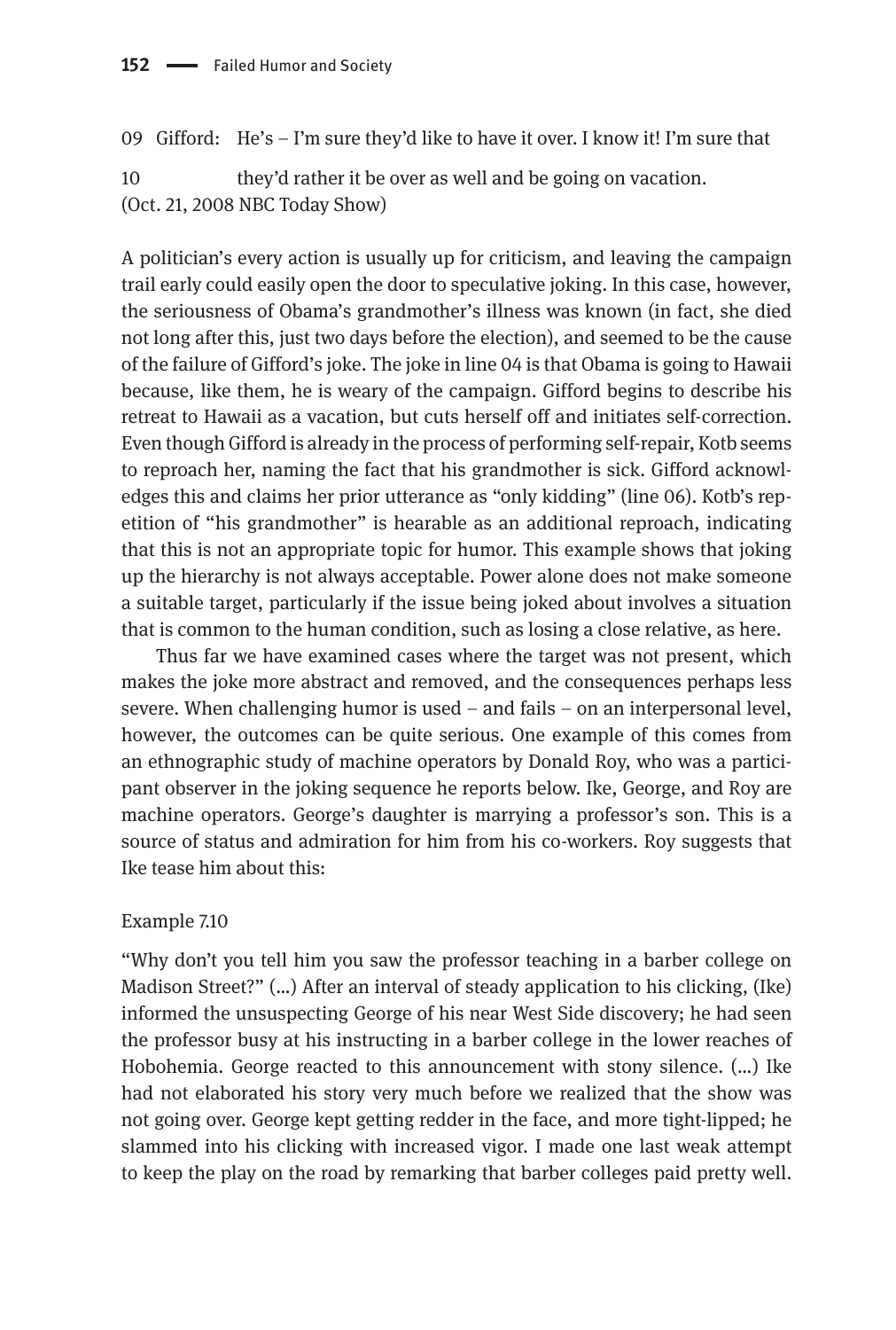09 Gifford: He's – I'm sure they'd like to have it over. I know it! I'm sure that

10 they'd rather it be over as well and be going on vacation. (Oct. 21, 2008 NBC Today Show)

A politician's every action is usually up for criticism, and leaving the campaign trail early could easily open the door to speculative joking. In this case, however, the seriousness of Obama's grandmother's illness was known (in fact, she died not long after this, just two days before the election), and seemed to be the cause of the failure of Gifford's joke. The joke in line 04 is that Obama is going to Hawaii because, like them, he is weary of the campaign. Gifford begins to describe his retreat to Hawaii as a vacation, but cuts herself off and initiates self-correction. Even though Gifford is already in the process of performing self-repair, Kotb seems to reproach her, naming the fact that his grandmother is sick. Gifford acknowledges this and claims her prior utterance as "only kidding" (line 06). Kotb's repetition of "his grandmother" is hearable as an additional reproach, indicating that this is not an appropriate topic for humor. This example shows that joking up the hierarchy is not always acceptable. Power alone does not make someone a suitable target, particularly if the issue being joked about involves a situation that is common to the human condition, such as losing a close relative, as here.

Thus far we have examined cases where the target was not present, which makes the joke more abstract and removed, and the consequences perhaps less severe. When challenging humor is used – and fails – on an interpersonal level, however, the outcomes can be quite serious. One example of this comes from an ethnographic study of machine operators by Donald Roy, who was a participant observer in the joking sequence he reports below. Ike, George, and Roy are machine operators. George's daughter is marrying a professor's son. This is a source of status and admiration for him from his co-workers. Roy suggests that Ike tease him about this:

#### Example 7.10

"Why don't you tell him you saw the professor teaching in a barber college on Madison Street?" (…) After an interval of steady application to his clicking, (Ike) informed the unsuspecting George of his near West Side discovery; he had seen the professor busy at his instructing in a barber college in the lower reaches of Hobohemia. George reacted to this announcement with stony silence. (…) Ike had not elaborated his story very much before we realized that the show was not going over. George kept getting redder in the face, and more tight-lipped; he slammed into his clicking with increased vigor. I made one last weak attempt to keep the play on the road by remarking that barber colleges paid pretty well.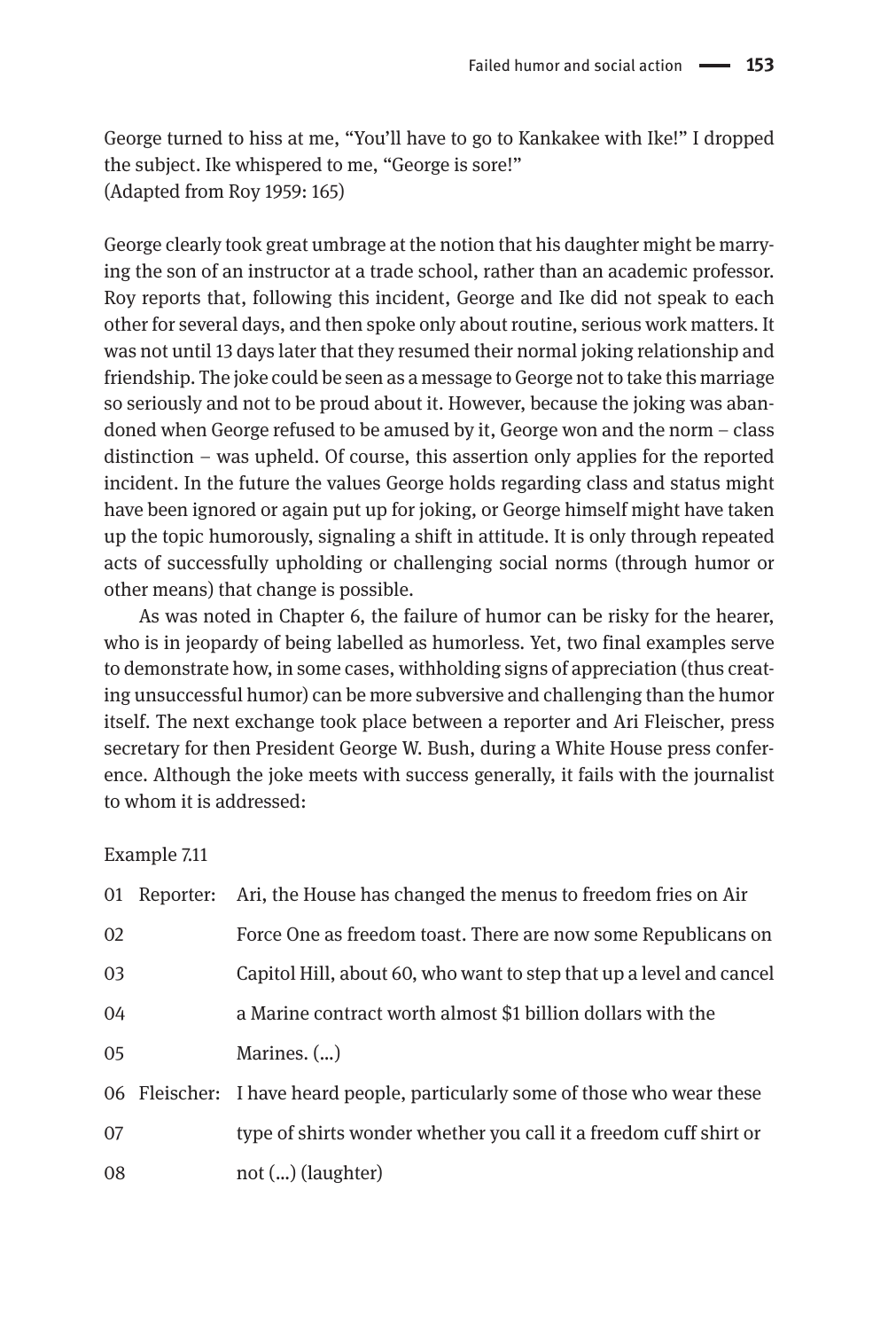George turned to hiss at me, "You'll have to go to Kankakee with Ike!" I dropped the subject. Ike whispered to me, "George is sore!" (Adapted from Roy 1959: 165)

George clearly took great umbrage at the notion that his daughter might be marrying the son of an instructor at a trade school, rather than an academic professor. Roy reports that, following this incident, George and Ike did not speak to each other for several days, and then spoke only about routine, serious work matters. It was not until 13 days later that they resumed their normal joking relationship and friendship. The joke could be seen as a message to George not to take this marriage so seriously and not to be proud about it. However, because the joking was abandoned when George refused to be amused by it, George won and the norm – class distinction – was upheld. Of course, this assertion only applies for the reported incident. In the future the values George holds regarding class and status might have been ignored or again put up for joking, or George himself might have taken up the topic humorously, signaling a shift in attitude. It is only through repeated acts of successfully upholding or challenging social norms (through humor or other means) that change is possible.

As was noted in Chapter 6, the failure of humor can be risky for the hearer, who is in jeopardy of being labelled as humorless. Yet, two final examples serve to demonstrate how, in some cases, withholding signs of appreciation (thus creating unsuccessful humor) can be more subversive and challenging than the humor itself. The next exchange took place between a reporter and Ari Fleischer, press secretary for then President George W. Bush, during a White House press conference. Although the joke meets with success generally, it fails with the journalist to whom it is addressed:

Example 7.11

|    | 01 Reporter: Ari, the House has changed the menus to freedom fries on Air    |
|----|------------------------------------------------------------------------------|
| 02 | Force One as freedom toast. There are now some Republicans on                |
| 03 | Capitol Hill, about 60, who want to step that up a level and cancel          |
| 04 | a Marine contract worth almost \$1 billion dollars with the                  |
| 05 | Marines. $(\ldots)$                                                          |
|    | 06 Fleischer: I have heard people, particularly some of those who wear these |
| 07 | type of shirts wonder whether you call it a freedom cuff shirt or            |
| 08 | $not$ () (laughter)                                                          |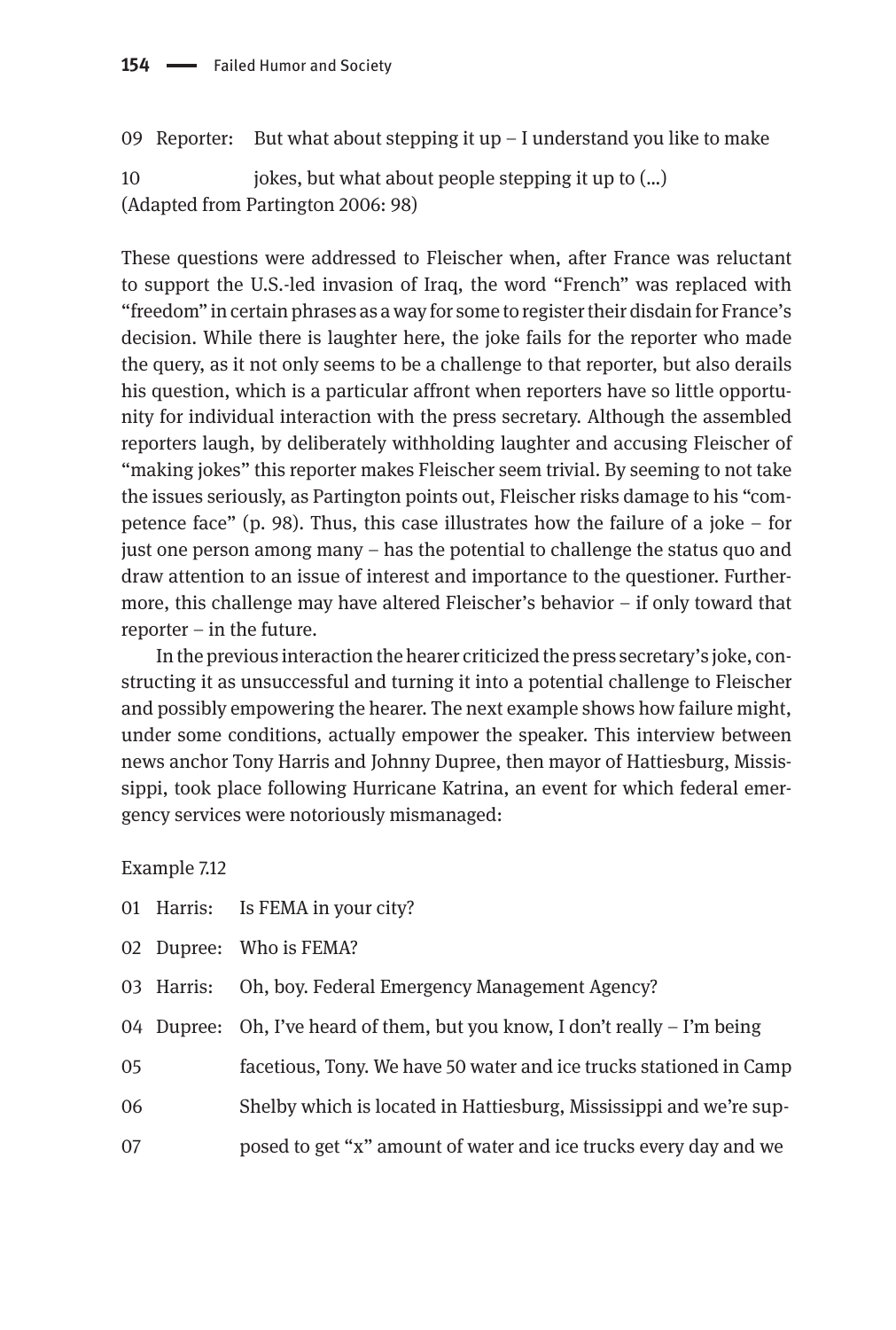09 Reporter: But what about stepping it up  $-$  I understand you like to make

10 jokes, but what about people stepping it up to  $(\ldots)$ (Adapted from Partington 2006: 98)

These questions were addressed to Fleischer when, after France was reluctant to support the U.S.-led invasion of Iraq, the word "French" was replaced with "freedom" in certain phrases as a way for some to register their disdain for France's decision. While there is laughter here, the joke fails for the reporter who made the query, as it not only seems to be a challenge to that reporter, but also derails his question, which is a particular affront when reporters have so little opportunity for individual interaction with the press secretary. Although the assembled reporters laugh, by deliberately withholding laughter and accusing Fleischer of "making jokes" this reporter makes Fleischer seem trivial. By seeming to not take the issues seriously, as Partington points out, Fleischer risks damage to his "competence face" (p. 98). Thus, this case illustrates how the failure of a joke – for just one person among many – has the potential to challenge the status quo and draw attention to an issue of interest and importance to the questioner. Furthermore, this challenge may have altered Fleischer's behavior – if only toward that reporter – in the future.

In the previous interaction the hearer criticized the press secretary's joke, constructing it as unsuccessful and turning it into a potential challenge to Fleischer and possibly empowering the hearer. The next example shows how failure might, under some conditions, actually empower the speaker. This interview between news anchor Tony Harris and Johnny Dupree, then mayor of Hattiesburg, Mississippi, took place following Hurricane Katrina, an event for which federal emergency services were notoriously mismanaged:

Example 7.12

- 01 Harris: Is FEMA in your city?
- 02 Dupree: Who is FEMA?

03 Harris: Oh, boy. Federal Emergency Management Agency?

04 Dupree: Oh, I've heard of them, but you know, I don't really – I'm being

- 05 facetious, Tony. We have 50 water and ice trucks stationed in Camp
- 06 Shelby which is located in Hattiesburg, Mississippi and we're sup-
- 07 posed to get "x" amount of water and ice trucks every day and we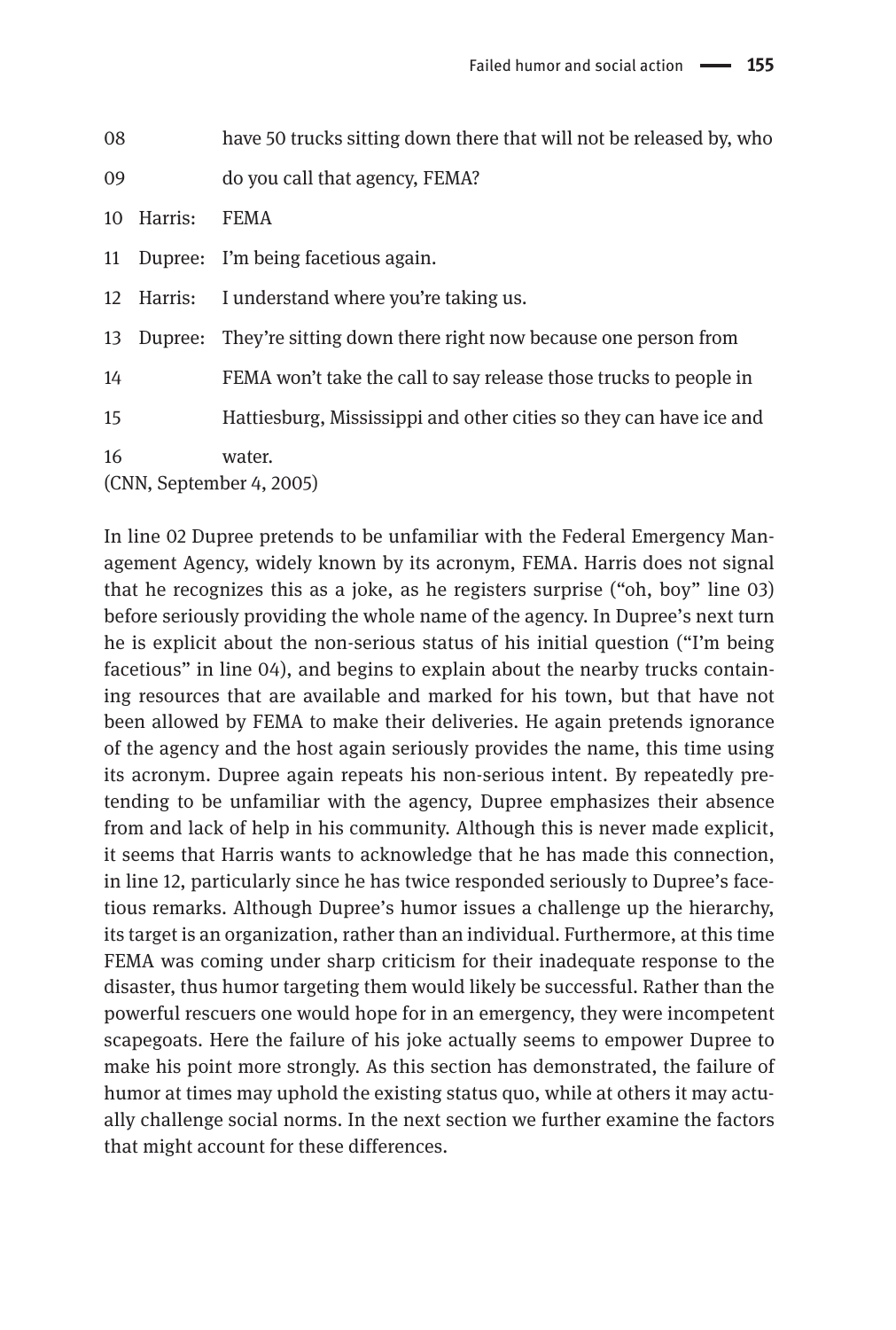| 08 |            | have 50 trucks sitting down there that will not be released by, who     |
|----|------------|-------------------------------------------------------------------------|
| 09 |            | do you call that agency, FEMA?                                          |
|    | 10 Harris: | <b>FEMA</b>                                                             |
|    |            | 11 Dupree: I'm being facetious again.                                   |
|    | 12 Harris: | I understand where you're taking us.                                    |
|    |            | 13 Dupree: They're sitting down there right now because one person from |
| 14 |            | FEMA won't take the call to say release those trucks to people in       |
| 15 |            | Hattiesburg, Mississippi and other cities so they can have ice and      |
| 16 |            | water.<br>(CNN, September 4, 2005)                                      |

In line 02 Dupree pretends to be unfamiliar with the Federal Emergency Management Agency, widely known by its acronym, FEMA. Harris does not signal that he recognizes this as a joke, as he registers surprise ("oh, boy" line 03) before seriously providing the whole name of the agency. In Dupree's next turn he is explicit about the non-serious status of his initial question ("I'm being facetious" in line 04), and begins to explain about the nearby trucks containing resources that are available and marked for his town, but that have not been allowed by FEMA to make their deliveries. He again pretends ignorance of the agency and the host again seriously provides the name, this time using its acronym. Dupree again repeats his non-serious intent. By repeatedly pretending to be unfamiliar with the agency, Dupree emphasizes their absence from and lack of help in his community. Although this is never made explicit, it seems that Harris wants to acknowledge that he has made this connection, in line 12, particularly since he has twice responded seriously to Dupree's facetious remarks. Although Dupree's humor issues a challenge up the hierarchy, its target is an organization, rather than an individual. Furthermore, at this time FEMA was coming under sharp criticism for their inadequate response to the disaster, thus humor targeting them would likely be successful. Rather than the powerful rescuers one would hope for in an emergency, they were incompetent scapegoats. Here the failure of his joke actually seems to empower Dupree to make his point more strongly. As this section has demonstrated, the failure of humor at times may uphold the existing status quo, while at others it may actually challenge social norms. In the next section we further examine the factors that might account for these differences.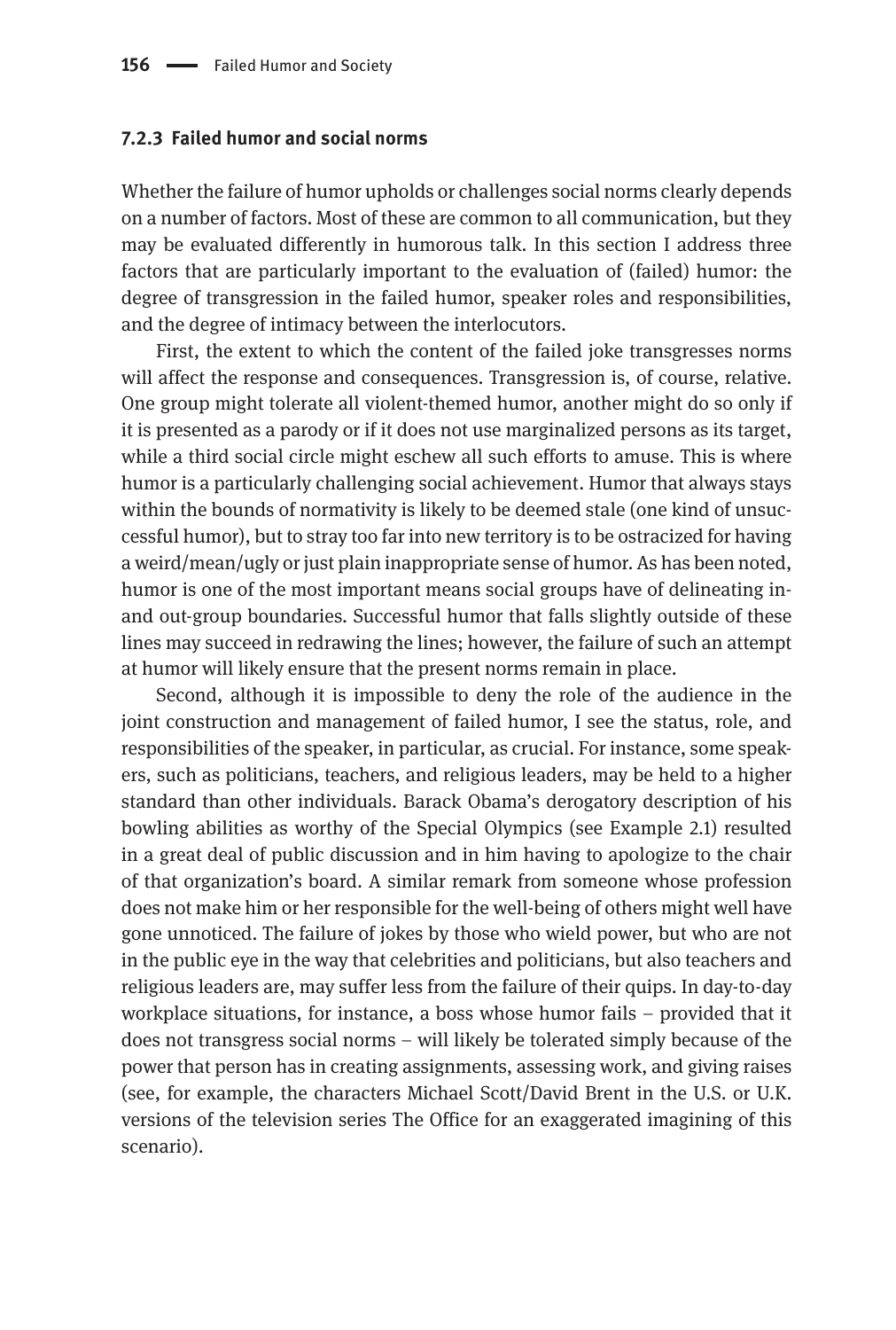#### **7.2.3 Failed humor and social norms**

Whether the failure of humor upholds or challenges social norms clearly depends on a number of factors. Most of these are common to all communication, but they may be evaluated differently in humorous talk. In this section I address three factors that are particularly important to the evaluation of (failed) humor: the degree of transgression in the failed humor, speaker roles and responsibilities, and the degree of intimacy between the interlocutors.

First, the extent to which the content of the failed joke transgresses norms will affect the response and consequences. Transgression is, of course, relative. One group might tolerate all violent-themed humor, another might do so only if it is presented as a parody or if it does not use marginalized persons as its target, while a third social circle might eschew all such efforts to amuse. This is where humor is a particularly challenging social achievement. Humor that always stays within the bounds of normativity is likely to be deemed stale (one kind of unsuccessful humor), but to stray too far into new territory is to be ostracized for having a weird/mean/ugly or just plain inappropriate sense of humor. As has been noted, humor is one of the most important means social groups have of delineating inand out-group boundaries. Successful humor that falls slightly outside of these lines may succeed in redrawing the lines; however, the failure of such an attempt at humor will likely ensure that the present norms remain in place.

Second, although it is impossible to deny the role of the audience in the joint construction and management of failed humor, I see the status, role, and responsibilities of the speaker, in particular, as crucial. For instance, some speakers, such as politicians, teachers, and religious leaders, may be held to a higher standard than other individuals. Barack Obama's derogatory description of his bowling abilities as worthy of the Special Olympics (see Example 2.1) resulted in a great deal of public discussion and in him having to apologize to the chair of that organization's board. A similar remark from someone whose profession does not make him or her responsible for the well-being of others might well have gone unnoticed. The failure of jokes by those who wield power, but who are not in the public eye in the way that celebrities and politicians, but also teachers and religious leaders are, may suffer less from the failure of their quips. In day-to-day workplace situations, for instance, a boss whose humor fails – provided that it does not transgress social norms – will likely be tolerated simply because of the power that person has in creating assignments, assessing work, and giving raises (see, for example, the characters Michael Scott/David Brent in the U.S. or U.K. versions of the television series The Office for an exaggerated imagining of this scenario).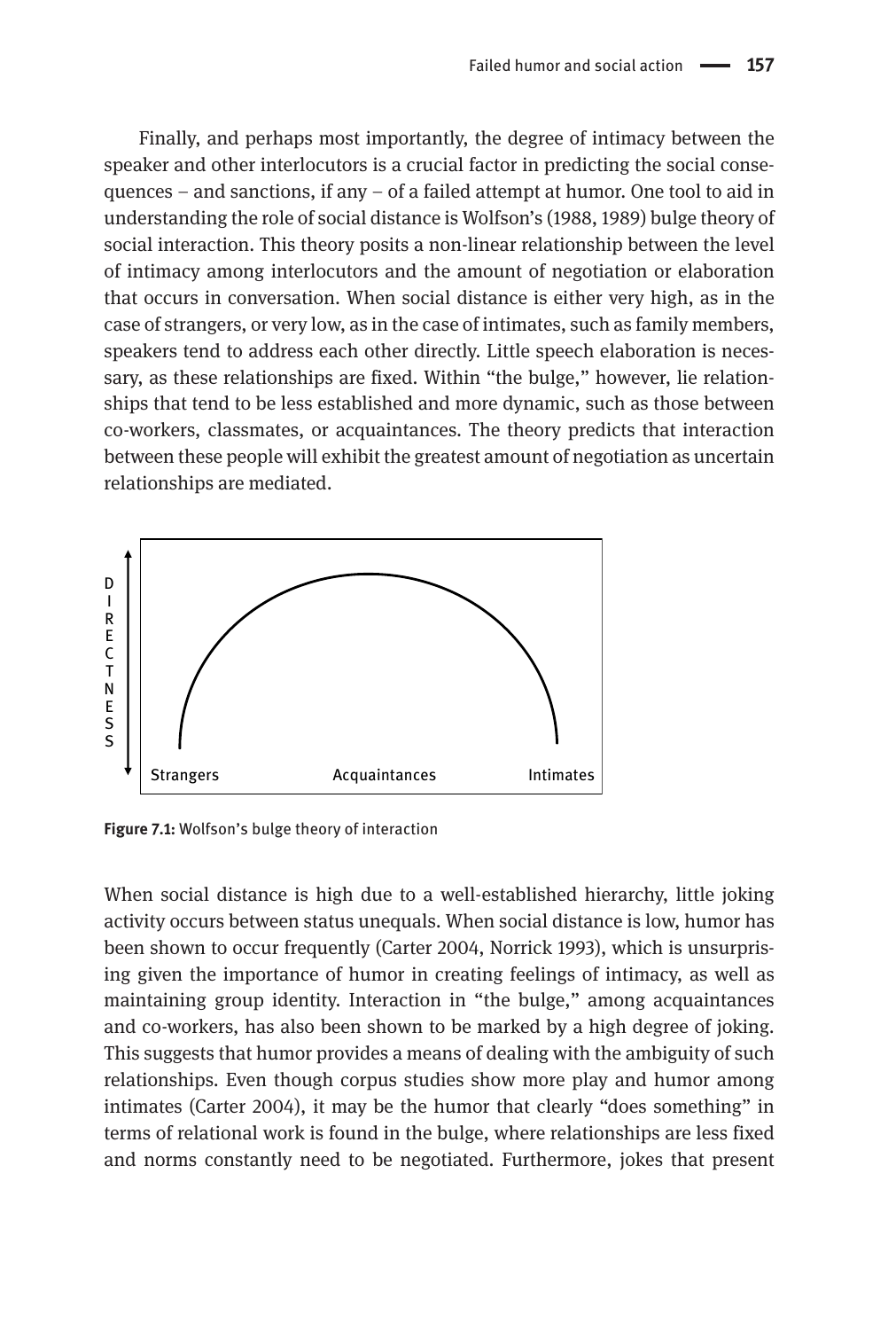Finally, and perhaps most importantly, the degree of intimacy between the speaker and other interlocutors is a crucial factor in predicting the social consequences – and sanctions, if any – of a failed attempt at humor. One tool to aid in understanding the role of social distance is Wolfson's (1988, 1989) bulge theory of social interaction. This theory posits a non-linear relationship between the level of intimacy among interlocutors and the amount of negotiation or elaboration that occurs in conversation. When social distance is either very high, as in the case of strangers, or very low, as in the case of intimates, such as family members, speakers tend to address each other directly. Little speech elaboration is necessary, as these relationships are fixed. Within "the bulge," however, lie relationships that tend to be less established and more dynamic, such as those between co-workers, classmates, or acquaintances. The theory predicts that interaction between these people will exhibit the greatest amount of negotiation as uncertain relationships are mediated.



**Figure 7.1:** Wolfson's bulge theory of interaction

When social distance is high due to a well-established hierarchy, little joking activity occurs between status unequals. When social distance is low, humor has been shown to occur frequently (Carter 2004, Norrick 1993), which is unsurprising given the importance of humor in creating feelings of intimacy, as well as maintaining group identity. Interaction in "the bulge," among acquaintances and co-workers, has also been shown to be marked by a high degree of joking. This suggests that humor provides a means of dealing with the ambiguity of such relationships. Even though corpus studies show more play and humor among intimates (Carter 2004), it may be the humor that clearly "does something" in terms of relational work is found in the bulge, where relationships are less fixed and norms constantly need to be negotiated. Furthermore, jokes that present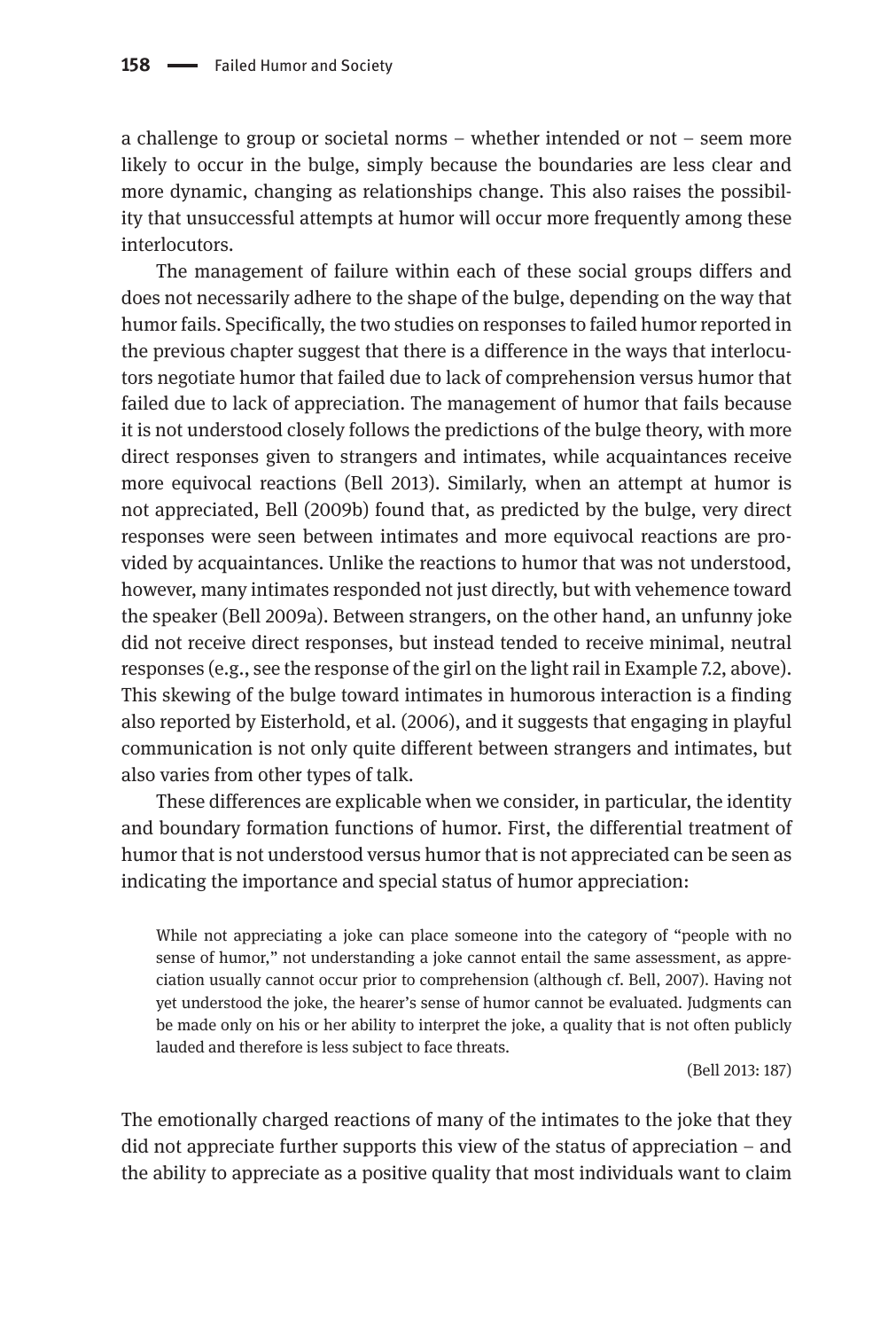a challenge to group or societal norms – whether intended or not – seem more likely to occur in the bulge, simply because the boundaries are less clear and more dynamic, changing as relationships change. This also raises the possibility that unsuccessful attempts at humor will occur more frequently among these interlocutors.

The management of failure within each of these social groups differs and does not necessarily adhere to the shape of the bulge, depending on the way that humor fails. Specifically, the two studies on responses to failed humor reported in the previous chapter suggest that there is a difference in the ways that interlocutors negotiate humor that failed due to lack of comprehension versus humor that failed due to lack of appreciation. The management of humor that fails because it is not understood closely follows the predictions of the bulge theory, with more direct responses given to strangers and intimates, while acquaintances receive more equivocal reactions (Bell 2013). Similarly, when an attempt at humor is not appreciated, Bell (2009b) found that, as predicted by the bulge, very direct responses were seen between intimates and more equivocal reactions are provided by acquaintances. Unlike the reactions to humor that was not understood, however, many intimates responded not just directly, but with vehemence toward the speaker (Bell 2009a). Between strangers, on the other hand, an unfunny joke did not receive direct responses, but instead tended to receive minimal, neutral responses (e.g., see the response of the girl on the light rail in Example 7.2, above). This skewing of the bulge toward intimates in humorous interaction is a finding also reported by Eisterhold, et al. (2006), and it suggests that engaging in playful communication is not only quite different between strangers and intimates, but also varies from other types of talk.

These differences are explicable when we consider, in particular, the identity and boundary formation functions of humor. First, the differential treatment of humor that is not understood versus humor that is not appreciated can be seen as indicating the importance and special status of humor appreciation:

While not appreciating a joke can place someone into the category of "people with no sense of humor," not understanding a joke cannot entail the same assessment, as appreciation usually cannot occur prior to comprehension (although cf. Bell, 2007). Having not yet understood the joke, the hearer's sense of humor cannot be evaluated. Judgments can be made only on his or her ability to interpret the joke, a quality that is not often publicly lauded and therefore is less subject to face threats.

(Bell 2013: 187)

The emotionally charged reactions of many of the intimates to the joke that they did not appreciate further supports this view of the status of appreciation – and the ability to appreciate as a positive quality that most individuals want to claim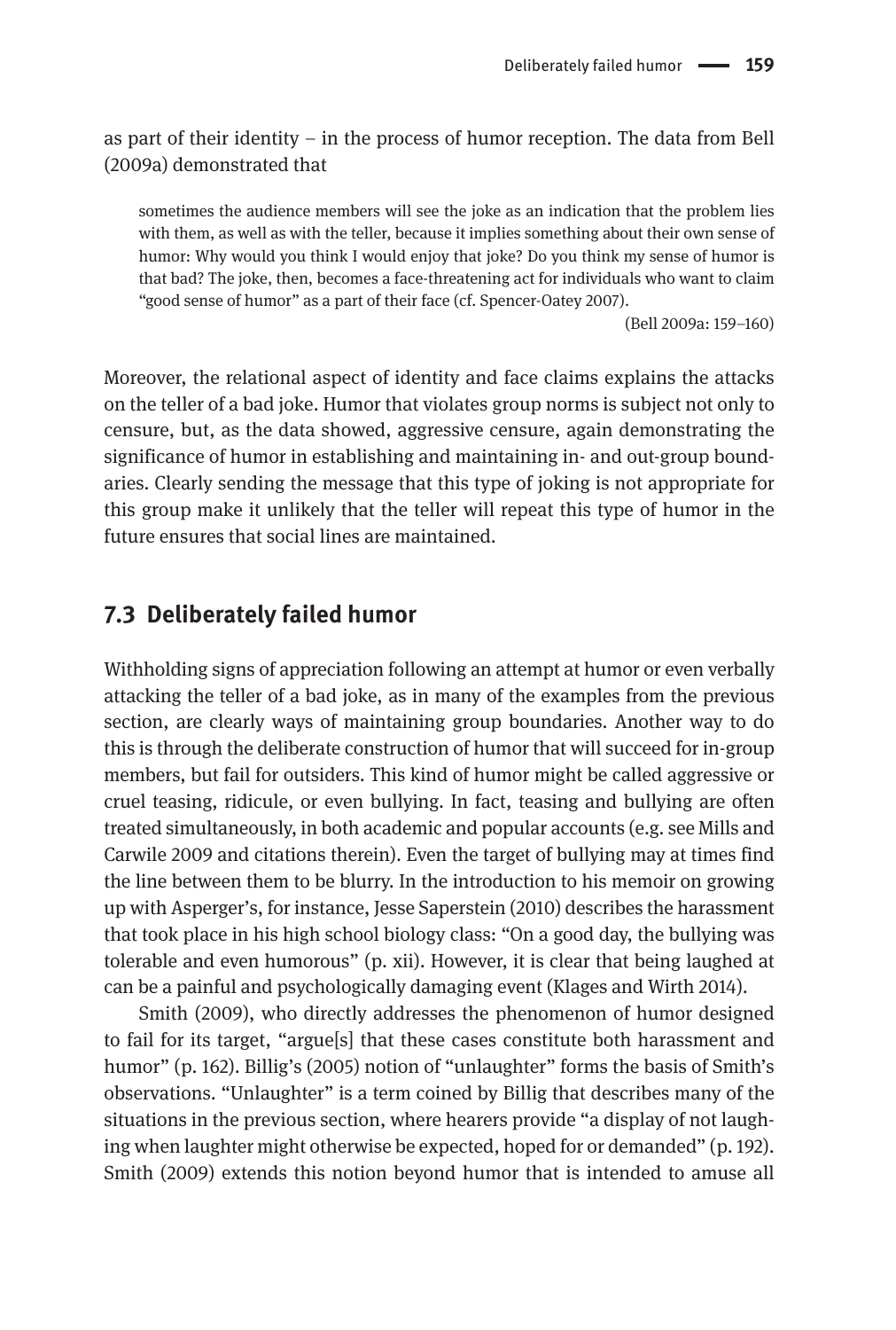as part of their identity – in the process of humor reception. The data from Bell (2009a) demonstrated that

sometimes the audience members will see the joke as an indication that the problem lies with them, as well as with the teller, because it implies something about their own sense of humor: Why would you think I would enjoy that joke? Do you think my sense of humor is that bad? The joke, then, becomes a face-threatening act for individuals who want to claim "good sense of humor" as a part of their face (cf. Spencer-Oatey 2007).

(Bell 2009a: 159–160)

Moreover, the relational aspect of identity and face claims explains the attacks on the teller of a bad joke. Humor that violates group norms is subject not only to censure, but, as the data showed, aggressive censure, again demonstrating the significance of humor in establishing and maintaining in- and out-group boundaries. Clearly sending the message that this type of joking is not appropriate for this group make it unlikely that the teller will repeat this type of humor in the future ensures that social lines are maintained.

### **7.3 Deliberately failed humor**

Withholding signs of appreciation following an attempt at humor or even verbally attacking the teller of a bad joke, as in many of the examples from the previous section, are clearly ways of maintaining group boundaries. Another way to do this is through the deliberate construction of humor that will succeed for in-group members, but fail for outsiders. This kind of humor might be called aggressive or cruel teasing, ridicule, or even bullying. In fact, teasing and bullying are often treated simultaneously, in both academic and popular accounts (e.g. see Mills and Carwile 2009 and citations therein). Even the target of bullying may at times find the line between them to be blurry. In the introduction to his memoir on growing up with Asperger's, for instance, Jesse Saperstein (2010) describes the harassment that took place in his high school biology class: "On a good day, the bullying was tolerable and even humorous" (p. xii). However, it is clear that being laughed at can be a painful and psychologically damaging event (Klages and Wirth 2014).

Smith (2009), who directly addresses the phenomenon of humor designed to fail for its target, "argue[s] that these cases constitute both harassment and humor" (p. 162). Billig's (2005) notion of "unlaughter" forms the basis of Smith's observations. "Unlaughter" is a term coined by Billig that describes many of the situations in the previous section, where hearers provide "a display of not laughing when laughter might otherwise be expected, hoped for or demanded" (p. 192). Smith (2009) extends this notion beyond humor that is intended to amuse all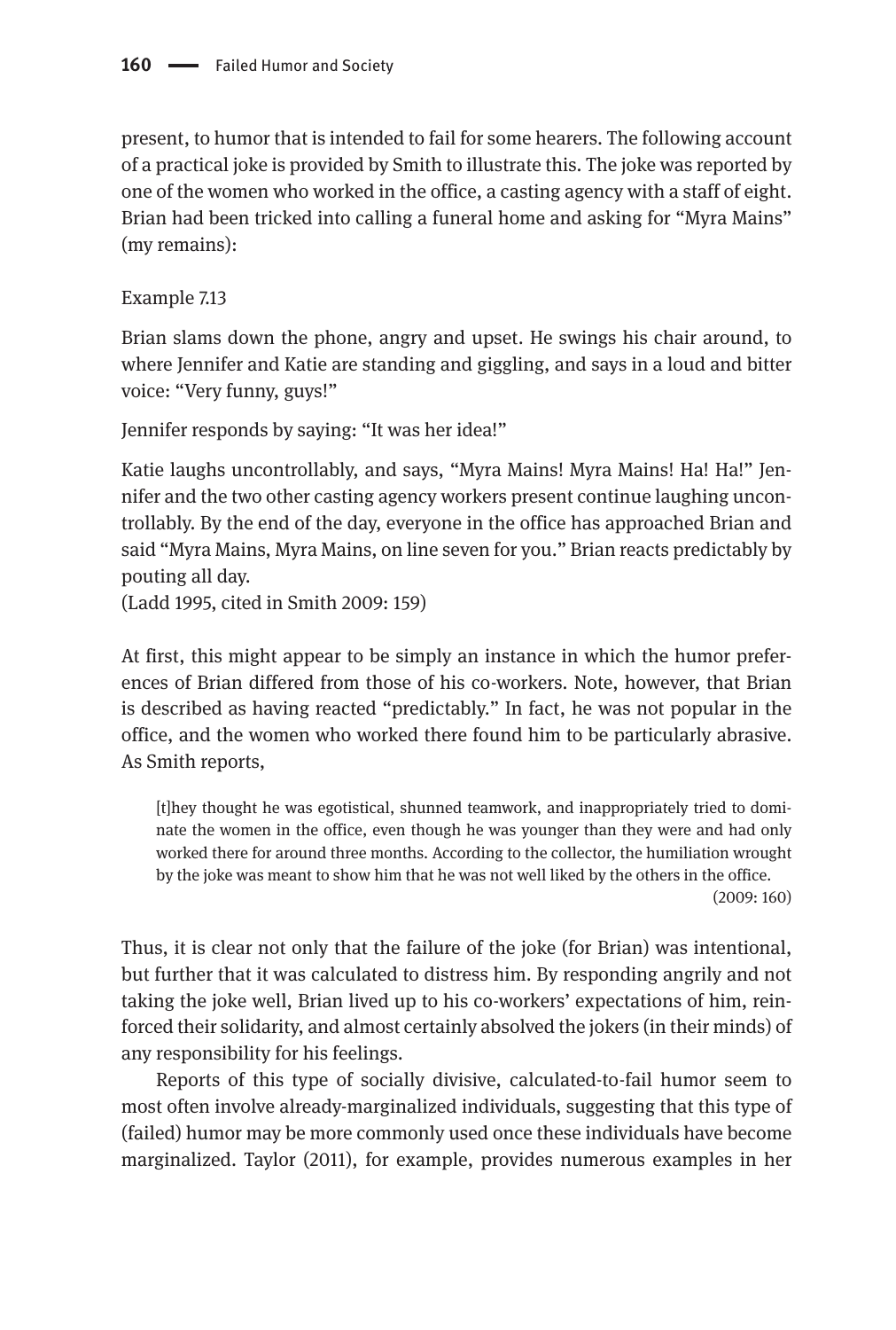present, to humor that is intended to fail for some hearers. The following account of a practical joke is provided by Smith to illustrate this. The joke was reported by one of the women who worked in the office, a casting agency with a staff of eight. Brian had been tricked into calling a funeral home and asking for "Myra Mains" (my remains):

Example 7.13

Brian slams down the phone, angry and upset. He swings his chair around, to where Jennifer and Katie are standing and giggling, and says in a loud and bitter voice: "Very funny, guys!"

Jennifer responds by saying: "It was her idea!"

Katie laughs uncontrollably, and says, "Myra Mains! Myra Mains! Ha! Ha!" Jennifer and the two other casting agency workers present continue laughing uncontrollably. By the end of the day, everyone in the office has approached Brian and said "Myra Mains, Myra Mains, on line seven for you." Brian reacts predictably by pouting all day.

(Ladd 1995, cited in Smith 2009: 159)

At first, this might appear to be simply an instance in which the humor preferences of Brian differed from those of his co-workers. Note, however, that Brian is described as having reacted "predictably." In fact, he was not popular in the office, and the women who worked there found him to be particularly abrasive. As Smith reports,

[t]hey thought he was egotistical, shunned teamwork, and inappropriately tried to dominate the women in the office, even though he was younger than they were and had only worked there for around three months. According to the collector, the humiliation wrought by the joke was meant to show him that he was not well liked by the others in the office.

(2009: 160)

Thus, it is clear not only that the failure of the joke (for Brian) was intentional, but further that it was calculated to distress him. By responding angrily and not taking the joke well, Brian lived up to his co-workers' expectations of him, reinforced their solidarity, and almost certainly absolved the jokers (in their minds) of any responsibility for his feelings.

Reports of this type of socially divisive, calculated-to-fail humor seem to most often involve already-marginalized individuals, suggesting that this type of (failed) humor may be more commonly used once these individuals have become marginalized. Taylor (2011), for example, provides numerous examples in her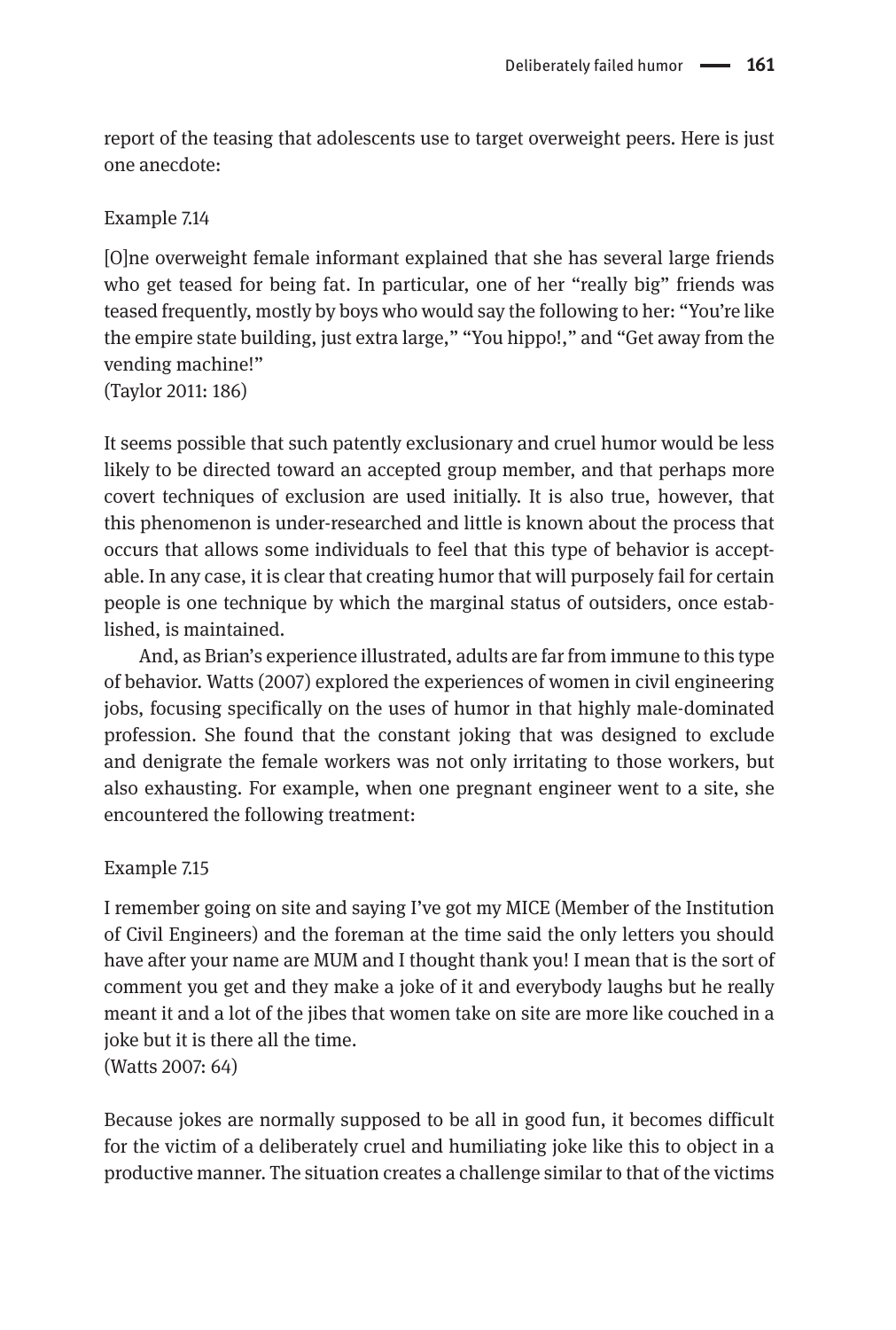report of the teasing that adolescents use to target overweight peers. Here is just one anecdote:

#### Example 7.14

[O]ne overweight female informant explained that she has several large friends who get teased for being fat. In particular, one of her "really big" friends was teased frequently, mostly by boys who would say the following to her: "You're like the empire state building, just extra large," "You hippo!," and "Get away from the vending machine!"

(Taylor 2011: 186)

It seems possible that such patently exclusionary and cruel humor would be less likely to be directed toward an accepted group member, and that perhaps more covert techniques of exclusion are used initially. It is also true, however, that this phenomenon is under-researched and little is known about the process that occurs that allows some individuals to feel that this type of behavior is acceptable. In any case, it is clear that creating humor that will purposely fail for certain people is one technique by which the marginal status of outsiders, once established, is maintained.

And, as Brian's experience illustrated, adults are far from immune to this type of behavior. Watts (2007) explored the experiences of women in civil engineering jobs, focusing specifically on the uses of humor in that highly male-dominated profession. She found that the constant joking that was designed to exclude and denigrate the female workers was not only irritating to those workers, but also exhausting. For example, when one pregnant engineer went to a site, she encountered the following treatment:

#### Example 7.15

I remember going on site and saying I've got my MICE (Member of the Institution of Civil Engineers) and the foreman at the time said the only letters you should have after your name are MUM and I thought thank you! I mean that is the sort of comment you get and they make a joke of it and everybody laughs but he really meant it and a lot of the jibes that women take on site are more like couched in a joke but it is there all the time. (Watts 2007: 64)

Because jokes are normally supposed to be all in good fun, it becomes difficult for the victim of a deliberately cruel and humiliating joke like this to object in a productive manner. The situation creates a challenge similar to that of the victims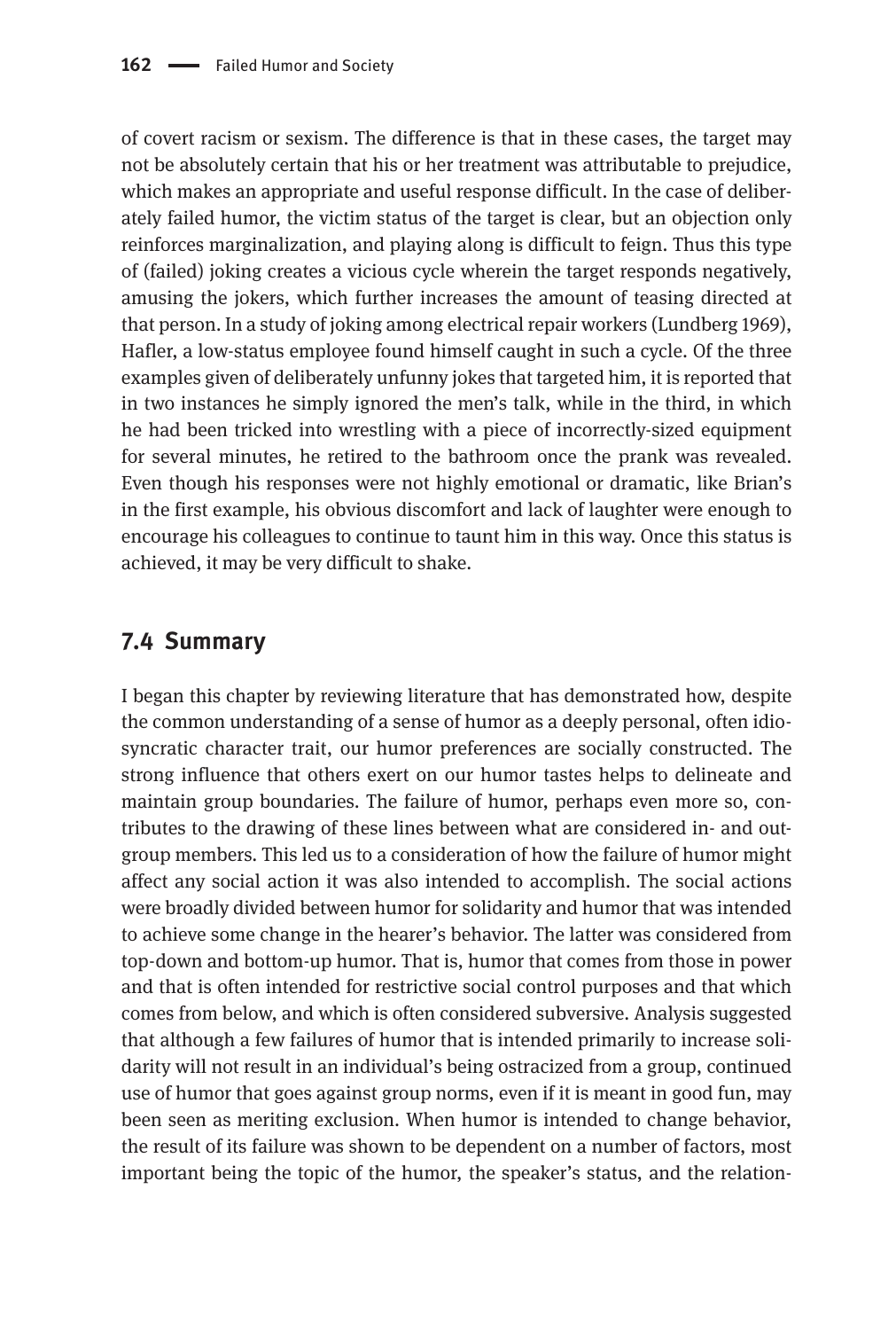of covert racism or sexism. The difference is that in these cases, the target may not be absolutely certain that his or her treatment was attributable to prejudice, which makes an appropriate and useful response difficult. In the case of deliberately failed humor, the victim status of the target is clear, but an objection only reinforces marginalization, and playing along is difficult to feign. Thus this type of (failed) joking creates a vicious cycle wherein the target responds negatively, amusing the jokers, which further increases the amount of teasing directed at that person. In a study of joking among electrical repair workers (Lundberg 1969), Hafler, a low-status employee found himself caught in such a cycle. Of the three examples given of deliberately unfunny jokes that targeted him, it is reported that in two instances he simply ignored the men's talk, while in the third, in which he had been tricked into wrestling with a piece of incorrectly-sized equipment for several minutes, he retired to the bathroom once the prank was revealed. Even though his responses were not highly emotional or dramatic, like Brian's in the first example, his obvious discomfort and lack of laughter were enough to encourage his colleagues to continue to taunt him in this way. Once this status is achieved, it may be very difficult to shake.

## **7.4 Summary**

I began this chapter by reviewing literature that has demonstrated how, despite the common understanding of a sense of humor as a deeply personal, often idiosyncratic character trait, our humor preferences are socially constructed. The strong influence that others exert on our humor tastes helps to delineate and maintain group boundaries. The failure of humor, perhaps even more so, contributes to the drawing of these lines between what are considered in- and outgroup members. This led us to a consideration of how the failure of humor might affect any social action it was also intended to accomplish. The social actions were broadly divided between humor for solidarity and humor that was intended to achieve some change in the hearer's behavior. The latter was considered from top-down and bottom-up humor. That is, humor that comes from those in power and that is often intended for restrictive social control purposes and that which comes from below, and which is often considered subversive. Analysis suggested that although a few failures of humor that is intended primarily to increase solidarity will not result in an individual's being ostracized from a group, continued use of humor that goes against group norms, even if it is meant in good fun, may been seen as meriting exclusion. When humor is intended to change behavior, the result of its failure was shown to be dependent on a number of factors, most important being the topic of the humor, the speaker's status, and the relation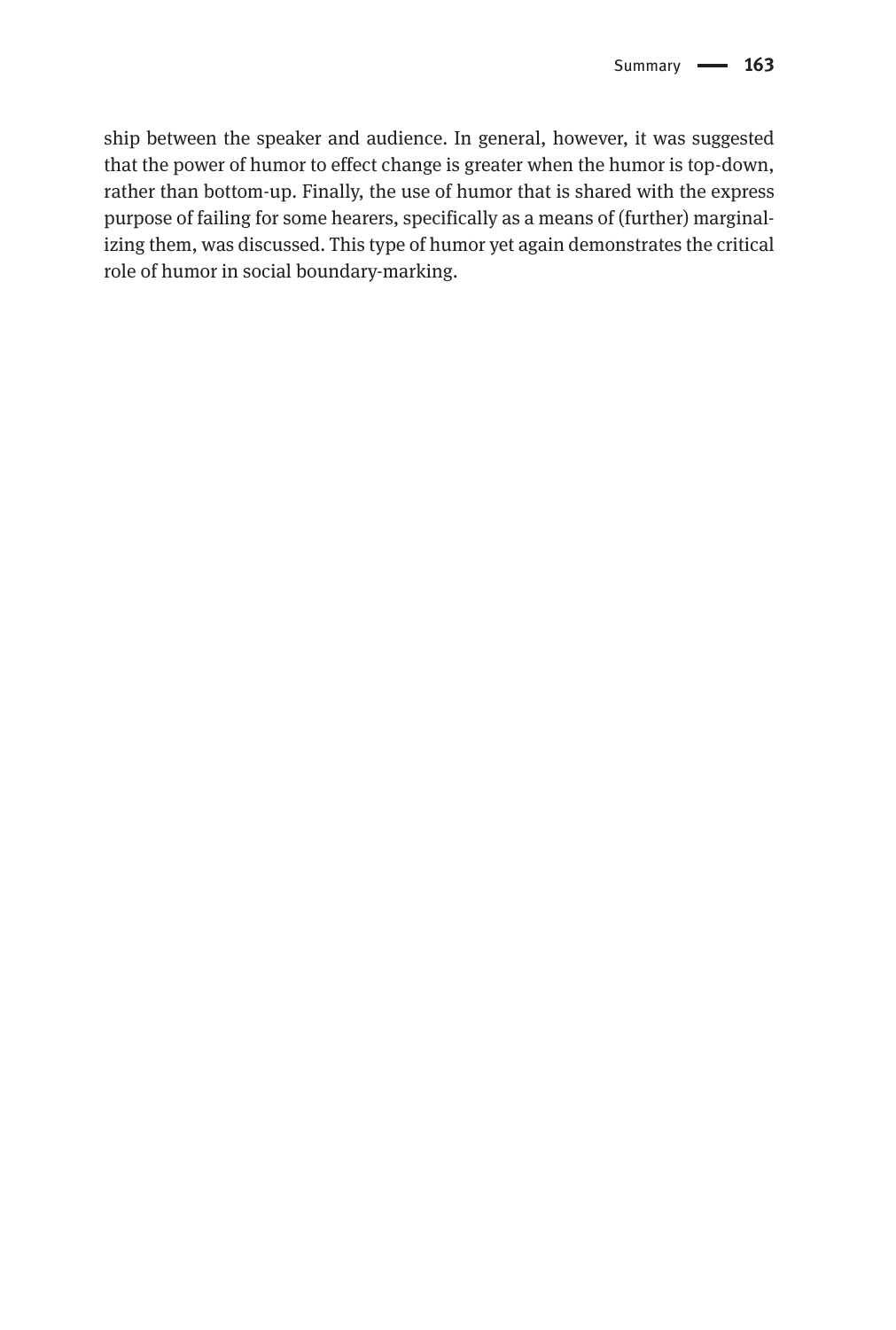ship between the speaker and audience. In general, however, it was suggested that the power of humor to effect change is greater when the humor is top-down, rather than bottom-up. Finally, the use of humor that is shared with the express purpose of failing for some hearers, specifically as a means of (further) marginalizing them, was discussed. This type of humor yet again demonstrates the critical role of humor in social boundary-marking.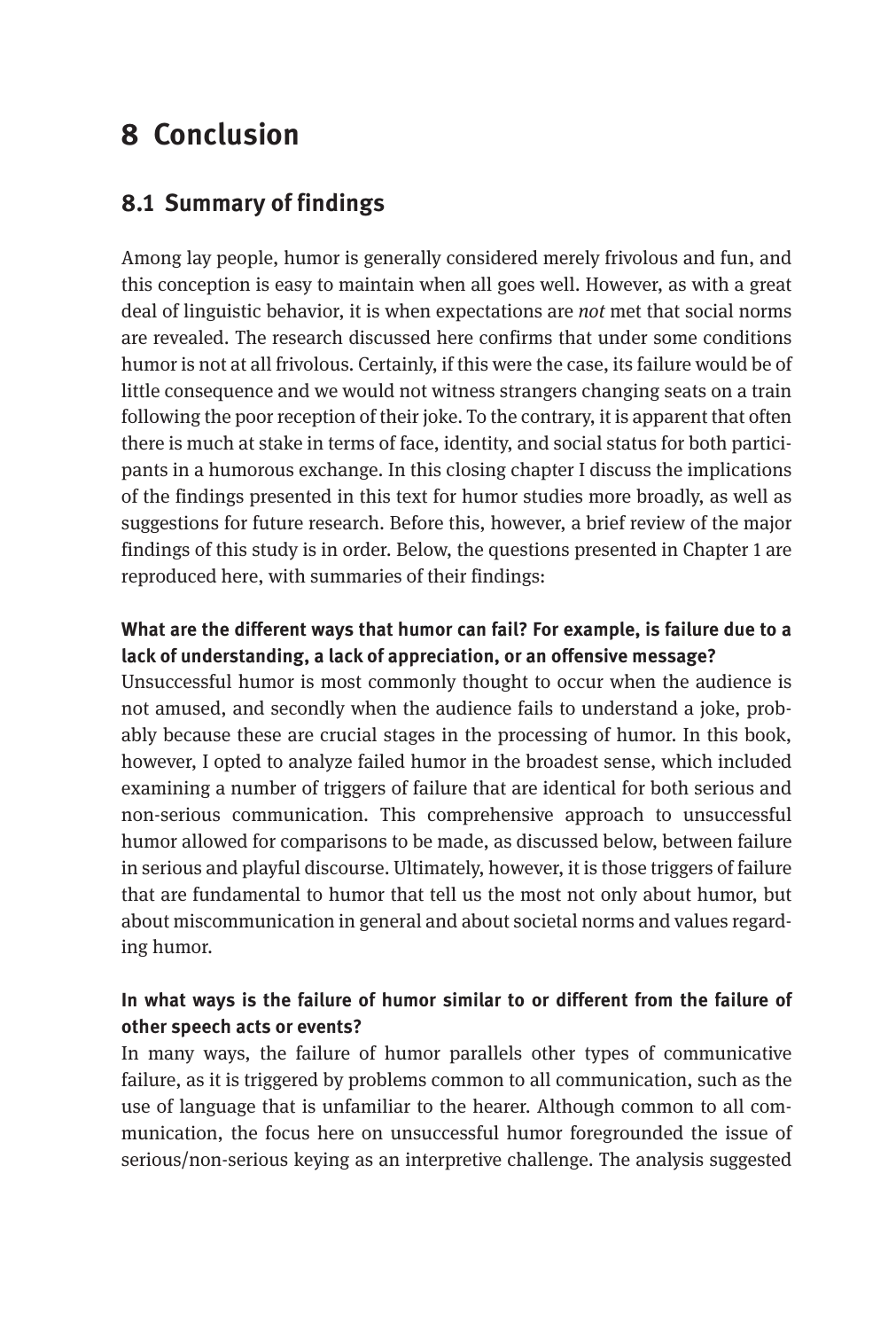# **8 Conclusion**

## **8.1 Summary of findings**

Among lay people, humor is generally considered merely frivolous and fun, and this conception is easy to maintain when all goes well. However, as with a great deal of linguistic behavior, it is when expectations are *not* met that social norms are revealed. The research discussed here confirms that under some conditions humor is not at all frivolous. Certainly, if this were the case, its failure would be of little consequence and we would not witness strangers changing seats on a train following the poor reception of their joke. To the contrary, it is apparent that often there is much at stake in terms of face, identity, and social status for both participants in a humorous exchange. In this closing chapter I discuss the implications of the findings presented in this text for humor studies more broadly, as well as suggestions for future research. Before this, however, a brief review of the major findings of this study is in order. Below, the questions presented in Chapter 1 are reproduced here, with summaries of their findings:

#### **What are the different ways that humor can fail? For example, is failure due to a lack of understanding, a lack of appreciation, or an offensive message?**

Unsuccessful humor is most commonly thought to occur when the audience is not amused, and secondly when the audience fails to understand a joke, probably because these are crucial stages in the processing of humor. In this book, however, I opted to analyze failed humor in the broadest sense, which included examining a number of triggers of failure that are identical for both serious and non-serious communication. This comprehensive approach to unsuccessful humor allowed for comparisons to be made, as discussed below, between failure in serious and playful discourse. Ultimately, however, it is those triggers of failure that are fundamental to humor that tell us the most not only about humor, but about miscommunication in general and about societal norms and values regarding humor.

#### **In what ways is the failure of humor similar to or different from the failure of other speech acts or events?**

In many ways, the failure of humor parallels other types of communicative failure, as it is triggered by problems common to all communication, such as the use of language that is unfamiliar to the hearer. Although common to all communication, the focus here on unsuccessful humor foregrounded the issue of serious/non-serious keying as an interpretive challenge. The analysis suggested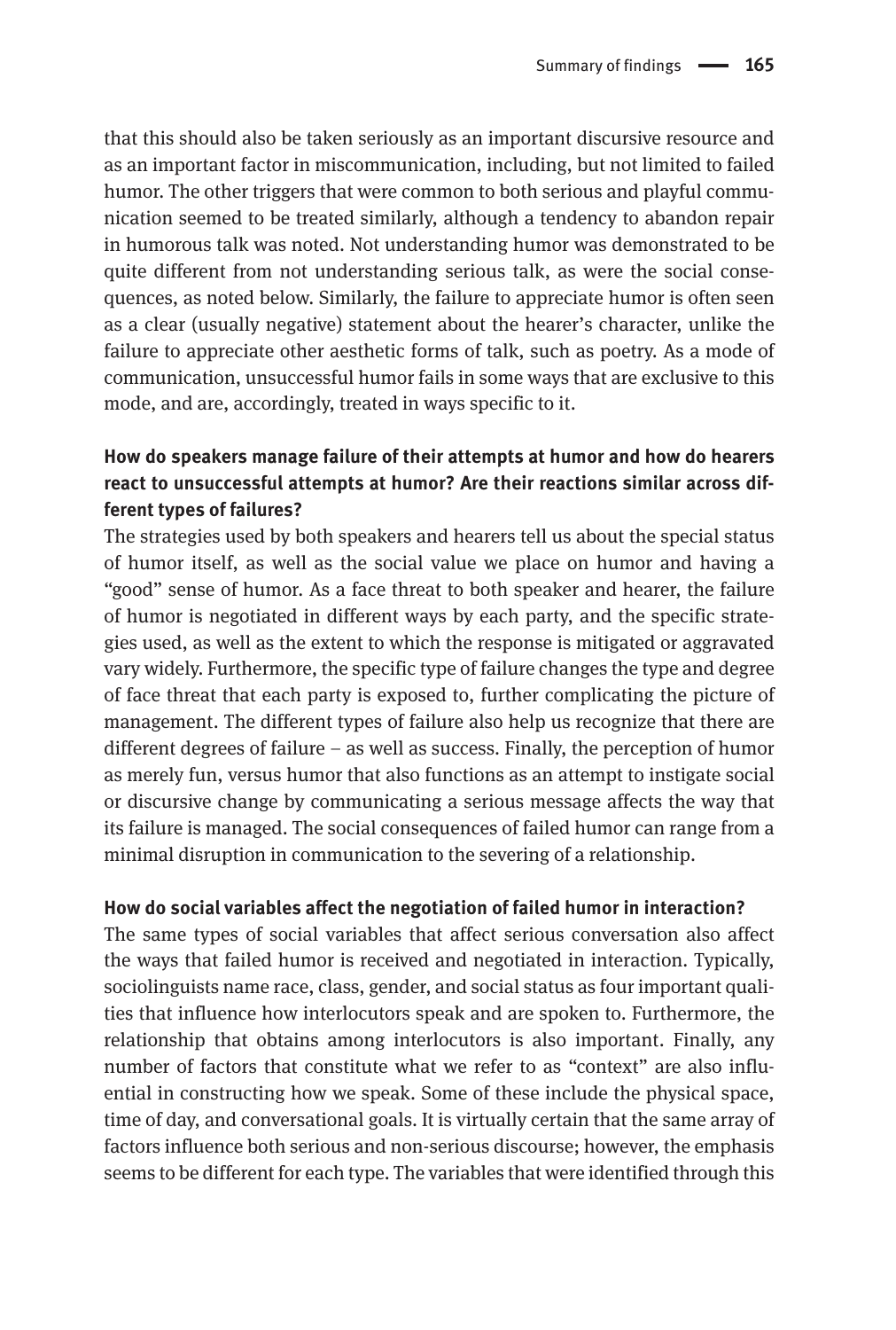that this should also be taken seriously as an important discursive resource and as an important factor in miscommunication, including, but not limited to failed humor. The other triggers that were common to both serious and playful communication seemed to be treated similarly, although a tendency to abandon repair in humorous talk was noted. Not understanding humor was demonstrated to be quite different from not understanding serious talk, as were the social consequences, as noted below. Similarly, the failure to appreciate humor is often seen as a clear (usually negative) statement about the hearer's character, unlike the failure to appreciate other aesthetic forms of talk, such as poetry. As a mode of communication, unsuccessful humor fails in some ways that are exclusive to this mode, and are, accordingly, treated in ways specific to it.

#### **How do speakers manage failure of their attempts at humor and how do hearers react to unsuccessful attempts at humor? Are their reactions similar across different types of failures?**

The strategies used by both speakers and hearers tell us about the special status of humor itself, as well as the social value we place on humor and having a "good" sense of humor. As a face threat to both speaker and hearer, the failure of humor is negotiated in different ways by each party, and the specific strategies used, as well as the extent to which the response is mitigated or aggravated vary widely. Furthermore, the specific type of failure changes the type and degree of face threat that each party is exposed to, further complicating the picture of management. The different types of failure also help us recognize that there are different degrees of failure – as well as success. Finally, the perception of humor as merely fun, versus humor that also functions as an attempt to instigate social or discursive change by communicating a serious message affects the way that its failure is managed. The social consequences of failed humor can range from a minimal disruption in communication to the severing of a relationship.

#### **How do social variables affect the negotiation of failed humor in interaction?**

The same types of social variables that affect serious conversation also affect the ways that failed humor is received and negotiated in interaction. Typically, sociolinguists name race, class, gender, and social status as four important qualities that influence how interlocutors speak and are spoken to. Furthermore, the relationship that obtains among interlocutors is also important. Finally, any number of factors that constitute what we refer to as "context" are also influential in constructing how we speak. Some of these include the physical space, time of day, and conversational goals. It is virtually certain that the same array of factors influence both serious and non-serious discourse; however, the emphasis seems to be different for each type. The variables that were identified through this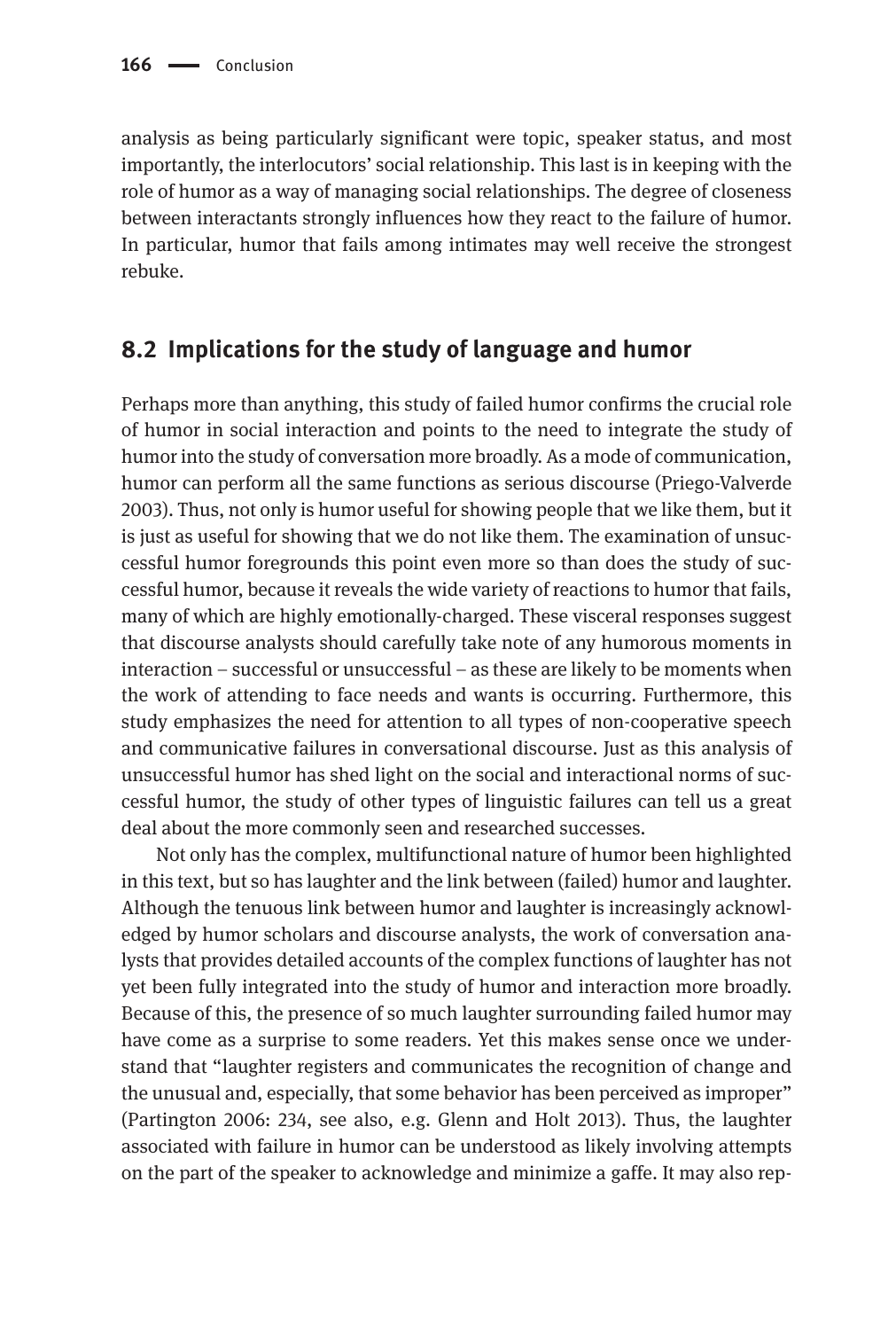analysis as being particularly significant were topic, speaker status, and most importantly, the interlocutors' social relationship. This last is in keeping with the role of humor as a way of managing social relationships. The degree of closeness between interactants strongly influences how they react to the failure of humor. In particular, humor that fails among intimates may well receive the strongest rebuke.

## **8.2 Implications for the study of language and humor**

Perhaps more than anything, this study of failed humor confirms the crucial role of humor in social interaction and points to the need to integrate the study of humor into the study of conversation more broadly. As a mode of communication, humor can perform all the same functions as serious discourse (Priego-Valverde 2003). Thus, not only is humor useful for showing people that we like them, but it is just as useful for showing that we do not like them. The examination of unsuccessful humor foregrounds this point even more so than does the study of successful humor, because it reveals the wide variety of reactions to humor that fails, many of which are highly emotionally-charged. These visceral responses suggest that discourse analysts should carefully take note of any humorous moments in interaction – successful or unsuccessful – as these are likely to be moments when the work of attending to face needs and wants is occurring. Furthermore, this study emphasizes the need for attention to all types of non-cooperative speech and communicative failures in conversational discourse. Just as this analysis of unsuccessful humor has shed light on the social and interactional norms of successful humor, the study of other types of linguistic failures can tell us a great deal about the more commonly seen and researched successes.

Not only has the complex, multifunctional nature of humor been highlighted in this text, but so has laughter and the link between (failed) humor and laughter. Although the tenuous link between humor and laughter is increasingly acknowledged by humor scholars and discourse analysts, the work of conversation analysts that provides detailed accounts of the complex functions of laughter has not yet been fully integrated into the study of humor and interaction more broadly. Because of this, the presence of so much laughter surrounding failed humor may have come as a surprise to some readers. Yet this makes sense once we understand that "laughter registers and communicates the recognition of change and the unusual and, especially, that some behavior has been perceived as improper" (Partington 2006: 234, see also, e.g. Glenn and Holt 2013). Thus, the laughter associated with failure in humor can be understood as likely involving attempts on the part of the speaker to acknowledge and minimize a gaffe. It may also rep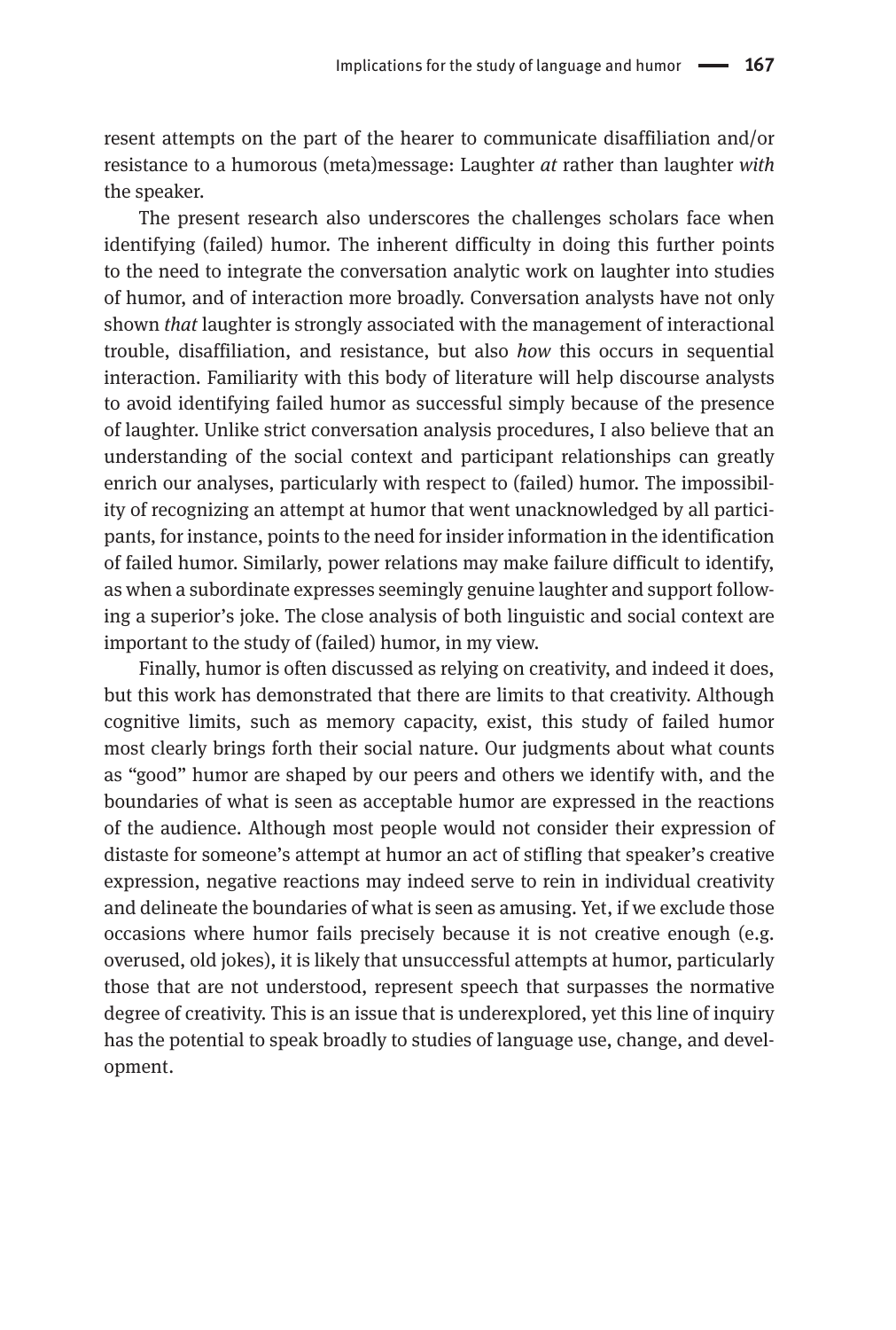resent attempts on the part of the hearer to communicate disaffiliation and/or resistance to a humorous (meta)message: Laughter *at* rather than laughter *with* the speaker.

The present research also underscores the challenges scholars face when identifying (failed) humor. The inherent difficulty in doing this further points to the need to integrate the conversation analytic work on laughter into studies of humor, and of interaction more broadly. Conversation analysts have not only shown *that* laughter is strongly associated with the management of interactional trouble, disaffiliation, and resistance, but also *how* this occurs in sequential interaction. Familiarity with this body of literature will help discourse analysts to avoid identifying failed humor as successful simply because of the presence of laughter. Unlike strict conversation analysis procedures, I also believe that an understanding of the social context and participant relationships can greatly enrich our analyses, particularly with respect to (failed) humor. The impossibility of recognizing an attempt at humor that went unacknowledged by all participants, for instance, points to the need for insider information in the identification of failed humor. Similarly, power relations may make failure difficult to identify, as when a subordinate expresses seemingly genuine laughter and support following a superior's joke. The close analysis of both linguistic and social context are important to the study of (failed) humor, in my view.

Finally, humor is often discussed as relying on creativity, and indeed it does, but this work has demonstrated that there are limits to that creativity. Although cognitive limits, such as memory capacity, exist, this study of failed humor most clearly brings forth their social nature. Our judgments about what counts as "good" humor are shaped by our peers and others we identify with, and the boundaries of what is seen as acceptable humor are expressed in the reactions of the audience. Although most people would not consider their expression of distaste for someone's attempt at humor an act of stifling that speaker's creative expression, negative reactions may indeed serve to rein in individual creativity and delineate the boundaries of what is seen as amusing. Yet, if we exclude those occasions where humor fails precisely because it is not creative enough (e.g. overused, old jokes), it is likely that unsuccessful attempts at humor, particularly those that are not understood, represent speech that surpasses the normative degree of creativity. This is an issue that is underexplored, yet this line of inquiry has the potential to speak broadly to studies of language use, change, and development.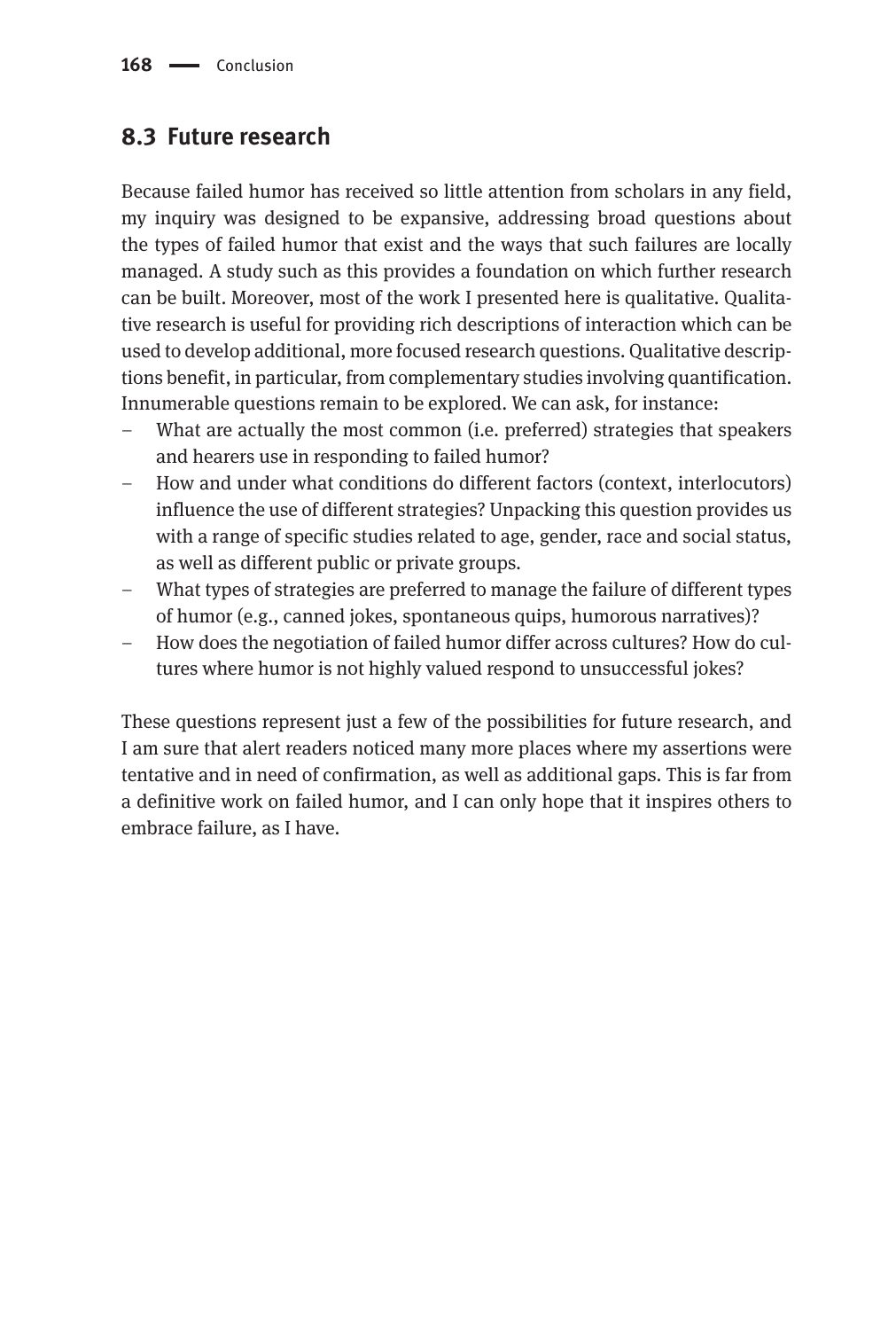## **8.3 Future research**

Because failed humor has received so little attention from scholars in any field, my inquiry was designed to be expansive, addressing broad questions about the types of failed humor that exist and the ways that such failures are locally managed. A study such as this provides a foundation on which further research can be built. Moreover, most of the work I presented here is qualitative. Qualitative research is useful for providing rich descriptions of interaction which can be used to develop additional, more focused research questions. Qualitative descriptions benefit, in particular, from complementary studies involving quantification. Innumerable questions remain to be explored. We can ask, for instance:

- What are actually the most common (i.e. preferred) strategies that speakers and hearers use in responding to failed humor?
- How and under what conditions do different factors (context, interlocutors) influence the use of different strategies? Unpacking this question provides us with a range of specific studies related to age, gender, race and social status, as well as different public or private groups.
- What types of strategies are preferred to manage the failure of different types of humor (e.g., canned jokes, spontaneous quips, humorous narratives)?
- How does the negotiation of failed humor differ across cultures? How do cultures where humor is not highly valued respond to unsuccessful jokes?

These questions represent just a few of the possibilities for future research, and I am sure that alert readers noticed many more places where my assertions were tentative and in need of confirmation, as well as additional gaps. This is far from a definitive work on failed humor, and I can only hope that it inspires others to embrace failure, as I have.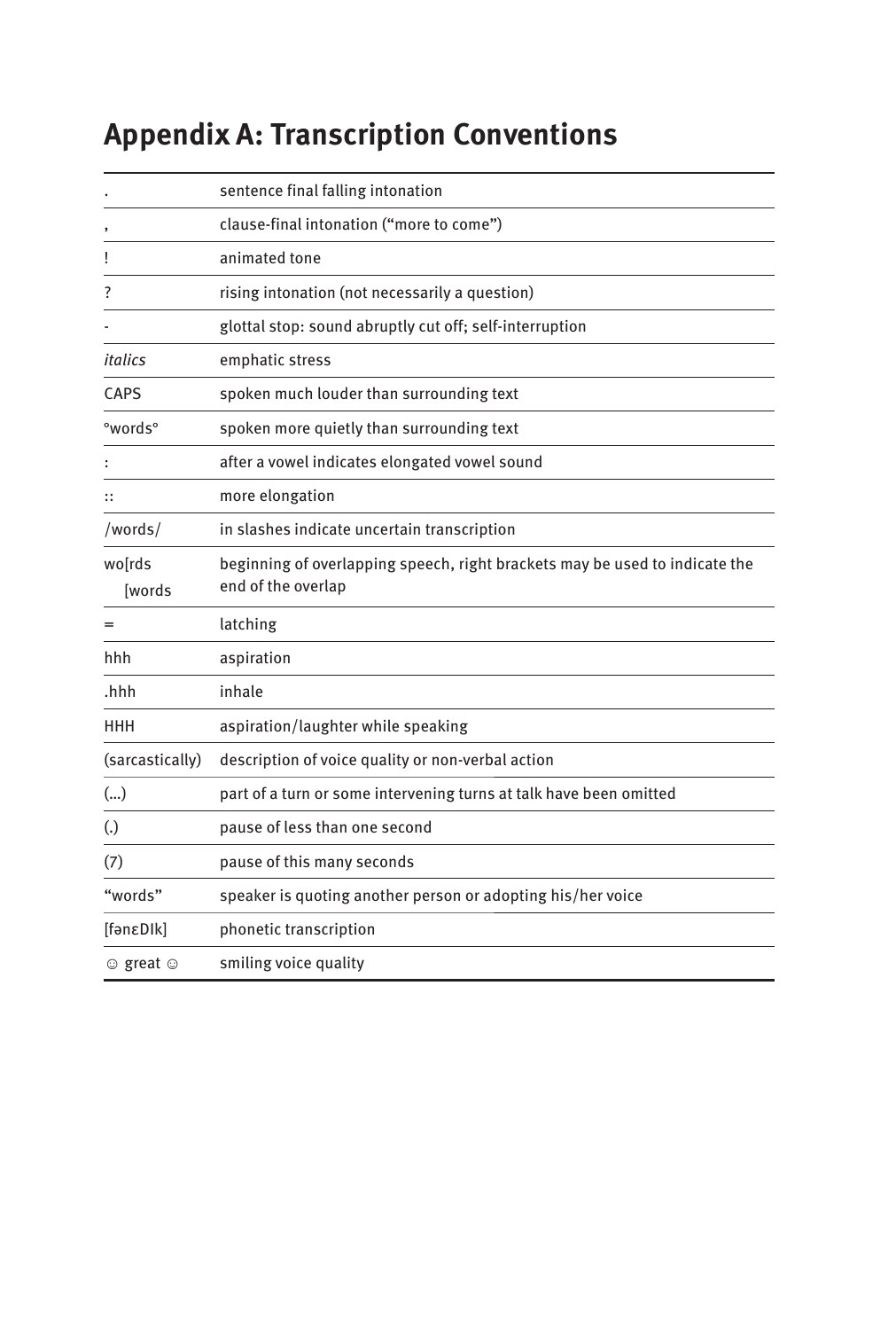# **Appendix A: Transcription Conventions**

|                        | sentence final falling intonation                                                                 |
|------------------------|---------------------------------------------------------------------------------------------------|
|                        | clause-final intonation ("more to come")                                                          |
| Ţ                      | animated tone                                                                                     |
| ?                      | rising intonation (not necessarily a question)                                                    |
|                        | glottal stop: sound abruptly cut off; self-interruption                                           |
| italics                | emphatic stress                                                                                   |
| CAPS                   | spoken much louder than surrounding text                                                          |
| °words°                | spoken more quietly than surrounding text                                                         |
|                        | after a vowel indicates elongated vowel sound                                                     |
| $\vdots$               | more elongation                                                                                   |
| /words/                | in slashes indicate uncertain transcription                                                       |
| wo[rds<br><i>words</i> | beginning of overlapping speech, right brackets may be used to indicate the<br>end of the overlap |
| $=$                    | latching                                                                                          |
| hhh                    | aspiration                                                                                        |
| .hhh                   | inhale                                                                                            |
| <b>HHH</b>             | aspiration/laughter while speaking                                                                |
| (sarcastically)        | description of voice quality or non-verbal action                                                 |
| ()                     | part of a turn or some intervening turns at talk have been omitted                                |
| $\left( .\right)$      | pause of less than one second                                                                     |
| (7)                    | pause of this many seconds                                                                        |
| "words"                | speaker is quoting another person or adopting his/her voice                                       |
| [fənɛDlk]              | phonetic transcription                                                                            |
| $\odot$ great $\odot$  | smiling voice quality                                                                             |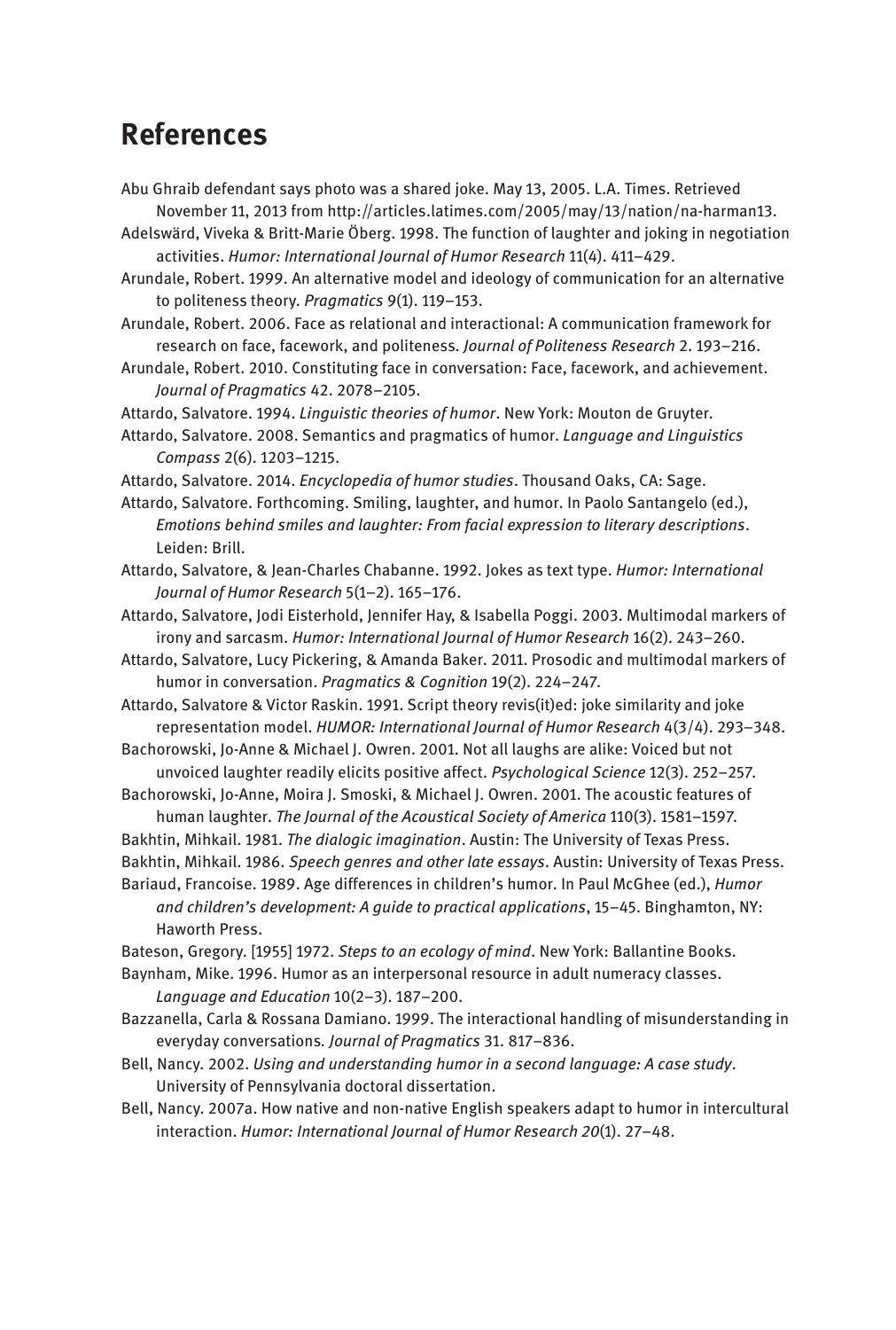# **References**

Abu Ghraib defendant says photo was a shared joke. May 13, 2005. L.A. Times. Retrieved November 11, 2013 from http://articles.latimes.com/2005/may/13/nation/na-harman13.

Adelswärd, Viveka & Britt-Marie Öberg. 1998. The function of laughter and joking in negotiation activities. *Humor: International Journal of Humor Research* 11(4). 411–429.

Arundale, Robert. 1999. An alternative model and ideology of communication for an alternative to politeness theory. *Pragmatics* 9(1). 119–153.

Arundale, Robert. 2006. Face as relational and interactional: A communication framework for research on face, facework, and politeness*. Journal of Politeness Research* 2. 193–216.

Arundale, Robert. 2010. Constituting face in conversation: Face, facework, and achievement. *Journal of Pragmatics* 42. 2078–2105.

Attardo, Salvatore. 1994. *Linguistic theories of humor*. New York: Mouton de Gruyter.

Attardo, Salvatore. 2008. Semantics and pragmatics of humor. *Language and Linguistics Compass* 2(6). 1203–1215.

Attardo, Salvatore. 2014. *Encyclopedia of humor studies*. Thousand Oaks, CA: Sage.

Attardo, Salvatore. Forthcoming. Smiling, laughter, and humor. In Paolo Santangelo (ed.), *Emotions behind smiles and laughter: From facial expression to literary descriptions*. Leiden: Brill.

Attardo, Salvatore, & Jean-Charles Chabanne. 1992. Jokes as text type. *Humor: International Journal of Humor Research* 5(1–2). 165–176.

Attardo, Salvatore, Jodi Eisterhold, Jennifer Hay, & Isabella Poggi. 2003. Multimodal markers of irony and sarcasm. *Humor: International Journal of Humor Research* 16(2). 243–260.

Attardo, Salvatore, Lucy Pickering, & Amanda Baker. 2011. Prosodic and multimodal markers of humor in conversation. *Pragmatics & Cognition* 19(2). 224–247.

Attardo, Salvatore & Victor Raskin. 1991. Script theory revis(it)ed: joke similarity and joke representation model. *HUMOR: International Journal of Humor Research* 4(3/4). 293–348.

Bachorowski, Jo-Anne & Michael J. Owren. 2001. Not all laughs are alike: Voiced but not unvoiced laughter readily elicits positive affect. *Psychological Science* 12(3). 252–257.

- Bachorowski, Jo-Anne, Moira J. Smoski, & Michael J. Owren. 2001. The acoustic features of human laughter. *The Journal of the Acoustical Society of America* 110(3). 1581–1597.
- Bakhtin, Mihkail. 1981. *The dialogic imagination*. Austin: The University of Texas Press.

Bakhtin, Mihkail. 1986. *Speech genres and other late essays*. Austin: University of Texas Press.

Bariaud, Francoise. 1989. Age differences in children's humor. In Paul McGhee (ed.), *Humor and children's development: A guide to practical applications*, 15–45. Binghamton, NY: Haworth Press.

Bateson, Gregory. [1955] 1972. *Steps to an ecology of mind*. New York: Ballantine Books.

Baynham, Mike. 1996. Humor as an interpersonal resource in adult numeracy classes. *Language and Education* 10(2–3). 187–200.

- Bazzanella, Carla & Rossana Damiano. 1999. The interactional handling of misunderstanding in everyday conversations*. Journal of Pragmatics* 31. 817–836.
- Bell, Nancy. 2002. *Using and understanding humor in a second language: A case study*. University of Pennsylvania doctoral dissertation.
- Bell, Nancy. 2007a. How native and non-native English speakers adapt to humor in intercultural interaction. *Humor: International Journal of Humor Research 20*(1). 27–48.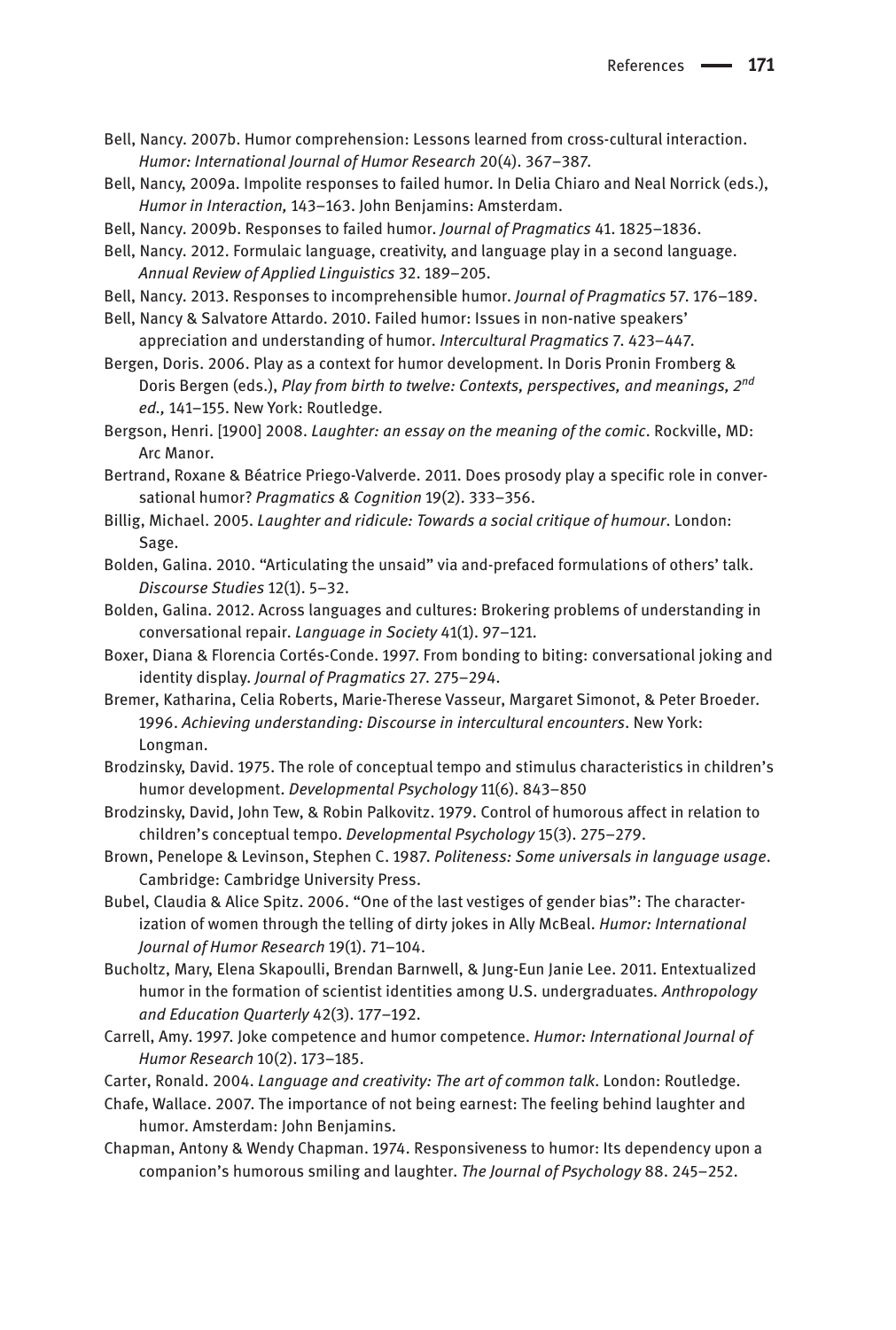- Bell, Nancy. 2007b. Humor comprehension: Lessons learned from cross-cultural interaction. *Humor: International Journal of Humor Research* 20(4). 367–387.
- Bell, Nancy, 2009a. Impolite responses to failed humor. In Delia Chiaro and Neal Norrick (eds.), *Humor in Interaction,* 143–163. John Benjamins: Amsterdam.
- Bell, Nancy. 2009b. Responses to failed humor. *Journal of Pragmatics* 41. 1825–1836.
- Bell, Nancy. 2012. Formulaic language, creativity, and language play in a second language. *Annual Review of Applied Linguistics* 32. 189–205.
- Bell, Nancy. 2013. Responses to incomprehensible humor. *Journal of Pragmatics* 57. 176–189.
- Bell, Nancy & Salvatore Attardo. 2010. Failed humor: Issues in non-native speakers' appreciation and understanding of humor. *Intercultural Pragmatics* 7. 423–447.
- Bergen, Doris. 2006. Play as a context for humor development. In Doris Pronin Fromberg & Doris Bergen (eds.), *Play from birth to twelve: Contexts, perspectives, and meanings, 2nd ed.,* 141–155. New York: Routledge.
- Bergson, Henri. [1900] 2008. *Laughter: an essay on the meaning of the comic*. Rockville, MD: Arc Manor.
- Bertrand, Roxane & Béatrice Priego-Valverde. 2011. Does prosody play a specific role in conversational humor? *Pragmatics & Cognition* 19(2). 333–356.
- Billig, Michael. 2005. *Laughter and ridicule: Towards a social critique of humour*. London: Sage.
- Bolden, Galina. 2010. "Articulating the unsaid" via and-prefaced formulations of others' talk. *Discourse Studies* 12(1). 5–32.
- Bolden, Galina. 2012. Across languages and cultures: Brokering problems of understanding in conversational repair. *Language in Society* 41(1). 97–121.
- Boxer, Diana & Florencia Cortés-Conde. 1997. From bonding to biting: conversational joking and identity display. *Journal of Pragmatics* 27. 275–294.
- Bremer, Katharina, Celia Roberts, Marie-Therese Vasseur, Margaret Simonot, & Peter Broeder. 1996. *Achieving understanding: Discourse in intercultural encounters*. New York: Longman.
- Brodzinsky, David. 1975. The role of conceptual tempo and stimulus characteristics in children's humor development. *Developmental Psychology* 11(6). 843–850
- Brodzinsky, David, John Tew, & Robin Palkovitz. 1979. Control of humorous affect in relation to children's conceptual tempo. *Developmental Psychology* 15(3). 275–279.
- Brown, Penelope & Levinson, Stephen C. 1987. *Politeness: Some universals in language usage*. Cambridge: Cambridge University Press.
- Bubel, Claudia & Alice Spitz. 2006. "One of the last vestiges of gender bias": The characterization of women through the telling of dirty jokes in Ally McBeal. *Humor: International Journal of Humor Research* 19(1). 71–104.
- Bucholtz, Mary, Elena Skapoulli, Brendan Barnwell, & Jung-Eun Janie Lee. 2011. Entextualized humor in the formation of scientist identities among U.S. undergraduates*. Anthropology and Education Quarterly* 42(3). 177–192.
- Carrell, Amy. 1997. Joke competence and humor competence. *Humor: International Journal of Humor Research* 10(2). 173–185.
- Carter, Ronald. 2004. *Language and creativity: The art of common talk*. London: Routledge.
- Chafe, Wallace. 2007. The importance of not being earnest: The feeling behind laughter and humor. Amsterdam: John Benjamins.
- Chapman, Antony & Wendy Chapman. 1974. Responsiveness to humor: Its dependency upon a companion's humorous smiling and laughter. *The Journal of Psychology* 88. 245–252.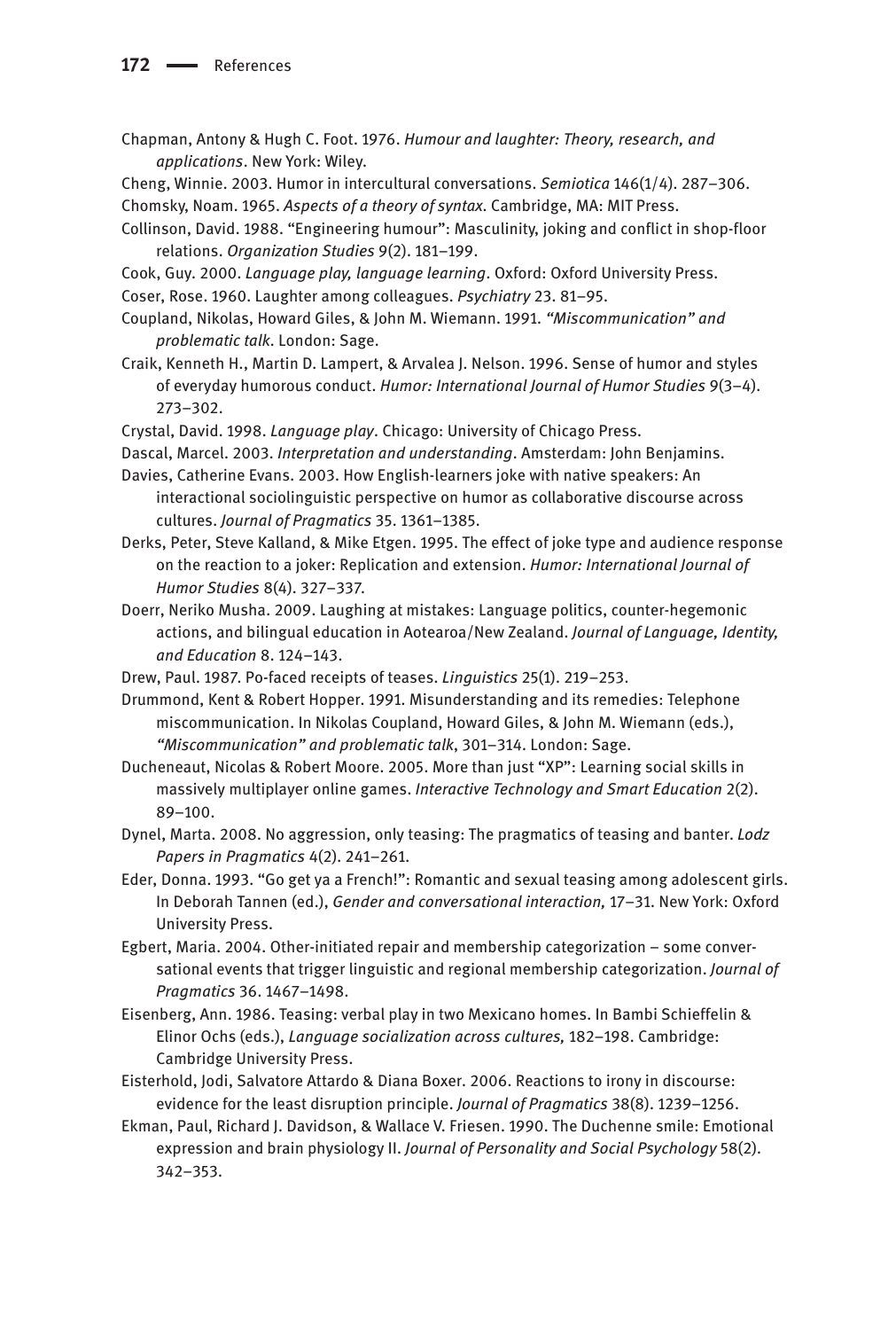- Chapman, Antony & Hugh C. Foot. 1976. *Humour and laughter: Theory, research, and applications*. New York: Wiley.
- Cheng, Winnie. 2003. Humor in intercultural conversations. *Semiotica* 146(1/4). 287–306.

Chomsky, Noam. 1965. *Aspects of a theory of syntax*. Cambridge, MA: MIT Press.

Collinson, David. 1988. "Engineering humour": Masculinity, joking and conflict in shop-floor relations. *Organization Studies* 9(2). 181–199.

Cook, Guy. 2000. *Language play, language learning*. Oxford: Oxford University Press.

Coser, Rose. 1960. Laughter among colleagues. *Psychiatry* 23. 81–95.

Coupland, Nikolas, Howard Giles, & John M. Wiemann. 1991. *"Miscommunication" and problematic talk*. London: Sage.

Craik, Kenneth H., Martin D. Lampert, & Arvalea J. Nelson. 1996. Sense of humor and styles of everyday humorous conduct. *Humor: International Journal of Humor Studies* 9(3–4). 273–302.

Crystal, David. 1998. *Language play*. Chicago: University of Chicago Press.

Dascal, Marcel. 2003. *Interpretation and understanding*. Amsterdam: John Benjamins.

- Davies, Catherine Evans. 2003. How English-learners joke with native speakers: An interactional sociolinguistic perspective on humor as collaborative discourse across cultures. *Journal of Pragmatics* 35. 1361–1385.
- Derks, Peter, Steve Kalland, & Mike Etgen. 1995. The effect of joke type and audience response on the reaction to a joker: Replication and extension. *Humor: International Journal of Humor Studies* 8(4). 327–337.
- Doerr, Neriko Musha. 2009. Laughing at mistakes: Language politics, counter-hegemonic actions, and bilingual education in Aotearoa/New Zealand. *Journal of Language, Identity, and Education* 8. 124–143.
- Drew, Paul. 1987. Po-faced receipts of teases. *Linguistics* 25(1). 219–253.
- Drummond, Kent & Robert Hopper. 1991. Misunderstanding and its remedies: Telephone miscommunication. In Nikolas Coupland, Howard Giles, & John M. Wiemann (eds.), *"Miscommunication" and problematic talk*, 301–314. London: Sage.
- Ducheneaut, Nicolas & Robert Moore. 2005. More than just "XP": Learning social skills in massively multiplayer online games. *Interactive Technology and Smart Education* 2(2). 89–100.
- Dynel, Marta. 2008. No aggression, only teasing: The pragmatics of teasing and banter. *Lodz Papers in Pragmatics* 4(2). 241–261.
- Eder, Donna. 1993. "Go get ya a French!": Romantic and sexual teasing among adolescent girls. In Deborah Tannen (ed.), *Gender and conversational interaction,* 17–31. New York: Oxford University Press.
- Egbert, Maria. 2004. Other-initiated repair and membership categorization some conversational events that trigger linguistic and regional membership categorization. *Journal of Pragmatics* 36. 1467–1498.
- Eisenberg, Ann. 1986. Teasing: verbal play in two Mexicano homes. In Bambi Schieffelin & Elinor Ochs (eds.), *Language socialization across cultures,* 182–198. Cambridge: Cambridge University Press.
- Eisterhold, Jodi, Salvatore Attardo & Diana Boxer. 2006. Reactions to irony in discourse: evidence for the least disruption principle. *Journal of Pragmatics* 38(8). 1239–1256.
- Ekman, Paul, Richard J. Davidson, & Wallace V. Friesen. 1990. The Duchenne smile: Emotional expression and brain physiology II. *Journal of Personality and Social Psychology* 58(2). 342–353.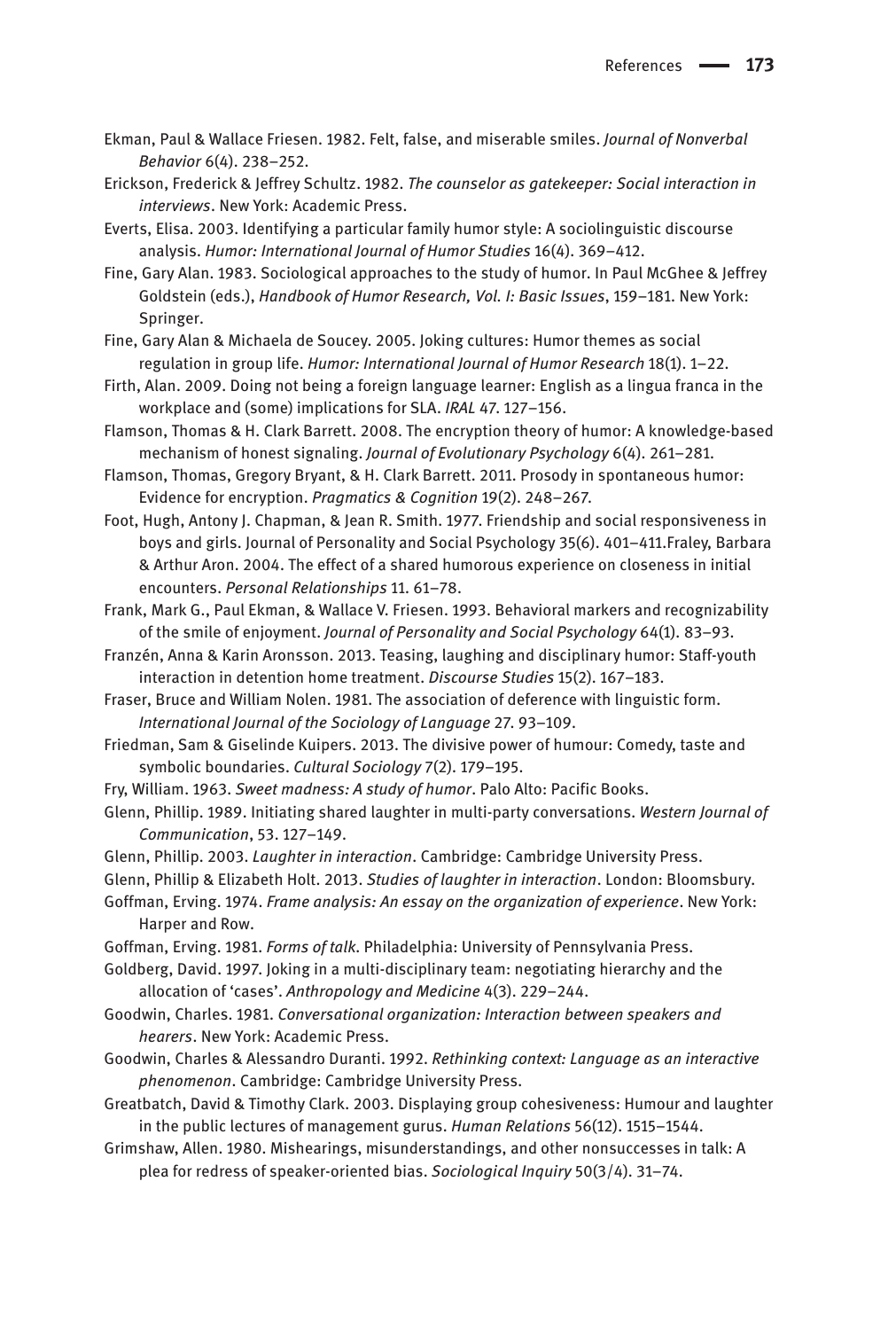- Ekman, Paul & Wallace Friesen. 1982. Felt, false, and miserable smiles. *Journal of Nonverbal Behavior* 6(4). 238–252.
- Erickson, Frederick & Jeffrey Schultz. 1982. *The counselor as gatekeeper: Social interaction in interviews*. New York: Academic Press.
- Everts, Elisa. 2003. Identifying a particular family humor style: A sociolinguistic discourse analysis. *Humor: International Journal of Humor Studies* 16(4). 369–412.
- Fine, Gary Alan. 1983. Sociological approaches to the study of humor. In Paul McGhee & Jeffrey Goldstein (eds.), *Handbook of Humor Research, Vol. I: Basic Issues*, 159–181. New York: Springer.
- Fine, Gary Alan & Michaela de Soucey. 2005. Joking cultures: Humor themes as social regulation in group life. *Humor: International Journal of Humor Research* 18(1). 1–22.
- Firth, Alan. 2009. Doing not being a foreign language learner: English as a lingua franca in the workplace and (some) implications for SLA. *IRAL* 47. 127–156.
- Flamson, Thomas & H. Clark Barrett. 2008. The encryption theory of humor: A knowledge-based mechanism of honest signaling. *Journal of Evolutionary Psychology* 6(4). 261–281.
- Flamson, Thomas, Gregory Bryant, & H. Clark Barrett. 2011. Prosody in spontaneous humor: Evidence for encryption. *Pragmatics & Cognition* 19(2). 248–267.
- Foot, Hugh, Antony J. Chapman, & Jean R. Smith. 1977. Friendship and social responsiveness in boys and girls. Journal of Personality and Social Psychology 35(6). 401–411.Fraley, Barbara & Arthur Aron. 2004. The effect of a shared humorous experience on closeness in initial encounters. *Personal Relationships* 11. 61–78.
- Frank, Mark G., Paul Ekman, & Wallace V. Friesen. 1993. Behavioral markers and recognizability of the smile of enjoyment. *Journal of Personality and Social Psychology* 64(1). 83–93.
- Franzén, Anna & Karin Aronsson. 2013. Teasing, laughing and disciplinary humor: Staff-youth interaction in detention home treatment. *Discourse Studies* 15(2). 167–183.
- Fraser, Bruce and William Nolen. 1981. The association of deference with linguistic form. *International Journal of the Sociology of Language* 27. 93–109.
- Friedman, Sam & Giselinde Kuipers. 2013. The divisive power of humour: Comedy, taste and symbolic boundaries. *Cultural Sociology* 7(2). 179–195.
- Fry, William. 1963. *Sweet madness: A study of humor*. Palo Alto: Pacific Books.
- Glenn, Phillip. 1989. Initiating shared laughter in multi-party conversations. *Western Journal of Communication*, 53. 127–149.
- Glenn, Phillip. 2003. *Laughter in interaction*. Cambridge: Cambridge University Press.
- Glenn, Phillip & Elizabeth Holt. 2013. *Studies of laughter in interaction*. London: Bloomsbury.
- Goffman, Erving. 1974. *Frame analysis: An essay on the organization of experience*. New York: Harper and Row.
- Goffman, Erving. 1981. *Forms of talk*. Philadelphia: University of Pennsylvania Press.
- Goldberg, David. 1997. Joking in a multi-disciplinary team: negotiating hierarchy and the allocation of 'cases'. *Anthropology and Medicine* 4(3). 229–244.
- Goodwin, Charles. 1981. *Conversational organization: Interaction between speakers and hearers*. New York: Academic Press.
- Goodwin, Charles & Alessandro Duranti. 1992. *Rethinking context: Language as an interactive phenomenon*. Cambridge: Cambridge University Press.
- Greatbatch, David & Timothy Clark. 2003. Displaying group cohesiveness: Humour and laughter in the public lectures of management gurus. *Human Relations* 56(12). 1515–1544.
- Grimshaw, Allen. 1980. Mishearings, misunderstandings, and other nonsuccesses in talk: A plea for redress of speaker-oriented bias. *Sociological Inquiry* 50(3/4). 31–74.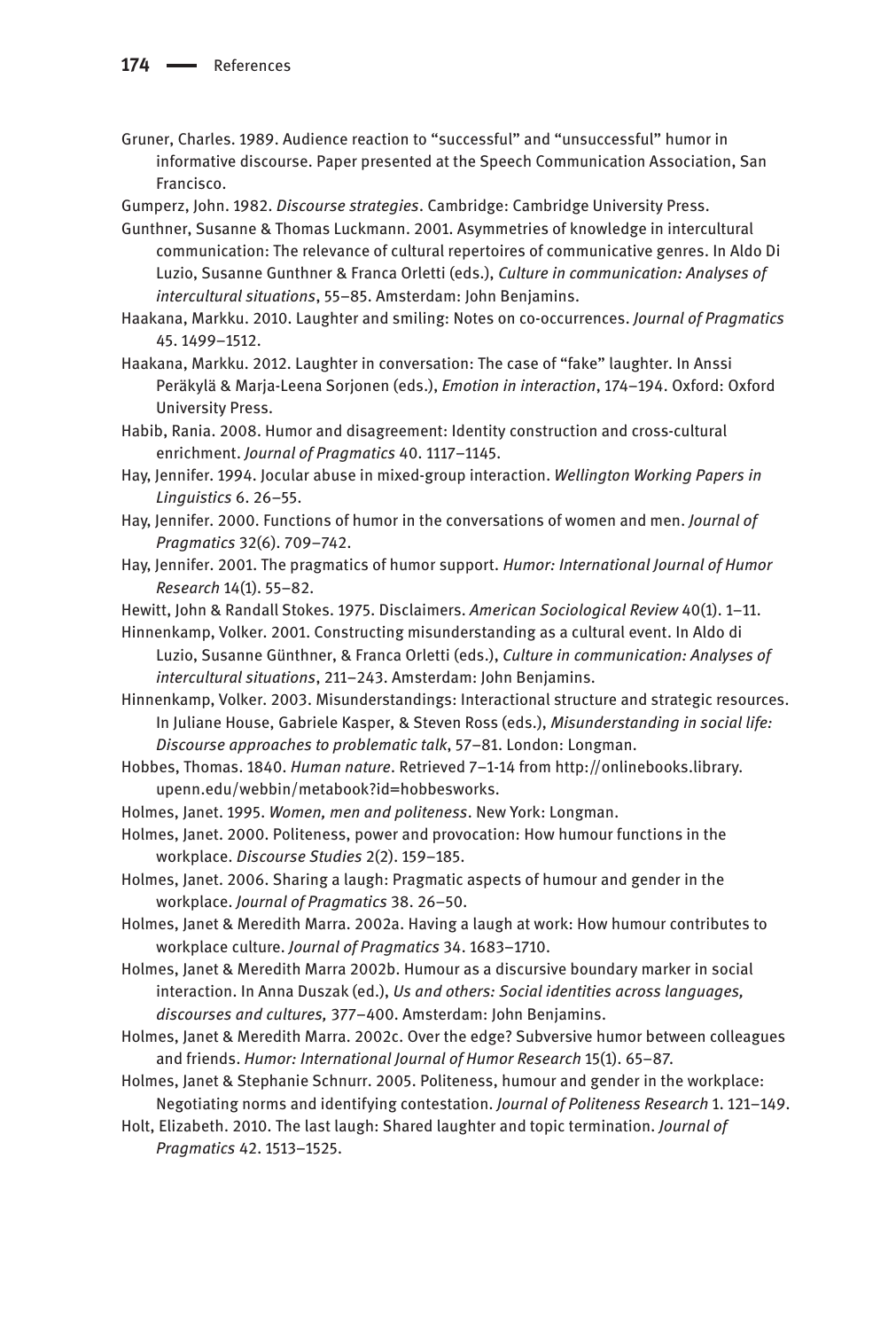- Gruner, Charles. 1989. Audience reaction to "successful" and "unsuccessful" humor in informative discourse. Paper presented at the Speech Communication Association, San Francisco.
- Gumperz, John. 1982. *Discourse strategies*. Cambridge: Cambridge University Press.
- Gunthner, Susanne & Thomas Luckmann. 2001. Asymmetries of knowledge in intercultural communication: The relevance of cultural repertoires of communicative genres. In Aldo Di Luzio, Susanne Gunthner & Franca Orletti (eds.), *Culture in communication: Analyses of intercultural situations*, 55–85. Amsterdam: John Benjamins.
- Haakana, Markku. 2010. Laughter and smiling: Notes on co-occurrences. *Journal of Pragmatics* 45. 1499–1512.
- Haakana, Markku. 2012. Laughter in conversation: The case of "fake" laughter. In Anssi Peräkylä & Marja-Leena Sorjonen (eds.), *Emotion in interaction*, 174–194. Oxford: Oxford University Press.
- Habib, Rania. 2008. Humor and disagreement: Identity construction and cross-cultural enrichment. *Journal of Pragmatics* 40. 1117–1145.
- Hay, Jennifer. 1994. Jocular abuse in mixed-group interaction. *Wellington Working Papers in Linguistics* 6. 26–55.
- Hay, Jennifer. 2000. Functions of humor in the conversations of women and men. *Journal of Pragmatics* 32(6). 709–742.
- Hay, Jennifer. 2001. The pragmatics of humor support. *Humor: International Journal of Humor Research* 14(1). 55–82.
- Hewitt, John & Randall Stokes. 1975. Disclaimers. *American Sociological Review* 40(1). 1–11.
- Hinnenkamp, Volker. 2001. Constructing misunderstanding as a cultural event. In Aldo di Luzio, Susanne Günthner, & Franca Orletti (eds.), *Culture in communication: Analyses of intercultural situations*, 211–243. Amsterdam: John Benjamins.
- Hinnenkamp, Volker. 2003. Misunderstandings: Interactional structure and strategic resources. In Juliane House, Gabriele Kasper, & Steven Ross (eds.), *Misunderstanding in social life: Discourse approaches to problematic talk*, 57–81. London: Longman.
- Hobbes, Thomas. 1840. *Human nature*. Retrieved 7–1-14 from http://onlinebooks.library. upenn.edu/webbin/metabook?id=hobbesworks.
- Holmes, Janet. 1995. *Women, men and politeness*. New York: Longman.
- Holmes, Janet. 2000. Politeness, power and provocation: How humour functions in the workplace. *Discourse Studies* 2(2). 159–185.
- Holmes, Janet. 2006. Sharing a laugh: Pragmatic aspects of humour and gender in the workplace. *Journal of Pragmatics* 38. 26–50.
- Holmes, Janet & Meredith Marra. 2002a. Having a laugh at work: How humour contributes to workplace culture. *Journal of Pragmatics* 34. 1683–1710.
- Holmes, Janet & Meredith Marra 2002b. Humour as a discursive boundary marker in social interaction. In Anna Duszak (ed.), *Us and others: Social identities across languages, discourses and cultures,* 377–400. Amsterdam: John Benjamins.
- Holmes, Janet & Meredith Marra. 2002c. Over the edge? Subversive humor between colleagues and friends. *Humor: International Journal of Humor Research* 15(1). 65–87.
- Holmes, Janet & Stephanie Schnurr. 2005. Politeness, humour and gender in the workplace: Negotiating norms and identifying contestation. *Journal of Politeness Research* 1. 121–149.
- Holt, Elizabeth. 2010. The last laugh: Shared laughter and topic termination. *Journal of Pragmatics* 42. 1513–1525.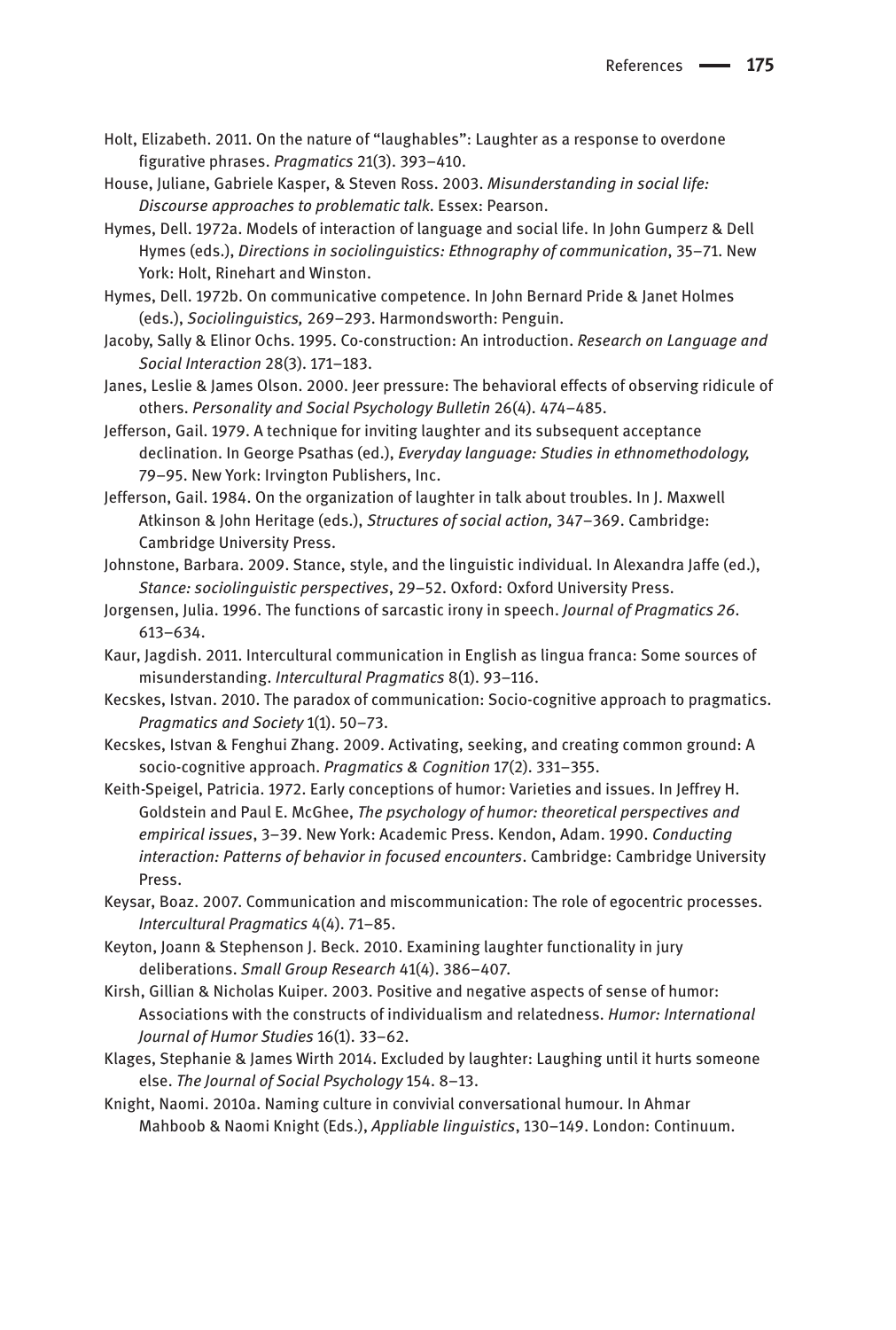- Holt, Elizabeth. 2011. On the nature of "laughables": Laughter as a response to overdone figurative phrases. *Pragmatics* 21(3). 393–410.
- House, Juliane, Gabriele Kasper, & Steven Ross. 2003. *Misunderstanding in social life: Discourse approaches to problematic talk*. Essex: Pearson.
- Hymes, Dell. 1972a. Models of interaction of language and social life. In John Gumperz & Dell Hymes (eds.), *Directions in sociolinguistics: Ethnography of communication*, 35–71. New York: Holt, Rinehart and Winston.
- Hymes, Dell. 1972b. On communicative competence. In John Bernard Pride & Janet Holmes (eds.), *Sociolinguistics,* 269–293. Harmondsworth: Penguin.
- Jacoby, Sally & Elinor Ochs. 1995. Co-construction: An introduction. *Research on Language and Social Interaction* 28(3). 171–183.
- Janes, Leslie & James Olson. 2000. Jeer pressure: The behavioral effects of observing ridicule of others. *Personality and Social Psychology Bulletin* 26(4). 474–485.
- Jefferson, Gail. 1979. A technique for inviting laughter and its subsequent acceptance declination. In George Psathas (ed.), *Everyday language: Studies in ethnomethodology,* 79–95. New York: Irvington Publishers, Inc.
- Jefferson, Gail. 1984. On the organization of laughter in talk about troubles. In J. Maxwell Atkinson & John Heritage (eds.), *Structures of social action,* 347–369. Cambridge: Cambridge University Press.
- Johnstone, Barbara. 2009. Stance, style, and the linguistic individual. In Alexandra Jaffe (ed.), *Stance: sociolinguistic perspectives*, 29–52. Oxford: Oxford University Press.
- Jorgensen, Julia. 1996. The functions of sarcastic irony in speech. *Journal of Pragmatics 26*. 613–634.
- Kaur, Jagdish. 2011. Intercultural communication in English as lingua franca: Some sources of misunderstanding. *Intercultural Pragmatics* 8(1). 93–116.
- Kecskes, Istvan. 2010. The paradox of communication: Socio-cognitive approach to pragmatics. *Pragmatics and Society* 1(1). 50–73.
- Kecskes, Istvan & Fenghui Zhang. 2009. Activating, seeking, and creating common ground: A socio-cognitive approach. *Pragmatics & Cognition* 17(2). 331–355.
- Keith-Speigel, Patricia. 1972. Early conceptions of humor: Varieties and issues. In Jeffrey H. G oldstein and Paul E. M cGhee, *The psychology of humor: theoretical perspectives and empirical issues*, 3–39. New York: Academic Press. Kendon, Adam. 1990. *Conducting interaction: Patterns of behavior in focused encounters*. Cambridge: Cambridge University Press.
- Keysar, Boaz. 2007. Communication and miscommunication: The role of egocentric processes. *Intercultural Pragmatics* 4(4). 71–85.
- Keyton, Joann & Stephenson J. Beck. 2010. Examining laughter functionality in jury deliberations. *Small Group Research* 41(4). 386–407.
- Kirsh, Gillian & Nicholas Kuiper. 2003. Positive and negative aspects of sense of humor: Associations with the constructs of individualism and relatedness. *Humor: International Journal of Humor Studies* 16(1). 33–62.
- Klages, Stephanie & James Wirth 2014. Excluded by laughter: Laughing until it hurts someone else. *The Journal of Social Psychology* 154. 8–13.
- Knight, Naomi. 2010a. Naming culture in convivial conversational humour. In Ahmar Mahboob & Naomi Knight (Eds.), *Appliable linguistics*, 130–149. London: Continuum.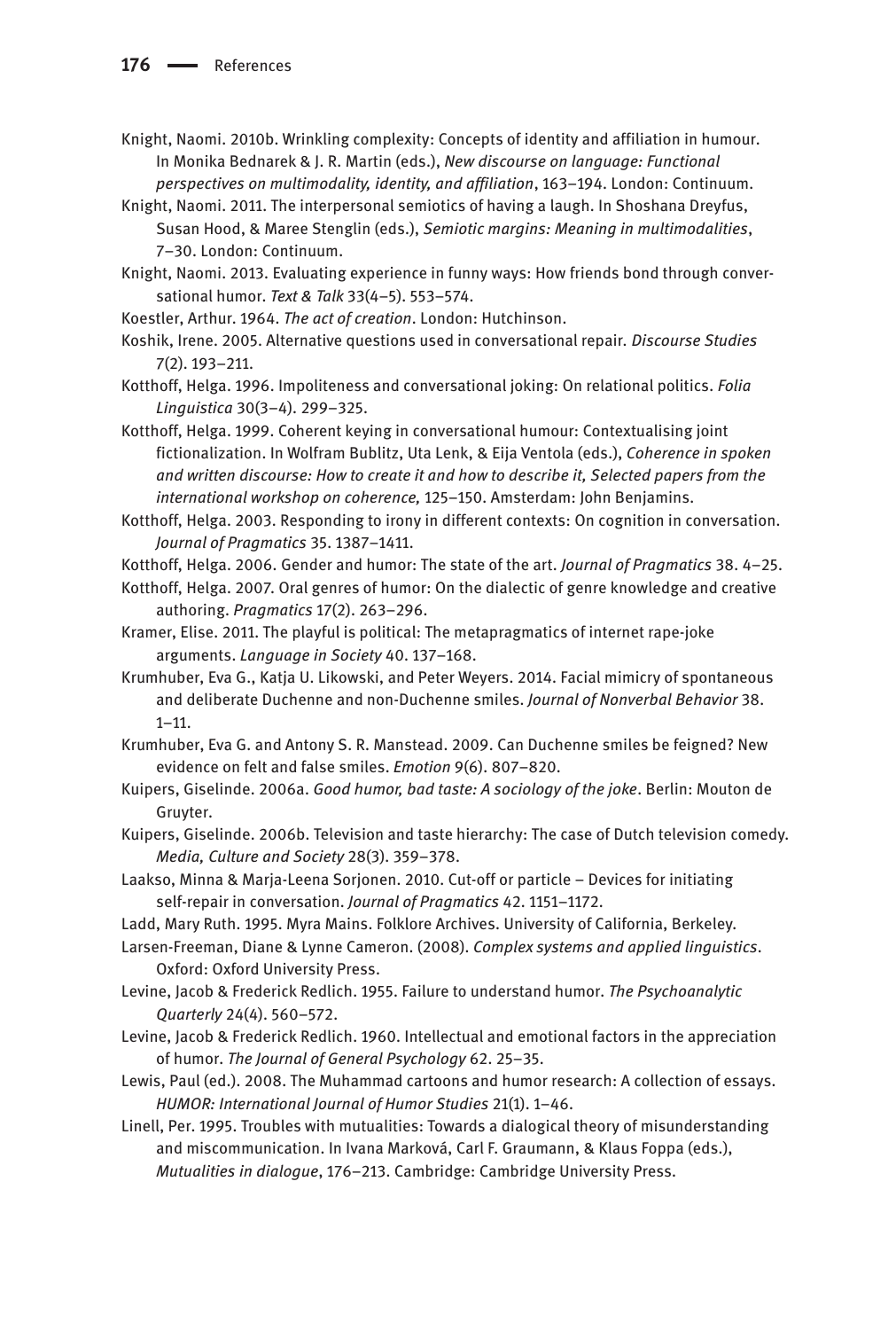Knight, Naomi. 2010b. Wrinkling complexity: Concepts of identity and affiliation in humour. In Monika Bednarek & J. R. Martin (eds.), *New discourse on language: Functional perspectives on multimodality, identity, and affiliation*, 163–194. London: Continuum.

- Knight, Naomi. 2011. The interpersonal semiotics of having a laugh. In Shoshana Dreyfus, Susan Hood, & Maree Stenglin (eds.), *Semiotic margins: Meaning in multimodalities*, 7–30. London: Continuum.
- Knight, Naomi. 2013. Evaluating experience in funny ways: How friends bond through conversational humor. *Text & Talk* 33(4–5). 553–574.
- Koestler, Arthur. 1964. *The act of creation*. London: Hutchinson.
- Koshik, Irene. 2005. Alternative questions used in conversational repair*. Discourse Studies* 7(2). 193–211.

Kotthoff, Helga. 1996. Impoliteness and conversational joking: On relational politics. *Folia Linguistica* 30(3–4). 299–325.

Kotthoff, Helga. 1999. Coherent keying in conversational humour: Contextualising joint fictionalization. In Wolfram Bublitz, Uta Lenk, & Eija Ventola (eds.), *Coherence in spoken and written discourse: How to create it and how to describe it, Selected papers from the international workshop on coherence,* 125–150. Amsterdam: John Benjamins.

Kotthoff, Helga. 2003. Responding to irony in different contexts: On cognition in conversation. *Journal of Pragmatics* 35. 1387–1411.

Kotthoff, Helga. 2006. Gender and humor: The state of the art. *Journal of Pragmatics* 38. 4–25.

- Kotthoff, Helga. 2007. Oral genres of humor: On the dialectic of genre knowledge and creative authoring. *Pragmatics* 17(2). 263–296.
- Kramer, Elise. 2011. The playful is political: The metapragmatics of internet rape-joke arguments. *Language in Society* 40. 137–168.
- Krumhuber, Eva G., Katja U. Likowski, and Peter Weyers. 2014. Facial mimicry of spontaneous and deliberate Duchenne and non-Duchenne smiles. *Journal of Nonverbal Behavior* 38. 1–11.
- Krumhuber, Eva G. and Antony S. R. Manstead. 2009. Can Duchenne smiles be feigned? New evidence on felt and false smiles. *Emotion* 9(6). 807–820.
- Kuipers, Giselinde. 2006a. *Good humor, bad taste: A sociology of the joke*. Berlin: Mouton de Gruyter.
- Kuipers, Giselinde. 2006b. Television and taste hierarchy: The case of Dutch television comedy. *Media, Culture and Society* 28(3). 359–378.
- Laakso, Minna & Marja-Leena Sorjonen. 2010. Cut-off or particle Devices for initiating self-repair in conversation. *Journal of Pragmatics* 42. 1151–1172.

Ladd, Mary Ruth. 1995. Myra Mains. Folklore Archives. University of California, Berkeley.

- Larsen-Freeman, Diane & Lynne Cameron. (2008). *Complex systems and applied linguistics*. Oxford: Oxford University Press.
- Levine, Jacob & Frederick Redlich. 1955. Failure to understand humor. *The Psychoanalytic Quarterly* 24(4). 560–572.
- Levine, Jacob & Frederick Redlich. 1960. Intellectual and emotional factors in the appreciation of humor. *The Journal of General Psychology* 62. 25–35.

Lewis, Paul (ed.). 2008. The Muhammad cartoons and humor research: A collection of essays. *HUMOR: International Journal of Humor Studies* 21(1). 1–46.

Linell, Per. 1995. Troubles with mutualities: Towards a dialogical theory of misunderstanding and miscommunication. In Ivana Marková, Carl F. Graumann, & Klaus Foppa (eds.), *Mutualities in dialogue*, 176–213. Cambridge: Cambridge University Press.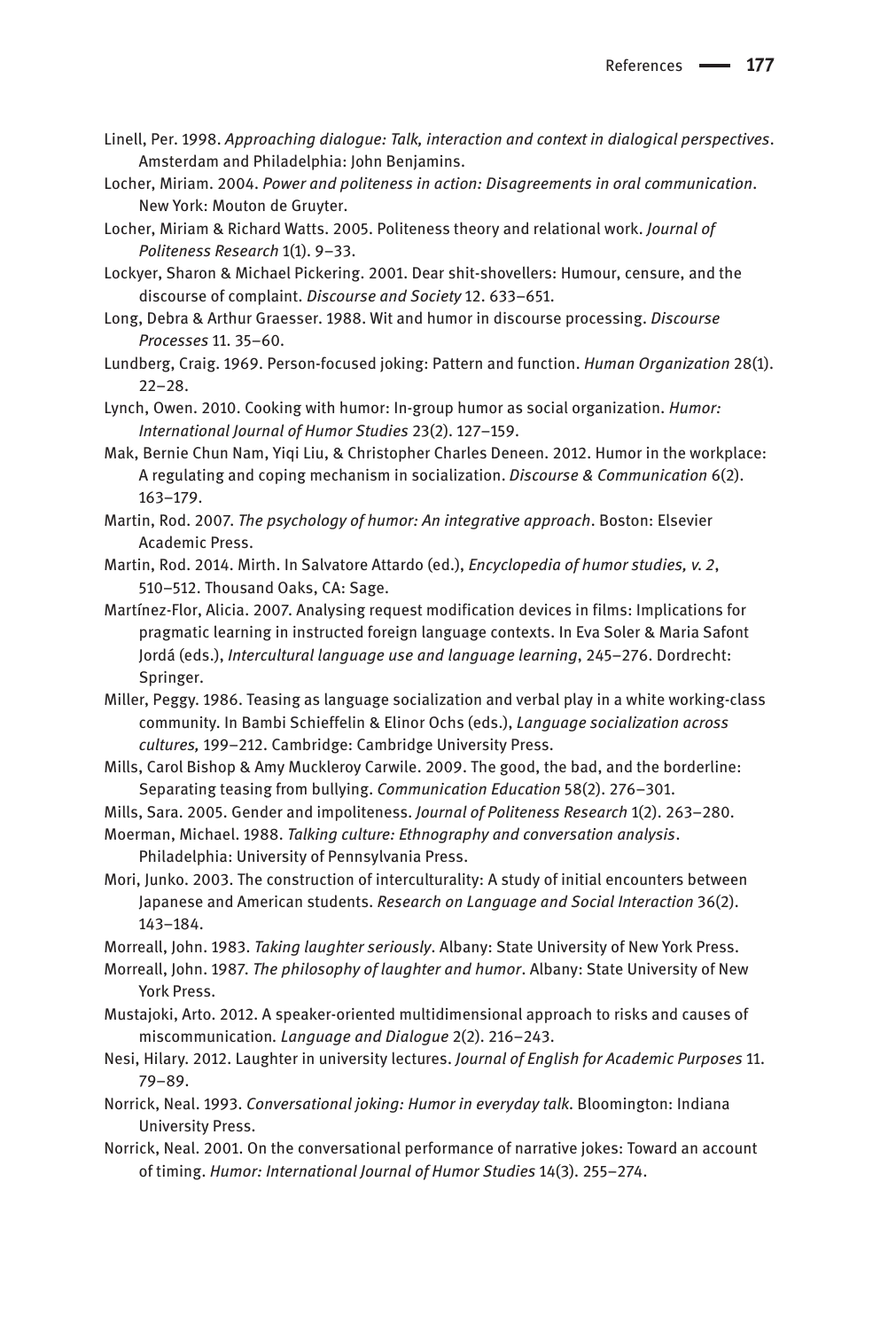- Linell, Per. 1998. *Approaching dialogue: Talk, interaction and context in dialogical perspectives*. Amsterdam and Philadelphia: John Benjamins.
- Locher, Miriam. 2004. *Power and politeness in action: Disagreements in oral communication*. New York: Mouton de Gruyter.
- Locher, Miriam & Richard Watts. 2005. Politeness theory and relational work. *Journal of Politeness Research* 1(1). 9–33.
- Lockyer, Sharon & Michael Pickering. 2001. Dear shit-shovellers: Humour, censure, and the discourse of complaint. *Discourse and Society* 12. 633–651.
- Long, Debra & Arthur Graesser. 1988. Wit and humor in discourse processing. *Discourse Processes* 11. 35–60.
- Lundberg, Craig. 1969. Person-focused joking: Pattern and function. *Human Organization* 28(1).  $22 - 28$
- Lynch, Owen. 2010. Cooking with humor: In-group humor as social organization. *Humor: International Journal of Humor Studies* 23(2). 127–159.
- Mak, Bernie Chun Nam, Yiqi Liu, & Christopher Charles Deneen. 2012. Humor in the workplace: A regulating and coping mechanism in socialization. *Discourse & Communication* 6(2). 163–179.
- Martin, Rod. 2007. *The psychology of humor: An integrative approach*. Boston: Elsevier Academic Press.
- Martin, Rod. 2014. Mirth. In Salvatore Attardo (ed.), *Encyclopedia of humor studies, v. 2*, 510–512. Thousand Oaks, CA: Sage.
- Martínez-Flor, Alicia. 2007. Analysing request modification devices in films: Implications for pragmatic learning in instructed foreign language contexts. In Eva Soler & Maria Safont Jordá (eds.), *Intercultural language use and language learning*, 245–276. Dordrecht: Springer.
- Miller, Peggy. 1986. Teasing as language socialization and verbal play in a white working-class community. In Bambi Schieffelin & Elinor Ochs (eds.), *Language socialization across cultures,* 199–212. Cambridge: Cambridge University Press.
- Mills, Carol Bishop & Amy Muckleroy Carwile. 2009. The good, the bad, and the borderline: Separating teasing from bullying. *Communication Education* 58(2). 276–301.
- Mills, Sara. 2005. Gender and impoliteness. *Journal of Politeness Research* 1(2). 263–280.
- Moerman, Michael. 1988. *Talking culture: Ethnography and conversation analysis*. Philadelphia: University of Pennsylvania Press.
- Mori, Junko. 2003. The construction of interculturality: A study of initial encounters between Japanese and American students. *Research on Language and Social Interaction* 36(2). 143–184.
- Morreall, John. 1983. *Taking laughter seriously*. Albany: State University of New York Press.
- Morreall, John. 1987. *The philosophy of laughter and humor*. Albany: State University of New York Press.
- Mustajoki, Arto. 2012. A speaker-oriented multidimensional approach to risks and causes of miscommunication*. Language and Dialogue* 2(2). 216–243.
- Nesi, Hilary. 2012. Laughter in university lectures. *Journal of English for Academic Purposes* 11. 79–89.
- Norrick, Neal. 1993. *Conversational joking: Humor in everyday talk*. Bloomington: Indiana University Press.
- Norrick, Neal. 2001. On the conversational performance of narrative jokes: Toward an account of timing. *Humor: International Journal of Humor Studies* 14(3). 255–274.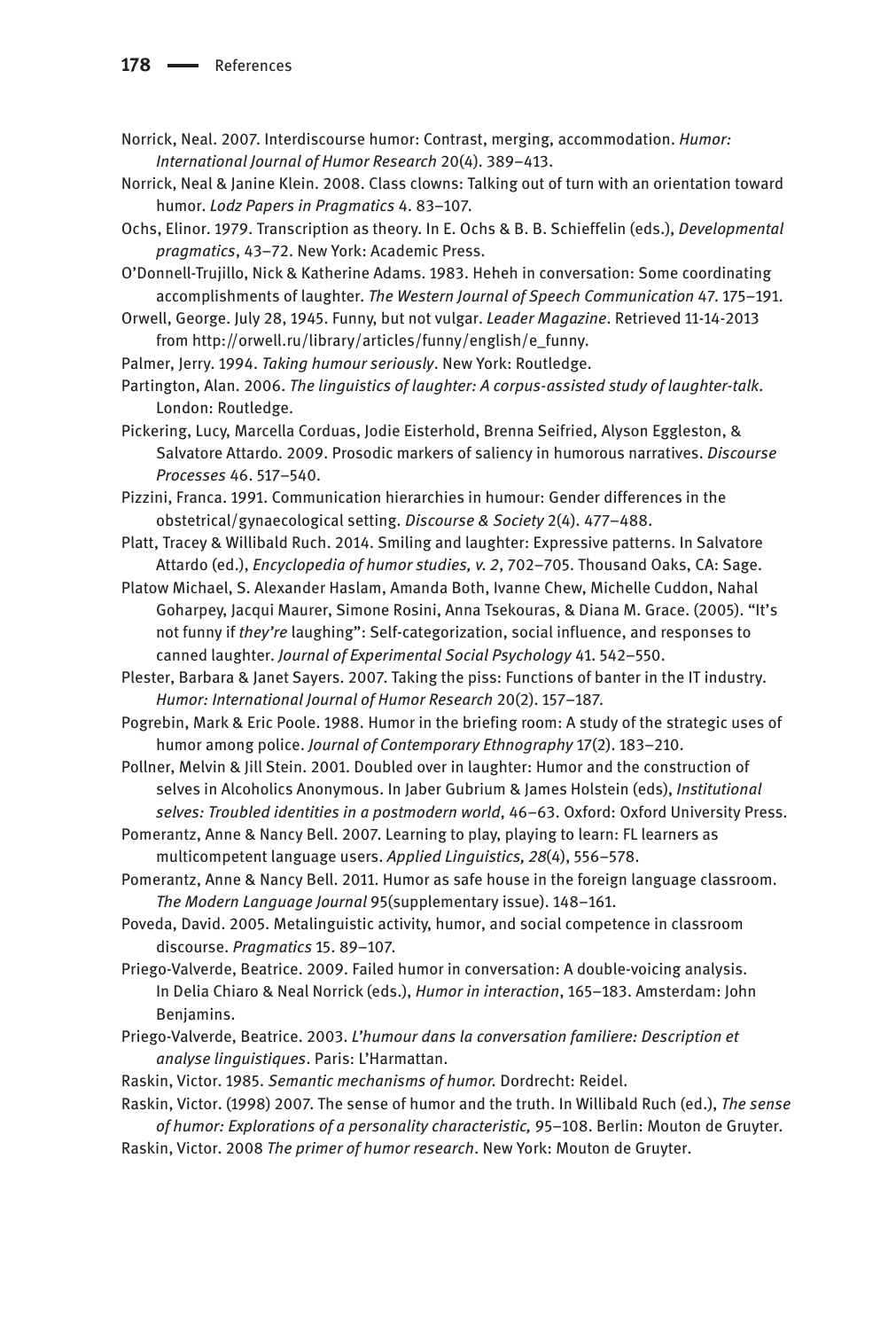- Norrick, Neal. 2007. Interdiscourse humor: Contrast, merging, accommodation. *Humor: International Journal of Humor Research* 20(4). 389–413.
- Norrick, Neal & Janine Klein. 2008. Class clowns: Talking out of turn with an orientation toward humor. *Lodz Papers in Pragmatics* 4. 83–107.
- Ochs, Elinor. 1979. Transcription as theory. In E. Ochs & B. B. Schieffelin (eds.), *Developmental pragmatics*, 43–72. New York: Academic Press.
- O'Donnell-Trujillo, Nick & Katherine Adams. 1983. Heheh in conversation: Some coordinating accomplishments of laughter. *The Western Journal of Speech Communication* 47. 175–191.
- Orwell, George. July 28, 1945. Funny, but not vulgar. *Leader Magazine*. Retrieved 11-14-2013 from http://orwell.ru/library/articles/funny/english/e\_funny.
- Palmer, Jerry. 1994. *Taking humour seriously*. New York: Routledge.
- Partington, Alan. 2006. *The linguistics of laughter: A corpus-assisted study of laughter-talk*. London: Routledge.
- Pickering, Lucy, Marcella Corduas, Jodie Eisterhold, Brenna Seifried, Alyson Eggleston, & Salvatore Attardo. 2009. Prosodic markers of saliency in humorous narratives. *Discourse Processes* 46. 517–540.
- Pizzini, Franca. 1991. Communication hierarchies in humour: Gender differences in the obstetrical/gynaecological setting. *Discourse & Society* 2(4). 477–488.
- Platt, Tracey & Willibald Ruch. 2014. Smiling and laughter: Expressive patterns. In Salvatore Attardo (ed.), *Encyclopedia of humor studies, v. 2*, 702–705. Thousand Oaks, CA: Sage.
- Platow Michael, S. Alexander Haslam, Amanda Both, Ivanne Chew, Michelle Cuddon, Nahal Goharpey, Jacqui Maurer, Simone Rosini, Anna Tsekouras, & Diana M. Grace. (2005). "It's not funny if *they're* laughing": Self-categorization, social influence, and responses to canned laughter. *Journal of Experimental Social Psychology* 41. 542–550.

Plester, Barbara & Janet Sayers. 2007. Taking the piss: Functions of banter in the IT industry. *Humor: International Journal of Humor Research* 20(2). 157–187.

Pogrebin, Mark & Eric Poole. 1988. Humor in the briefing room: A study of the strategic uses of humor among police. *Journal of Contemporary Ethnography* 17(2). 183–210.

- Pollner, Melvin & Jill Stein. 2001. Doubled over in laughter: Humor and the construction of selves in Alcoholics Anonymous. In Jaber Gubrium & James Holstein (eds), *Institutional selves: Troubled identities in a postmodern world*, 46–63. Oxford: Oxford University Press.
- Pomerantz, Anne & Nancy Bell. 2007. Learning to play, playing to learn: FL learners as multicompetent language users. *Applied Linguistics, 28*(4), 556–578.
- Pomerantz, Anne & Nancy Bell. 2011. Humor as safe house in the foreign language classroom. *The Modern Language Journal* 95(supplementary issue). 148–161.
- Poveda, David. 2005. Metalinguistic activity, humor, and social competence in classroom discourse. *Pragmatics* 15. 89–107.
- Priego-Valverde, Beatrice. 2009. Failed humor in conversation: A double-voicing analysis. In Delia Chiaro & Neal Norrick (eds.), *Humor in interaction*, 165–183. Amsterdam: John Benjamins.
- Priego-Valverde, Beatrice. 2003. *L'humour dans la conversation familiere: Description et analyse linguistiques*. Paris: L'Harmattan.
- Raskin, Victor. 1985. *Semantic mechanisms of humor.* Dordrecht: Reidel.

Raskin, Victor. (1998) 2007. The sense of humor and the truth. In Willibald Ruch (ed.), *The sense of humor: Explorations of a personality characteristic,* 95–108. Berlin: Mouton de Gruyter.

Raskin, Victor. 2008 *The primer of humor research*. New York: Mouton de Gruyter.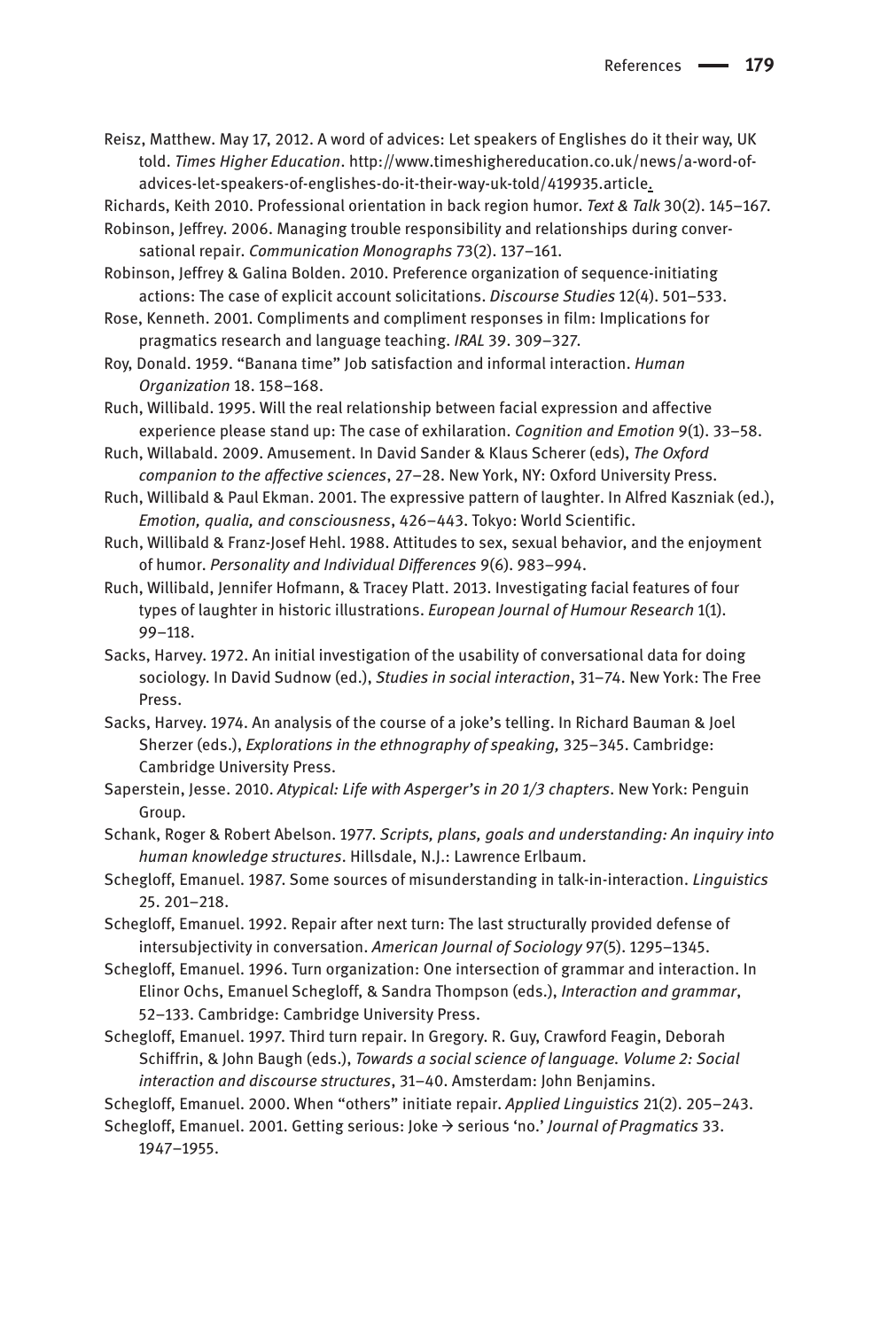Reisz, Matthew. May 17, 2012. A word of advices: Let speakers of Englishes do it their way, UK told. *Times Higher Education*. http://www.timeshighereducation.co.uk/news/a-word-ofadvices-let-speakers-of-englishes-do-it-their-way-uk-told/419935.article.

Richards, Keith 2010. Professional orientation in back region humor. *Text & Talk* 30(2). 145–167.

Robinson, Jeffrey. 2006. Managing trouble responsibility and relationships during conversational repair. *Communication Monographs* 73(2). 137–161.

Robinson, Jeffrey & Galina Bolden. 2010. Preference organization of sequence-initiating actions: The case of explicit account solicitations. *Discourse Studies* 12(4). 501–533.

Rose, Kenneth. 2001. Compliments and compliment responses in film: Implications for pragmatics research and language teaching. *IRAL* 39. 309–327.

Roy, Donald. 1959. "Banana time" Job satisfaction and informal interaction. *Human Organization* 18. 158–168.

Ruch, Willibald. 1995. Will the real relationship between facial expression and affective experience please stand up: The case of exhilaration. *Cognition and Emotion* 9(1). 33–58.

Ruch, Willabald. 2009. Amusement. In David Sander & Klaus Scherer (eds), *The Oxford companion to the affective sciences*, 27–28. New York, NY: Oxford University Press.

Ruch, Willibald & Paul Ekman. 2001. The expressive pattern of laughter. In Alfred Kaszniak (ed.), *Emotion, qualia, and consciousness*, 426–443. Tokyo: World Scientific.

Ruch, Willibald & Franz-Josef Hehl. 1988. Attitudes to sex, sexual behavior, and the enjoyment of humor. *Personality and Individual Differences* 9(6). 983–994.

Ruch, Willibald, Jennifer Hofmann, & Tracey Platt. 2013. Investigating facial features of four types of laughter in historic illustrations. *European Journal of Humour Research* 1(1). 99–118.

Sacks, Harvey. 1972. An initial investigation of the usability of conversational data for doing sociology. In David Sudnow (ed.), *Studies in social interaction*, 31–74. New York: The Free Press.

Sacks, Harvey. 1974. An analysis of the course of a joke's telling. In Richard Bauman & Joel Sherzer (eds.), *Explorations in the ethnography of speaking,* 325–345. Cambridge: Cambridge University Press.

Saperstein, Jesse. 2010. *Atypical: Life with Asperger's in 20 1/3 chapters*. New York: Penguin Group.

Schank, Roger & Robert Abelson. 1977. *Scripts, plans, goals and understanding: An inquiry into human knowledge structures*. Hillsdale, N.J.: Lawrence Erlbaum.

Schegloff, Emanuel. 1987. Some sources of misunderstanding in talk-in-interaction. *Linguistics* 25. 201–218.

Schegloff, Emanuel. 1992. Repair after next turn: The last structurally provided defense of intersubjectivity in conversation. *American Journal of Sociology* 97(5). 1295–1345.

- Schegloff, Emanuel. 1996. Turn organization: One intersection of grammar and interaction. In Elinor Ochs, Emanuel Schegloff, & Sandra Thompson (eds.), *Interaction and grammar*, 52–133. Cambridge: Cambridge University Press.
- Schegloff, Emanuel. 1997. Third turn repair. In Gregory. R. Guy, Crawford Feagin, Deborah Schiffrin, & John Baugh (eds.), *Towards a social science of language. Volume 2: Social interaction and discourse structures*, 31–40. Amsterdam: John Benjamins.

Schegloff, Emanuel. 2000. When "others" initiate repair. *Applied Linguistics* 21(2). 205–243.

Schegloff, Emanuel. 2001. Getting serious: Joke → serious 'no.' *Journal of Pragmatics* 33. 1947–1955.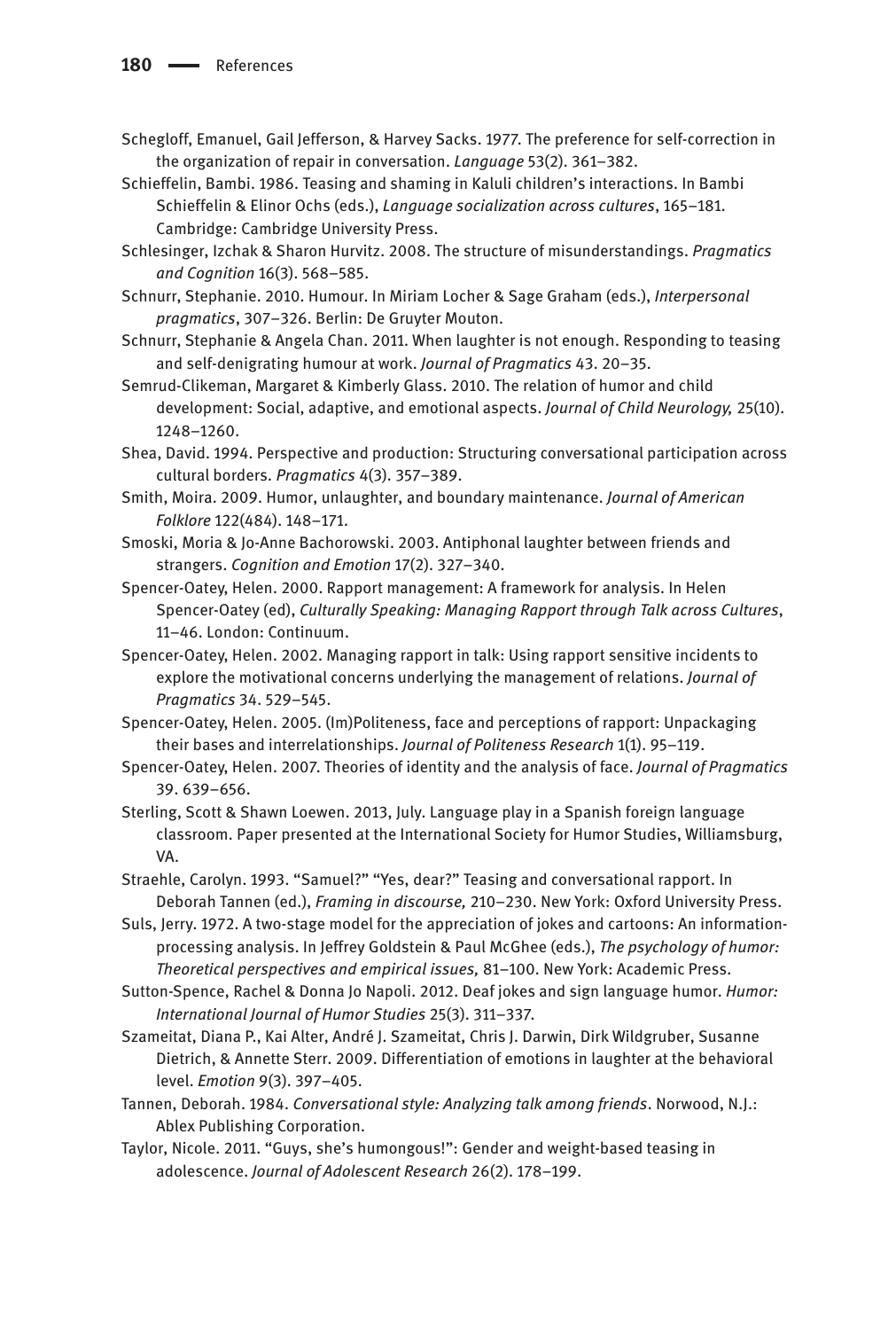- Schegloff, Emanuel, Gail Jefferson, & Harvey Sacks. 1977. The preference for self-correction in the organization of repair in conversation. *Language* 53(2). 361–382.
- Schieffelin, Bambi. 1986. Teasing and shaming in Kaluli children's interactions. In Bambi Schieffelin & Elinor Ochs (eds.), *Language socialization across cultures*, 165–181. Cambridge: Cambridge University Press.
- Schlesinger, Izchak & Sharon Hurvitz. 2008. The structure of misunderstandings. *Pragmatics and Cognition* 16(3). 568–585.
- Schnurr, Stephanie. 2010. Humour. In Miriam Locher & Sage Graham (eds.), *Interpersonal pragmatics*, 307–326. Berlin: De Gruyter Mouton.
- Schnurr, Stephanie & Angela Chan. 2011. When laughter is not enough. Responding to teasing and self-denigrating humour at work. *Journal of Pragmatics* 43. 20–35.
- Semrud-Clikeman, Margaret & Kimberly Glass. 2010. The relation of humor and child development: Social, adaptive, and emotional aspects. *Journal of Child Neurology,* 25(10). 1248–1260.
- Shea, David. 1994. Perspective and production: Structuring conversational participation across cultural borders. *Pragmatics* 4(3). 357–389.
- Smith, Moira. 2009. Humor, unlaughter, and boundary maintenance. *Journal of American Folklore* 122(484). 148–171.
- Smoski, Moria & Jo-Anne Bachorowski. 2003. Antiphonal laughter between friends and strangers. *Cognition and Emotion* 17(2). 327–340.
- Spencer-Oatey, Helen. 2000. Rapport management: A framework for analysis. In Helen Spencer-Oatey (ed), *Culturally Speaking: Managing Rapport through Talk across Cultures*, 11–46. London: Continuum.
- Spencer-Oatey, Helen. 2002. Managing rapport in talk: Using rapport sensitive incidents to explore the motivational concerns underlying the management of relations. *Journal of Pragmatics* 34. 529–545.
- Spencer-Oatey, Helen. 2005. (Im)Politeness, face and perceptions of rapport: Unpackaging their bases and interrelationships. *Journal of Politeness Research* 1(1). 95–119.
- Spencer-Oatey, Helen. 2007. Theories of identity and the analysis of face. *Journal of Pragmatics* 39. 639–656.
- Sterling, Scott & Shawn Loewen. 2013, July. Language play in a Spanish foreign language classroom. Paper presented at the International Society for Humor Studies, Williamsburg, VA.
- Straehle, Carolyn. 1993. "Samuel?" "Yes, dear?" Teasing and conversational rapport. In Deborah Tannen (ed.), *Framing in discourse,* 210–230. New York: Oxford University Press.
- Suls, Jerry. 1972. A two-stage model for the appreciation of jokes and cartoons: An informationprocessing analysis. In Jeffrey Goldstein & Paul McGhee (eds.), *The psychology of humor: Theoretical perspectives and empirical issues,* 81–100. New York: Academic Press.
- Sutton-Spence, Rachel & Donna Jo Napoli. 2012. Deaf jokes and sign language humor. *Humor: International Journal of Humor Studies* 25(3). 311–337.
- Szameitat, Diana P., Kai Alter, André J. Szameitat, Chris J. Darwin, Dirk Wildgruber, Susanne Dietrich, & Annette Sterr. 2009. Differentiation of emotions in laughter at the behavioral level. *Emotion* 9(3). 397–405.
- Tannen, Deborah. 1984. *Conversational style: Analyzing talk among friends*. Norwood, N.J.: Ablex Publishing Corporation.
- Taylor, Nicole. 2011. "Guys, she's humongous!": Gender and weight-based teasing in adolescence. *Journal of Adolescent Research* 26(2). 178–199.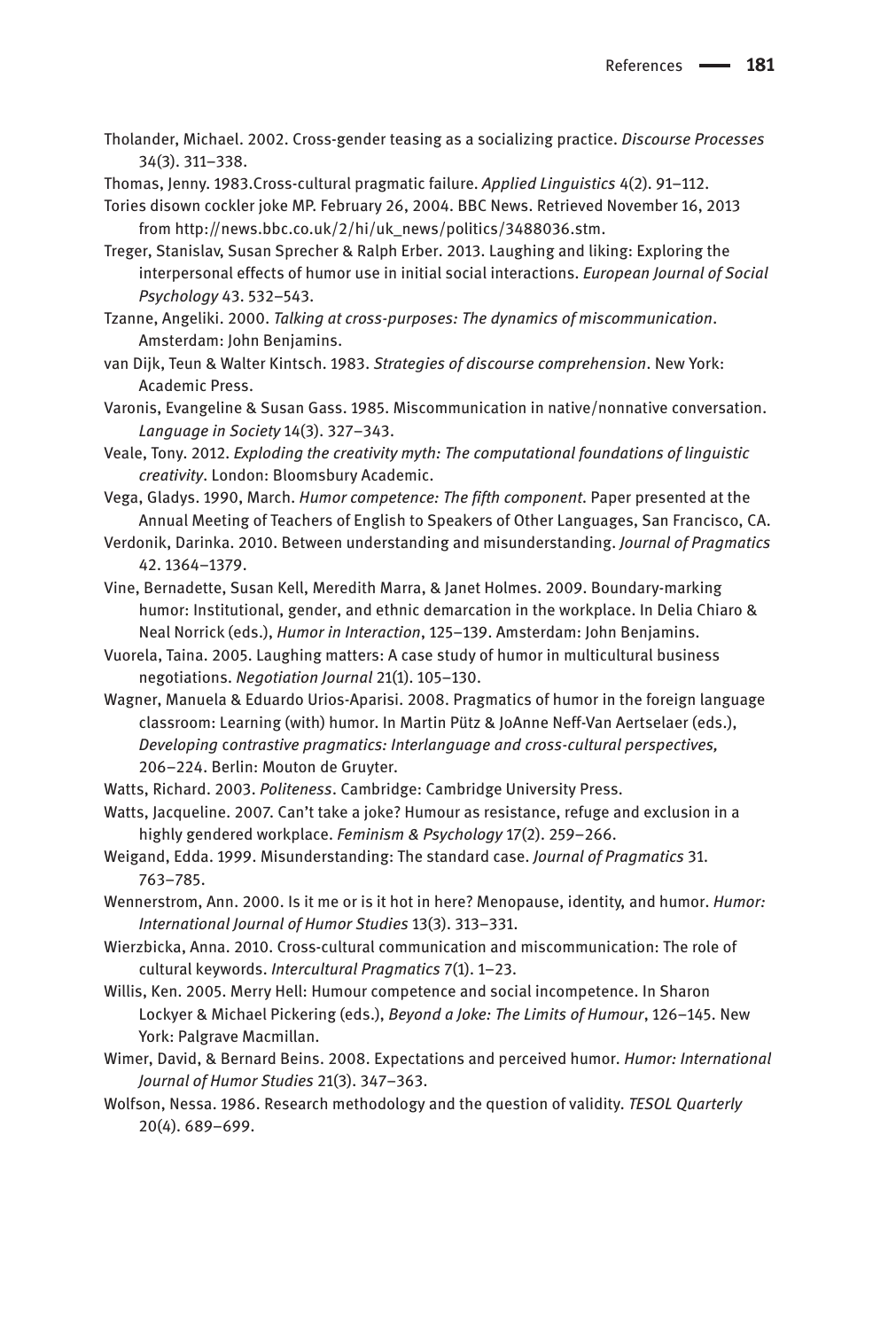Tholander, Michael. 2002. Cross-gender teasing as a socializing practice. *Discourse Processes* 34(3). 311–338.

Thomas, Jenny. 1983.Cross-cultural pragmatic failure. *Applied Linguistics* 4(2). 91–112.

Tories disown cockler joke MP. February 26, 2004. BBC News. Retrieved November 16, 2013 from http://news.bbc.co.uk/2/hi/uk\_news/politics/3488036.stm.

- Treger, Stanislav, Susan Sprecher & Ralph Erber. 2013. Laughing and liking: Exploring the interpersonal effects of humor use in initial social interactions. *European Journal of Social Psychology* 43. 532–543.
- Tzanne, Angeliki. 2000. *Talking at cross-purposes: The dynamics of miscommunication*. Amsterdam: John Benjamins.
- van Dijk, Teun & Walter Kintsch. 1983. *Strategies of discourse comprehension*. New York: Academic Press.
- Varonis, Evangeline & Susan Gass. 1985. Miscommunication in native/nonnative conversation. *Language in Society* 14(3). 327–343.
- Veale, Tony. 2012. *Exploding the creativity myth: The computational foundations of linguistic creativity*. London: Bloomsbury Academic.
- Vega, Gladys. 1990, March. *Humor competence: The fifth component*. Paper presented at the Annual Meeting of Teachers of English to Speakers of Other Languages, San Francisco, CA.
- Verdonik, Darinka. 2010. Between understanding and misunderstanding. *Journal of Pragmatics* 42. 1364–1379.
- Vine, Bernadette, Susan Kell, Meredith Marra, & Janet Holmes. 2009. Boundary-marking humor: Institutional, gender, and ethnic demarcation in the workplace. In Delia Chiaro & Neal Norrick (eds.), *Humor in Interaction*, 125–139. Amsterdam: John Benjamins.
- Vuorela, Taina. 2005. Laughing matters: A case study of humor in multicultural business negotiations. *Negotiation Journal* 21(1). 105–130.
- Wagner, Manuela & Eduardo Urios-Aparisi. 2008. Pragmatics of humor in the foreign language classroom: Learning (with) humor. In Martin Pütz & JoAnne Neff-Van Aertselaer (eds.), *Developing* c*ontrastive pragmatics: Interlanguage and cross-cultural perspectives,* 206–224. Berlin: Mouton de Gruyter.
- Watts, Richard. 2003. *Politeness*. Cambridge: Cambridge University Press.
- Watts, Jacqueline. 2007. Can't take a joke? Humour as resistance, refuge and exclusion in a highly gendered workplace. *Feminism & Psychology* 17(2). 259–266.
- Weigand, Edda. 1999. Misunderstanding: The standard case. *Journal of Pragmatics* 31. 763–785.
- Wennerstrom, Ann. 2000. Is it me or is it hot in here? Menopause, identity, and humor. *Humor: International Journal of Humor Studies* 13(3). 313–331.
- Wierzbicka, Anna. 2010. Cross-cultural communication and miscommunication: The role of cultural keywords. *Intercultural Pragmatics* 7(1). 1–23.
- Willis, Ken. 2005. Merry Hell: Humour competence and social incompetence. In Sharon Lockyer & Michael Pickering (eds.), *Beyond a Joke: The Limits of Humour*, 126–145. New York: Palgrave Macmillan.
- Wimer, David, & Bernard Beins. 2008. Expectations and perceived humor. *Humor: International Journal of Humor Studies* 21(3). 347–363.
- Wolfson, Nessa. 1986. Research methodology and the question of validity. *TESOL Quarterly* 20(4). 689–699.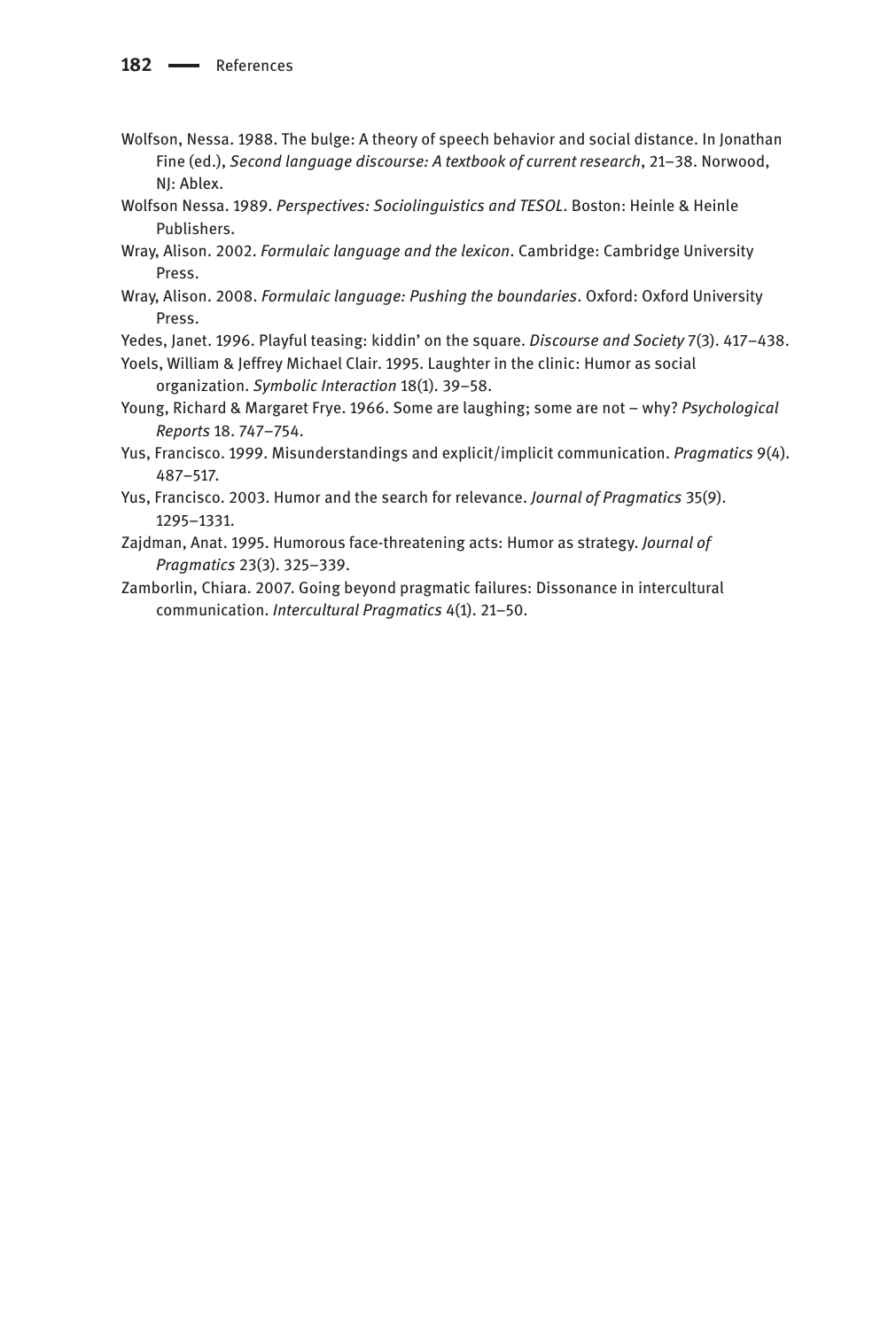- Wolfson, Nessa. 1988. The bulge: A theory of speech behavior and social distance. In Jonathan Fine (ed.), *Second language discourse: A textbook of current research*, 21–38. Norwood, NJ: Ablex.
- Wolfson Nessa. 1989. *Perspectives: Sociolinguistics and TESOL*. Boston: Heinle & Heinle Publishers.
- Wray, Alison. 2002. *Formulaic language and the lexicon*. Cambridge: Cambridge University Press.
- Wray, Alison. 2008. *Formulaic language: Pushing the boundaries*. Oxford: Oxford University Press.
- Yedes, Janet. 1996. Playful teasing: kiddin' on the square. *Discourse and Society* 7(3). 417–438.
- Yoels, William & Jeffrey Michael Clair. 1995. Laughter in the clinic: Humor as social organization. *Symbolic Interaction* 18(1). 39–58.
- Young, Richard & Margaret Frye. 1966. Some are laughing; some are not why? *Psychological Reports* 18. 747–754.
- Yus, Francisco. 1999. Misunderstandings and explicit/implicit communication. *Pragmatics* 9(4). 487–517.
- Yus, Francisco. 2003. Humor and the search for relevance. *Journal of Pragmatics* 35(9). 1295–1331.
- Zajdman, Anat. 1995. Humorous face-threatening acts: Humor as strategy. *Journal of Pragmatics* 23(3). 325–339.
- Zamborlin, Chiara. 2007. Going beyond pragmatic failures: Dissonance in intercultural communication. *Intercultural Pragmatics* 4(1). 21–50.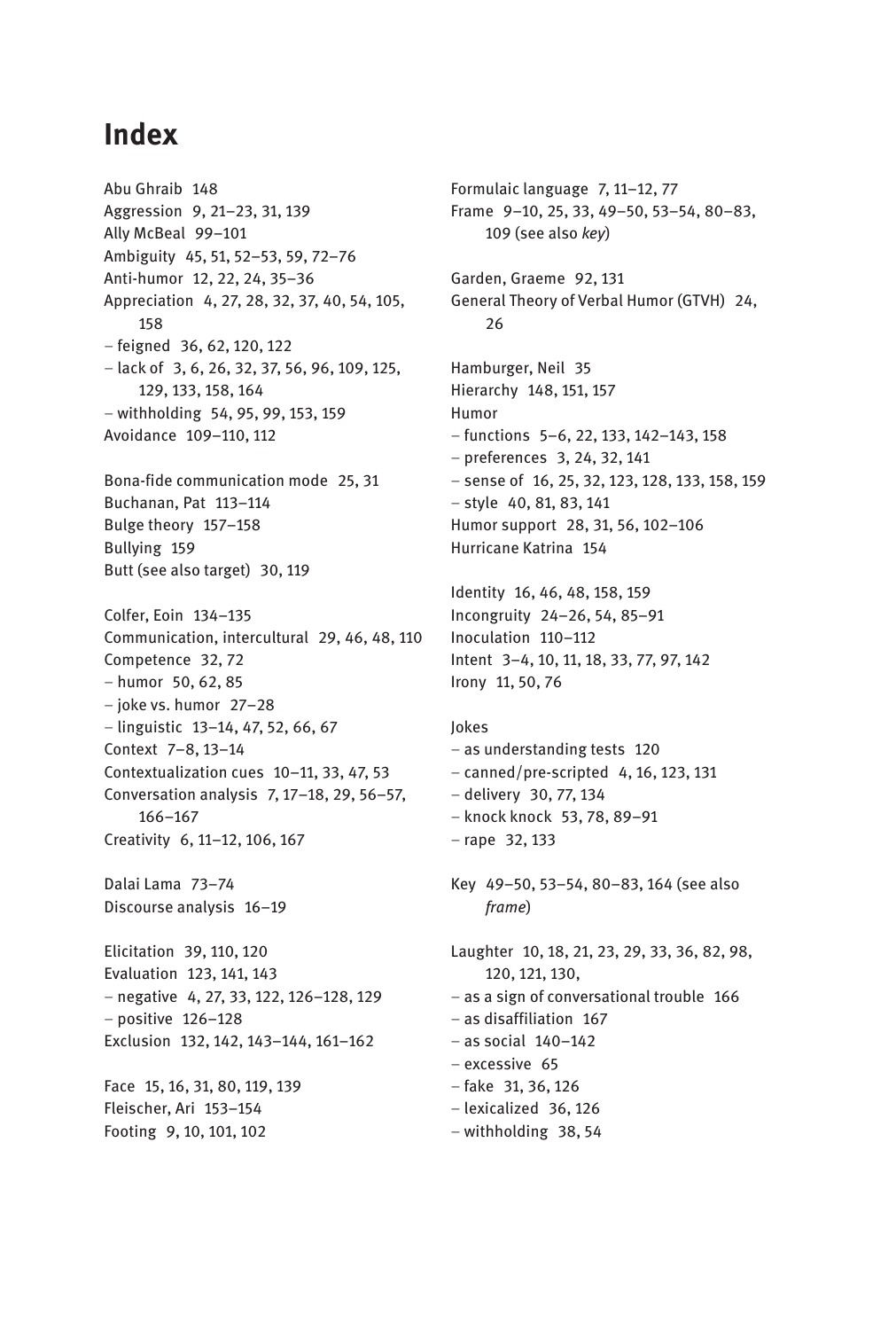## **Index**

Abu Ghraib 148 Aggression 9, 21–23, 31, 139 Ally McBeal 99–101 Ambiguity 45, 51, 52–53, 59, 72–76 Anti-humor 12, 22, 24, 35–36 Appreciation 4, 27, 28, 32, 37, 40, 54, 105, 158 – feigned 36, 62, 120, 122 – lack of 3, 6, 26, 32, 37, 56, 96, 109, 125, 129, 133, 158, 164 – withholding 54, 95, 99, 153, 159 Avoidance 109–110, 112 Bona-fide communication mode 25, 31 Buchanan, Pat 113–114 Bulge theory 157–158 Bullying 159 Butt (see also target) 30, 119 Colfer, Eoin 134–135 Communication, intercultural 29, 46, 48, 110 Competence 32, 72 – humor 50, 62, 85 – joke vs. humor 27–28 – linguistic 13–14, 47, 52, 66, 67 Context 7–8, 13–14 Contextualization cues 10–11, 33, 47, 53 Conversation analysis 7, 17–18, 29, 56–57, 166–167 Creativity 6, 11–12, 106, 167 Dalai Lama 73–74 Discourse analysis 16–19 Elicitation 39, 110, 120 Evaluation 123, 141, 143 – negative 4, 27, 33, 122, 126–128, 129 – positive 126–128 Exclusion 132, 142, 143–144, 161–162 Face 15, 16, 31, 80, 119, 139 Fleischer, Ari 153–154 Footing 9, 10, 101, 102

Formulaic language 7, 11–12, 77 Frame 9–10, 25, 33, 49–50, 53–54, 80–83, 109 (see also *key*) Garden, Graeme 92, 131 General Theory of Verbal Humor (GTVH) 24, 26 Hamburger, Neil 35 Hierarchy 148, 151, 157 Humor – functions 5–6, 22, 133, 142–143, 158 – preferences 3, 24, 32, 141 – sense of 16, 25, 32, 123, 128, 133, 158, 159 – style 40, 81, 83, 141 Humor support 28, 31, 56, 102–106 Hurricane Katrina 154 Identity 16, 46, 48, 158, 159 Incongruity 24–26, 54, 85–91 Inoculation 110–112 Intent 3–4, 10, 11, 18, 33, 77, 97, 142 Irony 11, 50, 76 Jokes – as understanding tests 120 – canned/pre-scripted 4, 16, 123, 131 – delivery 30, 77, 134 – knock knock 53, 78, 89–91 – rape 32, 133 Key 49–50, 53–54, 80–83, 164 (see also *frame*) Laughter 10, 18, 21, 23, 29, 33, 36, 82, 98, 120, 121, 130, – as a sign of conversational trouble 166 – as disaffiliation 167 – as social 140–142 – excessive 65 – fake 31, 36, 126 – lexicalized 36, 126

– withholding 38, 54